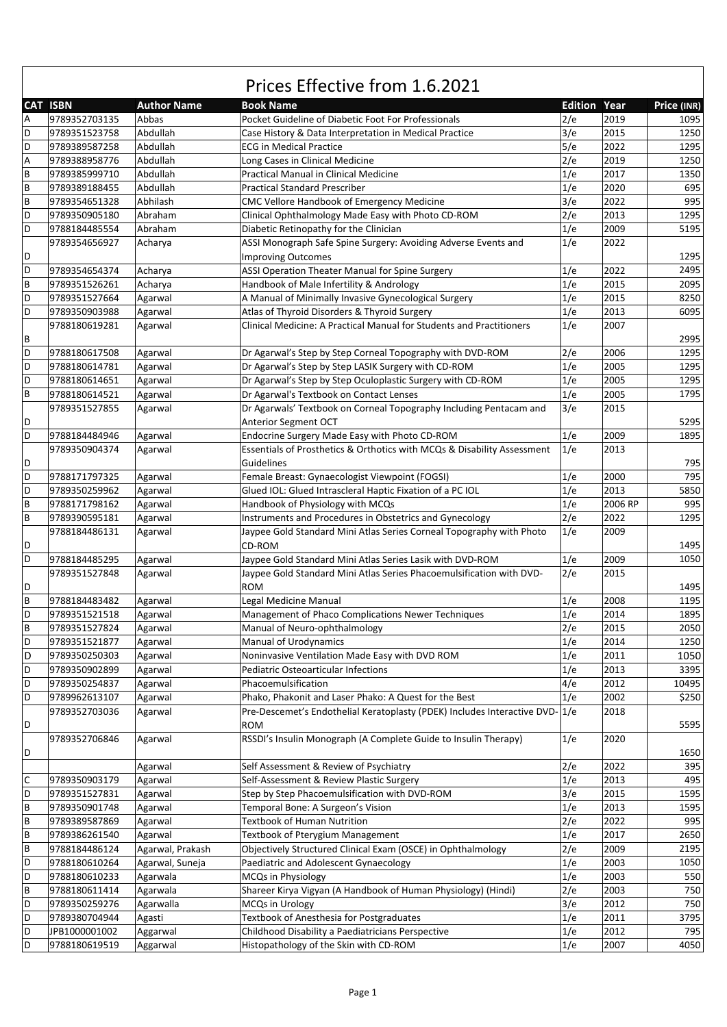|                           | <b>CAT ISBN</b> | <b>Author Name</b> | <b>Book Name</b>                                                         | <b>Edition Year</b> |              | Price (INR) |
|---------------------------|-----------------|--------------------|--------------------------------------------------------------------------|---------------------|--------------|-------------|
| $\overline{A}$            | 9789352703135   | Abbas              | Pocket Guideline of Diabetic Foot For Professionals                      | 2/e                 | 2019         | 1095        |
| D                         | 9789351523758   | Abdullah           | Case History & Data Interpretation in Medical Practice                   | 3/e                 | 2015         | 1250        |
| D                         | 9789389587258   | Abdullah           | <b>ECG in Medical Practice</b>                                           | 5/e                 | 2022         | 1295        |
| $\boldsymbol{\mathsf{A}}$ | 9789388958776   | Abdullah           | Long Cases in Clinical Medicine                                          | 2/e                 | 2019         | 1250        |
| $\sf{B}$                  | 9789385999710   | Abdullah           | Practical Manual in Clinical Medicine                                    | 1/e                 | 2017         | 1350        |
| $\sf B$                   | 9789389188455   | Abdullah           | <b>Practical Standard Prescriber</b>                                     | 1/e                 | 2020         | 695         |
| $\sf B$                   | 9789354651328   | Abhilash           | CMC Vellore Handbook of Emergency Medicine                               | 3/e                 | 2022         | 995         |
| D                         | 9789350905180   | Abraham            | Clinical Ophthalmology Made Easy with Photo CD-ROM                       | 2/e                 | 2013         | 1295        |
| D                         | 9788184485554   | Abraham            | Diabetic Retinopathy for the Clinician                                   | 1/e                 | 2009         | 5195        |
|                           | 9789354656927   | Acharya            | ASSI Monograph Safe Spine Surgery: Avoiding Adverse Events and           | 1/e                 | 2022         |             |
| D                         |                 |                    | <b>Improving Outcomes</b>                                                |                     |              | 1295        |
| D                         | 9789354654374   | Acharya            | ASSI Operation Theater Manual for Spine Surgery                          | 1/e                 | 2022         | 2495        |
| $\sf B$                   | 9789351526261   | Acharya            | Handbook of Male Infertility & Andrology                                 | 1/e                 | 2015         | 2095        |
| D                         | 9789351527664   | Agarwal            | A Manual of Minimally Invasive Gynecological Surgery                     | 1/e                 | 2015         | 8250        |
| D                         | 9789350903988   | Agarwal            | Atlas of Thyroid Disorders & Thyroid Surgery                             | 1/e                 | 2013         | 6095        |
|                           | 9788180619281   | Agarwal            | Clinical Medicine: A Practical Manual for Students and Practitioners     | 1/e                 | 2007         |             |
| B                         |                 |                    |                                                                          |                     |              | 2995        |
| D                         | 9788180617508   | Agarwal            | Dr Agarwal's Step by Step Corneal Topography with DVD-ROM                | 2/e                 | 2006         | 1295        |
| D                         |                 |                    | Dr Agarwal's Step by Step LASIK Surgery with CD-ROM                      |                     |              |             |
| D                         | 9788180614781   | Agarwal            | Dr Agarwal's Step by Step Oculoplastic Surgery with CD-ROM               | 1/e<br>1/e          | 2005<br>2005 | 1295        |
|                           | 9788180614651   | Agarwal            |                                                                          |                     |              | 1295        |
| $\sf B$                   | 9788180614521   | Agarwal            | Dr Agarwal's Textbook on Contact Lenses                                  | 1/e                 | 2005         | 1795        |
|                           | 9789351527855   | Agarwal            | Dr Agarwals' Textbook on Corneal Topography Including Pentacam and       | 3/e                 | 2015         |             |
| D                         |                 |                    | <b>Anterior Segment OCT</b>                                              |                     |              | 5295        |
| D                         | 9788184484946   | Agarwal            | Endocrine Surgery Made Easy with Photo CD-ROM                            | 1/e                 | 2009         | 1895        |
|                           | 9789350904374   | Agarwal            | Essentials of Prosthetics & Orthotics with MCQs & Disability Assessment  | 1/e                 | 2013         |             |
| D                         |                 |                    | Guidelines                                                               |                     |              | 795         |
| D                         | 9788171797325   | Agarwal            | Female Breast: Gynaecologist Viewpoint (FOGSI)                           | 1/e                 | 2000         | 795         |
| D                         | 9789350259962   | Agarwal            | Glued IOL: Glued Intrascleral Haptic Fixation of a PC IOL                | 1/e                 | 2013         | 5850        |
| $\sf{B}$                  | 9788171798162   | Agarwal            | Handbook of Physiology with MCQs                                         | 1/e                 | 2006 RP      | 995         |
| $\overline{B}$            | 9789390595181   | Agarwal            | Instruments and Procedures in Obstetrics and Gynecology                  | 2/e                 | 2022         | 1295        |
|                           | 9788184486131   | Agarwal            | Jaypee Gold Standard Mini Atlas Series Corneal Topography with Photo     | 1/e                 | 2009         |             |
| D                         |                 |                    | CD-ROM                                                                   |                     |              | 1495        |
| D                         | 9788184485295   | Agarwal            | Jaypee Gold Standard Mini Atlas Series Lasik with DVD-ROM                | 1/e                 | 2009         | 1050        |
|                           | 9789351527848   | Agarwal            | Jaypee Gold Standard Mini Atlas Series Phacoemulsification with DVD-     | 2/e                 | 2015         |             |
| D                         |                 |                    | <b>ROM</b>                                                               |                     |              | 1495        |
| $\sf B$                   | 9788184483482   | Agarwal            | Legal Medicine Manual                                                    | 1/e                 | 2008         | 1195        |
| D                         | 9789351521518   | Agarwal            | Management of Phaco Complications Newer Techniques                       | 1/e                 | 2014         | 1895        |
| $\sf B$                   | 9789351527824   | Agarwal            | Manual of Neuro-ophthalmology                                            | 2/e                 | 2015         | 2050        |
| D                         | 9789351521877   | Agarwal            | Manual of Urodynamics                                                    | 1/e                 | 2014         | 1250        |
| D                         | 9789350250303   | Agarwal            | Noninvasive Ventilation Made Easy with DVD ROM                           | 1/e                 | 2011         | 1050        |
| D                         | 9789350902899   | Agarwal            | Pediatric Osteoarticular Infections                                      | 1/e                 | 2013         | 3395        |
| D                         | 9789350254837   | Agarwal            | Phacoemulsification                                                      | 4/e                 | 2012         | 10495       |
| D                         | 9789962613107   | Agarwal            | Phako, Phakonit and Laser Phako: A Quest for the Best                    | 1/e                 | 2002         | \$250       |
|                           | 9789352703036   | Agarwal            | Pre-Descemet's Endothelial Keratoplasty (PDEK) Includes Interactive DVD- | 1/e                 | 2018         |             |
| D                         |                 |                    | <b>ROM</b>                                                               |                     |              | 5595        |
|                           | 9789352706846   | Agarwal            | RSSDI's Insulin Monograph (A Complete Guide to Insulin Therapy)          | 1/e                 | 2020         |             |
| D                         |                 |                    |                                                                          |                     |              | 1650        |
|                           |                 | Agarwal            | Self Assessment & Review of Psychiatry                                   | 2/e                 | 2022         | 395         |
| $\mathsf C$               | 9789350903179   | Agarwal            | Self-Assessment & Review Plastic Surgery                                 | 1/e                 | 2013         | 495         |
| D                         | 9789351527831   | Agarwal            | Step by Step Phacoemulsification with DVD-ROM                            | 3/e                 | 2015         | 1595        |
| $\sf B$                   | 9789350901748   | Agarwal            | Temporal Bone: A Surgeon's Vision                                        | 1/e                 | 2013         | 1595        |
| $\sf B$                   | 9789389587869   | Agarwal            | <b>Textbook of Human Nutrition</b>                                       | 2/e                 | 2022         | 995         |
| $\sf{B}$                  | 9789386261540   | Agarwal            | Textbook of Pterygium Management                                         | 1/e                 | 2017         | 2650        |
| $\sf B$                   | 9788184486124   | Agarwal, Prakash   | Objectively Structured Clinical Exam (OSCE) in Ophthalmology             | 2/e                 | 2009         | 2195        |
| D                         | 9788180610264   | Agarwal, Suneja    | Paediatric and Adolescent Gynaecology                                    | 1/e                 | 2003         | 1050        |
| D                         | 9788180610233   | Agarwala           | MCQs in Physiology                                                       | 1/e                 | 2003         | 550         |
| $\sf B$                   | 9788180611414   | Agarwala           | Shareer Kirya Vigyan (A Handbook of Human Physiology) (Hindi)            | 2/e                 | 2003         | 750         |
| D                         | 9789350259276   | Agarwalla          | MCQs in Urology                                                          | 3/e                 | 2012         | 750         |
| D                         | 9789380704944   | Agasti             | Textbook of Anesthesia for Postgraduates                                 | 1/e                 | 2011         | 3795        |
| D                         | JPB1000001002   | Aggarwal           | Childhood Disability a Paediatricians Perspective                        | 1/e                 | 2012         | 795         |
| $\mathsf D$               | 9788180619519   | Aggarwal           | Histopathology of the Skin with CD-ROM                                   | 1/e                 | 2007         | 4050        |
|                           |                 |                    |                                                                          |                     |              |             |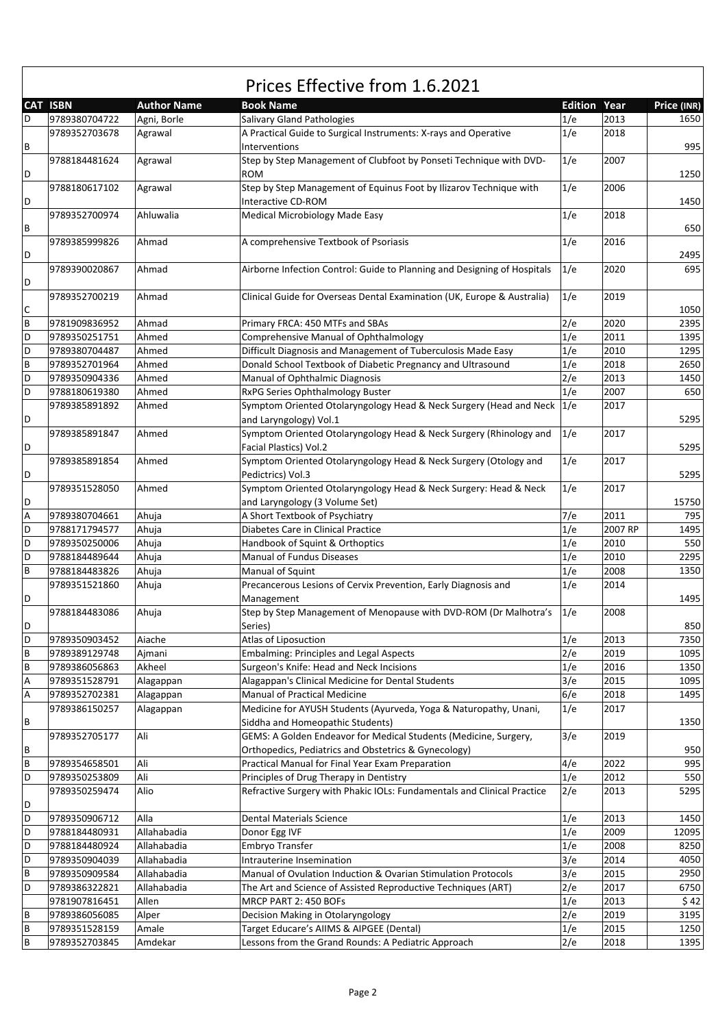|   |                 |                    | Prices Effective from 1.6.2021                                                                     |                     |         |             |  |
|---|-----------------|--------------------|----------------------------------------------------------------------------------------------------|---------------------|---------|-------------|--|
|   | <b>CAT ISBN</b> | <b>Author Name</b> | <b>Book Name</b>                                                                                   | <b>Edition Year</b> |         | Price (INR) |  |
| D | 9789380704722   | Agni, Borle        | Salivary Gland Pathologies                                                                         | 1/e                 | 2013    | 1650        |  |
| В | 9789352703678   | Agrawal            | A Practical Guide to Surgical Instruments: X-rays and Operative<br>Interventions                   | 1/e                 | 2018    | 995         |  |
| D | 9788184481624   | Agrawal            | Step by Step Management of Clubfoot by Ponseti Technique with DVD-<br><b>ROM</b>                   | 1/e                 | 2007    | 1250        |  |
| D | 9788180617102   | Agrawal            | Step by Step Management of Equinus Foot by Ilizarov Technique with<br><b>Interactive CD-ROM</b>    | 1/e                 | 2006    | 1450        |  |
| В | 9789352700974   | Ahluwalia          | Medical Microbiology Made Easy                                                                     | 1/e                 | 2018    | 650         |  |
| D | 9789385999826   | Ahmad              | A comprehensive Textbook of Psoriasis                                                              | 1/e                 | 2016    | 2495        |  |
| D | 9789390020867   | Ahmad              | Airborne Infection Control: Guide to Planning and Designing of Hospitals                           | 1/e                 | 2020    | 695         |  |
| С | 9789352700219   | Ahmad              | Clinical Guide for Overseas Dental Examination (UK, Europe & Australia)                            | 1/e                 | 2019    | 1050        |  |
| B | 9781909836952   | Ahmad              | Primary FRCA: 450 MTFs and SBAs                                                                    | 2/e                 | 2020    | 2395        |  |
| D | 9789350251751   | Ahmed              | <b>Comprehensive Manual of Ophthalmology</b>                                                       | 1/e                 | 2011    | 1395        |  |
| D | 9789380704487   | Ahmed              | Difficult Diagnosis and Management of Tuberculosis Made Easy                                       | 1/e                 | 2010    | 1295        |  |
| B | 9789352701964   | Ahmed              | Donald School Textbook of Diabetic Pregnancy and Ultrasound                                        | 1/e                 | 2018    | 2650        |  |
| D |                 |                    |                                                                                                    |                     |         |             |  |
|   | 9789350904336   | Ahmed              | Manual of Ophthalmic Diagnosis                                                                     | 2/e                 | 2013    | 1450        |  |
| D | 9788180619380   | Ahmed              | RxPG Series Ophthalmology Buster                                                                   | 1/e                 | 2007    | 650         |  |
| D | 9789385891892   | Ahmed              | Symptom Oriented Otolaryngology Head & Neck Surgery (Head and Neck<br>and Laryngology) Vol.1       | 1/e                 | 2017    | 5295        |  |
| D | 9789385891847   | Ahmed              | Symptom Oriented Otolaryngology Head & Neck Surgery (Rhinology and<br>Facial Plastics) Vol.2       | 1/e                 | 2017    | 5295        |  |
| D | 9789385891854   | Ahmed              | Symptom Oriented Otolaryngology Head & Neck Surgery (Otology and<br>Pedictrics) Vol.3              | 1/e                 | 2017    | 5295        |  |
| D | 9789351528050   | Ahmed              | Symptom Oriented Otolaryngology Head & Neck Surgery: Head & Neck<br>and Laryngology (3 Volume Set) | 1/e                 | 2017    | 15750       |  |
| Α | 9789380704661   | Ahuja              | A Short Textbook of Psychiatry                                                                     | 7/e                 | 2011    | 795         |  |
| D | 9788171794577   | Ahuja              | Diabetes Care in Clinical Practice                                                                 | 1/e                 | 2007 RP | 1495        |  |
| D | 9789350250006   | Ahuja              | Handbook of Squint & Orthoptics                                                                    | 1/e                 | 2010    | 550         |  |
| D | 9788184489644   | Ahuja              | <b>Manual of Fundus Diseases</b>                                                                   | 1/e                 | 2010    | 2295        |  |
| B | 9788184483826   | Ahuja              | Manual of Squint                                                                                   | 1/e                 | 2008    | 1350        |  |
|   | 9789351521860   | Ahuja              | Precancerous Lesions of Cervix Prevention, Early Diagnosis and                                     | 1/e                 | 2014    |             |  |
| D |                 |                    | Management                                                                                         |                     |         | 1495        |  |
| D | 9788184483086   | Ahuja              | Step by Step Management of Menopause with DVD-ROM (Dr Malhotra's<br>Series)                        | 1/e                 | 2008    | 850         |  |
| D | 9789350903452   | Aiache             | Atlas of Liposuction                                                                               | 1/e                 | 2013    | 7350        |  |
| B | 9789389129748   | Aimani             | <b>Embalming: Principles and Legal Aspects</b>                                                     | 2/e                 | 2019    | 1095        |  |
| B | 9789386056863   | Akheel             | Surgeon's Knife: Head and Neck Incisions                                                           | 1/e                 | 2016    | 1350        |  |
|   | 9789351528791   |                    | Alagappan's Clinical Medicine for Dental Students                                                  | 3/e                 | 2015    | 1095        |  |
| Α | 9789352702381   | Alagappan          | Manual of Practical Medicine                                                                       | 6/e                 | 2018    | 1495        |  |
| Α |                 | Alagappan          | Medicine for AYUSH Students (Ayurveda, Yoga & Naturopathy, Unani,                                  | 1/e                 | 2017    |             |  |
|   | 9789386150257   | Alagappan          |                                                                                                    |                     |         |             |  |
| В |                 |                    | Siddha and Homeopathic Students)                                                                   |                     |         | 1350        |  |
|   | 9789352705177   | Ali                | GEMS: A Golden Endeavor for Medical Students (Medicine, Surgery,                                   | 3/e                 | 2019    |             |  |
| В |                 |                    | Orthopedics, Pediatrics and Obstetrics & Gynecology)                                               |                     |         | 950         |  |
| B | 9789354658501   | Ali                | Practical Manual for Final Year Exam Preparation                                                   | 4/e                 | 2022    | 995         |  |
| D | 9789350253809   | Ali                | Principles of Drug Therapy in Dentistry                                                            | 1/e                 | 2012    | 550         |  |
| D | 9789350259474   | Alio               | Refractive Surgery with Phakic IOLs: Fundamentals and Clinical Practice                            | 2/e                 | 2013    | 5295        |  |
| D | 9789350906712   | Alla               | <b>Dental Materials Science</b>                                                                    | 1/e                 | 2013    | 1450        |  |
| D | 9788184480931   | Allahabadia        | Donor Egg IVF                                                                                      | 1/e                 | 2009    | 12095       |  |
| D | 9788184480924   | Allahabadia        | Embryo Transfer                                                                                    | 1/e                 | 2008    | 8250        |  |
| D | 9789350904039   | Allahabadia        | Intrauterine Insemination                                                                          | 3/e                 | 2014    | 4050        |  |
| B | 9789350909584   | Allahabadia        | Manual of Ovulation Induction & Ovarian Stimulation Protocols                                      | 3/e                 | 2015    | 2950        |  |
| D | 9789386322821   | Allahabadia        | The Art and Science of Assisted Reproductive Techniques (ART)                                      | 2/e                 | 2017    | 6750        |  |
|   | 9781907816451   | Allen              | MRCP PART 2: 450 BOFs                                                                              | 1/e                 | 2013    | \$42        |  |
| B | 9789386056085   | Alper              | Decision Making in Otolaryngology                                                                  | 2/e                 | 2019    | 3195        |  |
| B | 9789351528159   | Amale              | Target Educare's AIIMS & AIPGEE (Dental)                                                           | 1/e                 | 2015    | 1250        |  |
| B | 9789352703845   | Amdekar            | Lessons from the Grand Rounds: A Pediatric Approach                                                | 2/e                 | 2018    | 1395        |  |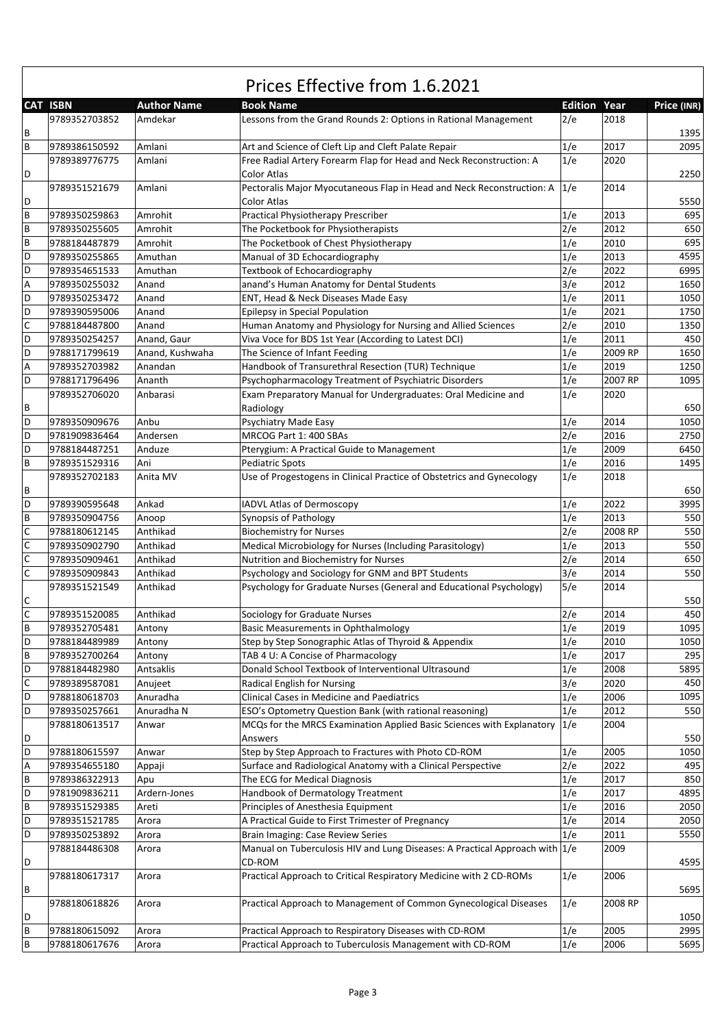|                | Prices Effective from 1.6.2021 |                    |                                                                               |                     |         |             |  |
|----------------|--------------------------------|--------------------|-------------------------------------------------------------------------------|---------------------|---------|-------------|--|
|                | <b>CAT ISBN</b>                | <b>Author Name</b> | <b>Book Name</b>                                                              | <b>Edition Year</b> |         | Price (INR) |  |
|                | 9789352703852                  | Amdekar            | Lessons from the Grand Rounds 2: Options in Rational Management               | 2/e                 | 2018    |             |  |
| В              |                                |                    |                                                                               |                     |         | 1395        |  |
| $\overline{B}$ | 9789386150592                  | Amlani             | Art and Science of Cleft Lip and Cleft Palate Repair                          | 1/e                 | 2017    | 2095        |  |
|                | 9789389776775                  | Amlani             | Free Radial Artery Forearm Flap for Head and Neck Reconstruction: A           | 1/e                 | 2020    |             |  |
| D              |                                |                    | Color Atlas                                                                   |                     |         | 2250        |  |
|                | 9789351521679                  | Amlani             | Pectoralis Major Myocutaneous Flap in Head and Neck Reconstruction: A 1/e     |                     | 2014    |             |  |
| D              |                                |                    | Color Atlas                                                                   |                     |         | 5550        |  |
| B              | 9789350259863                  | Amrohit            | Practical Physiotherapy Prescriber                                            | 1/e                 | 2013    | 695         |  |
| B              | 9789350255605                  | Amrohit            | The Pocketbook for Physiotherapists                                           | 2/e                 | 2012    | 650         |  |
| B              | 9788184487879                  | Amrohit            | The Pocketbook of Chest Physiotherapy                                         | 1/e                 | 2010    | 695         |  |
| D              | 9789350255865                  | Amuthan            | Manual of 3D Echocardiography                                                 | 1/e                 | 2013    | 4595        |  |
| D              | 9789354651533                  | Amuthan            | Textbook of Echocardiography                                                  | 2/e                 | 2022    | 6995        |  |
| A              | 9789350255032                  | Anand              | anand's Human Anatomy for Dental Students                                     | 3/e                 | 2012    | 1650        |  |
| D              | 9789350253472                  | Anand              | ENT, Head & Neck Diseases Made Easy                                           | 1/e                 | 2011    | 1050        |  |
| D              | 9789390595006                  | Anand              | Epilepsy in Special Population                                                | 1/e                 | 2021    | 1750        |  |
| $\mathsf C$    | 9788184487800                  | Anand              | Human Anatomy and Physiology for Nursing and Allied Sciences                  | 2/e                 | 2010    | 1350        |  |
| D              | 9789350254257                  | Anand, Gaur        | Viva Voce for BDS 1st Year (According to Latest DCI)                          | 1/e                 | 2011    | 450         |  |
| D              | 9788171799619                  | Anand, Kushwaha    | The Science of Infant Feeding                                                 | 1/e                 | 2009 RP | 1650        |  |
| A              | 9789352703982                  | Anandan            | Handbook of Transurethral Resection (TUR) Technique                           | 1/e                 | 2019    | 1250        |  |
| D              | 9788171796496                  | Ananth             | Psychopharmacology Treatment of Psychiatric Disorders                         | 1/e                 | 2007 RP | 1095        |  |
|                | 9789352706020                  | Anbarasi           | Exam Preparatory Manual for Undergraduates: Oral Medicine and                 | 1/e                 | 2020    |             |  |
| В              |                                |                    | Radiology                                                                     |                     |         | 650         |  |
| D              | 9789350909676                  | Anbu               | Psychiatry Made Easy                                                          | 1/e                 | 2014    | 1050        |  |
| D              | 9781909836464                  | Andersen           | MRCOG Part 1: 400 SBAs                                                        | 2/e                 | 2016    | 2750        |  |
| D              | 9788184487251                  | Anduze             | Pterygium: A Practical Guide to Management                                    | 1/e                 | 2009    | 6450        |  |
| B              | 9789351529316                  | Ani                | <b>Pediatric Spots</b>                                                        | 1/e                 | 2016    | 1495        |  |
|                |                                |                    |                                                                               |                     | 2018    |             |  |
| B              | 9789352702183                  | Anita MV           | Use of Progestogens in Clinical Practice of Obstetrics and Gynecology         | 1/e                 |         | 650         |  |
| D              |                                |                    |                                                                               |                     |         |             |  |
|                | 9789390595648                  | Ankad              | <b>IADVL Atlas of Dermoscopy</b>                                              | 1/e                 | 2022    | 3995        |  |
| B              | 9789350904756                  | Anoop              | Synopsis of Pathology                                                         | 1/e                 | 2013    | 550         |  |
| $\mathsf C$    | 9788180612145                  | Anthikad           | <b>Biochemistry for Nurses</b>                                                | 2/e                 | 2008 RP | 550         |  |
| $\mathsf C$    | 9789350902790                  | Anthikad           | Medical Microbiology for Nurses (Including Parasitology)                      | 1/e                 | 2013    | 550         |  |
| $\mathsf C$    | 9789350909461                  | Anthikad           | Nutrition and Biochemistry for Nurses                                         | 2/e                 | 2014    | 650         |  |
| $\mathsf C$    | 9789350909843                  | Anthikad           | Psychology and Sociology for GNM and BPT Students                             | 3/e                 | 2014    | 550         |  |
|                | 9789351521549                  | Anthikad           | Psychology for Graduate Nurses (General and Educational Psychology)           | 5/e                 | 2014    |             |  |
| С              |                                |                    |                                                                               |                     |         | 550         |  |
| $\overline{c}$ | 9789351520085                  | Anthikad           | Sociology for Graduate Nurses                                                 | 2/e                 | 2014    | 450         |  |
| B              | 9789352705481                  | Antony             | <b>Basic Measurements in Ophthalmology</b>                                    | 1/e                 | 2019    | 1095        |  |
| D              | 9788184489989                  | Antony             | Step by Step Sonographic Atlas of Thyroid & Appendix                          | 1/e                 | 2010    | 1050        |  |
| B              | 9789352700264                  | Antony             | TAB 4 U: A Concise of Pharmacology                                            | 1/e                 | 2017    | 295         |  |
| D              | 9788184482980                  | Antsaklis          | Donald School Textbook of Interventional Ultrasound                           | 1/e                 | 2008    | 5895        |  |
| $\mathsf C$    | 9789389587081                  | Anujeet            | Radical English for Nursing                                                   | 3/e                 | 2020    | 450         |  |
| D              | 9788180618703                  | Anuradha           | Clinical Cases in Medicine and Paediatrics                                    | 1/e                 | 2006    | 1095        |  |
| D              | 9789350257661                  | Anuradha N         | ESO's Optometry Question Bank (with rational reasoning)                       | 1/e                 | 2012    | 550         |  |
|                | 9788180613517                  | Anwar              | MCQs for the MRCS Examination Applied Basic Sciences with Explanatory $ 1/e $ |                     | 2004    |             |  |
| D              |                                |                    | Answers                                                                       |                     |         | 550         |  |
| D              | 9788180615597                  | Anwar              | Step by Step Approach to Fractures with Photo CD-ROM                          | 1/e                 | 2005    | 1050        |  |
| Α              | 9789354655180                  | Appaji             | Surface and Radiological Anatomy with a Clinical Perspective                  | 2/e                 | 2022    | 495         |  |
| B              | 9789386322913                  | Apu                | The ECG for Medical Diagnosis                                                 | 1/e                 | 2017    | 850         |  |
| D              | 9781909836211                  | Ardern-Jones       | Handbook of Dermatology Treatment                                             | 1/e                 | 2017    | 4895        |  |
| B              | 9789351529385                  | Areti              | Principles of Anesthesia Equipment                                            | 1/e                 | 2016    | 2050        |  |
| D              | 9789351521785                  | Arora              | A Practical Guide to First Trimester of Pregnancy                             | 1/e                 | 2014    | 2050        |  |
| D              | 9789350253892                  | Arora              | Brain Imaging: Case Review Series                                             | 1/e                 | 2011    | 5550        |  |
|                | 9788184486308                  | Arora              | Manual on Tuberculosis HIV and Lung Diseases: A Practical Approach with 1/e   |                     | 2009    |             |  |
| D              |                                |                    | CD-ROM                                                                        |                     |         | 4595        |  |
|                | 9788180617317                  | Arora              | Practical Approach to Critical Respiratory Medicine with 2 CD-ROMs            | 1/e                 | 2006    |             |  |
| В              |                                |                    |                                                                               |                     |         | 5695        |  |
|                | 9788180618826                  | Arora              | Practical Approach to Management of Common Gynecological Diseases             | 1/e                 | 2008 RP |             |  |
| D              |                                |                    |                                                                               |                     |         | 1050        |  |
| B              | 9788180615092                  | Arora              | Practical Approach to Respiratory Diseases with CD-ROM                        | 1/e                 | 2005    | 2995        |  |
| $\sf B$        | 9788180617676                  | Arora              | Practical Approach to Tuberculosis Management with CD-ROM                     | 1/e                 | 2006    | 5695        |  |

 $\sqrt{ }$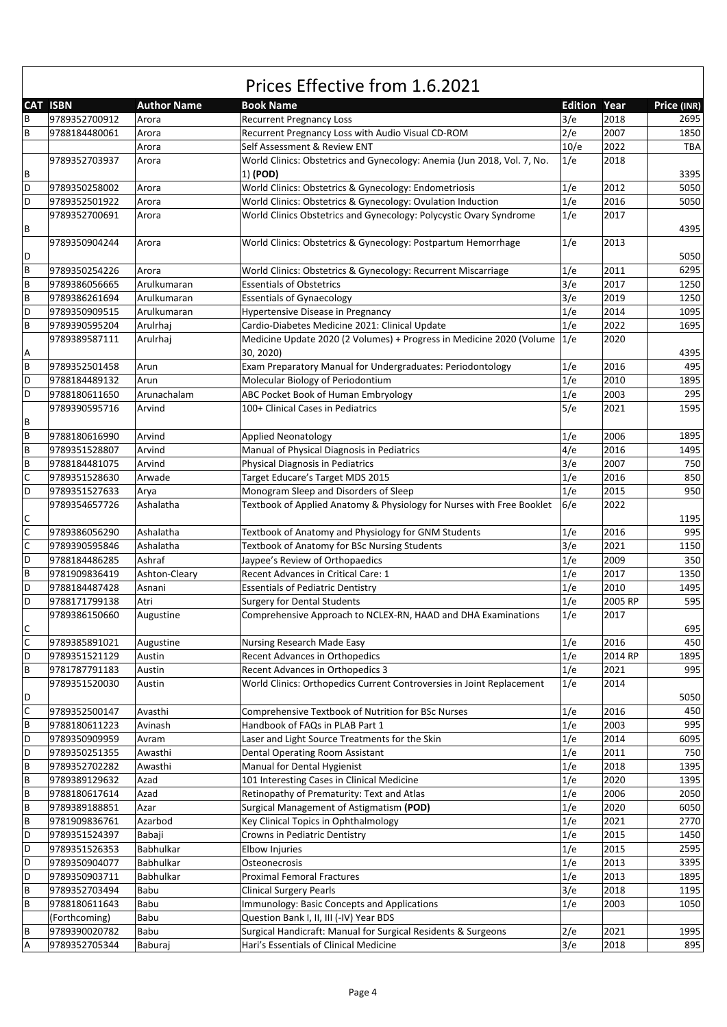|             | <b>CAT ISBN</b>                | <b>Author Name</b> | <b>Book Name</b>                                                        | <b>Edition Year</b> |         | Price (INR) |
|-------------|--------------------------------|--------------------|-------------------------------------------------------------------------|---------------------|---------|-------------|
| B           | 9789352700912                  | Arora              | <b>Recurrent Pregnancy Loss</b>                                         | 3/e                 | 2018    | 2695        |
| B           | 9788184480061                  | Arora              | Recurrent Pregnancy Loss with Audio Visual CD-ROM                       | 2/e                 | 2007    | 1850        |
|             |                                | Arora              | Self Assessment & Review ENT                                            | 10/e                | 2022    | <b>TBA</b>  |
|             | 9789352703937                  | Arora              | World Clinics: Obstetrics and Gynecology: Anemia (Jun 2018, Vol. 7, No. | 1/e                 | 2018    |             |
| В           |                                |                    | 1) (POD)                                                                |                     |         | 3395        |
| D           | 9789350258002                  | Arora              | World Clinics: Obstetrics & Gynecology: Endometriosis                   | 1/e                 | 2012    | 5050        |
| D           | 9789352501922                  |                    | World Clinics: Obstetrics & Gynecology: Ovulation Induction             | 1/e                 | 2016    | 5050        |
|             | 9789352700691                  | Arora              |                                                                         | 1/e                 | 2017    |             |
| В           |                                | Arora              | World Clinics Obstetrics and Gynecology: Polycystic Ovary Syndrome      |                     |         | 4395        |
|             | 9789350904244                  | Arora              | World Clinics: Obstetrics & Gynecology: Postpartum Hemorrhage           | 1/e                 | 2013    |             |
| D           |                                |                    |                                                                         |                     |         | 5050        |
| B           | 9789350254226                  | Arora              | World Clinics: Obstetrics & Gynecology: Recurrent Miscarriage           | 1/e                 | 2011    | 6295        |
| B           | 9789386056665                  | Arulkumaran        | <b>Essentials of Obstetrics</b>                                         | 3/e                 | 2017    | 1250        |
| В           | 9789386261694                  | Arulkumaran        | <b>Essentials of Gynaecology</b>                                        | 3/e                 | 2019    | 1250        |
| D           | 9789350909515                  | Arulkumaran        | Hypertensive Disease in Pregnancy                                       | 1/e                 | 2014    | 1095        |
| B           | 9789390595204                  | Arulrhaj           | Cardio-Diabetes Medicine 2021: Clinical Update                          | 1/e                 | 2022    | 1695        |
|             | 9789389587111                  | Arulrhaj           | Medicine Update 2020 (2 Volumes) + Progress in Medicine 2020 (Volume    | 1/e                 | 2020    |             |
| А           |                                |                    | 30, 2020)                                                               |                     |         | 4395        |
| B           | 9789352501458                  | Arun               | Exam Preparatory Manual for Undergraduates: Periodontology              | 1/e                 | 2016    | 495         |
| D           | 9788184489132                  | Arun               | Molecular Biology of Periodontium                                       | 1/e                 | 2010    | 1895        |
| D           | 9788180611650                  | Arunachalam        | ABC Pocket Book of Human Embryology                                     | 1/e                 | 2003    | 295         |
|             | 9789390595716                  | Arvind             | 100+ Clinical Cases in Pediatrics                                       | 5/e                 | 2021    | 1595        |
| В           |                                |                    |                                                                         |                     |         |             |
| B           | 9788180616990                  | Arvind             | <b>Applied Neonatology</b>                                              | 1/e                 | 2006    | 1895        |
| B           |                                |                    |                                                                         | 4/e                 | 2016    | 1495        |
| B           | 9789351528807<br>9788184481075 | Arvind<br>Arvind   | Manual of Physical Diagnosis in Pediatrics                              |                     | 2007    | 750         |
|             |                                |                    | <b>Physical Diagnosis in Pediatrics</b>                                 | 3/e                 |         |             |
| C           | 9789351528630                  | Arwade             | Target Educare's Target MDS 2015                                        | 1/e                 | 2016    | 850         |
| D           | 9789351527633                  | Arya               | Monogram Sleep and Disorders of Sleep                                   | 1/e                 | 2015    | 950         |
|             | 9789354657726                  | Ashalatha          | Textbook of Applied Anatomy & Physiology for Nurses with Free Booklet   | 6/e                 | 2022    |             |
| C           |                                |                    |                                                                         |                     |         | 1195        |
| C           | 9789386056290                  | Ashalatha          | Textbook of Anatomy and Physiology for GNM Students                     | 1/e                 | 2016    | 995         |
| C           | 9789390595846                  | Ashalatha          | Textbook of Anatomy for BSc Nursing Students                            | 3/e                 | 2021    | 1150        |
| D           | 9788184486285                  | Ashraf             | Jaypee's Review of Orthopaedics                                         | 1/e                 | 2009    | 350         |
| B           | 9781909836419                  | Ashton-Cleary      | Recent Advances in Critical Care: 1                                     | 1/e                 | 2017    | 1350        |
| D           | 9788184487428                  | Asnani             | <b>Essentials of Pediatric Dentistry</b>                                | 1/e                 | 2010    | 1495        |
| D           | 9788171799138                  | Atri               | <b>Surgery for Dental Students</b>                                      | 1/e                 | 2005 RP | 595         |
| С           | 9789386150660                  | Augustine          | Comprehensive Approach to NCLEX-RN, HAAD and DHA Examinations           | 1/e                 | 2017    | 695         |
| $\mathsf C$ | 9789385891021                  | Augustine          | Nursing Research Made Easy                                              | 1/e                 | 2016    | 450         |
| D           | 9789351521129                  | Austin             | <b>Recent Advances in Orthopedics</b>                                   | 1/e                 | 2014 RP | 1895        |
| B           | 9781787791183                  | Austin             | Recent Advances in Orthopedics 3                                        | 1/e                 | 2021    | 995         |
|             | 9789351520030                  | Austin             | World Clinics: Orthopedics Current Controversies in Joint Replacement   | 1/e                 | 2014    |             |
| D           |                                |                    |                                                                         |                     |         | 5050        |
| $\mathsf C$ | 9789352500147                  | Avasthi            | Comprehensive Textbook of Nutrition for BSc Nurses                      | 1/e                 | 2016    | 450         |
| B           | 9788180611223                  | Avinash            | Handbook of FAQs in PLAB Part 1                                         | 1/e                 | 2003    | 995         |
| D           | 9789350909959                  | Avram              | Laser and Light Source Treatments for the Skin                          | 1/e                 | 2014    | 6095        |
| D           | 9789350251355                  | Awasthi            | Dental Operating Room Assistant                                         | 1/e                 | 2011    | 750         |
| B           | 9789352702282                  | Awasthi            | Manual for Dental Hygienist                                             | 1/e                 | 2018    | 1395        |
| B           | 9789389129632                  | Azad               | 101 Interesting Cases in Clinical Medicine                              | 1/e                 | 2020    | 1395        |
| B           | 9788180617614                  | Azad               | Retinopathy of Prematurity: Text and Atlas                              | 1/e                 | 2006    | 2050        |
| B           | 9789389188851                  | Azar               | Surgical Management of Astigmatism (POD)                                | 1/e                 | 2020    | 6050        |
|             |                                |                    |                                                                         |                     |         |             |
| B           | 9781909836761                  | Azarbod            | Key Clinical Topics in Ophthalmology                                    | 1/e                 | 2021    | 2770        |
| D           | 9789351524397                  | Babaji             | Crowns in Pediatric Dentistry                                           | 1/e                 | 2015    | 1450        |
| D           | 9789351526353                  | Babhulkar          | Elbow Injuries                                                          | 1/e                 | 2015    | 2595        |
| D           | 9789350904077                  | Babhulkar          | Osteonecrosis                                                           | 1/e                 | 2013    | 3395        |
| D           | 9789350903711                  | Babhulkar          | <b>Proximal Femoral Fractures</b>                                       | 1/e                 | 2013    | 1895        |
| B           | 9789352703494                  | Babu               | <b>Clinical Surgery Pearls</b>                                          | 3/e                 | 2018    | 1195        |
| B           | 9788180611643                  | Babu               | Immunology: Basic Concepts and Applications                             | 1/e                 | 2003    | 1050        |
|             | (Forthcoming)                  | Babu               | Question Bank I, II, III (-IV) Year BDS                                 |                     |         |             |
| В           | 9789390020782                  | Babu               | Surgical Handicraft: Manual for Surgical Residents & Surgeons           | 2/e                 | 2021    | 1995        |
| А           | 9789352705344                  | Baburaj            | Hari's Essentials of Clinical Medicine                                  | 3/e                 | 2018    | 895         |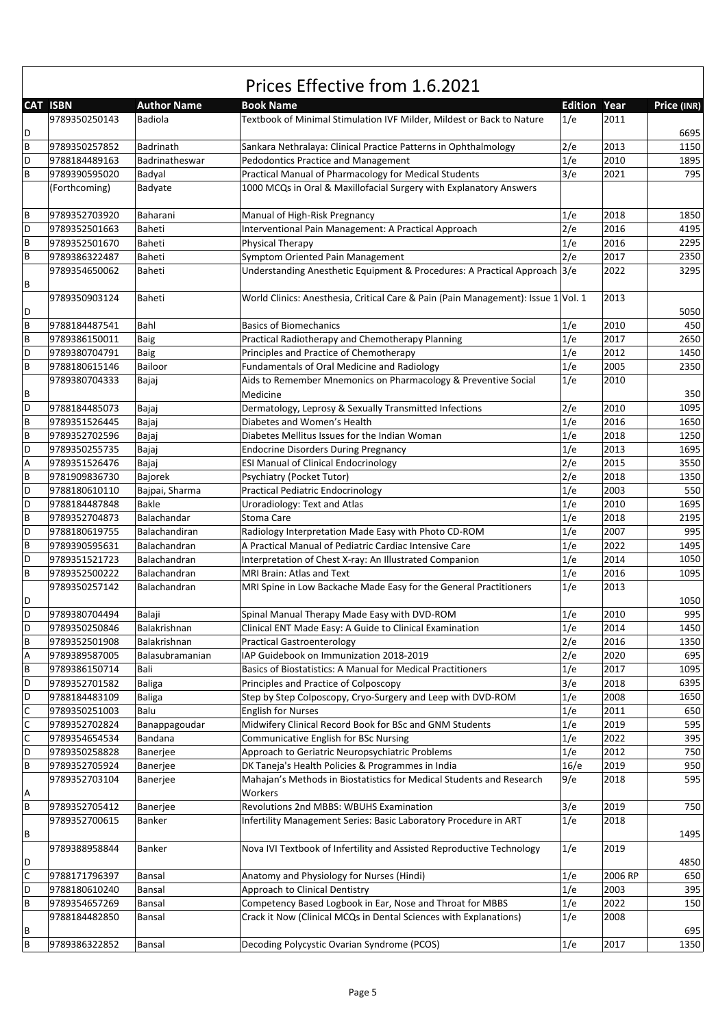|   | Prices Effective from 1.6.2021 |                    |                                                                                   |                     |         |             |  |  |  |
|---|--------------------------------|--------------------|-----------------------------------------------------------------------------------|---------------------|---------|-------------|--|--|--|
|   | <b>CAT ISBN</b>                | <b>Author Name</b> | <b>Book Name</b>                                                                  | <b>Edition Year</b> |         | Price (INR) |  |  |  |
|   | 9789350250143                  | Badiola            | Textbook of Minimal Stimulation IVF Milder, Mildest or Back to Nature             | 1/e                 | 2011    |             |  |  |  |
| D |                                |                    |                                                                                   |                     |         | 6695        |  |  |  |
| В | 9789350257852                  | Badrinath          | Sankara Nethralaya: Clinical Practice Patterns in Ophthalmology                   | 2/e                 | 2013    | 1150        |  |  |  |
| D | 9788184489163                  | Badrinatheswar     | Pedodontics Practice and Management                                               | 1/e                 | 2010    | 1895        |  |  |  |
| B | 9789390595020                  | Badyal             | Practical Manual of Pharmacology for Medical Students                             | 3/e                 | 2021    | 795         |  |  |  |
|   | (Forthcoming)                  | Badyate            | 1000 MCQs in Oral & Maxillofacial Surgery with Explanatory Answers                |                     |         |             |  |  |  |
|   |                                |                    |                                                                                   |                     |         |             |  |  |  |
| B | 9789352703920                  | Baharani           | Manual of High-Risk Pregnancy                                                     | 1/e                 | 2018    | 1850        |  |  |  |
| D | 9789352501663                  | Baheti             | Interventional Pain Management: A Practical Approach                              | 2/e                 | 2016    | 4195        |  |  |  |
| В | 9789352501670                  | Baheti             | Physical Therapy                                                                  | 1/e                 | 2016    | 2295        |  |  |  |
| B | 9789386322487                  | Baheti             | Symptom Oriented Pain Management                                                  | 2/e                 | 2017    | 2350        |  |  |  |
|   | 9789354650062                  | Baheti             | Understanding Anesthetic Equipment & Procedures: A Practical Approach 3/e         |                     | 2022    | 3295        |  |  |  |
| В |                                |                    |                                                                                   |                     |         |             |  |  |  |
|   | 9789350903124                  | Baheti             | World Clinics: Anesthesia, Critical Care & Pain (Pain Management): Issue 1 Vol. 1 |                     | 2013    |             |  |  |  |
| D |                                |                    |                                                                                   |                     |         | 5050        |  |  |  |
| B | 9788184487541                  | Bahl               | <b>Basics of Biomechanics</b>                                                     | 1/e                 | 2010    | 450         |  |  |  |
| B | 9789386150011                  | <b>Baig</b>        | Practical Radiotherapy and Chemotherapy Planning                                  | 1/e                 | 2017    | 2650        |  |  |  |
| D | 9789380704791                  | <b>Baig</b>        | Principles and Practice of Chemotherapy                                           | 1/e                 | 2012    | 1450        |  |  |  |
| B | 9788180615146                  | Bailoor            | <b>Fundamentals of Oral Medicine and Radiology</b>                                | 1/e                 | 2005    | 2350        |  |  |  |
|   | 9789380704333                  | Bajaj              | Aids to Remember Mnemonics on Pharmacology & Preventive Social                    | 1/e                 | 2010    |             |  |  |  |
| В |                                |                    | Medicine                                                                          |                     |         | 350         |  |  |  |
| D | 9788184485073                  |                    | Dermatology, Leprosy & Sexually Transmitted Infections                            | 2/e                 | 2010    | 1095        |  |  |  |
|   |                                | Bajaj              | Diabetes and Women's Health                                                       |                     |         |             |  |  |  |
| В | 9789351526445                  | Bajaj              |                                                                                   | 1/e                 | 2016    | 1650        |  |  |  |
| B | 9789352702596                  | Bajaj              | Diabetes Mellitus Issues for the Indian Woman                                     | 1/e<br>1/e          | 2018    | 1250        |  |  |  |
| D | 9789350255735                  | Bajaj              | <b>Endocrine Disorders During Pregnancy</b>                                       |                     | 2013    | 1695        |  |  |  |
| Α | 9789351526476                  | Bajaj              | <b>ESI Manual of Clinical Endocrinology</b>                                       | 2/e                 | 2015    | 3550        |  |  |  |
| B | 9781909836730                  | Bajorek            | Psychiatry (Pocket Tutor)                                                         | 2/e                 | 2018    | 1350        |  |  |  |
| D | 9788180610110                  | Bajpai, Sharma     | Practical Pediatric Endocrinology                                                 | 1/e                 | 2003    | 550         |  |  |  |
| D | 9788184487848                  | Bakle              | Uroradiology: Text and Atlas                                                      | 1/e                 | 2010    | 1695        |  |  |  |
| В | 9789352704873                  | Balachandar        | Stoma Care                                                                        | 1/e                 | 2018    | 2195        |  |  |  |
| D | 9788180619755                  | Balachandiran      | Radiology Interpretation Made Easy with Photo CD-ROM                              | 1/e                 | 2007    | 995         |  |  |  |
| B | 9789390595631                  | Balachandran       | A Practical Manual of Pediatric Cardiac Intensive Care                            | 1/e                 | 2022    | 1495        |  |  |  |
| D | 9789351521723                  | Balachandran       | Interpretation of Chest X-ray: An Illustrated Companion                           | 1/e                 | 2014    | 1050        |  |  |  |
| B | 9789352500222                  | Balachandran       | <b>MRI Brain: Atlas and Text</b>                                                  | 1/e                 | 2016    | 1095        |  |  |  |
|   | 9789350257142                  | Balachandran       | MRI Spine in Low Backache Made Easy for the General Practitioners                 | 1/e                 | 2013    |             |  |  |  |
| D |                                |                    |                                                                                   |                     |         | 1050        |  |  |  |
| D | 9789380704494                  | Balaji             | Spinal Manual Therapy Made Easy with DVD-ROM                                      | 1/e                 | 2010    | 995         |  |  |  |
| D | 9789350250846                  | Balakrishnan       | Clinical ENT Made Easy: A Guide to Clinical Examination                           | 1/e                 | 2014    | 1450        |  |  |  |
| В | 9789352501908                  | Balakrishnan       | <b>Practical Gastroenterology</b>                                                 | 2/e                 | 2016    | 1350        |  |  |  |
| Α | 9789389587005                  | Balasubramanian    | IAP Guidebook on Immunization 2018-2019                                           | 2/e                 | 2020    | 695         |  |  |  |
| B | 9789386150714                  | Bali               | Basics of Biostatistics: A Manual for Medical Practitioners                       | 1/e                 | 2017    | 1095        |  |  |  |
| D | 9789352701582                  | <b>Baliga</b>      | Principles and Practice of Colposcopy                                             | 3/e                 | 2018    | 6395        |  |  |  |
| D | 9788184483109                  | <b>Baliga</b>      | Step by Step Colposcopy, Cryo-Surgery and Leep with DVD-ROM                       | 1/e                 | 2008    | 1650        |  |  |  |
| С | 9789350251003                  | Balu               | <b>English for Nurses</b>                                                         | 1/e                 | 2011    | 650         |  |  |  |
| С | 9789352702824                  | Banappagoudar      | Midwifery Clinical Record Book for BSc and GNM Students                           | 1/e                 | 2019    | 595         |  |  |  |
| С | 9789354654534                  | Bandana            | Communicative English for BSc Nursing                                             | 1/e                 | 2022    | 395         |  |  |  |
| D | 9789350258828                  | Banerjee           | Approach to Geriatric Neuropsychiatric Problems                                   | 1/e                 | 2012    | 750         |  |  |  |
| В | 9789352705924                  | Banerjee           | DK Taneja's Health Policies & Programmes in India                                 | 16/e                | 2019    | 950         |  |  |  |
|   | 9789352703104                  | Banerjee           | Mahajan's Methods in Biostatistics for Medical Students and Research              | 9/e                 | 2018    | 595         |  |  |  |
| Α |                                |                    | Workers                                                                           |                     |         |             |  |  |  |
| В | 9789352705412                  | Banerjee           | Revolutions 2nd MBBS: WBUHS Examination                                           | 3/e                 | 2019    | 750         |  |  |  |
|   | 9789352700615                  | Banker             | Infertility Management Series: Basic Laboratory Procedure in ART                  | 1/e                 | 2018    |             |  |  |  |
| В |                                |                    |                                                                                   |                     |         | 1495        |  |  |  |
|   | 9789388958844                  | Banker             | Nova IVI Textbook of Infertility and Assisted Reproductive Technology             | 1/e                 | 2019    |             |  |  |  |
| D |                                |                    |                                                                                   |                     |         | 4850        |  |  |  |
| С | 9788171796397                  | Bansal             | Anatomy and Physiology for Nurses (Hindi)                                         | 1/e                 | 2006 RP | 650         |  |  |  |
| D | 9788180610240                  | Bansal             | Approach to Clinical Dentistry                                                    | 1/e                 | 2003    | 395         |  |  |  |
| B | 9789354657269                  | Bansal             | Competency Based Logbook in Ear, Nose and Throat for MBBS                         | 1/e                 | 2022    | 150         |  |  |  |
|   | 9788184482850                  | Bansal             | Crack it Now (Clinical MCQs in Dental Sciences with Explanations)                 | 1/e                 | 2008    |             |  |  |  |
| В |                                |                    |                                                                                   |                     |         | 695         |  |  |  |
| В | 9789386322852                  | Bansal             | Decoding Polycystic Ovarian Syndrome (PCOS)                                       | 1/e                 | 2017    | 1350        |  |  |  |

٦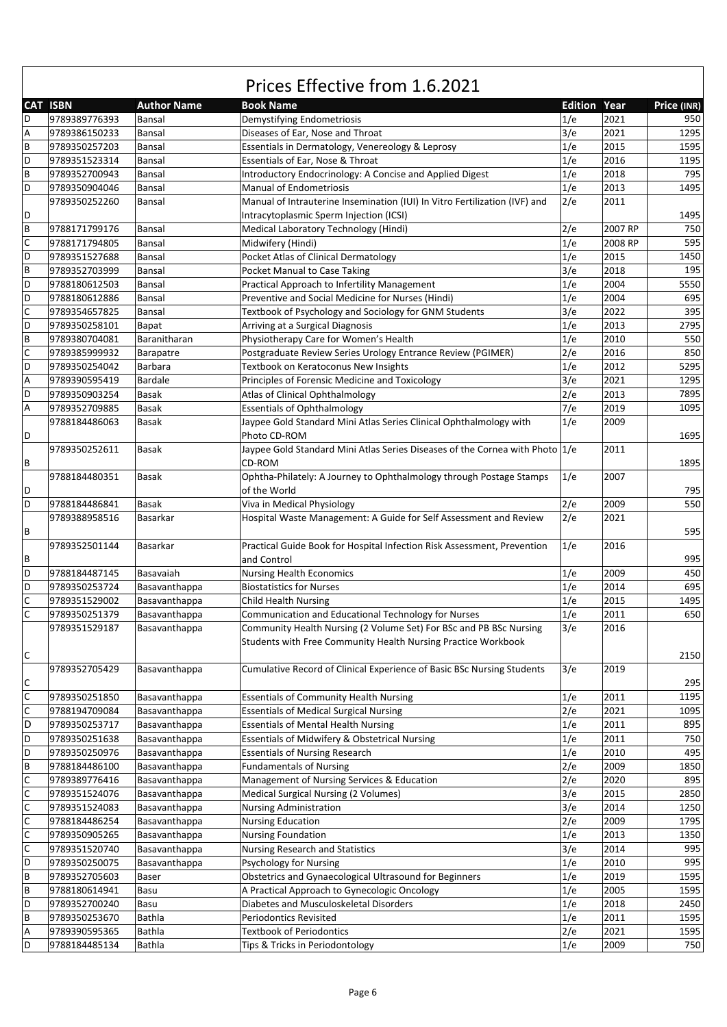|                           | <b>CAT ISBN</b> | <b>Author Name</b> | <b>Book Name</b>                                                                 | <b>Edition Year</b> |         | Price (INR) |
|---------------------------|-----------------|--------------------|----------------------------------------------------------------------------------|---------------------|---------|-------------|
| D                         | 9789389776393   | Bansal             | Demystifying Endometriosis                                                       | 1/e                 | 2021    | 950         |
| $\overline{A}$            | 9789386150233   | Bansal             | Diseases of Ear, Nose and Throat                                                 | 3/e                 | 2021    | 1295        |
| $\sf B$                   | 9789350257203   | Bansal             | Essentials in Dermatology, Venereology & Leprosy                                 | 1/e                 | 2015    | 1595        |
| D                         | 9789351523314   | Bansal             | Essentials of Ear, Nose & Throat                                                 | 1/e                 | 2016    | 1195        |
| $\sf B$                   | 9789352700943   | Bansal             | Introductory Endocrinology: A Concise and Applied Digest                         | 1/e                 | 2018    | 795         |
| D                         | 9789350904046   | Bansal             | <b>Manual of Endometriosis</b>                                                   | 1/e                 | 2013    | 1495        |
|                           | 9789350252260   | Bansal             |                                                                                  | 2/e                 | 2011    |             |
| D                         |                 |                    | Manual of Intrauterine Insemination (IUI) In Vitro Fertilization (IVF) and       |                     |         | 1495        |
|                           |                 |                    | Intracytoplasmic Sperm Injection (ICSI)                                          |                     | 2007 RP |             |
| $\sf B$                   | 9788171799176   | Bansal             | Medical Laboratory Technology (Hindi)                                            | 2/e                 |         | 750         |
| $\mathsf{C}$              | 9788171794805   | Bansal             | Midwifery (Hindi)                                                                | 1/e                 | 2008 RP | 595         |
| D                         | 9789351527688   | Bansal             | Pocket Atlas of Clinical Dermatology                                             | 1/e                 | 2015    | 1450        |
| $\sf{B}$                  | 9789352703999   | Bansal             | Pocket Manual to Case Taking                                                     | 3/e                 | 2018    | 195         |
| D                         | 9788180612503   | Bansal             | Practical Approach to Infertility Management                                     | 1/e                 | 2004    | 5550        |
| D                         | 9788180612886   | Bansal             | Preventive and Social Medicine for Nurses (Hindi)                                | 1/e                 | 2004    | 695         |
| $\mathsf{C}$              | 9789354657825   | Bansal             | Textbook of Psychology and Sociology for GNM Students                            | 3/e                 | 2022    | 395         |
| D                         | 9789350258101   | Bapat              | Arriving at a Surgical Diagnosis                                                 | 1/e                 | 2013    | 2795        |
| $\sf B$                   | 9789380704081   | Baranitharan       | Physiotherapy Care for Women's Health                                            | 1/e                 | 2010    | 550         |
| $\mathsf C$               | 9789385999932   | Barapatre          | Postgraduate Review Series Urology Entrance Review (PGIMER)                      | 2/e                 | 2016    | 850         |
| D                         | 9789350254042   | Barbara            | Textbook on Keratoconus New Insights                                             | 1/e                 | 2012    | 5295        |
| $\boldsymbol{\mathsf{A}}$ | 9789390595419   | Bardale            | Principles of Forensic Medicine and Toxicology                                   | 3/e                 | 2021    | 1295        |
| D                         | 9789350903254   | Basak              | Atlas of Clinical Ophthalmology                                                  | 2/e                 | 2013    | 7895        |
| $\boldsymbol{\mathsf{A}}$ | 9789352709885   | Basak              | <b>Essentials of Ophthalmology</b>                                               | 7/e                 | 2019    | 1095        |
|                           | 9788184486063   | Basak              | Jaypee Gold Standard Mini Atlas Series Clinical Ophthalmology with               | 1/e                 | 2009    |             |
| D                         |                 |                    | Photo CD-ROM                                                                     |                     |         | 1695        |
|                           | 9789350252611   | Basak              | Jaypee Gold Standard Mini Atlas Series Diseases of the Cornea with Photo $ 1/e $ |                     | 2011    |             |
| B                         |                 |                    | CD-ROM                                                                           |                     |         | 1895        |
|                           | 9788184480351   | Basak              | Ophtha-Philately: A Journey to Ophthalmology through Postage Stamps              | 1/e                 | 2007    |             |
| D                         |                 |                    | of the World                                                                     |                     |         | 795         |
| D                         |                 |                    |                                                                                  |                     |         |             |
|                           | 9788184486841   | Basak              | Viva in Medical Physiology                                                       | 2/e                 | 2009    | 550         |
|                           | 9789388958516   | Basarkar           | Hospital Waste Management: A Guide for Self Assessment and Review                | 2/e                 | 2021    |             |
| B                         |                 |                    |                                                                                  |                     |         | 595         |
|                           | 9789352501144   | Basarkar           | Practical Guide Book for Hospital Infection Risk Assessment, Prevention          | 1/e                 | 2016    |             |
| B                         |                 |                    | and Control                                                                      |                     |         | 995         |
| D                         | 9788184487145   | Basavaiah          | <b>Nursing Health Economics</b>                                                  | 1/e                 | 2009    | 450         |
| D                         | 9789350253724   | Basavanthappa      | <b>Biostatistics for Nurses</b>                                                  | 1/e                 | 2014    | 695         |
| $\mathsf C$               | 9789351529002   | Basavanthappa      | <b>Child Health Nursing</b>                                                      | 1/e                 | 2015    | 1495        |
| $\mathsf C$               | 9789350251379   | Basavanthappa      | Communication and Educational Technology for Nurses                              | 1/e                 | 2011    | 650         |
|                           | 9789351529187   | Basavanthappa      | Community Health Nursing (2 Volume Set) For BSc and PB BSc Nursing               | 3/e                 | 2016    |             |
|                           |                 |                    | Students with Free Community Health Nursing Practice Workbook                    |                     |         |             |
| $\mathsf C$               |                 |                    |                                                                                  |                     |         | 2150        |
|                           | 9789352705429   | Basavanthappa      | Cumulative Record of Clinical Experience of Basic BSc Nursing Students           | 3/e                 | 2019    |             |
| $\mathsf C$               |                 |                    |                                                                                  |                     |         | 295         |
| $\mathsf{C}$              | 9789350251850   | Basavanthappa      | <b>Essentials of Community Health Nursing</b>                                    | 1/e                 | 2011    | 1195        |
| $\mathsf C$               | 9788194709084   | Basavanthappa      | <b>Essentials of Medical Surgical Nursing</b>                                    | 2/e                 | 2021    | 1095        |
| D                         | 9789350253717   | Basavanthappa      | <b>Essentials of Mental Health Nursing</b>                                       | 1/e                 | 2011    | 895         |
| D                         | 9789350251638   | Basavanthappa      | Essentials of Midwifery & Obstetrical Nursing                                    | 1/e                 | 2011    | 750         |
| D                         | 9789350250976   | Basavanthappa      | <b>Essentials of Nursing Research</b>                                            | 1/e                 | 2010    | 495         |
| $\sf{B}$                  | 9788184486100   | Basavanthappa      | <b>Fundamentals of Nursing</b>                                                   | 2/e                 | 2009    | 1850        |
| $\mathsf{C}$              |                 | Basavanthappa      |                                                                                  |                     |         | 895         |
|                           | 9789389776416   |                    | Management of Nursing Services & Education                                       | 2/e                 | 2020    |             |
| $\mathsf C$               | 9789351524076   | Basavanthappa      | <b>Medical Surgical Nursing (2 Volumes)</b>                                      | 3/e                 | 2015    | 2850        |
| $\mathsf{C}$              | 9789351524083   | Basavanthappa      | <b>Nursing Administration</b>                                                    | 3/e                 | 2014    | 1250        |
| $\mathsf{C}$              | 9788184486254   | Basavanthappa      | <b>Nursing Education</b>                                                         | 2/e                 | 2009    | 1795        |
| $\mathsf C$               | 9789350905265   | Basavanthappa      | <b>Nursing Foundation</b>                                                        | 1/e                 | 2013    | 1350        |
| $\mathsf C$               | 9789351520740   | Basavanthappa      | Nursing Research and Statistics                                                  | 3/e                 | 2014    | 995         |
| D                         | 9789350250075   | Basavanthappa      | Psychology for Nursing                                                           | 1/e                 | 2010    | 995         |
| $\sf{B}$                  | 9789352705603   | Baser              | Obstetrics and Gynaecological Ultrasound for Beginners                           | 1/e                 | 2019    | 1595        |
| $\sf B$                   | 9788180614941   | Basu               | A Practical Approach to Gynecologic Oncology                                     | 1/e                 | 2005    | 1595        |
| D                         | 9789352700240   | Basu               | Diabetes and Musculoskeletal Disorders                                           | 1/e                 | 2018    | 2450        |
| $\sf{B}$                  | 9789350253670   | Bathla             | <b>Periodontics Revisited</b>                                                    | 1/e                 | 2011    | 1595        |
| A                         | 9789390595365   | Bathla             | <b>Textbook of Periodontics</b>                                                  | 2/e                 | 2021    | 1595        |
| D                         | 9788184485134   | Bathla             | Tips & Tricks in Periodontology                                                  | 1/e                 | 2009    | 750         |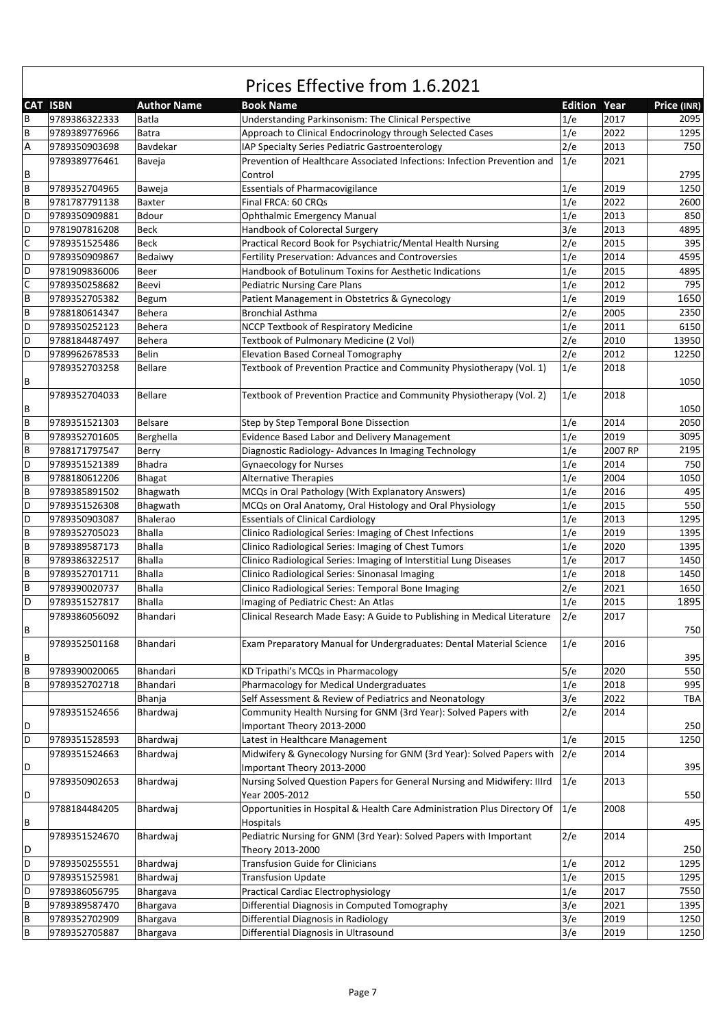|   | <b>CAT ISBN</b> | <b>Author Name</b> | <b>Book Name</b>                                                         | <b>Edition Year</b> |         | Price (INR) |
|---|-----------------|--------------------|--------------------------------------------------------------------------|---------------------|---------|-------------|
| В | 9789386322333   | Batla              | Understanding Parkinsonism: The Clinical Perspective                     | 1/e                 | 2017    | 2095        |
| B | 9789389776966   | Batra              | Approach to Clinical Endocrinology through Selected Cases                | 1/e                 | 2022    | 1295        |
| А | 9789350903698   | Bavdekar           | IAP Specialty Series Pediatric Gastroenterology                          | 2/e                 | 2013    | 750         |
|   | 9789389776461   | Baveja             | Prevention of Healthcare Associated Infections: Infection Prevention and | 1/e                 | 2021    |             |
| В |                 |                    | Control                                                                  |                     |         | 2795        |
| B | 9789352704965   | Baweja             | <b>Essentials of Pharmacovigilance</b>                                   | 1/e                 | 2019    | 1250        |
| B | 9781787791138   | Baxter             | Final FRCA: 60 CRQs                                                      | 1/e                 | 2022    | 2600        |
| D | 9789350909881   | Bdour              | <b>Ophthalmic Emergency Manual</b>                                       | 1/e                 | 2013    | 850         |
| D | 9781907816208   | <b>Beck</b>        |                                                                          | 3/e                 | 2013    | 4895        |
|   |                 | Beck               | Handbook of Colorectal Surgery                                           | 2/e                 | 2015    |             |
| С | 9789351525486   |                    | Practical Record Book for Psychiatric/Mental Health Nursing              |                     |         | 395         |
| D | 9789350909867   | Bedaiwy            | Fertility Preservation: Advances and Controversies                       | 1/e                 | 2014    | 4595        |
| D | 9781909836006   | Beer               | Handbook of Botulinum Toxins for Aesthetic Indications                   | 1/e                 | 2015    | 4895        |
| С | 9789350258682   | Beevi              | <b>Pediatric Nursing Care Plans</b>                                      | 1/e                 | 2012    | 795         |
| В | 9789352705382   | Begum              | Patient Management in Obstetrics & Gynecology                            | 1/e                 | 2019    | 1650        |
| B | 9788180614347   | Behera             | <b>Bronchial Asthma</b>                                                  | 2/e                 | 2005    | 2350        |
| D | 9789350252123   | Behera             | NCCP Textbook of Respiratory Medicine                                    | 1/e                 | 2011    | 6150        |
| D | 9788184487497   | Behera             | Textbook of Pulmonary Medicine (2 Vol)                                   | 2/e                 | 2010    | 13950       |
| D | 9789962678533   | Belin              | <b>Elevation Based Corneal Tomography</b>                                | 2/e                 | 2012    | 12250       |
|   | 9789352703258   | <b>Bellare</b>     | Textbook of Prevention Practice and Community Physiotherapy (Vol. 1)     | 1/e                 | 2018    |             |
| В |                 |                    |                                                                          |                     |         | 1050        |
|   | 9789352704033   | Bellare            | Textbook of Prevention Practice and Community Physiotherapy (Vol. 2)     | 1/e                 | 2018    |             |
| В |                 |                    |                                                                          |                     |         | 1050        |
| B | 9789351521303   | Belsare            | Step by Step Temporal Bone Dissection                                    | 1/e                 | 2014    | 2050        |
| B | 9789352701605   | Berghella          | <b>Evidence Based Labor and Delivery Management</b>                      | 1/e                 | 2019    | 3095        |
| B | 9788171797547   | Berry              | Diagnostic Radiology- Advances In Imaging Technology                     | 1/e                 | 2007 RP | 2195        |
| D | 9789351521389   | <b>Bhadra</b>      | <b>Gynaecology for Nurses</b>                                            | 1/e                 | 2014    | 750         |
| B | 9788180612206   | <b>Bhagat</b>      | Alternative Therapies                                                    | 1/e                 | 2004    | 1050        |
| B | 9789385891502   | Bhagwath           | MCQs in Oral Pathology (With Explanatory Answers)                        | 1/e                 | 2016    | 495         |
| D | 9789351526308   |                    |                                                                          | 1/e                 | 2015    | 550         |
|   |                 | Bhagwath           | MCQs on Oral Anatomy, Oral Histology and Oral Physiology                 |                     |         |             |
| D | 9789350903087   | Bhalerao           | <b>Essentials of Clinical Cardiology</b>                                 | 1/e                 | 2013    | 1295        |
| B | 9789352705023   | <b>Bhalla</b>      | Clinico Radiological Series: Imaging of Chest Infections                 | 1/e                 | 2019    | 1395        |
| B | 9789389587173   | <b>Bhalla</b>      | Clinico Radiological Series: Imaging of Chest Tumors                     | 1/e                 | 2020    | 1395        |
| B | 9789386322517   | <b>Bhalla</b>      | Clinico Radiological Series: Imaging of Interstitial Lung Diseases       | 1/e                 | 2017    | 1450        |
| B | 9789352701711   | <b>Bhalla</b>      | Clinico Radiological Series: Sinonasal Imaging                           | 1/e                 | 2018    | 1450        |
| В | 9789390020737   | <b>Bhalla</b>      | Clinico Radiological Series: Temporal Bone Imaging                       | 2/e                 | 2021    | 1650        |
| D | 9789351527817   | <b>Bhalla</b>      | Imaging of Pediatric Chest: An Atlas                                     | 1/e                 | 2015    | 1895        |
|   | 9789386056092   | Bhandari           | Clinical Research Made Easy: A Guide to Publishing in Medical Literature | 2/e                 | 2017    |             |
| В |                 |                    |                                                                          |                     |         | 750         |
|   | 9789352501168   | Bhandari           | Exam Preparatory Manual for Undergraduates: Dental Material Science      | 1/e                 | 2016    |             |
| В |                 |                    |                                                                          |                     |         | 395         |
| B | 9789390020065   | Bhandari           | KD Tripathi's MCQs in Pharmacology                                       | 5/e                 | 2020    | 550         |
| B | 9789352702718   | Bhandari           | Pharmacology for Medical Undergraduates                                  | 1/e                 | 2018    | 995         |
|   |                 | Bhanja             | Self Assessment & Review of Pediatrics and Neonatology                   | 3/e                 | 2022    | TBA         |
|   | 9789351524656   | Bhardwaj           | Community Health Nursing for GNM (3rd Year): Solved Papers with          | 2/e                 | 2014    |             |
| D |                 |                    | Important Theory 2013-2000                                               |                     |         | 250         |
| D | 9789351528593   | Bhardwaj           | Latest in Healthcare Management                                          | 1/e                 | 2015    | 1250        |
|   | 9789351524663   | Bhardwaj           | Midwifery & Gynecology Nursing for GNM (3rd Year): Solved Papers with    | 2/e                 | 2014    |             |
| D |                 |                    | Important Theory 2013-2000                                               |                     |         | 395         |
|   | 9789350902653   | Bhardwaj           | Nursing Solved Question Papers for General Nursing and Midwifery: IIIrd  | 1/e                 | 2013    |             |
| D |                 |                    | Year 2005-2012                                                           |                     |         | 550         |
|   |                 |                    | Opportunities in Hospital & Health Care Administration Plus Directory Of | 1/e                 | 2008    |             |
|   | 9788184484205   | Bhardwaj           |                                                                          |                     |         |             |
| В |                 |                    | Hospitals                                                                |                     |         | 495         |
|   | 9789351524670   | Bhardwaj           | Pediatric Nursing for GNM (3rd Year): Solved Papers with Important       | 2/e                 | 2014    |             |
| D |                 |                    | Theory 2013-2000                                                         |                     |         | 250         |
| D | 9789350255551   | Bhardwaj           | <b>Transfusion Guide for Clinicians</b>                                  | 1/e                 | 2012    | 1295        |
| D | 9789351525981   | Bhardwaj           | <b>Transfusion Update</b>                                                | 1/e                 | 2015    | 1295        |
| D | 9789386056795   | Bhargava           | Practical Cardiac Electrophysiology                                      | 1/e                 | 2017    | 7550        |
| B | 9789389587470   | Bhargava           | Differential Diagnosis in Computed Tomography                            | 3/e                 | 2021    | 1395        |
| B | 9789352702909   | Bhargava           | Differential Diagnosis in Radiology                                      | 3/e                 | 2019    | 1250        |
| B | 9789352705887   | Bhargava           | Differential Diagnosis in Ultrasound                                     | 3/e                 | 2019    | 1250        |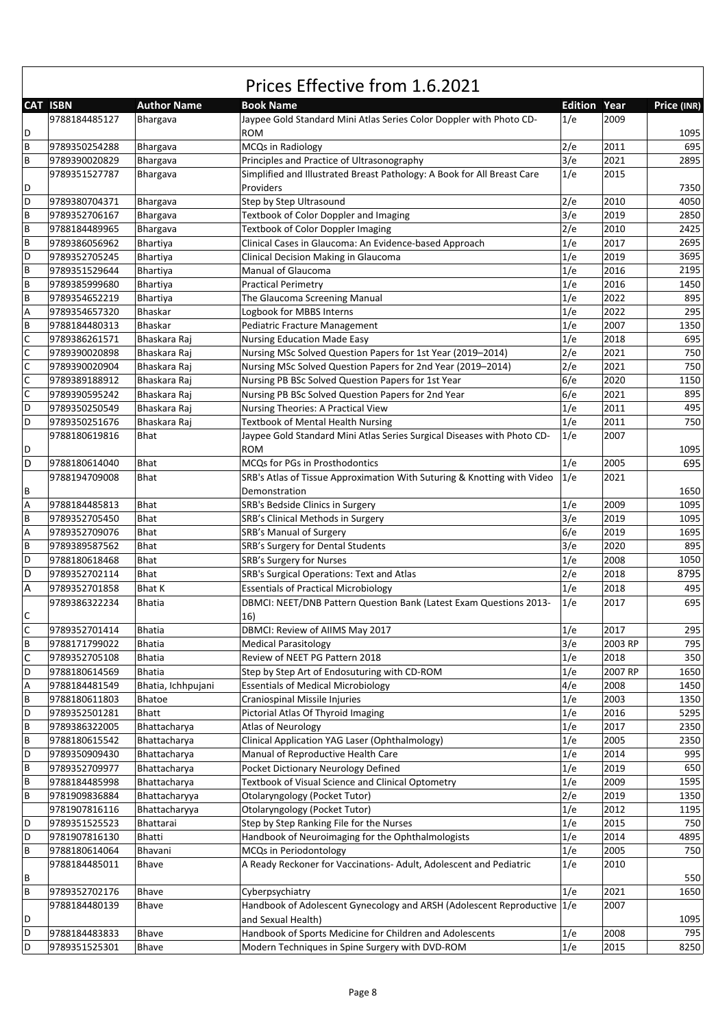|                           | Prices Effective from 1.6.2021 |                    |                                                                         |                     |         |             |  |  |
|---------------------------|--------------------------------|--------------------|-------------------------------------------------------------------------|---------------------|---------|-------------|--|--|
|                           | <b>CAT ISBN</b>                | <b>Author Name</b> | <b>Book Name</b>                                                        | <b>Edition Year</b> |         | Price (INR) |  |  |
|                           | 9788184485127                  | Bhargava           | Jaypee Gold Standard Mini Atlas Series Color Doppler with Photo CD-     | 1/e                 | 2009    |             |  |  |
| D                         |                                |                    | <b>ROM</b>                                                              |                     |         | 1095        |  |  |
| $\, {\bf B}$              | 9789350254288                  | Bhargava           | MCQs in Radiology                                                       | 2/e                 | 2011    | 695         |  |  |
| $\, {\bf B}$              | 9789390020829                  | Bhargava           | Principles and Practice of Ultrasonography                              | 3/e                 | 2021    | 2895        |  |  |
|                           | 9789351527787                  | Bhargava           | Simplified and Illustrated Breast Pathology: A Book for All Breast Care | 1/e                 | 2015    |             |  |  |
| D                         |                                |                    | Providers                                                               |                     |         | 7350        |  |  |
| D                         | 9789380704371                  | Bhargava           | Step by Step Ultrasound                                                 | 2/e                 | 2010    | 4050        |  |  |
| B                         | 9789352706167                  | Bhargava           | Textbook of Color Doppler and Imaging                                   | 3/e                 | 2019    | 2850        |  |  |
| $\overline{B}$            | 9788184489965                  | Bhargava           | Textbook of Color Doppler Imaging                                       | 2/e                 | 2010    | 2425        |  |  |
| B                         | 9789386056962                  | Bhartiya           | Clinical Cases in Glaucoma: An Evidence-based Approach                  | 1/e                 | 2017    | 2695        |  |  |
| D                         | 9789352705245                  | <b>Bhartiya</b>    | Clinical Decision Making in Glaucoma                                    | 1/e                 | 2019    | 3695        |  |  |
| $\overline{B}$            | 9789351529644                  | Bhartiya           | Manual of Glaucoma                                                      | 1/e                 | 2016    | 2195        |  |  |
| $\sf B$                   | 9789385999680                  | <b>Bhartiya</b>    | <b>Practical Perimetry</b>                                              | 1/e                 | 2016    | 1450        |  |  |
| $\sf B$                   | 9789354652219                  | <b>Bhartiya</b>    | The Glaucoma Screening Manual                                           | 1/e                 | 2022    | 895         |  |  |
| $\boldsymbol{\mathsf{A}}$ | 9789354657320                  | <b>Bhaskar</b>     | Logbook for MBBS Interns                                                | 1/e                 | 2022    | 295         |  |  |
| $\sf B$                   | 9788184480313                  | <b>Bhaskar</b>     | Pediatric Fracture Management                                           | 1/e                 | 2007    | 1350        |  |  |
| $\mathsf{C}$              | 9789386261571                  | Bhaskara Raj       | <b>Nursing Education Made Easy</b>                                      | 1/e                 | 2018    | 695         |  |  |
| $\mathsf{C}$              | 9789390020898                  | Bhaskara Raj       | Nursing MSc Solved Question Papers for 1st Year (2019-2014)             | 2/e                 | 2021    | 750         |  |  |
| $\mathsf{C}$              | 9789390020904                  | Bhaskara Raj       | Nursing MSc Solved Question Papers for 2nd Year (2019-2014)             | 2/e                 | 2021    | 750         |  |  |
| $\mathsf C$               | 9789389188912                  | Bhaskara Raj       | Nursing PB BSc Solved Question Papers for 1st Year                      | 6/e                 | 2020    | 1150        |  |  |
| $\mathsf{C}$              | 9789390595242                  | Bhaskara Raj       | Nursing PB BSc Solved Question Papers for 2nd Year                      | 6/e                 | 2021    | 895         |  |  |
| D                         | 9789350250549                  | Bhaskara Raj       | Nursing Theories: A Practical View                                      | 1/e                 | 2011    | 495         |  |  |
| D                         | 9789350251676                  | Bhaskara Raj       | <b>Textbook of Mental Health Nursing</b>                                | 1/e                 | 2011    | 750         |  |  |
|                           | 9788180619816                  | Bhat               | Jaypee Gold Standard Mini Atlas Series Surgical Diseases with Photo CD- | 1/e                 | 2007    |             |  |  |
| D                         |                                |                    | <b>ROM</b>                                                              |                     |         | 1095        |  |  |
| D                         | 9788180614040                  | <b>Bhat</b>        | MCQs for PGs in Prosthodontics                                          | 1/e                 | 2005    | 695         |  |  |
|                           | 9788194709008                  | Bhat               | SRB's Atlas of Tissue Approximation With Suturing & Knotting with Video | 1/e                 | 2021    |             |  |  |
| B                         |                                |                    | Demonstration                                                           |                     |         | 1650        |  |  |
| $\boldsymbol{\mathsf{A}}$ | 9788184485813                  | <b>Bhat</b>        | SRB's Bedside Clinics in Surgery                                        | 1/e                 | 2009    | 1095        |  |  |
| $\, {\bf B}$              | 9789352705450                  | Bhat               | SRB's Clinical Methods in Surgery                                       | 3/e                 | 2019    | 1095        |  |  |
| $\boldsymbol{\mathsf{A}}$ | 9789352709076                  | <b>Bhat</b>        | SRB's Manual of Surgery                                                 | 6/e                 | 2019    | 1695        |  |  |
| $\sf B$                   | 9789389587562                  | Bhat               | SRB's Surgery for Dental Students                                       | 3/e                 | 2020    | 895         |  |  |
| D                         | 9788180618468                  | Bhat               | SRB's Surgery for Nurses                                                | 1/e                 | 2008    | 1050        |  |  |
| D                         | 9789352702114                  | Bhat               | SRB's Surgical Operations: Text and Atlas                               | 2/e                 | 2018    | 8795        |  |  |
| $\overline{A}$            | 9789352701858                  | <b>Bhat K</b>      | <b>Essentials of Practical Microbiology</b>                             | 1/e                 | 2018    | 495         |  |  |
|                           | 9789386322234                  | <b>Bhatia</b>      | DBMCI: NEET/DNB Pattern Question Bank (Latest Exam Questions 2013-      | 1/e                 | 2017    | 695         |  |  |
| $\mathsf C$               |                                |                    | 16)                                                                     |                     |         |             |  |  |
| $\overline{c}$            | 9789352701414                  | <b>Bhatia</b>      | DBMCI: Review of AIIMS May 2017                                         | 1/e                 | 2017    | 295         |  |  |
| $\sf B$                   | 9788171799022                  | <b>Bhatia</b>      | <b>Medical Parasitology</b>                                             | 3/e                 | 2003 RP | 795         |  |  |
| $\mathsf C$               | 9789352705108                  | <b>Bhatia</b>      | Review of NEET PG Pattern 2018                                          | 1/e                 | 2018    | 350         |  |  |
| D                         | 9788180614569                  | Bhatia             | Step by Step Art of Endosuturing with CD-ROM                            | 1/e                 | 2007 RP | 1650        |  |  |
| A                         | 9788184481549                  | Bhatia, Ichhpujani | <b>Essentials of Medical Microbiology</b>                               | 4/e                 | 2008    | 1450        |  |  |
| $\sf B$                   | 9788180611803                  | Bhatoe             | Craniospinal Missile Injuries                                           | 1/e                 | 2003    | 1350        |  |  |
| D                         | 9789352501281                  | Bhatt              | Pictorial Atlas Of Thyroid Imaging                                      | 1/e                 | 2016    | 5295        |  |  |
| $\sf{B}$                  | 9789386322005                  | Bhattacharya       | <b>Atlas of Neurology</b>                                               | 1/e                 | 2017    | 2350        |  |  |
| $\sf B$                   | 9788180615542                  | Bhattacharya       | Clinical Application YAG Laser (Ophthalmology)                          | 1/e                 | 2005    | 2350        |  |  |
| D                         | 9789350909430                  | Bhattacharya       | Manual of Reproductive Health Care                                      | 1/e                 | 2014    | 995         |  |  |
| $\sf B$                   | 9789352709977                  | Bhattacharya       | Pocket Dictionary Neurology Defined                                     | 1/e                 | 2019    | 650         |  |  |
| $\sf B$                   | 9788184485998                  | Bhattacharya       | Textbook of Visual Science and Clinical Optometry                       | 1/e                 | 2009    | 1595        |  |  |
| $\sf B$                   | 9781909836884                  | Bhattacharyya      | Otolaryngology (Pocket Tutor)                                           | 2/e                 | 2019    | 1350        |  |  |
|                           | 9781907816116                  | Bhattacharyya      | Otolaryngology (Pocket Tutor)                                           | 1/e                 | 2012    | 1195        |  |  |
| D                         | 9789351525523                  | Bhattarai          | Step by Step Ranking File for the Nurses                                | 1/e                 | 2015    | 750         |  |  |
| D                         | 9781907816130                  | Bhatti             | Handbook of Neuroimaging for the Ophthalmologists                       | 1/e                 | 2014    | 4895        |  |  |
| $\sf B$                   | 9788180614064                  | Bhavani            | MCQs in Periodontology                                                  | 1/e                 | 2005    | 750         |  |  |
|                           | 9788184485011                  | Bhave              | A Ready Reckoner for Vaccinations- Adult, Adolescent and Pediatric      | 1/e                 | 2010    |             |  |  |
| $\, {\sf B}$              |                                |                    |                                                                         |                     |         | 550         |  |  |
| $\sf B$                   | 9789352702176                  | Bhave              | Cyberpsychiatry                                                         | 1/e                 | 2021    | 1650        |  |  |
|                           | 9788184480139                  | Bhave              | Handbook of Adolescent Gynecology and ARSH (Adolescent Reproductive 1/e |                     | 2007    |             |  |  |
| D                         |                                |                    | and Sexual Health)                                                      |                     |         | 1095        |  |  |
| D                         | 9788184483833                  | Bhave              | Handbook of Sports Medicine for Children and Adolescents                | 1/e                 | 2008    | 795         |  |  |
| D                         | 9789351525301                  | Bhave              | Modern Techniques in Spine Surgery with DVD-ROM                         | 1/e                 | 2015    | 8250        |  |  |

 $\mathsf{r}$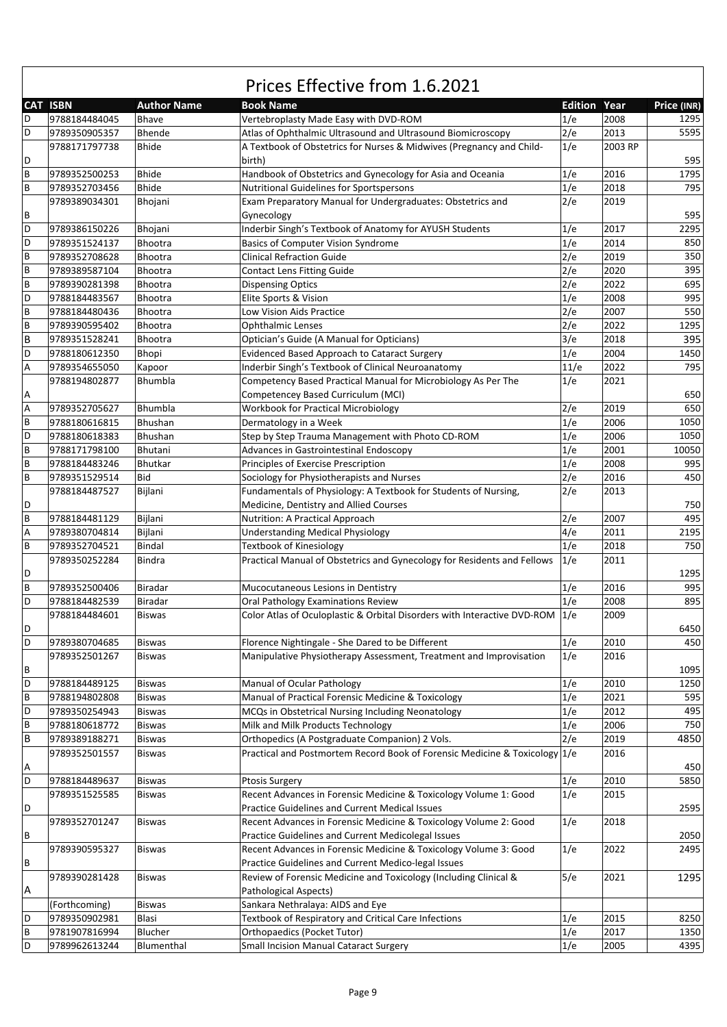|   | <b>CAT ISBN</b> | <b>Author Name</b> | <b>Book Name</b>                                                           | <b>Edition Year</b> |         | Price (INR) |
|---|-----------------|--------------------|----------------------------------------------------------------------------|---------------------|---------|-------------|
|   |                 |                    |                                                                            |                     | 2008    |             |
| D | 9788184484045   | Bhave              | Vertebroplasty Made Easy with DVD-ROM                                      | 1/e                 |         | 1295        |
| D | 9789350905357   | Bhende             | Atlas of Ophthalmic Ultrasound and Ultrasound Biomicroscopy                | 2/e                 | 2013    | 5595        |
|   | 9788171797738   | Bhide              | A Textbook of Obstetrics for Nurses & Midwives (Pregnancy and Child-       | 1/e                 | 2003 RP |             |
| D |                 |                    | birth)                                                                     |                     |         | 595         |
| B | 9789352500253   | Bhide              | Handbook of Obstetrics and Gynecology for Asia and Oceania                 | 1/e                 | 2016    | 1795        |
| B | 9789352703456   | <b>Bhide</b>       | Nutritional Guidelines for Sportspersons                                   | 1/e                 | 2018    | 795         |
|   | 9789389034301   | Bhojani            | Exam Preparatory Manual for Undergraduates: Obstetrics and                 | 2/e                 | 2019    |             |
| В |                 |                    | Gynecology                                                                 |                     |         | 595         |
| D | 9789386150226   | Bhojani            | Inderbir Singh's Textbook of Anatomy for AYUSH Students                    | 1/e                 | 2017    | 2295        |
| D | 9789351524137   | Bhootra            | <b>Basics of Computer Vision Syndrome</b>                                  | 1/e                 | 2014    | 850         |
| B | 9789352708628   | <b>Bhootra</b>     | <b>Clinical Refraction Guide</b>                                           | 2/e                 | 2019    | 350         |
| B | 9789389587104   | Bhootra            | <b>Contact Lens Fitting Guide</b>                                          | 2/e                 | 2020    | 395         |
| B | 9789390281398   | <b>Bhootra</b>     | <b>Dispensing Optics</b>                                                   | 2/e                 | 2022    | 695         |
| D | 9788184483567   | <b>Bhootra</b>     | Elite Sports & Vision                                                      | 1/e                 | 2008    | 995         |
| B | 9788184480436   | Bhootra            | Low Vision Aids Practice                                                   | 2/e                 | 2007    | 550         |
|   |                 |                    |                                                                            |                     |         |             |
| B | 9789390595402   | Bhootra            | <b>Ophthalmic Lenses</b>                                                   | 2/e                 | 2022    | 1295        |
| B | 9789351528241   | Bhootra            | Optician's Guide (A Manual for Opticians)                                  | 3/e                 | 2018    | 395         |
| D | 9788180612350   | Bhopi              | Evidenced Based Approach to Cataract Surgery                               | 1/e                 | 2004    | 1450        |
| Α | 9789354655050   | Kapoor             | Inderbir Singh's Textbook of Clinical Neuroanatomy                         | 11/e                | 2022    | 795         |
|   | 9788194802877   | Bhumbla            | Competency Based Practical Manual for Microbiology As Per The              | 1/e                 | 2021    |             |
| А |                 |                    | Competencey Based Curriculum (MCI)                                         |                     |         | 650         |
| A | 9789352705627   | Bhumbla            | <b>Workbook for Practical Microbiology</b>                                 | 2/e                 | 2019    | 650         |
| B | 9788180616815   | Bhushan            | Dermatology in a Week                                                      | 1/e                 | 2006    | 1050        |
| D | 9788180618383   | Bhushan            | Step by Step Trauma Management with Photo CD-ROM                           | 1/e                 | 2006    | 1050        |
| B | 9788171798100   | Bhutani            | Advances in Gastrointestinal Endoscopy                                     | 1/e                 | 2001    | 10050       |
| B | 9788184483246   | <b>Bhutkar</b>     | Principles of Exercise Prescription                                        | 1/e                 | 2008    | 995         |
| B | 9789351529514   | Bid                | Sociology for Physiotherapists and Nurses                                  | 2/e                 | 2016    | 450         |
|   |                 |                    |                                                                            |                     |         |             |
|   | 9788184487527   | Bijlani            | Fundamentals of Physiology: A Textbook for Students of Nursing,            | 2/e                 | 2013    |             |
| D |                 |                    | Medicine, Dentistry and Allied Courses                                     |                     |         | 750         |
| B | 9788184481129   | Bijlani            | Nutrition: A Practical Approach                                            | 2/e                 | 2007    | 495         |
| А | 9789380704814   | Bijlani            | <b>Understanding Medical Physiology</b>                                    | 4/e                 | 2011    | 2195        |
| B | 9789352704521   | Bindal             | <b>Textbook of Kinesiology</b>                                             | 1/e                 | 2018    | 750         |
|   | 9789350252284   | Bindra             | Practical Manual of Obstetrics and Gynecology for Residents and Fellows    | 1/e                 | 2011    |             |
| D |                 |                    |                                                                            |                     |         | 1295        |
| B | 9789352500406   | Biradar            | Mucocutaneous Lesions in Dentistry                                         | 1/e                 | 2016    | 995         |
| D | 9788184482539   | Biradar            | Oral Pathology Examinations Review                                         | 1/e                 | 2008    | 895         |
|   | 9788184484601   | Biswas             | Color Atlas of Oculoplastic & Orbital Disorders with Interactive DVD-ROM   | 1/e                 | 2009    |             |
| D |                 |                    |                                                                            |                     |         | 6450        |
| D | 9789380704685   | Biswas             | Florence Nightingale - She Dared to be Different                           | 1/e                 | 2010    | 450         |
|   | 9789352501267   | Biswas             | Manipulative Physiotherapy Assessment, Treatment and Improvisation         | 1/e                 | 2016    |             |
|   |                 |                    |                                                                            |                     |         | 1095        |
| В |                 |                    |                                                                            |                     |         |             |
| D | 9788184489125   | <b>Biswas</b>      | Manual of Ocular Pathology                                                 | 1/e                 | 2010    | 1250        |
| B | 9788194802808   | <b>Biswas</b>      | Manual of Practical Forensic Medicine & Toxicology                         | 1/e                 | 2021    | 595         |
| D | 9789350254943   | <b>Biswas</b>      | MCQs in Obstetrical Nursing Including Neonatology                          | 1/e                 | 2012    | 495         |
| B | 9788180618772   | <b>Biswas</b>      | Milk and Milk Products Technology                                          | 1/e                 | 2006    | 750         |
| B | 9789389188271   | <b>Biswas</b>      | Orthopedics (A Postgraduate Companion) 2 Vols.                             | 2/e                 | 2019    | 4850        |
|   | 9789352501557   | <b>Biswas</b>      | Practical and Postmortem Record Book of Forensic Medicine & Toxicology 1/e |                     | 2016    |             |
| А |                 |                    |                                                                            |                     |         | 450         |
| D | 9788184489637   | <b>Biswas</b>      | <b>Ptosis Surgery</b>                                                      | 1/e                 | 2010    | 5850        |
|   | 9789351525585   | Biswas             | Recent Advances in Forensic Medicine & Toxicology Volume 1: Good           | 1/e                 | 2015    |             |
| D |                 |                    | Practice Guidelines and Current Medical Issues                             |                     |         | 2595        |
|   | 9789352701247   | Biswas             | Recent Advances in Forensic Medicine & Toxicology Volume 2: Good           | 1/e                 | 2018    |             |
| В |                 |                    | Practice Guidelines and Current Medicolegal Issues                         |                     |         | 2050        |
|   |                 |                    |                                                                            |                     |         |             |
|   | 9789390595327   | Biswas             | Recent Advances in Forensic Medicine & Toxicology Volume 3: Good           | 1/e                 | 2022    | 2495        |
| В |                 |                    | Practice Guidelines and Current Medico-legal Issues                        |                     |         |             |
|   | 9789390281428   | <b>Biswas</b>      | Review of Forensic Medicine and Toxicology (Including Clinical &           | 5/e                 | 2021    | 1295        |
| Α |                 |                    | Pathological Aspects)                                                      |                     |         |             |
|   | (Forthcoming)   | <b>Biswas</b>      | Sankara Nethralaya: AIDS and Eye                                           |                     |         |             |
| D | 9789350902981   | Blasi              | Textbook of Respiratory and Critical Care Infections                       | 1/e                 | 2015    | 8250        |
| B | 9781907816994   | Blucher            | <b>Orthopaedics (Pocket Tutor)</b>                                         | 1/e                 | 2017    | 1350        |
| D | 9789962613244   | Blumenthal         | Small Incision Manual Cataract Surgery                                     | 1/e                 | 2005    | 4395        |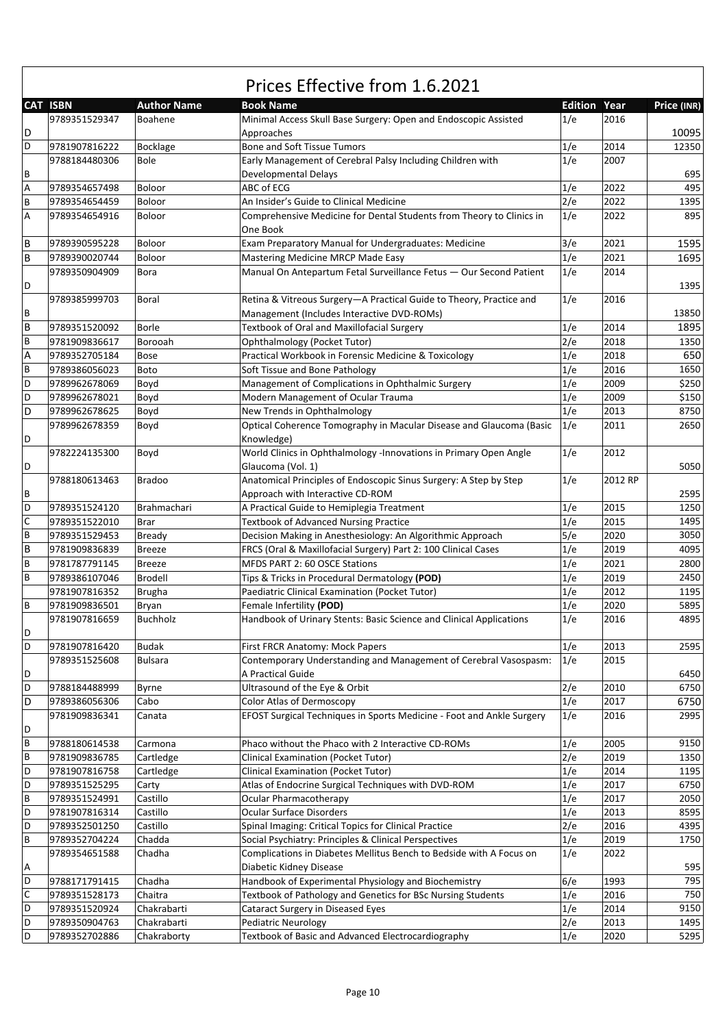|   | <b>CAT ISBN</b> | <b>Author Name</b> | <b>Book Name</b>                                                                     | <b>Edition Year</b> |         | Price (INR) |
|---|-----------------|--------------------|--------------------------------------------------------------------------------------|---------------------|---------|-------------|
|   | 9789351529347   | Boahene            | Minimal Access Skull Base Surgery: Open and Endoscopic Assisted                      | 1/e                 | 2016    |             |
| D |                 |                    | Approaches                                                                           |                     |         | 10095       |
| D | 9781907816222   | Bocklage           | Bone and Soft Tissue Tumors                                                          | 1/e                 | 2014    | 12350       |
|   | 9788184480306   | Bole               | Early Management of Cerebral Palsy Including Children with                           | 1/e                 | 2007    |             |
| В |                 |                    | Developmental Delays                                                                 |                     |         | 695         |
| Α | 9789354657498   | Boloor             | ABC of ECG                                                                           | 1/e                 | 2022    | 495         |
| B | 9789354654459   | Boloor             | An Insider's Guide to Clinical Medicine                                              | 2/e                 | 2022    | 1395        |
| Α | 9789354654916   | Boloor             | Comprehensive Medicine for Dental Students from Theory to Clinics in                 | 1/e                 | 2022    | 895         |
|   |                 |                    | One Book                                                                             |                     |         |             |
| В | 9789390595228   | Boloor             | Exam Preparatory Manual for Undergraduates: Medicine                                 | 3/e                 | 2021    | 1595        |
| B | 9789390020744   | Boloor             | Mastering Medicine MRCP Made Easy                                                    | 1/e                 | 2021    | 1695        |
|   | 9789350904909   | <b>Bora</b>        | Manual On Antepartum Fetal Surveillance Fetus - Our Second Patient                   | 1/e                 | 2014    |             |
| D |                 |                    |                                                                                      |                     |         | 1395        |
|   | 9789385999703   | Boral              | Retina & Vitreous Surgery-A Practical Guide to Theory, Practice and                  | 1/e                 | 2016    |             |
| В |                 |                    | Management (Includes Interactive DVD-ROMs)                                           |                     |         | 13850       |
| B | 9789351520092   | Borle              | Textbook of Oral and Maxillofacial Surgery                                           | 1/e                 | 2014    | 1895        |
| B | 9781909836617   | Borooah            |                                                                                      | 2/e                 | 2018    | 1350        |
|   |                 |                    | Ophthalmology (Pocket Tutor)<br>Practical Workbook in Forensic Medicine & Toxicology | 1/e                 | 2018    | 650         |
| А | 9789352705184   | Bose               |                                                                                      |                     |         |             |
| В | 9789386056023   | Boto               | Soft Tissue and Bone Pathology                                                       | 1/e                 | 2016    | 1650        |
| D | 9789962678069   | Boyd               | Management of Complications in Ophthalmic Surgery                                    | 1/e                 | 2009    | \$250       |
| D | 9789962678021   | Boyd               | Modern Management of Ocular Trauma                                                   | 1/e                 | 2009    | \$150       |
| D | 9789962678625   | Boyd               | New Trends in Ophthalmology                                                          | 1/e                 | 2013    | 8750        |
|   | 9789962678359   | Boyd               | Optical Coherence Tomography in Macular Disease and Glaucoma (Basic                  | 1/e                 | 2011    | 2650        |
| D |                 |                    | Knowledge)                                                                           |                     |         |             |
|   | 9782224135300   | Boyd               | World Clinics in Ophthalmology -Innovations in Primary Open Angle                    | 1/e                 | 2012    |             |
| D |                 |                    | Glaucoma (Vol. 1)                                                                    |                     |         | 5050        |
|   | 9788180613463   | <b>Bradoo</b>      | Anatomical Principles of Endoscopic Sinus Surgery: A Step by Step                    | 1/e                 | 2012 RP |             |
| В |                 |                    | Approach with Interactive CD-ROM                                                     |                     |         | 2595        |
| D | 9789351524120   | Brahmachari        | A Practical Guide to Hemiplegia Treatment                                            | 1/e                 | 2015    | 1250        |
| С | 9789351522010   | <b>Brar</b>        | <b>Textbook of Advanced Nursing Practice</b>                                         | 1/e                 | 2015    | 1495        |
| B | 9789351529453   | <b>Bready</b>      | Decision Making in Anesthesiology: An Algorithmic Approach                           | 5/e                 | 2020    | 3050        |
| В | 9781909836839   | <b>Breeze</b>      | FRCS (Oral & Maxillofacial Surgery) Part 2: 100 Clinical Cases                       | 1/e                 | 2019    | 4095        |
| B | 9781787791145   | <b>Breeze</b>      | MFDS PART 2: 60 OSCE Stations                                                        | 1/e                 | 2021    | 2800        |
| B | 9789386107046   | <b>Brodell</b>     | Tips & Tricks in Procedural Dermatology (POD)                                        | 1/e                 | 2019    | 2450        |
|   | 9781907816352   | <b>Brugha</b>      | Paediatric Clinical Examination (Pocket Tutor)                                       | 1/e                 | 2012    | 1195        |
| В | 9781909836501   | Bryan              | Female Infertility (POD)                                                             | 1/e                 | 2020    | 5895        |
|   | 9781907816659   | <b>Buchholz</b>    | Handbook of Urinary Stents: Basic Science and Clinical Applications                  | 1/e                 | 2016    | 4895        |
| D |                 |                    |                                                                                      |                     |         |             |
| D | 9781907816420   | <b>Budak</b>       | First FRCR Anatomy: Mock Papers                                                      | 1/e                 | 2013    | 2595        |
|   | 9789351525608   | Bulsara            | Contemporary Understanding and Management of Cerebral Vasospasm:                     | 1/e                 | 2015    |             |
| D |                 |                    | A Practical Guide                                                                    |                     |         | 6450        |
| D | 9788184488999   | Byrne              | Ultrasound of the Eye & Orbit                                                        | 2/e                 | 2010    | 6750        |
| D | 9789386056306   | Cabo               | Color Atlas of Dermoscopy                                                            | 1/e                 | 2017    | 6750        |
|   | 9781909836341   | Canata             | EFOST Surgical Techniques in Sports Medicine - Foot and Ankle Surgery                | 1/e                 | 2016    | 2995        |
| D |                 |                    |                                                                                      |                     |         |             |
| В | 9788180614538   | Carmona            | Phaco without the Phaco with 2 Interactive CD-ROMs                                   | 1/e                 | 2005    | 9150        |
| В | 9781909836785   | Cartledge          | <b>Clinical Examination (Pocket Tutor)</b>                                           | 2/e                 | 2019    | 1350        |
| D | 9781907816758   | Cartledge          | <b>Clinical Examination (Pocket Tutor)</b>                                           | 1/e                 | 2014    | 1195        |
| D | 9789351525295   | Carty              | Atlas of Endocrine Surgical Techniques with DVD-ROM                                  | 1/e                 | 2017    | 6750        |
| B | 9789351524991   | Castillo           | <b>Ocular Pharmacotherapy</b>                                                        | 1/e                 | 2017    | 2050        |
| D | 9781907816314   | Castillo           | <b>Ocular Surface Disorders</b>                                                      | 1/e                 | 2013    | 8595        |
| D | 9789352501250   | Castillo           | Spinal Imaging: Critical Topics for Clinical Practice                                | 2/e                 | 2016    | 4395        |
| В | 9789352704224   | Chadda             | Social Psychiatry: Principles & Clinical Perspectives                                | 1/e                 | 2019    | 1750        |
|   | 9789354651588   | Chadha             | Complications in Diabetes Mellitus Bench to Bedside with A Focus on                  | 1/e                 | 2022    |             |
| А |                 |                    | Diabetic Kidney Disease                                                              |                     |         | 595         |
| D | 9788171791415   | Chadha             | Handbook of Experimental Physiology and Biochemistry                                 | 6/e                 | 1993    | 795         |
| С | 9789351528173   | Chaitra            | Textbook of Pathology and Genetics for BSc Nursing Students                          | 1/e                 | 2016    | 750         |
| D | 9789351520924   | Chakrabarti        | Cataract Surgery in Diseased Eyes                                                    | 1/e                 | 2014    | 9150        |
| D | 9789350904763   | Chakrabarti        | Pediatric Neurology                                                                  | 2/e                 | 2013    | 1495        |
| D | 9789352702886   | Chakraborty        | Textbook of Basic and Advanced Electrocardiography                                   | 1/e                 | 2020    | 5295        |
|   |                 |                    |                                                                                      |                     |         |             |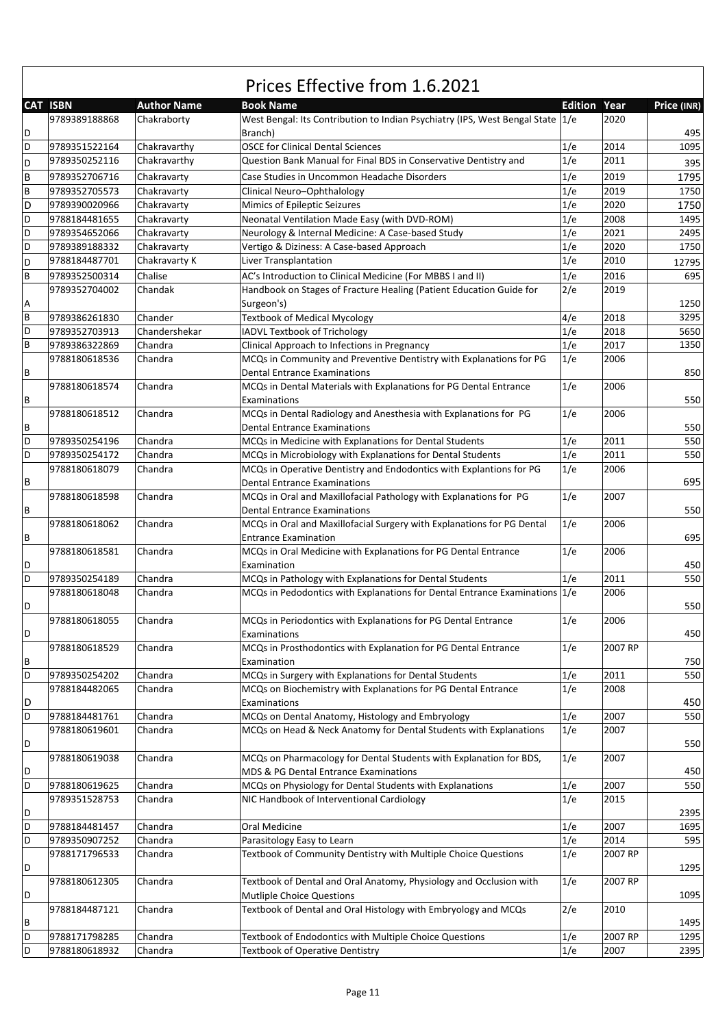|              | Prices Effective from 1.6.2021 |                    |                                                                                |                     |         |             |  |
|--------------|--------------------------------|--------------------|--------------------------------------------------------------------------------|---------------------|---------|-------------|--|
|              | <b>CAT ISBN</b>                | <b>Author Name</b> | <b>Book Name</b>                                                               | <b>Edition Year</b> |         | Price (INR) |  |
|              | 9789389188868                  | Chakraborty        | West Bengal: Its Contribution to Indian Psychiatry (IPS, West Bengal State 1/e |                     | 2020    |             |  |
| D            |                                |                    | Branch)                                                                        |                     |         | 495         |  |
| D            | 9789351522164                  | Chakravarthy       | <b>OSCE for Clinical Dental Sciences</b>                                       | 1/e                 | 2014    | 1095        |  |
| D            | 9789350252116                  | Chakravarthy       | Question Bank Manual for Final BDS in Conservative Dentistry and               | 1/e                 | 2011    | 395         |  |
| B            | 9789352706716                  | Chakravarty        | Case Studies in Uncommon Headache Disorders                                    | 1/e                 | 2019    | 1795        |  |
| $\sf B$      | 9789352705573                  | Chakravarty        | Clinical Neuro-Ophthalology                                                    | 1/e                 | 2019    | 1750        |  |
| D            | 9789390020966                  | Chakravarty        | Mimics of Epileptic Seizures                                                   | 1/e                 | 2020    | 1750        |  |
| D            | 9788184481655                  | Chakravarty        | Neonatal Ventilation Made Easy (with DVD-ROM)                                  | 1/e                 | 2008    | 1495        |  |
| D            | 9789354652066                  | Chakravarty        | Neurology & Internal Medicine: A Case-based Study                              | 1/e                 | 2021    | 2495        |  |
| D            | 9789389188332                  | Chakravarty        | Vertigo & Diziness: A Case-based Approach                                      | 1/e                 | 2020    | 1750        |  |
|              | 9788184487701                  | Chakravarty K      | Liver Transplantation                                                          | 1/e                 | 2010    |             |  |
| D            |                                |                    |                                                                                |                     |         | 12795       |  |
| $\sf B$      | 9789352500314                  | Chalise            | AC's Introduction to Clinical Medicine (For MBBS I and II)                     | 1/e                 | 2016    | 695         |  |
|              | 9789352704002                  | Chandak            | Handbook on Stages of Fracture Healing (Patient Education Guide for            | 2/e                 | 2019    |             |  |
| A            |                                |                    | Surgeon's)                                                                     |                     |         | 1250        |  |
| $\sf B$      | 9789386261830                  | Chander            | <b>Textbook of Medical Mycology</b>                                            | 4/e                 | 2018    | 3295        |  |
| D            | 9789352703913                  | Chandershekar      | IADVL Textbook of Trichology                                                   | 1/e                 | 2018    | 5650        |  |
| $\sf B$      | 9789386322869                  | Chandra            | Clinical Approach to Infections in Pregnancy                                   | 1/e                 | 2017    | 1350        |  |
|              | 9788180618536                  | Chandra            | MCQs in Community and Preventive Dentistry with Explanations for PG            | 1/e                 | 2006    |             |  |
| $\, {\sf B}$ |                                |                    | <b>Dental Entrance Examinations</b>                                            |                     |         | 850         |  |
|              | 9788180618574                  | Chandra            | MCQs in Dental Materials with Explanations for PG Dental Entrance              | 1/e                 | 2006    |             |  |
| B            |                                |                    | Examinations                                                                   |                     |         | 550         |  |
|              | 9788180618512                  | Chandra            | MCQs in Dental Radiology and Anesthesia with Explanations for PG               | 1/e                 | 2006    |             |  |
| B            |                                |                    | <b>Dental Entrance Examinations</b>                                            |                     |         | 550         |  |
| D            | 9789350254196                  | Chandra            | MCQs in Medicine with Explanations for Dental Students                         | 1/e                 | 2011    | 550         |  |
| D            | 9789350254172                  | Chandra            | MCQs in Microbiology with Explanations for Dental Students                     | 1/e                 | 2011    | 550         |  |
|              | 9788180618079                  | Chandra            | MCQs in Operative Dentistry and Endodontics with Explantions for PG            | 1/e                 | 2006    |             |  |
| $\sf B$      |                                |                    | <b>Dental Entrance Examinations</b>                                            |                     |         | 695         |  |
|              | 9788180618598                  | Chandra            | MCQs in Oral and Maxillofacial Pathology with Explanations for PG              | 1/e                 | 2007    |             |  |
| B            |                                |                    | <b>Dental Entrance Examinations</b>                                            |                     |         | 550         |  |
|              | 9788180618062                  | Chandra            | MCQs in Oral and Maxillofacial Surgery with Explanations for PG Dental         | 1/e                 | 2006    |             |  |
| B            |                                |                    | <b>Entrance Examination</b>                                                    |                     |         | 695         |  |
|              | 9788180618581                  | Chandra            | MCQs in Oral Medicine with Explanations for PG Dental Entrance                 | 1/e                 | 2006    |             |  |
| D            |                                |                    | Examination                                                                    |                     |         | 450         |  |
| D            | 9789350254189                  | Chandra            | MCQs in Pathology with Explanations for Dental Students                        | 1/e                 | 2011    | 550         |  |
|              | 9788180618048                  | Chandra            | MCQs in Pedodontics with Explanations for Dental Entrance Examinations 1/e     |                     | 2006    |             |  |
| D            |                                |                    |                                                                                |                     |         | 550         |  |
|              | 9788180618055                  | Chandra            | MCQs in Periodontics with Explanations for PG Dental Entrance                  | 1/e                 | 2006    |             |  |
| D            |                                |                    | Examinations                                                                   |                     |         | 450         |  |
|              | 9788180618529                  | Chandra            | MCQs in Prosthodontics with Explanation for PG Dental Entrance                 | 1/e                 | 2007 RP |             |  |
| $\sf B$      |                                |                    | Examination                                                                    |                     |         | 750         |  |
| D            | 9789350254202                  | Chandra            | MCQs in Surgery with Explanations for Dental Students                          | 1/e                 | 2011    | 550         |  |
|              | 9788184482065                  | Chandra            | MCQs on Biochemistry with Explanations for PG Dental Entrance                  | 1/e                 | 2008    |             |  |
| D            |                                |                    | Examinations                                                                   |                     |         | 450         |  |
| D            | 9788184481761                  | Chandra            | MCQs on Dental Anatomy, Histology and Embryology                               | 1/e                 | 2007    | 550         |  |
|              | 9788180619601                  | Chandra            | MCQs on Head & Neck Anatomy for Dental Students with Explanations              | 1/e                 | 2007    |             |  |
| D            |                                |                    |                                                                                |                     |         | 550         |  |
|              | 9788180619038                  | Chandra            | MCQs on Pharmacology for Dental Students with Explanation for BDS,             | 1/e                 | 2007    |             |  |
| D            |                                |                    | MDS & PG Dental Entrance Examinations                                          |                     |         | 450         |  |
| D            | 9788180619625                  | Chandra            | MCQs on Physiology for Dental Students with Explanations                       | 1/e                 | 2007    | 550         |  |
|              | 9789351528753                  | Chandra            | NIC Handbook of Interventional Cardiology                                      | 1/e                 | 2015    |             |  |
| D            |                                |                    |                                                                                |                     |         | 2395        |  |
| D            | 9788184481457                  | Chandra            | Oral Medicine                                                                  | 1/e                 | 2007    | 1695        |  |
| D            | 9789350907252                  | Chandra            | Parasitology Easy to Learn                                                     | 1/e                 | 2014    | 595         |  |
|              | 9788171796533                  | Chandra            | Textbook of Community Dentistry with Multiple Choice Questions                 | 1/e                 | 2007 RP |             |  |
| D            |                                |                    |                                                                                |                     |         | 1295        |  |
|              | 9788180612305                  | Chandra            | Textbook of Dental and Oral Anatomy, Physiology and Occlusion with             | 1/e                 | 2007 RP |             |  |
| D            |                                |                    | <b>Mutliple Choice Questions</b>                                               |                     |         | 1095        |  |
|              | 9788184487121                  | Chandra            | Textbook of Dental and Oral Histology with Embryology and MCQs                 | 2/e                 | 2010    |             |  |
| $\, {\bf B}$ |                                |                    |                                                                                |                     |         | 1495        |  |
| D            | 9788171798285                  | Chandra            | Textbook of Endodontics with Multiple Choice Questions                         |                     | 2007 RP | 1295        |  |
| D            | 9788180618932                  | Chandra            | Textbook of Operative Dentistry                                                | 1/e<br>1/e          | 2007    | 2395        |  |
|              |                                |                    |                                                                                |                     |         |             |  |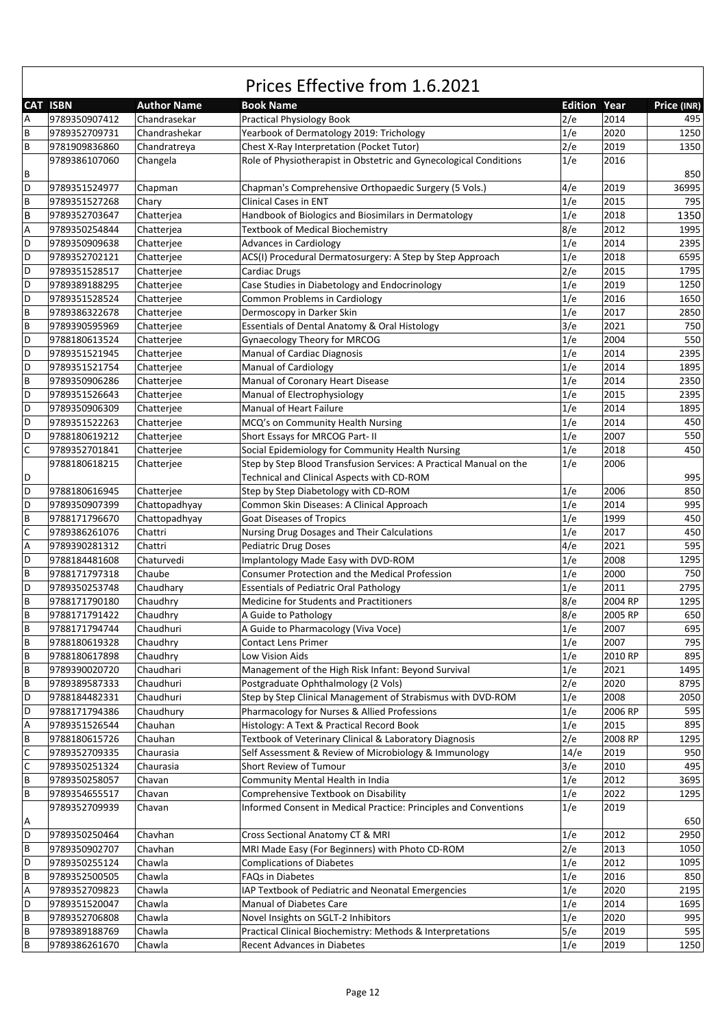|                                       | Prices Effective from 1.6.2021 |                          |                                                                                                                 |            |                     |              |  |  |
|---------------------------------------|--------------------------------|--------------------------|-----------------------------------------------------------------------------------------------------------------|------------|---------------------|--------------|--|--|
|                                       | <b>CAT ISBN</b>                | <b>Author Name</b>       | <b>Book Name</b>                                                                                                |            | <b>Edition Year</b> | Price (INR)  |  |  |
| $\overline{A}$                        | 9789350907412                  | Chandrasekar             | <b>Practical Physiology Book</b>                                                                                | 2/e        | 2014                | 495          |  |  |
| B                                     | 9789352709731                  | Chandrashekar            | Yearbook of Dermatology 2019: Trichology                                                                        | 1/e        | 2020                | 1250         |  |  |
| $\, {\bf B}$                          | 9781909836860                  | Chandratreya             | Chest X-Ray Interpretation (Pocket Tutor)                                                                       | 2/e        | 2019                | 1350         |  |  |
|                                       | 9789386107060                  | Changela                 | Role of Physiotherapist in Obstetric and Gynecological Conditions                                               | 1/e        | 2016                |              |  |  |
| B                                     |                                |                          |                                                                                                                 |            |                     | 850          |  |  |
| D                                     | 9789351524977                  | Chapman                  | Chapman's Comprehensive Orthopaedic Surgery (5 Vols.)                                                           | 4/e        | 2019                | 36995        |  |  |
| $\sf B$                               | 9789351527268                  | Chary                    | <b>Clinical Cases in ENT</b>                                                                                    | 1/e        | 2015                | 795          |  |  |
| B                                     | 9789352703647                  | Chatterjea               | Handbook of Biologics and Biosimilars in Dermatology                                                            | 1/e        | 2018                | 1350         |  |  |
| $\boldsymbol{\mathsf{A}}$<br>D        | 9789350254844                  | Chatterjea               | <b>Textbook of Medical Biochemistry</b>                                                                         | 8/e        | 2012<br>2014        | 1995         |  |  |
| D                                     | 9789350909638<br>9789352702121 | Chatterjee               | Advances in Cardiology                                                                                          | 1/e<br>1/e | 2018                | 2395<br>6595 |  |  |
| D                                     | 9789351528517                  | Chatterjee               | ACS(I) Procedural Dermatosurgery: A Step by Step Approach<br>Cardiac Drugs                                      | 2/e        | 2015                | 1795         |  |  |
| D                                     | 9789389188295                  | Chatterjee<br>Chatterjee | Case Studies in Diabetology and Endocrinology                                                                   | 1/e        | 2019                | 1250         |  |  |
| D                                     | 9789351528524                  | Chatterjee               | Common Problems in Cardiology                                                                                   | 1/e        | 2016                | 1650         |  |  |
| $\sf B$                               | 9789386322678                  | Chatteriee               | Dermoscopy in Darker Skin                                                                                       | 1/e        | 2017                | 2850         |  |  |
| B                                     | 9789390595969                  | Chatterjee               | Essentials of Dental Anatomy & Oral Histology                                                                   | 3/e        | 2021                | 750          |  |  |
| D                                     | 9788180613524                  | Chatteriee               | Gynaecology Theory for MRCOG                                                                                    | 1/e        | 2004                | 550          |  |  |
| D                                     | 9789351521945                  | Chatterjee               | Manual of Cardiac Diagnosis                                                                                     | 1/e        | 2014                | 2395         |  |  |
| D                                     | 9789351521754                  | Chatterjee               | Manual of Cardiology                                                                                            | 1/e        | 2014                | 1895         |  |  |
| $\sf B$                               | 9789350906286                  | Chatterjee               | Manual of Coronary Heart Disease                                                                                | 1/e        | 2014                | 2350         |  |  |
| D                                     | 9789351526643                  | Chatterjee               | Manual of Electrophysiology                                                                                     | 1/e        | 2015                | 2395         |  |  |
| D                                     | 9789350906309                  | Chatterjee               | <b>Manual of Heart Failure</b>                                                                                  | 1/e        | 2014                | 1895         |  |  |
| D                                     | 9789351522263                  | Chatterjee               | MCQ's on Community Health Nursing                                                                               | 1/e        | 2014                | 450          |  |  |
| D                                     | 9788180619212                  | Chatterjee               | Short Essays for MRCOG Part-II                                                                                  | 1/e        | 2007                | 550          |  |  |
| $\mathsf{C}$                          | 9789352701841                  | Chatterjee               | Social Epidemiology for Community Health Nursing                                                                | 1/e        | 2018                | 450          |  |  |
|                                       | 9788180618215                  | Chatterjee               | Step by Step Blood Transfusion Services: A Practical Manual on the                                              | 1/e        | 2006                |              |  |  |
| D                                     |                                |                          | Technical and Clinical Aspects with CD-ROM                                                                      |            |                     | 995          |  |  |
| D                                     | 9788180616945                  | Chatterjee               | Step by Step Diabetology with CD-ROM                                                                            | 1/e        | 2006                | 850          |  |  |
| D                                     | 9789350907399                  | Chattopadhyay            | Common Skin Diseases: A Clinical Approach                                                                       | 1/e        | 2014                | 995          |  |  |
| $\overline{B}$                        | 9788171796670                  | Chattopadhyay            | <b>Goat Diseases of Tropics</b>                                                                                 | 1/e        | 1999                | 450          |  |  |
| $\mathsf{C}$                          | 9789386261076                  | Chattri                  | Nursing Drug Dosages and Their Calculations                                                                     | 1/e        | 2017                | 450          |  |  |
| A                                     | 9789390281312                  | Chattri                  | <b>Pediatric Drug Doses</b>                                                                                     | 4/e        | 2021                | 595          |  |  |
| D                                     | 9788184481608                  | Chaturvedi               | Implantology Made Easy with DVD-ROM                                                                             | 1/e        | 2008                | 1295         |  |  |
| $\overline{B}$                        | 9788171797318                  | Chaube                   | Consumer Protection and the Medical Profession                                                                  | 1/e        | 2000                | 750          |  |  |
| D                                     | 9789350253748                  | Chaudhary                | <b>Essentials of Pediatric Oral Pathology</b>                                                                   | 1/e        | 2011                | 2795         |  |  |
| $\sf B$                               | 9788171790180                  | Chaudhry                 | Medicine for Students and Practitioners                                                                         | 8/e        | 2004 RP             | 1295         |  |  |
| $\overline{B}$                        | 9788171791422                  | Chaudhry                 | A Guide to Pathology                                                                                            | 8/e        | 2005 RP             | 650          |  |  |
| $\sf B$                               | 9788171794744                  | Chaudhuri                | A Guide to Pharmacology (Viva Voce)                                                                             | 1/e        | 2007                | 695          |  |  |
| $\sf B$                               | 9788180619328                  | Chaudhry                 | <b>Contact Lens Primer</b>                                                                                      | 1/e        | 2007                | 795          |  |  |
| $\sf B$                               | 9788180617898                  | Chaudhry                 | Low Vision Aids                                                                                                 | 1/e        | 2010 RP             | 895          |  |  |
| $\sf B$                               | 9789390020720                  | Chaudhari                | Management of the High Risk Infant: Beyond Survival                                                             | 1/e        | 2021                | 1495         |  |  |
| $\sf B$                               | 9789389587333                  | Chaudhuri                | Postgraduate Ophthalmology (2 Vols)                                                                             | 2/e        | 2020                | 8795         |  |  |
| D                                     | 9788184482331                  | Chaudhuri                | Step by Step Clinical Management of Strabismus with DVD-ROM                                                     | 1/e        | 2008                | 2050         |  |  |
| D                                     | 9788171794386                  | Chaudhury                | Pharmacology for Nurses & Allied Professions                                                                    | 1/e        | 2006 RP             | 595          |  |  |
| $\boldsymbol{\mathsf{A}}$<br>$\sf{B}$ | 9789351526544                  | Chauhan                  | Histology: A Text & Practical Record Book                                                                       | 1/e<br>2/e | 2015                | 895<br>1295  |  |  |
| $\mathsf C$                           | 9788180615726<br>9789352709335 | Chauhan<br>Chaurasia     | Textbook of Veterinary Clinical & Laboratory Diagnosis<br>Self Assessment & Review of Microbiology & Immunology | 14/e       | 2008 RP             | 950          |  |  |
| $\mathsf{C}$                          | 9789350251324                  | Chaurasia                | Short Review of Tumour                                                                                          | 3/e        | 2019<br>2010        | 495          |  |  |
| $\sf{B}$                              | 9789350258057                  | Chavan                   | Community Mental Health in India                                                                                | 1/e        | 2012                | 3695         |  |  |
| $\sf B$                               | 9789354655517                  | Chavan                   | Comprehensive Textbook on Disability                                                                            | 1/e        | 2022                | 1295         |  |  |
|                                       | 9789352709939                  | Chavan                   | Informed Consent in Medical Practice: Principles and Conventions                                                | 1/e        | 2019                |              |  |  |
| Α                                     |                                |                          |                                                                                                                 |            |                     | 650          |  |  |
| D                                     | 9789350250464                  | Chavhan                  | Cross Sectional Anatomy CT & MRI                                                                                | 1/e        | 2012                | 2950         |  |  |
| $\sf B$                               | 9789350902707                  | Chavhan                  | MRI Made Easy (For Beginners) with Photo CD-ROM                                                                 | 2/e        | 2013                | 1050         |  |  |
| $\mathsf D$                           | 9789350255124                  | Chawla                   | <b>Complications of Diabetes</b>                                                                                | 1/e        | 2012                | 1095         |  |  |
| $\sf B$                               | 9789352500505                  | Chawla                   | FAQs in Diabetes                                                                                                | 1/e        | 2016                | 850          |  |  |
| $\sf A$                               | 9789352709823                  | Chawla                   | IAP Textbook of Pediatric and Neonatal Emergencies                                                              | 1/e        | 2020                | 2195         |  |  |
| D                                     | 9789351520047                  | Chawla                   | <b>Manual of Diabetes Care</b>                                                                                  | 1/e        | 2014                | 1695         |  |  |
| $\sf B$                               | 9789352706808                  | Chawla                   | Novel Insights on SGLT-2 Inhibitors                                                                             | 1/e        | 2020                | 995          |  |  |
| $\, {\bf B}$                          | 9789389188769                  | Chawla                   | Practical Clinical Biochemistry: Methods & Interpretations                                                      | 5/e        | 2019                | 595          |  |  |
| B                                     | 9789386261670                  | Chawla                   | Recent Advances in Diabetes                                                                                     | 1/e        | 2019                | 1250         |  |  |

 $\sqrt{ }$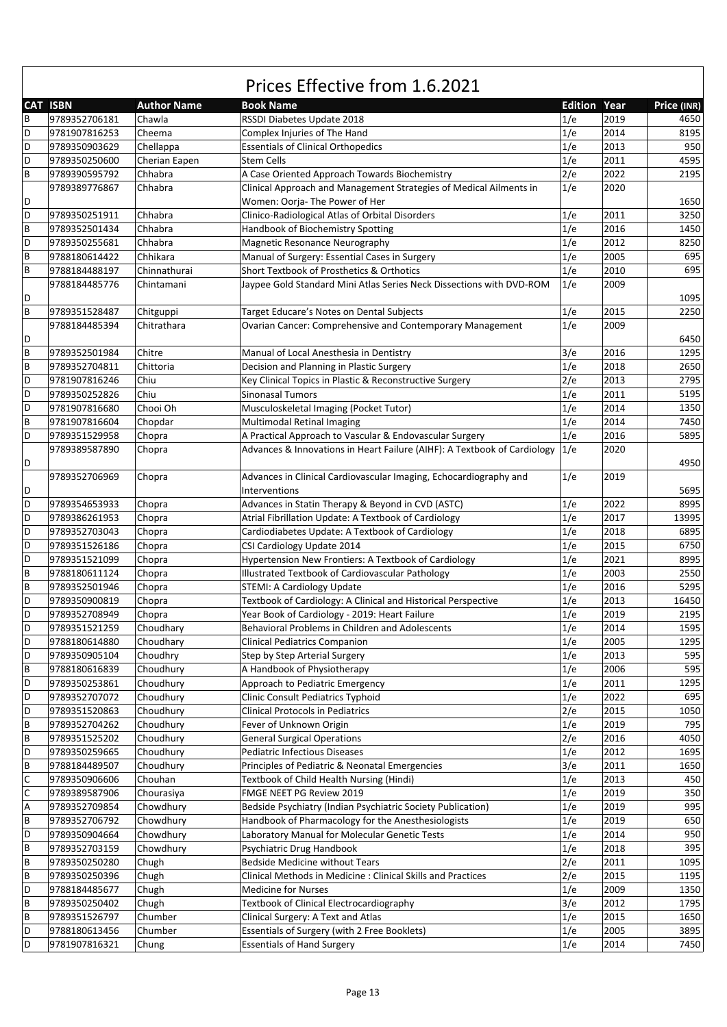#### **CAT ISBN Author Name Book Name Edition Year Price (INR)** Prices Effective from 1.6.2021 B 9789352706181 Chawla RSSDI Diabetes Update 2018 1/e 2019 4650 D 9781907816253 Cheema Complex Injuries of The Hand 1/e 2014 8195 D 9789350903629 Chellappa Essentials of Clinical Orthopedics 1/e 2013 950 D |9789350250600 |Cherian Eapen |Stem Cells 1/e |2011 | 4595 B 9789390595792 Chhabra A Case Oriented Approach Towards Biochemistry 212 2202 2195 D 9789389776867 Chhabra Clinical Approach and Management Strategies of Medical Ailments in Women: Oorja‐ The Power of Her 1/e 2020 1650 D 9789350251911 Chhabra Clinico‐Radiological Atlas of Orbital Disorders 1/e 2011 3250 B 9789352501434 Chhabra Handbook of Biochemistry Spotting 1/e 2016 1450 D 9789350255681 Chhabra Magnetic Resonance Neurography 1/e 2012 8250 B 9788180614422 Chhikara Manual of Surgery: Essential Cases in Surgery 1/e 2005 695 B 9788184488197 Chinnathurai Short Textbook of Prosthetics & Orthotics 11/e 2010 695 D 9788184485776 Chintamani Jaypee Gold Standard Mini Atlas Series Neck Dissections with DVD‐ROM 1/e 2009 1095 B 9789351528487 Chitguppi | Target Educare's Notes on Dental Subjects | 1/e | 2015 | 2250 D 9788184485394 Chitrathara Ovarian Cancer: Comprehensive and Contemporary Management 1/e 2009 6450 B 9789352501984 Chitre Manual of Local Anesthesia in Dentistry 3/e 2016 1295 B 9789352704811 Chittoria Decision and Planning in Plastic Surgery 2650 1/e 2018 2650 D 9781907816246 Chiu Key Clinical Topics in Plastic & Reconstructive Surgery 2/e 2013 2795 D 9789350252826 Chiu Sinonasal Tumors 1/e 2011 5195 D 9781907816680 Chooi Oh Musculoskeletal Imaging (Pocket Tutor) 1/e 2014 1350 B 9781907816604 Chopdar Multimodal Retinal Imaging 1/e 2014 7450 D 9789351529958 Chopra A Practical Approach to Vascular & Endovascular Surgery 1/e 2016 5895<br>19789389587890 Chopra Advances & Innovations in Heart Failure (AIHF): A Textbook of Cardiology 1/e 2020 D 9789389587890 Chopra Advances & Innovations in Heart Failure (AIHF): A Textbook of Cardiology 1/e 2020 4950 D 9789352706969 Chopra Advances in Clinical Cardiovascular Imaging, Echocardiography and Interventions  $1/e$  2019 5695 D 9789354653933 Chopra Advances in Statin Therapy & Beyond in CVD (ASTC) 1/e 2022 8995 D 9789386261953 Chopra Atrial Fibrillation Update: A Textbook of Cardiology 1/e 2017 13995 D 9789352703043 Chopra Cardiodiabetes Update: A Textbook of Cardiology 1/e 2018 6895 D 9789351526186 Chopra CSI Cardiology Update 2014 1/e 2015 6750 D 9789351521099 Chopra Hypertension New Frontiers: A Textbook of Cardiology 1/e 2021 8995 B 9788180611124 Chopra Illustrated Textbook of Cardiovascular Pathology 2560 2550 B 9789352501946 Chopra STEMI: A Cardiology Update 1/6 1/e 2016 5295 D 9789350900819 Chopra Textbook of Cardiology: A Clinical and Historical Perspective 1/e 2013 16450 D 9789352708949 Chopra Year Book of Cardiology - 2019: Heart Failure 1/e 2019 2195 D 9789351521259 Choudhary Behavioral Problems in Children and Adolescents 16 1/e 2014 1595 D 9788180614880 Choudhary Clinical Pediatrics Companion 1995 1295 1295 1295 D 9789350905104 Choudhry Step by Step Arterial Surgery Step Arterial Surgery 30 1/e 2013 595  $\overline{B}$  9788180616839 Choudhury 2006 A Handbook of Physiotherapy 1/e 2006 595 D 9789350253861 Choudhury Approach to Pediatric Emergency 11/e 2011 1295 D |9789352707072 |Choudhury |Clinic Consult Pediatrics Typhoid 1/6 | 1/e | 2022 | 695 D 9789351520863 Choudhury Clinical Protocols in Pediatrics 2/e 2015 1050 B 9789352704262 Choudhury Fever of Unknown Origin 1/6 2019 795 B 9789351525202 Choudhury General Surgical Operations 2/e 2016 2016 4050 D 9789350259665 Choudhury Pediatric Infectious Diseases 1995 11/e 2012 1695 B 9788184489507 Choudhury Principles of Pediatric & Neonatal Emergencies 3/e 2011 1650 C 9789350906606 Chouhan Textbook of Child Health Nursing (Hindi) 1/e 2013 450 PO 9789389587906 Chourasiya FMGE NEET PG Review 2019<br>1/e 2019 1/e 2019 1955 19789352709854 Chowdhury Bedside Psychiatry (Indian Psychiatric Society Publication) 1/ Chowdhury Bedside Psychiatry (Indian Psychiatric Society Publication) 1/e 2019 B 9789352706792 Chowdhury Handbook of Pharmacology for the Anesthesiologists 1/e 2019 650 D 9789350904664 Chowdhury Laboratory Manual for Molecular Genetic Tests 1/e 2014 950 B 9789352703159 Chowdhury Psychiatric Drug Handbook 10 1/e 2018 395 B 9789350250280 Chugh Bedside Medicine without Tears 2/e 2011 1095 B 9789350250396 Chugh Clinical Methods in Medicine : Clinical Skills and Practices 2/e 2015 1195 D 9788184485677 Chugh Medicine for Nurses 1999 1350 B 9789350250402 Chugh Textbook of Clinical Electrocardiography 3/e 2012 1795 B 9789351526797 Chumber Clinical Surgery: A Text and Atlas 1650 168 17 2015 1650

9788180613456 Chumber Essentials of Surgery (with 2 Free Booklets) 1/e 2005 3895 9781907816321 Chung Essentials of Hand Surgery 11/e 2014 7450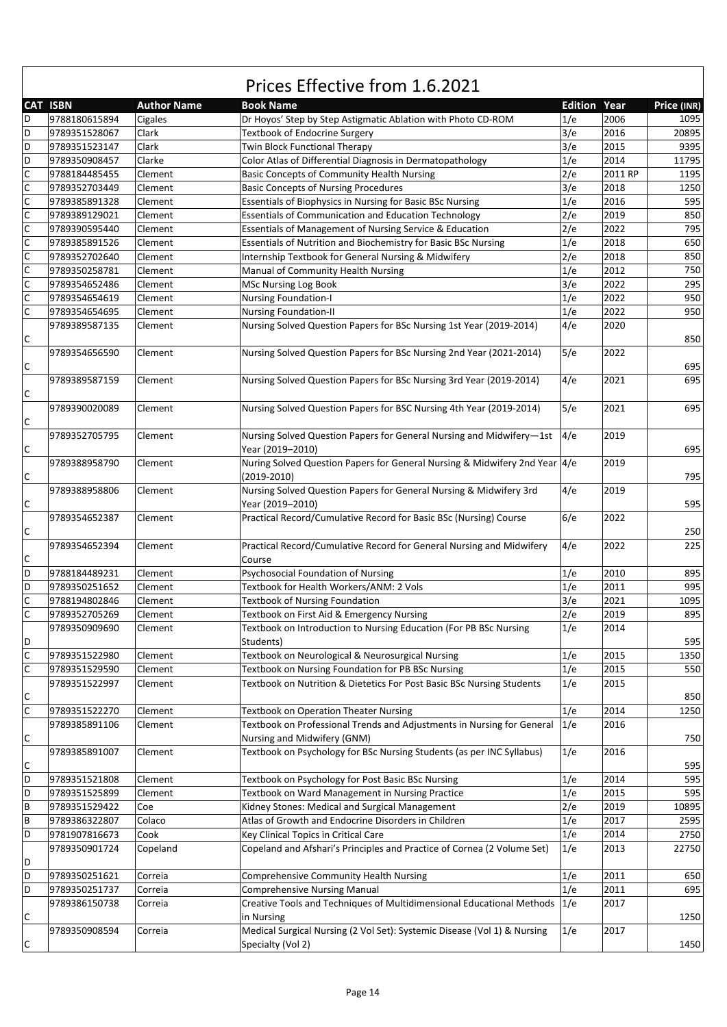|                  | <b>CAT ISBN</b> | <b>Author Name</b> | <b>Book Name</b>                                                                          | <b>Edition Year</b> |         | Price (INR) |
|------------------|-----------------|--------------------|-------------------------------------------------------------------------------------------|---------------------|---------|-------------|
| D                | 9788180615894   |                    | Dr Hoyos' Step by Step Astigmatic Ablation with Photo CD-ROM                              | 1/e                 | 2006    | 1095        |
| D                |                 | Cigales            | <b>Textbook of Endocrine Surgery</b>                                                      |                     |         | 20895       |
|                  | 9789351528067   | Clark              |                                                                                           | 3/e                 | 2016    |             |
| D                | 9789351523147   | Clark              | Twin Block Functional Therapy                                                             | 3/e                 | 2015    | 9395        |
| D                | 9789350908457   | Clarke             | Color Atlas of Differential Diagnosis in Dermatopathology                                 | 1/e                 | 2014    | 11795       |
| $\mathsf C$      | 9788184485455   | Clement            | <b>Basic Concepts of Community Health Nursing</b>                                         | 2/e                 | 2011 RP | 1195        |
| $\mathsf C$      | 9789352703449   | Clement            | <b>Basic Concepts of Nursing Procedures</b>                                               | 3/e                 | 2018    | 1250        |
| $\mathsf C$      | 9789385891328   | Clement            | Essentials of Biophysics in Nursing for Basic BSc Nursing                                 | 1/e                 | 2016    | 595         |
| $\mathsf{C}$     | 9789389129021   | Clement            | <b>Essentials of Communication and Education Technology</b>                               | 2/e                 | 2019    | 850         |
| $\mathsf C$      | 9789390595440   | Clement            | Essentials of Management of Nursing Service & Education                                   | 2/e                 | 2022    | 795         |
| $\mathsf C$      | 9789385891526   | Clement            | Essentials of Nutrition and Biochemistry for Basic BSc Nursing                            | 1/e                 | 2018    | 650         |
| $\mathsf C$      | 9789352702640   | Clement            | Internship Textbook for General Nursing & Midwifery                                       | 2/e                 | 2018    | 850         |
| $\mathsf C$      | 9789350258781   | Clement            | Manual of Community Health Nursing                                                        | 1/e                 | 2012    | 750         |
| $\mathsf C$      | 9789354652486   | Clement            | <b>MSc Nursing Log Book</b>                                                               | 3/e                 | 2022    | 295         |
| $\mathsf C$      | 9789354654619   | Clement            | <b>Nursing Foundation-I</b>                                                               | 1/e                 | 2022    | 950         |
| $\mathsf C$      | 9789354654695   | Clement            | <b>Nursing Foundation-II</b>                                                              | 1/e                 | 2022    | 950         |
|                  | 9789389587135   | Clement            | Nursing Solved Question Papers for BSc Nursing 1st Year (2019-2014)                       | 4/e                 | 2020    |             |
| C                |                 |                    |                                                                                           |                     |         | 850         |
| С                | 9789354656590   | Clement            | Nursing Solved Question Papers for BSc Nursing 2nd Year (2021-2014)                       | 5/e                 | 2022    | 695         |
|                  | 9789389587159   | Clement            | Nursing Solved Question Papers for BSc Nursing 3rd Year (2019-2014)                       | 4/e                 | 2021    | 695         |
| C                |                 |                    |                                                                                           |                     |         |             |
|                  | 9789390020089   | Clement            | Nursing Solved Question Papers for BSC Nursing 4th Year (2019-2014)                       | 5/e                 | 2021    | 695         |
| C                | 9789352705795   | Clement            | Nursing Solved Question Papers for General Nursing and Midwifery-1st                      | 4/e                 | 2019    |             |
| $\mathsf C$      |                 |                    | Year (2019-2010)                                                                          |                     |         | 695         |
| С                | 9789388958790   | Clement            | Nuring Solved Question Papers for General Nursing & Midwifery 2nd Year 4/e<br>(2019-2010) |                     | 2019    | 795         |
| C                | 9789388958806   | Clement            | Nursing Solved Question Papers for General Nursing & Midwifery 3rd<br>Year (2019-2010)    | 4/e                 | 2019    | 595         |
|                  | 9789354652387   | Clement            | Practical Record/Cumulative Record for Basic BSc (Nursing) Course                         | 6/e                 | 2022    |             |
| С                |                 |                    |                                                                                           |                     |         | 250         |
| C                | 9789354652394   | Clement            | Practical Record/Cumulative Record for General Nursing and Midwifery<br>Course            | 4/e                 | 2022    | 225         |
| D                | 9788184489231   | Clement            | Psychosocial Foundation of Nursing                                                        | 1/e                 | 2010    | 895         |
| D                | 9789350251652   | Clement            | Textbook for Health Workers/ANM: 2 Vols                                                   | 1/e                 | 2011    | 995         |
| $\mathsf C$      | 9788194802846   | Clement            | <b>Textbook of Nursing Foundation</b>                                                     | 3/e                 | 2021    | 1095        |
| $\mathsf C$      | 9789352705269   | Clement            | Textbook on First Aid & Emergency Nursing                                                 | 2/e                 | 2019    | 895         |
|                  | 9789350909690   | Clement            | Textbook on Introduction to Nursing Education (For PB BSc Nursing                         | 1/e                 | 2014    |             |
|                  |                 |                    |                                                                                           |                     |         | 595         |
| D<br>$\mathsf C$ |                 |                    | Students)                                                                                 |                     |         | 1350        |
| $\mathsf C$      | 9789351522980   | Clement            | Textbook on Neurological & Neurosurgical Nursing                                          | 1/e                 | 2015    |             |
|                  | 9789351529590   | Clement            | Textbook on Nursing Foundation for PB BSc Nursing                                         | 1/e                 | 2015    | 550         |
|                  | 9789351522997   | Clement            | Textbook on Nutrition & Dietetics For Post Basic BSc Nursing Students                     | 1/e                 | 2015    |             |
| $\mathsf C$      |                 |                    |                                                                                           |                     |         | 850         |
| $\overline{c}$   | 9789351522270   | Clement            | <b>Textbook on Operation Theater Nursing</b>                                              | 1/e                 | 2014    | 1250        |
|                  | 9789385891106   | Clement            | Textbook on Professional Trends and Adjustments in Nursing for General                    | 1/e                 | 2016    |             |
| C                |                 |                    | Nursing and Midwifery (GNM)                                                               |                     |         | 750         |
|                  | 9789385891007   | Clement            | Textbook on Psychology for BSc Nursing Students (as per INC Syllabus)                     | 1/e                 | 2016    |             |
| C                |                 |                    |                                                                                           |                     |         | 595         |
| D                | 9789351521808   | Clement            | Textbook on Psychology for Post Basic BSc Nursing                                         | 1/e                 | 2014    | 595         |
| D                | 9789351525899   | Clement            | Textbook on Ward Management in Nursing Practice                                           | 1/e                 | 2015    | 595         |
| B                | 9789351529422   | Coe                | Kidney Stones: Medical and Surgical Management                                            | 2/e                 | 2019    | 10895       |
| B                | 9789386322807   | Colaco             | Atlas of Growth and Endocrine Disorders in Children                                       | 1/e                 | 2017    | 2595        |
| D                | 9781907816673   | Cook               | Key Clinical Topics in Critical Care                                                      | 1/e                 | 2014    | 2750        |
|                  | 9789350901724   | Copeland           | Copeland and Afshari's Principles and Practice of Cornea (2 Volume Set)                   | 1/e                 | 2013    | 22750       |
| D                |                 |                    |                                                                                           |                     |         |             |
| D                | 9789350251621   | Correia            | Comprehensive Community Health Nursing                                                    | 1/e                 | 2011    | 650         |
| D                | 9789350251737   | Correia            | <b>Comprehensive Nursing Manual</b>                                                       | 1/e                 | 2011    | 695         |
| C                | 9789386150738   | Correia            | Creative Tools and Techniques of Multidimensional Educational Methods<br>in Nursing       | 1/e                 | 2017    | 1250        |
|                  | 9789350908594   | Correia            | Medical Surgical Nursing (2 Vol Set): Systemic Disease (Vol 1) & Nursing                  | 1/e                 | 2017    |             |
| C                |                 |                    | Specialty (Vol 2)                                                                         |                     |         | 1450        |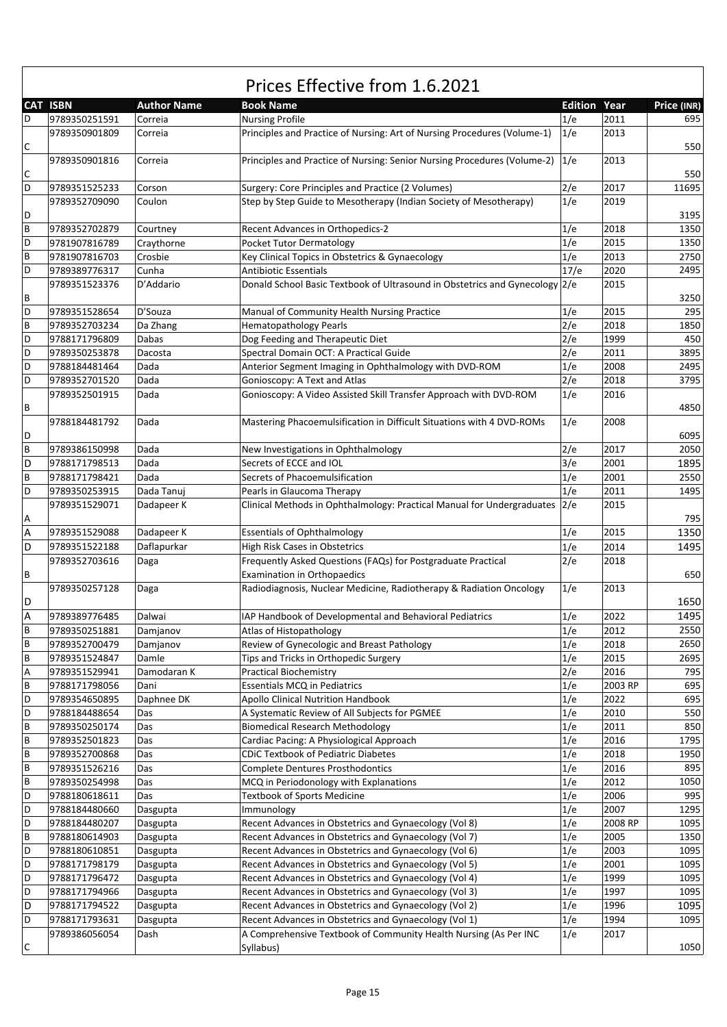|                           | Prices Effective from 1.6.2021 |                    |                                                                              |                     |         |             |  |  |  |
|---------------------------|--------------------------------|--------------------|------------------------------------------------------------------------------|---------------------|---------|-------------|--|--|--|
|                           | <b>CAT ISBN</b>                | <b>Author Name</b> | <b>Book Name</b>                                                             | <b>Edition Year</b> |         | Price (INR) |  |  |  |
| D                         | 9789350251591                  | Correia            | <b>Nursing Profile</b>                                                       | 1/e                 | 2011    | 695         |  |  |  |
| $\mathsf C$               | 9789350901809                  | Correia            | Principles and Practice of Nursing: Art of Nursing Procedures (Volume-1)     | 1/e                 | 2013    | 550         |  |  |  |
| $\mathsf C$               | 9789350901816                  | Correia            | Principles and Practice of Nursing: Senior Nursing Procedures (Volume-2) 1/e |                     | 2013    | 550         |  |  |  |
| D                         | 9789351525233                  | Corson             | Surgery: Core Principles and Practice (2 Volumes)                            | 2/e                 | 2017    | 11695       |  |  |  |
|                           | 9789352709090                  | Coulon             | Step by Step Guide to Mesotherapy (Indian Society of Mesotherapy)            | 1/e                 | 2019    |             |  |  |  |
| D                         |                                |                    |                                                                              |                     |         | 3195        |  |  |  |
| $\overline{B}$            | 9789352702879                  | Courtney           | Recent Advances in Orthopedics-2                                             | 1/e                 | 2018    | 1350        |  |  |  |
| D                         | 9781907816789                  | Craythorne         | <b>Pocket Tutor Dermatology</b>                                              | 1/e                 | 2015    | 1350        |  |  |  |
| $\overline{B}$            | 9781907816703                  | Crosbie            | Key Clinical Topics in Obstetrics & Gynaecology                              | 1/e                 | 2013    | 2750        |  |  |  |
| D                         | 9789389776317                  | Cunha              | <b>Antibiotic Essentials</b>                                                 | 17/e                | 2020    | 2495        |  |  |  |
| B                         | 9789351523376                  | D'Addario          | Donald School Basic Textbook of Ultrasound in Obstetrics and Gynecology 2/e  |                     | 2015    | 3250        |  |  |  |
| D                         | 9789351528654                  | D'Souza            | Manual of Community Health Nursing Practice                                  | 1/e                 | 2015    | 295         |  |  |  |
| B                         | 9789352703234                  | Da Zhang           | <b>Hematopathology Pearls</b>                                                | 2/e                 | 2018    | 1850        |  |  |  |
| D                         | 9788171796809                  | Dabas              | Dog Feeding and Therapeutic Diet                                             | 2/e                 | 1999    | 450         |  |  |  |
| D                         | 9789350253878                  | Dacosta            | Spectral Domain OCT: A Practical Guide                                       | 2/e                 | 2011    | 3895        |  |  |  |
| D                         | 9788184481464                  | Dada               | Anterior Segment Imaging in Ophthalmology with DVD-ROM                       | 1/e                 | 2008    | 2495        |  |  |  |
| D                         |                                |                    |                                                                              |                     |         |             |  |  |  |
|                           | 9789352701520                  | Dada               | Gonioscopy: A Text and Atlas                                                 | 2/e                 | 2018    | 3795        |  |  |  |
| $\, {\bf B}$              | 9789352501915                  | Dada               | Gonioscopy: A Video Assisted Skill Transfer Approach with DVD-ROM            | 1/e                 | 2016    | 4850        |  |  |  |
|                           | 9788184481792                  | Dada               | Mastering Phacoemulsification in Difficult Situations with 4 DVD-ROMs        | 1/e                 | 2008    |             |  |  |  |
| D                         |                                |                    |                                                                              |                     |         | 6095        |  |  |  |
| $\overline{B}$            | 9789386150998                  | Dada               | New Investigations in Ophthalmology                                          | 2/e                 | 2017    | 2050        |  |  |  |
| D                         | 9788171798513                  | Dada               | Secrets of ECCE and IOL                                                      | 3/e                 | 2001    | 1895        |  |  |  |
| B                         | 9788171798421                  | Dada               | Secrets of Phacoemulsification                                               | 1/e                 | 2001    | 2550        |  |  |  |
| D                         | 9789350253915                  | Dada Tanuj         | Pearls in Glaucoma Therapy                                                   | 1/e                 | 2011    | 1495        |  |  |  |
| Α                         | 9789351529071                  | Dadapeer K         | Clinical Methods in Ophthalmology: Practical Manual for Undergraduates 2/e   |                     | 2015    | 795         |  |  |  |
| A                         | 9789351529088                  | Dadapeer K         | <b>Essentials of Ophthalmology</b>                                           | 1/e                 | 2015    | 1350        |  |  |  |
| D                         | 9789351522188                  | Daflapurkar        | High Risk Cases in Obstetrics                                                | 1/e                 | 2014    | 1495        |  |  |  |
|                           | 9789352703616                  | Daga               | Frequently Asked Questions (FAQs) for Postgraduate Practical                 | 2/e                 | 2018    |             |  |  |  |
| $\sf B$                   |                                |                    | <b>Examination in Orthopaedics</b>                                           |                     |         | 650         |  |  |  |
|                           | 9789350257128                  | Daga               | Radiodiagnosis, Nuclear Medicine, Radiotherapy & Radiation Oncology          | 1/e                 | 2013    |             |  |  |  |
| D                         |                                |                    |                                                                              |                     |         | 1650        |  |  |  |
| A                         | 9789389776485                  | Dalwai             | IAP Handbook of Developmental and Behavioral Pediatrics                      | 1/e                 | 2022    | 1495        |  |  |  |
| $\overline{\mathsf{B}}$   | 9789350251881                  | Damjanov           | Atlas of Histopathology                                                      | 1/e                 | 2012    | 2550        |  |  |  |
| $\sf B$                   | 9789352700479                  | Damjanov           | Review of Gynecologic and Breast Pathology                                   | 1/e                 | 2018    | 2650        |  |  |  |
| $\sf B$                   | 9789351524847                  | Damle              | Tips and Tricks in Orthopedic Surgery                                        | 1/e                 | 2015    | 2695        |  |  |  |
| $\boldsymbol{\mathsf{A}}$ | 9789351529941                  | Damodaran K        | <b>Practical Biochemistry</b>                                                | 2/e                 | 2016    | 795         |  |  |  |
| $\sf B$                   | 9788171798056                  | Dani               | <b>Essentials MCQ in Pediatrics</b>                                          | 1/e                 | 2003 RP | 695         |  |  |  |
| D                         | 9789354650895                  | Daphnee DK         | <b>Apollo Clinical Nutrition Handbook</b>                                    | 1/e                 | 2022    | 695         |  |  |  |
| D                         | 9788184488654                  | Das                | A Systematic Review of All Subjects for PGMEE                                | 1/e                 | 2010    | 550         |  |  |  |
| $\sf{B}$                  | 9789350250174                  | Das                | <b>Biomedical Research Methodology</b>                                       | 1/e                 | 2011    | 850         |  |  |  |
| $\sf{B}$                  | 9789352501823                  | Das                | Cardiac Pacing: A Physiological Approach                                     | 1/e                 | 2016    | 1795        |  |  |  |
| $\sf{B}$                  | 9789352700868                  | Das                | <b>CDIC Textbook of Pediatric Diabetes</b>                                   | 1/e                 | 2018    | 1950        |  |  |  |
| $\sf{B}$                  | 9789351526216                  | Das                | <b>Complete Dentures Prosthodontics</b>                                      | 1/e                 | 2016    | 895         |  |  |  |
| $\sf B$                   | 9789350254998                  | Das                | MCQ in Periodonology with Explanations                                       | 1/e                 | 2012    | 1050        |  |  |  |
| D                         | 9788180618611                  | Das                | <b>Textbook of Sports Medicine</b>                                           | 1/e                 | 2006    | 995         |  |  |  |
| D                         | 9788184480660                  | Dasgupta           | Immunology                                                                   | 1/e                 | 2007    | 1295        |  |  |  |
| D                         | 9788184480207                  | Dasgupta           | Recent Advances in Obstetrics and Gynaecology (Vol 8)                        | 1/e                 | 2008 RP | 1095        |  |  |  |
| $\sf B$                   | 9788180614903                  | Dasgupta           | Recent Advances in Obstetrics and Gynaecology (Vol 7)                        | 1/e                 | 2005    | 1350        |  |  |  |
| D                         | 9788180610851                  | Dasgupta           | Recent Advances in Obstetrics and Gynaecology (Vol 6)                        | 1/e                 | 2003    | 1095        |  |  |  |
| D                         | 9788171798179                  | Dasgupta           | Recent Advances in Obstetrics and Gynaecology (Vol 5)                        | 1/e                 | 2001    | 1095        |  |  |  |
| D                         | 9788171796472                  | Dasgupta           | Recent Advances in Obstetrics and Gynaecology (Vol 4)                        | 1/e                 | 1999    | 1095        |  |  |  |
| D                         | 9788171794966                  | Dasgupta           | Recent Advances in Obstetrics and Gynaecology (Vol 3)                        | 1/e                 | 1997    | 1095        |  |  |  |
| D                         | 9788171794522                  | Dasgupta           | Recent Advances in Obstetrics and Gynaecology (Vol 2)                        | 1/e                 | 1996    | 1095        |  |  |  |
| D                         | 9788171793631                  | Dasgupta           | Recent Advances in Obstetrics and Gynaecology (Vol 1)                        | 1/e                 | 1994    | 1095        |  |  |  |
|                           | 9789386056054                  | Dash               | A Comprehensive Textbook of Community Health Nursing (As Per INC             | 1/e                 | 2017    |             |  |  |  |
| $\mathsf C$               |                                |                    | Syllabus)                                                                    |                     |         | 1050        |  |  |  |

 $\mathsf{r}$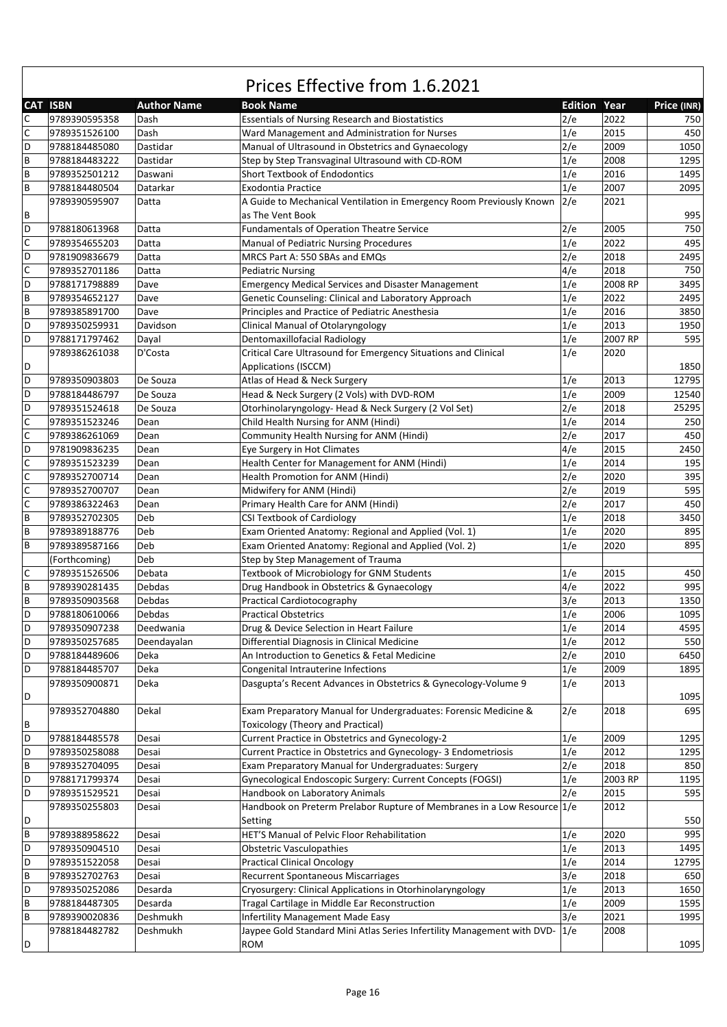|             | <b>CAT ISBN</b>                | <b>Author Name</b> | <b>Book Name</b>                                                                | <b>Edition Year</b> |         | Price (INR) |
|-------------|--------------------------------|--------------------|---------------------------------------------------------------------------------|---------------------|---------|-------------|
| C           | 9789390595358                  | Dash               | <b>Essentials of Nursing Research and Biostatistics</b>                         | 2/e                 | 2022    | 750         |
| $\mathsf C$ | 9789351526100                  | Dash               | Ward Management and Administration for Nurses                                   | 1/e                 | 2015    | 450         |
| D           | 9788184485080                  | Dastidar           | Manual of Ultrasound in Obstetrics and Gynaecology                              | 2/e                 | 2009    | 1050        |
| $\sf B$     | 9788184483222                  | Dastidar           | Step by Step Transvaginal Ultrasound with CD-ROM                                | 1/e                 | 2008    | 1295        |
| B           | 9789352501212                  | Daswani            | Short Textbook of Endodontics                                                   | 1/e                 | 2016    | 1495        |
| $\sf B$     | 9788184480504                  | Datarkar           | <b>Exodontia Practice</b>                                                       | 1/e                 | 2007    | 2095        |
|             | 9789390595907                  | Datta              | A Guide to Mechanical Ventilation in Emergency Room Previously Known            | 2/e                 | 2021    |             |
| В           |                                |                    | as The Vent Book                                                                |                     |         | 995         |
| D           | 9788180613968                  | Datta              | <b>Fundamentals of Operation Theatre Service</b>                                | 2/e                 | 2005    | 750         |
| $\mathsf C$ | 9789354655203                  | Datta              | Manual of Pediatric Nursing Procedures                                          | 1/e                 | 2022    | 495         |
| D           | 9781909836679                  | Datta              | MRCS Part A: 550 SBAs and EMQs                                                  | 2/e                 | 2018    | 2495        |
| $\mathsf C$ | 9789352701186                  | Datta              | <b>Pediatric Nursing</b>                                                        | 4/e                 | 2018    | 750         |
| D           | 9788171798889                  | Dave               | <b>Emergency Medical Services and Disaster Management</b>                       | 1/e                 | 2008 RP | 3495        |
| B           | 9789354652127                  | Dave               | Genetic Counseling: Clinical and Laboratory Approach                            | 1/e                 | 2022    | 2495        |
| $\sf B$     | 9789385891700                  | Dave               | Principles and Practice of Pediatric Anesthesia                                 | 1/e                 | 2016    | 3850        |
| D           | 9789350259931                  | Davidson           |                                                                                 | 1/e                 | 2013    | 1950        |
| D           |                                |                    | Clinical Manual of Otolaryngology                                               |                     | 2007 RP | 595         |
|             | 9788171797462                  | Dayal              | Dentomaxillofacial Radiology                                                    | 1/e                 |         |             |
|             | 9789386261038                  | D'Costa            | Critical Care Ultrasound for Emergency Situations and Clinical                  | 1/e                 | 2020    |             |
| D           |                                |                    | Applications (ISCCM)                                                            |                     |         | 1850        |
| D           | 9789350903803                  | De Souza           | Atlas of Head & Neck Surgery                                                    | 1/e                 | 2013    | 12795       |
| D           | 9788184486797                  | De Souza           | Head & Neck Surgery (2 Vols) with DVD-ROM                                       | 1/e                 | 2009    | 12540       |
| D           | 9789351524618                  | De Souza           | Otorhinolaryngology- Head & Neck Surgery (2 Vol Set)                            | 2/e                 | 2018    | 25295       |
| $\mathsf C$ | 9789351523246                  | Dean               | Child Health Nursing for ANM (Hindi)                                            | 1/e                 | 2014    | 250         |
| $\mathsf C$ | 9789386261069                  | Dean               | Community Health Nursing for ANM (Hindi)                                        | 2/e                 | 2017    | 450         |
| D           | 9781909836235                  | Dean               | Eye Surgery in Hot Climates                                                     | 4/e                 | 2015    | 2450        |
| $\mathsf C$ | 9789351523239                  | Dean               | Health Center for Management for ANM (Hindi)                                    | 1/e                 | 2014    | 195         |
| $\mathsf C$ | 9789352700714                  | Dean               | Health Promotion for ANM (Hindi)                                                | 2/e                 | 2020    | 395         |
| $\mathsf C$ | 9789352700707                  | Dean               | Midwifery for ANM (Hindi)                                                       | 2/e                 | 2019    | 595         |
| $\mathsf C$ | 9789386322463                  | Dean               | Primary Health Care for ANM (Hindi)                                             | 2/e                 | 2017    | 450         |
| B           | 9789352702305                  | Deb                | <b>CSI Textbook of Cardiology</b>                                               | 1/e                 | 2018    | 3450        |
| B           | 9789389188776                  | Deb                | Exam Oriented Anatomy: Regional and Applied (Vol. 1)                            | 1/e                 | 2020    | 895         |
| B           | 9789389587166                  | Deb                | Exam Oriented Anatomy: Regional and Applied (Vol. 2)                            | 1/e                 | 2020    | 895         |
|             | (Forthcoming)                  | Deb                | Step by Step Management of Trauma                                               |                     |         |             |
| C           | 9789351526506                  | Debata             | Textbook of Microbiology for GNM Students                                       | 1/e                 | 2015    | 450         |
| B           | 9789390281435                  | Debdas             | Drug Handbook in Obstetrics & Gynaecology                                       | 4/e                 | 2022    | 995         |
| B           | 9789350903568                  | <b>Debdas</b>      | Practical Cardiotocography                                                      | 3/e                 | 2013    | 1350        |
| D           | 9788180610066                  | Debdas             | <b>Practical Obstetrics</b>                                                     | 1/e                 | 2006    | 1095        |
| D           | 9789350907238                  | Deedwania          | Drug & Device Selection in Heart Failure                                        | 1/e                 | 2014    | 4595        |
| D           | 9789350257685                  | Deendayalan        | Differential Diagnosis in Clinical Medicine                                     | 1/e                 | 2012    | 550         |
| D           | 9788184489606                  | Deka               | An Introduction to Genetics & Fetal Medicine                                    | 2/e                 | 2010    | 6450        |
| D           | 9788184485707                  | Deka               | Congenital Intrauterine Infections                                              | 1/e                 | 2009    | 1895        |
|             | 9789350900871                  | Deka               | Dasgupta's Recent Advances in Obstetrics & Gynecology-Volume 9                  | 1/e                 | 2013    |             |
| D           |                                |                    |                                                                                 |                     |         | 1095        |
|             | 9789352704880                  | Dekal              | Exam Preparatory Manual for Undergraduates: Forensic Medicine &                 | 2/e                 | 2018    | 695         |
| В           |                                |                    | <b>Toxicology (Theory and Practical)</b>                                        |                     |         |             |
| D           | 9788184485578                  | Desai              | Current Practice in Obstetrics and Gynecology-2                                 | 1/e                 | 2009    | 1295        |
| D           | 9789350258088                  | Desai              | Current Practice in Obstetrics and Gynecology- 3 Endometriosis                  | 1/e                 | 2012    | 1295        |
| B           | 9789352704095                  | Desai              | Exam Preparatory Manual for Undergraduates: Surgery                             | 2/e                 | 2018    | 850         |
| D           |                                |                    | Gynecological Endoscopic Surgery: Current Concepts (FOGSI)                      |                     | 2003 RP | 1195        |
| D           | 9788171799374<br>9789351529521 | Desai              |                                                                                 | 1/e                 |         | 595         |
|             |                                | Desai              | Handbook on Laboratory Animals                                                  | 2/e                 | 2015    |             |
|             | 9789350255803                  | Desai              | Handbook on Preterm Prelabor Rupture of Membranes in a Low Resource 1/e         |                     | 2012    |             |
| D           |                                |                    | Setting                                                                         |                     |         | 550         |
| B           | 9789388958622                  | Desai              | HET'S Manual of Pelvic Floor Rehabilitation                                     | 1/e                 | 2020    | 995         |
| D           | 9789350904510                  | Desai              | <b>Obstetric Vasculopathies</b>                                                 | 1/e                 | 2013    | 1495        |
| D           | 9789351522058                  | Desai              | <b>Practical Clinical Oncology</b>                                              | 1/e                 | 2014    | 12795       |
| B           | 9789352702763                  | Desai              | Recurrent Spontaneous Miscarriages                                              | 3/e                 | 2018    | 650         |
| D           | 9789350252086                  | Desarda            | Cryosurgery: Clinical Applications in Otorhinolaryngology                       | 1/e                 | 2013    | 1650        |
| B           | 9788184487305                  | Desarda            | Tragal Cartilage in Middle Ear Reconstruction                                   | 1/e                 | 2009    | 1595        |
| B           | 9789390020836                  | Deshmukh           | <b>Infertility Management Made Easy</b>                                         | 3/e                 | 2021    | 1995        |
|             | 9788184482782                  | Deshmukh           | Jaypee Gold Standard Mini Atlas Series Infertility Management with DVD- $ 1/e $ |                     | 2008    |             |
| D           |                                |                    | ROM                                                                             |                     |         | 1095        |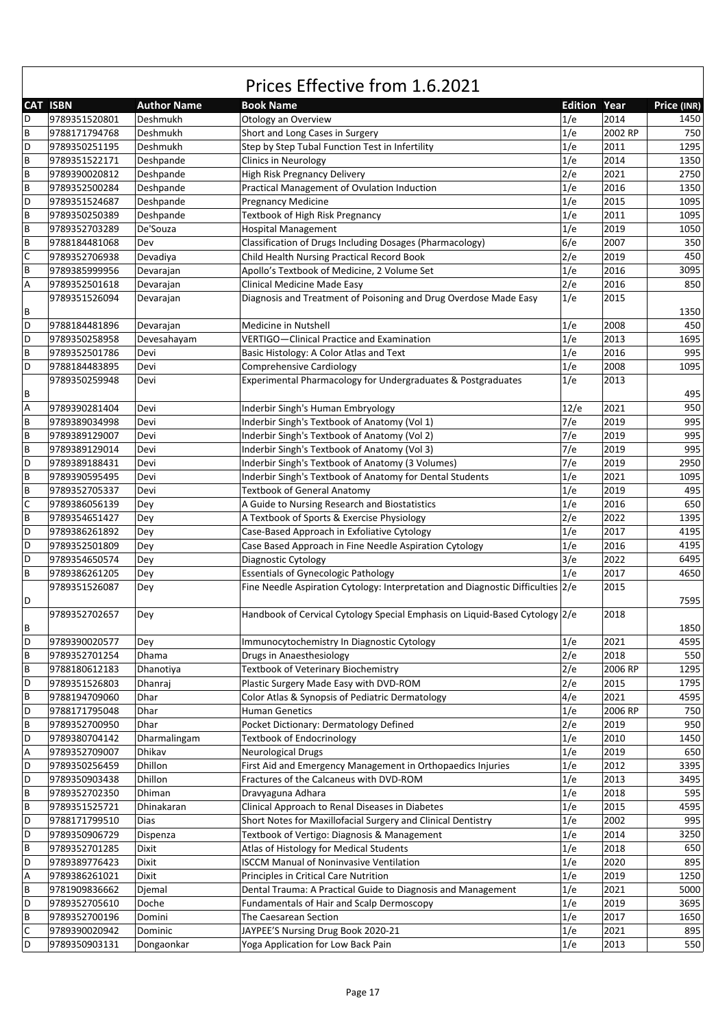|                           | <b>CAT ISBN</b> | <b>Author Name</b> | <b>Book Name</b>                                                                | <b>Edition Year</b> |         | Price (INR) |
|---------------------------|-----------------|--------------------|---------------------------------------------------------------------------------|---------------------|---------|-------------|
| D                         | 9789351520801   | Deshmukh           | Otology an Overview                                                             | 1/e                 | 2014    | 1450        |
| $\sf B$                   | 9788171794768   | Deshmukh           | Short and Long Cases in Surgery                                                 | 1/e                 | 2002 RP | 750         |
| D                         | 9789350251195   | Deshmukh           | Step by Step Tubal Function Test in Infertility                                 | 1/e                 | 2011    | 1295        |
| $\sf{B}$                  |                 |                    |                                                                                 |                     |         |             |
|                           | 9789351522171   | Deshpande          | <b>Clinics in Neurology</b>                                                     | 1/e                 | 2014    | 1350        |
| $\sf B$                   | 9789390020812   | Deshpande          | High Risk Pregnancy Delivery                                                    | 2/e                 | 2021    | 2750        |
| $\sf B$                   | 9789352500284   | Deshpande          | Practical Management of Ovulation Induction                                     | 1/e                 | 2016    | 1350        |
| D                         | 9789351524687   | Deshpande          | <b>Pregnancy Medicine</b>                                                       | 1/e                 | 2015    | 1095        |
| $\sf{B}$                  | 9789350250389   | Deshpande          | Textbook of High Risk Pregnancy                                                 | 1/e                 | 2011    | 1095        |
| $\sf B$                   | 9789352703289   | De'Souza           | Hospital Management                                                             | 1/e                 | 2019    | 1050        |
| $\sf B$                   | 9788184481068   | Dev                | Classification of Drugs Including Dosages (Pharmacology)                        | 6/e                 | 2007    | 350         |
| $\mathsf{C}$              | 9789352706938   | Devadiya           | Child Health Nursing Practical Record Book                                      | 2/e                 | 2019    | 450         |
| $\sf B$                   | 9789385999956   | Devarajan          | Apollo's Textbook of Medicine, 2 Volume Set                                     | 1/e                 | 2016    | 3095        |
| $\boldsymbol{\mathsf{A}}$ | 9789352501618   | Devarajan          | Clinical Medicine Made Easy                                                     | 2/e                 | 2016    | 850         |
|                           | 9789351526094   | Devarajan          | Diagnosis and Treatment of Poisoning and Drug Overdose Made Easy                | 1/e                 | 2015    |             |
| B                         |                 |                    |                                                                                 |                     |         | 1350        |
| D                         | 9788184481896   | Devarajan          | Medicine in Nutshell                                                            | 1/e                 | 2008    | 450         |
| D                         | 9789350258958   | Devesahayam        | VERTIGO-Clinical Practice and Examination                                       | 1/e                 | 2013    | 1695        |
| $\sf B$                   | 9789352501786   | Devi               | Basic Histology: A Color Atlas and Text                                         | 1/e                 | 2016    | 995         |
| D                         |                 |                    |                                                                                 |                     |         |             |
|                           | 9788184483895   | Devi               | <b>Comprehensive Cardiology</b>                                                 | 1/e                 | 2008    | 1095        |
|                           | 9789350259948   | Devi               | Experimental Pharmacology for Undergraduates & Postgraduates                    | 1/e                 | 2013    |             |
| B                         |                 |                    |                                                                                 |                     |         | 495         |
| A                         | 9789390281404   | Devi               | Inderbir Singh's Human Embryology                                               | 12/e                | 2021    | 950         |
| $\sf B$                   | 9789389034998   | Devi               | Inderbir Singh's Textbook of Anatomy (Vol 1)                                    | 7/e                 | 2019    | 995         |
| $\sf B$                   | 9789389129007   | Devi               | Inderbir Singh's Textbook of Anatomy (Vol 2)                                    | 7/e                 | 2019    | 995         |
| $\sf B$                   | 9789389129014   | Devi               | Inderbir Singh's Textbook of Anatomy (Vol 3)                                    | 7/e                 | 2019    | 995         |
| D                         | 9789389188431   | Devi               | Inderbir Singh's Textbook of Anatomy (3 Volumes)                                | 7/e                 | 2019    | 2950        |
| $\sf{B}$                  | 9789390595495   | Devi               | Inderbir Singh's Textbook of Anatomy for Dental Students                        | 1/e                 | 2021    | 1095        |
| $\sf{B}$                  | 9789352705337   | Devi               | <b>Textbook of General Anatomy</b>                                              | 1/e                 | 2019    | 495         |
| $\mathsf{C}$              | 9789386056139   | Dey                | A Guide to Nursing Research and Biostatistics                                   | 1/e                 | 2016    | 650         |
| $\sf{B}$                  | 9789354651427   | Dey                | A Textbook of Sports & Exercise Physiology                                      | 2/e                 | 2022    | 1395        |
| D                         | 9789386261892   | Dey                | Case-Based Approach in Exfoliative Cytology                                     | 1/e                 | 2017    | 4195        |
| D                         | 9789352501809   | Dey                | Case Based Approach in Fine Needle Aspiration Cytology                          | 1/e                 | 2016    | 4195        |
| D                         | 9789354650574   | Dey                | Diagnostic Cytology                                                             | 3/e                 | 2022    | 6495        |
| $\sf B$                   | 9789386261205   |                    | <b>Essentials of Gynecologic Pathology</b>                                      | 1/e                 | 2017    | 4650        |
|                           |                 | Dey                |                                                                                 |                     |         |             |
|                           | 9789351526087   | Dey                | Fine Needle Aspiration Cytology: Interpretation and Diagnostic Difficulties 2/e |                     | 2015    |             |
| D                         |                 |                    |                                                                                 |                     |         | 7595        |
|                           | 9789352702657   | Dey                | Handbook of Cervical Cytology Special Emphasis on Liquid-Based Cytology 2/e     |                     | 2018    |             |
| B                         |                 |                    |                                                                                 |                     |         | 1850        |
| $\mathsf D$               | 9789390020577   | Dey                | Immunocytochemistry In Diagnostic Cytology                                      | 1/e                 | 2021    | 4595        |
| $\sf B$                   | 9789352701254   | Dhama              | Drugs in Anaesthesiology                                                        | 2/e                 | 2018    | 550         |
| B                         | 9788180612183   | Dhanotiya          | Textbook of Veterinary Biochemistry                                             | 2/e                 | 2006 RP | 1295        |
| D                         | 9789351526803   | Dhanrai            | Plastic Surgery Made Easy with DVD-ROM                                          | 2/e                 | 2015    | 1795        |
| $\sf B$                   | 9788194709060   | Dhar               | Color Atlas & Synopsis of Pediatric Dermatology                                 | 4/e                 | 2021    | 4595        |
| D                         | 9788171795048   | Dhar               | <b>Human Genetics</b>                                                           | 1/e                 | 2006 RP | 750         |
| $\sf B$                   | 9789352700950   | Dhar               | Pocket Dictionary: Dermatology Defined                                          | 2/e                 | 2019    | 950         |
| D                         | 9789380704142   | Dharmalingam       | <b>Textbook of Endocrinology</b>                                                | 1/e                 | 2010    | 1450        |
| A                         | 9789352709007   | Dhikav             | <b>Neurological Drugs</b>                                                       | 1/e                 | 2019    | 650         |
| D                         | 9789350256459   | Dhillon            | First Aid and Emergency Management in Orthopaedics Injuries                     | 1/e                 | 2012    | 3395        |
| D                         | 9789350903438   | Dhillon            | Fractures of the Calcaneus with DVD-ROM                                         | 1/e                 | 2013    | 3495        |
| $\sf B$                   | 9789352702350   | Dhiman             | Dravyaguna Adhara                                                               | 1/e                 | 2018    | 595         |
| $\sf B$                   |                 |                    |                                                                                 |                     |         | 4595        |
|                           | 9789351525721   | Dhinakaran         | Clinical Approach to Renal Diseases in Diabetes                                 | 1/e                 | 2015    |             |
| D                         | 9788171799510   | Dias               | Short Notes for Maxillofacial Surgery and Clinical Dentistry                    | 1/e                 | 2002    | 995         |
| D                         | 9789350906729   | Dispenza           | Textbook of Vertigo: Diagnosis & Management                                     | 1/e                 | 2014    | 3250        |
| $\sf{B}$                  | 9789352701285   | Dixit              | Atlas of Histology for Medical Students                                         | 1/e                 | 2018    | 650         |
| D                         | 9789389776423   | Dixit              | <b>ISCCM Manual of Noninvasive Ventilation</b>                                  | 1/e                 | 2020    | 895         |
| A                         | 9789386261021   | Dixit              | Principles in Critical Care Nutrition                                           | 1/e                 | 2019    | 1250        |
| $\sf B$                   | 9781909836662   | Djemal             | Dental Trauma: A Practical Guide to Diagnosis and Management                    | 1/e                 | 2021    | 5000        |
| D                         | 9789352705610   | Doche              | Fundamentals of Hair and Scalp Dermoscopy                                       | 1/e                 | 2019    | 3695        |
| $\sf B$                   | 9789352700196   | Domini             | The Caesarean Section                                                           | 1/e                 | 2017    | 1650        |
| $\mathsf C$               | 9789390020942   | Dominic            | JAYPEE'S Nursing Drug Book 2020-21                                              | 1/e                 | 2021    | 895         |
| D                         | 9789350903131   | Dongaonkar         | Yoga Application for Low Back Pain                                              | 1/e                 | 2013    | 550         |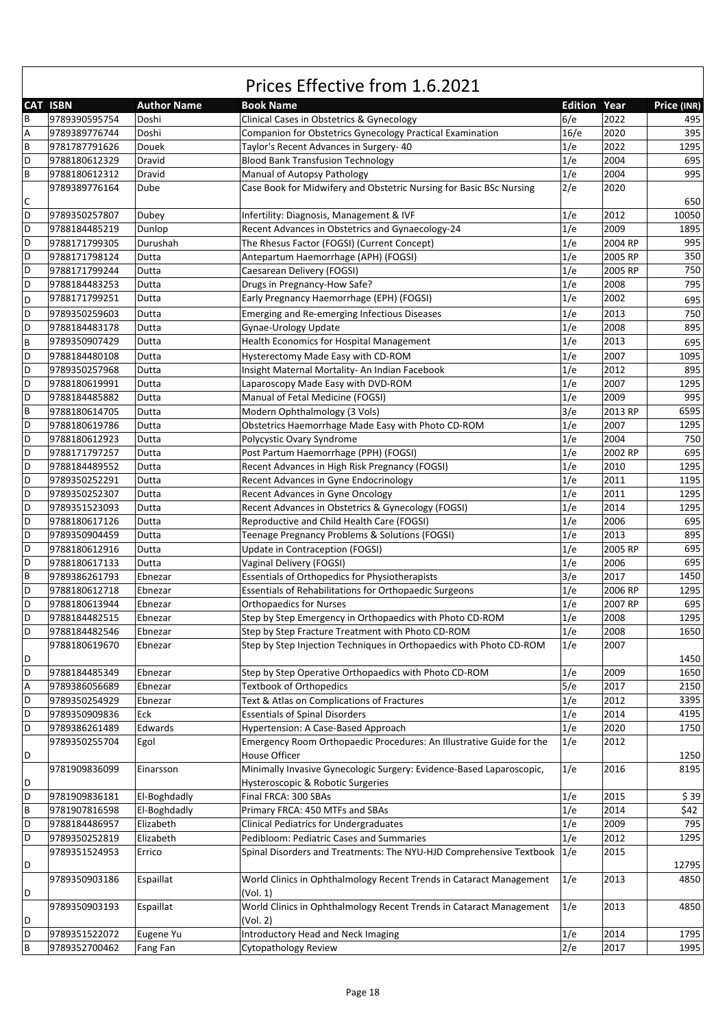|         | <b>CAT ISBN</b> | <b>Author Name</b> | <b>Book Name</b>                                                                   | <b>Edition Year</b> |         | Price (INR) |
|---------|-----------------|--------------------|------------------------------------------------------------------------------------|---------------------|---------|-------------|
| B       | 9789390595754   | Doshi              | Clinical Cases in Obstetrics & Gynecology                                          | 6/e                 | 2022    | 495         |
| А       | 9789389776744   | Doshi              | Companion for Obstetrics Gynecology Practical Examination                          | 16/e                | 2020    | 395         |
| B       | 9781787791626   | Douek              | Taylor's Recent Advances in Surgery- 40                                            | 1/e                 | 2022    | 1295        |
| D       | 9788180612329   | Dravid             | <b>Blood Bank Transfusion Technology</b>                                           | 1/e                 | 2004    | 695         |
| B       | 9788180612312   | Dravid             | Manual of Autopsy Pathology                                                        | 1/e                 | 2004    | 995         |
|         | 9789389776164   | Dube               | Case Book for Midwifery and Obstetric Nursing for Basic BSc Nursing                | 2/e                 | 2020    |             |
| С       |                 |                    |                                                                                    |                     |         | 650         |
| D       | 9789350257807   | Dubey              | Infertility: Diagnosis, Management & IVF                                           | 1/e                 | 2012    | 10050       |
| D       | 9788184485219   | Dunlop             | Recent Advances in Obstetrics and Gynaecology-24                                   | 1/e                 | 2009    | 1895        |
| D       | 9788171799305   | Durushah           | The Rhesus Factor (FOGSI) (Current Concept)                                        | 1/e                 | 2004 RP | 995         |
| D       | 9788171798124   | Dutta              | Antepartum Haemorrhage (APH) (FOGSI)                                               | 1/e                 | 2005 RP | 350         |
| D       | 9788171799244   | Dutta              | Caesarean Delivery (FOGSI)                                                         | 1/e                 | 2005 RP | 750         |
| D       | 9788184483253   | Dutta              | Drugs in Pregnancy-How Safe?                                                       | 1/e                 | 2008    | 795         |
| D       | 9788171799251   | Dutta              | Early Pregnancy Haemorrhage (EPH) (FOGSI)                                          | 1/e                 | 2002    | 695         |
| D       |                 |                    |                                                                                    | 1/e                 | 2013    |             |
|         | 9789350259603   | Dutta              | Emerging and Re-emerging Infectious Diseases                                       |                     |         | 750         |
| D       | 9788184483178   | Dutta              | Gynae-Urology Update                                                               | 1/e                 | 2008    | 895         |
| B       | 9789350907429   | Dutta              | Health Economics for Hospital Management                                           | 1/e                 | 2013    | 695         |
| D       | 9788184480108   | Dutta              | Hysterectomy Made Easy with CD-ROM                                                 | 1/e                 | 2007    | 1095        |
| D       | 9789350257968   | Dutta              | Insight Maternal Mortality- An Indian Facebook                                     | 1/e                 | 2012    | 895         |
| D       | 9788180619991   | Dutta              | Laparoscopy Made Easy with DVD-ROM                                                 | 1/e                 | 2007    | 1295        |
| D       | 9788184485882   | Dutta              | Manual of Fetal Medicine (FOGSI)                                                   | 1/e                 | 2009    | 995         |
| $\sf B$ | 9788180614705   | Dutta              | Modern Ophthalmology (3 Vols)                                                      | 3/e                 | 2013 RP | 6595        |
| D       | 9788180619786   | Dutta              | Obstetrics Haemorrhage Made Easy with Photo CD-ROM                                 | 1/e                 | 2007    | 1295        |
| D       | 9788180612923   | Dutta              | Polycystic Ovary Syndrome                                                          | 1/e                 | 2004    | 750         |
| D       | 9788171797257   | Dutta              | Post Partum Haemorrhage (PPH) (FOGSI)                                              | 1/e                 | 2002 RP | 695         |
| D       | 9788184489552   | Dutta              | Recent Advances in High Risk Pregnancy (FOGSI)                                     | 1/e                 | 2010    | 1295        |
| D       | 9789350252291   | Dutta              | Recent Advances in Gyne Endocrinology                                              | 1/e                 | 2011    | 1195        |
| D       | 9789350252307   | Dutta              | Recent Advances in Gyne Oncology                                                   | 1/e                 | 2011    | 1295        |
| D       | 9789351523093   | Dutta              | Recent Advances in Obstetrics & Gynecology (FOGSI)                                 | 1/e                 | 2014    | 1295        |
| D       | 9788180617126   | Dutta              | Reproductive and Child Health Care (FOGSI)                                         | 1/e                 | 2006    | 695         |
| D       | 9789350904459   | Dutta              | Teenage Pregnancy Problems & Solutions (FOGSI)                                     | 1/e                 | 2013    | 895         |
| D       | 9788180612916   | Dutta              | Update in Contraception (FOGSI)                                                    | 1/e                 | 2005 RP | 695         |
| D       | 9788180617133   | Dutta              | Vaginal Delivery (FOGSI)                                                           | 1/e                 | 2006    | 695         |
| B       | 9789386261793   | Ebnezar            | Essentials of Orthopedics for Physiotherapists                                     | 3/e                 | 2017    | 1450        |
| D       | 9788180612718   | Ebnezar            | Essentials of Rehabilitations for Orthopaedic Surgeons                             | 1/e                 | 2006 RP | 1295        |
| D       | 9788180613944   | Ebnezar            | <b>Orthopaedics for Nurses</b>                                                     | 1/e                 | 2007 RP | 695         |
| D       | 9788184482515   | Ebnezar            | Step by Step Emergency in Orthopaedics with Photo CD-ROM                           | 1/e                 | 2008    | 1295        |
| D       | 9788184482546   | Ebnezar            | Step by Step Fracture Treatment with Photo CD-ROM                                  | 1/e                 | 2008    | 1650        |
|         | 9788180619670   | Ebnezar            | Step by Step Injection Techniques in Orthopaedics with Photo CD-ROM                | 1/e                 | 2007    |             |
| D       |                 |                    |                                                                                    |                     |         | 1450        |
| D       | 9788184485349   | Ebnezar            | Step by Step Operative Orthopaedics with Photo CD-ROM                              | 1/e                 | 2009    | 1650        |
| A       | 9789386056689   | Ebnezar            | <b>Textbook of Orthopedics</b>                                                     | 5/e                 | 2017    | 2150        |
| D       | 9789350254929   | Ebnezar            | Text & Atlas on Complications of Fractures                                         | 1/e                 | 2012    | 3395        |
| D       | 9789350909836   | Eck                | <b>Essentials of Spinal Disorders</b>                                              | 1/e                 | 2014    | 4195        |
| D       | 9789386261489   | Edwards            | Hypertension: A Case-Based Approach                                                | 1/e                 | 2020    | 1750        |
|         | 9789350255704   | Egol               | Emergency Room Orthopaedic Procedures: An Illustrative Guide for the               | 1/e                 | 2012    |             |
| D       |                 |                    | House Officer                                                                      |                     |         | 1250        |
|         | 9781909836099   | Einarsson          | Minimally Invasive Gynecologic Surgery: Evidence-Based Laparoscopic,               | 1/e                 | 2016    | 8195        |
| D       |                 |                    | Hysteroscopic & Robotic Surgeries                                                  |                     |         |             |
| D       | 9781909836181   | El-Boghdadly       | Final FRCA: 300 SBAs                                                               | 1/e                 | 2015    | \$39        |
| B       | 9781907816598   |                    |                                                                                    | 1/e                 | 2014    | \$42        |
|         |                 | El-Boghdadly       | Primary FRCA: 450 MTFs and SBAs                                                    |                     |         |             |
| D<br>D  | 9788184486957   | Elizabeth          | Clinical Pediatrics for Undergraduates<br>Pedibloom: Pediatric Cases and Summaries | 1/e                 | 2009    | 795         |
|         | 9789350252819   | Elizabeth          |                                                                                    | 1/e                 | 2012    | 1295        |
|         | 9789351524953   | Errico             | Spinal Disorders and Treatments: The NYU-HJD Comprehensive Textbook 1/e            |                     | 2015    |             |
| D       |                 |                    |                                                                                    |                     |         | 12795       |
|         | 9789350903186   | Espaillat          | World Clinics in Ophthalmology Recent Trends in Cataract Management                | 1/e                 | 2013    | 4850        |
| D       |                 |                    | (Vol. 1)                                                                           |                     |         |             |
|         | 9789350903193   | Espaillat          | World Clinics in Ophthalmology Recent Trends in Cataract Management                | 1/e                 | 2013    | 4850        |
| D       |                 |                    | (Vol. 2)                                                                           |                     |         |             |
| D       | 9789351522072   | Eugene Yu          | Introductory Head and Neck Imaging                                                 | 1/e                 | 2014    | 1795        |
| B       | 9789352700462   | Fang Fan           | Cytopathology Review                                                               | 2/e                 | 2017    | 1995        |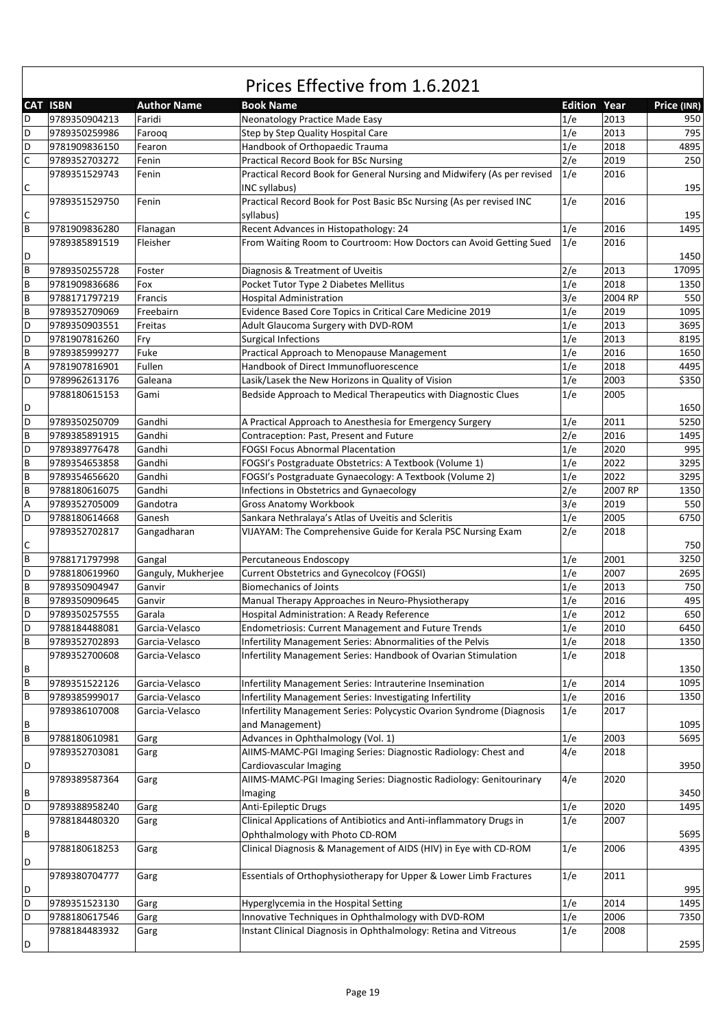|                         | <b>CAT ISBN</b> | <b>Author Name</b> | <b>Book Name</b>                                                        | <b>Edition Year</b> |         | Price (INR) |
|-------------------------|-----------------|--------------------|-------------------------------------------------------------------------|---------------------|---------|-------------|
| D                       | 9789350904213   | Faridi             | Neonatology Practice Made Easy                                          | 1/e                 | 2013    | 950         |
| D                       | 9789350259986   | Faroog             | Step by Step Quality Hospital Care                                      | 1/e                 | 2013    | 795         |
| D                       | 9781909836150   | Fearon             | Handbook of Orthopaedic Trauma                                          | 1/e                 | 2018    | 4895        |
| $\mathsf C$             | 9789352703272   | Fenin              | <b>Practical Record Book for BSc Nursing</b>                            | 2/e                 | 2019    | 250         |
|                         | 9789351529743   | Fenin              | Practical Record Book for General Nursing and Midwifery (As per revised | 1/e                 | 2016    |             |
| С                       |                 |                    | INC syllabus)                                                           |                     |         | 195         |
|                         | 9789351529750   | Fenin              | Practical Record Book for Post Basic BSc Nursing (As per revised INC    | 1/e                 | 2016    |             |
| C                       |                 |                    | syllabus)                                                               |                     |         | 195         |
| B                       | 9781909836280   | Flanagan           | Recent Advances in Histopathology: 24                                   | 1/e                 | 2016    | 1495        |
|                         | 9789385891519   | Fleisher           | From Waiting Room to Courtroom: How Doctors can Avoid Getting Sued      | 1/e                 | 2016    |             |
| D                       |                 |                    |                                                                         |                     |         | 1450        |
| B                       | 9789350255728   | Foster             | Diagnosis & Treatment of Uveitis                                        | 2/e                 | 2013    | 17095       |
| B                       | 9781909836686   | Fox                | Pocket Tutor Type 2 Diabetes Mellitus                                   | 1/e                 | 2018    | 1350        |
| B                       | 9788171797219   | Francis            | <b>Hospital Administration</b>                                          | 3/e                 | 2004 RP | 550         |
| B                       | 9789352709069   | Freebairn          | Evidence Based Core Topics in Critical Care Medicine 2019               | 1/e                 | 2019    | 1095        |
| D                       | 9789350903551   | Freitas            | Adult Glaucoma Surgery with DVD-ROM                                     | 1/e                 | 2013    | 3695        |
| D                       | 9781907816260   | Fry                | <b>Surgical Infections</b>                                              | 1/e                 | 2013    | 8195        |
| $\sf B$                 | 9789385999277   | Fuke               | Practical Approach to Menopause Management                              | 1/e                 | 2016    | 1650        |
| A                       | 9781907816901   | Fullen             | Handbook of Direct Immunofluorescence                                   | 1/e                 | 2018    | 4495        |
| D                       | 9789962613176   | Galeana            | Lasik/Lasek the New Horizons in Quality of Vision                       | 1/e                 | 2003    | \$350       |
|                         | 9788180615153   | Gami               | Bedside Approach to Medical Therapeutics with Diagnostic Clues          | 1/e                 | 2005    |             |
| D                       |                 |                    |                                                                         |                     |         | 1650        |
| D                       | 9789350250709   | Gandhi             | A Practical Approach to Anesthesia for Emergency Surgery                | 1/e                 | 2011    | 5250        |
| B                       | 9789385891915   | Gandhi             | Contraception: Past, Present and Future                                 | 2/e                 | 2016    | 1495        |
| D                       | 9789389776478   | Gandhi             | <b>FOGSI Focus Abnormal Placentation</b>                                | 1/e                 | 2020    | 995         |
| B                       | 9789354653858   | Gandhi             | FOGSI's Postgraduate Obstetrics: A Textbook (Volume 1)                  | 1/e                 | 2022    | 3295        |
| $\sf B$                 | 9789354656620   | Gandhi             | FOGSI's Postgraduate Gynaecology: A Textbook (Volume 2)                 | 1/e                 | 2022    | 3295        |
| $\sf B$                 | 9788180616075   | Gandhi             | Infections in Obstetrics and Gynaecology                                | 2/e                 | 2007 RP | 1350        |
| Α                       | 9789352705009   | Gandotra           | Gross Anatomy Workbook                                                  | 3/e                 | 2019    | 550         |
| D                       | 9788180614668   | Ganesh             | Sankara Nethralaya's Atlas of Uveitis and Scleritis                     | 1/e                 | 2005    | 6750        |
|                         | 9789352702817   | Gangadharan        | VIJAYAM: The Comprehensive Guide for Kerala PSC Nursing Exam            | 2/e                 | 2018    |             |
| С                       |                 |                    |                                                                         |                     |         | 750         |
| B                       | 9788171797998   | Gangal             | Percutaneous Endoscopy                                                  | 1/e                 | 2001    | 3250        |
| D                       | 9788180619960   | Ganguly, Mukherjee | <b>Current Obstetrics and Gynecolcoy (FOGSI)</b>                        | 1/e                 | 2007    | 2695        |
| B                       | 9789350904947   | Ganvir             | <b>Biomechanics of Joints</b>                                           | 1/e                 | 2013    | 750         |
| B                       | 9789350909645   | Ganvir             | Manual Therapy Approaches in Neuro-Physiotherapy                        | 1/e                 | 2016    | 495         |
| D                       | 9789350257555   | Garala             | Hospital Administration: A Ready Reference                              | 1/e                 | 2012    | 650         |
| D                       | 9788184488081   | Garcia-Velasco     | Endometriosis: Current Management and Future Trends                     | 1/e                 | 2010    | 6450        |
| $\overline{\mathsf{B}}$ | 9789352702893   | Garcia-Velasco     | Infertility Management Series: Abnormalities of the Pelvis              | 1/e                 | 2018    | 1350        |
|                         | 9789352700608   | Garcia-Velasco     | Infertility Management Series: Handbook of Ovarian Stimulation          | 1/e                 | 2018    |             |
| В                       |                 |                    |                                                                         |                     |         | 1350        |
| B                       | 9789351522126   | Garcia-Velasco     | Infertility Management Series: Intrauterine Insemination                | 1/e                 | 2014    | 1095        |
| B                       | 9789385999017   | Garcia-Velasco     | Infertility Management Series: Investigating Infertility                | 1/e                 | 2016    | 1350        |
|                         | 9789386107008   | Garcia-Velasco     | Infertility Management Series: Polycystic Ovarion Syndrome (Diagnosis   | 1/e                 | 2017    |             |
| В                       |                 |                    | and Management)                                                         |                     |         | 1095        |
| B                       | 9788180610981   | Garg               | Advances in Ophthalmology (Vol. 1)                                      | 1/e                 | 2003    | 5695        |
|                         | 9789352703081   | Garg               | AIIMS-MAMC-PGI Imaging Series: Diagnostic Radiology: Chest and          | 4/e                 | 2018    |             |
| D                       |                 |                    | Cardiovascular Imaging                                                  |                     |         | 3950        |
|                         | 9789389587364   | Garg               | AIIMS-MAMC-PGI Imaging Series: Diagnostic Radiology: Genitourinary      | 4/e                 | 2020    |             |
| В                       |                 |                    | Imaging                                                                 |                     |         | 3450        |
| D                       | 9789388958240   | Garg               | Anti-Epileptic Drugs                                                    | 1/e                 | 2020    | 1495        |
|                         | 9788184480320   | Garg               | Clinical Applications of Antibiotics and Anti-inflammatory Drugs in     | 1/e                 | 2007    |             |
| В                       |                 |                    | Ophthalmology with Photo CD-ROM                                         |                     |         | 5695        |
|                         | 9788180618253   | Garg               | Clinical Diagnosis & Management of AIDS (HIV) in Eye with CD-ROM        | 1/e                 | 2006    | 4395        |
| D                       |                 |                    |                                                                         |                     |         |             |
|                         | 9789380704777   | Garg               | Essentials of Orthophysiotherapy for Upper & Lower Limb Fractures       | 1/e                 | 2011    |             |
| D                       |                 |                    |                                                                         |                     |         | 995         |
| D                       | 9789351523130   | Garg               | Hyperglycemia in the Hospital Setting                                   | 1/e                 | 2014    | 1495        |
| D                       | 9788180617546   | Garg               | Innovative Techniques in Ophthalmology with DVD-ROM                     | 1/e                 | 2006    | 7350        |
|                         | 9788184483932   | Garg               | Instant Clinical Diagnosis in Ophthalmology: Retina and Vitreous        | 1/e                 | 2008    |             |
| D                       |                 |                    |                                                                         |                     |         | 2595        |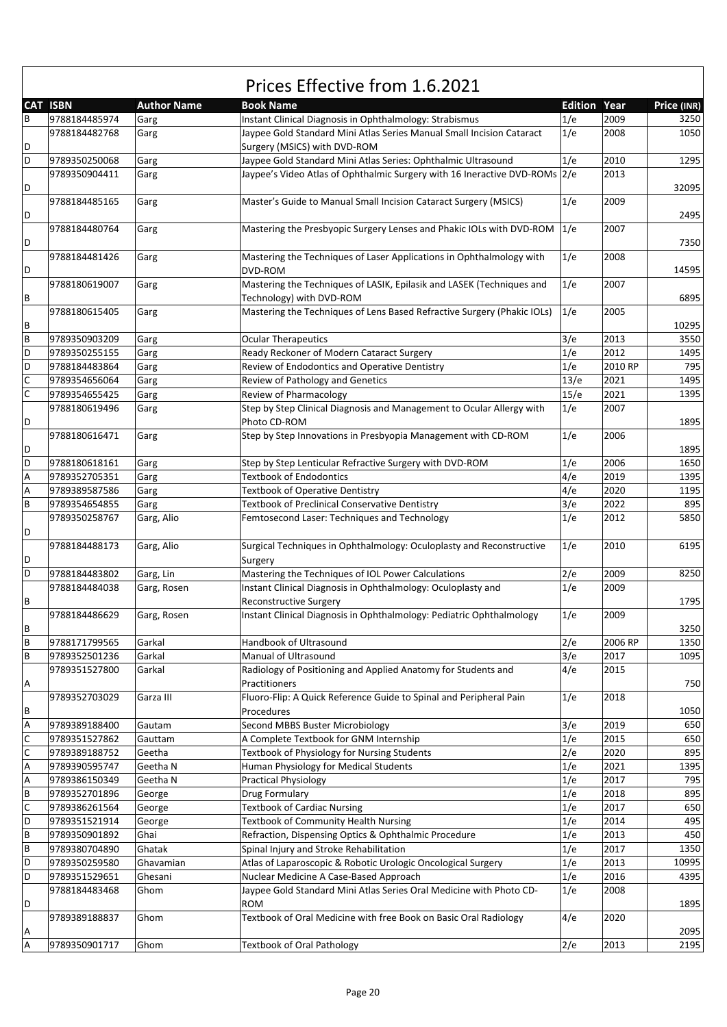|   | <b>CAT ISBN</b> | <b>Author Name</b> | <b>Book Name</b>                                                                                      | <b>Edition Year</b> |         | Price (INR) |
|---|-----------------|--------------------|-------------------------------------------------------------------------------------------------------|---------------------|---------|-------------|
| В | 9788184485974   | Garg               | Instant Clinical Diagnosis in Ophthalmology: Strabismus                                               | 1/e                 | 2009    | 3250        |
| D | 9788184482768   | Garg               | Jaypee Gold Standard Mini Atlas Series Manual Small Incision Cataract<br>Surgery (MSICS) with DVD-ROM | 1/e                 | 2008    | 1050        |
| D | 9789350250068   | Garg               | Jaypee Gold Standard Mini Atlas Series: Ophthalmic Ultrasound                                         | 1/e                 | 2010    | 1295        |
| D | 9789350904411   | Garg               | Jaypee's Video Atlas of Ophthalmic Surgery with 16 Ineractive DVD-ROMs 2/e                            |                     | 2013    | 32095       |
|   | 9788184485165   | Garg               | Master's Guide to Manual Small Incision Cataract Surgery (MSICS)                                      | 1/e                 | 2009    |             |
| D | 9788184480764   | Garg               | Mastering the Presbyopic Surgery Lenses and Phakic IOLs with DVD-ROM                                  | 1/e                 | 2007    | 2495        |
| D | 9788184481426   | Garg               | Mastering the Techniques of Laser Applications in Ophthalmology with                                  | 1/e                 | 2008    | 7350        |
| D |                 |                    | DVD-ROM                                                                                               |                     |         | 14595       |
| В | 9788180619007   | Garg               | Mastering the Techniques of LASIK, Epilasik and LASEK (Techniques and<br>Technology) with DVD-ROM     | 1/e                 | 2007    | 6895        |
| В | 9788180615405   | Garg               | Mastering the Techniques of Lens Based Refractive Surgery (Phakic IOLs)                               | 1/e                 | 2005    | 10295       |
| B | 9789350903209   | Garg               | <b>Ocular Therapeutics</b>                                                                            | 3/e                 | 2013    | 3550        |
| D | 9789350255155   | Garg               | Ready Reckoner of Modern Cataract Surgery                                                             | 1/e                 | 2012    | 1495        |
| D | 9788184483864   | Garg               | Review of Endodontics and Operative Dentistry                                                         | 1/e                 | 2010 RP | 795         |
| С | 9789354656064   | Garg               | Review of Pathology and Genetics                                                                      | 13/e                | 2021    | 1495        |
| C | 9789354655425   | Garg               | Review of Pharmacology                                                                                | 15/e                | 2021    | 1395        |
|   | 9788180619496   | Garg               | Step by Step Clinical Diagnosis and Management to Ocular Allergy with                                 | 1/e                 | 2007    |             |
| D |                 |                    | Photo CD-ROM                                                                                          |                     |         | 1895        |
| D | 9788180616471   | Garg               | Step by Step Innovations in Presbyopia Management with CD-ROM                                         | 1/e                 | 2006    | 1895        |
| D | 9788180618161   | Garg               | Step by Step Lenticular Refractive Surgery with DVD-ROM                                               | 1/e                 | 2006    | 1650        |
| А | 9789352705351   | Garg               | <b>Textbook of Endodontics</b>                                                                        | 4/e                 | 2019    | 1395        |
| А | 9789389587586   | Garg               | <b>Textbook of Operative Dentistry</b>                                                                | 4/e                 | 2020    | 1195        |
| B | 9789354654855   | Garg               | <b>Textbook of Preclinical Conservative Dentistry</b>                                                 | 3/e                 | 2022    | 895         |
| D | 9789350258767   | Garg, Alio         | Femtosecond Laser: Techniques and Technology                                                          | 1/e                 | 2012    | 5850        |
| D | 9788184488173   | Garg, Alio         | Surgical Techniques in Ophthalmology: Oculoplasty and Reconstructive<br>Surgery                       | 1/e                 | 2010    | 6195        |
| D | 9788184483802   | Garg, Lin          | Mastering the Techniques of IOL Power Calculations                                                    | 2/e                 | 2009    | 8250        |
|   | 9788184484038   | Garg, Rosen        | Instant Clinical Diagnosis in Ophthalmology: Oculoplasty and                                          | 1/e                 | 2009    |             |
| В |                 |                    | Reconstructive Surgery                                                                                |                     |         | 1795        |
|   | 9788184486629   |                    | Instant Clinical Diagnosis in Ophthalmology: Pediatric Ophthalmology                                  | 1/e                 | 2009    |             |
| В |                 | Garg, Rosen        |                                                                                                       |                     |         | 3250        |
| В | 9788171799565   | Garkal             | Handbook of Ultrasound                                                                                | 2/e                 | 2006 RP | 1350        |
| В | 9789352501236   | Garkal             | Manual of Ultrasound                                                                                  | 3/e                 | 2017    | 1095        |
| Α | 9789351527800   | Garkal             | Radiology of Positioning and Applied Anatomy for Students and<br>Practitioners                        | 4/e                 | 2015    | 750         |
| В | 9789352703029   | Garza III          | Fluoro-Flip: A Quick Reference Guide to Spinal and Peripheral Pain<br>Procedures                      | 1/e                 | 2018    | 1050        |
| А | 9789389188400   | Gautam             | Second MBBS Buster Microbiology                                                                       | 3/e                 | 2019    | 650         |
| С | 9789351527862   | Gauttam            | A Complete Textbook for GNM Internship                                                                | 1/e                 | 2015    | 650         |
| С | 9789389188752   | Geetha             | Textbook of Physiology for Nursing Students                                                           | 2/e                 | 2020    | 895         |
| А | 9789390595747   | Geetha N           | Human Physiology for Medical Students                                                                 | 1/e                 | 2021    | 1395        |
| А | 9789386150349   | Geetha N           | <b>Practical Physiology</b>                                                                           | 1/e                 | 2017    | 795         |
| В | 9789352701896   | George             | Drug Formulary                                                                                        | 1/e                 | 2018    | 895         |
| С | 9789386261564   | George             | <b>Textbook of Cardiac Nursing</b>                                                                    | 1/e                 | 2017    | 650         |
| D | 9789351521914   |                    | Textbook of Community Health Nursing                                                                  | 1/e                 | 2014    | 495         |
|   |                 | George             |                                                                                                       |                     |         |             |
| B | 9789350901892   | Ghai               | Refraction, Dispensing Optics & Ophthalmic Procedure                                                  | 1/e                 | 2013    | 450         |
| В | 9789380704890   | Ghatak             | Spinal Injury and Stroke Rehabilitation                                                               | 1/e                 | 2017    | 1350        |
| D | 9789350259580   | Ghavamian          | Atlas of Laparoscopic & Robotic Urologic Oncological Surgery                                          | 1/e                 | 2013    | 10995       |
| D | 9789351529651   | Ghesani            | Nuclear Medicine A Case-Based Approach                                                                | 1/e                 | 2016    | 4395        |
| D | 9788184483468   | Ghom               | Jaypee Gold Standard Mini Atlas Series Oral Medicine with Photo CD-<br><b>ROM</b>                     | 1/e                 | 2008    | 1895        |
| А | 9789389188837   | Ghom               | Textbook of Oral Medicine with free Book on Basic Oral Radiology                                      | 4/e                 | 2020    | 2095        |
| А | 9789350901717   | Ghom               | <b>Textbook of Oral Pathology</b>                                                                     | 2/e                 | 2013    | 2195        |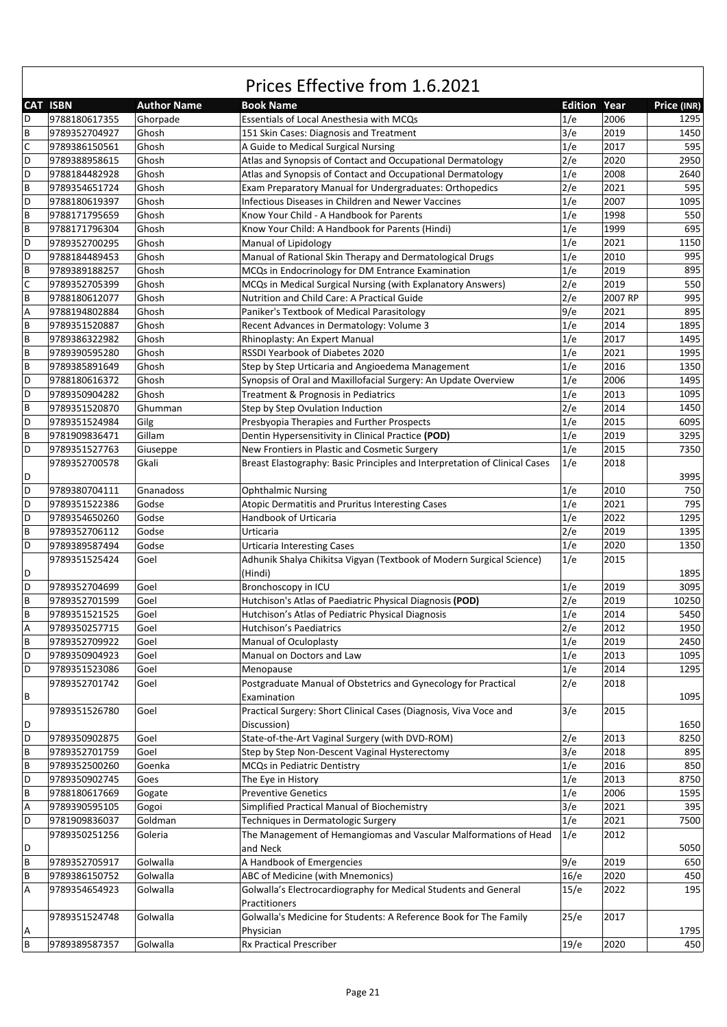|   | CAT ISBN      | <b>Author Name</b> | <b>Book Name</b>                                                           | <b>Edition Year</b> |         | Price (INR) |
|---|---------------|--------------------|----------------------------------------------------------------------------|---------------------|---------|-------------|
| D | 9788180617355 | Ghorpade           | Essentials of Local Anesthesia with MCQs                                   | 1/e                 | 2006    | 1295        |
| B | 9789352704927 | Ghosh              | 151 Skin Cases: Diagnosis and Treatment                                    | 3/e                 | 2019    | 1450        |
| C | 9789386150561 | Ghosh              | A Guide to Medical Surgical Nursing                                        | 1/e                 | 2017    | 595         |
| D | 9789388958615 | Ghosh              | Atlas and Synopsis of Contact and Occupational Dermatology                 | 2/e                 | 2020    | 2950        |
| D | 9788184482928 | Ghosh              | Atlas and Synopsis of Contact and Occupational Dermatology                 | 1/e                 | 2008    | 2640        |
| B | 9789354651724 | Ghosh              | Exam Preparatory Manual for Undergraduates: Orthopedics                    | 2/e                 | 2021    | 595         |
| D | 9788180619397 | Ghosh              | Infectious Diseases in Children and Newer Vaccines                         | 1/e                 | 2007    | 1095        |
| B | 9788171795659 | Ghosh              | Know Your Child - A Handbook for Parents                                   | 1/e                 | 1998    | 550         |
| B | 9788171796304 | Ghosh              | Know Your Child: A Handbook for Parents (Hindi)                            | 1/e                 | 1999    | 695         |
| D | 9789352700295 | Ghosh              | Manual of Lipidology                                                       | 1/e                 | 2021    | 1150        |
| D | 9788184489453 | Ghosh              | Manual of Rational Skin Therapy and Dermatological Drugs                   | 1/e                 | 2010    | 995         |
| B | 9789389188257 | Ghosh              | MCQs in Endocrinology for DM Entrance Examination                          | 1/e                 | 2019    | 895         |
| C | 9789352705399 | Ghosh              | MCQs in Medical Surgical Nursing (with Explanatory Answers)                | 2/e                 | 2019    | 550         |
| B | 9788180612077 | Ghosh              | Nutrition and Child Care: A Practical Guide                                | 2/e                 | 2007 RP | 995         |
| Α | 9788194802884 | Ghosh              |                                                                            | 9/e                 | 2021    | 895         |
|   |               |                    | Paniker's Textbook of Medical Parasitology                                 |                     |         |             |
| B | 9789351520887 | Ghosh              | Recent Advances in Dermatology: Volume 3                                   | 1/e                 | 2014    | 1895        |
| B | 9789386322982 | Ghosh              | Rhinoplasty: An Expert Manual                                              | 1/e                 | 2017    | 1495        |
| B | 9789390595280 | Ghosh              | RSSDI Yearbook of Diabetes 2020                                            | 1/e                 | 2021    | 1995        |
| B | 9789385891649 | Ghosh              | Step by Step Urticaria and Angioedema Management                           | 1/e                 | 2016    | 1350        |
| D | 9788180616372 | Ghosh              | Synopsis of Oral and Maxillofacial Surgery: An Update Overview             | 1/e                 | 2006    | 1495        |
| D | 9789350904282 | Ghosh              | Treatment & Prognosis in Pediatrics                                        | 1/e                 | 2013    | 1095        |
| B | 9789351520870 | Ghumman            | Step by Step Ovulation Induction                                           | 2/e                 | 2014    | 1450        |
| D | 9789351524984 | Gilg               | Presbyopia Therapies and Further Prospects                                 | 1/e                 | 2015    | 6095        |
| B | 9781909836471 | Gillam             | Dentin Hypersensitivity in Clinical Practice (POD)                         | 1/e                 | 2019    | 3295        |
| D | 9789351527763 | Giuseppe           | New Frontiers in Plastic and Cosmetic Surgery                              | 1/e                 | 2015    | 7350        |
|   | 9789352700578 | Gkali              | Breast Elastography: Basic Principles and Interpretation of Clinical Cases | 1/e                 | 2018    |             |
| D |               |                    |                                                                            |                     |         | 3995        |
| D | 9789380704111 | Gnanadoss          | <b>Ophthalmic Nursing</b>                                                  | 1/e                 | 2010    | 750         |
| D | 9789351522386 | Godse              | Atopic Dermatitis and Pruritus Interesting Cases                           | 1/e                 | 2021    | 795         |
| D | 9789354650260 | Godse              | Handbook of Urticaria                                                      | 1/e                 | 2022    | 1295        |
| B | 9789352706112 | Godse              | Urticaria                                                                  | 2/e                 | 2019    | 1395        |
| D | 9789389587494 | Godse              | <b>Urticaria Interesting Cases</b>                                         | 1/e                 | 2020    | 1350        |
|   | 9789351525424 | Goel               | Adhunik Shalya Chikitsa Vigyan (Textbook of Modern Surgical Science)       | 1/e                 | 2015    |             |
| D |               |                    | (Hindi)                                                                    |                     |         | 1895        |
| D | 9789352704699 | Goel               | Bronchoscopy in ICU                                                        | 1/e                 | 2019    | 3095        |
| B | 9789352701599 | Goel               | Hutchison's Atlas of Paediatric Physical Diagnosis (POD)                   | 2/e                 | 2019    | 10250       |
| B | 9789351521525 | Goel               | Hutchison's Atlas of Pediatric Physical Diagnosis                          | 1/e                 | 2014    | 5450        |
| Α | 9789350257715 | Goel               | Hutchison's Paediatrics                                                    | 2/e                 | 2012    | 1950        |
| B | 9789352709922 | Goel               | Manual of Oculoplasty                                                      | 1/e                 | 2019    | 2450        |
| D | 9789350904923 | Goel               | Manual on Doctors and Law                                                  | 1/e                 | 2013    | 1095        |
| D | 9789351523086 | Goel               | Menopause                                                                  | 1/e                 | 2014    | 1295        |
|   | 9789352701742 | Goel               | Postgraduate Manual of Obstetrics and Gynecology for Practical             | 2/e                 | 2018    |             |
| В |               |                    | Examination                                                                |                     |         | 1095        |
|   | 9789351526780 | Goel               | Practical Surgery: Short Clinical Cases (Diagnosis, Viva Voce and          | 3/e                 | 2015    |             |
| D |               |                    | Discussion)                                                                |                     |         | 1650        |
| D | 9789350902875 | Goel               | State-of-the-Art Vaginal Surgery (with DVD-ROM)                            | 2/e                 | 2013    | 8250        |
| B | 9789352701759 | Goel               | Step by Step Non-Descent Vaginal Hysterectomy                              | 3/e                 | 2018    | 895         |
| B | 9789352500260 | Goenka             | MCQs in Pediatric Dentistry                                                | 1/e                 | 2016    | 850         |
| D | 9789350902745 | Goes               | The Eye in History                                                         | 1/e                 | 2013    | 8750        |
| B | 9788180617669 | Gogate             | <b>Preventive Genetics</b>                                                 | 1/e                 | 2006    | 1595        |
| А | 9789390595105 | Gogoi              | Simplified Practical Manual of Biochemistry                                | 3/e                 | 2021    | 395         |
| D | 9781909836037 | Goldman            | Techniques in Dermatologic Surgery                                         | 1/e                 | 2021    | 7500        |
|   | 9789350251256 | Goleria            | The Management of Hemangiomas and Vascular Malformations of Head           | 1/e                 | 2012    |             |
| D |               |                    | and Neck                                                                   |                     |         | 5050        |
| B | 9789352705917 | Golwalla           | A Handbook of Emergencies                                                  | 9/e                 | 2019    | 650         |
| B | 9789386150752 | Golwalla           | ABC of Medicine (with Mnemonics)                                           | 16/e                | 2020    | 450         |
| Α | 9789354654923 | Golwalla           | Golwalla's Electrocardiography for Medical Students and General            | 15/e                | 2022    | 195         |
|   |               |                    | Practitioners                                                              |                     |         |             |
|   | 9789351524748 | Golwalla           | Golwalla's Medicine for Students: A Reference Book for The Family          | 25/e                | 2017    |             |
| Α |               |                    | Physician                                                                  |                     |         | 1795        |
| B | 9789389587357 | Golwalla           | Rx Practical Prescriber                                                    | 19/e                | 2020    | 450         |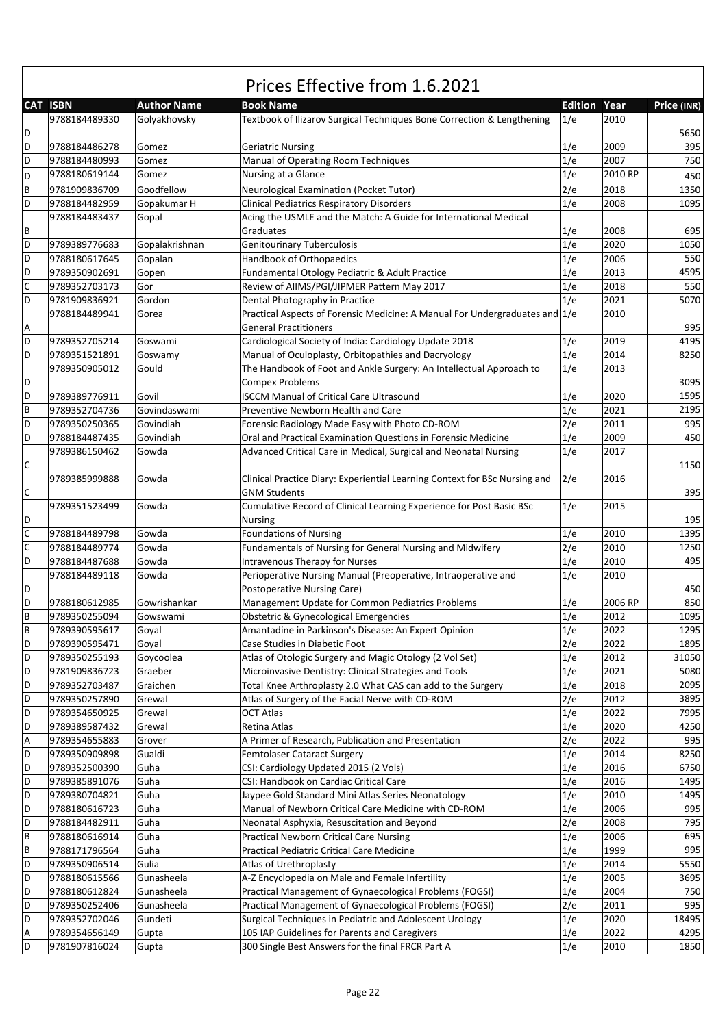| <b>CAT ISBN</b><br><b>Edition Year</b><br><b>Author Name</b><br><b>Book Name</b><br>Price (INR)<br>2010<br>9788184489330<br>Golyakhovsky<br>Textbook of Ilizarov Surgical Techniques Bone Correction & Lengthening<br>1/e<br>5650<br>D<br>D<br>9788184486278<br>1/e<br>2009<br>395<br>Gomez<br><b>Geriatric Nursing</b><br>D<br>1/e<br>2007<br>750<br>9788184480993<br>Gomez<br>Manual of Operating Room Techniques<br>1/e<br>2010 RP<br>Gomez<br>Nursing at a Glance<br>9788180619144<br>D<br>450<br>B<br>Goodfellow<br>2/e<br>9781909836709<br>Neurological Examination (Pocket Tutor)<br>2018<br>1350<br>D<br>1/e<br>2008<br>9788184482959<br>Gopakumar H<br><b>Clinical Pediatrics Respiratory Disorders</b><br>1095<br>Acing the USMLE and the Match: A Guide for International Medical<br>9788184483437<br>Gopal<br>В<br>2008<br>695<br>Graduates<br>1/e<br>D<br><b>Genitourinary Tuberculosis</b><br>1/e<br>2020<br>1050<br>9789389776683<br>Gopalakrishnan<br>D<br>Handbook of Orthopaedics<br>1/e<br>2006<br>550<br>9788180617645<br>Gopalan<br>D<br>Fundamental Otology Pediatric & Adult Practice<br>1/e<br>2013<br>4595<br>9789350902691<br>Gopen<br>C<br>1/e<br>550<br>9789352703173<br>Review of AIIMS/PGI/JIPMER Pattern May 2017<br>2018<br>Gor<br>D<br>2021<br>Gordon<br>Dental Photography in Practice<br>1/e<br>5070<br>9781909836921<br>Practical Aspects of Forensic Medicine: A Manual For Undergraduates and 1/e<br>2010<br>9788184489941<br>Gorea<br><b>General Practitioners</b><br>995<br>Α<br>D<br>Cardiological Society of India: Cardiology Update 2018<br>2019<br>4195<br>9789352705214<br>Goswami<br>1/e<br>1/e<br>D<br>Manual of Oculoplasty, Orbitopathies and Dacryology<br>2014<br>9789351521891<br>8250<br>Goswamy<br>The Handbook of Foot and Ankle Surgery: An Intellectual Approach to<br>1/e<br>2013<br>9789350905012<br>Gould<br>D<br><b>Compex Problems</b><br>3095<br>D<br>2020<br>1595<br>1/e<br>9789389776911<br>Govil<br><b>ISCCM Manual of Critical Care Ultrasound</b><br>B<br>2195<br>9789352704736<br>Govindaswami<br>Preventive Newborn Health and Care<br>1/e<br>2021<br>D<br>2/e<br>2011<br>995<br>9789350250365<br>Govindiah<br>Forensic Radiology Made Easy with Photo CD-ROM<br>D<br>1/e<br>2009<br>450<br>9788184487435<br>Govindiah<br>Oral and Practical Examination Questions in Forensic Medicine<br>1/e<br>2017<br>9789386150462<br>Gowda<br>Advanced Critical Care in Medical, Surgical and Neonatal Nursing<br>С<br>1150<br>2/e<br>2016<br>9789385999888<br>Clinical Practice Diary: Experiential Learning Context for BSc Nursing and<br>Gowda<br>С<br><b>GNM Students</b><br>395<br>1/e<br>2015<br>9789351523499<br>Cumulative Record of Clinical Learning Experience for Post Basic BSc<br>Gowda<br>195<br>D<br>Nursing<br>C<br><b>Foundations of Nursing</b><br>1/e<br>2010<br>9788184489798<br>Gowda<br>1395<br>$\mathsf C$<br>2/e<br>Fundamentals of Nursing for General Nursing and Midwifery<br>2010<br>9788184489774<br>Gowda<br>1250<br>D<br>1/e<br>2010<br>495<br>9788184487688<br>Gowda<br><b>Intravenous Therapy for Nurses</b><br>1/e<br>2010<br>9788184489118<br>Gowda<br>Perioperative Nursing Manual (Preoperative, Intraoperative and<br>450<br>D<br>Postoperative Nursing Care)<br>D<br>Management Update for Common Pediatrics Problems<br>1/e<br>2006 RP<br>850<br>9788180612985<br>Gowrishankar<br>B<br>1/e<br>1095<br>2012<br>9789350255094<br><b>Obstetric &amp; Gynecological Emergencies</b><br>Gowswami<br>B<br>1/e<br>1295<br>9789390595617<br>Amantadine in Parkinson's Disease: An Expert Opinion<br>2022<br>Goyal<br>D<br>Case Studies in Diabetic Foot<br>2/e<br>2022<br>1895<br>9789390595471<br>Goyal<br>Atlas of Otologic Surgery and Magic Otology (2 Vol Set)<br>2012<br>D<br>9789350255193<br>Goycoolea<br>1/e<br>31050<br>D<br>1/e<br>2021<br>Microinvasive Dentistry: Clinical Strategies and Tools<br>5080<br>9781909836723<br>Graeber<br>1/e<br>2018<br>D<br>9789352703487<br>Graichen<br>Total Knee Arthroplasty 2.0 What CAS can add to the Surgery<br>2095<br>D<br>2/e<br>2012<br>Grewal<br>Atlas of Surgery of the Facial Nerve with CD-ROM<br>3895<br>9789350257890<br>D<br>1/e<br>2022<br>9789354650925<br>Grewal<br><b>OCT Atlas</b><br>7995<br>D<br>4250<br>1/e<br>2020<br>9789389587432<br>Grewal<br>Retina Atlas<br>А<br>995<br>9789354655883<br>Grover<br>A Primer of Research, Publication and Presentation<br>2/e<br>2022<br>D<br>8250<br><b>Femtolaser Cataract Surgery</b><br>1/e<br>2014<br>9789350909898<br>Gualdi<br>D<br>CSI: Cardiology Updated 2015 (2 Vols)<br>1/e<br>2016<br>6750<br>9789352500390<br>Guha<br>D<br>1/e<br>2016<br>CSI: Handbook on Cardiac Critical Care<br>9789385891076<br>Guha<br>1495<br>D<br>1/e<br>Guha<br>Jaypee Gold Standard Mini Atlas Series Neonatology<br>2010<br>1495<br>9789380704821<br>D<br>1/e<br>Manual of Newborn Critical Care Medicine with CD-ROM<br>2006<br>995<br>9788180616723<br>Guha<br>D<br>2/e<br>9788184482911<br>Neonatal Asphyxia, Resuscitation and Beyond<br>2008<br>795<br>Guha<br>B<br>1/e<br>695<br><b>Practical Newborn Critical Care Nursing</b><br>2006<br>9788180616914<br>Guha<br>995<br>В<br>Guha<br>Practical Pediatric Critical Care Medicine<br>1/e<br>1999<br>9788171796564<br>D<br>5550<br>9789350906514<br>Gulia<br>Atlas of Urethroplasty<br>1/e<br>2014<br>D<br>A-Z Encyclopedia on Male and Female Infertility<br>1/e<br>2005<br>3695<br>9788180615566<br>Gunasheela<br>D<br>1/e<br>2004<br>9788180612824<br>Gunasheela<br>Practical Management of Gynaecological Problems (FOGSI)<br>750<br>D<br>2/e<br>995<br>9789350252406<br>Gunasheela<br>Practical Management of Gynaecological Problems (FOGSI)<br>2011<br>1/e<br>D<br>9789352702046<br>Gundeti<br>Surgical Techniques in Pediatric and Adolescent Urology<br>2020<br>18495<br>105 IAP Guidelines for Parents and Caregivers<br>1/e<br>2022<br>А<br>9789354656149<br>4295<br>Gupta<br>D<br>2010<br>9781907816024<br>300 Single Best Answers for the final FRCR Part A<br>1/e<br>1850<br>Gupta |  | Prices Effective from 1.6.2021 |  |  |
|------------------------------------------------------------------------------------------------------------------------------------------------------------------------------------------------------------------------------------------------------------------------------------------------------------------------------------------------------------------------------------------------------------------------------------------------------------------------------------------------------------------------------------------------------------------------------------------------------------------------------------------------------------------------------------------------------------------------------------------------------------------------------------------------------------------------------------------------------------------------------------------------------------------------------------------------------------------------------------------------------------------------------------------------------------------------------------------------------------------------------------------------------------------------------------------------------------------------------------------------------------------------------------------------------------------------------------------------------------------------------------------------------------------------------------------------------------------------------------------------------------------------------------------------------------------------------------------------------------------------------------------------------------------------------------------------------------------------------------------------------------------------------------------------------------------------------------------------------------------------------------------------------------------------------------------------------------------------------------------------------------------------------------------------------------------------------------------------------------------------------------------------------------------------------------------------------------------------------------------------------------------------------------------------------------------------------------------------------------------------------------------------------------------------------------------------------------------------------------------------------------------------------------------------------------------------------------------------------------------------------------------------------------------------------------------------------------------------------------------------------------------------------------------------------------------------------------------------------------------------------------------------------------------------------------------------------------------------------------------------------------------------------------------------------------------------------------------------------------------------------------------------------------------------------------------------------------------------------------------------------------------------------------------------------------------------------------------------------------------------------------------------------------------------------------------------------------------------------------------------------------------------------------------------------------------------------------------------------------------------------------------------------------------------------------------------------------------------------------------------------------------------------------------------------------------------------------------------------------------------------------------------------------------------------------------------------------------------------------------------------------------------------------------------------------------------------------------------------------------------------------------------------------------------------------------------------------------------------------------------------------------------------------------------------------------------------------------------------------------------------------------------------------------------------------------------------------------------------------------------------------------------------------------------------------------------------------------------------------------------------------------------------------------------------------------------------------------------------------------------------------------------------------------------------------------------------------------------------------------------------------------------------------------------------------------------------------------------------------------------------------------------------------------------------------------------------------------------------------------------------------------------------------------------------------------------------------------------------------------------------------------------------------------------------------------------------------------------------------------------------------------------------------------------------------------------------------------------------------------------------------------------------------------------------------------------------------------------------------------------------------------------------------------------------------------------------------------------------------------------------------------------------------------------------------------------------------------------------------------------------------------------------------------------------------------------------------------------------------------------------------------------------------------------------------|--|--------------------------------|--|--|
|                                                                                                                                                                                                                                                                                                                                                                                                                                                                                                                                                                                                                                                                                                                                                                                                                                                                                                                                                                                                                                                                                                                                                                                                                                                                                                                                                                                                                                                                                                                                                                                                                                                                                                                                                                                                                                                                                                                                                                                                                                                                                                                                                                                                                                                                                                                                                                                                                                                                                                                                                                                                                                                                                                                                                                                                                                                                                                                                                                                                                                                                                                                                                                                                                                                                                                                                                                                                                                                                                                                                                                                                                                                                                                                                                                                                                                                                                                                                                                                                                                                                                                                                                                                                                                                                                                                                                                                                                                                                                                                                                                                                                                                                                                                                                                                                                                                                                                                                                                                                                                                                                                                                                                                                                                                                                                                                                                                                                                                                                                                                                                                                                                                                                                                                                                                                                                                                                                                                                                                                                                                            |  |                                |  |  |
|                                                                                                                                                                                                                                                                                                                                                                                                                                                                                                                                                                                                                                                                                                                                                                                                                                                                                                                                                                                                                                                                                                                                                                                                                                                                                                                                                                                                                                                                                                                                                                                                                                                                                                                                                                                                                                                                                                                                                                                                                                                                                                                                                                                                                                                                                                                                                                                                                                                                                                                                                                                                                                                                                                                                                                                                                                                                                                                                                                                                                                                                                                                                                                                                                                                                                                                                                                                                                                                                                                                                                                                                                                                                                                                                                                                                                                                                                                                                                                                                                                                                                                                                                                                                                                                                                                                                                                                                                                                                                                                                                                                                                                                                                                                                                                                                                                                                                                                                                                                                                                                                                                                                                                                                                                                                                                                                                                                                                                                                                                                                                                                                                                                                                                                                                                                                                                                                                                                                                                                                                                                            |  |                                |  |  |
|                                                                                                                                                                                                                                                                                                                                                                                                                                                                                                                                                                                                                                                                                                                                                                                                                                                                                                                                                                                                                                                                                                                                                                                                                                                                                                                                                                                                                                                                                                                                                                                                                                                                                                                                                                                                                                                                                                                                                                                                                                                                                                                                                                                                                                                                                                                                                                                                                                                                                                                                                                                                                                                                                                                                                                                                                                                                                                                                                                                                                                                                                                                                                                                                                                                                                                                                                                                                                                                                                                                                                                                                                                                                                                                                                                                                                                                                                                                                                                                                                                                                                                                                                                                                                                                                                                                                                                                                                                                                                                                                                                                                                                                                                                                                                                                                                                                                                                                                                                                                                                                                                                                                                                                                                                                                                                                                                                                                                                                                                                                                                                                                                                                                                                                                                                                                                                                                                                                                                                                                                                                            |  |                                |  |  |
|                                                                                                                                                                                                                                                                                                                                                                                                                                                                                                                                                                                                                                                                                                                                                                                                                                                                                                                                                                                                                                                                                                                                                                                                                                                                                                                                                                                                                                                                                                                                                                                                                                                                                                                                                                                                                                                                                                                                                                                                                                                                                                                                                                                                                                                                                                                                                                                                                                                                                                                                                                                                                                                                                                                                                                                                                                                                                                                                                                                                                                                                                                                                                                                                                                                                                                                                                                                                                                                                                                                                                                                                                                                                                                                                                                                                                                                                                                                                                                                                                                                                                                                                                                                                                                                                                                                                                                                                                                                                                                                                                                                                                                                                                                                                                                                                                                                                                                                                                                                                                                                                                                                                                                                                                                                                                                                                                                                                                                                                                                                                                                                                                                                                                                                                                                                                                                                                                                                                                                                                                                                            |  |                                |  |  |
|                                                                                                                                                                                                                                                                                                                                                                                                                                                                                                                                                                                                                                                                                                                                                                                                                                                                                                                                                                                                                                                                                                                                                                                                                                                                                                                                                                                                                                                                                                                                                                                                                                                                                                                                                                                                                                                                                                                                                                                                                                                                                                                                                                                                                                                                                                                                                                                                                                                                                                                                                                                                                                                                                                                                                                                                                                                                                                                                                                                                                                                                                                                                                                                                                                                                                                                                                                                                                                                                                                                                                                                                                                                                                                                                                                                                                                                                                                                                                                                                                                                                                                                                                                                                                                                                                                                                                                                                                                                                                                                                                                                                                                                                                                                                                                                                                                                                                                                                                                                                                                                                                                                                                                                                                                                                                                                                                                                                                                                                                                                                                                                                                                                                                                                                                                                                                                                                                                                                                                                                                                                            |  |                                |  |  |
|                                                                                                                                                                                                                                                                                                                                                                                                                                                                                                                                                                                                                                                                                                                                                                                                                                                                                                                                                                                                                                                                                                                                                                                                                                                                                                                                                                                                                                                                                                                                                                                                                                                                                                                                                                                                                                                                                                                                                                                                                                                                                                                                                                                                                                                                                                                                                                                                                                                                                                                                                                                                                                                                                                                                                                                                                                                                                                                                                                                                                                                                                                                                                                                                                                                                                                                                                                                                                                                                                                                                                                                                                                                                                                                                                                                                                                                                                                                                                                                                                                                                                                                                                                                                                                                                                                                                                                                                                                                                                                                                                                                                                                                                                                                                                                                                                                                                                                                                                                                                                                                                                                                                                                                                                                                                                                                                                                                                                                                                                                                                                                                                                                                                                                                                                                                                                                                                                                                                                                                                                                                            |  |                                |  |  |
|                                                                                                                                                                                                                                                                                                                                                                                                                                                                                                                                                                                                                                                                                                                                                                                                                                                                                                                                                                                                                                                                                                                                                                                                                                                                                                                                                                                                                                                                                                                                                                                                                                                                                                                                                                                                                                                                                                                                                                                                                                                                                                                                                                                                                                                                                                                                                                                                                                                                                                                                                                                                                                                                                                                                                                                                                                                                                                                                                                                                                                                                                                                                                                                                                                                                                                                                                                                                                                                                                                                                                                                                                                                                                                                                                                                                                                                                                                                                                                                                                                                                                                                                                                                                                                                                                                                                                                                                                                                                                                                                                                                                                                                                                                                                                                                                                                                                                                                                                                                                                                                                                                                                                                                                                                                                                                                                                                                                                                                                                                                                                                                                                                                                                                                                                                                                                                                                                                                                                                                                                                                            |  |                                |  |  |
|                                                                                                                                                                                                                                                                                                                                                                                                                                                                                                                                                                                                                                                                                                                                                                                                                                                                                                                                                                                                                                                                                                                                                                                                                                                                                                                                                                                                                                                                                                                                                                                                                                                                                                                                                                                                                                                                                                                                                                                                                                                                                                                                                                                                                                                                                                                                                                                                                                                                                                                                                                                                                                                                                                                                                                                                                                                                                                                                                                                                                                                                                                                                                                                                                                                                                                                                                                                                                                                                                                                                                                                                                                                                                                                                                                                                                                                                                                                                                                                                                                                                                                                                                                                                                                                                                                                                                                                                                                                                                                                                                                                                                                                                                                                                                                                                                                                                                                                                                                                                                                                                                                                                                                                                                                                                                                                                                                                                                                                                                                                                                                                                                                                                                                                                                                                                                                                                                                                                                                                                                                                            |  |                                |  |  |
|                                                                                                                                                                                                                                                                                                                                                                                                                                                                                                                                                                                                                                                                                                                                                                                                                                                                                                                                                                                                                                                                                                                                                                                                                                                                                                                                                                                                                                                                                                                                                                                                                                                                                                                                                                                                                                                                                                                                                                                                                                                                                                                                                                                                                                                                                                                                                                                                                                                                                                                                                                                                                                                                                                                                                                                                                                                                                                                                                                                                                                                                                                                                                                                                                                                                                                                                                                                                                                                                                                                                                                                                                                                                                                                                                                                                                                                                                                                                                                                                                                                                                                                                                                                                                                                                                                                                                                                                                                                                                                                                                                                                                                                                                                                                                                                                                                                                                                                                                                                                                                                                                                                                                                                                                                                                                                                                                                                                                                                                                                                                                                                                                                                                                                                                                                                                                                                                                                                                                                                                                                                            |  |                                |  |  |
|                                                                                                                                                                                                                                                                                                                                                                                                                                                                                                                                                                                                                                                                                                                                                                                                                                                                                                                                                                                                                                                                                                                                                                                                                                                                                                                                                                                                                                                                                                                                                                                                                                                                                                                                                                                                                                                                                                                                                                                                                                                                                                                                                                                                                                                                                                                                                                                                                                                                                                                                                                                                                                                                                                                                                                                                                                                                                                                                                                                                                                                                                                                                                                                                                                                                                                                                                                                                                                                                                                                                                                                                                                                                                                                                                                                                                                                                                                                                                                                                                                                                                                                                                                                                                                                                                                                                                                                                                                                                                                                                                                                                                                                                                                                                                                                                                                                                                                                                                                                                                                                                                                                                                                                                                                                                                                                                                                                                                                                                                                                                                                                                                                                                                                                                                                                                                                                                                                                                                                                                                                                            |  |                                |  |  |
|                                                                                                                                                                                                                                                                                                                                                                                                                                                                                                                                                                                                                                                                                                                                                                                                                                                                                                                                                                                                                                                                                                                                                                                                                                                                                                                                                                                                                                                                                                                                                                                                                                                                                                                                                                                                                                                                                                                                                                                                                                                                                                                                                                                                                                                                                                                                                                                                                                                                                                                                                                                                                                                                                                                                                                                                                                                                                                                                                                                                                                                                                                                                                                                                                                                                                                                                                                                                                                                                                                                                                                                                                                                                                                                                                                                                                                                                                                                                                                                                                                                                                                                                                                                                                                                                                                                                                                                                                                                                                                                                                                                                                                                                                                                                                                                                                                                                                                                                                                                                                                                                                                                                                                                                                                                                                                                                                                                                                                                                                                                                                                                                                                                                                                                                                                                                                                                                                                                                                                                                                                                            |  |                                |  |  |
|                                                                                                                                                                                                                                                                                                                                                                                                                                                                                                                                                                                                                                                                                                                                                                                                                                                                                                                                                                                                                                                                                                                                                                                                                                                                                                                                                                                                                                                                                                                                                                                                                                                                                                                                                                                                                                                                                                                                                                                                                                                                                                                                                                                                                                                                                                                                                                                                                                                                                                                                                                                                                                                                                                                                                                                                                                                                                                                                                                                                                                                                                                                                                                                                                                                                                                                                                                                                                                                                                                                                                                                                                                                                                                                                                                                                                                                                                                                                                                                                                                                                                                                                                                                                                                                                                                                                                                                                                                                                                                                                                                                                                                                                                                                                                                                                                                                                                                                                                                                                                                                                                                                                                                                                                                                                                                                                                                                                                                                                                                                                                                                                                                                                                                                                                                                                                                                                                                                                                                                                                                                            |  |                                |  |  |
|                                                                                                                                                                                                                                                                                                                                                                                                                                                                                                                                                                                                                                                                                                                                                                                                                                                                                                                                                                                                                                                                                                                                                                                                                                                                                                                                                                                                                                                                                                                                                                                                                                                                                                                                                                                                                                                                                                                                                                                                                                                                                                                                                                                                                                                                                                                                                                                                                                                                                                                                                                                                                                                                                                                                                                                                                                                                                                                                                                                                                                                                                                                                                                                                                                                                                                                                                                                                                                                                                                                                                                                                                                                                                                                                                                                                                                                                                                                                                                                                                                                                                                                                                                                                                                                                                                                                                                                                                                                                                                                                                                                                                                                                                                                                                                                                                                                                                                                                                                                                                                                                                                                                                                                                                                                                                                                                                                                                                                                                                                                                                                                                                                                                                                                                                                                                                                                                                                                                                                                                                                                            |  |                                |  |  |
|                                                                                                                                                                                                                                                                                                                                                                                                                                                                                                                                                                                                                                                                                                                                                                                                                                                                                                                                                                                                                                                                                                                                                                                                                                                                                                                                                                                                                                                                                                                                                                                                                                                                                                                                                                                                                                                                                                                                                                                                                                                                                                                                                                                                                                                                                                                                                                                                                                                                                                                                                                                                                                                                                                                                                                                                                                                                                                                                                                                                                                                                                                                                                                                                                                                                                                                                                                                                                                                                                                                                                                                                                                                                                                                                                                                                                                                                                                                                                                                                                                                                                                                                                                                                                                                                                                                                                                                                                                                                                                                                                                                                                                                                                                                                                                                                                                                                                                                                                                                                                                                                                                                                                                                                                                                                                                                                                                                                                                                                                                                                                                                                                                                                                                                                                                                                                                                                                                                                                                                                                                                            |  |                                |  |  |
|                                                                                                                                                                                                                                                                                                                                                                                                                                                                                                                                                                                                                                                                                                                                                                                                                                                                                                                                                                                                                                                                                                                                                                                                                                                                                                                                                                                                                                                                                                                                                                                                                                                                                                                                                                                                                                                                                                                                                                                                                                                                                                                                                                                                                                                                                                                                                                                                                                                                                                                                                                                                                                                                                                                                                                                                                                                                                                                                                                                                                                                                                                                                                                                                                                                                                                                                                                                                                                                                                                                                                                                                                                                                                                                                                                                                                                                                                                                                                                                                                                                                                                                                                                                                                                                                                                                                                                                                                                                                                                                                                                                                                                                                                                                                                                                                                                                                                                                                                                                                                                                                                                                                                                                                                                                                                                                                                                                                                                                                                                                                                                                                                                                                                                                                                                                                                                                                                                                                                                                                                                                            |  |                                |  |  |
|                                                                                                                                                                                                                                                                                                                                                                                                                                                                                                                                                                                                                                                                                                                                                                                                                                                                                                                                                                                                                                                                                                                                                                                                                                                                                                                                                                                                                                                                                                                                                                                                                                                                                                                                                                                                                                                                                                                                                                                                                                                                                                                                                                                                                                                                                                                                                                                                                                                                                                                                                                                                                                                                                                                                                                                                                                                                                                                                                                                                                                                                                                                                                                                                                                                                                                                                                                                                                                                                                                                                                                                                                                                                                                                                                                                                                                                                                                                                                                                                                                                                                                                                                                                                                                                                                                                                                                                                                                                                                                                                                                                                                                                                                                                                                                                                                                                                                                                                                                                                                                                                                                                                                                                                                                                                                                                                                                                                                                                                                                                                                                                                                                                                                                                                                                                                                                                                                                                                                                                                                                                            |  |                                |  |  |
|                                                                                                                                                                                                                                                                                                                                                                                                                                                                                                                                                                                                                                                                                                                                                                                                                                                                                                                                                                                                                                                                                                                                                                                                                                                                                                                                                                                                                                                                                                                                                                                                                                                                                                                                                                                                                                                                                                                                                                                                                                                                                                                                                                                                                                                                                                                                                                                                                                                                                                                                                                                                                                                                                                                                                                                                                                                                                                                                                                                                                                                                                                                                                                                                                                                                                                                                                                                                                                                                                                                                                                                                                                                                                                                                                                                                                                                                                                                                                                                                                                                                                                                                                                                                                                                                                                                                                                                                                                                                                                                                                                                                                                                                                                                                                                                                                                                                                                                                                                                                                                                                                                                                                                                                                                                                                                                                                                                                                                                                                                                                                                                                                                                                                                                                                                                                                                                                                                                                                                                                                                                            |  |                                |  |  |
|                                                                                                                                                                                                                                                                                                                                                                                                                                                                                                                                                                                                                                                                                                                                                                                                                                                                                                                                                                                                                                                                                                                                                                                                                                                                                                                                                                                                                                                                                                                                                                                                                                                                                                                                                                                                                                                                                                                                                                                                                                                                                                                                                                                                                                                                                                                                                                                                                                                                                                                                                                                                                                                                                                                                                                                                                                                                                                                                                                                                                                                                                                                                                                                                                                                                                                                                                                                                                                                                                                                                                                                                                                                                                                                                                                                                                                                                                                                                                                                                                                                                                                                                                                                                                                                                                                                                                                                                                                                                                                                                                                                                                                                                                                                                                                                                                                                                                                                                                                                                                                                                                                                                                                                                                                                                                                                                                                                                                                                                                                                                                                                                                                                                                                                                                                                                                                                                                                                                                                                                                                                            |  |                                |  |  |
|                                                                                                                                                                                                                                                                                                                                                                                                                                                                                                                                                                                                                                                                                                                                                                                                                                                                                                                                                                                                                                                                                                                                                                                                                                                                                                                                                                                                                                                                                                                                                                                                                                                                                                                                                                                                                                                                                                                                                                                                                                                                                                                                                                                                                                                                                                                                                                                                                                                                                                                                                                                                                                                                                                                                                                                                                                                                                                                                                                                                                                                                                                                                                                                                                                                                                                                                                                                                                                                                                                                                                                                                                                                                                                                                                                                                                                                                                                                                                                                                                                                                                                                                                                                                                                                                                                                                                                                                                                                                                                                                                                                                                                                                                                                                                                                                                                                                                                                                                                                                                                                                                                                                                                                                                                                                                                                                                                                                                                                                                                                                                                                                                                                                                                                                                                                                                                                                                                                                                                                                                                                            |  |                                |  |  |
|                                                                                                                                                                                                                                                                                                                                                                                                                                                                                                                                                                                                                                                                                                                                                                                                                                                                                                                                                                                                                                                                                                                                                                                                                                                                                                                                                                                                                                                                                                                                                                                                                                                                                                                                                                                                                                                                                                                                                                                                                                                                                                                                                                                                                                                                                                                                                                                                                                                                                                                                                                                                                                                                                                                                                                                                                                                                                                                                                                                                                                                                                                                                                                                                                                                                                                                                                                                                                                                                                                                                                                                                                                                                                                                                                                                                                                                                                                                                                                                                                                                                                                                                                                                                                                                                                                                                                                                                                                                                                                                                                                                                                                                                                                                                                                                                                                                                                                                                                                                                                                                                                                                                                                                                                                                                                                                                                                                                                                                                                                                                                                                                                                                                                                                                                                                                                                                                                                                                                                                                                                                            |  |                                |  |  |
|                                                                                                                                                                                                                                                                                                                                                                                                                                                                                                                                                                                                                                                                                                                                                                                                                                                                                                                                                                                                                                                                                                                                                                                                                                                                                                                                                                                                                                                                                                                                                                                                                                                                                                                                                                                                                                                                                                                                                                                                                                                                                                                                                                                                                                                                                                                                                                                                                                                                                                                                                                                                                                                                                                                                                                                                                                                                                                                                                                                                                                                                                                                                                                                                                                                                                                                                                                                                                                                                                                                                                                                                                                                                                                                                                                                                                                                                                                                                                                                                                                                                                                                                                                                                                                                                                                                                                                                                                                                                                                                                                                                                                                                                                                                                                                                                                                                                                                                                                                                                                                                                                                                                                                                                                                                                                                                                                                                                                                                                                                                                                                                                                                                                                                                                                                                                                                                                                                                                                                                                                                                            |  |                                |  |  |
|                                                                                                                                                                                                                                                                                                                                                                                                                                                                                                                                                                                                                                                                                                                                                                                                                                                                                                                                                                                                                                                                                                                                                                                                                                                                                                                                                                                                                                                                                                                                                                                                                                                                                                                                                                                                                                                                                                                                                                                                                                                                                                                                                                                                                                                                                                                                                                                                                                                                                                                                                                                                                                                                                                                                                                                                                                                                                                                                                                                                                                                                                                                                                                                                                                                                                                                                                                                                                                                                                                                                                                                                                                                                                                                                                                                                                                                                                                                                                                                                                                                                                                                                                                                                                                                                                                                                                                                                                                                                                                                                                                                                                                                                                                                                                                                                                                                                                                                                                                                                                                                                                                                                                                                                                                                                                                                                                                                                                                                                                                                                                                                                                                                                                                                                                                                                                                                                                                                                                                                                                                                            |  |                                |  |  |
|                                                                                                                                                                                                                                                                                                                                                                                                                                                                                                                                                                                                                                                                                                                                                                                                                                                                                                                                                                                                                                                                                                                                                                                                                                                                                                                                                                                                                                                                                                                                                                                                                                                                                                                                                                                                                                                                                                                                                                                                                                                                                                                                                                                                                                                                                                                                                                                                                                                                                                                                                                                                                                                                                                                                                                                                                                                                                                                                                                                                                                                                                                                                                                                                                                                                                                                                                                                                                                                                                                                                                                                                                                                                                                                                                                                                                                                                                                                                                                                                                                                                                                                                                                                                                                                                                                                                                                                                                                                                                                                                                                                                                                                                                                                                                                                                                                                                                                                                                                                                                                                                                                                                                                                                                                                                                                                                                                                                                                                                                                                                                                                                                                                                                                                                                                                                                                                                                                                                                                                                                                                            |  |                                |  |  |
|                                                                                                                                                                                                                                                                                                                                                                                                                                                                                                                                                                                                                                                                                                                                                                                                                                                                                                                                                                                                                                                                                                                                                                                                                                                                                                                                                                                                                                                                                                                                                                                                                                                                                                                                                                                                                                                                                                                                                                                                                                                                                                                                                                                                                                                                                                                                                                                                                                                                                                                                                                                                                                                                                                                                                                                                                                                                                                                                                                                                                                                                                                                                                                                                                                                                                                                                                                                                                                                                                                                                                                                                                                                                                                                                                                                                                                                                                                                                                                                                                                                                                                                                                                                                                                                                                                                                                                                                                                                                                                                                                                                                                                                                                                                                                                                                                                                                                                                                                                                                                                                                                                                                                                                                                                                                                                                                                                                                                                                                                                                                                                                                                                                                                                                                                                                                                                                                                                                                                                                                                                                            |  |                                |  |  |
|                                                                                                                                                                                                                                                                                                                                                                                                                                                                                                                                                                                                                                                                                                                                                                                                                                                                                                                                                                                                                                                                                                                                                                                                                                                                                                                                                                                                                                                                                                                                                                                                                                                                                                                                                                                                                                                                                                                                                                                                                                                                                                                                                                                                                                                                                                                                                                                                                                                                                                                                                                                                                                                                                                                                                                                                                                                                                                                                                                                                                                                                                                                                                                                                                                                                                                                                                                                                                                                                                                                                                                                                                                                                                                                                                                                                                                                                                                                                                                                                                                                                                                                                                                                                                                                                                                                                                                                                                                                                                                                                                                                                                                                                                                                                                                                                                                                                                                                                                                                                                                                                                                                                                                                                                                                                                                                                                                                                                                                                                                                                                                                                                                                                                                                                                                                                                                                                                                                                                                                                                                                            |  |                                |  |  |
|                                                                                                                                                                                                                                                                                                                                                                                                                                                                                                                                                                                                                                                                                                                                                                                                                                                                                                                                                                                                                                                                                                                                                                                                                                                                                                                                                                                                                                                                                                                                                                                                                                                                                                                                                                                                                                                                                                                                                                                                                                                                                                                                                                                                                                                                                                                                                                                                                                                                                                                                                                                                                                                                                                                                                                                                                                                                                                                                                                                                                                                                                                                                                                                                                                                                                                                                                                                                                                                                                                                                                                                                                                                                                                                                                                                                                                                                                                                                                                                                                                                                                                                                                                                                                                                                                                                                                                                                                                                                                                                                                                                                                                                                                                                                                                                                                                                                                                                                                                                                                                                                                                                                                                                                                                                                                                                                                                                                                                                                                                                                                                                                                                                                                                                                                                                                                                                                                                                                                                                                                                                            |  |                                |  |  |
|                                                                                                                                                                                                                                                                                                                                                                                                                                                                                                                                                                                                                                                                                                                                                                                                                                                                                                                                                                                                                                                                                                                                                                                                                                                                                                                                                                                                                                                                                                                                                                                                                                                                                                                                                                                                                                                                                                                                                                                                                                                                                                                                                                                                                                                                                                                                                                                                                                                                                                                                                                                                                                                                                                                                                                                                                                                                                                                                                                                                                                                                                                                                                                                                                                                                                                                                                                                                                                                                                                                                                                                                                                                                                                                                                                                                                                                                                                                                                                                                                                                                                                                                                                                                                                                                                                                                                                                                                                                                                                                                                                                                                                                                                                                                                                                                                                                                                                                                                                                                                                                                                                                                                                                                                                                                                                                                                                                                                                                                                                                                                                                                                                                                                                                                                                                                                                                                                                                                                                                                                                                            |  |                                |  |  |
|                                                                                                                                                                                                                                                                                                                                                                                                                                                                                                                                                                                                                                                                                                                                                                                                                                                                                                                                                                                                                                                                                                                                                                                                                                                                                                                                                                                                                                                                                                                                                                                                                                                                                                                                                                                                                                                                                                                                                                                                                                                                                                                                                                                                                                                                                                                                                                                                                                                                                                                                                                                                                                                                                                                                                                                                                                                                                                                                                                                                                                                                                                                                                                                                                                                                                                                                                                                                                                                                                                                                                                                                                                                                                                                                                                                                                                                                                                                                                                                                                                                                                                                                                                                                                                                                                                                                                                                                                                                                                                                                                                                                                                                                                                                                                                                                                                                                                                                                                                                                                                                                                                                                                                                                                                                                                                                                                                                                                                                                                                                                                                                                                                                                                                                                                                                                                                                                                                                                                                                                                                                            |  |                                |  |  |
|                                                                                                                                                                                                                                                                                                                                                                                                                                                                                                                                                                                                                                                                                                                                                                                                                                                                                                                                                                                                                                                                                                                                                                                                                                                                                                                                                                                                                                                                                                                                                                                                                                                                                                                                                                                                                                                                                                                                                                                                                                                                                                                                                                                                                                                                                                                                                                                                                                                                                                                                                                                                                                                                                                                                                                                                                                                                                                                                                                                                                                                                                                                                                                                                                                                                                                                                                                                                                                                                                                                                                                                                                                                                                                                                                                                                                                                                                                                                                                                                                                                                                                                                                                                                                                                                                                                                                                                                                                                                                                                                                                                                                                                                                                                                                                                                                                                                                                                                                                                                                                                                                                                                                                                                                                                                                                                                                                                                                                                                                                                                                                                                                                                                                                                                                                                                                                                                                                                                                                                                                                                            |  |                                |  |  |
|                                                                                                                                                                                                                                                                                                                                                                                                                                                                                                                                                                                                                                                                                                                                                                                                                                                                                                                                                                                                                                                                                                                                                                                                                                                                                                                                                                                                                                                                                                                                                                                                                                                                                                                                                                                                                                                                                                                                                                                                                                                                                                                                                                                                                                                                                                                                                                                                                                                                                                                                                                                                                                                                                                                                                                                                                                                                                                                                                                                                                                                                                                                                                                                                                                                                                                                                                                                                                                                                                                                                                                                                                                                                                                                                                                                                                                                                                                                                                                                                                                                                                                                                                                                                                                                                                                                                                                                                                                                                                                                                                                                                                                                                                                                                                                                                                                                                                                                                                                                                                                                                                                                                                                                                                                                                                                                                                                                                                                                                                                                                                                                                                                                                                                                                                                                                                                                                                                                                                                                                                                                            |  |                                |  |  |
|                                                                                                                                                                                                                                                                                                                                                                                                                                                                                                                                                                                                                                                                                                                                                                                                                                                                                                                                                                                                                                                                                                                                                                                                                                                                                                                                                                                                                                                                                                                                                                                                                                                                                                                                                                                                                                                                                                                                                                                                                                                                                                                                                                                                                                                                                                                                                                                                                                                                                                                                                                                                                                                                                                                                                                                                                                                                                                                                                                                                                                                                                                                                                                                                                                                                                                                                                                                                                                                                                                                                                                                                                                                                                                                                                                                                                                                                                                                                                                                                                                                                                                                                                                                                                                                                                                                                                                                                                                                                                                                                                                                                                                                                                                                                                                                                                                                                                                                                                                                                                                                                                                                                                                                                                                                                                                                                                                                                                                                                                                                                                                                                                                                                                                                                                                                                                                                                                                                                                                                                                                                            |  |                                |  |  |
|                                                                                                                                                                                                                                                                                                                                                                                                                                                                                                                                                                                                                                                                                                                                                                                                                                                                                                                                                                                                                                                                                                                                                                                                                                                                                                                                                                                                                                                                                                                                                                                                                                                                                                                                                                                                                                                                                                                                                                                                                                                                                                                                                                                                                                                                                                                                                                                                                                                                                                                                                                                                                                                                                                                                                                                                                                                                                                                                                                                                                                                                                                                                                                                                                                                                                                                                                                                                                                                                                                                                                                                                                                                                                                                                                                                                                                                                                                                                                                                                                                                                                                                                                                                                                                                                                                                                                                                                                                                                                                                                                                                                                                                                                                                                                                                                                                                                                                                                                                                                                                                                                                                                                                                                                                                                                                                                                                                                                                                                                                                                                                                                                                                                                                                                                                                                                                                                                                                                                                                                                                                            |  |                                |  |  |
|                                                                                                                                                                                                                                                                                                                                                                                                                                                                                                                                                                                                                                                                                                                                                                                                                                                                                                                                                                                                                                                                                                                                                                                                                                                                                                                                                                                                                                                                                                                                                                                                                                                                                                                                                                                                                                                                                                                                                                                                                                                                                                                                                                                                                                                                                                                                                                                                                                                                                                                                                                                                                                                                                                                                                                                                                                                                                                                                                                                                                                                                                                                                                                                                                                                                                                                                                                                                                                                                                                                                                                                                                                                                                                                                                                                                                                                                                                                                                                                                                                                                                                                                                                                                                                                                                                                                                                                                                                                                                                                                                                                                                                                                                                                                                                                                                                                                                                                                                                                                                                                                                                                                                                                                                                                                                                                                                                                                                                                                                                                                                                                                                                                                                                                                                                                                                                                                                                                                                                                                                                                            |  |                                |  |  |
|                                                                                                                                                                                                                                                                                                                                                                                                                                                                                                                                                                                                                                                                                                                                                                                                                                                                                                                                                                                                                                                                                                                                                                                                                                                                                                                                                                                                                                                                                                                                                                                                                                                                                                                                                                                                                                                                                                                                                                                                                                                                                                                                                                                                                                                                                                                                                                                                                                                                                                                                                                                                                                                                                                                                                                                                                                                                                                                                                                                                                                                                                                                                                                                                                                                                                                                                                                                                                                                                                                                                                                                                                                                                                                                                                                                                                                                                                                                                                                                                                                                                                                                                                                                                                                                                                                                                                                                                                                                                                                                                                                                                                                                                                                                                                                                                                                                                                                                                                                                                                                                                                                                                                                                                                                                                                                                                                                                                                                                                                                                                                                                                                                                                                                                                                                                                                                                                                                                                                                                                                                                            |  |                                |  |  |
|                                                                                                                                                                                                                                                                                                                                                                                                                                                                                                                                                                                                                                                                                                                                                                                                                                                                                                                                                                                                                                                                                                                                                                                                                                                                                                                                                                                                                                                                                                                                                                                                                                                                                                                                                                                                                                                                                                                                                                                                                                                                                                                                                                                                                                                                                                                                                                                                                                                                                                                                                                                                                                                                                                                                                                                                                                                                                                                                                                                                                                                                                                                                                                                                                                                                                                                                                                                                                                                                                                                                                                                                                                                                                                                                                                                                                                                                                                                                                                                                                                                                                                                                                                                                                                                                                                                                                                                                                                                                                                                                                                                                                                                                                                                                                                                                                                                                                                                                                                                                                                                                                                                                                                                                                                                                                                                                                                                                                                                                                                                                                                                                                                                                                                                                                                                                                                                                                                                                                                                                                                                            |  |                                |  |  |
|                                                                                                                                                                                                                                                                                                                                                                                                                                                                                                                                                                                                                                                                                                                                                                                                                                                                                                                                                                                                                                                                                                                                                                                                                                                                                                                                                                                                                                                                                                                                                                                                                                                                                                                                                                                                                                                                                                                                                                                                                                                                                                                                                                                                                                                                                                                                                                                                                                                                                                                                                                                                                                                                                                                                                                                                                                                                                                                                                                                                                                                                                                                                                                                                                                                                                                                                                                                                                                                                                                                                                                                                                                                                                                                                                                                                                                                                                                                                                                                                                                                                                                                                                                                                                                                                                                                                                                                                                                                                                                                                                                                                                                                                                                                                                                                                                                                                                                                                                                                                                                                                                                                                                                                                                                                                                                                                                                                                                                                                                                                                                                                                                                                                                                                                                                                                                                                                                                                                                                                                                                                            |  |                                |  |  |
|                                                                                                                                                                                                                                                                                                                                                                                                                                                                                                                                                                                                                                                                                                                                                                                                                                                                                                                                                                                                                                                                                                                                                                                                                                                                                                                                                                                                                                                                                                                                                                                                                                                                                                                                                                                                                                                                                                                                                                                                                                                                                                                                                                                                                                                                                                                                                                                                                                                                                                                                                                                                                                                                                                                                                                                                                                                                                                                                                                                                                                                                                                                                                                                                                                                                                                                                                                                                                                                                                                                                                                                                                                                                                                                                                                                                                                                                                                                                                                                                                                                                                                                                                                                                                                                                                                                                                                                                                                                                                                                                                                                                                                                                                                                                                                                                                                                                                                                                                                                                                                                                                                                                                                                                                                                                                                                                                                                                                                                                                                                                                                                                                                                                                                                                                                                                                                                                                                                                                                                                                                                            |  |                                |  |  |
|                                                                                                                                                                                                                                                                                                                                                                                                                                                                                                                                                                                                                                                                                                                                                                                                                                                                                                                                                                                                                                                                                                                                                                                                                                                                                                                                                                                                                                                                                                                                                                                                                                                                                                                                                                                                                                                                                                                                                                                                                                                                                                                                                                                                                                                                                                                                                                                                                                                                                                                                                                                                                                                                                                                                                                                                                                                                                                                                                                                                                                                                                                                                                                                                                                                                                                                                                                                                                                                                                                                                                                                                                                                                                                                                                                                                                                                                                                                                                                                                                                                                                                                                                                                                                                                                                                                                                                                                                                                                                                                                                                                                                                                                                                                                                                                                                                                                                                                                                                                                                                                                                                                                                                                                                                                                                                                                                                                                                                                                                                                                                                                                                                                                                                                                                                                                                                                                                                                                                                                                                                                            |  |                                |  |  |
|                                                                                                                                                                                                                                                                                                                                                                                                                                                                                                                                                                                                                                                                                                                                                                                                                                                                                                                                                                                                                                                                                                                                                                                                                                                                                                                                                                                                                                                                                                                                                                                                                                                                                                                                                                                                                                                                                                                                                                                                                                                                                                                                                                                                                                                                                                                                                                                                                                                                                                                                                                                                                                                                                                                                                                                                                                                                                                                                                                                                                                                                                                                                                                                                                                                                                                                                                                                                                                                                                                                                                                                                                                                                                                                                                                                                                                                                                                                                                                                                                                                                                                                                                                                                                                                                                                                                                                                                                                                                                                                                                                                                                                                                                                                                                                                                                                                                                                                                                                                                                                                                                                                                                                                                                                                                                                                                                                                                                                                                                                                                                                                                                                                                                                                                                                                                                                                                                                                                                                                                                                                            |  |                                |  |  |
|                                                                                                                                                                                                                                                                                                                                                                                                                                                                                                                                                                                                                                                                                                                                                                                                                                                                                                                                                                                                                                                                                                                                                                                                                                                                                                                                                                                                                                                                                                                                                                                                                                                                                                                                                                                                                                                                                                                                                                                                                                                                                                                                                                                                                                                                                                                                                                                                                                                                                                                                                                                                                                                                                                                                                                                                                                                                                                                                                                                                                                                                                                                                                                                                                                                                                                                                                                                                                                                                                                                                                                                                                                                                                                                                                                                                                                                                                                                                                                                                                                                                                                                                                                                                                                                                                                                                                                                                                                                                                                                                                                                                                                                                                                                                                                                                                                                                                                                                                                                                                                                                                                                                                                                                                                                                                                                                                                                                                                                                                                                                                                                                                                                                                                                                                                                                                                                                                                                                                                                                                                                            |  |                                |  |  |
|                                                                                                                                                                                                                                                                                                                                                                                                                                                                                                                                                                                                                                                                                                                                                                                                                                                                                                                                                                                                                                                                                                                                                                                                                                                                                                                                                                                                                                                                                                                                                                                                                                                                                                                                                                                                                                                                                                                                                                                                                                                                                                                                                                                                                                                                                                                                                                                                                                                                                                                                                                                                                                                                                                                                                                                                                                                                                                                                                                                                                                                                                                                                                                                                                                                                                                                                                                                                                                                                                                                                                                                                                                                                                                                                                                                                                                                                                                                                                                                                                                                                                                                                                                                                                                                                                                                                                                                                                                                                                                                                                                                                                                                                                                                                                                                                                                                                                                                                                                                                                                                                                                                                                                                                                                                                                                                                                                                                                                                                                                                                                                                                                                                                                                                                                                                                                                                                                                                                                                                                                                                            |  |                                |  |  |
|                                                                                                                                                                                                                                                                                                                                                                                                                                                                                                                                                                                                                                                                                                                                                                                                                                                                                                                                                                                                                                                                                                                                                                                                                                                                                                                                                                                                                                                                                                                                                                                                                                                                                                                                                                                                                                                                                                                                                                                                                                                                                                                                                                                                                                                                                                                                                                                                                                                                                                                                                                                                                                                                                                                                                                                                                                                                                                                                                                                                                                                                                                                                                                                                                                                                                                                                                                                                                                                                                                                                                                                                                                                                                                                                                                                                                                                                                                                                                                                                                                                                                                                                                                                                                                                                                                                                                                                                                                                                                                                                                                                                                                                                                                                                                                                                                                                                                                                                                                                                                                                                                                                                                                                                                                                                                                                                                                                                                                                                                                                                                                                                                                                                                                                                                                                                                                                                                                                                                                                                                                                            |  |                                |  |  |
|                                                                                                                                                                                                                                                                                                                                                                                                                                                                                                                                                                                                                                                                                                                                                                                                                                                                                                                                                                                                                                                                                                                                                                                                                                                                                                                                                                                                                                                                                                                                                                                                                                                                                                                                                                                                                                                                                                                                                                                                                                                                                                                                                                                                                                                                                                                                                                                                                                                                                                                                                                                                                                                                                                                                                                                                                                                                                                                                                                                                                                                                                                                                                                                                                                                                                                                                                                                                                                                                                                                                                                                                                                                                                                                                                                                                                                                                                                                                                                                                                                                                                                                                                                                                                                                                                                                                                                                                                                                                                                                                                                                                                                                                                                                                                                                                                                                                                                                                                                                                                                                                                                                                                                                                                                                                                                                                                                                                                                                                                                                                                                                                                                                                                                                                                                                                                                                                                                                                                                                                                                                            |  |                                |  |  |
|                                                                                                                                                                                                                                                                                                                                                                                                                                                                                                                                                                                                                                                                                                                                                                                                                                                                                                                                                                                                                                                                                                                                                                                                                                                                                                                                                                                                                                                                                                                                                                                                                                                                                                                                                                                                                                                                                                                                                                                                                                                                                                                                                                                                                                                                                                                                                                                                                                                                                                                                                                                                                                                                                                                                                                                                                                                                                                                                                                                                                                                                                                                                                                                                                                                                                                                                                                                                                                                                                                                                                                                                                                                                                                                                                                                                                                                                                                                                                                                                                                                                                                                                                                                                                                                                                                                                                                                                                                                                                                                                                                                                                                                                                                                                                                                                                                                                                                                                                                                                                                                                                                                                                                                                                                                                                                                                                                                                                                                                                                                                                                                                                                                                                                                                                                                                                                                                                                                                                                                                                                                            |  |                                |  |  |
|                                                                                                                                                                                                                                                                                                                                                                                                                                                                                                                                                                                                                                                                                                                                                                                                                                                                                                                                                                                                                                                                                                                                                                                                                                                                                                                                                                                                                                                                                                                                                                                                                                                                                                                                                                                                                                                                                                                                                                                                                                                                                                                                                                                                                                                                                                                                                                                                                                                                                                                                                                                                                                                                                                                                                                                                                                                                                                                                                                                                                                                                                                                                                                                                                                                                                                                                                                                                                                                                                                                                                                                                                                                                                                                                                                                                                                                                                                                                                                                                                                                                                                                                                                                                                                                                                                                                                                                                                                                                                                                                                                                                                                                                                                                                                                                                                                                                                                                                                                                                                                                                                                                                                                                                                                                                                                                                                                                                                                                                                                                                                                                                                                                                                                                                                                                                                                                                                                                                                                                                                                                            |  |                                |  |  |
|                                                                                                                                                                                                                                                                                                                                                                                                                                                                                                                                                                                                                                                                                                                                                                                                                                                                                                                                                                                                                                                                                                                                                                                                                                                                                                                                                                                                                                                                                                                                                                                                                                                                                                                                                                                                                                                                                                                                                                                                                                                                                                                                                                                                                                                                                                                                                                                                                                                                                                                                                                                                                                                                                                                                                                                                                                                                                                                                                                                                                                                                                                                                                                                                                                                                                                                                                                                                                                                                                                                                                                                                                                                                                                                                                                                                                                                                                                                                                                                                                                                                                                                                                                                                                                                                                                                                                                                                                                                                                                                                                                                                                                                                                                                                                                                                                                                                                                                                                                                                                                                                                                                                                                                                                                                                                                                                                                                                                                                                                                                                                                                                                                                                                                                                                                                                                                                                                                                                                                                                                                                            |  |                                |  |  |
|                                                                                                                                                                                                                                                                                                                                                                                                                                                                                                                                                                                                                                                                                                                                                                                                                                                                                                                                                                                                                                                                                                                                                                                                                                                                                                                                                                                                                                                                                                                                                                                                                                                                                                                                                                                                                                                                                                                                                                                                                                                                                                                                                                                                                                                                                                                                                                                                                                                                                                                                                                                                                                                                                                                                                                                                                                                                                                                                                                                                                                                                                                                                                                                                                                                                                                                                                                                                                                                                                                                                                                                                                                                                                                                                                                                                                                                                                                                                                                                                                                                                                                                                                                                                                                                                                                                                                                                                                                                                                                                                                                                                                                                                                                                                                                                                                                                                                                                                                                                                                                                                                                                                                                                                                                                                                                                                                                                                                                                                                                                                                                                                                                                                                                                                                                                                                                                                                                                                                                                                                                                            |  |                                |  |  |
|                                                                                                                                                                                                                                                                                                                                                                                                                                                                                                                                                                                                                                                                                                                                                                                                                                                                                                                                                                                                                                                                                                                                                                                                                                                                                                                                                                                                                                                                                                                                                                                                                                                                                                                                                                                                                                                                                                                                                                                                                                                                                                                                                                                                                                                                                                                                                                                                                                                                                                                                                                                                                                                                                                                                                                                                                                                                                                                                                                                                                                                                                                                                                                                                                                                                                                                                                                                                                                                                                                                                                                                                                                                                                                                                                                                                                                                                                                                                                                                                                                                                                                                                                                                                                                                                                                                                                                                                                                                                                                                                                                                                                                                                                                                                                                                                                                                                                                                                                                                                                                                                                                                                                                                                                                                                                                                                                                                                                                                                                                                                                                                                                                                                                                                                                                                                                                                                                                                                                                                                                                                            |  |                                |  |  |
|                                                                                                                                                                                                                                                                                                                                                                                                                                                                                                                                                                                                                                                                                                                                                                                                                                                                                                                                                                                                                                                                                                                                                                                                                                                                                                                                                                                                                                                                                                                                                                                                                                                                                                                                                                                                                                                                                                                                                                                                                                                                                                                                                                                                                                                                                                                                                                                                                                                                                                                                                                                                                                                                                                                                                                                                                                                                                                                                                                                                                                                                                                                                                                                                                                                                                                                                                                                                                                                                                                                                                                                                                                                                                                                                                                                                                                                                                                                                                                                                                                                                                                                                                                                                                                                                                                                                                                                                                                                                                                                                                                                                                                                                                                                                                                                                                                                                                                                                                                                                                                                                                                                                                                                                                                                                                                                                                                                                                                                                                                                                                                                                                                                                                                                                                                                                                                                                                                                                                                                                                                                            |  |                                |  |  |
|                                                                                                                                                                                                                                                                                                                                                                                                                                                                                                                                                                                                                                                                                                                                                                                                                                                                                                                                                                                                                                                                                                                                                                                                                                                                                                                                                                                                                                                                                                                                                                                                                                                                                                                                                                                                                                                                                                                                                                                                                                                                                                                                                                                                                                                                                                                                                                                                                                                                                                                                                                                                                                                                                                                                                                                                                                                                                                                                                                                                                                                                                                                                                                                                                                                                                                                                                                                                                                                                                                                                                                                                                                                                                                                                                                                                                                                                                                                                                                                                                                                                                                                                                                                                                                                                                                                                                                                                                                                                                                                                                                                                                                                                                                                                                                                                                                                                                                                                                                                                                                                                                                                                                                                                                                                                                                                                                                                                                                                                                                                                                                                                                                                                                                                                                                                                                                                                                                                                                                                                                                                            |  |                                |  |  |
|                                                                                                                                                                                                                                                                                                                                                                                                                                                                                                                                                                                                                                                                                                                                                                                                                                                                                                                                                                                                                                                                                                                                                                                                                                                                                                                                                                                                                                                                                                                                                                                                                                                                                                                                                                                                                                                                                                                                                                                                                                                                                                                                                                                                                                                                                                                                                                                                                                                                                                                                                                                                                                                                                                                                                                                                                                                                                                                                                                                                                                                                                                                                                                                                                                                                                                                                                                                                                                                                                                                                                                                                                                                                                                                                                                                                                                                                                                                                                                                                                                                                                                                                                                                                                                                                                                                                                                                                                                                                                                                                                                                                                                                                                                                                                                                                                                                                                                                                                                                                                                                                                                                                                                                                                                                                                                                                                                                                                                                                                                                                                                                                                                                                                                                                                                                                                                                                                                                                                                                                                                                            |  |                                |  |  |
|                                                                                                                                                                                                                                                                                                                                                                                                                                                                                                                                                                                                                                                                                                                                                                                                                                                                                                                                                                                                                                                                                                                                                                                                                                                                                                                                                                                                                                                                                                                                                                                                                                                                                                                                                                                                                                                                                                                                                                                                                                                                                                                                                                                                                                                                                                                                                                                                                                                                                                                                                                                                                                                                                                                                                                                                                                                                                                                                                                                                                                                                                                                                                                                                                                                                                                                                                                                                                                                                                                                                                                                                                                                                                                                                                                                                                                                                                                                                                                                                                                                                                                                                                                                                                                                                                                                                                                                                                                                                                                                                                                                                                                                                                                                                                                                                                                                                                                                                                                                                                                                                                                                                                                                                                                                                                                                                                                                                                                                                                                                                                                                                                                                                                                                                                                                                                                                                                                                                                                                                                                                            |  |                                |  |  |
|                                                                                                                                                                                                                                                                                                                                                                                                                                                                                                                                                                                                                                                                                                                                                                                                                                                                                                                                                                                                                                                                                                                                                                                                                                                                                                                                                                                                                                                                                                                                                                                                                                                                                                                                                                                                                                                                                                                                                                                                                                                                                                                                                                                                                                                                                                                                                                                                                                                                                                                                                                                                                                                                                                                                                                                                                                                                                                                                                                                                                                                                                                                                                                                                                                                                                                                                                                                                                                                                                                                                                                                                                                                                                                                                                                                                                                                                                                                                                                                                                                                                                                                                                                                                                                                                                                                                                                                                                                                                                                                                                                                                                                                                                                                                                                                                                                                                                                                                                                                                                                                                                                                                                                                                                                                                                                                                                                                                                                                                                                                                                                                                                                                                                                                                                                                                                                                                                                                                                                                                                                                            |  |                                |  |  |
|                                                                                                                                                                                                                                                                                                                                                                                                                                                                                                                                                                                                                                                                                                                                                                                                                                                                                                                                                                                                                                                                                                                                                                                                                                                                                                                                                                                                                                                                                                                                                                                                                                                                                                                                                                                                                                                                                                                                                                                                                                                                                                                                                                                                                                                                                                                                                                                                                                                                                                                                                                                                                                                                                                                                                                                                                                                                                                                                                                                                                                                                                                                                                                                                                                                                                                                                                                                                                                                                                                                                                                                                                                                                                                                                                                                                                                                                                                                                                                                                                                                                                                                                                                                                                                                                                                                                                                                                                                                                                                                                                                                                                                                                                                                                                                                                                                                                                                                                                                                                                                                                                                                                                                                                                                                                                                                                                                                                                                                                                                                                                                                                                                                                                                                                                                                                                                                                                                                                                                                                                                                            |  |                                |  |  |
|                                                                                                                                                                                                                                                                                                                                                                                                                                                                                                                                                                                                                                                                                                                                                                                                                                                                                                                                                                                                                                                                                                                                                                                                                                                                                                                                                                                                                                                                                                                                                                                                                                                                                                                                                                                                                                                                                                                                                                                                                                                                                                                                                                                                                                                                                                                                                                                                                                                                                                                                                                                                                                                                                                                                                                                                                                                                                                                                                                                                                                                                                                                                                                                                                                                                                                                                                                                                                                                                                                                                                                                                                                                                                                                                                                                                                                                                                                                                                                                                                                                                                                                                                                                                                                                                                                                                                                                                                                                                                                                                                                                                                                                                                                                                                                                                                                                                                                                                                                                                                                                                                                                                                                                                                                                                                                                                                                                                                                                                                                                                                                                                                                                                                                                                                                                                                                                                                                                                                                                                                                                            |  |                                |  |  |
|                                                                                                                                                                                                                                                                                                                                                                                                                                                                                                                                                                                                                                                                                                                                                                                                                                                                                                                                                                                                                                                                                                                                                                                                                                                                                                                                                                                                                                                                                                                                                                                                                                                                                                                                                                                                                                                                                                                                                                                                                                                                                                                                                                                                                                                                                                                                                                                                                                                                                                                                                                                                                                                                                                                                                                                                                                                                                                                                                                                                                                                                                                                                                                                                                                                                                                                                                                                                                                                                                                                                                                                                                                                                                                                                                                                                                                                                                                                                                                                                                                                                                                                                                                                                                                                                                                                                                                                                                                                                                                                                                                                                                                                                                                                                                                                                                                                                                                                                                                                                                                                                                                                                                                                                                                                                                                                                                                                                                                                                                                                                                                                                                                                                                                                                                                                                                                                                                                                                                                                                                                                            |  |                                |  |  |
|                                                                                                                                                                                                                                                                                                                                                                                                                                                                                                                                                                                                                                                                                                                                                                                                                                                                                                                                                                                                                                                                                                                                                                                                                                                                                                                                                                                                                                                                                                                                                                                                                                                                                                                                                                                                                                                                                                                                                                                                                                                                                                                                                                                                                                                                                                                                                                                                                                                                                                                                                                                                                                                                                                                                                                                                                                                                                                                                                                                                                                                                                                                                                                                                                                                                                                                                                                                                                                                                                                                                                                                                                                                                                                                                                                                                                                                                                                                                                                                                                                                                                                                                                                                                                                                                                                                                                                                                                                                                                                                                                                                                                                                                                                                                                                                                                                                                                                                                                                                                                                                                                                                                                                                                                                                                                                                                                                                                                                                                                                                                                                                                                                                                                                                                                                                                                                                                                                                                                                                                                                                            |  |                                |  |  |
|                                                                                                                                                                                                                                                                                                                                                                                                                                                                                                                                                                                                                                                                                                                                                                                                                                                                                                                                                                                                                                                                                                                                                                                                                                                                                                                                                                                                                                                                                                                                                                                                                                                                                                                                                                                                                                                                                                                                                                                                                                                                                                                                                                                                                                                                                                                                                                                                                                                                                                                                                                                                                                                                                                                                                                                                                                                                                                                                                                                                                                                                                                                                                                                                                                                                                                                                                                                                                                                                                                                                                                                                                                                                                                                                                                                                                                                                                                                                                                                                                                                                                                                                                                                                                                                                                                                                                                                                                                                                                                                                                                                                                                                                                                                                                                                                                                                                                                                                                                                                                                                                                                                                                                                                                                                                                                                                                                                                                                                                                                                                                                                                                                                                                                                                                                                                                                                                                                                                                                                                                                                            |  |                                |  |  |
|                                                                                                                                                                                                                                                                                                                                                                                                                                                                                                                                                                                                                                                                                                                                                                                                                                                                                                                                                                                                                                                                                                                                                                                                                                                                                                                                                                                                                                                                                                                                                                                                                                                                                                                                                                                                                                                                                                                                                                                                                                                                                                                                                                                                                                                                                                                                                                                                                                                                                                                                                                                                                                                                                                                                                                                                                                                                                                                                                                                                                                                                                                                                                                                                                                                                                                                                                                                                                                                                                                                                                                                                                                                                                                                                                                                                                                                                                                                                                                                                                                                                                                                                                                                                                                                                                                                                                                                                                                                                                                                                                                                                                                                                                                                                                                                                                                                                                                                                                                                                                                                                                                                                                                                                                                                                                                                                                                                                                                                                                                                                                                                                                                                                                                                                                                                                                                                                                                                                                                                                                                                            |  |                                |  |  |
|                                                                                                                                                                                                                                                                                                                                                                                                                                                                                                                                                                                                                                                                                                                                                                                                                                                                                                                                                                                                                                                                                                                                                                                                                                                                                                                                                                                                                                                                                                                                                                                                                                                                                                                                                                                                                                                                                                                                                                                                                                                                                                                                                                                                                                                                                                                                                                                                                                                                                                                                                                                                                                                                                                                                                                                                                                                                                                                                                                                                                                                                                                                                                                                                                                                                                                                                                                                                                                                                                                                                                                                                                                                                                                                                                                                                                                                                                                                                                                                                                                                                                                                                                                                                                                                                                                                                                                                                                                                                                                                                                                                                                                                                                                                                                                                                                                                                                                                                                                                                                                                                                                                                                                                                                                                                                                                                                                                                                                                                                                                                                                                                                                                                                                                                                                                                                                                                                                                                                                                                                                                            |  |                                |  |  |
|                                                                                                                                                                                                                                                                                                                                                                                                                                                                                                                                                                                                                                                                                                                                                                                                                                                                                                                                                                                                                                                                                                                                                                                                                                                                                                                                                                                                                                                                                                                                                                                                                                                                                                                                                                                                                                                                                                                                                                                                                                                                                                                                                                                                                                                                                                                                                                                                                                                                                                                                                                                                                                                                                                                                                                                                                                                                                                                                                                                                                                                                                                                                                                                                                                                                                                                                                                                                                                                                                                                                                                                                                                                                                                                                                                                                                                                                                                                                                                                                                                                                                                                                                                                                                                                                                                                                                                                                                                                                                                                                                                                                                                                                                                                                                                                                                                                                                                                                                                                                                                                                                                                                                                                                                                                                                                                                                                                                                                                                                                                                                                                                                                                                                                                                                                                                                                                                                                                                                                                                                                                            |  |                                |  |  |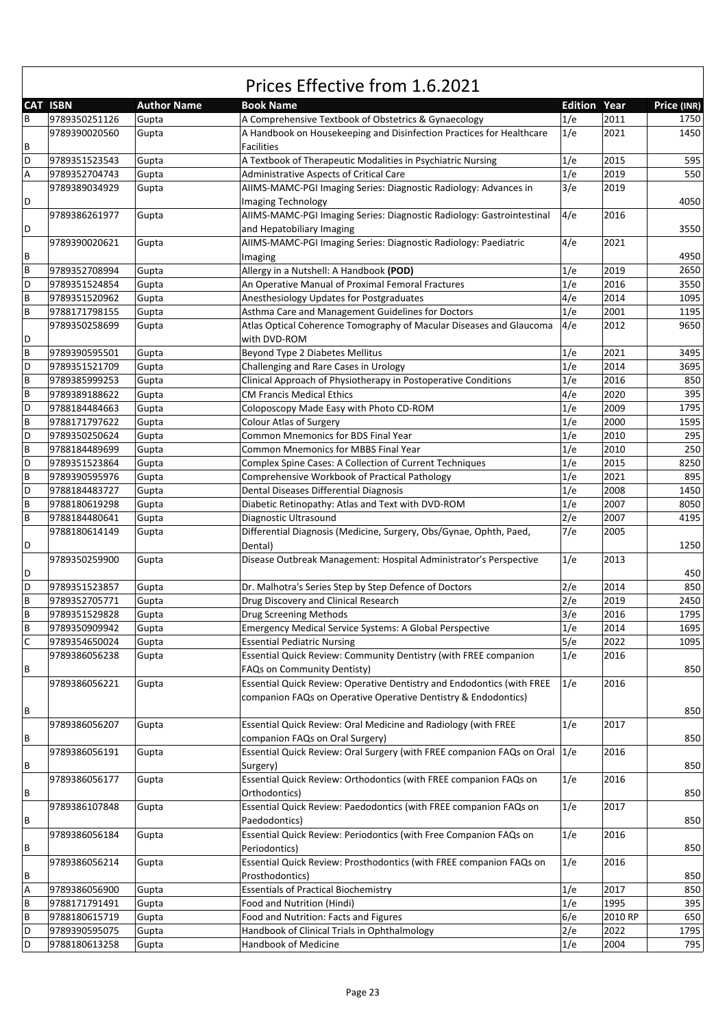|   | <b>CAT ISBN</b> | <b>Author Name</b> | <b>Book Name</b>                                                           | <b>Edition Year</b> |         | Price (INR) |
|---|-----------------|--------------------|----------------------------------------------------------------------------|---------------------|---------|-------------|
| B | 9789350251126   | Gupta              | A Comprehensive Textbook of Obstetrics & Gynaecology                       | 1/e                 | 2011    | 1750        |
|   | 9789390020560   | Gupta              | A Handbook on Housekeeping and Disinfection Practices for Healthcare       | 1/e                 | 2021    | 1450        |
| В |                 |                    | <b>Facilities</b>                                                          |                     |         |             |
| D | 9789351523543   | Gupta              | A Textbook of Therapeutic Modalities in Psychiatric Nursing                | 1/e                 | 2015    | 595         |
| А | 9789352704743   | Gupta              | Administrative Aspects of Critical Care                                    | 1/e                 | 2019    | 550         |
|   | 9789389034929   | Gupta              | AIIMS-MAMC-PGI Imaging Series: Diagnostic Radiology: Advances in           | 3/e                 | 2019    |             |
| D |                 |                    | Imaging Technology                                                         |                     |         | 4050        |
|   | 9789386261977   | Gupta              | AIIMS-MAMC-PGI Imaging Series: Diagnostic Radiology: Gastrointestinal      | 4/e                 | 2016    |             |
| D |                 |                    | and Hepatobiliary Imaging                                                  |                     |         | 3550        |
|   | 9789390020621   | Gupta              | AIIMS-MAMC-PGI Imaging Series: Diagnostic Radiology: Paediatric            | 4/e                 | 2021    |             |
| В |                 |                    | Imaging                                                                    |                     |         | 4950        |
| B | 9789352708994   | Gupta              | Allergy in a Nutshell: A Handbook (POD)                                    | 1/e                 | 2019    | 2650        |
| D | 9789351524854   | Gupta              | An Operative Manual of Proximal Femoral Fractures                          | 1/e                 | 2016    | 3550        |
| B | 9789351520962   | Gupta              | Anesthesiology Updates for Postgraduates                                   | 4/e                 | 2014    | 1095        |
| B | 9788171798155   | Gupta              | Asthma Care and Management Guidelines for Doctors                          | 1/e                 | 2001    | 1195        |
|   | 9789350258699   | Gupta              | Atlas Optical Coherence Tomography of Macular Diseases and Glaucoma        | 4/e                 | 2012    | 9650        |
| D |                 |                    | with DVD-ROM                                                               |                     |         |             |
| B | 9789390595501   | Gupta              | Beyond Type 2 Diabetes Mellitus                                            | 1/e                 | 2021    | 3495        |
| D | 9789351521709   | Gupta              | Challenging and Rare Cases in Urology                                      | 1/e                 | 2014    | 3695        |
| B | 9789385999253   | Gupta              | Clinical Approach of Physiotherapy in Postoperative Conditions             | 1/e                 | 2016    | 850         |
| B | 9789389188622   | Gupta              | <b>CM Francis Medical Ethics</b>                                           | 4/e                 | 2020    | 395         |
| D | 9788184484663   | Gupta              | Coloposcopy Made Easy with Photo CD-ROM                                    | 1/e                 | 2009    | 1795        |
| B | 9788171797622   | Gupta              | <b>Colour Atlas of Surgery</b>                                             | 1/e                 | 2000    | 1595        |
| D | 9789350250624   | Gupta              | Common Mnemonics for BDS Final Year                                        | 1/e                 | 2010    | 295         |
| B | 9788184489699   | Gupta              | Common Mnemonics for MBBS Final Year                                       | 1/e                 | 2010    | 250         |
| D | 9789351523864   | Gupta              | Complex Spine Cases: A Collection of Current Techniques                    | 1/e                 | 2015    | 8250        |
| B | 9789390595976   | Gupta              | Comprehensive Workbook of Practical Pathology                              | 1/e                 | 2021    | 895         |
| D | 9788184483727   | Gupta              | Dental Diseases Differential Diagnosis                                     | 1/e                 | 2008    | 1450        |
| B | 9788180619298   | Gupta              | Diabetic Retinopathy: Atlas and Text with DVD-ROM                          | 1/e                 | 2007    | 8050        |
| B | 9788184480641   | Gupta              | Diagnostic Ultrasound                                                      | 2/e                 | 2007    | 4195        |
|   | 9788180614149   | Gupta              | Differential Diagnosis (Medicine, Surgery, Obs/Gynae, Ophth, Paed,         | 7/e                 | 2005    |             |
| D |                 |                    | Dental)                                                                    |                     |         | 1250        |
|   | 9789350259900   | Gupta              | Disease Outbreak Management: Hospital Administrator's Perspective          | 1/e                 | 2013    |             |
| D |                 |                    |                                                                            |                     |         | 450         |
| D | 9789351523857   | Gupta              | Dr. Malhotra's Series Step by Step Defence of Doctors                      | 2/e                 | 2014    | 850         |
| B | 9789352705771   | Gupta              | Drug Discovery and Clinical Research                                       | 2/e                 | 2019    | 2450        |
| B | 9789351529828   | Gupta              | Drug Screening Methods                                                     | 3/e                 | 2016    | 1795        |
| B | 9789350909942   | Gupta              | Emergency Medical Service Systems: A Global Perspective                    | 1/e                 | 2014    | 1695        |
| C | 9789354650024   | Gupta              | <b>Essential Pediatric Nursing</b>                                         | 5/e                 | 2022    | 1095        |
|   | 9789386056238   |                    | Essential Quick Review: Community Dentistry (with FREE companion           | 1/e                 | 2016    |             |
| В |                 | Gupta              | FAQs on Community Dentisty)                                                |                     |         | 850         |
|   | 9789386056221   | Gupta              | Essential Quick Review: Operative Dentistry and Endodontics (with FREE     | 1/e                 | 2016    |             |
|   |                 |                    | companion FAQs on Operative Operative Dentistry & Endodontics)             |                     |         |             |
| В |                 |                    |                                                                            |                     |         | 850         |
|   | 9789386056207   | Gupta              | Essential Quick Review: Oral Medicine and Radiology (with FREE             | 1/e                 | 2017    |             |
| В |                 |                    | companion FAQs on Oral Surgery)                                            |                     |         | 850         |
|   | 9789386056191   | Gupta              | Essential Quick Review: Oral Surgery (with FREE companion FAQs on Oral 1/e |                     | 2016    |             |
| В |                 |                    | Surgery)                                                                   |                     |         | 850         |
|   |                 |                    |                                                                            |                     |         |             |
| В | 9789386056177   | Gupta              | Essential Quick Review: Orthodontics (with FREE companion FAQs on          | 1/e                 | 2016    | 850         |
|   |                 |                    | Orthodontics)                                                              |                     |         |             |
|   | 9789386107848   | Gupta              | Essential Quick Review: Paedodontics (with FREE companion FAQs on          | 1/e                 | 2017    | 850         |
| В |                 |                    | Paedodontics)                                                              |                     |         |             |
|   | 9789386056184   | Gupta              | Essential Quick Review: Periodontics (with Free Companion FAQs on          | 1/e                 | 2016    |             |
| В |                 |                    | Periodontics)                                                              |                     |         | 850         |
|   | 9789386056214   | Gupta              | Essential Quick Review: Prosthodontics (with FREE companion FAQs on        | 1/e                 | 2016    |             |
| В |                 |                    | Prosthodontics)                                                            |                     |         | 850         |
| А | 9789386056900   | Gupta              | <b>Essentials of Practical Biochemistry</b>                                | 1/e                 | 2017    | 850         |
| В | 9788171791491   | Gupta              | Food and Nutrition (Hindi)                                                 | 1/e                 | 1995    | 395         |
| B | 9788180615719   | Gupta              | Food and Nutrition: Facts and Figures                                      | 6/e                 | 2010 RP | 650         |
| D | 9789390595075   | Gupta              | Handbook of Clinical Trials in Ophthalmology                               | 2/e                 | 2022    | 1795        |
| D | 9788180613258   | Gupta              | Handbook of Medicine                                                       | 1/e                 | 2004    | 795         |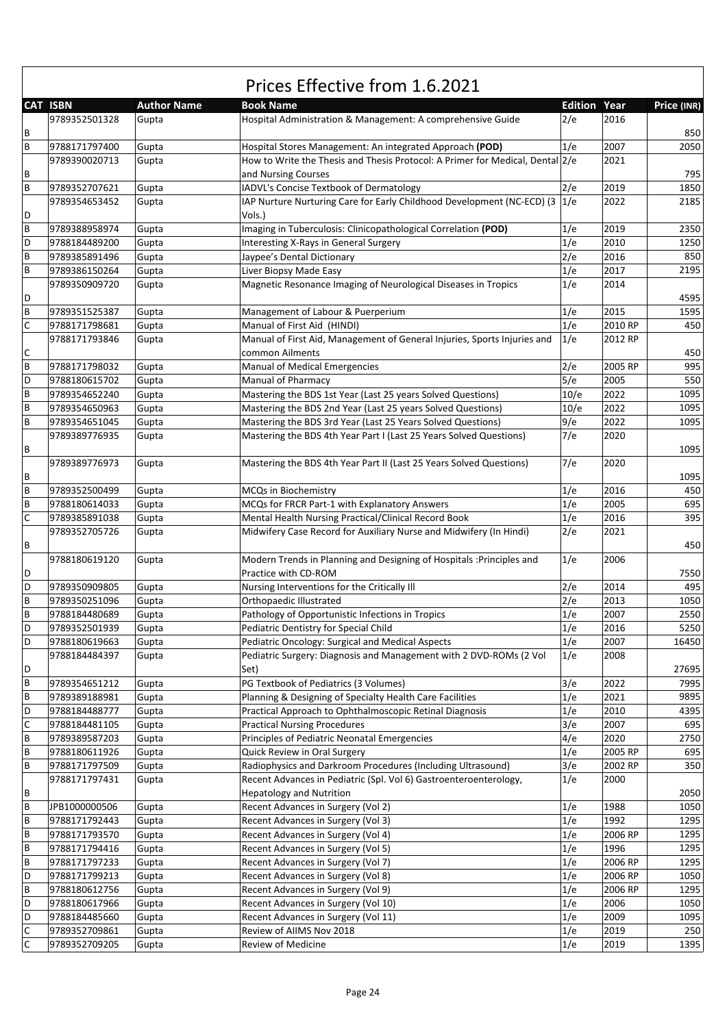|   | <b>CAT ISBN</b> | <b>Author Name</b> | <b>Book Name</b>                                                              | <b>Edition Year</b> |         | Price (INR) |
|---|-----------------|--------------------|-------------------------------------------------------------------------------|---------------------|---------|-------------|
|   | 9789352501328   | Gupta              | Hospital Administration & Management: A comprehensive Guide                   | 2/e                 | 2016    |             |
| В |                 |                    |                                                                               |                     |         | 850         |
| B | 9788171797400   | Gupta              | Hospital Stores Management: An integrated Approach (POD)                      | 1/e                 | 2007    | 2050        |
|   | 9789390020713   | Gupta              | How to Write the Thesis and Thesis Protocol: A Primer for Medical, Dental 2/e |                     | 2021    |             |
| В |                 |                    | and Nursing Courses                                                           |                     |         | 795         |
| B | 9789352707621   | Gupta              | IADVL's Concise Textbook of Dermatology                                       | 2/e                 | 2019    | 1850        |
|   | 9789354653452   | Gupta              | IAP Nurture Nurturing Care for Early Childhood Development (NC-ECD) (3 1/e    |                     | 2022    | 2185        |
| D |                 |                    | Vols.)                                                                        |                     |         |             |
| B | 9789388958974   | Gupta              | Imaging in Tuberculosis: Clinicopathological Correlation (POD)                | 1/e                 | 2019    | 2350        |
| D | 9788184489200   | Gupta              | Interesting X-Rays in General Surgery                                         | 1/e                 | 2010    | 1250        |
| B | 9789385891496   | Gupta              | Jaypee's Dental Dictionary                                                    | 2/e                 | 2016    | 850         |
| B | 9789386150264   | Gupta              | Liver Biopsy Made Easy                                                        | 1/e                 | 2017    | 2195        |
|   | 9789350909720   | Gupta              | Magnetic Resonance Imaging of Neurological Diseases in Tropics                | 1/e                 | 2014    |             |
| D |                 |                    |                                                                               |                     |         | 4595        |
| B | 9789351525387   | Gupta              | Management of Labour & Puerperium                                             | 1/e                 | 2015    | 1595        |
| C | 9788171798681   | Gupta              | Manual of First Aid (HINDI)                                                   | 1/e                 | 2010 RP | 450         |
|   | 9788171793846   | Gupta              | Manual of First Aid, Management of General Injuries, Sports Injuries and      | 1/e                 | 2012 RP |             |
| С |                 |                    | common Ailments                                                               |                     |         | 450         |
| B | 9788171798032   | Gupta              | Manual of Medical Emergencies                                                 | 2/e                 | 2005 RP | 995         |
| D | 9788180615702   | Gupta              | Manual of Pharmacy                                                            | 5/e                 | 2005    | 550         |
| B | 9789354652240   | Gupta              | Mastering the BDS 1st Year (Last 25 years Solved Questions)                   | 10/e                | 2022    | 1095        |
| B | 9789354650963   | Gupta              | Mastering the BDS 2nd Year (Last 25 years Solved Questions)                   | 10/e                | 2022    | 1095        |
| B | 9789354651045   | Gupta              | Mastering the BDS 3rd Year (Last 25 Years Solved Questions)                   | 9/e                 | 2022    | 1095        |
|   | 9789389776935   | Gupta              | Mastering the BDS 4th Year Part I (Last 25 Years Solved Questions)            | 7/e                 | 2020    |             |
| В |                 |                    |                                                                               |                     |         | 1095        |
|   | 9789389776973   | Gupta              | Mastering the BDS 4th Year Part II (Last 25 Years Solved Questions)           | 7/e                 | 2020    |             |
| В |                 |                    |                                                                               |                     |         | 1095        |
| B | 9789352500499   | Gupta              | MCQs in Biochemistry                                                          | 1/e                 | 2016    | 450         |
| B | 9788180614033   | Gupta              | MCQs for FRCR Part-1 with Explanatory Answers                                 | 1/e                 | 2005    | 695         |
| C | 9789385891038   | Gupta              | Mental Health Nursing Practical/Clinical Record Book                          | 1/e                 | 2016    | 395         |
|   | 9789352705726   | Gupta              | Midwifery Case Record for Auxiliary Nurse and Midwifery (In Hindi)            | 2/e                 | 2021    |             |
| В |                 |                    |                                                                               |                     |         | 450         |
|   | 9788180619120   | Gupta              | Modern Trends in Planning and Designing of Hospitals : Principles and         | 1/e                 | 2006    |             |
| D |                 |                    | Practice with CD-ROM                                                          |                     |         | 7550        |
| D | 9789350909805   | Gupta              | Nursing Interventions for the Critically III                                  | 2/e                 | 2014    | 495         |
| B | 9789350251096   | Gupta              | Orthopaedic Illustrated                                                       | 2/e                 | 2013    | 1050        |
| B | 9788184480689   | Gupta              | Pathology of Opportunistic Infections in Tropics                              | 1/e                 | 2007    | 2550        |
| D | 9789352501939   | Gupta              | Pediatric Dentistry for Special Child                                         | 1/e                 | 2016    | 5250        |
| D | 9788180619663   | Gupta              | Pediatric Oncology: Surgical and Medical Aspects                              | 1/e                 | 2007    | 16450       |
|   | 9788184484397   | Gupta              | Pediatric Surgery: Diagnosis and Management with 2 DVD-ROMs (2 Vol            | 1/e                 | 2008    |             |
| D |                 |                    | Set)                                                                          |                     |         | 27695       |
| B | 9789354651212   | Gupta              | PG Textbook of Pediatrics (3 Volumes)                                         | 3/e                 | 2022    | 7995        |
| B | 9789389188981   | Gupta              | Planning & Designing of Specialty Health Care Facilities                      | 1/e                 | 2021    | 9895        |
| D | 9788184488777   | Gupta              | Practical Approach to Ophthalmoscopic Retinal Diagnosis                       | 1/e                 | 2010    | 4395        |
| C | 9788184481105   | Gupta              | <b>Practical Nursing Procedures</b>                                           | 3/e                 | 2007    | 695         |
| B | 9789389587203   | Gupta              | Principles of Pediatric Neonatal Emergencies                                  | 4/e                 | 2020    | 2750        |
| B | 9788180611926   | Gupta              | Quick Review in Oral Surgery                                                  | 1/e                 | 2005 RP | 695         |
| B | 9788171797509   | Gupta              | Radiophysics and Darkroom Procedures (Including Ultrasound)                   | 3/e                 | 2002 RP | 350         |
|   | 9788171797431   | Gupta              | Recent Advances in Pediatric (Spl. Vol 6) Gastroenteroenterology,             | 1/e                 | 2000    |             |
| В |                 |                    | <b>Hepatology and Nutrition</b>                                               |                     |         | 2050        |
| B | JPB1000000506   | Gupta              | Recent Advances in Surgery (Vol 2)                                            | 1/e                 | 1988    | 1050        |
| B | 9788171792443   | Gupta              | Recent Advances in Surgery (Vol 3)                                            | 1/e                 | 1992    | 1295        |
| B | 9788171793570   | Gupta              | Recent Advances in Surgery (Vol 4)                                            | 1/e                 | 2006 RP | 1295        |
| B | 9788171794416   | Gupta              | Recent Advances in Surgery (Vol 5)                                            | 1/e                 | 1996    | 1295        |
| B | 9788171797233   | Gupta              | Recent Advances in Surgery (Vol 7)                                            | 1/e                 | 2006 RP | 1295        |
| D | 9788171799213   | Gupta              | Recent Advances in Surgery (Vol 8)                                            | 1/e                 | 2006 RP | 1050        |
| B | 9788180612756   | Gupta              | Recent Advances in Surgery (Vol 9)                                            | 1/e                 | 2006 RP | 1295        |
| D | 9788180617966   | Gupta              | Recent Advances in Surgery (Vol 10)                                           | 1/e                 | 2006    | 1050        |
| D | 9788184485660   | Gupta              | Recent Advances in Surgery (Vol 11)                                           | 1/e                 | 2009    | 1095        |
| C | 9789352709861   | Gupta              | Review of AIIMS Nov 2018                                                      | 1/e                 | 2019    | 250         |
| C | 9789352709205   | Gupta              | Review of Medicine                                                            | 1/e                 | 2019    | 1395        |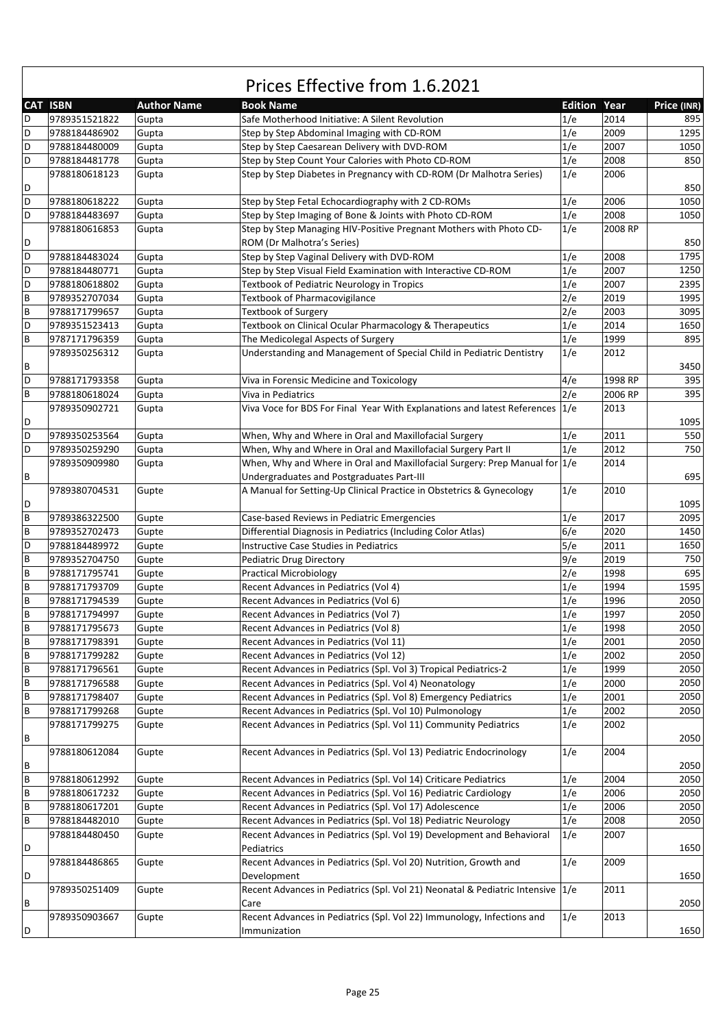|   | <b>CAT ISBN</b> | <b>Author Name</b> | <b>Book Name</b>                                                               | <b>Edition Year</b> |         | Price (INR) |
|---|-----------------|--------------------|--------------------------------------------------------------------------------|---------------------|---------|-------------|
| D | 9789351521822   | Gupta              | Safe Motherhood Initiative: A Silent Revolution                                | 1/e                 | 2014    | 895         |
| D | 9788184486902   | Gupta              | Step by Step Abdominal Imaging with CD-ROM                                     | 1/e                 | 2009    | 1295        |
| D | 9788184480009   | Gupta              | Step by Step Caesarean Delivery with DVD-ROM                                   | 1/e                 | 2007    | 1050        |
| D |                 |                    | Step by Step Count Your Calories with Photo CD-ROM                             |                     | 2008    | 850         |
|   | 9788184481778   | Gupta              |                                                                                | 1/e                 |         |             |
|   | 9788180618123   | Gupta              | Step by Step Diabetes in Pregnancy with CD-ROM (Dr Malhotra Series)            | 1/e                 | 2006    |             |
| D |                 |                    |                                                                                |                     |         | 850         |
| D | 9788180618222   | Gupta              | Step by Step Fetal Echocardiography with 2 CD-ROMs                             | 1/e                 | 2006    | 1050        |
| D | 9788184483697   | Gupta              | Step by Step Imaging of Bone & Joints with Photo CD-ROM                        | 1/e                 | 2008    | 1050        |
|   | 9788180616853   | Gupta              | Step by Step Managing HIV-Positive Pregnant Mothers with Photo CD-             | 1/e                 | 2008 RP |             |
| D |                 |                    | ROM (Dr Malhotra's Series)                                                     |                     |         | 850         |
| D | 9788184483024   | Gupta              | Step by Step Vaginal Delivery with DVD-ROM                                     | 1/e                 | 2008    | 1795        |
| D | 9788184480771   | Gupta              | Step by Step Visual Field Examination with Interactive CD-ROM                  | 1/e                 | 2007    | 1250        |
| D | 9788180618802   | Gupta              | Textbook of Pediatric Neurology in Tropics                                     | 1/e                 | 2007    | 2395        |
| B | 9789352707034   | Gupta              | Textbook of Pharmacovigilance                                                  | 2/e                 | 2019    | 1995        |
| B | 9788171799657   | Gupta              | <b>Textbook of Surgery</b>                                                     | 2/e                 | 2003    | 3095        |
| D | 9789351523413   | Gupta              | Textbook on Clinical Ocular Pharmacology & Therapeutics                        | 1/e                 | 2014    | 1650        |
| B | 9787171796359   | Gupta              | The Medicolegal Aspects of Surgery                                             | 1/e                 | 1999    | 895         |
|   | 9789350256312   | Gupta              | Understanding and Management of Special Child in Pediatric Dentistry           | 1/e                 | 2012    |             |
| В |                 |                    |                                                                                |                     |         | 3450        |
| D | 9788171793358   | Gupta              | Viva in Forensic Medicine and Toxicology                                       | 4/e                 | 1998 RP | 395         |
| B | 9788180618024   | Gupta              | Viva in Pediatrics                                                             | 2/e                 | 2006 RP | 395         |
|   | 9789350902721   | Gupta              | Viva Voce for BDS For Final Year With Explanations and latest References       | 1/e                 | 2013    |             |
| D |                 |                    |                                                                                |                     |         | 1095        |
| D | 9789350253564   | Gupta              | When, Why and Where in Oral and Maxillofacial Surgery                          | 1/e                 | 2011    | 550         |
| D | 9789350259290   | Gupta              | When, Why and Where in Oral and Maxillofacial Surgery Part II                  | 1/e                 | 2012    | 750         |
|   | 9789350909980   | Gupta              | When, Why and Where in Oral and Maxillofacial Surgery: Prep Manual for 1/e     |                     | 2014    |             |
| В |                 |                    | Undergraduates and Postgraduates Part-III                                      |                     |         | 695         |
|   | 9789380704531   | Gupte              | A Manual for Setting-Up Clinical Practice in Obstetrics & Gynecology           | 1/e                 | 2010    |             |
| D |                 |                    |                                                                                |                     |         | 1095        |
| B | 9789386322500   | Gupte              | Case-based Reviews in Pediatric Emergencies                                    | 1/e                 | 2017    | 2095        |
| B | 9789352702473   | Gupte              | Differential Diagnosis in Pediatrics (Including Color Atlas)                   | 6/e                 | 2020    | 1450        |
| D | 9788184489972   | Gupte              | Instructive Case Studies in Pediatrics                                         | 5/e                 | 2011    | 1650        |
| B | 9789352704750   | Gupte              | <b>Pediatric Drug Directory</b>                                                | 9/e                 | 2019    | 750         |
| B | 9788171795741   | Gupte              | <b>Practical Microbiology</b>                                                  | 2/e                 | 1998    | 695         |
| B | 9788171793709   | Gupte              | Recent Advances in Pediatrics (Vol 4)                                          | 1/e                 | 1994    | 1595        |
| B | 9788171794539   |                    |                                                                                | 1/e                 | 1996    | 2050        |
| B | 9788171794997   | Gupte              | Recent Advances in Pediatrics (Vol 6)                                          | 1/e                 | 1997    | 2050        |
|   |                 | Gupte              | Recent Advances in Pediatrics (Vol 7)                                          |                     |         | 2050        |
| B | 9788171795673   | Gupte              | Recent Advances in Pediatrics (Vol 8)                                          | 1/e                 | 1998    |             |
| B | 9788171798391   | Gupte              | Recent Advances in Pediatrics (Vol 11)                                         | 1/e                 | 2001    | 2050        |
| В | 9788171799282   | Gupte              | Recent Advances in Pediatrics (Vol 12)                                         | 1/e                 | 2002    | 2050        |
| В | 9788171796561   | Gupte              | Recent Advances in Pediatrics (Spl. Vol 3) Tropical Pediatrics-2               | 1/e                 | 1999    | 2050        |
| В | 9788171796588   | Gupte              | Recent Advances in Pediatrics (Spl. Vol 4) Neonatology                         | 1/e                 | 2000    | 2050        |
| B | 9788171798407   | Gupte              | Recent Advances in Pediatrics (Spl. Vol 8) Emergency Pediatrics                | 1/e                 | 2001    | 2050        |
| В | 9788171799268   | Gupte              | Recent Advances in Pediatrics (Spl. Vol 10) Pulmonology                        | 1/e                 | 2002    | 2050        |
|   | 9788171799275   | Gupte              | Recent Advances in Pediatrics (Spl. Vol 11) Community Pediatrics               | 1/e                 | 2002    |             |
| В |                 |                    |                                                                                |                     |         | 2050        |
|   | 9788180612084   | Gupte              | Recent Advances in Pediatrics (Spl. Vol 13) Pediatric Endocrinology            | 1/e                 | 2004    |             |
| В |                 |                    |                                                                                |                     |         | 2050        |
| B | 9788180612992   | Gupte              | Recent Advances in Pediatrics (Spl. Vol 14) Criticare Pediatrics               | 1/e                 | 2004    | 2050        |
| В | 9788180617232   | Gupte              | Recent Advances in Pediatrics (Spl. Vol 16) Pediatric Cardiology               | 1/e                 | 2006    | 2050        |
| B | 9788180617201   | Gupte              | Recent Advances in Pediatrics (Spl. Vol 17) Adolescence                        | 1/e                 | 2006    | 2050        |
| В | 9788184482010   | Gupte              | Recent Advances in Pediatrics (Spl. Vol 18) Pediatric Neurology                | 1/e                 | 2008    | 2050        |
|   | 9788184480450   | Gupte              | Recent Advances in Pediatrics (Spl. Vol 19) Development and Behavioral         | 1/e                 | 2007    |             |
| D |                 |                    | Pediatrics                                                                     |                     |         | 1650        |
|   | 9788184486865   | Gupte              | Recent Advances in Pediatrics (Spl. Vol 20) Nutrition, Growth and              | 1/e                 | 2009    |             |
| D |                 |                    | Development                                                                    |                     |         | 1650        |
|   | 9789350251409   | Gupte              | Recent Advances in Pediatrics (Spl. Vol 21) Neonatal & Pediatric Intensive 1/e |                     | 2011    |             |
| В |                 |                    | Care                                                                           |                     |         | 2050        |
|   | 9789350903667   | Gupte              | Recent Advances in Pediatrics (Spl. Vol 22) Immunology, Infections and         | 1/e                 | 2013    |             |
| D |                 |                    | Immunization                                                                   |                     |         | 1650        |
|   |                 |                    |                                                                                |                     |         |             |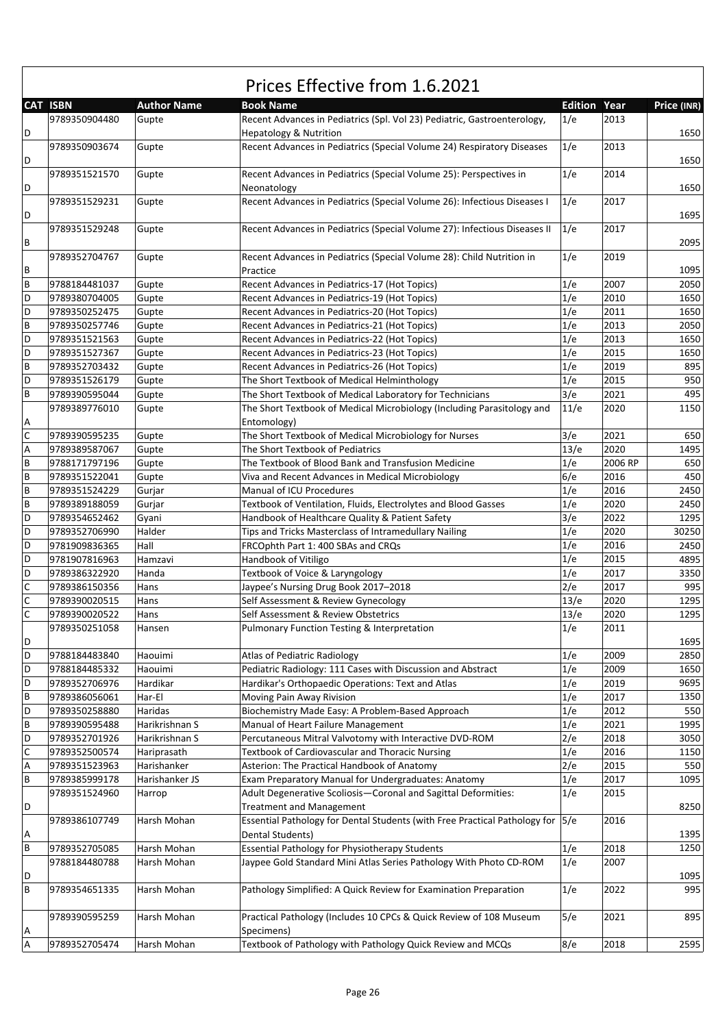|                |                 |                    | Prices Effective from 1.6.2021                                                                                |                     |         |             |
|----------------|-----------------|--------------------|---------------------------------------------------------------------------------------------------------------|---------------------|---------|-------------|
|                | <b>CAT ISBN</b> | <b>Author Name</b> | <b>Book Name</b>                                                                                              | <b>Edition Year</b> |         | Price (INR) |
| D              | 9789350904480   | Gupte              | Recent Advances in Pediatrics (Spl. Vol 23) Pediatric, Gastroenterology,<br><b>Hepatology &amp; Nutrition</b> | 1/e                 | 2013    | 1650        |
| D              | 9789350903674   | Gupte              | Recent Advances in Pediatrics (Special Volume 24) Respiratory Diseases                                        | 1/e                 | 2013    | 1650        |
|                | 9789351521570   | Gupte              | Recent Advances in Pediatrics (Special Volume 25): Perspectives in                                            | 1/e                 | 2014    |             |
| D              | 9789351529231   | Gupte              | Neonatology<br>Recent Advances in Pediatrics (Special Volume 26): Infectious Diseases I                       | 1/e                 | 2017    | 1650        |
| D              |                 |                    |                                                                                                               |                     |         | 1695        |
| В              | 9789351529248   | Gupte              | Recent Advances in Pediatrics (Special Volume 27): Infectious Diseases II                                     | 1/e                 | 2017    | 2095        |
| B              | 9789352704767   | Gupte              | Recent Advances in Pediatrics (Special Volume 28): Child Nutrition in<br>Practice                             | 1/e                 | 2019    | 1095        |
| B              | 9788184481037   | Gupte              | Recent Advances in Pediatrics-17 (Hot Topics)                                                                 | 1/e                 | 2007    | 2050        |
| D              | 9789380704005   | Gupte              | Recent Advances in Pediatrics-19 (Hot Topics)                                                                 | 1/e                 | 2010    | 1650        |
| D              | 9789350252475   | Gupte              | Recent Advances in Pediatrics-20 (Hot Topics)                                                                 | 1/e                 | 2011    | 1650        |
| B              | 9789350257746   | Gupte              | Recent Advances in Pediatrics-21 (Hot Topics)                                                                 | 1/e                 | 2013    | 2050        |
| D              | 9789351521563   | Gupte              | Recent Advances in Pediatrics-22 (Hot Topics)                                                                 | 1/e                 | 2013    | 1650        |
| D              | 9789351527367   | Gupte              | Recent Advances in Pediatrics-23 (Hot Topics)                                                                 | 1/e                 | 2015    | 1650        |
| B              | 9789352703432   | Gupte              | Recent Advances in Pediatrics-26 (Hot Topics)                                                                 | 1/e                 | 2019    | 895         |
| D              | 9789351526179   | Gupte              | The Short Textbook of Medical Helminthology                                                                   | 1/e                 | 2015    | 950         |
| B              | 9789390595044   | Gupte              | The Short Textbook of Medical Laboratory for Technicians                                                      | 3/e                 | 2021    | 495         |
| Α              | 9789389776010   | Gupte              | The Short Textbook of Medical Microbiology (Including Parasitology and<br>Entomology)                         | 11/e                | 2020    | 1150        |
| C              | 9789390595235   | Gupte              | The Short Textbook of Medical Microbiology for Nurses                                                         | 3/e                 | 2021    | 650         |
| A              | 9789389587067   | Gupte              | The Short Textbook of Pediatrics                                                                              | 13/e                | 2020    | 1495        |
| B              | 9788171797196   | Gupte              | The Textbook of Blood Bank and Transfusion Medicine                                                           | 1/e                 | 2006 RP | 650         |
| B              |                 |                    |                                                                                                               |                     |         | 450         |
| B              | 9789351522041   | Gupte              | Viva and Recent Advances in Medical Microbiology                                                              | 6/e                 | 2016    | 2450        |
| B              | 9789351524229   | Gurjar             | Manual of ICU Procedures                                                                                      | 1/e                 | 2016    | 2450        |
|                | 9789389188059   | Gurjar             | Textbook of Ventilation, Fluids, Electrolytes and Blood Gasses                                                | 1/e                 | 2020    |             |
| D              | 9789354652462   | Gyani              | Handbook of Healthcare Quality & Patient Safety                                                               | 3/e                 | 2022    | 1295        |
| D              | 9789352706990   | Halder             | Tips and Tricks Masterclass of Intramedullary Nailing                                                         | 1/e                 | 2020    | 30250       |
| D              | 9781909836365   | Hall               | FRCOphth Part 1: 400 SBAs and CRQs                                                                            | 1/e                 | 2016    | 2450        |
| D              | 9781907816963   | Hamzavi            | Handbook of Vitiligo                                                                                          | 1/e                 | 2015    | 4895        |
| D              | 9789386322920   | Handa              | Textbook of Voice & Laryngology                                                                               | 1/e                 | 2017    | 3350        |
| C              | 9789386150356   | Hans               | Jaypee's Nursing Drug Book 2017-2018                                                                          | 2/e                 | 2017    | 995         |
| $\mathsf C$    | 9789390020515   | Hans               | Self Assessment & Review Gynecology                                                                           | 13/e                | 2020    | 1295        |
| $\mathsf{C}$   | 9789390020522   | Hans               | Self Assessment & Review Obstetrics                                                                           | 13/e                | 2020    | 1295        |
| D              | 9789350251058   | Hansen             | Pulmonary Function Testing & Interpretation                                                                   | 1/e                 | 2011    | 1695        |
| D              | 9788184483840   | Haouimi            | Atlas of Pediatric Radiology                                                                                  | 1/e                 | 2009    | 2850        |
| D              | 9788184485332   | Haouimi            | Pediatric Radiology: 111 Cases with Discussion and Abstract                                                   | 1/e                 | 2009    | 1650        |
| D              | 9789352706976   | Hardikar           | Hardikar's Orthopaedic Operations: Text and Atlas                                                             | 1/e                 | 2019    | 9695        |
| B              | 9789386056061   | Har-El             | Moving Pain Away Rivision                                                                                     | 1/e                 | 2017    | 1350        |
| D              | 9789350258880   | Haridas            | Biochemistry Made Easy: A Problem-Based Approach                                                              | 1/e                 | 2012    | 550         |
| B              | 9789390595488   | Harikrishnan S     | Manual of Heart Failure Management                                                                            | 1/e                 | 2021    | 1995        |
| D              | 9789352701926   | Harikrishnan S     | Percutaneous Mitral Valvotomy with Interactive DVD-ROM                                                        | 2/e                 | 2018    | 3050        |
| $\mathsf C$    | 9789352500574   | Hariprasath        | <b>Textbook of Cardiovascular and Thoracic Nursing</b>                                                        | 1/e                 | 2016    | 1150        |
| A              | 9789351523963   | Harishanker        | Asterion: The Practical Handbook of Anatomy                                                                   | 2/e                 | 2015    | 550         |
| $\sf B$        | 9789385999178   | Harishanker JS     | Exam Preparatory Manual for Undergraduates: Anatomy                                                           | 1/e                 | 2017    | 1095        |
| D              | 9789351524960   | Harrop             | Adult Degenerative Scoliosis-Coronal and Sagittal Deformities:<br><b>Treatment and Management</b>             | 1/e                 | 2015    | 8250        |
| Α              | 9789386107749   | Harsh Mohan        | Essential Pathology for Dental Students (with Free Practical Pathology for<br>Dental Students)                | 5/e                 | 2016    | 1395        |
| $\overline{B}$ | 9789352705085   | Harsh Mohan        | <b>Essential Pathology for Physiotherapy Students</b>                                                         | 1/e                 | 2018    | 1250        |
| D              | 9788184480788   | Harsh Mohan        | Jaypee Gold Standard Mini Atlas Series Pathology With Photo CD-ROM                                            | 1/e                 | 2007    | 1095        |
| $\sf{B}$       | 9789354651335   | Harsh Mohan        | Pathology Simplified: A Quick Review for Examination Preparation                                              | 1/e                 | 2022    | 995         |
| Α              | 9789390595259   | Harsh Mohan        | Practical Pathology (Includes 10 CPCs & Quick Review of 108 Museum<br>Specimens)                              | 5/e                 | 2021    | 895         |
| $\overline{A}$ | 9789352705474   | Harsh Mohan        | Textbook of Pathology with Pathology Quick Review and MCQs                                                    | 8/e                 | 2018    | 2595        |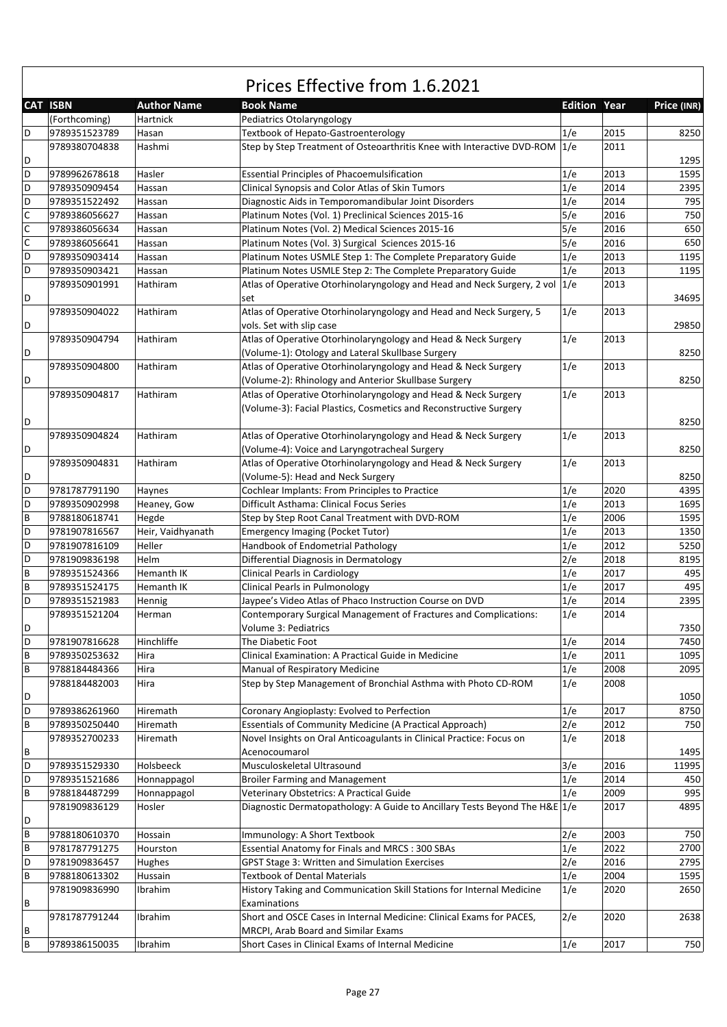|             | <b>CAT ISBN</b> | <b>Author Name</b> | <b>Book Name</b>                                                            | <b>Edition Year</b> |      | Price (INR) |
|-------------|-----------------|--------------------|-----------------------------------------------------------------------------|---------------------|------|-------------|
|             | (Forthcoming)   | Hartnick           | Pediatrics Otolaryngology                                                   |                     |      |             |
| D           | 9789351523789   | Hasan              | <b>Textbook of Hepato-Gastroenterology</b>                                  | 1/e                 | 2015 | 8250        |
|             | 9789380704838   | Hashmi             | Step by Step Treatment of Osteoarthritis Knee with Interactive DVD-ROM 1/e  |                     | 2011 |             |
| D           |                 |                    |                                                                             |                     |      | 1295        |
| D           | 9789962678618   | Hasler             | <b>Essential Principles of Phacoemulsification</b>                          | 1/e                 | 2013 | 1595        |
| D           | 9789350909454   | Hassan             | Clinical Synopsis and Color Atlas of Skin Tumors                            | 1/e                 | 2014 | 2395        |
| D           | 9789351522492   | Hassan             | Diagnostic Aids in Temporomandibular Joint Disorders                        | 1/e                 | 2014 | 795         |
| $\mathsf C$ | 9789386056627   | Hassan             | Platinum Notes (Vol. 1) Preclinical Sciences 2015-16                        | 5/e                 | 2016 | 750         |
| $\mathsf C$ | 9789386056634   | Hassan             | Platinum Notes (Vol. 2) Medical Sciences 2015-16                            | 5/e                 | 2016 | 650         |
| $\mathsf C$ | 9789386056641   | Hassan             | Platinum Notes (Vol. 3) Surgical Sciences 2015-16                           | 5/e                 | 2016 | 650         |
| D           | 9789350903414   | Hassan             | Platinum Notes USMLE Step 1: The Complete Preparatory Guide                 | 1/e                 | 2013 | 1195        |
| D           | 9789350903421   | Hassan             | Platinum Notes USMLE Step 2: The Complete Preparatory Guide                 | 1/e                 | 2013 | 1195        |
|             | 9789350901991   | Hathiram           | Atlas of Operative Otorhinolaryngology and Head and Neck Surgery, 2 vol 1/e |                     | 2013 |             |
| D           |                 |                    | set                                                                         |                     |      | 34695       |
|             | 9789350904022   | Hathiram           | Atlas of Operative Otorhinolaryngology and Head and Neck Surgery, 5         | 1/e                 | 2013 |             |
|             |                 |                    |                                                                             |                     |      | 29850       |
| D           |                 |                    | vols. Set with slip case                                                    |                     |      |             |
|             | 9789350904794   | Hathiram           | Atlas of Operative Otorhinolaryngology and Head & Neck Surgery              | 1/e                 | 2013 |             |
| D           |                 |                    | (Volume-1): Otology and Lateral Skullbase Surgery                           |                     |      | 8250        |
|             | 9789350904800   | Hathiram           | Atlas of Operative Otorhinolaryngology and Head & Neck Surgery              | 1/e                 | 2013 |             |
| D           |                 |                    | (Volume-2): Rhinology and Anterior Skullbase Surgery                        |                     |      | 8250        |
|             | 9789350904817   | Hathiram           | Atlas of Operative Otorhinolaryngology and Head & Neck Surgery              | 1/e                 | 2013 |             |
|             |                 |                    | (Volume-3): Facial Plastics, Cosmetics and Reconstructive Surgery           |                     |      |             |
| D           |                 |                    |                                                                             |                     |      | 8250        |
|             | 9789350904824   | Hathiram           | Atlas of Operative Otorhinolaryngology and Head & Neck Surgery              | 1/e                 | 2013 |             |
| D           |                 |                    | (Volume-4): Voice and Laryngotracheal Surgery                               |                     |      | 8250        |
|             | 9789350904831   | Hathiram           | Atlas of Operative Otorhinolaryngology and Head & Neck Surgery              | 1/e                 | 2013 |             |
| D           |                 |                    | (Volume-5): Head and Neck Surgery                                           |                     |      | 8250        |
| D           | 9781787791190   | Haynes             | Cochlear Implants: From Principles to Practice                              | 1/e                 | 2020 | 4395        |
| D           | 9789350902998   | Heaney, Gow        | Difficult Asthama: Clinical Focus Series                                    | 1/e                 | 2013 | 1695        |
| B           | 9788180618741   | Hegde              | Step by Step Root Canal Treatment with DVD-ROM                              | 1/e                 | 2006 | 1595        |
| D           | 9781907816567   | Heir, Vaidhyanath  | <b>Emergency Imaging (Pocket Tutor)</b>                                     | 1/e                 | 2013 | 1350        |
| D           | 9781907816109   | Heller             | Handbook of Endometrial Pathology                                           | 1/e                 | 2012 | 5250        |
| D           | 9781909836198   | Helm               | Differential Diagnosis in Dermatology                                       | 2/e                 | 2018 | 8195        |
| B           | 9789351524366   | Hemanth IK         | <b>Clinical Pearls in Cardiology</b>                                        | 1/e                 | 2017 | 495         |
| B           | 9789351524175   | Hemanth IK         | Clinical Pearls in Pulmonology                                              | 1/e                 | 2017 | 495         |
| D           | 9789351521983   | Hennig             | Jaypee's Video Atlas of Phaco Instruction Course on DVD                     | 1/e                 | 2014 | 2395        |
|             | 9789351521204   | Herman             | Contemporary Surgical Management of Fractures and Complications:            | 1/e                 | 2014 |             |
| D           |                 |                    | Volume 3: Pediatrics                                                        |                     |      | 7350        |
| D           | 9781907816628   | Hinchliffe         | The Diabetic Foot                                                           | 1/e                 | 2014 | 7450        |
| B           | 9789350253632   | Hira               | Clinical Examination: A Practical Guide in Medicine                         | 1/e                 | 2011 | 1095        |
| В           | 9788184484366   | Hira               | Manual of Respiratory Medicine                                              | 1/e                 | 2008 | 2095        |
|             | 9788184482003   | Hira               | Step by Step Management of Bronchial Asthma with Photo CD-ROM               | 1/e                 | 2008 |             |
| D           |                 |                    |                                                                             |                     |      | 1050        |
| D           | 9789386261960   | Hiremath           | Coronary Angioplasty: Evolved to Perfection                                 | 1/e                 | 2017 | 8750        |
| В           | 9789350250440   | Hiremath           | <b>Essentials of Community Medicine (A Practical Approach)</b>              | 2/e                 | 2012 | 750         |
|             | 9789352700233   | Hiremath           | Novel Insights on Oral Anticoagulants in Clinical Practice: Focus on        | 1/e                 | 2018 |             |
|             |                 |                    | Acenocoumarol                                                               |                     |      | 1495        |
| В           |                 |                    |                                                                             |                     |      |             |
| D           | 9789351529330   | Holsbeeck          | Musculoskeletal Ultrasound                                                  | 3/e                 | 2016 | 11995       |
| D           | 9789351521686   | Honnappagol        | <b>Broiler Farming and Management</b>                                       | 1/e                 | 2014 | 450         |
| В           | 9788184487299   | Honnappagol        | Veterinary Obstetrics: A Practical Guide                                    | 1/e                 | 2009 | 995         |
|             | 9781909836129   | Hosler             | Diagnostic Dermatopathology: A Guide to Ancillary Tests Beyond The H&E 1/e  |                     | 2017 | 4895        |
| D           |                 |                    |                                                                             |                     |      |             |
| В           | 9788180610370   | Hossain            | Immunology: A Short Textbook                                                | 2/e                 | 2003 | 750         |
| B           | 9781787791275   | Hourston           | <b>Essential Anatomy for Finals and MRCS: 300 SBAs</b>                      | 1/e                 | 2022 | 2700        |
| D           | 9781909836457   | Hughes             | GPST Stage 3: Written and Simulation Exercises                              | 2/e                 | 2016 | 2795        |
| B           | 9788180613302   | Hussain            | <b>Textbook of Dental Materials</b>                                         | 1/e                 | 2004 | 1595        |
|             | 9781909836990   | Ibrahim            | History Taking and Communication Skill Stations for Internal Medicine       | 1/e                 | 2020 | 2650        |
| В           |                 |                    | Examinations                                                                |                     |      |             |
|             | 9781787791244   | Ibrahim            | Short and OSCE Cases in Internal Medicine: Clinical Exams for PACES,        | 2/e                 | 2020 | 2638        |
| В           |                 |                    | MRCPI, Arab Board and Similar Exams                                         |                     |      |             |
| В           | 9789386150035   | Ibrahim            | Short Cases in Clinical Exams of Internal Medicine                          | 1/e                 | 2017 | 750         |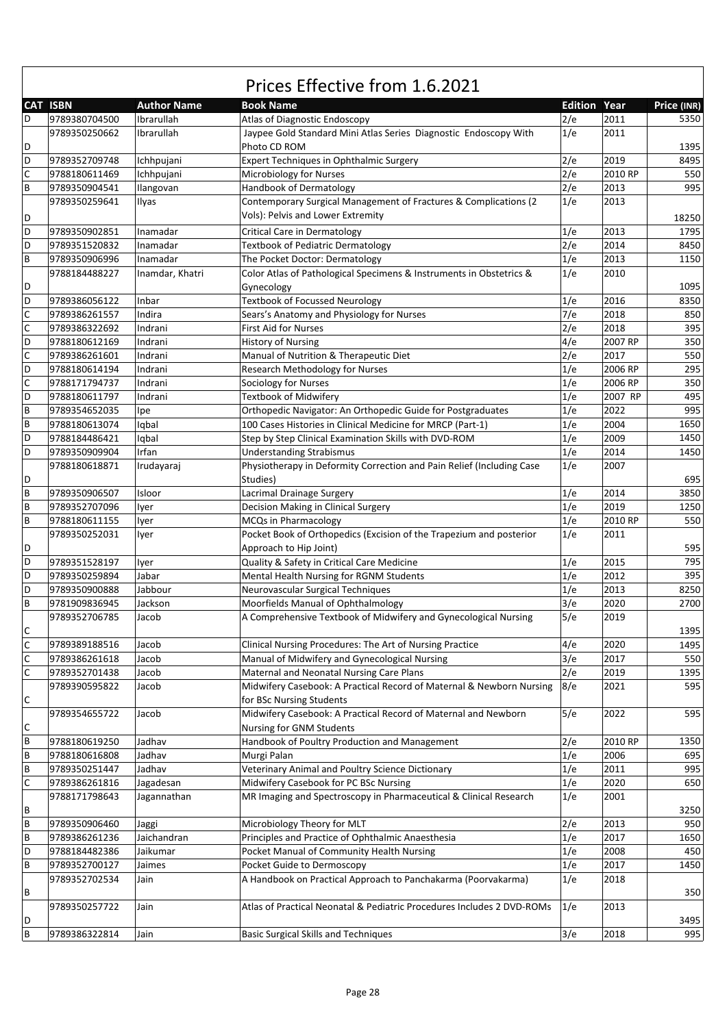|             |                 |                    | Prices Effective from 1.6.2021                                                    |     |                     |             |
|-------------|-----------------|--------------------|-----------------------------------------------------------------------------------|-----|---------------------|-------------|
|             | <b>CAT ISBN</b> | <b>Author Name</b> | <b>Book Name</b>                                                                  |     | <b>Edition Year</b> | Price (INR) |
| D           | 9789380704500   | Ibrarullah         | Atlas of Diagnostic Endoscopy                                                     | 2/e | 2011                | 5350        |
| D           | 9789350250662   | Ibrarullah         | Jaypee Gold Standard Mini Atlas Series Diagnostic Endoscopy With<br>Photo CD ROM  | 1/e | 2011                | 1395        |
| D           | 9789352709748   | Ichhpujani         | Expert Techniques in Ophthalmic Surgery                                           | 2/e | 2019                | 8495        |
| C           | 9788180611469   | Ichhpujani         | Microbiology for Nurses                                                           | 2/e | 2010 RP             | 550         |
| B           | 9789350904541   | Ilangovan          | Handbook of Dermatology                                                           | 2/e | 2013                | 995         |
|             | 9789350259641   | Ilyas              | Contemporary Surgical Management of Fractures & Complications (2                  | 1/e | 2013                |             |
|             |                 |                    | Vols): Pelvis and Lower Extremity                                                 |     |                     |             |
| D           |                 |                    |                                                                                   |     |                     | 18250       |
| D           | 9789350902851   | Inamadar           | Critical Care in Dermatology                                                      | 1/e | 2013                | 1795        |
| D           | 9789351520832   | Inamadar           | <b>Textbook of Pediatric Dermatology</b>                                          | 2/e | 2014                | 8450        |
| B           | 9789350906996   | Inamadar           | The Pocket Doctor: Dermatology                                                    | 1/e | 2013                | 1150        |
| D           | 9788184488227   | Inamdar, Khatri    | Color Atlas of Pathological Specimens & Instruments in Obstetrics &<br>Gynecology | 1/e | 2010                | 1095        |
| D           | 9789386056122   | Inbar              | <b>Textbook of Focussed Neurology</b>                                             | 1/e | 2016                | 8350        |
| C           | 9789386261557   | Indira             | Sears's Anatomy and Physiology for Nurses                                         | 7/e | 2018                | 850         |
| C           | 9789386322692   | Indrani            | First Aid for Nurses                                                              | 2/e | 2018                | 395         |
| D           | 9788180612169   | Indrani            | <b>History of Nursing</b>                                                         | 4/e | 2007 RP             | 350         |
| C           | 9789386261601   | Indrani            | Manual of Nutrition & Therapeutic Diet                                            | 2/e | 2017                | 550         |
| D           | 9788180614194   | Indrani            | <b>Research Methodology for Nurses</b>                                            | 1/e | 2006 RP             | 295         |
| C           | 9788171794737   | Indrani            | Sociology for Nurses                                                              | 1/e | 2006 RP             | 350         |
| D           | 9788180611797   | Indrani            | <b>Textbook of Midwifery</b>                                                      | 1/e | 2007 RP             | 495         |
| B           | 9789354652035   | lpe                | Orthopedic Navigator: An Orthopedic Guide for Postgraduates                       | 1/e | 2022                | 995         |
| B           | 9788180613074   | Iqbal              | 100 Cases Histories in Clinical Medicine for MRCP (Part-1)                        | 1/e | 2004                | 1650        |
| D           | 9788184486421   | lqbal              | Step by Step Clinical Examination Skills with DVD-ROM                             | 1/e | 2009                | 1450        |
| D           | 9789350909904   | Irfan              | <b>Understanding Strabismus</b>                                                   | 1/e | 2014                | 1450        |
|             | 9788180618871   | Irudayaraj         | Physiotherapy in Deformity Correction and Pain Relief (Including Case             | 1/e | 2007                |             |
| D           |                 |                    | Studies)                                                                          |     |                     | 695         |
| B           | 9789350906507   | Isloor             | Lacrimal Drainage Surgery                                                         | 1/e | 2014                | 3850        |
| B           | 9789352707096   | lyer               | Decision Making in Clinical Surgery                                               | 1/e | 2019                | 1250        |
| B           | 9788180611155   | Iver               | MCQs in Pharmacology                                                              | 1/e | 2010 RP             | 550         |
|             | 9789350252031   | lyer               | Pocket Book of Orthopedics (Excision of the Trapezium and posterior               | 1/e | 2011                |             |
| D           |                 |                    | Approach to Hip Joint)                                                            |     |                     | 595         |
| D           | 9789351528197   | lyer               | Quality & Safety in Critical Care Medicine                                        | 1/e | 2015                | 795         |
| D           | 9789350259894   | Jabar              | Mental Health Nursing for RGNM Students                                           | 1/e | 2012                | 395         |
| D           | 9789350900888   | Jabbour            | Neurovascular Surgical Techniques                                                 | 1/e | 2013                | 8250        |
| B           | 9781909836945   | Jackson            | Moorfields Manual of Ophthalmology                                                | 3/e | 2020                | 2700        |
|             | 9789352706785   | Jacob              | A Comprehensive Textbook of Midwifery and Gynecological Nursing                   | 5/e | 2019                |             |
| $\mathsf C$ |                 |                    |                                                                                   |     |                     | 1395        |
| $\mathsf C$ | 9789389188516   | Jacob              | Clinical Nursing Procedures: The Art of Nursing Practice                          | 4/e | 2020                | 1495        |
| $\mathsf C$ | 9789386261618   | Jacob              | Manual of Midwifery and Gynecological Nursing                                     | 3/e | 2017                | 550         |
| C           | 9789352701438   | Jacob              | Maternal and Neonatal Nursing Care Plans                                          | 2/e | 2019                | 1395        |
|             | 9789390595822   | Jacob              | Midwifery Casebook: A Practical Record of Maternal & Newborn Nursing              | 8/e | 2021                | 595         |
| С           |                 |                    | for BSc Nursing Students                                                          |     |                     |             |
|             | 9789354655722   | Jacob              | Midwifery Casebook: A Practical Record of Maternal and Newborn                    | 5/e | 2022                | 595         |
| С           |                 |                    | Nursing for GNM Students                                                          |     |                     |             |
| B           | 9788180619250   | Jadhav             | Handbook of Poultry Production and Management                                     | 2/e | 2010 RP             | 1350        |
| B           | 9788180616808   | Jadhav             | Murgi Palan                                                                       | 1/e | 2006                | 695         |
| B           | 9789350251447   | Jadhav             | Veterinary Animal and Poultry Science Dictionary                                  | 1/e | 2011                | 995         |
| C           | 9789386261816   | Jagadesan          | Midwifery Casebook for PC BSc Nursing                                             | 1/e | 2020                | 650         |
|             | 9788171798643   | Jagannathan        | MR Imaging and Spectroscopy in Pharmaceutical & Clinical Research                 | 1/e | 2001                |             |
| B           |                 |                    |                                                                                   |     |                     | 3250        |
| $\sf B$     | 9789350906460   | Jaggi              | Microbiology Theory for MLT                                                       | 2/e | 2013                | 950         |
| B           | 9789386261236   | Jaichandran        | Principles and Practice of Ophthalmic Anaesthesia                                 | 1/e | 2017                | 1650        |
| D           | 9788184482386   | Jaikumar           | Pocket Manual of Community Health Nursing                                         | 1/e | 2008                | 450         |
| B           | 9789352700127   | Jaimes             | Pocket Guide to Dermoscopy                                                        | 1/e | 2017                | 1450        |
|             | 9789352702534   | Jain               | A Handbook on Practical Approach to Panchakarma (Poorvakarma)                     | 1/e | 2018                |             |
| B           |                 |                    |                                                                                   |     |                     |             |
|             | 9789350257722   | Jain               | Atlas of Practical Neonatal & Pediatric Procedures Includes 2 DVD-ROMs            | 1/e | 2013                | 350         |
| D           |                 |                    |                                                                                   |     |                     | 3495        |
| $\sf B$     | 9789386322814   | Jain               | <b>Basic Surgical Skills and Techniques</b>                                       | 3/e | 2018                | 995         |
|             |                 |                    |                                                                                   |     |                     |             |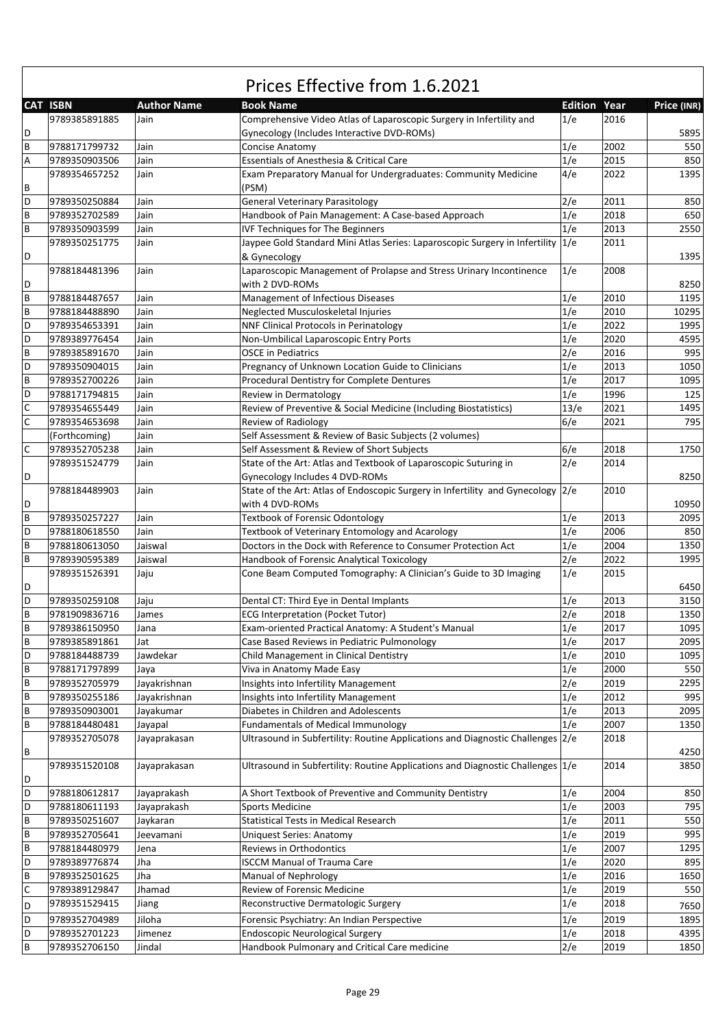|   | <b>CAT ISBN</b> | <b>Author Name</b> | <b>Book Name</b>                                                                   | <b>Edition Year</b> |      | Price (INR) |
|---|-----------------|--------------------|------------------------------------------------------------------------------------|---------------------|------|-------------|
|   | 9789385891885   | Jain               | Comprehensive Video Atlas of Laparoscopic Surgery in Infertility and               | 1/e                 | 2016 |             |
| D |                 |                    | Gynecology (Includes Interactive DVD-ROMs)                                         |                     |      | 5895        |
| B | 9788171799732   | Jain               | Concise Anatomy                                                                    | 1/e                 | 2002 | 550         |
| Α | 9789350903506   | Jain               | Essentials of Anesthesia & Critical Care                                           | 1/e                 | 2015 | 850         |
|   | 9789354657252   | Jain               | Exam Preparatory Manual for Undergraduates: Community Medicine                     | 4/e                 | 2022 | 1395        |
| В |                 |                    | (PSM)                                                                              |                     |      |             |
| D |                 |                    |                                                                                    |                     |      | 850         |
|   | 9789350250884   | Jain               | <b>General Veterinary Parasitology</b>                                             | 2/e                 | 2011 |             |
| B | 9789352702589   | Jain               | Handbook of Pain Management: A Case-based Approach                                 | 1/e                 | 2018 | 650         |
| B | 9789350903599   | Jain               | <b>IVF Techniques for The Beginners</b>                                            | 1/e                 | 2013 | 2550        |
|   | 9789350251775   | Jain               | Jaypee Gold Standard Mini Atlas Series: Laparoscopic Surgery in Infertility        | 1/e                 | 2011 |             |
| D |                 |                    | & Gynecology                                                                       |                     |      | 1395        |
|   | 9788184481396   | Jain               | Laparoscopic Management of Prolapse and Stress Urinary Incontinence                | 1/e                 | 2008 |             |
| D |                 |                    | with 2 DVD-ROMs                                                                    |                     |      | 8250        |
| B | 9788184487657   | Jain               | Management of Infectious Diseases                                                  | 1/e                 | 2010 | 1195        |
| B | 9788184488890   | Jain               | Neglected Musculoskeletal Injuries                                                 | 1/e                 | 2010 | 10295       |
| D | 9789354653391   | Jain               | <b>NNF Clinical Protocols in Perinatology</b>                                      | 1/e                 | 2022 | 1995        |
| D | 9789389776454   | Jain               | Non-Umbilical Laparoscopic Entry Ports                                             | 1/e                 | 2020 | 4595        |
| B | 9789385891670   | Jain               | <b>OSCE</b> in Pediatrics                                                          | 2/e                 | 2016 | 995         |
| D | 9789350904015   | Jain               | Pregnancy of Unknown Location Guide to Clinicians                                  | 1/e                 | 2013 | 1050        |
| B | 9789352700226   | Jain               | Procedural Dentistry for Complete Dentures                                         | 1/e                 | 2017 | 1095        |
| D |                 |                    |                                                                                    | 1/e                 | 1996 |             |
|   | 9788171794815   | Jain               | Review in Dermatology                                                              |                     |      | 125         |
| C | 9789354655449   | Jain               | Review of Preventive & Social Medicine (Including Biostatistics)                   | 13/e                | 2021 | 1495        |
| C | 9789354653698   | Jain               | Review of Radiology                                                                | 6/e                 | 2021 | 795         |
|   | (Forthcoming)   | Jain               | Self Assessment & Review of Basic Subjects (2 volumes)                             |                     |      |             |
| С | 9789352705238   | Jain               | Self Assessment & Review of Short Subjects                                         | 6/e                 | 2018 | 1750        |
|   | 9789351524779   | Jain               | State of the Art: Atlas and Textbook of Laparoscopic Suturing in                   | 2/e                 | 2014 |             |
| D |                 |                    | Gynecology Includes 4 DVD-ROMs                                                     |                     |      | 8250        |
|   | 9788184489903   | Jain               | State of the Art: Atlas of Endoscopic Surgery in Infertility and Gynecology 2/e    |                     | 2010 |             |
| D |                 |                    | with 4 DVD-ROMs                                                                    |                     |      | 10950       |
| B | 9789350257227   | Jain               | <b>Textbook of Forensic Odontology</b>                                             | 1/e                 | 2013 | 2095        |
| D | 9788180618550   | Jain               | Textbook of Veterinary Entomology and Acarology                                    | 1/e                 | 2006 | 850         |
| B | 9788180613050   | Jaiswal            | Doctors in the Dock with Reference to Consumer Protection Act                      | 1/e                 | 2004 | 1350        |
| B | 9789390595389   | Jaiswal            | Handbook of Forensic Analytical Toxicology                                         | 2/e                 | 2022 | 1995        |
|   |                 |                    |                                                                                    | 1/e                 | 2015 |             |
|   | 9789351526391   | Jaju               | Cone Beam Computed Tomography: A Clinician's Guide to 3D Imaging                   |                     |      |             |
| D |                 |                    |                                                                                    |                     |      | 6450        |
| D | 9789350259108   | Jaju               | Dental CT: Third Eye in Dental Implants                                            | 1/e                 | 2013 | 3150        |
| B | 9781909836716   | James              | <b>ECG Interpretation (Pocket Tutor)</b>                                           | 2/e                 | 2018 | 1350        |
| B | 9789386150950   | Jana               | Exam-oriented Practical Anatomy: A Student's Manual                                | 1/e                 | 2017 | 1095        |
| B | 9789385891861   | Jat                | Case Based Reviews in Pediatric Pulmonology                                        | 1/e                 | 2017 | 2095        |
| D | 9788184488739   | Jawdekar           | Child Management in Clinical Dentistry                                             | 1/e                 | 2010 | 1095        |
| В | 9788171797899   | Jaya               | Viva in Anatomy Made Easy                                                          | 1/e                 | 2000 | 550         |
| B | 9789352705979   | Jayakrishnan       | Insights into Infertility Management                                               | 2/e                 | 2019 | 2295        |
| B | 9789350255186   | Jayakrishnan       | Insights into Infertility Management                                               | 1/e                 | 2012 | 995         |
| B | 9789350903001   | Jayakumar          | Diabetes in Children and Adolescents                                               | 1/e                 | 2013 | 2095        |
| B | 9788184480481   | Jayapal            | <b>Fundamentals of Medical Immunology</b>                                          | 1/e                 | 2007 | 1350        |
|   | 9789352705078   | Jayaprakasan       | Ultrasound in Subfertility: Routine Applications and Diagnostic Challenges 2/e     |                     | 2018 |             |
| В |                 |                    |                                                                                    |                     |      | 4250        |
|   | 9789351520108   | Jayaprakasan       | Ultrasound in Subfertility: Routine Applications and Diagnostic Challenges $ 1/e $ |                     | 2014 | 3850        |
|   |                 |                    |                                                                                    |                     |      |             |
| D |                 |                    |                                                                                    |                     |      |             |
| D | 9788180612817   | Jayaprakash        | A Short Textbook of Preventive and Community Dentistry                             | 1/e                 | 2004 | 850         |
| D | 9788180611193   | Jayaprakash        | <b>Sports Medicine</b>                                                             | 1/e                 | 2003 | 795         |
| B | 9789350251607   | Jaykaran           | Statistical Tests in Medical Research                                              | 1/e                 | 2011 | 550         |
| B | 9789352705641   | Jeevamani          | Uniquest Series: Anatomy                                                           | 1/e                 | 2019 | 995         |
| B | 9788184480979   | Jena               | Reviews in Orthodontics                                                            | 1/e                 | 2007 | 1295        |
| D | 9789389776874   | Jha                | <b>ISCCM Manual of Trauma Care</b>                                                 | 1/e                 | 2020 | 895         |
| B | 9789352501625   | Jha                | Manual of Nephrology                                                               | 1/e                 | 2016 | 1650        |
| C | 9789389129847   | Jhamad             | Review of Forensic Medicine                                                        | 1/e                 | 2019 | 550         |
| D | 9789351529415   | Jiang              | Reconstructive Dermatologic Surgery                                                | 1/e                 | 2018 | 7650        |
| D | 9789352704989   | Jiloha             | Forensic Psychiatry: An Indian Perspective                                         | 1/e                 | 2019 | 1895        |
| D |                 | Jimenez            | <b>Endoscopic Neurological Surgery</b>                                             |                     |      |             |
|   | 9789352701223   |                    |                                                                                    | 1/e                 | 2018 | 4395        |
| B | 9789352706150   | Jindal             | Handbook Pulmonary and Critical Care medicine                                      | 2/e                 | 2019 | 1850        |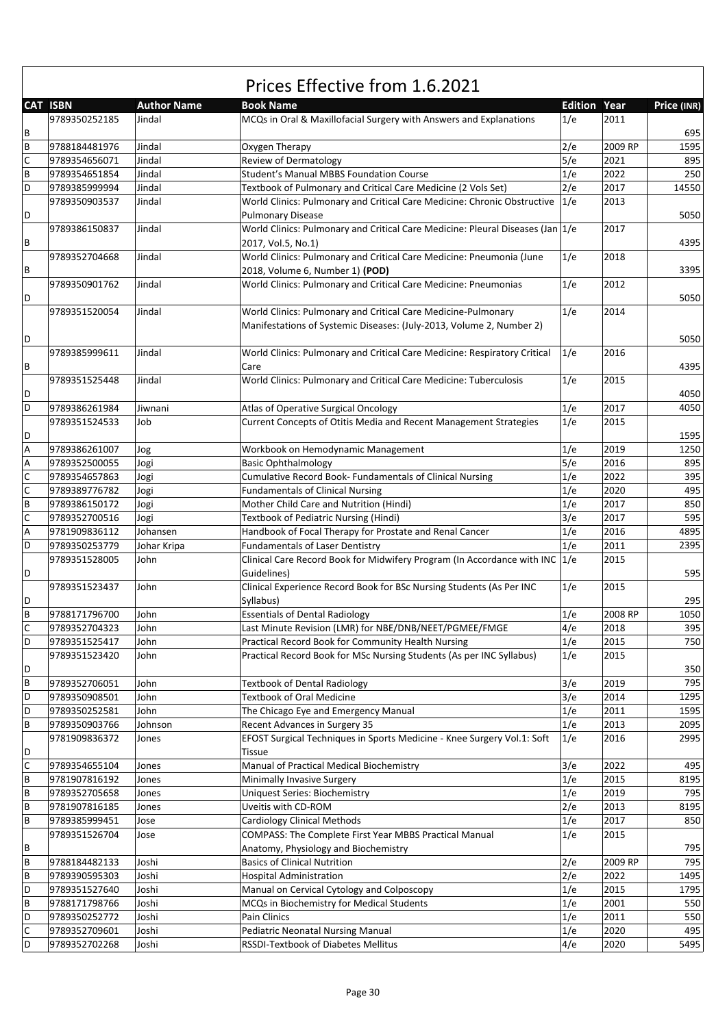| <b>CAT ISBN</b><br>Year<br><b>Author Name</b><br><b>Book Name</b><br><b>Edition</b><br>Price (INR)<br>9789350252185<br>MCQs in Oral & Maxillofacial Surgery with Answers and Explanations<br>1/e<br>2011<br>Jindal<br>B<br>695<br>$\sf B$<br>Oxygen Therapy<br>2/e<br>2009 RP<br>9788184481976<br>Jindal<br>1595<br>C<br>5/e<br><b>Review of Dermatology</b><br>895<br>9789354656071<br>Jindal<br>2021<br>B<br>1/e<br>250<br>Jindal<br>Student's Manual MBBS Foundation Course<br>2022<br>9789354651854<br>D<br>2/e<br>14550<br>Jindal<br>2017<br>9789385999994<br>Textbook of Pulmonary and Critical Care Medicine (2 Vols Set)<br>Jindal<br>1/e<br>2013<br>9789350903537<br>World Clinics: Pulmonary and Critical Care Medicine: Chronic Obstructive<br><b>Pulmonary Disease</b><br>5050<br>D<br>2017<br>Jindal<br>World Clinics: Pulmonary and Critical Care Medicine: Pleural Diseases (Jan $ 1/e $<br>9789386150837<br>2017, Vol.5, No.1)<br>4395<br>B<br>World Clinics: Pulmonary and Critical Care Medicine: Pneumonia (June<br>Jindal<br>1/e<br>2018<br>9789352704668<br>2018, Volume 6, Number 1) (POD)<br>B<br>3395<br>1/e<br>Jindal<br>World Clinics: Pulmonary and Critical Care Medicine: Pneumonias<br>2012<br>9789350901762<br>5050<br>D<br>Jindal<br>World Clinics: Pulmonary and Critical Care Medicine-Pulmonary<br>1/e<br>2014<br>9789351520054<br>Manifestations of Systemic Diseases: (July-2013, Volume 2, Number 2)<br>D<br>5050<br>9789385999611<br>Jindal<br>World Clinics: Pulmonary and Critical Care Medicine: Respiratory Critical<br>1/e<br>2016<br>B<br>Care<br>4395<br>World Clinics: Pulmonary and Critical Care Medicine: Tuberculosis<br>1/e<br>2015<br>9789351525448<br>Jindal<br>D<br>4050<br>D<br>1/e<br>2017<br>Atlas of Operative Surgical Oncology<br>4050<br>9789386261984<br>Jiwnani<br>Current Concepts of Otitis Media and Recent Management Strategies<br>1/e<br>2015<br>9789351524533<br>Job<br>1595<br>D<br>1/e<br>2019<br>9789386261007<br>1250<br>A<br>Workbook on Hemodynamic Management<br>Jog<br>5/e<br>Α<br>2016<br>895<br>9789352500055<br><b>Basic Ophthalmology</b><br>Jogi<br>C<br>1/e<br>9789354657863<br>Cumulative Record Book- Fundamentals of Clinical Nursing<br>2022<br>395<br>Jogi<br>$\mathsf C$<br>495<br>9789389776782<br>1/e<br>2020<br>Jogi<br><b>Fundamentals of Clinical Nursing</b><br>B<br>850<br>Mother Child Care and Nutrition (Hindi)<br>1/e<br>2017<br>9789386150172<br>Jogi<br>C<br>3/e<br>595<br>2017<br>9789352700516<br>Textbook of Pediatric Nursing (Hindi)<br>Jogi<br>1/e<br>A<br>Handbook of Focal Therapy for Prostate and Renal Cancer<br>4895<br>Johansen<br>2016<br>9781909836112<br>1/e<br>2395<br>D<br><b>Fundamentals of Laser Dentistry</b><br>2011<br>9789350253779<br>Johar Kripa<br>Clinical Care Record Book for Midwifery Program (In Accordance with INC $ 1/e $<br>2015<br>9789351528005<br>John<br>D<br>Guidelines)<br>595<br>Clinical Experience Record Book for BSc Nursing Students (As Per INC<br>1/e<br>2015<br>9789351523437<br>John<br>Syllabus)<br>295<br>D<br>B<br><b>Essentials of Dental Radiology</b><br>1/e<br>9788171796700<br>2008 RP<br>1050<br>John<br>395<br>Last Minute Revision (LMR) for NBE/DNB/NEET/PGMEE/FMGE<br>ΙC<br>9789352704323<br>John<br>4/e<br>2018<br>D<br>1/e<br>750<br>9789351525417<br>John<br>Practical Record Book for Community Health Nursing<br>2015<br>Practical Record Book for MSc Nursing Students (As per INC Syllabus)<br>1/e<br>9789351523420<br>2015<br>John<br>D<br>350<br>2019<br>$\, {\sf B}$<br><b>Textbook of Dental Radiology</b><br>3/e<br>9789352706051<br>795<br>John<br>3/e<br>D<br><b>Textbook of Oral Medicine</b><br>1295<br>9789350908501<br>John<br>2014<br>D<br>The Chicago Eye and Emergency Manual<br>1/e<br>2011<br>9789350252581<br>John<br>1595<br>$\, {\sf B}$<br>Recent Advances in Surgery 35<br>1/e<br>9789350903766<br>Johnson<br>2013<br>2095<br>EFOST Surgical Techniques in Sports Medicine - Knee Surgery Vol.1: Soft<br>1/e<br>2016<br>2995<br>9781909836372<br>Jones<br>D<br><b>Tissue</b><br>$\mathsf C$<br>Manual of Practical Medical Biochemistry<br>3/e<br>2022<br>9789354655104<br>495<br>Jones<br>1/e<br>$\sf B$<br>8195<br>2015<br>9781907816192<br>Minimally Invasive Surgery<br>Jones<br>B<br>1/e<br>795<br>9789352705658<br>Uniquest Series: Biochemistry<br>2019<br>Jones<br>B<br>Uveitis with CD-ROM<br>2/e<br>2013<br>8195<br>9781907816185<br>Jones<br>$\, {\sf B}$<br>1/e<br>2017<br>850<br>9789385999451<br><b>Cardiology Clinical Methods</b><br>Jose<br>COMPASS: The Complete First Year MBBS Practical Manual<br>9789351526704<br>1/e<br>2015<br>Jose<br>Anatomy, Physiology and Biochemistry<br>B<br>795<br>B<br><b>Basics of Clinical Nutrition</b><br>2/e<br>795<br>9788184482133<br>Joshi<br>2009 RP<br>2/e<br>B<br>9789390595303<br>Joshi<br>Hospital Administration<br>2022<br>1495<br>Manual on Cervical Cytology and Colposcopy<br>1/e<br>D<br>9789351527640<br>Joshi<br>2015<br>1795<br>B<br>1/e<br>9788171798766<br>Joshi<br>MCQs in Biochemistry for Medical Students<br>2001<br>550<br>D<br>1/e<br>9789350252772<br>2011<br>550<br>Joshi<br>Pain Clinics<br>$\mathsf C$<br><b>Pediatric Neonatal Nursing Manual</b><br>1/e<br>2020<br>495<br>9789352709601<br>Joshi<br>D<br>5495<br>2020<br>9789352702268<br>RSSDI-Textbook of Diabetes Mellitus<br>4/e<br>Joshi | Prices Effective from 1.6.2021 |  |  |  |  |  |  |  |  |
|-------------------------------------------------------------------------------------------------------------------------------------------------------------------------------------------------------------------------------------------------------------------------------------------------------------------------------------------------------------------------------------------------------------------------------------------------------------------------------------------------------------------------------------------------------------------------------------------------------------------------------------------------------------------------------------------------------------------------------------------------------------------------------------------------------------------------------------------------------------------------------------------------------------------------------------------------------------------------------------------------------------------------------------------------------------------------------------------------------------------------------------------------------------------------------------------------------------------------------------------------------------------------------------------------------------------------------------------------------------------------------------------------------------------------------------------------------------------------------------------------------------------------------------------------------------------------------------------------------------------------------------------------------------------------------------------------------------------------------------------------------------------------------------------------------------------------------------------------------------------------------------------------------------------------------------------------------------------------------------------------------------------------------------------------------------------------------------------------------------------------------------------------------------------------------------------------------------------------------------------------------------------------------------------------------------------------------------------------------------------------------------------------------------------------------------------------------------------------------------------------------------------------------------------------------------------------------------------------------------------------------------------------------------------------------------------------------------------------------------------------------------------------------------------------------------------------------------------------------------------------------------------------------------------------------------------------------------------------------------------------------------------------------------------------------------------------------------------------------------------------------------------------------------------------------------------------------------------------------------------------------------------------------------------------------------------------------------------------------------------------------------------------------------------------------------------------------------------------------------------------------------------------------------------------------------------------------------------------------------------------------------------------------------------------------------------------------------------------------------------------------------------------------------------------------------------------------------------------------------------------------------------------------------------------------------------------------------------------------------------------------------------------------------------------------------------------------------------------------------------------------------------------------------------------------------------------------------------------------------------------------------------------------------------------------------------------------------------------------------------------------------------------------------------------------------------------------------------------------------------------------------------------------------------------------------------------------------------------------------------------------------------------------------------------------------------------------------------------------------------------------------------------------------------------------------------------------------------------------------------------------------------------------------------------------------------------------------------------------------------------------------------------------------------------------------------------------------------------------------------------------------------------------------------------------------------------------------------------------------------------------------------------------------------------------------------------------------------------------------------------------------------|--------------------------------|--|--|--|--|--|--|--|--|
|                                                                                                                                                                                                                                                                                                                                                                                                                                                                                                                                                                                                                                                                                                                                                                                                                                                                                                                                                                                                                                                                                                                                                                                                                                                                                                                                                                                                                                                                                                                                                                                                                                                                                                                                                                                                                                                                                                                                                                                                                                                                                                                                                                                                                                                                                                                                                                                                                                                                                                                                                                                                                                                                                                                                                                                                                                                                                                                                                                                                                                                                                                                                                                                                                                                                                                                                                                                                                                                                                                                                                                                                                                                                                                                                                                                                                                                                                                                                                                                                                                                                                                                                                                                                                                                                                                                                                                                                                                                                                                                                                                                                                                                                                                                                                                                                                                                                                                                                                                                                                                                                                                                                                                                                                                                                                                                                                                                           |                                |  |  |  |  |  |  |  |  |
|                                                                                                                                                                                                                                                                                                                                                                                                                                                                                                                                                                                                                                                                                                                                                                                                                                                                                                                                                                                                                                                                                                                                                                                                                                                                                                                                                                                                                                                                                                                                                                                                                                                                                                                                                                                                                                                                                                                                                                                                                                                                                                                                                                                                                                                                                                                                                                                                                                                                                                                                                                                                                                                                                                                                                                                                                                                                                                                                                                                                                                                                                                                                                                                                                                                                                                                                                                                                                                                                                                                                                                                                                                                                                                                                                                                                                                                                                                                                                                                                                                                                                                                                                                                                                                                                                                                                                                                                                                                                                                                                                                                                                                                                                                                                                                                                                                                                                                                                                                                                                                                                                                                                                                                                                                                                                                                                                                                           |                                |  |  |  |  |  |  |  |  |
|                                                                                                                                                                                                                                                                                                                                                                                                                                                                                                                                                                                                                                                                                                                                                                                                                                                                                                                                                                                                                                                                                                                                                                                                                                                                                                                                                                                                                                                                                                                                                                                                                                                                                                                                                                                                                                                                                                                                                                                                                                                                                                                                                                                                                                                                                                                                                                                                                                                                                                                                                                                                                                                                                                                                                                                                                                                                                                                                                                                                                                                                                                                                                                                                                                                                                                                                                                                                                                                                                                                                                                                                                                                                                                                                                                                                                                                                                                                                                                                                                                                                                                                                                                                                                                                                                                                                                                                                                                                                                                                                                                                                                                                                                                                                                                                                                                                                                                                                                                                                                                                                                                                                                                                                                                                                                                                                                                                           |                                |  |  |  |  |  |  |  |  |
|                                                                                                                                                                                                                                                                                                                                                                                                                                                                                                                                                                                                                                                                                                                                                                                                                                                                                                                                                                                                                                                                                                                                                                                                                                                                                                                                                                                                                                                                                                                                                                                                                                                                                                                                                                                                                                                                                                                                                                                                                                                                                                                                                                                                                                                                                                                                                                                                                                                                                                                                                                                                                                                                                                                                                                                                                                                                                                                                                                                                                                                                                                                                                                                                                                                                                                                                                                                                                                                                                                                                                                                                                                                                                                                                                                                                                                                                                                                                                                                                                                                                                                                                                                                                                                                                                                                                                                                                                                                                                                                                                                                                                                                                                                                                                                                                                                                                                                                                                                                                                                                                                                                                                                                                                                                                                                                                                                                           |                                |  |  |  |  |  |  |  |  |
|                                                                                                                                                                                                                                                                                                                                                                                                                                                                                                                                                                                                                                                                                                                                                                                                                                                                                                                                                                                                                                                                                                                                                                                                                                                                                                                                                                                                                                                                                                                                                                                                                                                                                                                                                                                                                                                                                                                                                                                                                                                                                                                                                                                                                                                                                                                                                                                                                                                                                                                                                                                                                                                                                                                                                                                                                                                                                                                                                                                                                                                                                                                                                                                                                                                                                                                                                                                                                                                                                                                                                                                                                                                                                                                                                                                                                                                                                                                                                                                                                                                                                                                                                                                                                                                                                                                                                                                                                                                                                                                                                                                                                                                                                                                                                                                                                                                                                                                                                                                                                                                                                                                                                                                                                                                                                                                                                                                           |                                |  |  |  |  |  |  |  |  |
|                                                                                                                                                                                                                                                                                                                                                                                                                                                                                                                                                                                                                                                                                                                                                                                                                                                                                                                                                                                                                                                                                                                                                                                                                                                                                                                                                                                                                                                                                                                                                                                                                                                                                                                                                                                                                                                                                                                                                                                                                                                                                                                                                                                                                                                                                                                                                                                                                                                                                                                                                                                                                                                                                                                                                                                                                                                                                                                                                                                                                                                                                                                                                                                                                                                                                                                                                                                                                                                                                                                                                                                                                                                                                                                                                                                                                                                                                                                                                                                                                                                                                                                                                                                                                                                                                                                                                                                                                                                                                                                                                                                                                                                                                                                                                                                                                                                                                                                                                                                                                                                                                                                                                                                                                                                                                                                                                                                           |                                |  |  |  |  |  |  |  |  |
|                                                                                                                                                                                                                                                                                                                                                                                                                                                                                                                                                                                                                                                                                                                                                                                                                                                                                                                                                                                                                                                                                                                                                                                                                                                                                                                                                                                                                                                                                                                                                                                                                                                                                                                                                                                                                                                                                                                                                                                                                                                                                                                                                                                                                                                                                                                                                                                                                                                                                                                                                                                                                                                                                                                                                                                                                                                                                                                                                                                                                                                                                                                                                                                                                                                                                                                                                                                                                                                                                                                                                                                                                                                                                                                                                                                                                                                                                                                                                                                                                                                                                                                                                                                                                                                                                                                                                                                                                                                                                                                                                                                                                                                                                                                                                                                                                                                                                                                                                                                                                                                                                                                                                                                                                                                                                                                                                                                           |                                |  |  |  |  |  |  |  |  |
|                                                                                                                                                                                                                                                                                                                                                                                                                                                                                                                                                                                                                                                                                                                                                                                                                                                                                                                                                                                                                                                                                                                                                                                                                                                                                                                                                                                                                                                                                                                                                                                                                                                                                                                                                                                                                                                                                                                                                                                                                                                                                                                                                                                                                                                                                                                                                                                                                                                                                                                                                                                                                                                                                                                                                                                                                                                                                                                                                                                                                                                                                                                                                                                                                                                                                                                                                                                                                                                                                                                                                                                                                                                                                                                                                                                                                                                                                                                                                                                                                                                                                                                                                                                                                                                                                                                                                                                                                                                                                                                                                                                                                                                                                                                                                                                                                                                                                                                                                                                                                                                                                                                                                                                                                                                                                                                                                                                           |                                |  |  |  |  |  |  |  |  |
|                                                                                                                                                                                                                                                                                                                                                                                                                                                                                                                                                                                                                                                                                                                                                                                                                                                                                                                                                                                                                                                                                                                                                                                                                                                                                                                                                                                                                                                                                                                                                                                                                                                                                                                                                                                                                                                                                                                                                                                                                                                                                                                                                                                                                                                                                                                                                                                                                                                                                                                                                                                                                                                                                                                                                                                                                                                                                                                                                                                                                                                                                                                                                                                                                                                                                                                                                                                                                                                                                                                                                                                                                                                                                                                                                                                                                                                                                                                                                                                                                                                                                                                                                                                                                                                                                                                                                                                                                                                                                                                                                                                                                                                                                                                                                                                                                                                                                                                                                                                                                                                                                                                                                                                                                                                                                                                                                                                           |                                |  |  |  |  |  |  |  |  |
|                                                                                                                                                                                                                                                                                                                                                                                                                                                                                                                                                                                                                                                                                                                                                                                                                                                                                                                                                                                                                                                                                                                                                                                                                                                                                                                                                                                                                                                                                                                                                                                                                                                                                                                                                                                                                                                                                                                                                                                                                                                                                                                                                                                                                                                                                                                                                                                                                                                                                                                                                                                                                                                                                                                                                                                                                                                                                                                                                                                                                                                                                                                                                                                                                                                                                                                                                                                                                                                                                                                                                                                                                                                                                                                                                                                                                                                                                                                                                                                                                                                                                                                                                                                                                                                                                                                                                                                                                                                                                                                                                                                                                                                                                                                                                                                                                                                                                                                                                                                                                                                                                                                                                                                                                                                                                                                                                                                           |                                |  |  |  |  |  |  |  |  |
|                                                                                                                                                                                                                                                                                                                                                                                                                                                                                                                                                                                                                                                                                                                                                                                                                                                                                                                                                                                                                                                                                                                                                                                                                                                                                                                                                                                                                                                                                                                                                                                                                                                                                                                                                                                                                                                                                                                                                                                                                                                                                                                                                                                                                                                                                                                                                                                                                                                                                                                                                                                                                                                                                                                                                                                                                                                                                                                                                                                                                                                                                                                                                                                                                                                                                                                                                                                                                                                                                                                                                                                                                                                                                                                                                                                                                                                                                                                                                                                                                                                                                                                                                                                                                                                                                                                                                                                                                                                                                                                                                                                                                                                                                                                                                                                                                                                                                                                                                                                                                                                                                                                                                                                                                                                                                                                                                                                           |                                |  |  |  |  |  |  |  |  |
|                                                                                                                                                                                                                                                                                                                                                                                                                                                                                                                                                                                                                                                                                                                                                                                                                                                                                                                                                                                                                                                                                                                                                                                                                                                                                                                                                                                                                                                                                                                                                                                                                                                                                                                                                                                                                                                                                                                                                                                                                                                                                                                                                                                                                                                                                                                                                                                                                                                                                                                                                                                                                                                                                                                                                                                                                                                                                                                                                                                                                                                                                                                                                                                                                                                                                                                                                                                                                                                                                                                                                                                                                                                                                                                                                                                                                                                                                                                                                                                                                                                                                                                                                                                                                                                                                                                                                                                                                                                                                                                                                                                                                                                                                                                                                                                                                                                                                                                                                                                                                                                                                                                                                                                                                                                                                                                                                                                           |                                |  |  |  |  |  |  |  |  |
|                                                                                                                                                                                                                                                                                                                                                                                                                                                                                                                                                                                                                                                                                                                                                                                                                                                                                                                                                                                                                                                                                                                                                                                                                                                                                                                                                                                                                                                                                                                                                                                                                                                                                                                                                                                                                                                                                                                                                                                                                                                                                                                                                                                                                                                                                                                                                                                                                                                                                                                                                                                                                                                                                                                                                                                                                                                                                                                                                                                                                                                                                                                                                                                                                                                                                                                                                                                                                                                                                                                                                                                                                                                                                                                                                                                                                                                                                                                                                                                                                                                                                                                                                                                                                                                                                                                                                                                                                                                                                                                                                                                                                                                                                                                                                                                                                                                                                                                                                                                                                                                                                                                                                                                                                                                                                                                                                                                           |                                |  |  |  |  |  |  |  |  |
|                                                                                                                                                                                                                                                                                                                                                                                                                                                                                                                                                                                                                                                                                                                                                                                                                                                                                                                                                                                                                                                                                                                                                                                                                                                                                                                                                                                                                                                                                                                                                                                                                                                                                                                                                                                                                                                                                                                                                                                                                                                                                                                                                                                                                                                                                                                                                                                                                                                                                                                                                                                                                                                                                                                                                                                                                                                                                                                                                                                                                                                                                                                                                                                                                                                                                                                                                                                                                                                                                                                                                                                                                                                                                                                                                                                                                                                                                                                                                                                                                                                                                                                                                                                                                                                                                                                                                                                                                                                                                                                                                                                                                                                                                                                                                                                                                                                                                                                                                                                                                                                                                                                                                                                                                                                                                                                                                                                           |                                |  |  |  |  |  |  |  |  |
|                                                                                                                                                                                                                                                                                                                                                                                                                                                                                                                                                                                                                                                                                                                                                                                                                                                                                                                                                                                                                                                                                                                                                                                                                                                                                                                                                                                                                                                                                                                                                                                                                                                                                                                                                                                                                                                                                                                                                                                                                                                                                                                                                                                                                                                                                                                                                                                                                                                                                                                                                                                                                                                                                                                                                                                                                                                                                                                                                                                                                                                                                                                                                                                                                                                                                                                                                                                                                                                                                                                                                                                                                                                                                                                                                                                                                                                                                                                                                                                                                                                                                                                                                                                                                                                                                                                                                                                                                                                                                                                                                                                                                                                                                                                                                                                                                                                                                                                                                                                                                                                                                                                                                                                                                                                                                                                                                                                           |                                |  |  |  |  |  |  |  |  |
|                                                                                                                                                                                                                                                                                                                                                                                                                                                                                                                                                                                                                                                                                                                                                                                                                                                                                                                                                                                                                                                                                                                                                                                                                                                                                                                                                                                                                                                                                                                                                                                                                                                                                                                                                                                                                                                                                                                                                                                                                                                                                                                                                                                                                                                                                                                                                                                                                                                                                                                                                                                                                                                                                                                                                                                                                                                                                                                                                                                                                                                                                                                                                                                                                                                                                                                                                                                                                                                                                                                                                                                                                                                                                                                                                                                                                                                                                                                                                                                                                                                                                                                                                                                                                                                                                                                                                                                                                                                                                                                                                                                                                                                                                                                                                                                                                                                                                                                                                                                                                                                                                                                                                                                                                                                                                                                                                                                           |                                |  |  |  |  |  |  |  |  |
|                                                                                                                                                                                                                                                                                                                                                                                                                                                                                                                                                                                                                                                                                                                                                                                                                                                                                                                                                                                                                                                                                                                                                                                                                                                                                                                                                                                                                                                                                                                                                                                                                                                                                                                                                                                                                                                                                                                                                                                                                                                                                                                                                                                                                                                                                                                                                                                                                                                                                                                                                                                                                                                                                                                                                                                                                                                                                                                                                                                                                                                                                                                                                                                                                                                                                                                                                                                                                                                                                                                                                                                                                                                                                                                                                                                                                                                                                                                                                                                                                                                                                                                                                                                                                                                                                                                                                                                                                                                                                                                                                                                                                                                                                                                                                                                                                                                                                                                                                                                                                                                                                                                                                                                                                                                                                                                                                                                           |                                |  |  |  |  |  |  |  |  |
|                                                                                                                                                                                                                                                                                                                                                                                                                                                                                                                                                                                                                                                                                                                                                                                                                                                                                                                                                                                                                                                                                                                                                                                                                                                                                                                                                                                                                                                                                                                                                                                                                                                                                                                                                                                                                                                                                                                                                                                                                                                                                                                                                                                                                                                                                                                                                                                                                                                                                                                                                                                                                                                                                                                                                                                                                                                                                                                                                                                                                                                                                                                                                                                                                                                                                                                                                                                                                                                                                                                                                                                                                                                                                                                                                                                                                                                                                                                                                                                                                                                                                                                                                                                                                                                                                                                                                                                                                                                                                                                                                                                                                                                                                                                                                                                                                                                                                                                                                                                                                                                                                                                                                                                                                                                                                                                                                                                           |                                |  |  |  |  |  |  |  |  |
|                                                                                                                                                                                                                                                                                                                                                                                                                                                                                                                                                                                                                                                                                                                                                                                                                                                                                                                                                                                                                                                                                                                                                                                                                                                                                                                                                                                                                                                                                                                                                                                                                                                                                                                                                                                                                                                                                                                                                                                                                                                                                                                                                                                                                                                                                                                                                                                                                                                                                                                                                                                                                                                                                                                                                                                                                                                                                                                                                                                                                                                                                                                                                                                                                                                                                                                                                                                                                                                                                                                                                                                                                                                                                                                                                                                                                                                                                                                                                                                                                                                                                                                                                                                                                                                                                                                                                                                                                                                                                                                                                                                                                                                                                                                                                                                                                                                                                                                                                                                                                                                                                                                                                                                                                                                                                                                                                                                           |                                |  |  |  |  |  |  |  |  |
|                                                                                                                                                                                                                                                                                                                                                                                                                                                                                                                                                                                                                                                                                                                                                                                                                                                                                                                                                                                                                                                                                                                                                                                                                                                                                                                                                                                                                                                                                                                                                                                                                                                                                                                                                                                                                                                                                                                                                                                                                                                                                                                                                                                                                                                                                                                                                                                                                                                                                                                                                                                                                                                                                                                                                                                                                                                                                                                                                                                                                                                                                                                                                                                                                                                                                                                                                                                                                                                                                                                                                                                                                                                                                                                                                                                                                                                                                                                                                                                                                                                                                                                                                                                                                                                                                                                                                                                                                                                                                                                                                                                                                                                                                                                                                                                                                                                                                                                                                                                                                                                                                                                                                                                                                                                                                                                                                                                           |                                |  |  |  |  |  |  |  |  |
|                                                                                                                                                                                                                                                                                                                                                                                                                                                                                                                                                                                                                                                                                                                                                                                                                                                                                                                                                                                                                                                                                                                                                                                                                                                                                                                                                                                                                                                                                                                                                                                                                                                                                                                                                                                                                                                                                                                                                                                                                                                                                                                                                                                                                                                                                                                                                                                                                                                                                                                                                                                                                                                                                                                                                                                                                                                                                                                                                                                                                                                                                                                                                                                                                                                                                                                                                                                                                                                                                                                                                                                                                                                                                                                                                                                                                                                                                                                                                                                                                                                                                                                                                                                                                                                                                                                                                                                                                                                                                                                                                                                                                                                                                                                                                                                                                                                                                                                                                                                                                                                                                                                                                                                                                                                                                                                                                                                           |                                |  |  |  |  |  |  |  |  |
|                                                                                                                                                                                                                                                                                                                                                                                                                                                                                                                                                                                                                                                                                                                                                                                                                                                                                                                                                                                                                                                                                                                                                                                                                                                                                                                                                                                                                                                                                                                                                                                                                                                                                                                                                                                                                                                                                                                                                                                                                                                                                                                                                                                                                                                                                                                                                                                                                                                                                                                                                                                                                                                                                                                                                                                                                                                                                                                                                                                                                                                                                                                                                                                                                                                                                                                                                                                                                                                                                                                                                                                                                                                                                                                                                                                                                                                                                                                                                                                                                                                                                                                                                                                                                                                                                                                                                                                                                                                                                                                                                                                                                                                                                                                                                                                                                                                                                                                                                                                                                                                                                                                                                                                                                                                                                                                                                                                           |                                |  |  |  |  |  |  |  |  |
|                                                                                                                                                                                                                                                                                                                                                                                                                                                                                                                                                                                                                                                                                                                                                                                                                                                                                                                                                                                                                                                                                                                                                                                                                                                                                                                                                                                                                                                                                                                                                                                                                                                                                                                                                                                                                                                                                                                                                                                                                                                                                                                                                                                                                                                                                                                                                                                                                                                                                                                                                                                                                                                                                                                                                                                                                                                                                                                                                                                                                                                                                                                                                                                                                                                                                                                                                                                                                                                                                                                                                                                                                                                                                                                                                                                                                                                                                                                                                                                                                                                                                                                                                                                                                                                                                                                                                                                                                                                                                                                                                                                                                                                                                                                                                                                                                                                                                                                                                                                                                                                                                                                                                                                                                                                                                                                                                                                           |                                |  |  |  |  |  |  |  |  |
|                                                                                                                                                                                                                                                                                                                                                                                                                                                                                                                                                                                                                                                                                                                                                                                                                                                                                                                                                                                                                                                                                                                                                                                                                                                                                                                                                                                                                                                                                                                                                                                                                                                                                                                                                                                                                                                                                                                                                                                                                                                                                                                                                                                                                                                                                                                                                                                                                                                                                                                                                                                                                                                                                                                                                                                                                                                                                                                                                                                                                                                                                                                                                                                                                                                                                                                                                                                                                                                                                                                                                                                                                                                                                                                                                                                                                                                                                                                                                                                                                                                                                                                                                                                                                                                                                                                                                                                                                                                                                                                                                                                                                                                                                                                                                                                                                                                                                                                                                                                                                                                                                                                                                                                                                                                                                                                                                                                           |                                |  |  |  |  |  |  |  |  |
|                                                                                                                                                                                                                                                                                                                                                                                                                                                                                                                                                                                                                                                                                                                                                                                                                                                                                                                                                                                                                                                                                                                                                                                                                                                                                                                                                                                                                                                                                                                                                                                                                                                                                                                                                                                                                                                                                                                                                                                                                                                                                                                                                                                                                                                                                                                                                                                                                                                                                                                                                                                                                                                                                                                                                                                                                                                                                                                                                                                                                                                                                                                                                                                                                                                                                                                                                                                                                                                                                                                                                                                                                                                                                                                                                                                                                                                                                                                                                                                                                                                                                                                                                                                                                                                                                                                                                                                                                                                                                                                                                                                                                                                                                                                                                                                                                                                                                                                                                                                                                                                                                                                                                                                                                                                                                                                                                                                           |                                |  |  |  |  |  |  |  |  |
|                                                                                                                                                                                                                                                                                                                                                                                                                                                                                                                                                                                                                                                                                                                                                                                                                                                                                                                                                                                                                                                                                                                                                                                                                                                                                                                                                                                                                                                                                                                                                                                                                                                                                                                                                                                                                                                                                                                                                                                                                                                                                                                                                                                                                                                                                                                                                                                                                                                                                                                                                                                                                                                                                                                                                                                                                                                                                                                                                                                                                                                                                                                                                                                                                                                                                                                                                                                                                                                                                                                                                                                                                                                                                                                                                                                                                                                                                                                                                                                                                                                                                                                                                                                                                                                                                                                                                                                                                                                                                                                                                                                                                                                                                                                                                                                                                                                                                                                                                                                                                                                                                                                                                                                                                                                                                                                                                                                           |                                |  |  |  |  |  |  |  |  |
|                                                                                                                                                                                                                                                                                                                                                                                                                                                                                                                                                                                                                                                                                                                                                                                                                                                                                                                                                                                                                                                                                                                                                                                                                                                                                                                                                                                                                                                                                                                                                                                                                                                                                                                                                                                                                                                                                                                                                                                                                                                                                                                                                                                                                                                                                                                                                                                                                                                                                                                                                                                                                                                                                                                                                                                                                                                                                                                                                                                                                                                                                                                                                                                                                                                                                                                                                                                                                                                                                                                                                                                                                                                                                                                                                                                                                                                                                                                                                                                                                                                                                                                                                                                                                                                                                                                                                                                                                                                                                                                                                                                                                                                                                                                                                                                                                                                                                                                                                                                                                                                                                                                                                                                                                                                                                                                                                                                           |                                |  |  |  |  |  |  |  |  |
|                                                                                                                                                                                                                                                                                                                                                                                                                                                                                                                                                                                                                                                                                                                                                                                                                                                                                                                                                                                                                                                                                                                                                                                                                                                                                                                                                                                                                                                                                                                                                                                                                                                                                                                                                                                                                                                                                                                                                                                                                                                                                                                                                                                                                                                                                                                                                                                                                                                                                                                                                                                                                                                                                                                                                                                                                                                                                                                                                                                                                                                                                                                                                                                                                                                                                                                                                                                                                                                                                                                                                                                                                                                                                                                                                                                                                                                                                                                                                                                                                                                                                                                                                                                                                                                                                                                                                                                                                                                                                                                                                                                                                                                                                                                                                                                                                                                                                                                                                                                                                                                                                                                                                                                                                                                                                                                                                                                           |                                |  |  |  |  |  |  |  |  |
|                                                                                                                                                                                                                                                                                                                                                                                                                                                                                                                                                                                                                                                                                                                                                                                                                                                                                                                                                                                                                                                                                                                                                                                                                                                                                                                                                                                                                                                                                                                                                                                                                                                                                                                                                                                                                                                                                                                                                                                                                                                                                                                                                                                                                                                                                                                                                                                                                                                                                                                                                                                                                                                                                                                                                                                                                                                                                                                                                                                                                                                                                                                                                                                                                                                                                                                                                                                                                                                                                                                                                                                                                                                                                                                                                                                                                                                                                                                                                                                                                                                                                                                                                                                                                                                                                                                                                                                                                                                                                                                                                                                                                                                                                                                                                                                                                                                                                                                                                                                                                                                                                                                                                                                                                                                                                                                                                                                           |                                |  |  |  |  |  |  |  |  |
|                                                                                                                                                                                                                                                                                                                                                                                                                                                                                                                                                                                                                                                                                                                                                                                                                                                                                                                                                                                                                                                                                                                                                                                                                                                                                                                                                                                                                                                                                                                                                                                                                                                                                                                                                                                                                                                                                                                                                                                                                                                                                                                                                                                                                                                                                                                                                                                                                                                                                                                                                                                                                                                                                                                                                                                                                                                                                                                                                                                                                                                                                                                                                                                                                                                                                                                                                                                                                                                                                                                                                                                                                                                                                                                                                                                                                                                                                                                                                                                                                                                                                                                                                                                                                                                                                                                                                                                                                                                                                                                                                                                                                                                                                                                                                                                                                                                                                                                                                                                                                                                                                                                                                                                                                                                                                                                                                                                           |                                |  |  |  |  |  |  |  |  |
|                                                                                                                                                                                                                                                                                                                                                                                                                                                                                                                                                                                                                                                                                                                                                                                                                                                                                                                                                                                                                                                                                                                                                                                                                                                                                                                                                                                                                                                                                                                                                                                                                                                                                                                                                                                                                                                                                                                                                                                                                                                                                                                                                                                                                                                                                                                                                                                                                                                                                                                                                                                                                                                                                                                                                                                                                                                                                                                                                                                                                                                                                                                                                                                                                                                                                                                                                                                                                                                                                                                                                                                                                                                                                                                                                                                                                                                                                                                                                                                                                                                                                                                                                                                                                                                                                                                                                                                                                                                                                                                                                                                                                                                                                                                                                                                                                                                                                                                                                                                                                                                                                                                                                                                                                                                                                                                                                                                           |                                |  |  |  |  |  |  |  |  |
|                                                                                                                                                                                                                                                                                                                                                                                                                                                                                                                                                                                                                                                                                                                                                                                                                                                                                                                                                                                                                                                                                                                                                                                                                                                                                                                                                                                                                                                                                                                                                                                                                                                                                                                                                                                                                                                                                                                                                                                                                                                                                                                                                                                                                                                                                                                                                                                                                                                                                                                                                                                                                                                                                                                                                                                                                                                                                                                                                                                                                                                                                                                                                                                                                                                                                                                                                                                                                                                                                                                                                                                                                                                                                                                                                                                                                                                                                                                                                                                                                                                                                                                                                                                                                                                                                                                                                                                                                                                                                                                                                                                                                                                                                                                                                                                                                                                                                                                                                                                                                                                                                                                                                                                                                                                                                                                                                                                           |                                |  |  |  |  |  |  |  |  |
|                                                                                                                                                                                                                                                                                                                                                                                                                                                                                                                                                                                                                                                                                                                                                                                                                                                                                                                                                                                                                                                                                                                                                                                                                                                                                                                                                                                                                                                                                                                                                                                                                                                                                                                                                                                                                                                                                                                                                                                                                                                                                                                                                                                                                                                                                                                                                                                                                                                                                                                                                                                                                                                                                                                                                                                                                                                                                                                                                                                                                                                                                                                                                                                                                                                                                                                                                                                                                                                                                                                                                                                                                                                                                                                                                                                                                                                                                                                                                                                                                                                                                                                                                                                                                                                                                                                                                                                                                                                                                                                                                                                                                                                                                                                                                                                                                                                                                                                                                                                                                                                                                                                                                                                                                                                                                                                                                                                           |                                |  |  |  |  |  |  |  |  |
|                                                                                                                                                                                                                                                                                                                                                                                                                                                                                                                                                                                                                                                                                                                                                                                                                                                                                                                                                                                                                                                                                                                                                                                                                                                                                                                                                                                                                                                                                                                                                                                                                                                                                                                                                                                                                                                                                                                                                                                                                                                                                                                                                                                                                                                                                                                                                                                                                                                                                                                                                                                                                                                                                                                                                                                                                                                                                                                                                                                                                                                                                                                                                                                                                                                                                                                                                                                                                                                                                                                                                                                                                                                                                                                                                                                                                                                                                                                                                                                                                                                                                                                                                                                                                                                                                                                                                                                                                                                                                                                                                                                                                                                                                                                                                                                                                                                                                                                                                                                                                                                                                                                                                                                                                                                                                                                                                                                           |                                |  |  |  |  |  |  |  |  |
|                                                                                                                                                                                                                                                                                                                                                                                                                                                                                                                                                                                                                                                                                                                                                                                                                                                                                                                                                                                                                                                                                                                                                                                                                                                                                                                                                                                                                                                                                                                                                                                                                                                                                                                                                                                                                                                                                                                                                                                                                                                                                                                                                                                                                                                                                                                                                                                                                                                                                                                                                                                                                                                                                                                                                                                                                                                                                                                                                                                                                                                                                                                                                                                                                                                                                                                                                                                                                                                                                                                                                                                                                                                                                                                                                                                                                                                                                                                                                                                                                                                                                                                                                                                                                                                                                                                                                                                                                                                                                                                                                                                                                                                                                                                                                                                                                                                                                                                                                                                                                                                                                                                                                                                                                                                                                                                                                                                           |                                |  |  |  |  |  |  |  |  |
|                                                                                                                                                                                                                                                                                                                                                                                                                                                                                                                                                                                                                                                                                                                                                                                                                                                                                                                                                                                                                                                                                                                                                                                                                                                                                                                                                                                                                                                                                                                                                                                                                                                                                                                                                                                                                                                                                                                                                                                                                                                                                                                                                                                                                                                                                                                                                                                                                                                                                                                                                                                                                                                                                                                                                                                                                                                                                                                                                                                                                                                                                                                                                                                                                                                                                                                                                                                                                                                                                                                                                                                                                                                                                                                                                                                                                                                                                                                                                                                                                                                                                                                                                                                                                                                                                                                                                                                                                                                                                                                                                                                                                                                                                                                                                                                                                                                                                                                                                                                                                                                                                                                                                                                                                                                                                                                                                                                           |                                |  |  |  |  |  |  |  |  |
|                                                                                                                                                                                                                                                                                                                                                                                                                                                                                                                                                                                                                                                                                                                                                                                                                                                                                                                                                                                                                                                                                                                                                                                                                                                                                                                                                                                                                                                                                                                                                                                                                                                                                                                                                                                                                                                                                                                                                                                                                                                                                                                                                                                                                                                                                                                                                                                                                                                                                                                                                                                                                                                                                                                                                                                                                                                                                                                                                                                                                                                                                                                                                                                                                                                                                                                                                                                                                                                                                                                                                                                                                                                                                                                                                                                                                                                                                                                                                                                                                                                                                                                                                                                                                                                                                                                                                                                                                                                                                                                                                                                                                                                                                                                                                                                                                                                                                                                                                                                                                                                                                                                                                                                                                                                                                                                                                                                           |                                |  |  |  |  |  |  |  |  |
|                                                                                                                                                                                                                                                                                                                                                                                                                                                                                                                                                                                                                                                                                                                                                                                                                                                                                                                                                                                                                                                                                                                                                                                                                                                                                                                                                                                                                                                                                                                                                                                                                                                                                                                                                                                                                                                                                                                                                                                                                                                                                                                                                                                                                                                                                                                                                                                                                                                                                                                                                                                                                                                                                                                                                                                                                                                                                                                                                                                                                                                                                                                                                                                                                                                                                                                                                                                                                                                                                                                                                                                                                                                                                                                                                                                                                                                                                                                                                                                                                                                                                                                                                                                                                                                                                                                                                                                                                                                                                                                                                                                                                                                                                                                                                                                                                                                                                                                                                                                                                                                                                                                                                                                                                                                                                                                                                                                           |                                |  |  |  |  |  |  |  |  |
|                                                                                                                                                                                                                                                                                                                                                                                                                                                                                                                                                                                                                                                                                                                                                                                                                                                                                                                                                                                                                                                                                                                                                                                                                                                                                                                                                                                                                                                                                                                                                                                                                                                                                                                                                                                                                                                                                                                                                                                                                                                                                                                                                                                                                                                                                                                                                                                                                                                                                                                                                                                                                                                                                                                                                                                                                                                                                                                                                                                                                                                                                                                                                                                                                                                                                                                                                                                                                                                                                                                                                                                                                                                                                                                                                                                                                                                                                                                                                                                                                                                                                                                                                                                                                                                                                                                                                                                                                                                                                                                                                                                                                                                                                                                                                                                                                                                                                                                                                                                                                                                                                                                                                                                                                                                                                                                                                                                           |                                |  |  |  |  |  |  |  |  |
|                                                                                                                                                                                                                                                                                                                                                                                                                                                                                                                                                                                                                                                                                                                                                                                                                                                                                                                                                                                                                                                                                                                                                                                                                                                                                                                                                                                                                                                                                                                                                                                                                                                                                                                                                                                                                                                                                                                                                                                                                                                                                                                                                                                                                                                                                                                                                                                                                                                                                                                                                                                                                                                                                                                                                                                                                                                                                                                                                                                                                                                                                                                                                                                                                                                                                                                                                                                                                                                                                                                                                                                                                                                                                                                                                                                                                                                                                                                                                                                                                                                                                                                                                                                                                                                                                                                                                                                                                                                                                                                                                                                                                                                                                                                                                                                                                                                                                                                                                                                                                                                                                                                                                                                                                                                                                                                                                                                           |                                |  |  |  |  |  |  |  |  |
|                                                                                                                                                                                                                                                                                                                                                                                                                                                                                                                                                                                                                                                                                                                                                                                                                                                                                                                                                                                                                                                                                                                                                                                                                                                                                                                                                                                                                                                                                                                                                                                                                                                                                                                                                                                                                                                                                                                                                                                                                                                                                                                                                                                                                                                                                                                                                                                                                                                                                                                                                                                                                                                                                                                                                                                                                                                                                                                                                                                                                                                                                                                                                                                                                                                                                                                                                                                                                                                                                                                                                                                                                                                                                                                                                                                                                                                                                                                                                                                                                                                                                                                                                                                                                                                                                                                                                                                                                                                                                                                                                                                                                                                                                                                                                                                                                                                                                                                                                                                                                                                                                                                                                                                                                                                                                                                                                                                           |                                |  |  |  |  |  |  |  |  |
|                                                                                                                                                                                                                                                                                                                                                                                                                                                                                                                                                                                                                                                                                                                                                                                                                                                                                                                                                                                                                                                                                                                                                                                                                                                                                                                                                                                                                                                                                                                                                                                                                                                                                                                                                                                                                                                                                                                                                                                                                                                                                                                                                                                                                                                                                                                                                                                                                                                                                                                                                                                                                                                                                                                                                                                                                                                                                                                                                                                                                                                                                                                                                                                                                                                                                                                                                                                                                                                                                                                                                                                                                                                                                                                                                                                                                                                                                                                                                                                                                                                                                                                                                                                                                                                                                                                                                                                                                                                                                                                                                                                                                                                                                                                                                                                                                                                                                                                                                                                                                                                                                                                                                                                                                                                                                                                                                                                           |                                |  |  |  |  |  |  |  |  |
|                                                                                                                                                                                                                                                                                                                                                                                                                                                                                                                                                                                                                                                                                                                                                                                                                                                                                                                                                                                                                                                                                                                                                                                                                                                                                                                                                                                                                                                                                                                                                                                                                                                                                                                                                                                                                                                                                                                                                                                                                                                                                                                                                                                                                                                                                                                                                                                                                                                                                                                                                                                                                                                                                                                                                                                                                                                                                                                                                                                                                                                                                                                                                                                                                                                                                                                                                                                                                                                                                                                                                                                                                                                                                                                                                                                                                                                                                                                                                                                                                                                                                                                                                                                                                                                                                                                                                                                                                                                                                                                                                                                                                                                                                                                                                                                                                                                                                                                                                                                                                                                                                                                                                                                                                                                                                                                                                                                           |                                |  |  |  |  |  |  |  |  |
|                                                                                                                                                                                                                                                                                                                                                                                                                                                                                                                                                                                                                                                                                                                                                                                                                                                                                                                                                                                                                                                                                                                                                                                                                                                                                                                                                                                                                                                                                                                                                                                                                                                                                                                                                                                                                                                                                                                                                                                                                                                                                                                                                                                                                                                                                                                                                                                                                                                                                                                                                                                                                                                                                                                                                                                                                                                                                                                                                                                                                                                                                                                                                                                                                                                                                                                                                                                                                                                                                                                                                                                                                                                                                                                                                                                                                                                                                                                                                                                                                                                                                                                                                                                                                                                                                                                                                                                                                                                                                                                                                                                                                                                                                                                                                                                                                                                                                                                                                                                                                                                                                                                                                                                                                                                                                                                                                                                           |                                |  |  |  |  |  |  |  |  |
|                                                                                                                                                                                                                                                                                                                                                                                                                                                                                                                                                                                                                                                                                                                                                                                                                                                                                                                                                                                                                                                                                                                                                                                                                                                                                                                                                                                                                                                                                                                                                                                                                                                                                                                                                                                                                                                                                                                                                                                                                                                                                                                                                                                                                                                                                                                                                                                                                                                                                                                                                                                                                                                                                                                                                                                                                                                                                                                                                                                                                                                                                                                                                                                                                                                                                                                                                                                                                                                                                                                                                                                                                                                                                                                                                                                                                                                                                                                                                                                                                                                                                                                                                                                                                                                                                                                                                                                                                                                                                                                                                                                                                                                                                                                                                                                                                                                                                                                                                                                                                                                                                                                                                                                                                                                                                                                                                                                           |                                |  |  |  |  |  |  |  |  |
|                                                                                                                                                                                                                                                                                                                                                                                                                                                                                                                                                                                                                                                                                                                                                                                                                                                                                                                                                                                                                                                                                                                                                                                                                                                                                                                                                                                                                                                                                                                                                                                                                                                                                                                                                                                                                                                                                                                                                                                                                                                                                                                                                                                                                                                                                                                                                                                                                                                                                                                                                                                                                                                                                                                                                                                                                                                                                                                                                                                                                                                                                                                                                                                                                                                                                                                                                                                                                                                                                                                                                                                                                                                                                                                                                                                                                                                                                                                                                                                                                                                                                                                                                                                                                                                                                                                                                                                                                                                                                                                                                                                                                                                                                                                                                                                                                                                                                                                                                                                                                                                                                                                                                                                                                                                                                                                                                                                           |                                |  |  |  |  |  |  |  |  |
|                                                                                                                                                                                                                                                                                                                                                                                                                                                                                                                                                                                                                                                                                                                                                                                                                                                                                                                                                                                                                                                                                                                                                                                                                                                                                                                                                                                                                                                                                                                                                                                                                                                                                                                                                                                                                                                                                                                                                                                                                                                                                                                                                                                                                                                                                                                                                                                                                                                                                                                                                                                                                                                                                                                                                                                                                                                                                                                                                                                                                                                                                                                                                                                                                                                                                                                                                                                                                                                                                                                                                                                                                                                                                                                                                                                                                                                                                                                                                                                                                                                                                                                                                                                                                                                                                                                                                                                                                                                                                                                                                                                                                                                                                                                                                                                                                                                                                                                                                                                                                                                                                                                                                                                                                                                                                                                                                                                           |                                |  |  |  |  |  |  |  |  |
|                                                                                                                                                                                                                                                                                                                                                                                                                                                                                                                                                                                                                                                                                                                                                                                                                                                                                                                                                                                                                                                                                                                                                                                                                                                                                                                                                                                                                                                                                                                                                                                                                                                                                                                                                                                                                                                                                                                                                                                                                                                                                                                                                                                                                                                                                                                                                                                                                                                                                                                                                                                                                                                                                                                                                                                                                                                                                                                                                                                                                                                                                                                                                                                                                                                                                                                                                                                                                                                                                                                                                                                                                                                                                                                                                                                                                                                                                                                                                                                                                                                                                                                                                                                                                                                                                                                                                                                                                                                                                                                                                                                                                                                                                                                                                                                                                                                                                                                                                                                                                                                                                                                                                                                                                                                                                                                                                                                           |                                |  |  |  |  |  |  |  |  |
|                                                                                                                                                                                                                                                                                                                                                                                                                                                                                                                                                                                                                                                                                                                                                                                                                                                                                                                                                                                                                                                                                                                                                                                                                                                                                                                                                                                                                                                                                                                                                                                                                                                                                                                                                                                                                                                                                                                                                                                                                                                                                                                                                                                                                                                                                                                                                                                                                                                                                                                                                                                                                                                                                                                                                                                                                                                                                                                                                                                                                                                                                                                                                                                                                                                                                                                                                                                                                                                                                                                                                                                                                                                                                                                                                                                                                                                                                                                                                                                                                                                                                                                                                                                                                                                                                                                                                                                                                                                                                                                                                                                                                                                                                                                                                                                                                                                                                                                                                                                                                                                                                                                                                                                                                                                                                                                                                                                           |                                |  |  |  |  |  |  |  |  |
|                                                                                                                                                                                                                                                                                                                                                                                                                                                                                                                                                                                                                                                                                                                                                                                                                                                                                                                                                                                                                                                                                                                                                                                                                                                                                                                                                                                                                                                                                                                                                                                                                                                                                                                                                                                                                                                                                                                                                                                                                                                                                                                                                                                                                                                                                                                                                                                                                                                                                                                                                                                                                                                                                                                                                                                                                                                                                                                                                                                                                                                                                                                                                                                                                                                                                                                                                                                                                                                                                                                                                                                                                                                                                                                                                                                                                                                                                                                                                                                                                                                                                                                                                                                                                                                                                                                                                                                                                                                                                                                                                                                                                                                                                                                                                                                                                                                                                                                                                                                                                                                                                                                                                                                                                                                                                                                                                                                           |                                |  |  |  |  |  |  |  |  |
|                                                                                                                                                                                                                                                                                                                                                                                                                                                                                                                                                                                                                                                                                                                                                                                                                                                                                                                                                                                                                                                                                                                                                                                                                                                                                                                                                                                                                                                                                                                                                                                                                                                                                                                                                                                                                                                                                                                                                                                                                                                                                                                                                                                                                                                                                                                                                                                                                                                                                                                                                                                                                                                                                                                                                                                                                                                                                                                                                                                                                                                                                                                                                                                                                                                                                                                                                                                                                                                                                                                                                                                                                                                                                                                                                                                                                                                                                                                                                                                                                                                                                                                                                                                                                                                                                                                                                                                                                                                                                                                                                                                                                                                                                                                                                                                                                                                                                                                                                                                                                                                                                                                                                                                                                                                                                                                                                                                           |                                |  |  |  |  |  |  |  |  |
|                                                                                                                                                                                                                                                                                                                                                                                                                                                                                                                                                                                                                                                                                                                                                                                                                                                                                                                                                                                                                                                                                                                                                                                                                                                                                                                                                                                                                                                                                                                                                                                                                                                                                                                                                                                                                                                                                                                                                                                                                                                                                                                                                                                                                                                                                                                                                                                                                                                                                                                                                                                                                                                                                                                                                                                                                                                                                                                                                                                                                                                                                                                                                                                                                                                                                                                                                                                                                                                                                                                                                                                                                                                                                                                                                                                                                                                                                                                                                                                                                                                                                                                                                                                                                                                                                                                                                                                                                                                                                                                                                                                                                                                                                                                                                                                                                                                                                                                                                                                                                                                                                                                                                                                                                                                                                                                                                                                           |                                |  |  |  |  |  |  |  |  |
|                                                                                                                                                                                                                                                                                                                                                                                                                                                                                                                                                                                                                                                                                                                                                                                                                                                                                                                                                                                                                                                                                                                                                                                                                                                                                                                                                                                                                                                                                                                                                                                                                                                                                                                                                                                                                                                                                                                                                                                                                                                                                                                                                                                                                                                                                                                                                                                                                                                                                                                                                                                                                                                                                                                                                                                                                                                                                                                                                                                                                                                                                                                                                                                                                                                                                                                                                                                                                                                                                                                                                                                                                                                                                                                                                                                                                                                                                                                                                                                                                                                                                                                                                                                                                                                                                                                                                                                                                                                                                                                                                                                                                                                                                                                                                                                                                                                                                                                                                                                                                                                                                                                                                                                                                                                                                                                                                                                           |                                |  |  |  |  |  |  |  |  |
|                                                                                                                                                                                                                                                                                                                                                                                                                                                                                                                                                                                                                                                                                                                                                                                                                                                                                                                                                                                                                                                                                                                                                                                                                                                                                                                                                                                                                                                                                                                                                                                                                                                                                                                                                                                                                                                                                                                                                                                                                                                                                                                                                                                                                                                                                                                                                                                                                                                                                                                                                                                                                                                                                                                                                                                                                                                                                                                                                                                                                                                                                                                                                                                                                                                                                                                                                                                                                                                                                                                                                                                                                                                                                                                                                                                                                                                                                                                                                                                                                                                                                                                                                                                                                                                                                                                                                                                                                                                                                                                                                                                                                                                                                                                                                                                                                                                                                                                                                                                                                                                                                                                                                                                                                                                                                                                                                                                           |                                |  |  |  |  |  |  |  |  |
|                                                                                                                                                                                                                                                                                                                                                                                                                                                                                                                                                                                                                                                                                                                                                                                                                                                                                                                                                                                                                                                                                                                                                                                                                                                                                                                                                                                                                                                                                                                                                                                                                                                                                                                                                                                                                                                                                                                                                                                                                                                                                                                                                                                                                                                                                                                                                                                                                                                                                                                                                                                                                                                                                                                                                                                                                                                                                                                                                                                                                                                                                                                                                                                                                                                                                                                                                                                                                                                                                                                                                                                                                                                                                                                                                                                                                                                                                                                                                                                                                                                                                                                                                                                                                                                                                                                                                                                                                                                                                                                                                                                                                                                                                                                                                                                                                                                                                                                                                                                                                                                                                                                                                                                                                                                                                                                                                                                           |                                |  |  |  |  |  |  |  |  |
|                                                                                                                                                                                                                                                                                                                                                                                                                                                                                                                                                                                                                                                                                                                                                                                                                                                                                                                                                                                                                                                                                                                                                                                                                                                                                                                                                                                                                                                                                                                                                                                                                                                                                                                                                                                                                                                                                                                                                                                                                                                                                                                                                                                                                                                                                                                                                                                                                                                                                                                                                                                                                                                                                                                                                                                                                                                                                                                                                                                                                                                                                                                                                                                                                                                                                                                                                                                                                                                                                                                                                                                                                                                                                                                                                                                                                                                                                                                                                                                                                                                                                                                                                                                                                                                                                                                                                                                                                                                                                                                                                                                                                                                                                                                                                                                                                                                                                                                                                                                                                                                                                                                                                                                                                                                                                                                                                                                           |                                |  |  |  |  |  |  |  |  |
|                                                                                                                                                                                                                                                                                                                                                                                                                                                                                                                                                                                                                                                                                                                                                                                                                                                                                                                                                                                                                                                                                                                                                                                                                                                                                                                                                                                                                                                                                                                                                                                                                                                                                                                                                                                                                                                                                                                                                                                                                                                                                                                                                                                                                                                                                                                                                                                                                                                                                                                                                                                                                                                                                                                                                                                                                                                                                                                                                                                                                                                                                                                                                                                                                                                                                                                                                                                                                                                                                                                                                                                                                                                                                                                                                                                                                                                                                                                                                                                                                                                                                                                                                                                                                                                                                                                                                                                                                                                                                                                                                                                                                                                                                                                                                                                                                                                                                                                                                                                                                                                                                                                                                                                                                                                                                                                                                                                           |                                |  |  |  |  |  |  |  |  |
|                                                                                                                                                                                                                                                                                                                                                                                                                                                                                                                                                                                                                                                                                                                                                                                                                                                                                                                                                                                                                                                                                                                                                                                                                                                                                                                                                                                                                                                                                                                                                                                                                                                                                                                                                                                                                                                                                                                                                                                                                                                                                                                                                                                                                                                                                                                                                                                                                                                                                                                                                                                                                                                                                                                                                                                                                                                                                                                                                                                                                                                                                                                                                                                                                                                                                                                                                                                                                                                                                                                                                                                                                                                                                                                                                                                                                                                                                                                                                                                                                                                                                                                                                                                                                                                                                                                                                                                                                                                                                                                                                                                                                                                                                                                                                                                                                                                                                                                                                                                                                                                                                                                                                                                                                                                                                                                                                                                           |                                |  |  |  |  |  |  |  |  |
|                                                                                                                                                                                                                                                                                                                                                                                                                                                                                                                                                                                                                                                                                                                                                                                                                                                                                                                                                                                                                                                                                                                                                                                                                                                                                                                                                                                                                                                                                                                                                                                                                                                                                                                                                                                                                                                                                                                                                                                                                                                                                                                                                                                                                                                                                                                                                                                                                                                                                                                                                                                                                                                                                                                                                                                                                                                                                                                                                                                                                                                                                                                                                                                                                                                                                                                                                                                                                                                                                                                                                                                                                                                                                                                                                                                                                                                                                                                                                                                                                                                                                                                                                                                                                                                                                                                                                                                                                                                                                                                                                                                                                                                                                                                                                                                                                                                                                                                                                                                                                                                                                                                                                                                                                                                                                                                                                                                           |                                |  |  |  |  |  |  |  |  |
|                                                                                                                                                                                                                                                                                                                                                                                                                                                                                                                                                                                                                                                                                                                                                                                                                                                                                                                                                                                                                                                                                                                                                                                                                                                                                                                                                                                                                                                                                                                                                                                                                                                                                                                                                                                                                                                                                                                                                                                                                                                                                                                                                                                                                                                                                                                                                                                                                                                                                                                                                                                                                                                                                                                                                                                                                                                                                                                                                                                                                                                                                                                                                                                                                                                                                                                                                                                                                                                                                                                                                                                                                                                                                                                                                                                                                                                                                                                                                                                                                                                                                                                                                                                                                                                                                                                                                                                                                                                                                                                                                                                                                                                                                                                                                                                                                                                                                                                                                                                                                                                                                                                                                                                                                                                                                                                                                                                           |                                |  |  |  |  |  |  |  |  |
|                                                                                                                                                                                                                                                                                                                                                                                                                                                                                                                                                                                                                                                                                                                                                                                                                                                                                                                                                                                                                                                                                                                                                                                                                                                                                                                                                                                                                                                                                                                                                                                                                                                                                                                                                                                                                                                                                                                                                                                                                                                                                                                                                                                                                                                                                                                                                                                                                                                                                                                                                                                                                                                                                                                                                                                                                                                                                                                                                                                                                                                                                                                                                                                                                                                                                                                                                                                                                                                                                                                                                                                                                                                                                                                                                                                                                                                                                                                                                                                                                                                                                                                                                                                                                                                                                                                                                                                                                                                                                                                                                                                                                                                                                                                                                                                                                                                                                                                                                                                                                                                                                                                                                                                                                                                                                                                                                                                           |                                |  |  |  |  |  |  |  |  |
|                                                                                                                                                                                                                                                                                                                                                                                                                                                                                                                                                                                                                                                                                                                                                                                                                                                                                                                                                                                                                                                                                                                                                                                                                                                                                                                                                                                                                                                                                                                                                                                                                                                                                                                                                                                                                                                                                                                                                                                                                                                                                                                                                                                                                                                                                                                                                                                                                                                                                                                                                                                                                                                                                                                                                                                                                                                                                                                                                                                                                                                                                                                                                                                                                                                                                                                                                                                                                                                                                                                                                                                                                                                                                                                                                                                                                                                                                                                                                                                                                                                                                                                                                                                                                                                                                                                                                                                                                                                                                                                                                                                                                                                                                                                                                                                                                                                                                                                                                                                                                                                                                                                                                                                                                                                                                                                                                                                           |                                |  |  |  |  |  |  |  |  |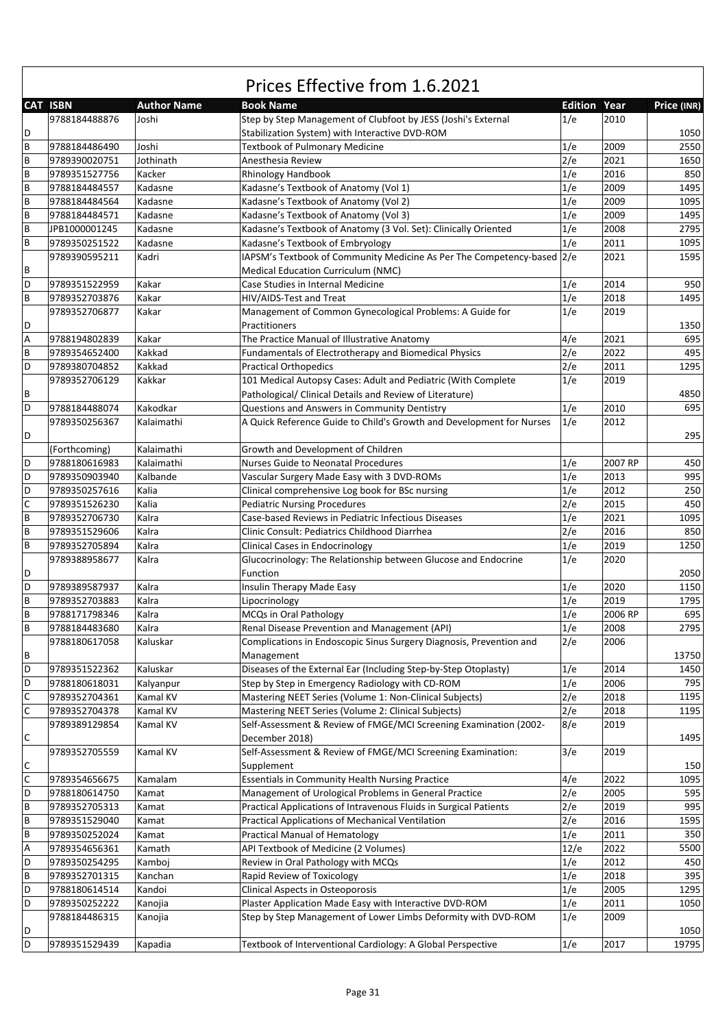|                |                 |                    | Prices Effective from 1.6.2021                                                                                  |                     |         |             |
|----------------|-----------------|--------------------|-----------------------------------------------------------------------------------------------------------------|---------------------|---------|-------------|
|                | <b>CAT ISBN</b> | <b>Author Name</b> | <b>Book Name</b>                                                                                                | <b>Edition Year</b> |         | Price (INR) |
| D              | 9788184488876   | Joshi              | Step by Step Management of Clubfoot by JESS (Joshi's External<br>Stabilization System) with Interactive DVD-ROM | 1/e                 | 2010    | 1050        |
| B              | 9788184486490   | Joshi              | <b>Textbook of Pulmonary Medicine</b>                                                                           | 1/e                 | 2009    | 2550        |
| B              | 9789390020751   | Jothinath          | Anesthesia Review                                                                                               | 2/e                 | 2021    | 1650        |
| B              | 9789351527756   | Kacker             | Rhinology Handbook                                                                                              | 1/e                 | 2016    | 850         |
| B              | 9788184484557   | Kadasne            | Kadasne's Textbook of Anatomy (Vol 1)                                                                           | 1/e                 | 2009    | 1495        |
| B              | 9788184484564   | Kadasne            | Kadasne's Textbook of Anatomy (Vol 2)                                                                           | 1/e                 | 2009    | 1095        |
| B              | 9788184484571   | Kadasne            | Kadasne's Textbook of Anatomy (Vol 3)                                                                           | 1/e                 | 2009    | 1495        |
| B              | JPB1000001245   | Kadasne            | Kadasne's Textbook of Anatomy (3 Vol. Set): Clinically Oriented                                                 | 1/e                 | 2008    | 2795        |
| B              | 9789350251522   | Kadasne            |                                                                                                                 | 1/e                 | 2011    | 1095        |
|                | 9789390595211   | Kadri              | Kadasne's Textbook of Embryology<br>IAPSM's Textbook of Community Medicine As Per The Competency-based 2/e      |                     | 2021    | 1595        |
| B              |                 |                    |                                                                                                                 |                     |         |             |
|                |                 |                    | Medical Education Curriculum (NMC)                                                                              |                     | 2014    |             |
| D              | 9789351522959   | Kakar              | Case Studies in Internal Medicine                                                                               | 1/e                 |         | 950         |
| B              | 9789352703876   | Kakar              | HIV/AIDS-Test and Treat                                                                                         | 1/e                 | 2018    | 1495        |
| D              | 9789352706877   | Kakar              | Management of Common Gynecological Problems: A Guide for<br>Practitioners                                       | 1/e                 | 2019    | 1350        |
| $\overline{A}$ | 9788194802839   | Kakar              | The Practice Manual of Illustrative Anatomy                                                                     | 4/e                 | 2021    | 695         |
| B              | 9789354652400   | Kakkad             | Fundamentals of Electrotherapy and Biomedical Physics                                                           | 2/e                 | 2022    | 495         |
| D              | 9789380704852   | Kakkad             | <b>Practical Orthopedics</b>                                                                                    | 2/e                 | 2011    | 1295        |
|                | 9789352706129   | Kakkar             | 101 Medical Autopsy Cases: Adult and Pediatric (With Complete                                                   | 1/e                 | 2019    |             |
| B              |                 |                    | Pathological/ Clinical Details and Review of Literature)                                                        |                     |         | 4850        |
| D              | 9788184488074   | Kakodkar           | Questions and Answers in Community Dentistry                                                                    | 1/e                 | 2010    | 695         |
|                | 9789350256367   | Kalaimathi         | A Quick Reference Guide to Child's Growth and Development for Nurses                                            | 1/e                 | 2012    |             |
| D              |                 |                    |                                                                                                                 |                     |         | 295         |
|                | (Forthcoming)   | Kalaimathi         | Growth and Development of Children                                                                              |                     |         |             |
| D              | 9788180616983   | Kalaimathi         | Nurses Guide to Neonatal Procedures                                                                             | 1/e                 | 2007 RP | 450         |
| D              | 9789350903940   | Kalbande           | Vascular Surgery Made Easy with 3 DVD-ROMs                                                                      | 1/e                 | 2013    | 995         |
| D              | 9789350257616   | Kalia              | Clinical comprehensive Log book for BSc nursing                                                                 | 1/e                 | 2012    | 250         |
| C              | 9789351526230   | Kalia              | <b>Pediatric Nursing Procedures</b>                                                                             | 2/e                 | 2015    | 450         |
| B              | 9789352706730   | Kalra              | Case-based Reviews in Pediatric Infectious Diseases                                                             | 1/e                 | 2021    | 1095        |
| $\overline{B}$ | 9789351529606   | Kalra              | Clinic Consult: Pediatrics Childhood Diarrhea                                                                   | 2/e                 | 2016    | 850         |
| B              | 9789352705894   | Kalra              | <b>Clinical Cases in Endocrinology</b>                                                                          | 1/e                 | 2019    | 1250        |
|                | 9789388958677   | Kalra              | Glucocrinology: The Relationship between Glucose and Endocrine                                                  | 1/e                 | 2020    |             |
| D              |                 |                    | Function                                                                                                        |                     |         | 2050        |
| D              | 9789389587937   | Kalra              | Insulin Therapy Made Easy                                                                                       | 1/e                 | 2020    | 1150        |
| B              | 9789352703883   | Kalra              | Lipocrinology                                                                                                   | 1/e                 | 2019    | 1795        |
| B              | 9788171798346   | Kalra              | MCQs in Oral Pathology                                                                                          | 1/e                 | 2006 RP | 695         |
| $\overline{B}$ | 9788184483680   | Kalra              | Renal Disease Prevention and Management (API)                                                                   | 1/e                 | 2008    | 2795        |
|                | 9788180617058   | Kaluskar           | Complications in Endoscopic Sinus Surgery Diagnosis, Prevention and                                             | 2/e                 | 2006    |             |
| B              |                 |                    | Management                                                                                                      |                     |         | 13750       |
| D              | 9789351522362   | Kaluskar           | Diseases of the External Ear (Including Step-by-Step Otoplasty)                                                 | 1/e                 | 2014    | 1450        |
| D              | 9788180618031   | Kalyanpur          | Step by Step in Emergency Radiology with CD-ROM                                                                 | 1/e                 | 2006    | 795         |
| $\mathsf C$    | 9789352704361   | Kamal KV           | Mastering NEET Series (Volume 1: Non-Clinical Subjects)                                                         | 2/e                 | 2018    | 1195        |
| $\mathsf C$    | 9789352704378   | Kamal KV           | Mastering NEET Series (Volume 2: Clinical Subjects)                                                             | 2/e                 | 2018    | 1195        |
|                | 9789389129854   | Kamal KV           | Self-Assessment & Review of FMGE/MCI Screening Examination (2002-                                               | 8/e                 | 2019    |             |
| С              |                 |                    | December 2018)                                                                                                  |                     |         | 1495        |
| $\mathsf C$    | 9789352705559   | Kamal KV           | Self-Assessment & Review of FMGE/MCI Screening Examination:<br>Supplement                                       | 3/e                 | 2019    | 150         |
| $\mathsf{C}$   |                 | Kamalam            |                                                                                                                 | 4/e                 | 2022    | 1095        |
| D              | 9789354656675   |                    | <b>Essentials in Community Health Nursing Practice</b>                                                          |                     |         | 595         |
|                | 9788180614750   | Kamat              | Management of Urological Problems in General Practice                                                           | 2/e                 | 2005    |             |
| $\mathsf B$    | 9789352705313   | Kamat              | Practical Applications of Intravenous Fluids in Surgical Patients                                               | 2/e                 | 2019    | 995         |
| $\sf B$        | 9789351529040   | Kamat              | Practical Applications of Mechanical Ventilation                                                                | 2/e                 | 2016    | 1595        |
| B              | 9789350252024   | Kamat              | <b>Practical Manual of Hematology</b>                                                                           | 1/e                 | 2011    | 350         |
| Α              | 9789354656361   | Kamath             | API Textbook of Medicine (2 Volumes)                                                                            | 12/e                | 2022    | 5500        |
| D              | 9789350254295   | Kamboj             | Review in Oral Pathology with MCQs                                                                              | 1/e                 | 2012    | 450         |
| $\overline{B}$ | 9789352701315   | Kanchan            | Rapid Review of Toxicology                                                                                      | 1/e                 | 2018    | 395         |
| D              | 9788180614514   | Kandoi             | Clinical Aspects in Osteoporosis                                                                                | 1/e                 | 2005    | 1295        |
| D              | 9789350252222   | Kanojia            | Plaster Application Made Easy with Interactive DVD-ROM                                                          | 1/e                 | 2011    | 1050        |
|                | 9788184486315   | Kanojia            | Step by Step Management of Lower Limbs Deformity with DVD-ROM                                                   | 1/e                 | 2009    |             |
| D              |                 |                    |                                                                                                                 |                     |         | 1050        |
| D              | 9789351529439   | Kapadia            | Textbook of Interventional Cardiology: A Global Perspective                                                     | 1/e                 | 2017    | 19795       |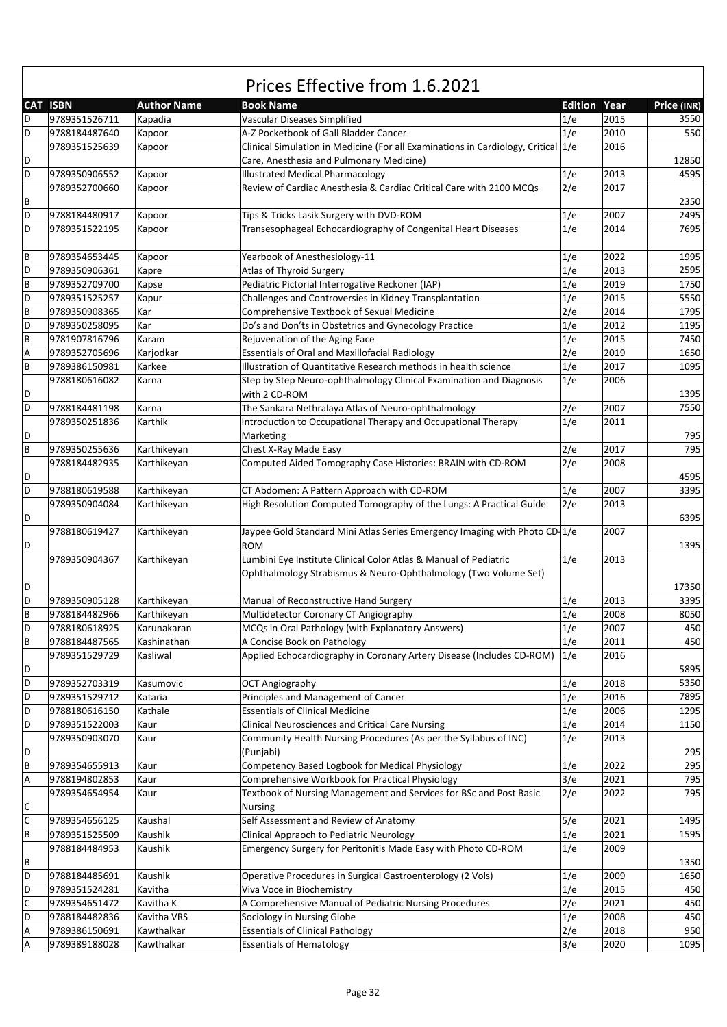|                           | Prices Effective from 1.6.2021 |                    |                                                                                                                   |                     |      |             |  |  |
|---------------------------|--------------------------------|--------------------|-------------------------------------------------------------------------------------------------------------------|---------------------|------|-------------|--|--|
|                           | <b>CAT ISBN</b>                | <b>Author Name</b> | <b>Book Name</b>                                                                                                  | <b>Edition Year</b> |      | Price (INR) |  |  |
| D                         | 9789351526711                  | Kapadia            | Vascular Diseases Simplified                                                                                      | 1/e                 | 2015 | 3550        |  |  |
| D                         | 9788184487640                  | Kapoor             | A-Z Pocketbook of Gall Bladder Cancer                                                                             | 1/e                 | 2010 | 550         |  |  |
|                           | 9789351525639                  | Kapoor             | Clinical Simulation in Medicine (For all Examinations in Cardiology, Critical 1/e                                 |                     | 2016 |             |  |  |
| D                         |                                |                    | Care, Anesthesia and Pulmonary Medicine)                                                                          |                     |      | 12850       |  |  |
| D                         | 9789350906552                  | Kapoor             | <b>Illustrated Medical Pharmacology</b>                                                                           | 1/e                 | 2013 | 4595        |  |  |
|                           | 9789352700660                  | Kapoor             | Review of Cardiac Anesthesia & Cardiac Critical Care with 2100 MCQs                                               | 2/e                 | 2017 |             |  |  |
| В                         |                                |                    |                                                                                                                   |                     |      | 2350        |  |  |
| D                         | 9788184480917                  | Kapoor             | Tips & Tricks Lasik Surgery with DVD-ROM                                                                          | 1/e                 | 2007 | 2495        |  |  |
| D                         | 9789351522195                  | Kapoor             | Transesophageal Echocardiography of Congenital Heart Diseases                                                     | 1/e                 | 2014 | 7695        |  |  |
|                           |                                |                    |                                                                                                                   |                     |      |             |  |  |
| B                         | 9789354653445                  | Kapoor             | Yearbook of Anesthesiology-11                                                                                     | 1/e                 | 2022 | 1995        |  |  |
| D                         | 9789350906361                  | Kapre              | Atlas of Thyroid Surgery                                                                                          | 1/e                 | 2013 | 2595        |  |  |
| B                         | 9789352709700                  | Kapse              | Pediatric Pictorial Interrogative Reckoner (IAP)                                                                  | 1/e                 | 2019 | 1750        |  |  |
| D                         | 9789351525257                  | Kapur              | Challenges and Controversies in Kidney Transplantation                                                            | 1/e                 | 2015 | 5550        |  |  |
| B                         | 9789350908365                  | Kar                | Comprehensive Textbook of Sexual Medicine                                                                         | 2/e                 | 2014 | 1795        |  |  |
| D                         | 9789350258095                  | Kar                | Do's and Don'ts in Obstetrics and Gynecology Practice                                                             | 1/e                 | 2012 | 1195        |  |  |
| B                         | 9781907816796                  | Karam              | Rejuvenation of the Aging Face                                                                                    | 1/e                 | 2015 | 7450        |  |  |
| Α                         | 9789352705696                  | Karjodkar          | <b>Essentials of Oral and Maxillofacial Radiology</b>                                                             | 2/e                 | 2019 | 1650        |  |  |
| B                         | 9789386150981                  | Karkee             | Illustration of Quantitative Research methods in health science                                                   | 1/e                 | 2017 | 1095        |  |  |
|                           | 9788180616082                  | Karna              | Step by Step Neuro-ophthalmology Clinical Examination and Diagnosis                                               | 1/e                 | 2006 |             |  |  |
| D                         |                                |                    | with 2 CD-ROM                                                                                                     |                     |      | 1395        |  |  |
| D                         | 9788184481198                  | Karna              | The Sankara Nethralaya Atlas of Neuro-ophthalmology                                                               | 2/e                 | 2007 | 7550        |  |  |
|                           | 9789350251836                  | Karthik            | Introduction to Occupational Therapy and Occupational Therapy                                                     | 1/e                 | 2011 |             |  |  |
| D                         |                                |                    | Marketing                                                                                                         |                     |      | 795         |  |  |
| $\overline{B}$            | 9789350255636                  | Karthikeyan        | Chest X-Ray Made Easy                                                                                             | 2/e                 | 2017 | 795         |  |  |
|                           | 9788184482935                  | Karthikeyan        | Computed Aided Tomography Case Histories: BRAIN with CD-ROM                                                       | 2/e                 | 2008 |             |  |  |
| D                         |                                |                    |                                                                                                                   |                     |      | 4595        |  |  |
| D                         | 9788180619588                  | Karthikeyan        |                                                                                                                   | 1/e                 | 2007 | 3395        |  |  |
|                           | 9789350904084                  | Karthikeyan        | CT Abdomen: A Pattern Approach with CD-ROM<br>High Resolution Computed Tomography of the Lungs: A Practical Guide | 2/e                 | 2013 |             |  |  |
| D                         |                                |                    |                                                                                                                   |                     |      | 6395        |  |  |
|                           |                                |                    |                                                                                                                   |                     | 2007 |             |  |  |
|                           | 9788180619427                  | Karthikeyan        | Jaypee Gold Standard Mini Atlas Series Emergency Imaging with Photo CD 1/e<br><b>ROM</b>                          |                     |      |             |  |  |
| D                         |                                |                    |                                                                                                                   |                     |      | 1395        |  |  |
|                           | 9789350904367                  | Karthikeyan        | Lumbini Eye Institute Clinical Color Atlas & Manual of Pediatric                                                  | 1/e                 | 2013 |             |  |  |
|                           |                                |                    | Ophthalmology Strabismus & Neuro-Ophthalmology (Two Volume Set)                                                   |                     |      |             |  |  |
| D                         |                                |                    |                                                                                                                   |                     |      | 17350       |  |  |
| D                         | 9789350905128                  | Karthikeyan        | Manual of Reconstructive Hand Surgery                                                                             | 1/e                 | 2013 | 3395        |  |  |
| B                         | 9788184482966                  | Karthikeyan        | Multidetector Coronary CT Angiography                                                                             | 1/e                 | 2008 | 8050        |  |  |
| D                         | 9788180618925                  | Karunakaran        | MCQs in Oral Pathology (with Explanatory Answers)                                                                 | 1/e                 | 2007 | 450         |  |  |
| B                         | 9788184487565                  | Kashinathan        | A Concise Book on Pathology                                                                                       | 1/e                 | 2011 | 450         |  |  |
|                           | 9789351529729                  | Kasliwal           | Applied Echocardiography in Coronary Artery Disease (Includes CD-ROM)                                             | 1/e                 | 2016 |             |  |  |
| D                         |                                |                    |                                                                                                                   |                     |      | 5895        |  |  |
| D                         | 9789352703319                  | Kasumovic          | <b>OCT Angiography</b>                                                                                            | 1/e                 | 2018 | 5350        |  |  |
| D                         | 9789351529712                  | Kataria            | Principles and Management of Cancer                                                                               | 1/e                 | 2016 | 7895        |  |  |
| D                         | 9788180616150                  | Kathale            | <b>Essentials of Clinical Medicine</b>                                                                            | 1/e                 | 2006 | 1295        |  |  |
| D                         | 9789351522003                  | Kaur               | <b>Clinical Neurosciences and Critical Care Nursing</b>                                                           | 1/e                 | 2014 | 1150        |  |  |
|                           | 9789350903070                  | Kaur               | Community Health Nursing Procedures (As per the Syllabus of INC)                                                  | 1/e                 | 2013 |             |  |  |
| D                         |                                |                    | (Punjabi)                                                                                                         |                     |      | 295         |  |  |
| B                         | 9789354655913                  | Kaur               | Competency Based Logbook for Medical Physiology                                                                   | 1/e                 | 2022 | 295         |  |  |
| $\boldsymbol{\mathsf{A}}$ | 9788194802853                  | Kaur               | Comprehensive Workbook for Practical Physiology                                                                   | 3/e                 | 2021 | 795         |  |  |
|                           | 9789354654954                  | Kaur               | Textbook of Nursing Management and Services for BSc and Post Basic                                                | 2/e                 | 2022 | 795         |  |  |
| C                         |                                |                    | <b>Nursing</b>                                                                                                    |                     |      |             |  |  |
| $\overline{c}$            | 9789354656125                  | Kaushal            | Self Assessment and Review of Anatomy                                                                             | 5/e                 | 2021 | 1495        |  |  |
| B                         | 9789351525509                  | Kaushik            | Clinical Appraoch to Pediatric Neurology                                                                          | 1/e                 | 2021 | 1595        |  |  |
|                           | 9788184484953                  | Kaushik            | Emergency Surgery for Peritonitis Made Easy with Photo CD-ROM                                                     | 1/e                 | 2009 |             |  |  |
| В                         |                                |                    |                                                                                                                   |                     |      | 1350        |  |  |
| D                         | 9788184485691                  | Kaushik            | Operative Procedures in Surgical Gastroenterology (2 Vols)                                                        | 1/e                 | 2009 | 1650        |  |  |
| D                         | 9789351524281                  | Kavitha            | Viva Voce in Biochemistry                                                                                         | 1/e                 | 2015 | 450         |  |  |
| $\mathsf C$               | 9789354651472                  | Kavitha K          | A Comprehensive Manual of Pediatric Nursing Procedures                                                            | 2/e                 | 2021 | 450         |  |  |
| D                         | 9788184482836                  | Kavitha VRS        | Sociology in Nursing Globe                                                                                        | 1/e                 | 2008 | 450         |  |  |
| A                         | 9789386150691                  | Kawthalkar         | <b>Essentials of Clinical Pathology</b>                                                                           | 2/e                 | 2018 | 950         |  |  |
| $\boldsymbol{\mathsf{A}}$ | 9789389188028                  | Kawthalkar         | <b>Essentials of Hematology</b>                                                                                   | 3/e                 | 2020 | 1095        |  |  |

 $\Gamma$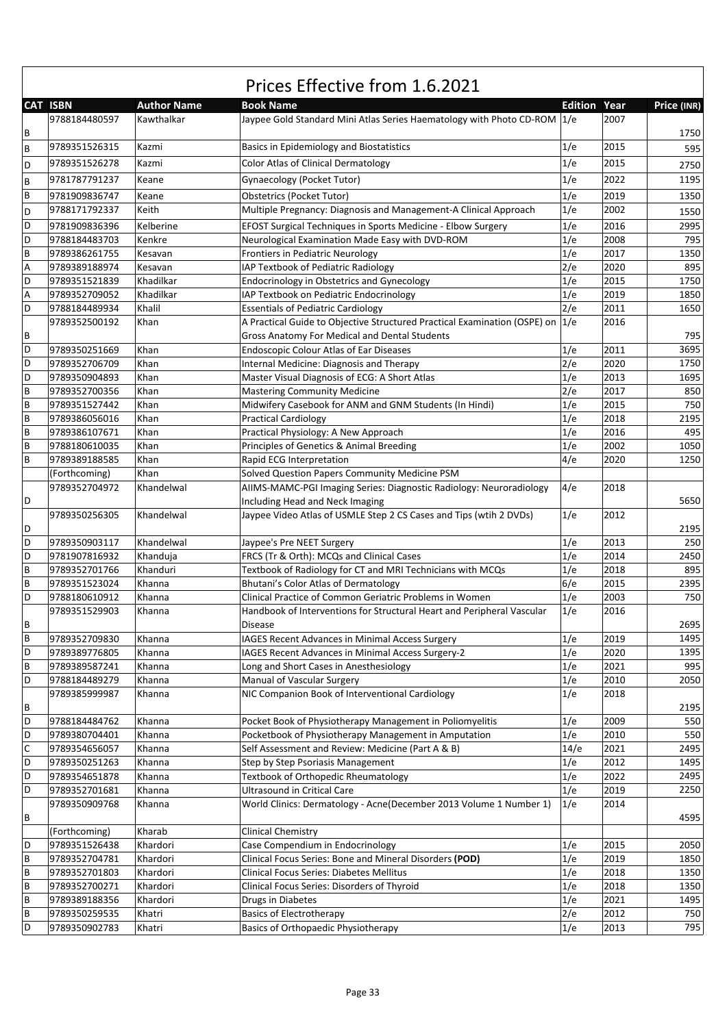|             |                 |                    | Prices Effective from 1.6.2021                                                           |                |      |             |
|-------------|-----------------|--------------------|------------------------------------------------------------------------------------------|----------------|------|-------------|
|             | <b>CAT ISBN</b> | <b>Author Name</b> | <b>Book Name</b>                                                                         | <b>Edition</b> | Year | Price (INR) |
| В           | 9788184480597   | Kawthalkar         | Jaypee Gold Standard Mini Atlas Series Haematology with Photo CD-ROM                     | 1/e            | 2007 | 1750        |
| B           | 9789351526315   | Kazmi              | Basics in Epidemiology and Biostatistics                                                 | 1/e            | 2015 | 595         |
| D           | 9789351526278   | Kazmi              | <b>Color Atlas of Clinical Dermatology</b>                                               | 1/e            | 2015 | 2750        |
| B           | 9781787791237   | Keane              | Gynaecology (Pocket Tutor)                                                               | 1/e            | 2022 | 1195        |
| B           | 9781909836747   | Keane              | Obstetrics (Pocket Tutor)                                                                | 1/e            | 2019 | 1350        |
| D           | 9788171792337   | Keith              | Multiple Pregnancy: Diagnosis and Management-A Clinical Approach                         | 1/e            | 2002 | 1550        |
| D           | 9781909836396   | Kelberine          | EFOST Surgical Techniques in Sports Medicine - Elbow Surgery                             | 1/e            | 2016 | 2995        |
| D           | 9788184483703   | Kenkre             | Neurological Examination Made Easy with DVD-ROM                                          | 1/e            | 2008 | 795         |
| B           | 9789386261755   | Kesavan            | Frontiers in Pediatric Neurology                                                         | 1/e            | 2017 | 1350        |
| Α           | 9789389188974   | Kesavan            | IAP Textbook of Pediatric Radiology                                                      | 2/e            | 2020 | 895         |
| D           | 9789351521839   | Khadilkar          | <b>Endocrinology in Obstetrics and Gynecology</b>                                        | 1/e            | 2015 | 1750        |
| Α           | 9789352709052   | Khadilkar          | IAP Textbook on Pediatric Endocrinology                                                  | 1/e            | 2019 | 1850        |
| D           | 9788184489934   | Khalil             | <b>Essentials of Pediatric Cardiology</b>                                                | 2/e            | 2011 | 1650        |
|             | 9789352500192   | Khan               | A Practical Guide to Objective Structured Practical Examination (OSPE) on                | 1/e            | 2016 |             |
| В           |                 |                    | Gross Anatomy For Medical and Dental Students                                            |                |      | 795         |
| D           | 9789350251669   | Khan               | <b>Endoscopic Colour Atlas of Ear Diseases</b>                                           | 1/e            | 2011 | 3695        |
| D           | 9789352706709   | Khan               | Internal Medicine: Diagnosis and Therapy                                                 | 2/e            | 2020 | 1750        |
| D           | 9789350904893   | Khan               | Master Visual Diagnosis of ECG: A Short Atlas                                            | 1/e            | 2013 | 1695        |
| B           | 9789352700356   | Khan               | <b>Mastering Community Medicine</b>                                                      | 2/e            | 2017 | 850         |
| B           | 9789351527442   | Khan               | Midwifery Casebook for ANM and GNM Students (In Hindi)                                   | 1/e            | 2015 | 750         |
| B           | 9789386056016   | Khan               | <b>Practical Cardiology</b>                                                              | 1/e            | 2018 | 2195        |
| B           | 9789386107671   | Khan               | Practical Physiology: A New Approach                                                     | 1/e            | 2016 | 495         |
| B           | 9788180610035   | Khan               | Principles of Genetics & Animal Breeding                                                 | 1/e            | 2002 | 1050        |
| B           | 9789389188585   | Khan               | Rapid ECG Interpretation                                                                 | 4/e            | 2020 | 1250        |
|             | (Forthcoming)   | Khan               | Solved Question Papers Community Medicine PSM                                            |                |      |             |
|             | 9789352704972   | Khandelwal         | AIIMS-MAMC-PGI Imaging Series: Diagnostic Radiology: Neuroradiology                      | 4/e            | 2018 |             |
| D           |                 |                    | Including Head and Neck Imaging                                                          |                |      | 5650        |
| D           | 9789350256305   | Khandelwal         | Jaypee Video Atlas of USMLE Step 2 CS Cases and Tips (wtih 2 DVDs)                       | 1/e            | 2012 | 2195        |
| D           | 9789350903117   | Khandelwal         | Jaypee's Pre NEET Surgery                                                                | 1/e            | 2013 | 250         |
| D           | 9781907816932   | Khanduja           | FRCS (Tr & Orth): MCQs and Clinical Cases                                                | 1/e            | 2014 | 2450        |
| B           | 9789352701766   | Khanduri           | Textbook of Radiology for CT and MRI Technicians with MCQs                               | 1/e            | 2018 | 895         |
| B           | 9789351523024   | Khanna             | Bhutani's Color Atlas of Dermatology                                                     | 6/e            | 2015 | 2395        |
| D           | 9788180610912   | Khanna             | Clinical Practice of Common Geriatric Problems in Women                                  | 1/e            | 2003 | 750         |
| B           | 9789351529903   | Khanna             | Handbook of Interventions for Structural Heart and Peripheral Vascular<br><b>Disease</b> | 1/e            | 2016 | 2695        |
| B           | 9789352709830   | Khanna             | IAGES Recent Advances in Minimal Access Surgery                                          | 1/e            | 2019 | 1495        |
| D           | 9789389776805   | Khanna             | IAGES Recent Advances in Minimal Access Surgery-2                                        | 1/e            | 2020 | 1395        |
| В           | 9789389587241   | Khanna             | Long and Short Cases in Anesthesiology                                                   | 1/e            | 2021 | 995         |
| D           | 9788184489279   | Khanna             | Manual of Vascular Surgery                                                               | 1/e            | 2010 | 2050        |
|             | 9789385999987   | Khanna             | NIC Companion Book of Interventional Cardiology                                          | 1/e            | 2018 |             |
| В           |                 |                    |                                                                                          |                |      | 2195        |
| D           | 9788184484762   | Khanna             | Pocket Book of Physiotherapy Management in Poliomyelitis                                 | 1/e            | 2009 | 550         |
| D           | 9789380704401   | Khanna             | Pocketbook of Physiotherapy Management in Amputation                                     | 1/e            | 2010 | 550         |
| $\mathsf C$ | 9789354656057   | Khanna             | Self Assessment and Review: Medicine (Part A & B)                                        | 14/e           | 2021 | 2495        |
| D           | 9789350251263   | Khanna             | Step by Step Psoriasis Management                                                        | 1/e            | 2012 | 1495        |
| D           | 9789354651878   | Khanna             | Textbook of Orthopedic Rheumatology                                                      | 1/e            | 2022 | 2495        |
| D           | 9789352701681   | Khanna             | <b>Ultrasound in Critical Care</b>                                                       | 1/e            | 2019 | 2250        |
| В           | 9789350909768   | Khanna             | World Clinics: Dermatology - Acne(December 2013 Volume 1 Number 1)                       | 1/e            | 2014 | 4595        |
|             | (Forthcoming)   | Kharab             | Clinical Chemistry                                                                       |                |      |             |
| D           | 9789351526438   | Khardori           | Case Compendium in Endocrinology                                                         | 1/e            | 2015 | 2050        |
| B           | 9789352704781   | Khardori           | Clinical Focus Series: Bone and Mineral Disorders (POD)                                  | 1/e            | 2019 | 1850        |
| B           | 9789352701803   | Khardori           | Clinical Focus Series: Diabetes Mellitus                                                 | 1/e            | 2018 | 1350        |
| B           | 9789352700271   | Khardori           | Clinical Focus Series: Disorders of Thyroid                                              | 1/e            | 2018 | 1350        |
| B           | 9789389188356   | Khardori           | Drugs in Diabetes                                                                        | 1/e            | 2021 | 1495        |
| B           | 9789350259535   | Khatri             | <b>Basics of Electrotherapy</b>                                                          | 2/e            | 2012 | 750         |
| D           | 9789350902783   | Khatri             | <b>Basics of Orthopaedic Physiotherapy</b>                                               | 1/e            | 2013 | 795         |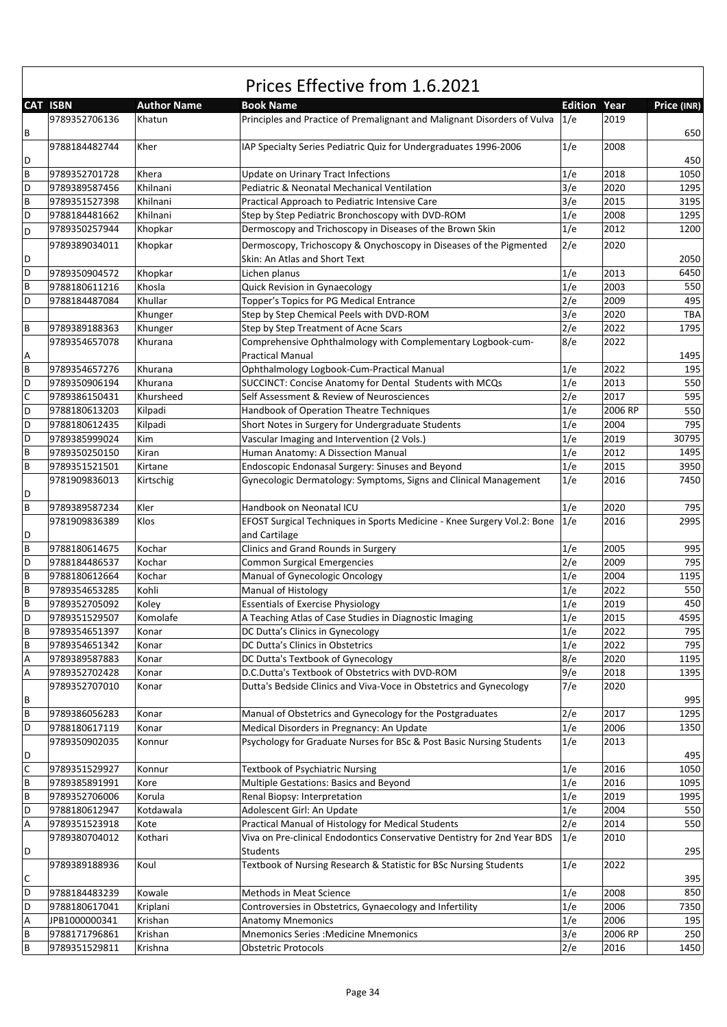|              | Prices Effective from 1.6.2021 |                    |                                                                                                     |                |         |             |  |  |
|--------------|--------------------------------|--------------------|-----------------------------------------------------------------------------------------------------|----------------|---------|-------------|--|--|
|              | <b>CAT ISBN</b>                | <b>Author Name</b> | <b>Book Name</b>                                                                                    | <b>Edition</b> | Year    | Price (INR) |  |  |
| В            | 9789352706136                  | Khatun             | Principles and Practice of Premalignant and Malignant Disorders of Vulva                            | 1/e            | 2019    | 650         |  |  |
| D            | 9788184482744                  | Kher               | IAP Specialty Series Pediatric Quiz for Undergraduates 1996-2006                                    | 1/e            | 2008    | 450         |  |  |
| B            | 9789352701728                  | Khera              | Update on Urinary Tract Infections                                                                  | 1/e            | 2018    | 1050        |  |  |
| D            | 9789389587456                  | Khilnani           | Pediatric & Neonatal Mechanical Ventilation                                                         | 3/e            | 2020    | 1295        |  |  |
| B            | 9789351527398                  | Khilnani           | Practical Approach to Pediatric Intensive Care                                                      | 3/e            | 2015    | 3195        |  |  |
| D            | 9788184481662                  | Khilnani           | Step by Step Pediatric Bronchoscopy with DVD-ROM                                                    | 1/e            | 2008    | 1295        |  |  |
| D            | 9789350257944                  | Khopkar            | Dermoscopy and Trichoscopy in Diseases of the Brown Skin                                            | 1/e            | 2012    | 1200        |  |  |
| D            | 9789389034011                  | Khopkar            | Dermoscopy, Trichoscopy & Onychoscopy in Diseases of the Pigmented<br>Skin: An Atlas and Short Text | 2/e            | 2020    | 2050        |  |  |
| D            | 9789350904572                  | Khopkar            | Lichen planus                                                                                       | 1/e            | 2013    | 6450        |  |  |
| B            | 9788180611216                  | Khosla             | Quick Revision in Gynaecology                                                                       | 1/e            | 2003    | 550         |  |  |
| D            | 9788184487084                  | Khullar            | Topper's Topics for PG Medical Entrance                                                             | 2/e            | 2009    | 495         |  |  |
|              |                                | Khunger            | Step by Step Chemical Peels with DVD-ROM                                                            | 3/e            | 2020    | <b>TBA</b>  |  |  |
| В            | 9789389188363                  | Khunger            | Step by Step Treatment of Acne Scars                                                                | 2/e            | 2022    | 1795        |  |  |
|              | 9789354657078                  | Khurana            | Comprehensive Ophthalmology with Complementary Logbook-cum-                                         | 8/e            | 2022    |             |  |  |
| Α            |                                |                    | <b>Practical Manual</b>                                                                             |                |         | 1495        |  |  |
| B            | 9789354657276                  | Khurana            | Ophthalmology Logbook-Cum-Practical Manual                                                          | 1/e            | 2022    | 195         |  |  |
| D            | 9789350906194                  | Khurana            | SUCCINCT: Concise Anatomy for Dental Students with MCQs                                             | 1/e            | 2013    | 550         |  |  |
| C            | 9789386150431                  | Khursheed          | Self Assessment & Review of Neurosciences                                                           | 2/e            | 2017    | 595         |  |  |
| D            | 9788180613203                  | Kilpadi            | Handbook of Operation Theatre Techniques                                                            | 1/e            | 2006 RP | 550         |  |  |
| D            | 9788180612435                  | Kilpadi            | Short Notes in Surgery for Undergraduate Students                                                   | 1/e            | 2004    | 795         |  |  |
| D            | 9789385999024                  | Kim                | Vascular Imaging and Intervention (2 Vols.)                                                         | 1/e            | 2019    | 30795       |  |  |
| B            | 9789350250150                  | Kiran              | Human Anatomy: A Dissection Manual                                                                  | 1/e            | 2012    | 1495        |  |  |
| B            | 9789351521501                  | Kirtane            | Endoscopic Endonasal Surgery: Sinuses and Beyond                                                    | 1/e            | 2015    | 3950        |  |  |
| D            | 9781909836013                  | Kirtschig          | Gynecologic Dermatology: Symptoms, Signs and Clinical Management                                    | 1/e            | 2016    | 7450        |  |  |
| B            | 9789389587234                  | Kler               | Handbook on Neonatal ICU                                                                            | 1/e            | 2020    | 795         |  |  |
| D            | 9781909836389                  | Klos               | EFOST Surgical Techniques in Sports Medicine - Knee Surgery Vol.2: Bone<br>and Cartilage            | 1/e            | 2016    | 2995        |  |  |
| B            | 9788180614675                  | Kochar             | Clinics and Grand Rounds in Surgery                                                                 | 1/e            | 2005    | 995         |  |  |
| D            | 9788184486537                  | Kochar             | <b>Common Surgical Emergencies</b>                                                                  | 2/e            | 2009    | 795         |  |  |
| B            | 9788180612664                  | Kochar             | Manual of Gynecologic Oncology                                                                      | 1/e            | 2004    | 1195        |  |  |
| B            | 9789354653285                  | Kohli              | Manual of Histology                                                                                 | 1/e            | 2022    | 550         |  |  |
| B            | 9789352705092                  | Koley              | <b>Essentials of Exercise Physiology</b>                                                            | 1/e            | 2019    | 450         |  |  |
| D            | 9789351529507                  | Komolafe           | A Teaching Atlas of Case Studies in Diagnostic Imaging                                              | 1/e            | 2015    | 4595        |  |  |
| B            | 9789354651397                  | Konar              | DC Dutta's Clinics in Gynecology                                                                    | 1/e            | 2022    | 795         |  |  |
| В            | 9789354651342                  | Konar              | DC Dutta's Clinics in Obstetrics                                                                    | 1/e            | 2022    | 795         |  |  |
| Α            | 9789389587883                  | Konar              | DC Dutta's Textbook of Gynecology                                                                   | 8/e            | 2020    | 1195        |  |  |
| Α            | 9789352702428                  | Konar              | D.C.Dutta's Textbook of Obstetrics with DVD-ROM                                                     | 9/e            | 2018    | 1395        |  |  |
| В            | 9789352707010                  | Konar              | Dutta's Bedside Clinics and Viva-Voce in Obstetrics and Gynecology                                  | 7/e            | 2020    | 995         |  |  |
| B            | 9789386056283                  | Konar              | Manual of Obstetrics and Gynecology for the Postgraduates                                           | 2/e            | 2017    | 1295        |  |  |
| D            | 9788180617119                  | Konar              | Medical Disorders in Pregnancy: An Update                                                           | 1/e            | 2006    | 1350        |  |  |
| D            | 9789350902035                  | Konnur             | Psychology for Graduate Nurses for BSc & Post Basic Nursing Students                                | 1/e            | 2013    | 495         |  |  |
| $\mathsf C$  |                                |                    | Textbook of Psychiatric Nursing                                                                     | 1/e            | 2016    | 1050        |  |  |
| B            | 9789351529927<br>9789385891991 | Konnur             | Multiple Gestations: Basics and Beyond                                                              | 1/e            | 2016    | 1095        |  |  |
| B            | 9789352706006                  | Kore<br>Korula     | Renal Biopsy: Interpretation                                                                        | 1/e            | 2019    | 1995        |  |  |
| D            | 9788180612947                  | Kotdawala          |                                                                                                     | 1/e            | 2004    | 550         |  |  |
| Α            | 9789351523918                  | Kote               | Adolescent Girl: An Update<br>Practical Manual of Histology for Medical Students                    | 2/e            | 2014    | 550         |  |  |
|              | 9789380704012                  |                    | Viva on Pre-clinical Endodontics Conservative Dentistry for 2nd Year BDS                            | 1/e            | 2010    |             |  |  |
| D            |                                | Kothari            | <b>Students</b>                                                                                     |                |         | 295         |  |  |
|              | 9789389188936                  | Koul               | Textbook of Nursing Research & Statistic for BSc Nursing Students                                   | 1/e            | 2022    |             |  |  |
| C<br>D       | 9788184483239                  |                    | Methods in Meat Science                                                                             | 1/e            | 2008    | 395<br>850  |  |  |
| D            | 9788180617041                  | Kowale             | Controversies in Obstetrics, Gynaecology and Infertility                                            | 1/e            | 2006    | 7350        |  |  |
| Α            | JPB1000000341                  | Kriplani           |                                                                                                     | 1/e            | 2006    | 195         |  |  |
| $\, {\bf B}$ | 9788171796861                  | Krishan<br>Krishan | <b>Anatomy Mnemonics</b><br><b>Mnemonics Series : Medicine Mnemonics</b>                            | 3/e            | 2006 RP | 250         |  |  |
| B            | 9789351529811                  | Krishna            | <b>Obstetric Protocols</b>                                                                          | 2/e            | 2016    | 1450        |  |  |
|              |                                |                    |                                                                                                     |                |         |             |  |  |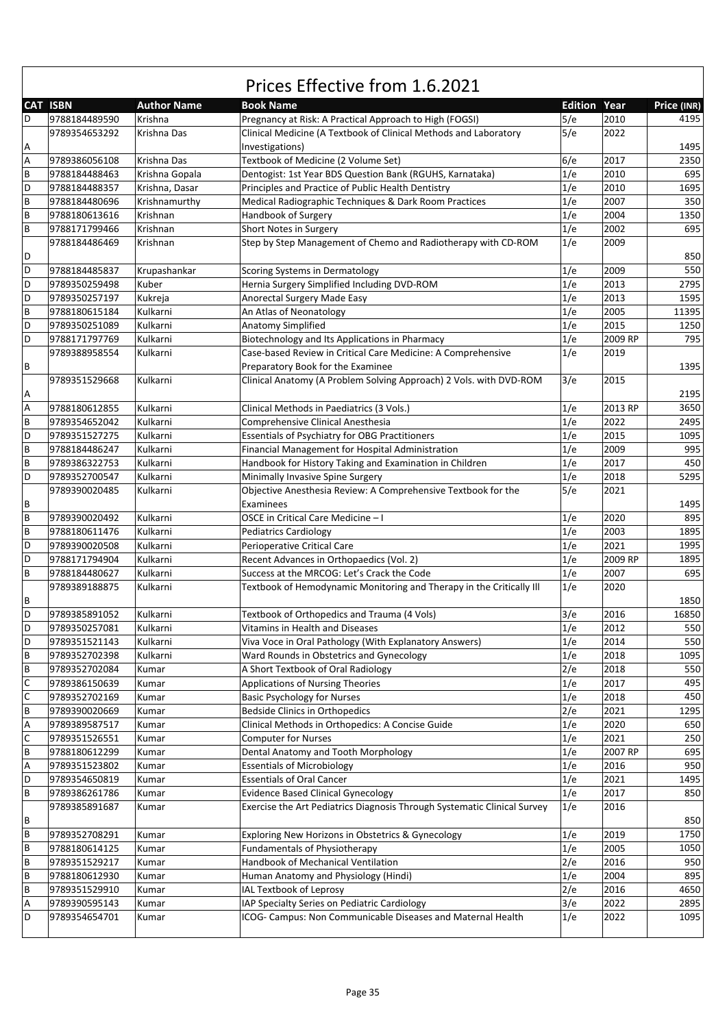#### **CAT ISBN Author Name Book Name Edition Year Price (INR)** Prices Effective from 1.6.2021 D 9788184489590 Krishna Pregnancy at Risk: A Practical Approach to High (FOGSI) 5/e 2010 4195 A 9789354653292 Krishna Das Clinical Medicine (A Textbook of Clinical Methods and Laboratory Investigations) 5/e 2022 1495 A 9789386056108 Krishna Das Textbook of Medicine (2 Volume Set) 6/e 2017 3350 B 9788184488463 Krishna Gopala Dentogist: 1st Year BDS Question Bank (RGUHS, Karnataka) 1/e 2010 695 D 9788184488357 Krishna, Dasar Principles and Practice of Public Health Dentistry 1695 1695 B 9788184480696 Krishnamurthy Medical Radiographic Techniques & Dark Room Practices 1/e 2007 350 B 9788180613616 Krishnan Handbook of Surgery 1350 and 1/e 2004 1350 B 9788171799466 Krishnan Short Notes in Surgery 11/e 2002 695 D 9788184486469 Krishnan Step by Step Management of Chemo and Radiotherapy with CD‐ROM 1/e 2009 850 D 9788184485837 | Krupashankar Scoring Systems in Dermatology | 1/e | 2009 | 550 D 9789350259498 Kuber Hernia Surgery Simplified Including DVD-ROM 1/e 2013 2795 D 9789350257197 Kukreja Anorectal Surgery Made Easy 1995 1995 1996 12013 1595 B 9788180615184 Kulkarni An Atlas of Neonatology And 11395 D 9789350251089 Kulkarni Anatomy Simplified 1/e 2015 1250 D 9788171797769 Kulkarni Biotechnology and Its Applications in Pharmacy 1/e 2009 RP 795 B 9789388958554 Kulkarni Case‐based Review in Critical Care Medicine: A Comprehensive Preparatory Book for the Examinee 1/e 2019 1395 A 9789351529668 Kulkarni Clinical Anatomy (A Problem Solving Approach) 2 Vols. with DVD‐ROM 3/e 2015 2195 A 9788180612855 Kulkarni Clinical Methods in Paediatrics (3 Vols.) 1/e 2013 RP 3650 B 9789354652042 Kulkarni Comprehensive Clinical Anesthesia 1/e 2022 2495 D 9789351527275 Kulkarni Essentials of Psychiatry for OBG Practitioners 1/e 2015 1095 B 9788184486247 Kulkarni Financial Management for Hospital Administration 1/e 2009 995<br>B 9789386322753 Kulkarni Handbook for History Taking and Examination in Children 1/e 2017 450 B 9789386322753 Kulkarni Handbook for History Taking and Examination in Children 1/e 2017 450 D 9789352700547 Kulkarni Minimally Invasive Spine Surgery 1/e 2018 5295 B 9789390020485 Kulkarni Objective Anesthesia Review: A Comprehensive Textbook for the Examinees  $5/6$  2021 1495 B 9789390020492 Kulkarni OSCE in Critical Care Medicine – I 1/e 2020 895 B 9788180611476 Kulkarni Pediatrics Cardiology 1/e 2003 1895 D 9789390020508 Kulkarni Perioperative Critical Care 1/e 2021 1995 D 9788171794904 Kulkarni Recent Advances in Orthopaedics (Vol. 2) 1/e 2009 RP 1895 B 9788184480627 Kulkarni Success at the MRCOG: Let's Crack the Code 1/e 2007 695 B 9789389188875 Kulkarni Textbook of Hemodynamic Monitoring and Therapy in the Critically Ill 1/e 2020 1850 D 9789385891052 Kulkarni Textbook of Orthopedics and Trauma (4 Vols) 3/e 2016 16850 D 9789350257081 Kulkarni Vitamins in Health and Diseases 1992 1/e 2012 550 D 9789351521143 Kulkarni Viva Voce in Oral Pathology (With Explanatory Answers) 1/e 2014 550 B 9789352702398 Kulkarni Ward Rounds in Obstetrics and Gynecology 1/e 2018 1095 B 9789352702084 Kumar A Short Textbook of Oral Radiology 2/e 2018 550 C 9789386150639 Kumar Applications of Nursing Theories 1/e 2017 495 C 9789352702169 Kumar Basic Psychology for Nurses 1/e 2018 450 B 9789390020669 Kumar Bedside Clinics in Orthopedics 20021 2/e 2021 1295 A 9789389587517 Kumar Clinical Methods in Orthopedics: A Concise Guide 1/e 2020 650 9789351526551 Kumar Computer for Nurses 19789351526551 Kumar 250<br>19788180612299 Kumar Dental Anatomy and Tooth Morphology 19788180612299 Kumar 695 B 9788180612299 Kumar Dental Anatomy and Tooth Morphology 1/e 2007 RP 9789351523802 Kumar Essentials of Microbiology 19789351523802 Kumar 950<br>19789354650819 Kumar Essentials of Oral Cancer 11/e 2021 1495 D 9789354650819 Kumar Essentials of Oral Cancer 19789354650819 Kumar 1/e 2021 B 9789386261786 Kumar Evidence Based Clinical Gynecology 1/e 2017 850 B 9789385891687 Kumar Exercise the Art Pediatrics Diagnosis Through Systematic Clinical Survey 1/e 2016 850 B 9789352708291 Kumar Exploring New Horizons in Obstetrics & Gynecology 1/e 2019 1750 B 9788180614125 Kumar Fundamentals of Physiotherapy 1/e 2005 1050 B 9789351529217 Kumar Handbook of Mechanical Ventilation 2/e 2016 950 B 9788180612930 Kumar Human Anatomy and Physiology (Hindi) 1/e 2004 895 B 9789351529910 Kumar IAL Textbook of Leprosy 2/e 2016 2016 4650 A 9789390595143 Kumar IAP Specialty Series on Pediatric Cardiology 3/e 2022 2895 D 9789354654701 Kumar ICOG- Campus: Non Communicable Diseases and Maternal Health 1/e 2022 1095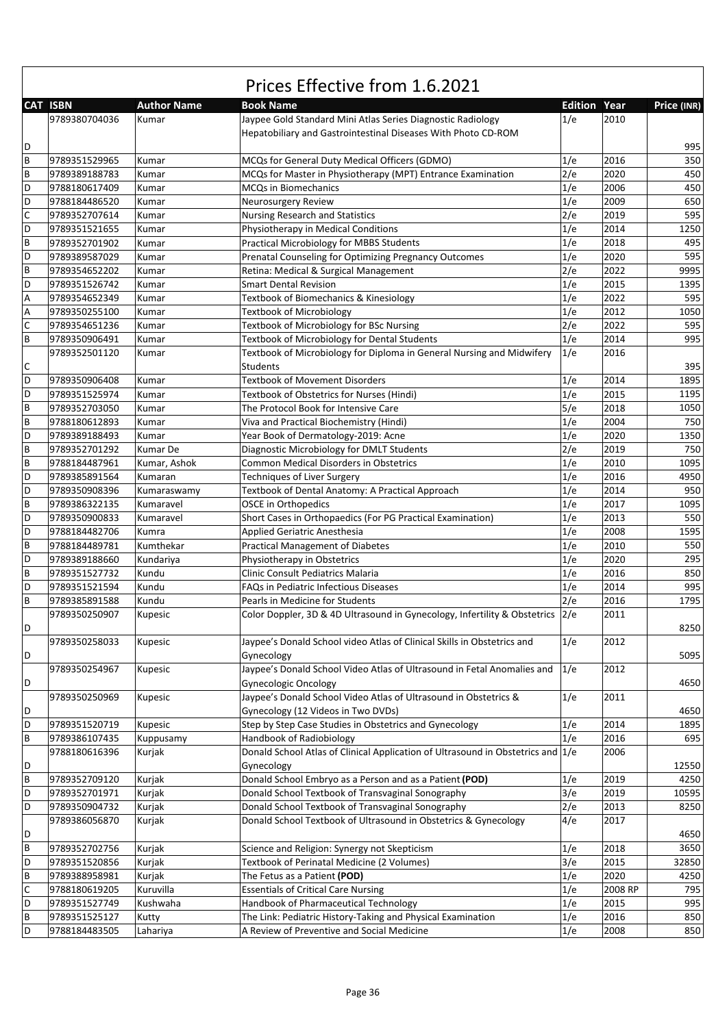|              | Prices Effective from 1.6.2021 |                    |                                                                                 |                     |         |             |  |  |
|--------------|--------------------------------|--------------------|---------------------------------------------------------------------------------|---------------------|---------|-------------|--|--|
|              | <b>CAT ISBN</b>                | <b>Author Name</b> | <b>Book Name</b>                                                                | <b>Edition Year</b> |         | Price (INR) |  |  |
|              | 9789380704036                  | Kumar              | Jaypee Gold Standard Mini Atlas Series Diagnostic Radiology                     | 1/e                 | 2010    |             |  |  |
|              |                                |                    | Hepatobiliary and Gastrointestinal Diseases With Photo CD-ROM                   |                     |         |             |  |  |
| D            |                                |                    |                                                                                 |                     |         | 995         |  |  |
| B            | 9789351529965                  | Kumar              | MCQs for General Duty Medical Officers (GDMO)                                   | 1/e                 | 2016    | 350         |  |  |
| B            | 9789389188783                  | Kumar              | MCQs for Master in Physiotherapy (MPT) Entrance Examination                     | 2/e                 | 2020    | 450         |  |  |
| D            | 9788180617409                  | Kumar              | <b>MCQs in Biomechanics</b>                                                     | 1/e                 | 2006    | 450         |  |  |
| D            | 9788184486520                  | Kumar              | Neurosurgery Review                                                             | 1/e                 | 2009    | 650         |  |  |
| $\mathsf C$  | 9789352707614                  | Kumar              | <b>Nursing Research and Statistics</b>                                          | 2/e                 | 2019    | 595         |  |  |
| D            | 9789351521655                  | Kumar              | Physiotherapy in Medical Conditions                                             | 1/e                 | 2014    | 1250        |  |  |
| B            | 9789352701902                  | Kumar              | Practical Microbiology for MBBS Students                                        | 1/e                 | 2018    | 495         |  |  |
| D            | 9789389587029                  | Kumar              | Prenatal Counseling for Optimizing Pregnancy Outcomes                           | 1/e                 | 2020    | 595         |  |  |
| B            | 9789354652202                  | Kumar              | Retina: Medical & Surgical Management                                           | 2/e                 | 2022    | 9995        |  |  |
| D            | 9789351526742                  | Kumar              | <b>Smart Dental Revision</b>                                                    | 1/e                 | 2015    | 1395        |  |  |
| Α            | 9789354652349                  | Kumar              | Textbook of Biomechanics & Kinesiology                                          | 1/e                 | 2022    | 595         |  |  |
| A            | 9789350255100                  | Kumar              | <b>Textbook of Microbiology</b>                                                 | 1/e                 | 2012    | 1050        |  |  |
| $\mathsf C$  | 9789354651236                  |                    |                                                                                 | 2/e                 | 2022    | 595         |  |  |
| B            |                                | Kumar              | Textbook of Microbiology for BSc Nursing                                        |                     | 2014    | 995         |  |  |
|              | 9789350906491                  | Kumar              | Textbook of Microbiology for Dental Students                                    | 1/e                 |         |             |  |  |
|              | 9789352501120                  | Kumar              | Textbook of Microbiology for Diploma in General Nursing and Midwifery           | 1/e                 | 2016    |             |  |  |
| C            |                                |                    | Students                                                                        |                     |         | 395         |  |  |
| D            | 9789350906408                  | Kumar              | <b>Textbook of Movement Disorders</b>                                           | 1/e                 | 2014    | 1895        |  |  |
| D            | 9789351525974                  | Kumar              | Textbook of Obstetrics for Nurses (Hindi)                                       | 1/e                 | 2015    | 1195        |  |  |
| B            | 9789352703050                  | Kumar              | The Protocol Book for Intensive Care                                            | 5/e                 | 2018    | 1050        |  |  |
| B            | 9788180612893                  | Kumar              | Viva and Practical Biochemistry (Hindi)                                         | 1/e                 | 2004    | 750         |  |  |
| D            | 9789389188493                  | Kumar              | Year Book of Dermatology-2019: Acne                                             | 1/e                 | 2020    | 1350        |  |  |
| B            | 9789352701292                  | Kumar De           | Diagnostic Microbiology for DMLT Students                                       | 2/e                 | 2019    | 750         |  |  |
| B            | 9788184487961                  | Kumar, Ashok       | <b>Common Medical Disorders in Obstetrics</b>                                   | 1/e                 | 2010    | 1095        |  |  |
| D            | 9789385891564                  | Kumaran            | Techniques of Liver Surgery                                                     | 1/e                 | 2016    | 4950        |  |  |
| D            | 9789350908396                  | Kumaraswamy        | Textbook of Dental Anatomy: A Practical Approach                                | 1/e                 | 2014    | 950         |  |  |
| B            | 9789386322135                  | Kumaravel          | <b>OSCE in Orthopedics</b>                                                      | 1/e                 | 2017    | 1095        |  |  |
| D            | 9789350900833                  | Kumaravel          | Short Cases in Orthopaedics (For PG Practical Examination)                      | 1/e                 | 2013    | 550         |  |  |
| D            | 9788184482706                  | Kumra              | <b>Applied Geriatric Anesthesia</b>                                             | 1/e                 | 2008    | 1595        |  |  |
| B            | 9788184489781                  | Kumthekar          | <b>Practical Management of Diabetes</b>                                         | 1/e                 | 2010    | 550         |  |  |
| D            | 9789389188660                  | Kundariya          | Physiotherapy in Obstetrics                                                     | 1/e                 | 2020    | 295         |  |  |
| B            | 9789351527732                  | Kundu              | Clinic Consult Pediatrics Malaria                                               | 1/e                 | 2016    | 850         |  |  |
| D            | 9789351521594                  | Kundu              | <b>FAQs in Pediatric Infectious Diseases</b>                                    | 1/e                 | 2014    | 995         |  |  |
| B            | 9789385891588                  | Kundu              | Pearls in Medicine for Students                                                 | 2/e                 | 2016    | 1795        |  |  |
|              | 9789350250907                  | Kupesic            | Color Doppler, 3D & 4D Ultrasound in Gynecology, Infertility & Obstetrics 2/e   |                     | 2011    |             |  |  |
| D            |                                |                    |                                                                                 |                     |         | 8250        |  |  |
|              | 9789350258033                  | Kupesic            | Jaypee's Donald School video Atlas of Clinical Skills in Obstetrics and         | 1/e                 | 2012    |             |  |  |
| D            |                                |                    | Gynecology                                                                      |                     |         | 5095        |  |  |
|              | 9789350254967                  | Kupesic            | Jaypee's Donald School Video Atlas of Ultrasound in Fetal Anomalies and         | 1/e                 | 2012    |             |  |  |
| D            |                                |                    | <b>Gynecologic Oncology</b>                                                     |                     |         | 4650        |  |  |
|              | 9789350250969                  | Kupesic            | Jaypee's Donald School Video Atlas of Ultrasound in Obstetrics &                | 1/e                 | 2011    |             |  |  |
| D            |                                |                    | Gynecology (12 Videos in Two DVDs)                                              |                     |         | 4650        |  |  |
| D            | 9789351520719                  | Kupesic            | Step by Step Case Studies in Obstetrics and Gynecology                          | 1/e                 | 2014    | 1895        |  |  |
| B            | 9789386107435                  | Kuppusamy          | Handbook of Radiobiology                                                        | 1/e                 | 2016    | 695         |  |  |
|              | 9788180616396                  | Kurjak             | Donald School Atlas of Clinical Application of Ultrasound in Obstetrics and 1/e |                     | 2006    |             |  |  |
|              |                                |                    |                                                                                 |                     |         |             |  |  |
| D            |                                |                    | Gynecology                                                                      |                     |         | 12550       |  |  |
| $\, {\bf B}$ | 9789352709120                  | Kurjak             | Donald School Embryo as a Person and as a Patient (POD)                         | 1/e                 | 2019    | 4250        |  |  |
| D            | 9789352701971                  | Kurjak             | Donald School Textbook of Transvaginal Sonography                               | 3/e                 | 2019    | 10595       |  |  |
| D            | 9789350904732                  | Kurjak             | Donald School Textbook of Transvaginal Sonography                               | 2/e                 | 2013    | 8250        |  |  |
|              | 9789386056870                  | Kurjak             | Donald School Textbook of Ultrasound in Obstetrics & Gynecology                 | 4/e                 | 2017    |             |  |  |
| D            |                                |                    |                                                                                 |                     |         | 4650        |  |  |
| B            | 9789352702756                  | Kurjak             | Science and Religion: Synergy not Skepticism                                    | 1/e                 | 2018    | 3650        |  |  |
| D            | 9789351520856                  | Kurjak             | Textbook of Perinatal Medicine (2 Volumes)                                      | 3/e                 | 2015    | 32850       |  |  |
| B            | 9789388958981                  | Kurjak             | The Fetus as a Patient (POD)                                                    | 1/e                 | 2020    | 4250        |  |  |
| $\mathsf C$  | 9788180619205                  | Kuruvilla          | <b>Essentials of Critical Care Nursing</b>                                      | 1/e                 | 2008 RP | 795         |  |  |
| D            | 9789351527749                  | Kushwaha           | Handbook of Pharmaceutical Technology                                           | 1/e                 | 2015    | 995         |  |  |
| $\, {\bf B}$ | 9789351525127                  | Kutty              | The Link: Pediatric History-Taking and Physical Examination                     | 1/e                 | 2016    | 850         |  |  |
| D            | 9788184483505                  | Lahariya           | A Review of Preventive and Social Medicine                                      | 1/e                 | 2008    | 850         |  |  |

٦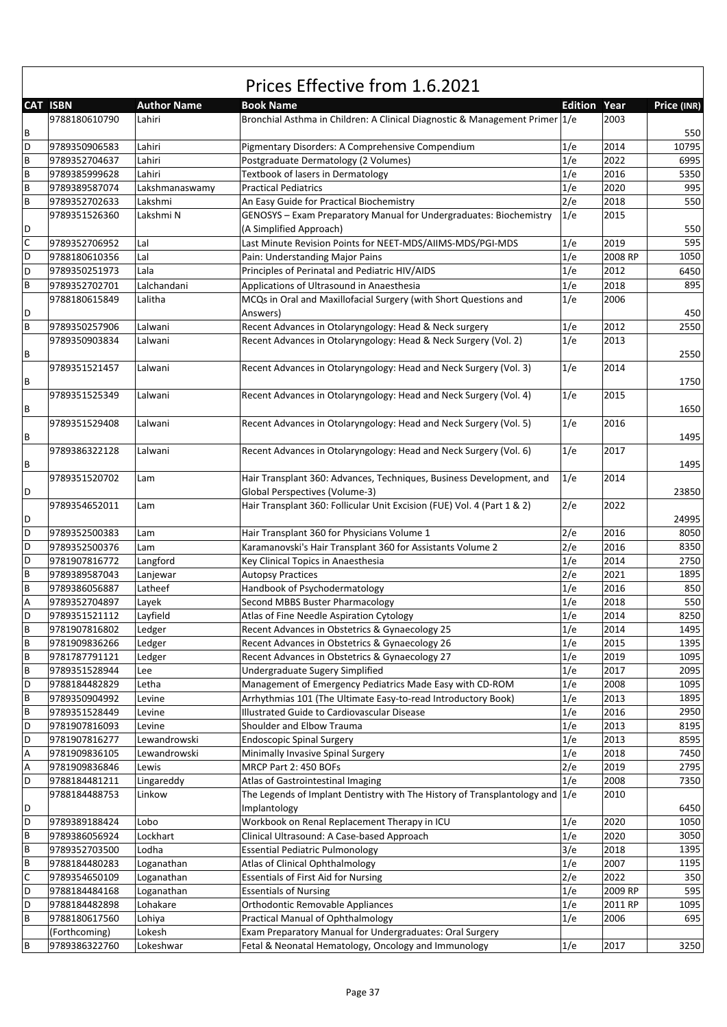|             | <b>CAT ISBN</b> | <b>Author Name</b> | <b>Book Name</b>                                                                 | <b>Edition Year</b> |         | Price (INR) |
|-------------|-----------------|--------------------|----------------------------------------------------------------------------------|---------------------|---------|-------------|
| В           | 9788180610790   | Lahiri             | Bronchial Asthma in Children: A Clinical Diagnostic & Management Primer 1/e      |                     | 2003    | 550         |
| D           | 9789350906583   | Lahiri             | Pigmentary Disorders: A Comprehensive Compendium                                 | 1/e                 | 2014    | 10795       |
| B           | 9789352704637   | Lahiri             | Postgraduate Dermatology (2 Volumes)                                             | 1/e                 | 2022    | 6995        |
| B           | 9789385999628   | Lahiri             | Textbook of lasers in Dermatology                                                | 1/e                 | 2016    | 5350        |
| B           | 9789389587074   | Lakshmanaswamy     | <b>Practical Pediatrics</b>                                                      | 1/e                 | 2020    | 995         |
| B           | 9789352702633   | Lakshmi            | An Easy Guide for Practical Biochemistry                                         | 2/e                 | 2018    | 550         |
|             | 9789351526360   | Lakshmi N          | GENOSYS - Exam Preparatory Manual for Undergraduates: Biochemistry               | 1/e                 | 2015    |             |
| D           |                 |                    | (A Simplified Approach)                                                          |                     |         | 550         |
| $\mathsf C$ | 9789352706952   | Lal                | Last Minute Revision Points for NEET-MDS/AIIMS-MDS/PGI-MDS                       | 1/e                 | 2019    | 595         |
| D           | 9788180610356   | Lal                | Pain: Understanding Major Pains                                                  | 1/e                 | 2008 RP | 1050        |
| D           | 9789350251973   | Lala               | Principles of Perinatal and Pediatric HIV/AIDS                                   | 1/e                 | 2012    | 6450        |
| B           |                 |                    |                                                                                  |                     | 2018    | 895         |
|             | 9789352702701   | Lalchandani        | Applications of Ultrasound in Anaesthesia                                        | 1/e                 |         |             |
|             | 9788180615849   | Lalitha            | MCQs in Oral and Maxillofacial Surgery (with Short Questions and                 | 1/e                 | 2006    |             |
| D           |                 |                    | Answers)                                                                         |                     |         | 450         |
| B           | 9789350257906   | Lalwani            | Recent Advances in Otolaryngology: Head & Neck surgery                           | 1/e                 | 2012    | 2550        |
|             | 9789350903834   | Lalwani            | Recent Advances in Otolaryngology: Head & Neck Surgery (Vol. 2)                  | 1/e                 | 2013    |             |
| В           |                 |                    |                                                                                  |                     |         | 2550        |
|             | 9789351521457   | Lalwani            | Recent Advances in Otolaryngology: Head and Neck Surgery (Vol. 3)                | 1/e                 | 2014    |             |
| В           |                 |                    |                                                                                  |                     |         | 1750        |
|             | 9789351525349   | Lalwani            | Recent Advances in Otolaryngology: Head and Neck Surgery (Vol. 4)                | 1/e                 | 2015    |             |
| В           |                 |                    |                                                                                  |                     |         | 1650        |
|             | 9789351529408   | Lalwani            | Recent Advances in Otolaryngology: Head and Neck Surgery (Vol. 5)                | 1/e                 | 2016    |             |
| В           |                 |                    |                                                                                  |                     |         | 1495        |
|             | 9789386322128   | Lalwani            | Recent Advances in Otolaryngology: Head and Neck Surgery (Vol. 6)                | 1/e                 | 2017    |             |
| В           |                 |                    |                                                                                  |                     |         | 1495        |
|             | 9789351520702   | Lam                | Hair Transplant 360: Advances, Techniques, Business Development, and             | 1/e                 | 2014    |             |
| D           |                 |                    | Global Perspectives (Volume-3)                                                   |                     |         | 23850       |
|             | 9789354652011   | Lam                | Hair Transplant 360: Follicular Unit Excision (FUE) Vol. 4 (Part 1 & 2)          | 2/e                 | 2022    |             |
| D           |                 |                    |                                                                                  |                     |         | 24995       |
| D           | 9789352500383   | Lam                | Hair Transplant 360 for Physicians Volume 1                                      | 2/e                 | 2016    | 8050        |
| D           | 9789352500376   | Lam                | Karamanovski's Hair Transplant 360 for Assistants Volume 2                       | 2/e                 | 2016    | 8350        |
| D           | 9781907816772   | Langford           | Key Clinical Topics in Anaesthesia                                               | 1/e                 | 2014    | 2750        |
| B           | 9789389587043   | Lanjewar           | <b>Autopsy Practices</b>                                                         | 2/e                 | 2021    | 1895        |
| B           | 9789386056887   | Latheef            | Handbook of Psychodermatology                                                    | 1/e                 | 2016    | 850         |
|             |                 |                    | Second MBBS Buster Pharmacology                                                  |                     |         |             |
| А           | 9789352704897   | Layek              |                                                                                  | 1/e                 | 2018    | 550         |
| D           | 9789351521112   | Layfield           | Atlas of Fine Needle Aspiration Cytology                                         | 1/e                 | 2014    | 8250        |
| B           | 9781907816802   | Ledger             | Recent Advances in Obstetrics & Gynaecology 25                                   | 1/e                 | 2014    | 1495        |
| $\sf{B}$    | 9781909836266   | Ledger             | Recent Advances in Obstetrics & Gynaecology 26                                   | 1/e                 | 2015    | 1395        |
| B           | 9781787791121   | Ledger             | Recent Advances in Obstetrics & Gynaecology 27                                   | 1/e                 | 2019    | 1095        |
| В           | 9789351528944   | Lee                | Undergraduate Sugery Simplified                                                  | 1/e                 | 2017    | 2095        |
| D           | 9788184482829   | Letha              | Management of Emergency Pediatrics Made Easy with CD-ROM                         | 1/e                 | 2008    | 1095        |
| B           | 9789350904992   | Levine             | Arrhythmias 101 (The Ultimate Easy-to-read Introductory Book)                    | 1/e                 | 2013    | 1895        |
| B           | 9789351528449   | Levine             | Illustrated Guide to Cardiovascular Disease                                      | 1/e                 | 2016    | 2950        |
| D           | 9781907816093   | Levine             | Shoulder and Elbow Trauma                                                        | 1/e                 | 2013    | 8195        |
| D           | 9781907816277   | Lewandrowski       | <b>Endoscopic Spinal Surgery</b>                                                 | 1/e                 | 2013    | 8595        |
| А           | 9781909836105   | Lewandrowski       | Minimally Invasive Spinal Surgery                                                | 1/e                 | 2018    | 7450        |
| А           | 9781909836846   | Lewis              | MRCP Part 2: 450 BOFs                                                            | 2/e                 | 2019    | 2795        |
| D           | 9788184481211   | Lingareddy         | Atlas of Gastrointestinal Imaging                                                | 1/e                 | 2008    | 7350        |
|             | 9788184488753   | Linkow             | The Legends of Implant Dentistry with The History of Transplantology and $ 1/e $ |                     | 2010    |             |
| D           |                 |                    | Implantology                                                                     |                     |         | 6450        |
| D           | 9789389188424   | Lobo               | Workbook on Renal Replacement Therapy in ICU                                     | 1/e                 | 2020    | 1050        |
| В           | 9789386056924   | Lockhart           | Clinical Ultrasound: A Case-based Approach                                       | 1/e                 | 2020    | 3050        |
| B           | 9789352703500   | Lodha              | <b>Essential Pediatric Pulmonology</b>                                           | 3/e                 | 2018    | 1395        |
| B           | 9788184480283   | Loganathan         | Atlas of Clinical Ophthalmology                                                  | 1/e                 | 2007    | 1195        |
| C           | 9789354650109   | Loganathan         | <b>Essentials of First Aid for Nursing</b>                                       | 2/e                 | 2022    | 350         |
| D           | 9788184484168   | Loganathan         | <b>Essentials of Nursing</b>                                                     | 1/e                 | 2009 RP | 595         |
| D           | 9788184482898   | Lohakare           | Orthodontic Removable Appliances                                                 | 1/e                 | 2011 RP | 1095        |
| В           | 9788180617560   | Lohiya             | Practical Manual of Ophthalmology                                                | 1/e                 | 2006    | 695         |
|             |                 |                    | Exam Preparatory Manual for Undergraduates: Oral Surgery                         |                     |         |             |
|             | (Forthcoming)   | Lokesh             |                                                                                  |                     |         |             |
| B           | 9789386322760   | Lokeshwar          | Fetal & Neonatal Hematology, Oncology and Immunology                             | 1/e                 | 2017    | 3250        |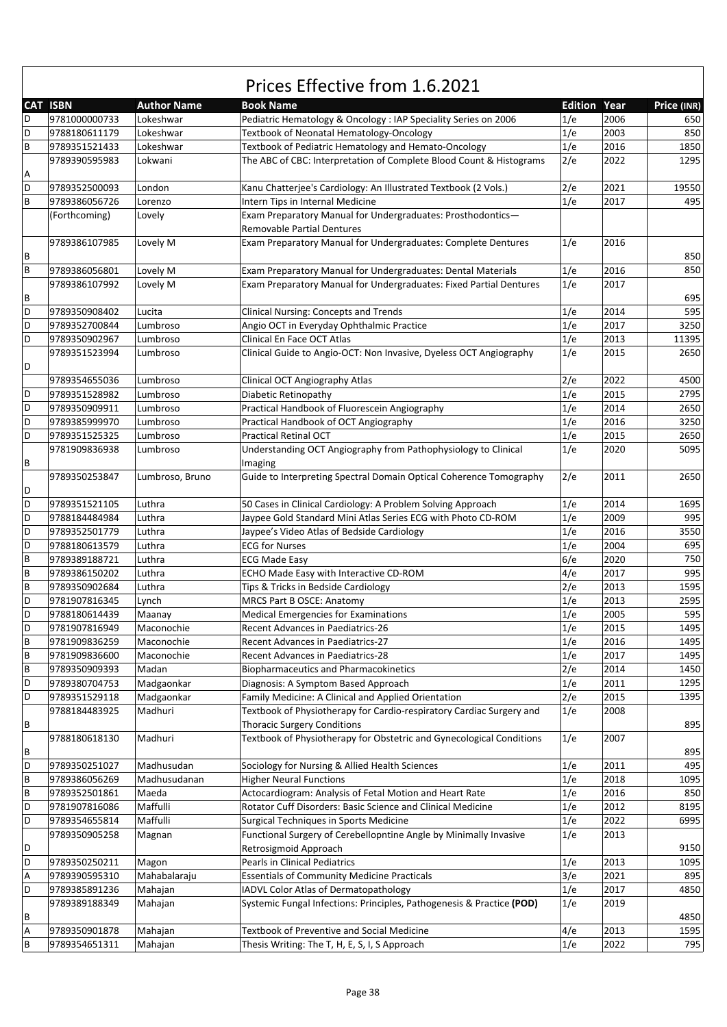|   | <b>CAT ISBN</b> | <b>Author Name</b> | <b>Book Name</b>                                                      | <b>Edition Year</b> |      | Price (INR) |
|---|-----------------|--------------------|-----------------------------------------------------------------------|---------------------|------|-------------|
| D | 9781000000733   | Lokeshwar          | Pediatric Hematology & Oncology : IAP Speciality Series on 2006       | 1/e                 | 2006 | 650         |
| D | 9788180611179   | Lokeshwar          | Textbook of Neonatal Hematology-Oncology                              | 1/e                 | 2003 | 850         |
| B | 9789351521433   | Lokeshwar          | Textbook of Pediatric Hematology and Hemato-Oncology                  | 1/e                 | 2016 | 1850        |
|   | 9789390595983   | Lokwani            | The ABC of CBC: Interpretation of Complete Blood Count & Histograms   | 2/e                 | 2022 | 1295        |
| Α |                 |                    |                                                                       |                     |      |             |
| D | 9789352500093   | London             | Kanu Chatterjee's Cardiology: An Illustrated Textbook (2 Vols.)       | 2/e                 | 2021 | 19550       |
| B | 9789386056726   | Lorenzo            | Intern Tips in Internal Medicine                                      | 1/e                 | 2017 | 495         |
|   | (Forthcoming)   | Lovely             | Exam Preparatory Manual for Undergraduates: Prosthodontics-           |                     |      |             |
|   |                 |                    | <b>Removable Partial Dentures</b>                                     |                     |      |             |
|   | 9789386107985   | Lovely M           | Exam Preparatory Manual for Undergraduates: Complete Dentures         | 1/e                 | 2016 |             |
| В |                 |                    |                                                                       |                     |      | 850         |
| B | 9789386056801   | Lovely M           | Exam Preparatory Manual for Undergraduates: Dental Materials          | 1/e                 | 2016 | 850         |
|   | 9789386107992   | Lovely M           | Exam Preparatory Manual for Undergraduates: Fixed Partial Dentures    | 1/e                 | 2017 |             |
| В |                 |                    |                                                                       |                     |      | 695         |
| D | 9789350908402   | Lucita             | Clinical Nursing: Concepts and Trends                                 | 1/e                 | 2014 | 595         |
| D | 9789352700844   | Lumbroso           | Angio OCT in Everyday Ophthalmic Practice                             | 1/e                 | 2017 | 3250        |
| D | 9789350902967   | Lumbroso           | Clinical En Face OCT Atlas                                            | 1/e                 | 2013 | 11395       |
|   | 9789351523994   | Lumbroso           | Clinical Guide to Angio-OCT: Non Invasive, Dyeless OCT Angiography    | 1/e                 | 2015 | 2650        |
| D |                 |                    |                                                                       |                     |      |             |
|   |                 |                    |                                                                       |                     | 2022 |             |
|   | 9789354655036   | Lumbroso           | Clinical OCT Angiography Atlas                                        | 2/e                 |      | 4500        |
| D | 9789351528982   | Lumbroso           | Diabetic Retinopathy                                                  | 1/e                 | 2015 | 2795        |
| D | 9789350909911   | Lumbroso           | Practical Handbook of Fluorescein Angiography                         | 1/e                 | 2014 | 2650        |
| D | 9789385999970   | Lumbroso           | Practical Handbook of OCT Angiography                                 | 1/e                 | 2016 | 3250        |
| D | 9789351525325   | Lumbroso           | <b>Practical Retinal OCT</b>                                          | 1/e                 | 2015 | 2650        |
|   | 9781909836938   | Lumbroso           | Understanding OCT Angiography from Pathophysiology to Clinical        | 1/e                 | 2020 | 5095        |
| В |                 |                    | Imaging                                                               |                     |      |             |
|   | 9789350253847   | Lumbroso, Bruno    | Guide to Interpreting Spectral Domain Optical Coherence Tomography    | 2/e                 | 2011 | 2650        |
| D |                 |                    |                                                                       |                     |      |             |
| D | 9789351521105   | Luthra             | 50 Cases in Clinical Cardiology: A Problem Solving Approach           | 1/e                 | 2014 | 1695        |
| D | 9788184484984   | Luthra             | Jaypee Gold Standard Mini Atlas Series ECG with Photo CD-ROM          | 1/e                 | 2009 | 995         |
| D | 9789352501779   | Luthra             | Jaypee's Video Atlas of Bedside Cardiology                            | 1/e                 | 2016 | 3550        |
| D | 9788180613579   | Luthra             | <b>ECG for Nurses</b>                                                 | 1/e                 | 2004 | 695         |
| B | 9789389188721   | Luthra             | <b>ECG Made Easy</b>                                                  | 6/e                 | 2020 | 750         |
| B | 9789386150202   | Luthra             | ECHO Made Easy with Interactive CD-ROM                                | 4/e                 | 2017 | 995         |
| B | 9789350902684   | Luthra             | Tips & Tricks in Bedside Cardiology                                   | 2/e                 | 2013 | 1595        |
| D | 9781907816345   | Lynch              | MRCS Part B OSCE: Anatomy                                             | 1/e                 | 2013 | 2595        |
| D | 9788180614439   | Maanay             | <b>Medical Emergencies for Examinations</b>                           | 1/e                 | 2005 | 595         |
| D | 9781907816949   | Maconochie         | Recent Advances in Paediatrics-26                                     | 1/e                 | 2015 | 1495        |
| B | 9781909836259   | Maconochie         | Recent Advances in Paediatrics-27                                     | 1/e                 | 2016 | 1495        |
| В | 9781909836600   | Maconochie         | Recent Advances in Paediatrics-28                                     | 1/e                 | 2017 | 1495        |
| В | 9789350909393   | Madan              | <b>Biopharmaceutics and Pharmacokinetics</b>                          | 2/e                 | 2014 | 1450        |
| D | 9789380704753   | Madgaonkar         | Diagnosis: A Symptom Based Approach                                   | 1/e                 | 2011 | 1295        |
| D | 9789351529118   | Madgaonkar         | Family Medicine: A Clinical and Applied Orientation                   | 2/e                 | 2015 | 1395        |
|   | 9788184483925   | Madhuri            | Textbook of Physiotherapy for Cardio-respiratory Cardiac Surgery and  | 1/e                 | 2008 |             |
| В |                 |                    | <b>Thoracic Surgery Conditions</b>                                    |                     |      | 895         |
|   | 9788180618130   | Madhuri            | Textbook of Physiotherapy for Obstetric and Gynecological Conditions  | 1/e                 | 2007 |             |
| В |                 |                    |                                                                       |                     |      | 895         |
| D | 9789350251027   | Madhusudan         | Sociology for Nursing & Allied Health Sciences                        | 1/e                 | 2011 | 495         |
| B | 9789386056269   | Madhusudanan       | <b>Higher Neural Functions</b>                                        | 1/e                 | 2018 | 1095        |
| В | 9789352501861   | Maeda              | Actocardiogram: Analysis of Fetal Motion and Heart Rate               | 1/e                 | 2016 | 850         |
| D | 9781907816086   | Maffulli           | Rotator Cuff Disorders: Basic Science and Clinical Medicine           | 1/e                 | 2012 | 8195        |
| D | 9789354655814   | Maffulli           | <b>Surgical Techniques in Sports Medicine</b>                         | 1/e                 | 2022 | 6995        |
|   | 9789350905258   | Magnan             | Functional Surgery of Cerebellopntine Angle by Minimally Invasive     | 1/e                 | 2013 |             |
| D |                 |                    | Retrosigmoid Approach                                                 |                     |      | 9150        |
| D | 9789350250211   | Magon              | <b>Pearls in Clinical Pediatrics</b>                                  | 1/e                 | 2013 | 1095        |
| А | 9789390595310   | Mahabalaraju       | <b>Essentials of Community Medicine Practicals</b>                    | 3/e                 | 2021 | 895         |
| D | 9789385891236   | Mahajan            | IADVL Color Atlas of Dermatopathology                                 | 1/e                 | 2017 | 4850        |
|   | 9789389188349   | Mahajan            | Systemic Fungal Infections: Principles, Pathogenesis & Practice (POD) | 1/e                 | 2019 |             |
| В |                 |                    |                                                                       |                     |      | 4850        |
| А | 9789350901878   | Mahajan            | Textbook of Preventive and Social Medicine                            | 4/e                 | 2013 | 1595        |
| B |                 |                    |                                                                       |                     |      |             |
|   | 9789354651311   | Mahajan            | Thesis Writing: The T, H, E, S, I, S Approach                         | 1/e                 | 2022 | 795         |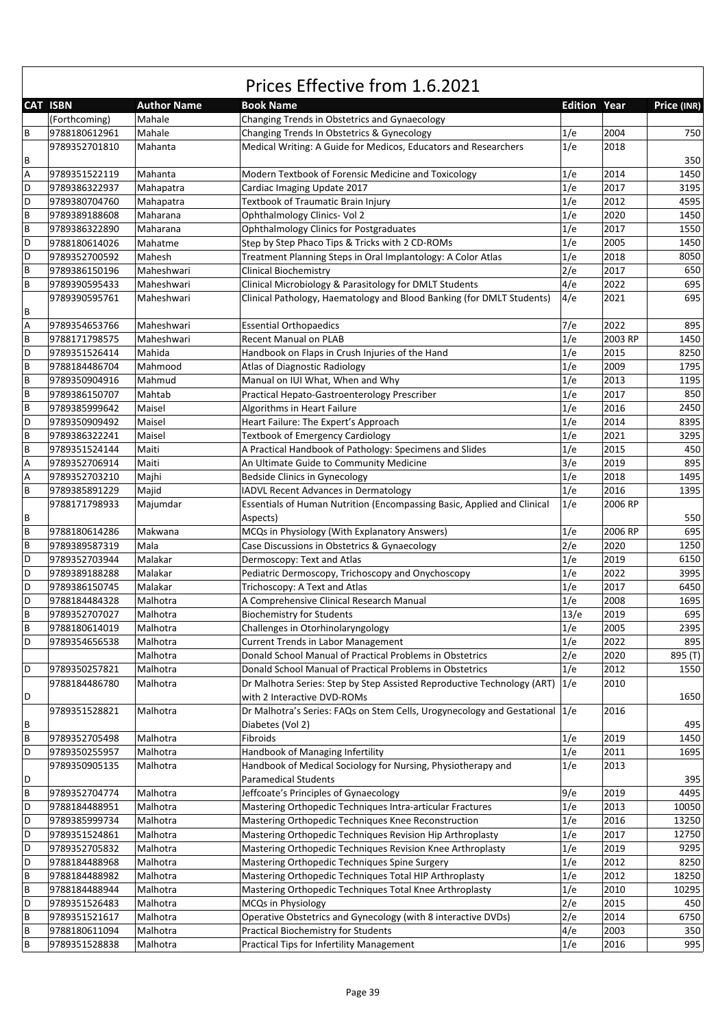|                           | <b>CAT ISBN</b> | <b>Author Name</b> | <b>Book Name</b>                                                            | <b>Edition Year</b> |         | Price (INR) |
|---------------------------|-----------------|--------------------|-----------------------------------------------------------------------------|---------------------|---------|-------------|
|                           | (Forthcoming)   | Mahale             | Changing Trends in Obstetrics and Gynaecology                               |                     |         |             |
| $\sf B$                   | 9788180612961   | Mahale             | Changing Trends In Obstetrics & Gynecology                                  | 1/e                 | 2004    | 750         |
|                           | 9789352701810   | Mahanta            | Medical Writing: A Guide for Medicos, Educators and Researchers             | 1/e                 | 2018    |             |
| B                         |                 |                    |                                                                             |                     |         | 350         |
| $\overline{A}$            | 9789351522119   | Mahanta            | Modern Textbook of Forensic Medicine and Toxicology                         | 1/e                 | 2014    | 1450        |
| D                         | 9789386322937   | Mahapatra          | Cardiac Imaging Update 2017                                                 | 1/e                 | 2017    | 3195        |
| D                         | 9789380704760   | Mahapatra          | Textbook of Traumatic Brain Injury                                          | 1/e                 | 2012    | 4595        |
| $\sf{B}$                  | 9789389188608   | Maharana           | Ophthalmology Clinics- Vol 2                                                | 1/e                 | 2020    | 1450        |
| $\sf{B}$                  | 9789386322890   | Maharana           | <b>Ophthalmology Clinics for Postgraduates</b>                              | 1/e                 | 2017    | 1550        |
| D                         | 9788180614026   | Mahatme            | Step by Step Phaco Tips & Tricks with 2 CD-ROMs                             | 1/e                 | 2005    | 1450        |
| D                         | 9789352700592   | Mahesh             | Treatment Planning Steps in Oral Implantology: A Color Atlas                | 1/e                 | 2018    | 8050        |
|                           |                 |                    |                                                                             |                     | 2017    |             |
| $\sf B$                   | 9789386150196   | Maheshwari         | <b>Clinical Biochemistry</b>                                                | 2/e                 |         | 650         |
| $\sf B$                   | 9789390595433   | Maheshwari         | Clinical Microbiology & Parasitology for DMLT Students                      | 4/e                 | 2022    | 695         |
| $\sf B$                   | 9789390595761   | Maheshwari         | Clinical Pathology, Haematology and Blood Banking (for DMLT Students)       | 4/e                 | 2021    | 695         |
| $\boldsymbol{\mathsf{A}}$ | 9789354653766   | Maheshwari         | <b>Essential Orthopaedics</b>                                               | 7/e                 | 2022    | 895         |
| $\sf{B}$                  | 9788171798575   | Maheshwari         | <b>Recent Manual on PLAB</b>                                                | 1/e                 | 2003 RP | 1450        |
| D                         | 9789351526414   | Mahida             | Handbook on Flaps in Crush Injuries of the Hand                             | 1/e                 | 2015    | 8250        |
| $\sf{B}$                  | 9788184486704   | Mahmood            | <b>Atlas of Diagnostic Radiology</b>                                        | 1/e                 | 2009    | 1795        |
| $\sf{B}$                  | 9789350904916   | Mahmud             | Manual on IUI What, When and Why                                            | 1/e                 | 2013    | 1195        |
| $\sf B$                   | 9789386150707   | Mahtab             | Practical Hepato-Gastroenterology Prescriber                                | 1/e                 | 2017    | 850         |
| $\sf B$                   | 9789385999642   | Maisel             | Algorithms in Heart Failure                                                 | 1/e                 | 2016    | 2450        |
|                           |                 |                    |                                                                             |                     | 2014    |             |
| D                         | 9789350909492   | Maisel             | Heart Failure: The Expert's Approach                                        | 1/e                 |         | 8395        |
| $\sf{B}$                  | 9789386322241   | Maisel             | <b>Textbook of Emergency Cardiology</b>                                     | 1/e                 | 2021    | 3295        |
| $\sf{B}$                  | 9789351524144   | Maiti              | A Practical Handbook of Pathology: Specimens and Slides                     | 1/e                 | 2015    | 450         |
| $\overline{A}$            | 9789352706914   | Maiti              | An Ultimate Guide to Community Medicine                                     | 3/e                 | 2019    | 895         |
| A                         | 9789352703210   | Majhi              | <b>Bedside Clinics in Gynecology</b>                                        | 1/e                 | 2018    | 1495        |
| $\sf B$                   | 9789385891229   | Majid              | <b>IADVL Recent Advances in Dermatology</b>                                 | 1/e                 | 2016    | 1395        |
|                           | 9788171798933   | Majumdar           | Essentials of Human Nutrition (Encompassing Basic, Applied and Clinical     | 1/e                 | 2006 RP |             |
| B                         |                 |                    | Aspects)                                                                    |                     |         | 550         |
| $\sf B$                   | 9788180614286   | Makwana            | MCQs in Physiology (With Explanatory Answers)                               | 1/e                 | 2006 RP | 695         |
| $\sf B$                   | 9789389587319   | Mala               | Case Discussions in Obstetrics & Gynaecology                                | 2/e                 | 2020    | 1250        |
| D                         | 9789352703944   | Malakar            | Dermoscopy: Text and Atlas                                                  | 1/e                 | 2019    | 6150        |
| D                         | 9789389188288   | Malakar            | Pediatric Dermoscopy, Trichoscopy and Onychoscopy                           | 1/e                 | 2022    | 3995        |
| D                         | 9789386150745   | Malakar            | Trichoscopy: A Text and Atlas                                               | 1/e                 | 2017    | 6450        |
| D                         | 9788184484328   | Malhotra           | A Comprehensive Clinical Research Manual                                    | 1/e                 | 2008    | 1695        |
| $\sf B$                   | 9789352707027   | Malhotra           | <b>Biochemistry for Students</b>                                            | 13/e                | 2019    | 695         |
| $\sf{B}$                  | 9788180614019   | Malhotra           | Challenges in Otorhinolaryngology                                           | 1/e                 | 2005    | 2395        |
| D                         | 9789354656538   | Malhotra           | Current Trends in Labor Management                                          | 1/e                 | 2022    | 895         |
|                           |                 | Malhotra           | Donald School Manual of Practical Problems in Obstetrics                    | 2/e                 | 2020    | 895 (T)     |
| $\mathsf D$               | 9789350257821   | Malhotra           | Donald School Manual of Practical Problems in Obstetrics                    | 1/e                 | 2012    | 1550        |
|                           | 9788184486780   | Malhotra           | Dr Malhotra Series: Step by Step Assisted Reproductive Technology (ART)     | 1/e                 | 2010    |             |
| D                         |                 |                    | with 2 Interactive DVD-ROMs                                                 |                     |         |             |
|                           |                 |                    |                                                                             |                     |         | 1650        |
|                           | 9789351528821   | Malhotra           | Dr Malhotra's Series: FAQs on Stem Cells, Urogynecology and Gestational 1/e |                     | 2016    |             |
| $\sf B$                   |                 |                    | Diabetes (Vol 2)                                                            |                     |         | 495         |
| $\sf B$                   | 9789352705498   | Malhotra           | Fibroids                                                                    | 1/e                 | 2019    | 1450        |
| D                         | 9789350255957   | Malhotra           | Handbook of Managing Infertility                                            | 1/e                 | 2011    | 1695        |
|                           | 9789350905135   | Malhotra           | Handbook of Medical Sociology for Nursing, Physiotherapy and                | 1/e                 | 2013    |             |
| D                         |                 |                    | <b>Paramedical Students</b>                                                 |                     |         | 395         |
| $\, {\bf B}$              | 9789352704774   | Malhotra           | Jeffcoate's Principles of Gynaecology                                       | 9/e                 | 2019    | 4495        |
| D                         | 9788184488951   | Malhotra           | Mastering Orthopedic Techniques Intra-articular Fractures                   | 1/e                 | 2013    | 10050       |
| D                         | 9789385999734   | Malhotra           | Mastering Orthopedic Techniques Knee Reconstruction                         | 1/e                 | 2016    | 13250       |
| D                         | 9789351524861   | Malhotra           | Mastering Orthopedic Techniques Revision Hip Arthroplasty                   | 1/e                 | 2017    | 12750       |
| D                         | 9789352705832   | Malhotra           | Mastering Orthopedic Techniques Revision Knee Arthroplasty                  | 1/e                 | 2019    | 9295        |
| D                         | 9788184488968   | Malhotra           | Mastering Orthopedic Techniques Spine Surgery                               | 1/e                 | 2012    | 8250        |
| $\sf B$                   | 9788184488982   | Malhotra           | Mastering Orthopedic Techniques Total HIP Arthroplasty                      | 1/e                 | 2012    | 18250       |
| $\sf B$                   | 9788184488944   | Malhotra           | Mastering Orthopedic Techniques Total Knee Arthroplasty                     | 1/e                 | 2010    | 10295       |
| D                         | 9789351526483   | Malhotra           | MCQs in Physiology                                                          | 2/e                 | 2015    | 450         |
| $\sf B$                   | 9789351521617   | Malhotra           | Operative Obstetrics and Gynecology (with 8 interactive DVDs)               | 2/e                 | 2014    | 6750        |
| B                         | 9788180611094   | Malhotra           | Practical Biochemistry for Students                                         | 4/e                 | 2003    | 350         |
| $\sf{B}$                  | 9789351528838   | Malhotra           | Practical Tips for Infertility Management                                   | 1/e                 | 2016    | 995         |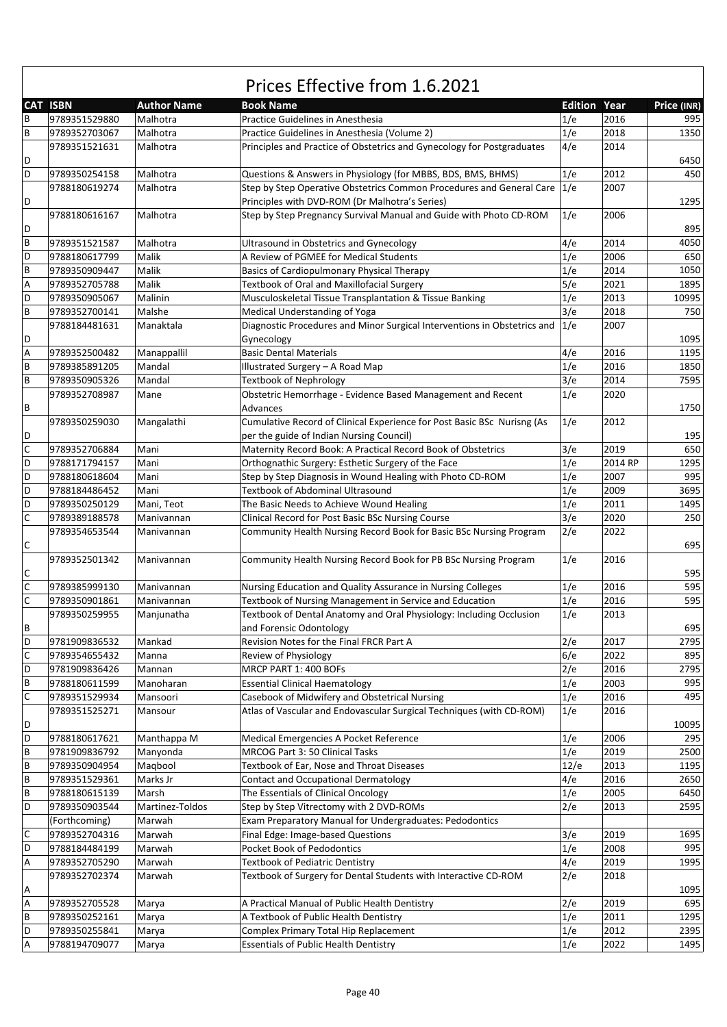|              | Prices Effective from 1.6.2021 |                    |                                                                                                       |                |              |              |  |  |
|--------------|--------------------------------|--------------------|-------------------------------------------------------------------------------------------------------|----------------|--------------|--------------|--|--|
|              | <b>CAT ISBN</b>                | <b>Author Name</b> | <b>Book Name</b>                                                                                      | <b>Edition</b> | Year         | Price (INR)  |  |  |
| В            | 9789351529880                  | Malhotra           | Practice Guidelines in Anesthesia                                                                     | 1/e            | 2016         | 995          |  |  |
| B            | 9789352703067                  | Malhotra           | Practice Guidelines in Anesthesia (Volume 2)                                                          | 1/e            | 2018         | 1350         |  |  |
|              | 9789351521631                  | Malhotra           | Principles and Practice of Obstetrics and Gynecology for Postgraduates                                | 4/e            | 2014         |              |  |  |
| D            |                                |                    |                                                                                                       |                |              | 6450         |  |  |
| D            | 9789350254158                  | Malhotra           | Questions & Answers in Physiology (for MBBS, BDS, BMS, BHMS)                                          | 1/e            | 2012         | 450          |  |  |
|              | 9788180619274                  | Malhotra           | Step by Step Operative Obstetrics Common Procedures and General Care                                  | 1/e            | 2007         |              |  |  |
| D            |                                |                    | Principles with DVD-ROM (Dr Malhotra's Series)                                                        |                |              | 1295         |  |  |
|              | 9788180616167                  | Malhotra           | Step by Step Pregnancy Survival Manual and Guide with Photo CD-ROM                                    | 1/e            | 2006         |              |  |  |
| D            |                                |                    |                                                                                                       |                |              | 895          |  |  |
| B            | 9789351521587                  | Malhotra           | Ultrasound in Obstetrics and Gynecology                                                               | 4/e            | 2014         | 4050         |  |  |
| D            | 9788180617799                  | Malik              | A Review of PGMEE for Medical Students                                                                | 1/e            | 2006         | 650          |  |  |
| B            | 9789350909447                  | Malik<br>Malik     | Basics of Cardiopulmonary Physical Therapy                                                            | 1/e<br>5/e     | 2014<br>2021 | 1050<br>1895 |  |  |
| Α<br>D       | 9789352705788                  | Malinin            | Textbook of Oral and Maxillofacial Surgery<br>Musculoskeletal Tissue Transplantation & Tissue Banking | 1/e            | 2013         | 10995        |  |  |
| B            | 9789350905067<br>9789352700141 | Malshe             | Medical Understanding of Yoga                                                                         | 3/e            | 2018         | 750          |  |  |
|              | 9788184481631                  | Manaktala          | Diagnostic Procedures and Minor Surgical Interventions in Obstetrics and                              | 1/e            | 2007         |              |  |  |
| D            |                                |                    | Gynecology                                                                                            |                |              | 1095         |  |  |
| A            | 9789352500482                  | Manappallil        | <b>Basic Dental Materials</b>                                                                         | 4/e            | 2016         | 1195         |  |  |
| B            | 9789385891205                  | Mandal             | Illustrated Surgery - A Road Map                                                                      | 1/e            | 2016         | 1850         |  |  |
| B            | 9789350905326                  | Mandal             | <b>Textbook of Nephrology</b>                                                                         | 3/e            | 2014         | 7595         |  |  |
|              | 9789352708987                  | Mane               | Obstetric Hemorrhage - Evidence Based Management and Recent                                           | 1/e            | 2020         |              |  |  |
| B            |                                |                    | Advances                                                                                              |                |              | 1750         |  |  |
|              | 9789350259030                  | Mangalathi         | Cumulative Record of Clinical Experience for Post Basic BSc Nurisng (As                               | 1/e            | 2012         |              |  |  |
| D            |                                |                    | per the guide of Indian Nursing Council)                                                              |                |              | 195          |  |  |
| $\mathsf{C}$ | 9789352706884                  | Mani               | Maternity Record Book: A Practical Record Book of Obstetrics                                          | 3/e            | 2019         | 650          |  |  |
| D            | 9788171794157                  | Mani               | Orthognathic Surgery: Esthetic Surgery of the Face                                                    | 1/e            | 2014 RP      | 1295         |  |  |
| D            | 9788180618604                  | Mani               | Step by Step Diagnosis in Wound Healing with Photo CD-ROM                                             | 1/e            | 2007         | 995          |  |  |
| D            | 9788184486452                  | Mani               | <b>Textbook of Abdominal Ultrasound</b>                                                               | 1/e            | 2009         | 3695         |  |  |
| D            | 9789350250129                  | Mani, Teot         | The Basic Needs to Achieve Wound Healing                                                              | 1/e            | 2011         | 1495         |  |  |
| $\mathsf C$  | 9789389188578                  | Manivannan         | Clinical Record for Post Basic BSc Nursing Course                                                     | 3/e            | 2020         | 250          |  |  |
|              | 9789354653544                  | Manivannan         | Community Health Nursing Record Book for Basic BSc Nursing Program                                    | 2/e            | 2022         |              |  |  |
| С            |                                |                    |                                                                                                       |                |              | 695          |  |  |
|              | 9789352501342                  | Manivannan         | Community Health Nursing Record Book for PB BSc Nursing Program                                       | 1/e            | 2016         |              |  |  |
| C            |                                |                    |                                                                                                       |                |              | 595          |  |  |
| $\mathsf C$  | 9789385999130                  | Manivannan         | Nursing Education and Quality Assurance in Nursing Colleges                                           | 1/e            | 2016         | 595          |  |  |
| $\mathsf C$  | 9789350901861                  | Manivannan         | Textbook of Nursing Management in Service and Education                                               | 1/e            | 2016         | 595          |  |  |
|              | 9789350259955                  | Manjunatha         | Textbook of Dental Anatomy and Oral Physiology: Including Occlusion                                   | 1/e            | 2013         |              |  |  |
| B<br>D       |                                |                    | and Forensic Odontology                                                                               |                |              | 695          |  |  |
| $\mathsf C$  | 9781909836532                  | Mankad             | Revision Notes for the Final FRCR Part A                                                              | 2/e<br>6/e     | 2017         | 2795<br>895  |  |  |
| D            | 9789354655432<br>9781909836426 | Manna<br>Mannan    | Review of Physiology<br>MRCP PART 1: 400 BOFs                                                         | 2/e            | 2022<br>2016 | 2795         |  |  |
| B            | 9788180611599                  | Manoharan          | <b>Essential Clinical Haematology</b>                                                                 | 1/e            | 2003         | 995          |  |  |
| $\mathsf C$  | 9789351529934                  | Mansoori           | Casebook of Midwifery and Obstetrical Nursing                                                         | 1/e            | 2016         | 495          |  |  |
|              | 9789351525271                  | Mansour            | Atlas of Vascular and Endovascular Surgical Techniques (with CD-ROM)                                  | 1/e            | 2016         |              |  |  |
| D            |                                |                    |                                                                                                       |                |              | 10095        |  |  |
| D            | 9788180617621                  | Manthappa M        | Medical Emergencies A Pocket Reference                                                                | 1/e            | 2006         | 295          |  |  |
| B            | 9781909836792                  | Manyonda           | MRCOG Part 3: 50 Clinical Tasks                                                                       | 1/e            | 2019         | 2500         |  |  |
| B            | 9789350904954                  | Maqbool            | Textbook of Ear, Nose and Throat Diseases                                                             | 12/e           | 2013         | 1195         |  |  |
| B            | 9789351529361                  | Marks Jr           | <b>Contact and Occupational Dermatology</b>                                                           | 4/e            | 2016         | 2650         |  |  |
| B            | 9788180615139                  | Marsh              | The Essentials of Clinical Oncology                                                                   | 1/e            | 2005         | 6450         |  |  |
| D            | 9789350903544                  | Martinez-Toldos    | Step by Step Vitrectomy with 2 DVD-ROMs                                                               | 2/e            | 2013         | 2595         |  |  |
|              | (Forthcoming)                  | Marwah             | Exam Preparatory Manual for Undergraduates: Pedodontics                                               |                |              |              |  |  |
| $\mathsf C$  | 9789352704316                  | Marwah             | Final Edge: Image-based Questions                                                                     | 3/e            | 2019         | 1695         |  |  |
| D            | 9788184484199                  | Marwah             | Pocket Book of Pedodontics                                                                            | 1/e            | 2008         | 995          |  |  |
| А            | 9789352705290                  | Marwah             | <b>Textbook of Pediatric Dentistry</b>                                                                | 4/e            | 2019         | 1995         |  |  |
|              | 9789352702374                  | Marwah             | Textbook of Surgery for Dental Students with Interactive CD-ROM                                       | 2/e            | 2018         |              |  |  |
| Α            |                                |                    |                                                                                                       |                |              | 1095         |  |  |
| A            | 9789352705528                  | Marya              | A Practical Manual of Public Health Dentistry                                                         | 2/e            | 2019         | 695          |  |  |
| B            | 9789350252161                  | Marya              | A Textbook of Public Health Dentistry                                                                 | 1/e            | 2011         | 1295         |  |  |
| D            | 9789350255841                  | Marya              | Complex Primary Total Hip Replacement                                                                 | 1/e            | 2012         | 2395         |  |  |
| А            | 9788194709077                  | Marya              | <b>Essentials of Public Health Dentistry</b>                                                          | 1/e            | 2022         | 1495         |  |  |

 $\Gamma$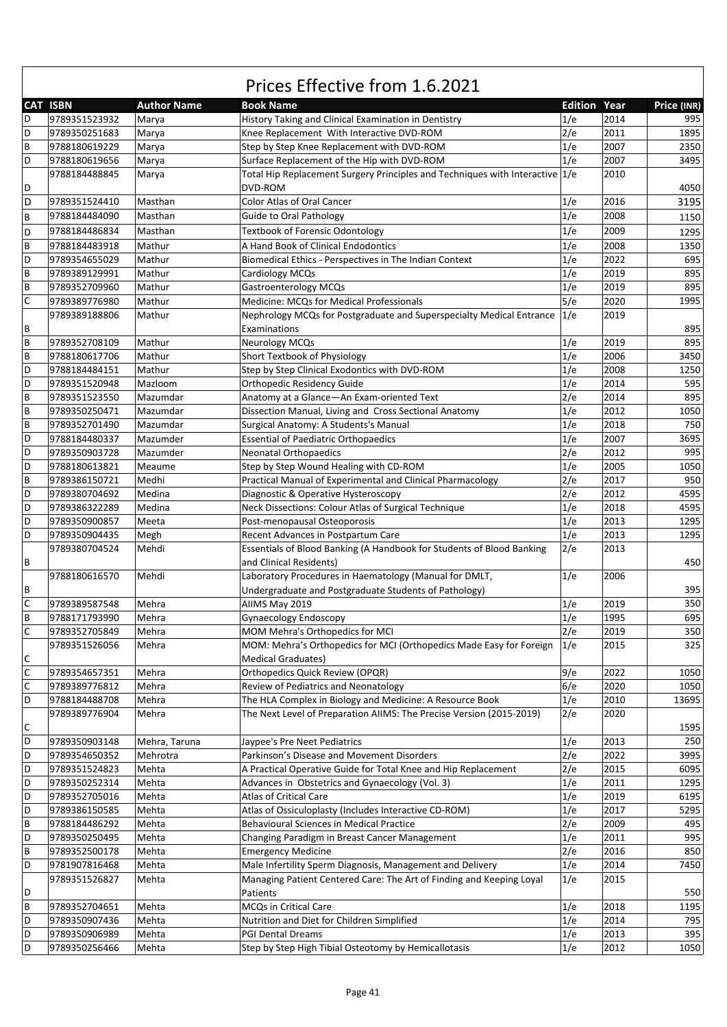|             | CAT ISBN      | <b>Author Name</b> | <b>Book Name</b>                                                             | <b>Edition Year</b> |      | Price (INR) |
|-------------|---------------|--------------------|------------------------------------------------------------------------------|---------------------|------|-------------|
| D           | 9789351523932 | Marya              | History Taking and Clinical Examination in Dentistry                         | 1/e                 | 2014 | 995         |
| D           | 9789350251683 | Marya              | Knee Replacement With Interactive DVD-ROM                                    | 2/e                 | 2011 | 1895        |
| B           | 9788180619229 | Marya              | Step by Step Knee Replacement with DVD-ROM                                   | 1/e                 | 2007 | 2350        |
| D           | 9788180619656 | Marya              | Surface Replacement of the Hip with DVD-ROM                                  | 1/e                 | 2007 | 3495        |
|             | 9788184488845 | Marya              | Total Hip Replacement Surgery Principles and Techniques with Interactive 1/e |                     | 2010 |             |
| D           |               |                    | DVD-ROM                                                                      |                     |      | 4050        |
| D           | 9789351524410 | Masthan            | <b>Color Atlas of Oral Cancer</b>                                            | 1/e                 | 2016 | 3195        |
| B           | 9788184484090 | Masthan            | <b>Guide to Oral Pathology</b>                                               | 1/e                 | 2008 | 1150        |
|             | 9788184486834 | Masthan            | <b>Textbook of Forensic Odontology</b>                                       | 1/e                 | 2009 |             |
| D           |               |                    |                                                                              |                     |      | 1295        |
| B           | 9788184483918 | Mathur             | A Hand Book of Clinical Endodontics                                          | 1/e                 | 2008 | 1350        |
| D           | 9789354655029 | Mathur             | Biomedical Ethics - Perspectives in The Indian Context                       | 1/e                 | 2022 | 695         |
| B           | 9789389129991 | Mathur             | Cardiology MCQs                                                              | 1/e                 | 2019 | 895         |
| B           | 9789352709960 | Mathur             | Gastroenterology MCQs                                                        | 1/e                 | 2019 | 895         |
| C           | 9789389776980 | Mathur             | Medicine: MCQs for Medical Professionals                                     | 5/e                 | 2020 | 1995        |
|             | 9789389188806 | Mathur             | Nephrology MCQs for Postgraduate and Superspecialty Medical Entrance         | 1/e                 | 2019 |             |
| В           |               |                    | Examinations                                                                 |                     |      | 895         |
| B           | 9789352708109 | Mathur             | <b>Neurology MCQs</b>                                                        | 1/e                 | 2019 | 895         |
| B           | 9788180617706 | Mathur             | Short Textbook of Physiology                                                 | 1/e                 | 2006 | 3450        |
| D           | 9788184484151 | Mathur             | Step by Step Clinical Exodontics with DVD-ROM                                | 1/e                 | 2008 | 1250        |
| D           | 9789351520948 | Mazloom            | <b>Orthopedic Residency Guide</b>                                            | 1/e                 | 2014 | 595         |
| B           | 9789351523550 | Mazumdar           | Anatomy at a Glance-An Exam-oriented Text                                    | 2/e                 | 2014 | 895         |
| B           | 9789350250471 | Mazumdar           | Dissection Manual, Living and Cross Sectional Anatomy                        | 1/e                 | 2012 | 1050        |
| B           | 9789352701490 | Mazumdar           | Surgical Anatomy: A Students's Manual                                        | 1/e                 | 2018 | 750         |
| D           | 9788184480337 | Mazumder           | <b>Essential of Paediatric Orthopaedics</b>                                  | 1/e                 | 2007 | 3695        |
| D           | 9789350903728 | Mazumder           | <b>Neonatal Orthopaedics</b>                                                 | 2/e                 | 2012 | 995         |
| D           | 9788180613821 | Meaume             | Step by Step Wound Healing with CD-ROM                                       | 1/e                 | 2005 | 1050        |
| B           | 9789386150721 | Medhi              | Practical Manual of Experimental and Clinical Pharmacology                   | 2/e                 | 2017 | 950         |
| D           | 9789380704692 | Medina             | Diagnostic & Operative Hysteroscopy                                          | 2/e                 | 2012 | 4595        |
| D           | 9789386322289 | Medina             | Neck Dissections: Colour Atlas of Surgical Technique                         | 1/e                 | 2018 | 4595        |
| D           | 9789350900857 | Meeta              | Post-menopausal Osteoporosis                                                 | 1/e                 | 2013 | 1295        |
| D           | 9789350904435 | Megh               | Recent Advances in Postpartum Care                                           | 1/e                 | 2013 | 1295        |
|             | 9789380704524 | Mehdi              | Essentials of Blood Banking (A Handbook for Students of Blood Banking        | 2/e                 | 2013 |             |
| В           |               |                    | and Clinical Residents)                                                      |                     |      | 450         |
|             | 9788180616570 | Mehdi              | Laboratory Procedures in Haematology (Manual for DMLT,                       | 1/e                 | 2006 |             |
| В           |               |                    | Undergraduate and Postgraduate Students of Pathology)                        |                     |      | 395         |
| $\mathsf C$ | 9789389587548 | Mehra              | AIIMS May 2019                                                               | 1/e                 | 2019 | 350         |
| B           | 9788171793990 | Mehra              | Gynaecology Endoscopy                                                        | 1/e                 | 1995 | 695         |
| C           | 9789352705849 | Mehra              | MOM Mehra's Orthopedics for MCI                                              | 2/e                 | 2019 | 350         |
|             | 9789351526056 | Mehra              | MOM: Mehra's Orthopedics for MCI (Orthopedics Made Easy for Foreign 1/e      |                     | 2015 | 325         |
| С           |               |                    | <b>Medical Graduates)</b>                                                    |                     |      |             |
| $\mathsf C$ | 9789354657351 | Mehra              | <b>Orthopedics Quick Review (OPQR)</b>                                       | 9/e                 | 2022 | 1050        |
| C           | 9789389776812 | Mehra              | Review of Pediatrics and Neonatology                                         | 6/e                 | 2020 | 1050        |
| D           | 9788184488708 | Mehra              | The HLA Complex in Biology and Medicine: A Resource Book                     | 1/e                 | 2010 | 13695       |
|             | 9789389776904 | Mehra              | The Next Level of Preparation AIIMS: The Precise Version (2015-2019)         | 2/e                 | 2020 |             |
| С           |               |                    |                                                                              |                     |      | 1595        |
| D           | 9789350903148 | Mehra, Taruna      | Jaypee's Pre Neet Pediatrics                                                 | 1/e                 | 2013 | 250         |
| D           | 9789354650352 | Mehrotra           | Parkinson's Disease and Movement Disorders                                   | 2/e                 | 2022 | 3995        |
| D           | 9789351524823 | Mehta              | A Practical Operative Guide for Total Knee and Hip Replacement               | 2/e                 | 2015 | 6095        |
| D           |               |                    |                                                                              |                     |      | 1295        |
| D           | 9789350252314 | Mehta              | Advances in Obstetrics and Gynaecology (Vol. 3)                              | 1/e                 | 2011 |             |
|             | 9789352705016 | Mehta              | <b>Atlas of Critical Care</b>                                                | 1/e                 | 2019 | 6195        |
| D           | 9789386150585 | Mehta              | Atlas of Ossiculoplasty (Includes Interactive CD-ROM)                        | 1/e                 | 2017 | 5295        |
| B           | 9788184486292 | Mehta              | <b>Behavioural Sciences in Medical Practice</b>                              | 2/e                 | 2009 | 495         |
| D           | 9789350250495 | Mehta              | Changing Paradigm in Breast Cancer Management                                | 1/e                 | 2011 | 995         |
| B           | 9789352500178 | Mehta              | <b>Emergency Medicine</b>                                                    | 2/e                 | 2016 | 850         |
| D           | 9781907816468 | Mehta              | Male Infertility Sperm Diagnosis, Management and Delivery                    | 1/e                 | 2014 | 7450        |
|             | 9789351526827 | Mehta              | Managing Patient Centered Care: The Art of Finding and Keeping Loyal         | 1/e                 | 2015 |             |
| D           |               |                    | Patients                                                                     |                     |      | 550         |
| B           | 9789352704651 | Mehta              | MCQs in Critical Care                                                        | 1/e                 | 2018 | 1195        |
| D           | 9789350907436 | Mehta              | Nutrition and Diet for Children Simplified                                   | 1/e                 | 2014 | 795         |
| D           | 9789350906989 | Mehta              | <b>PGI Dental Dreams</b>                                                     | 1/e                 | 2013 | 395         |
| D           | 9789350256466 | Mehta              | Step by Step High Tibial Osteotomy by Hemicallotasis                         | 1/e                 | 2012 | 1050        |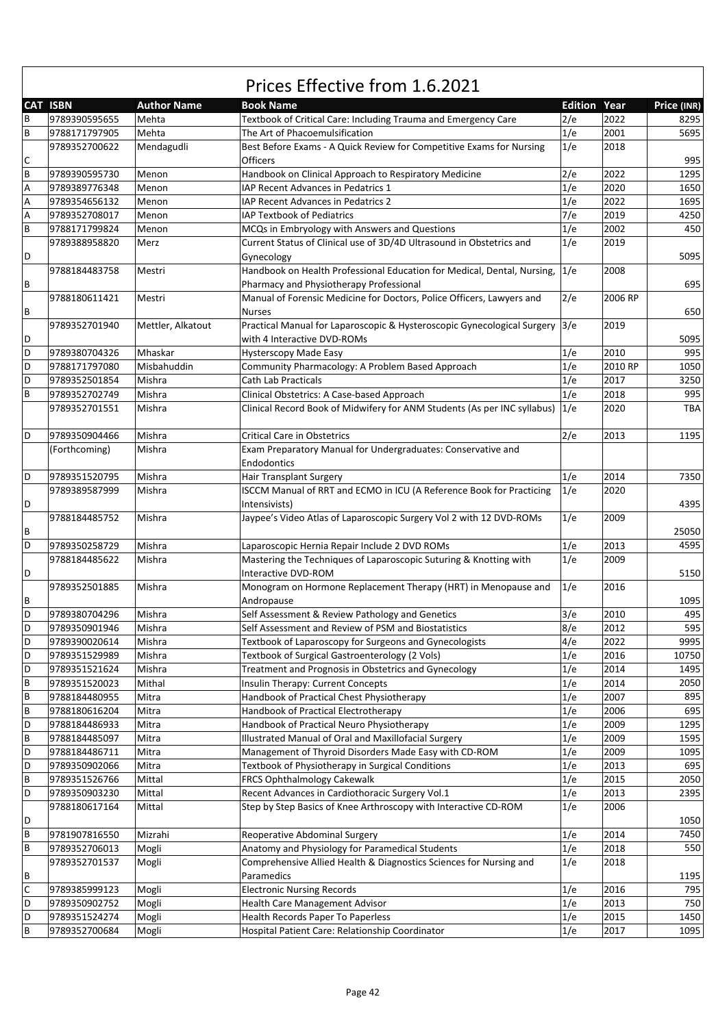|        |                                |                    | Prices Effective from 1.6.2021                                                                                     |                     |              |             |
|--------|--------------------------------|--------------------|--------------------------------------------------------------------------------------------------------------------|---------------------|--------------|-------------|
|        | <b>CAT ISBN</b>                | <b>Author Name</b> | <b>Book Name</b>                                                                                                   | <b>Edition Year</b> |              | Price (INR) |
| B      | 9789390595655                  | Mehta              | Textbook of Critical Care: Including Trauma and Emergency Care                                                     | 2/e                 | 2022         | 8295        |
| B      | 9788171797905                  | Mehta              | The Art of Phacoemulsification                                                                                     | 1/e                 | 2001         | 5695        |
|        | 9789352700622                  | Mendagudli         | Best Before Exams - A Quick Review for Competitive Exams for Nursing                                               | 1/e                 | 2018         |             |
| C      |                                |                    | Officers                                                                                                           |                     |              | 995         |
| B      | 9789390595730                  | Menon              | Handbook on Clinical Approach to Respiratory Medicine                                                              | 2/e                 | 2022         | 1295        |
| Α      | 9789389776348                  | Menon              | IAP Recent Advances in Pedatrics 1                                                                                 | 1/e                 | 2020         | 1650        |
| Α      | 9789354656132                  | Menon              | IAP Recent Advances in Pedatrics 2                                                                                 | 1/e                 | 2022         | 1695        |
| Α      | 9789352708017                  | Menon              | <b>IAP Textbook of Pediatrics</b>                                                                                  | 7/e                 | 2019         | 4250        |
| B      | 9788171799824                  | Menon              | MCQs in Embryology with Answers and Questions                                                                      | 1/e                 | 2002         | 450         |
|        | 9789388958820                  | Merz               | Current Status of Clinical use of 3D/4D Ultrasound in Obstetrics and                                               | 1/e                 | 2019         |             |
| D      |                                |                    | Gynecology                                                                                                         |                     |              | 5095        |
| В      | 9788184483758                  | Mestri             | Handbook on Health Professional Education for Medical, Dental, Nursing,<br>Pharmacy and Physiotherapy Professional | 1/e                 | 2008         | 695         |
|        | 9788180611421                  | Mestri             | Manual of Forensic Medicine for Doctors, Police Officers, Lawyers and                                              | 2/e                 | 2006 RP      |             |
| В      |                                |                    | <b>Nurses</b>                                                                                                      |                     |              | 650         |
|        | 9789352701940                  | Mettler, Alkatout  | Practical Manual for Laparoscopic & Hysteroscopic Gynecological Surgery                                            | 3/e                 | 2019         |             |
| D      |                                |                    | with 4 Interactive DVD-ROMs                                                                                        |                     |              | 5095        |
| D      | 9789380704326                  | Mhaskar            | Hysterscopy Made Easy                                                                                              | 1/e                 | 2010         | 995         |
| D      | 9788171797080                  | Misbahuddin        | Community Pharmacology: A Problem Based Approach                                                                   | 1/e                 | 2010 RP      | 1050        |
| D      | 9789352501854                  | Mishra             | Cath Lab Practicals                                                                                                | 1/e                 | 2017         | 3250        |
| B      | 9789352702749                  | Mishra             | Clinical Obstetrics: A Case-based Approach                                                                         | 1/e                 | 2018         | 995         |
|        | 9789352701551                  | Mishra             | Clinical Record Book of Midwifery for ANM Students (As per INC syllabus)                                           | 1/e                 | 2020         | <b>TBA</b>  |
|        |                                |                    |                                                                                                                    |                     |              |             |
| D      | 9789350904466                  | Mishra             | <b>Critical Care in Obstetrics</b>                                                                                 | 2/e                 | 2013         | 1195        |
|        | (Forthcoming)                  | Mishra             | Exam Preparatory Manual for Undergraduates: Conservative and                                                       |                     |              |             |
|        |                                |                    | Endodontics                                                                                                        |                     |              |             |
| D      | 9789351520795                  | Mishra             | Hair Transplant Surgery                                                                                            | 1/e                 | 2014         | 7350        |
|        | 9789389587999                  | Mishra             | ISCCM Manual of RRT and ECMO in ICU (A Reference Book for Practicing                                               | 1/e                 | 2020         |             |
| D      |                                |                    | Intensivists)                                                                                                      |                     |              | 4395        |
|        | 9788184485752                  | Mishra             | Jaypee's Video Atlas of Laparoscopic Surgery Vol 2 with 12 DVD-ROMs                                                | 1/e                 | 2009         |             |
| В      |                                |                    |                                                                                                                    |                     |              | 25050       |
| D      | 9789350258729                  | Mishra             | Laparoscopic Hernia Repair Include 2 DVD ROMs                                                                      | 1/e                 | 2013         | 4595        |
|        | 9788184485622                  | Mishra             | Mastering the Techniques of Laparoscopic Suturing & Knotting with                                                  | 1/e                 | 2009         |             |
| D      |                                |                    | Interactive DVD-ROM                                                                                                |                     |              | 5150        |
|        | 9789352501885                  | Mishra             | Monogram on Hormone Replacement Therapy (HRT) in Menopause and                                                     | 1/e                 | 2016         |             |
| В      |                                |                    | Andropause                                                                                                         |                     |              | 1095        |
| D      | 9789380704296                  | Mishra             | Self Assessment & Review Pathology and Genetics                                                                    | 3/e                 | 2010         | 495         |
| D      | 9789350901946                  | Mishra             | Self Assessment and Review of PSM and Biostatistics                                                                | 8/e                 | 2012         | 595         |
| D      | 9789390020614                  | Mishra             | Textbook of Laparoscopy for Surgeons and Gynecologists                                                             | 4/e                 | 2022         | 9995        |
| D      | 9789351529989                  | Mishra             | Textbook of Surgical Gastroenterology (2 Vols)                                                                     | 1/e                 | 2016         | 10750       |
| D      | 9789351521624                  | Mishra             | Treatment and Prognosis in Obstetrics and Gynecology                                                               | 1/e<br>1/e          | 2014         | 1495        |
| B<br>B | 9789351520023<br>9788184480955 | Mithal<br>Mitra    | Insulin Therapy: Current Concepts<br>Handbook of Practical Chest Physiotherapy                                     | 1/e                 | 2014<br>2007 | 2050<br>895 |
| B      | 9788180616204                  | Mitra              | Handbook of Practical Electrotherapy                                                                               | 1/e                 | 2006         | 695         |
| D      | 9788184486933                  | Mitra              | Handbook of Practical Neuro Physiotherapy                                                                          | 1/e                 | 2009         | 1295        |
| B      | 9788184485097                  | Mitra              | Illustrated Manual of Oral and Maxillofacial Surgery                                                               | 1/e                 | 2009         | 1595        |
| D      | 9788184486711                  | Mitra              | Management of Thyroid Disorders Made Easy with CD-ROM                                                              | 1/e                 | 2009         | 1095        |
| D      | 9789350902066                  | Mitra              | Textbook of Physiotherapy in Surgical Conditions                                                                   | 1/e                 | 2013         | 695         |
| B      | 9789351526766                  | Mittal             | FRCS Ophthalmology Cakewalk                                                                                        | 1/e                 | 2015         | 2050        |
| D      | 9789350903230                  | Mittal             | Recent Advances in Cardiothoracic Surgery Vol.1                                                                    | 1/e                 | 2013         | 2395        |
|        | 9788180617164                  | Mittal             | Step by Step Basics of Knee Arthroscopy with Interactive CD-ROM                                                    | 1/e                 | 2006         |             |
| D      |                                |                    |                                                                                                                    |                     |              | 1050        |
| B      | 9781907816550                  | Mizrahi            | Reoperative Abdominal Surgery                                                                                      | 1/e                 | 2014         | 7450        |
| B      | 9789352706013                  | Mogli              | Anatomy and Physiology for Paramedical Students                                                                    | 1/e                 | 2018         | 550         |
|        | 9789352701537                  | Mogli              | Comprehensive Allied Health & Diagnostics Sciences for Nursing and                                                 | 1/e                 | 2018         |             |
| В      |                                |                    | Paramedics                                                                                                         |                     |              | 1195        |
| C      | 9789385999123                  | Mogli              | <b>Electronic Nursing Records</b>                                                                                  | 1/e                 | 2016         | 795         |
| D      | 9789350902752                  | Mogli              | Health Care Management Advisor                                                                                     | 1/e                 | 2013         | 750         |
| D      | 9789351524274                  | Mogli              | Health Records Paper To Paperless                                                                                  | 1/e                 | 2015         | 1450        |
| B      | 9789352700684                  | Mogli              | Hospital Patient Care: Relationship Coordinator                                                                    | 1/e                 | 2017         | 1095        |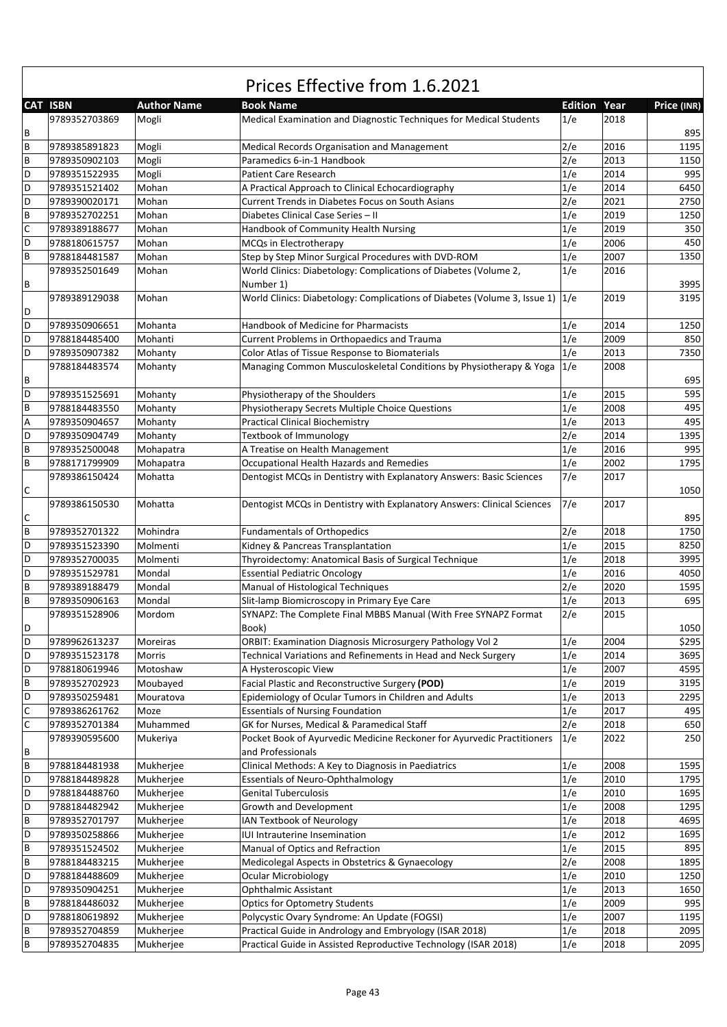|              |                 |                    | Prices Effective from 1.6.2021                                                            |                     |      |             |
|--------------|-----------------|--------------------|-------------------------------------------------------------------------------------------|---------------------|------|-------------|
|              | <b>CAT ISBN</b> | <b>Author Name</b> | <b>Book Name</b>                                                                          | <b>Edition Year</b> |      | Price (INR) |
|              | 9789352703869   | Mogli              | Medical Examination and Diagnostic Techniques for Medical Students                        | 1/e                 | 2018 |             |
| B            |                 |                    |                                                                                           |                     |      | 895         |
| B            | 9789385891823   | Mogli              | Medical Records Organisation and Management                                               | 2/e                 | 2016 | 1195        |
| B            | 9789350902103   | Mogli              | Paramedics 6-in-1 Handbook                                                                | 2/e                 | 2013 | 1150        |
| D            | 9789351522935   | Mogli              | <b>Patient Care Research</b>                                                              | 1/e                 | 2014 | 995         |
| D            | 9789351521402   | Mohan              | A Practical Approach to Clinical Echocardiography                                         | 1/e                 | 2014 | 6450        |
| D            | 9789390020171   | Mohan              | Current Trends in Diabetes Focus on South Asians                                          | 2/e                 | 2021 | 2750        |
| B            | 9789352702251   | Mohan              | Diabetes Clinical Case Series - II                                                        | 1/e                 | 2019 | 1250        |
| C            | 9789389188677   | Mohan              | Handbook of Community Health Nursing                                                      | 1/e                 | 2019 | 350         |
| D            | 9788180615757   | Mohan              | MCQs in Electrotherapy                                                                    | 1/e                 | 2006 | 450         |
| B            | 9788184481587   | Mohan              | Step by Step Minor Surgical Procedures with DVD-ROM                                       | 1/e                 | 2007 | 1350        |
|              | 9789352501649   | Mohan              | World Clinics: Diabetology: Complications of Diabetes (Volume 2,                          | 1/e                 | 2016 |             |
| B            |                 |                    | Number 1)                                                                                 |                     |      | 3995        |
|              | 9789389129038   | Mohan              | World Clinics: Diabetology: Complications of Diabetes (Volume 3, Issue 1) $ 1/e $         |                     | 2019 | 3195        |
| D            |                 |                    |                                                                                           |                     |      |             |
| D            | 9789350906651   | Mohanta            | <b>Handbook of Medicine for Pharmacists</b>                                               | 1/e                 | 2014 | 1250        |
| D            | 9788184485400   | Mohanti            | Current Problems in Orthopaedics and Trauma                                               | 1/e                 | 2009 | 850         |
| D            | 9789350907382   | Mohanty            | Color Atlas of Tissue Response to Biomaterials                                            | 1/e                 | 2013 | 7350        |
|              | 9788184483574   | Mohanty            | Managing Common Musculoskeletal Conditions by Physiotherapy & Yoga                        | 1/e                 | 2008 |             |
| B            |                 |                    |                                                                                           |                     |      | 695         |
| D            | 9789351525691   | Mohanty            | Physiotherapy of the Shoulders                                                            | 1/e                 | 2015 | 595         |
| B            | 9788184483550   | Mohanty            |                                                                                           | 1/e                 | 2008 | 495         |
|              | 9789350904657   |                    | Physiotherapy Secrets Multiple Choice Questions<br><b>Practical Clinical Biochemistry</b> | 1/e                 | 2013 | 495         |
| Α<br>D       |                 | Mohanty            |                                                                                           |                     | 2014 |             |
|              | 9789350904749   | Mohanty            | Textbook of Immunology                                                                    | 2/e                 | 2016 | 1395<br>995 |
| $\sf B$      | 9789352500048   | Mohapatra          | A Treatise on Health Management                                                           | 1/e                 |      |             |
| B            | 9788171799909   | Mohapatra          | Occupational Health Hazards and Remedies                                                  | 1/e                 | 2002 | 1795        |
|              | 9789386150424   | Mohatta            | Dentogist MCQs in Dentistry with Explanatory Answers: Basic Sciences                      | 7/e                 | 2017 |             |
| C            |                 |                    |                                                                                           |                     |      | 1050        |
|              | 9789386150530   | Mohatta            | Dentogist MCQs in Dentistry with Explanatory Answers: Clinical Sciences                   | 7/e                 | 2017 |             |
| С            |                 |                    |                                                                                           |                     |      | 895         |
| B            | 9789352701322   | Mohindra           | <b>Fundamentals of Orthopedics</b>                                                        | 2/e                 | 2018 | 1750        |
| D            | 9789351523390   | Molmenti           | Kidney & Pancreas Transplantation                                                         | 1/e                 | 2015 | 8250        |
| D            | 9789352700035   | Molmenti           | Thyroidectomy: Anatomical Basis of Surgical Technique                                     | 1/e                 | 2018 | 3995        |
| D            | 9789351529781   | Mondal             | <b>Essential Pediatric Oncology</b>                                                       | 1/e                 | 2016 | 4050        |
| B            | 9789389188479   | Mondal             | Manual of Histological Techniques                                                         | 2/e                 | 2020 | 1595        |
| B            | 9789350906163   | Mondal             | Slit-lamp Biomicroscopy in Primary Eye Care                                               | 1/e                 | 2013 | 695         |
|              | 9789351528906   | Mordom             | SYNAPZ: The Complete Final MBBS Manual (With Free SYNAPZ Format                           | 2/e                 | 2015 |             |
| D            |                 |                    | Book)                                                                                     |                     |      | 1050        |
| D            | 9789962613237   | Moreiras           | <b>ORBIT: Examination Diagnosis Microsurgery Pathology Vol 2</b>                          | 1/e                 | 2004 | \$295       |
| D            | 9789351523178   | Morris             | Technical Variations and Refinements in Head and Neck Surgery                             | 1/e                 | 2014 | 3695        |
| D            | 9788180619946   | Motoshaw           | A Hysteroscopic View                                                                      | 1/e                 | 2007 | 4595        |
| $\, {\sf B}$ | 9789352702923   | Moubayed           | Facial Plastic and Reconstructive Surgery (POD)                                           | 1/e                 | 2019 | 3195        |
| D            | 9789350259481   | Mouratova          | Epidemiology of Ocular Tumors in Children and Adults                                      | 1/e                 | 2013 | 2295        |
| C            | 9789386261762   | Moze               | <b>Essentials of Nursing Foundation</b>                                                   | 1/e                 | 2017 | 495         |
| $\mathsf{C}$ | 9789352701384   | Muhammed           | GK for Nurses, Medical & Paramedical Staff                                                | 2/e                 | 2018 | 650         |
|              | 9789390595600   | Mukeriya           | Pocket Book of Ayurvedic Medicine Reckoner for Ayurvedic Practitioners                    | 1/e                 | 2022 | 250         |
| B            |                 |                    | and Professionals                                                                         |                     |      |             |
| $\, {\sf B}$ | 9788184481938   | Mukherjee          | Clinical Methods: A Key to Diagnosis in Paediatrics                                       | 1/e                 | 2008 | 1595        |
| D            | 9788184489828   | Mukherjee          | <b>Essentials of Neuro-Ophthalmology</b>                                                  | 1/e                 | 2010 | 1795        |
| D            | 9788184488760   | Mukherjee          | <b>Genital Tuberculosis</b>                                                               | 1/e                 | 2010 | 1695        |
| D            | 9788184482942   | Mukherjee          | Growth and Development                                                                    | 1/e                 | 2008 | 1295        |
| $\, {\sf B}$ | 9789352701797   | Mukherjee          | IAN Textbook of Neurology                                                                 | 1/e                 | 2018 | 4695        |
| D            | 9789350258866   | Mukherjee          | IUI Intrauterine Insemination                                                             | 1/e                 | 2012 | 1695        |
| B            | 9789351524502   | Mukherjee          | Manual of Optics and Refraction                                                           | 1/e                 | 2015 | 895         |
| $\sf B$      | 9788184483215   | Mukherjee          | Medicolegal Aspects in Obstetrics & Gynaecology                                           | 2/e                 | 2008 | 1895        |
| D            | 9788184488609   | Mukherjee          | <b>Ocular Microbiology</b>                                                                | 1/e                 | 2010 | 1250        |
| D            | 9789350904251   | Mukherjee          | Ophthalmic Assistant                                                                      | 1/e                 | 2013 | 1650        |
| B            | 9788184486032   | Mukherjee          | <b>Optics for Optometry Students</b>                                                      | 1/e                 | 2009 | 995         |
| D            | 9788180619892   | Mukherjee          | Polycystic Ovary Syndrome: An Update (FOGSI)                                              | 1/e                 | 2007 | 1195        |
| $\, {\sf B}$ | 9789352704859   | Mukherjee          | Practical Guide in Andrology and Embryology (ISAR 2018)                                   | 1/e                 | 2018 | 2095        |
| B            | 9789352704835   | Mukherjee          | Practical Guide in Assisted Reproductive Technology (ISAR 2018)                           | 1/e                 | 2018 | 2095        |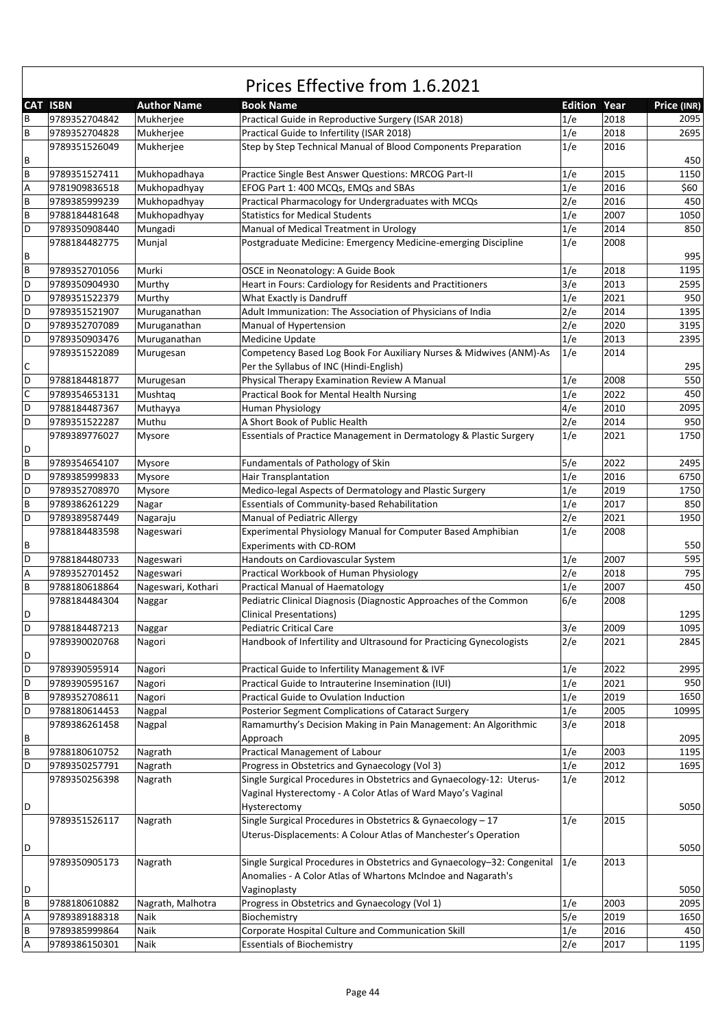|   | CAT ISBN      | <b>Author Name</b> | <b>Book Name</b>                                                        | <b>Edition Year</b> |      | Price (INR) |
|---|---------------|--------------------|-------------------------------------------------------------------------|---------------------|------|-------------|
| В | 9789352704842 | Mukherjee          | Practical Guide in Reproductive Surgery (ISAR 2018)                     | 1/e                 | 2018 | 2095        |
| B | 9789352704828 | Mukherjee          | Practical Guide to Infertility (ISAR 2018)                              | 1/e                 | 2018 | 2695        |
|   | 9789351526049 | Mukherjee          | Step by Step Technical Manual of Blood Components Preparation           | 1/e                 | 2016 |             |
| В |               |                    |                                                                         |                     |      | 450         |
| B | 9789351527411 | Mukhopadhaya       | Practice Single Best Answer Questions: MRCOG Part-II                    | 1/e                 | 2015 | 1150        |
| Α | 9781909836518 | Mukhopadhyay       | EFOG Part 1: 400 MCQs, EMQs and SBAs                                    | 1/e                 | 2016 | \$60        |
| B | 9789385999239 | Mukhopadhyay       | Practical Pharmacology for Undergraduates with MCQs                     | 2/e                 | 2016 | 450         |
| B | 9788184481648 | Mukhopadhyay       | <b>Statistics for Medical Students</b>                                  | 1/e                 | 2007 | 1050        |
| D | 9789350908440 | Mungadi            | Manual of Medical Treatment in Urology                                  | 1/e                 | 2014 | 850         |
|   | 9788184482775 | Munjal             | Postgraduate Medicine: Emergency Medicine-emerging Discipline           | 1/e                 | 2008 |             |
| В |               |                    |                                                                         |                     |      | 995         |
| B | 9789352701056 | Murki              | OSCE in Neonatology: A Guide Book                                       | 1/e                 | 2018 | 1195        |
| D | 9789350904930 | Murthy             | Heart in Fours: Cardiology for Residents and Practitioners              | 3/e                 | 2013 | 2595        |
| D | 9789351522379 | Murthy             | What Exactly is Dandruff                                                | 1/e                 | 2021 | 950         |
| D | 9789351521907 | Muruganathan       | Adult Immunization: The Association of Physicians of India              | 2/e                 | 2014 | 1395        |
| D | 9789352707089 |                    | Manual of Hypertension                                                  | 2/e                 | 2020 | 3195        |
| D |               | Muruganathan       | <b>Medicine Update</b>                                                  | 1/e                 | 2013 | 2395        |
|   | 9789350903476 | Muruganathan       |                                                                         |                     |      |             |
|   | 9789351522089 | Murugesan          | Competency Based Log Book For Auxiliary Nurses & Midwives (ANM)-As      | 1/e                 | 2014 |             |
| С |               |                    | Per the Syllabus of INC (Hindi-English)                                 |                     |      | 295         |
| D | 9788184481877 | Murugesan          | Physical Therapy Examination Review A Manual                            | 1/e                 | 2008 | 550         |
| C | 9789354653131 | Mushtaq            | Practical Book for Mental Health Nursing                                | 1/e                 | 2022 | 450         |
| D | 9788184487367 | Muthayya           | Human Physiology                                                        | 4/e                 | 2010 | 2095        |
| D | 9789351522287 | Muthu              | A Short Book of Public Health                                           | 2/e                 | 2014 | 950         |
|   | 9789389776027 | Mysore             | Essentials of Practice Management in Dermatology & Plastic Surgery      | 1/e                 | 2021 | 1750        |
| D |               |                    |                                                                         |                     |      |             |
| B | 9789354654107 | Mysore             | Fundamentals of Pathology of Skin                                       | 5/e                 | 2022 | 2495        |
| D | 9789385999833 | Mysore             | <b>Hair Transplantation</b>                                             | 1/e                 | 2016 | 6750        |
| D | 9789352708970 | Mysore             | Medico-legal Aspects of Dermatology and Plastic Surgery                 | 1/e                 | 2019 | 1750        |
| B | 9789386261229 | Nagar              | Essentials of Community-based Rehabilitation                            | 1/e                 | 2017 | 850         |
| D | 9789389587449 | Nagaraju           | <b>Manual of Pediatric Allergy</b>                                      | 2/e                 | 2021 | 1950        |
|   | 9788184483598 | Nageswari          | Experimental Physiology Manual for Computer Based Amphibian             | 1/e                 | 2008 |             |
| В |               |                    | Experiments with CD-ROM                                                 |                     |      | 550         |
| D | 9788184480733 | Nageswari          | Handouts on Cardiovascular System                                       | 1/e                 | 2007 | 595         |
| Α | 9789352701452 | Nageswari          | Practical Workbook of Human Physiology                                  | 2/e                 | 2018 | 795         |
| B | 9788180618864 | Nageswari, Kothari | Practical Manual of Haematology                                         | 1/e                 | 2007 | 450         |
|   | 9788184484304 | Naggar             | Pediatric Clinical Diagnosis (Diagnostic Approaches of the Common       | 6/e                 | 2008 |             |
| D |               |                    | <b>Clinical Presentations)</b>                                          |                     |      | 1295        |
| D | 9788184487213 | Naggar             | Pediatric Critical Care                                                 | 3/e                 | 2009 | 1095        |
|   | 9789390020768 | Nagori             | Handbook of Infertility and Ultrasound for Practicing Gynecologists     | 2/e                 | 2021 | 2845        |
| D |               |                    |                                                                         |                     |      |             |
| D | 9789390595914 | Nagori             | Practical Guide to Infertility Management & IVF                         | 1/e                 | 2022 | 2995        |
| D | 9789390595167 | Nagori             | Practical Guide to Intrauterine Insemination (IUI)                      | 1/e                 | 2021 | 950         |
| B | 9789352708611 | Nagori             | Practical Guide to Ovulation Induction                                  | 1/e                 | 2019 | 1650        |
| D | 9788180614453 | Nagpal             | Posterior Segment Complications of Cataract Surgery                     | 1/e                 | 2005 | 10995       |
|   | 9789386261458 | Nagpal             | Ramamurthy's Decision Making in Pain Management: An Algorithmic         | 3/e                 | 2018 |             |
| В |               |                    | Approach                                                                |                     |      | 2095        |
| B | 9788180610752 | Nagrath            | Practical Management of Labour                                          | 1/e                 | 2003 | 1195        |
| D | 9789350257791 | Nagrath            | Progress in Obstetrics and Gynaecology (Vol 3)                          | 1/e                 | 2012 | 1695        |
|   | 9789350256398 | Nagrath            | Single Surgical Procedures in Obstetrics and Gynaecology-12: Uterus-    | 1/e                 | 2012 |             |
|   |               |                    | Vaginal Hysterectomy - A Color Atlas of Ward Mayo's Vaginal             |                     |      |             |
| D |               |                    | Hysterectomy                                                            |                     |      | 5050        |
|   | 9789351526117 | Nagrath            | Single Surgical Procedures in Obstetrics & Gynaecology - 17             | 1/e                 | 2015 |             |
|   |               |                    |                                                                         |                     |      |             |
|   |               |                    | Uterus-Displacements: A Colour Atlas of Manchester's Operation          |                     |      |             |
| D |               |                    |                                                                         |                     |      | 5050        |
|   | 9789350905173 | Nagrath            | Single Surgical Procedures in Obstetrics and Gynaecology-32: Congenital | 1/e                 | 2013 |             |
|   |               |                    | Anomalies - A Color Atlas of Whartons McIndoe and Nagarath's            |                     |      |             |
| D |               |                    | Vaginoplasty                                                            |                     |      | 5050        |
| B | 9788180610882 | Nagrath, Malhotra  | Progress in Obstetrics and Gynaecology (Vol 1)                          | 1/e                 | 2003 | 2095        |
| А | 9789389188318 | Naik               | Biochemistry                                                            | 5/e                 | 2019 | 1650        |
| B | 9789385999864 | Naik               | Corporate Hospital Culture and Communication Skill                      | 1/e                 | 2016 | 450         |
| Α | 9789386150301 | Naik               | <b>Essentials of Biochemistry</b>                                       | 2/e                 | 2017 | 1195        |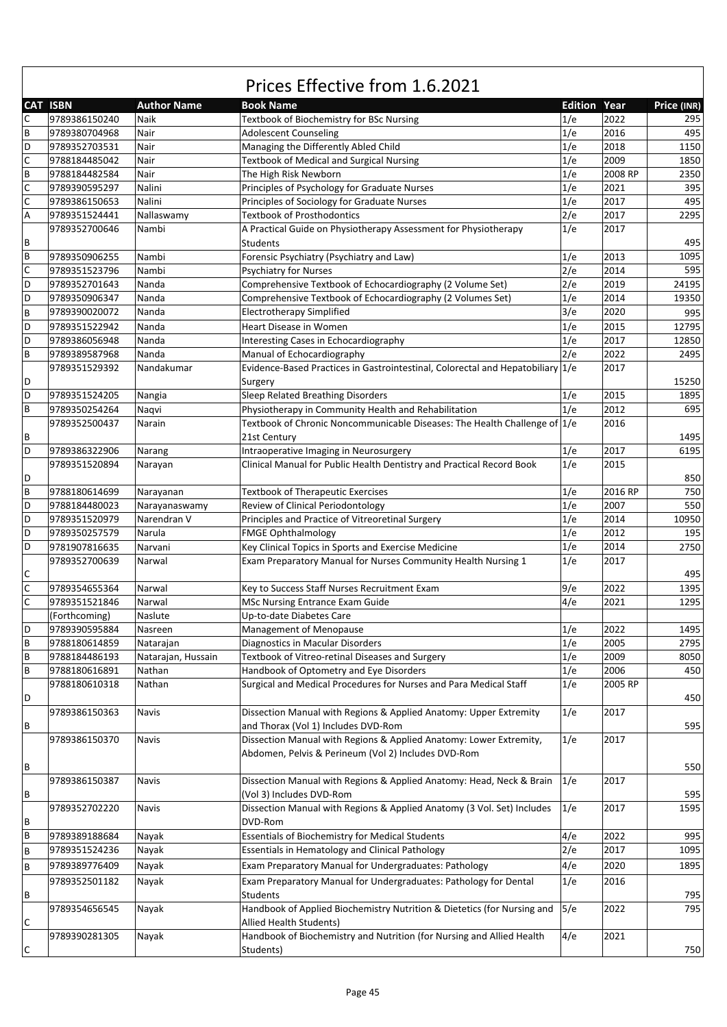|   | CAT ISBN      | <b>Author Name</b> | <b>Book Name</b>                                                                                                          | <b>Edition Year</b> |              | Price (INR) |
|---|---------------|--------------------|---------------------------------------------------------------------------------------------------------------------------|---------------------|--------------|-------------|
| С | 9789386150240 | Naik               | Textbook of Biochemistry for BSc Nursing                                                                                  | 1/e                 | 2022         | 295         |
| B | 9789380704968 | Nair               | <b>Adolescent Counseling</b>                                                                                              | 1/e                 | 2016         | 495         |
| D | 9789352703531 | Nair               | Managing the Differently Abled Child                                                                                      | 1/e                 | 2018         | 1150        |
| C | 9788184485042 | Nair               | <b>Textbook of Medical and Surgical Nursing</b>                                                                           | 1/e                 | 2009         | 1850        |
| B | 9788184482584 | Nair               | The High Risk Newborn                                                                                                     | 1/e                 | 2008 RP      | 2350        |
| C | 9789390595297 | Nalini             | Principles of Psychology for Graduate Nurses                                                                              | 1/e                 | 2021         | 395         |
| C | 9789386150653 | Nalini             | Principles of Sociology for Graduate Nurses                                                                               | 1/e                 | 2017         | 495         |
| Α | 9789351524441 | Nallaswamy         | <b>Textbook of Prosthodontics</b>                                                                                         | 2/e                 | 2017         | 2295        |
|   | 9789352700646 | Nambi              | A Practical Guide on Physiotherapy Assessment for Physiotherapy                                                           | 1/e                 | 2017         |             |
| В |               |                    | Students                                                                                                                  |                     |              | 495         |
| B | 9789350906255 | Nambi              | Forensic Psychiatry (Psychiatry and Law)                                                                                  | 1/e                 | 2013         | 1095        |
| C | 9789351523796 | Nambi              |                                                                                                                           | 2/e                 | 2014         | 595         |
| D |               |                    | <b>Psychiatry for Nurses</b>                                                                                              | 2/e                 |              |             |
| D | 9789352701643 | Nanda<br>Nanda     | Comprehensive Textbook of Echocardiography (2 Volume Set)                                                                 |                     | 2019<br>2014 | 24195       |
|   | 9789350906347 |                    | Comprehensive Textbook of Echocardiography (2 Volumes Set)                                                                | 1/e                 |              | 19350       |
| B | 9789390020072 | Nanda              | <b>Electrotherapy Simplified</b>                                                                                          | 3/e                 | 2020         | 995         |
| D | 9789351522942 | Nanda              | Heart Disease in Women                                                                                                    | 1/e                 | 2015         | 12795       |
| D | 9789386056948 | Nanda              | Interesting Cases in Echocardiography                                                                                     | 1/e                 | 2017         | 12850       |
| B | 9789389587968 | Nanda              | Manual of Echocardiography                                                                                                | 2/e                 | 2022         | 2495        |
|   | 9789351529392 | Nandakumar         | Evidence-Based Practices in Gastrointestinal, Colorectal and Hepatobiliary 1/e                                            |                     | 2017         |             |
| D |               |                    | Surgery                                                                                                                   |                     |              | 15250       |
| D | 9789351524205 | Nangia             | Sleep Related Breathing Disorders                                                                                         | 1/e                 | 2015         | 1895        |
| B | 9789350254264 | Naqvi              | Physiotherapy in Community Health and Rehabilitation                                                                      | 1/e                 | 2012         | 695         |
|   | 9789352500437 | Narain             | Textbook of Chronic Noncommunicable Diseases: The Health Challenge of 1/e                                                 |                     | 2016         |             |
| В |               |                    | 21st Century                                                                                                              |                     |              | 1495        |
| D | 9789386322906 | Narang             | Intraoperative Imaging in Neurosurgery                                                                                    | 1/e                 | 2017         | 6195        |
|   | 9789351520894 | Narayan            | Clinical Manual for Public Health Dentistry and Practical Record Book                                                     | 1/e                 | 2015         |             |
| D |               |                    |                                                                                                                           |                     |              | 850         |
| B | 9788180614699 | Narayanan          | <b>Textbook of Therapeutic Exercises</b>                                                                                  | 1/e                 | 2016 RP      | 750         |
| D | 9788184480023 | Narayanaswamy      | Review of Clinical Periodontology                                                                                         | 1/e                 | 2007         | 550         |
| D | 9789351520979 | Narendran V        | Principles and Practice of Vitreoretinal Surgery                                                                          | 1/e                 | 2014         | 10950       |
| D | 9789350257579 | Narula             | <b>FMGE Ophthalmology</b>                                                                                                 | 1/e                 | 2012         | 195         |
| D | 9781907816635 | Narvani            | Key Clinical Topics in Sports and Exercise Medicine                                                                       | 1/e                 | 2014         | 2750        |
|   | 9789352700639 | Narwal             | Exam Preparatory Manual for Nurses Community Health Nursing 1                                                             | 1/e                 | 2017         |             |
| С |               |                    |                                                                                                                           |                     |              | 495         |
| C | 9789354655364 | Narwal             | Key to Success Staff Nurses Recruitment Exam                                                                              | 9/e                 | 2022         | 1395        |
| C | 9789351521846 | Narwal             | MSc Nursing Entrance Exam Guide                                                                                           | 4/e                 | 2021         | 1295        |
|   | (Forthcoming) | Naslute            | Up-to-date Diabetes Care                                                                                                  |                     |              |             |
| D | 9789390595884 | Nasreen            | Management of Menopause                                                                                                   | 1/e                 | 2022         | 1495        |
| B | 9788180614859 | Natarajan          | Diagnostics in Macular Disorders                                                                                          | 1/e                 | 2005         | 2795        |
| В | 9788184486193 | Natarajan, Hussain | Textbook of Vitreo-retinal Diseases and Surgery                                                                           | 1/e                 | 2009         | 8050        |
| В | 9788180616891 | Nathan             | Handbook of Optometry and Eye Disorders                                                                                   | 1/e                 | 2006         | 450         |
|   | 9788180610318 | Nathan             | Surgical and Medical Procedures for Nurses and Para Medical Staff                                                         | 1/e                 | 2005 RP      |             |
| D |               |                    |                                                                                                                           |                     |              | 450         |
|   | 9789386150363 | Navis              | Dissection Manual with Regions & Applied Anatomy: Upper Extremity                                                         | 1/e                 | 2017         |             |
| В |               |                    | and Thorax (Vol 1) Includes DVD-Rom                                                                                       |                     |              | 595         |
|   |               |                    |                                                                                                                           |                     |              |             |
|   | 9789386150370 | Navis              | Dissection Manual with Regions & Applied Anatomy: Lower Extremity,<br>Abdomen, Pelvis & Perineum (Vol 2) Includes DVD-Rom | 1/e                 | 2017         |             |
|   |               |                    |                                                                                                                           |                     |              |             |
| В |               |                    | Dissection Manual with Regions & Applied Anatomy: Head, Neck & Brain                                                      |                     | 2017         | 550         |
|   | 9789386150387 | Navis              |                                                                                                                           | 1/e                 |              |             |
| В |               |                    | (Vol 3) Includes DVD-Rom                                                                                                  |                     |              | 595         |
|   | 9789352702220 | Navis              | Dissection Manual with Regions & Applied Anatomy (3 Vol. Set) Includes                                                    | 1/e                 | 2017         | 1595        |
| В |               |                    | DVD-Rom                                                                                                                   |                     |              |             |
| B | 9789389188684 | Nayak              | <b>Essentials of Biochemistry for Medical Students</b>                                                                    | 4/e                 | 2022         | 995         |
| B | 9789351524236 | Nayak              | Essentials in Hematology and Clinical Pathology                                                                           | 2/e                 | 2017         | 1095        |
| B | 9789389776409 | Nayak              | Exam Preparatory Manual for Undergraduates: Pathology                                                                     | 4/e                 | 2020         | 1895        |
|   | 9789352501182 | Nayak              | Exam Preparatory Manual for Undergraduates: Pathology for Dental                                                          | 1/e                 | 2016         |             |
| В |               |                    | Students                                                                                                                  |                     |              | 795         |
|   | 9789354656545 | Nayak              | Handbook of Applied Biochemistry Nutrition & Dietetics (for Nursing and                                                   | 5/e                 | 2022         | 795         |
| С |               |                    | Allied Health Students)                                                                                                   |                     |              |             |
|   | 9789390281305 | Nayak              | Handbook of Biochemistry and Nutrition (for Nursing and Allied Health                                                     | 4/e                 | 2021         |             |
| С |               |                    | Students)                                                                                                                 |                     |              | 750         |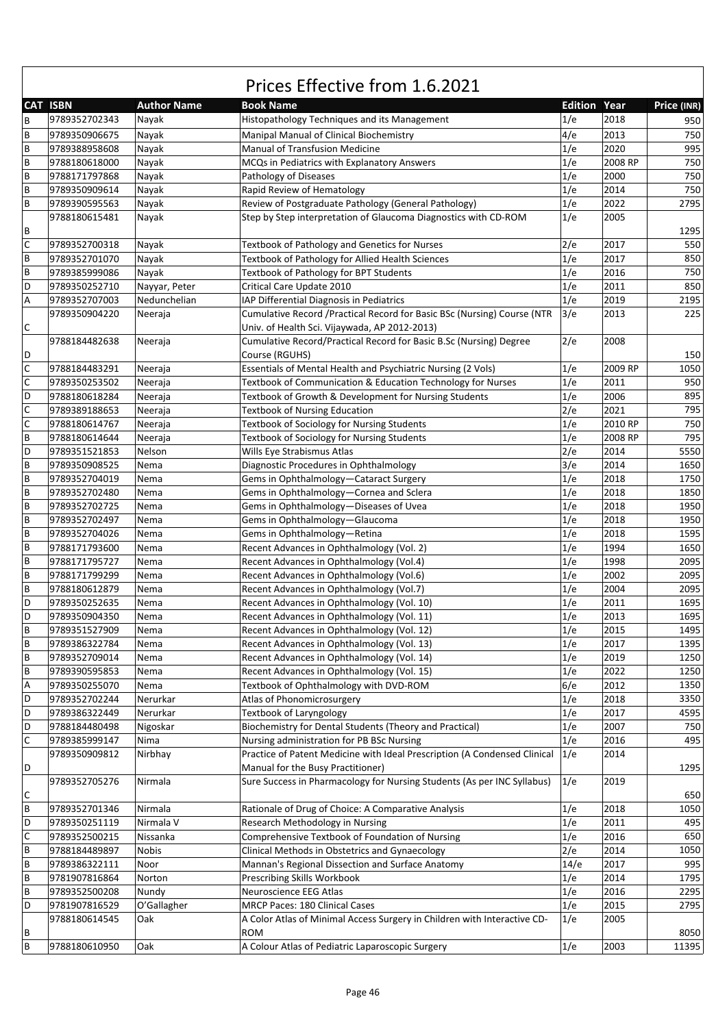|   | <b>CAT ISBN</b> | <b>Author Name</b> | <b>Book Name</b>                                                          | <b>Edition Year</b> |         | Price (INR) |
|---|-----------------|--------------------|---------------------------------------------------------------------------|---------------------|---------|-------------|
| В | 9789352702343   | Nayak              | Histopathology Techniques and its Management                              | 1/e                 | 2018    | 950         |
| B | 9789350906675   | Nayak              | Manipal Manual of Clinical Biochemistry                                   | 4/e                 | 2013    | 750         |
| B | 9789388958608   | Nayak              | Manual of Transfusion Medicine                                            | 1/e                 | 2020    | 995         |
| B | 9788180618000   | Nayak              | MCQs in Pediatrics with Explanatory Answers                               | 1/e                 | 2008 RP | 750         |
| B | 9788171797868   | Nayak              | Pathology of Diseases                                                     | 1/e                 | 2000    | 750         |
| B | 9789350909614   | Nayak              | Rapid Review of Hematology                                                | 1/e                 | 2014    | 750         |
| B | 9789390595563   | Nayak              | Review of Postgraduate Pathology (General Pathology)                      | 1/e                 | 2022    | 2795        |
|   | 9788180615481   | Nayak              | Step by Step interpretation of Glaucoma Diagnostics with CD-ROM           | 1/e                 | 2005    |             |
| В |                 |                    |                                                                           |                     |         | 1295        |
| C | 9789352700318   | Nayak              | Textbook of Pathology and Genetics for Nurses                             | 2/e                 | 2017    | 550         |
| B | 9789352701070   | Nayak              | Textbook of Pathology for Allied Health Sciences                          | 1/e                 | 2017    | 850         |
| B | 9789385999086   | Nayak              | Textbook of Pathology for BPT Students                                    | 1/e                 | 2016    | 750         |
| D | 9789350252710   | Nayyar, Peter      | Critical Care Update 2010                                                 | 1/e                 | 2011    | 850         |
| Α | 9789352707003   | Nedunchelian       | IAP Differential Diagnosis in Pediatrics                                  | 1/e                 | 2019    | 2195        |
|   | 9789350904220   | Neeraja            | Cumulative Record / Practical Record for Basic BSc (Nursing) Course (NTR  | 3/e                 | 2013    | 225         |
| С |                 |                    | Univ. of Health Sci. Vijaywada, AP 2012-2013)                             |                     |         |             |
|   | 9788184482638   | Neeraja            | Cumulative Record/Practical Record for Basic B.Sc (Nursing) Degree        | 2/e                 | 2008    |             |
| D |                 |                    | Course (RGUHS)                                                            |                     |         | 150         |
| C | 9788184483291   | Neeraja            | Essentials of Mental Health and Psychiatric Nursing (2 Vols)              | 1/e                 | 2009 RP | 1050        |
| C | 9789350253502   | Neeraja            | Textbook of Communication & Education Technology for Nurses               | 1/e                 | 2011    | 950         |
| D | 9788180618284   | Neeraja            | Textbook of Growth & Development for Nursing Students                     | 1/e                 | 2006    | 895         |
| C | 9789389188653   | Neeraja            | <b>Textbook of Nursing Education</b>                                      | 2/e                 | 2021    | 795         |
| C | 9788180614767   | Neeraja            | Textbook of Sociology for Nursing Students                                | 1/e                 | 2010 RP | 750         |
| B | 9788180614644   | Neeraja            | Textbook of Sociology for Nursing Students                                | 1/e                 | 2008 RP | 795         |
| D | 9789351521853   | Nelson             | Wills Eye Strabismus Atlas                                                | 2/e                 | 2014    | 5550        |
| B | 9789350908525   | Nema               | Diagnostic Procedures in Ophthalmology                                    | 3/e                 | 2014    | 1650        |
| B | 9789352704019   | Nema               | Gems in Ophthalmology-Cataract Surgery                                    | 1/e                 | 2018    | 1750        |
| B | 9789352702480   | Nema               | Gems in Ophthalmology-Cornea and Sclera                                   | 1/e                 | 2018    | 1850        |
| B | 9789352702725   | Nema               | Gems in Ophthalmology-Diseases of Uvea                                    | 1/e                 | 2018    | 1950        |
| B | 9789352702497   | Nema               | Gems in Ophthalmology-Glaucoma                                            | 1/e                 | 2018    | 1950        |
| B | 9789352704026   | Nema               | Gems in Ophthalmology-Retina                                              | 1/e                 | 2018    | 1595        |
| B | 9788171793600   | Nema               | Recent Advances in Ophthalmology (Vol. 2)                                 | 1/e                 | 1994    | 1650        |
| B | 9788171795727   | Nema               | Recent Advances in Ophthalmology (Vol.4)                                  | 1/e                 | 1998    | 2095        |
| B | 9788171799299   | Nema               | Recent Advances in Ophthalmology (Vol.6)                                  | 1/e                 | 2002    | 2095        |
| B | 9788180612879   | Nema               | Recent Advances in Ophthalmology (Vol.7)                                  | 1/e                 | 2004    | 2095        |
| D | 9789350252635   | Nema               | Recent Advances in Ophthalmology (Vol. 10)                                | 1/e                 | 2011    | 1695        |
| D | 9789350904350   | Nema               | Recent Advances in Ophthalmology (Vol. 11)                                | 1/e                 | 2013    | 1695        |
| B | 9789351527909   | Nema               | Recent Advances in Ophthalmology (Vol. 12)                                | 1/e                 | 2015    | 1495        |
| B | 9789386322784   | Nema               | Recent Advances in Ophthalmology (Vol. 13)                                | 1/e                 | 2017    | 1395        |
| B | 9789352709014   | Nema               | Recent Advances in Ophthalmology (Vol. 14)                                | 1/e                 | 2019    | 1250        |
| В | 9789390595853   | Nema               | Recent Advances in Ophthalmology (Vol. 15)                                | 1/e                 | 2022    | 1250        |
| А | 9789350255070   | Nema               | Textbook of Ophthalmology with DVD-ROM                                    | 6/e                 | 2012    | 1350        |
| D | 9789352702244   | Nerurkar           | Atlas of Phonomicrosurgery                                                | 1/e                 | 2018    | 3350        |
| D | 9789386322449   | Nerurkar           | <b>Textbook of Laryngology</b>                                            | 1/e                 | 2017    | 4595        |
| D | 9788184480498   | Nigoskar           | Biochemistry for Dental Students (Theory and Practical)                   | 1/e                 | 2007    | 750         |
| C | 9789385999147   | Nima               | Nursing administration for PB BSc Nursing                                 | 1/e                 | 2016    | 495         |
|   | 9789350909812   | Nirbhay            | Practice of Patent Medicine with Ideal Prescription (A Condensed Clinical | 1/e                 | 2014    |             |
| D |                 |                    | Manual for the Busy Practitioner)                                         |                     |         | 1295        |
|   | 9789352705276   | Nirmala            | Sure Success in Pharmacology for Nursing Students (As per INC Syllabus)   | 1/e                 | 2019    |             |
| С |                 |                    |                                                                           |                     |         | 650         |
| В | 9789352701346   | Nirmala            | Rationale of Drug of Choice: A Comparative Analysis                       | 1/e                 | 2018    | 1050        |
| D | 9789350251119   | Nirmala V          | Research Methodology in Nursing                                           | 1/e                 | 2011    | 495         |
| C | 9789352500215   | Nissanka           | Comprehensive Textbook of Foundation of Nursing                           | 1/e                 | 2016    | 650         |
| B | 9788184489897   | Nobis              | Clinical Methods in Obstetrics and Gynaecology                            | 2/e                 | 2014    | 1050        |
| B | 9789386322111   | Noor               | Mannan's Regional Dissection and Surface Anatomy                          | 14/e                | 2017    | 995         |
| B | 9781907816864   | Norton             | Prescribing Skills Workbook                                               | 1/e                 | 2014    | 1795        |
| B | 9789352500208   | Nundy              | Neuroscience EEG Atlas                                                    | 1/e                 | 2016    | 2295        |
| D | 9781907816529   | O'Gallagher        | MRCP Paces: 180 Clinical Cases                                            | 1/e                 | 2015    | 2795        |
|   | 9788180614545   | Oak                | A Color Atlas of Minimal Access Surgery in Children with Interactive CD-  | 1/e                 | 2005    |             |
| В |                 |                    | <b>ROM</b>                                                                |                     |         | 8050        |
| B | 9788180610950   | Oak                | A Colour Atlas of Pediatric Laparoscopic Surgery                          | 1/e                 | 2003    | 11395       |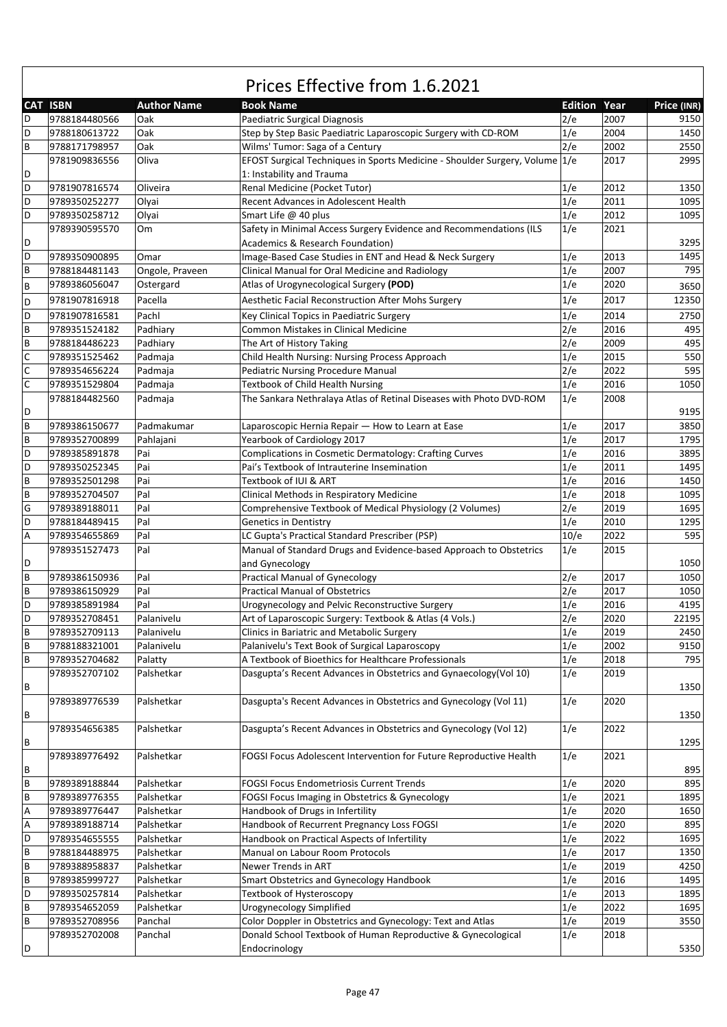|             |                 |                    | Prices Effective from 1.6.2021                                              |                     |      |             |
|-------------|-----------------|--------------------|-----------------------------------------------------------------------------|---------------------|------|-------------|
|             | <b>CAT ISBN</b> | <b>Author Name</b> | <b>Book Name</b>                                                            | <b>Edition Year</b> |      | Price (INR) |
| D           | 9788184480566   | Oak                | Paediatric Surgical Diagnosis                                               | 2/e                 | 2007 | 9150        |
| D           | 9788180613722   | Oak                | Step by Step Basic Paediatric Laparoscopic Surgery with CD-ROM              | 1/e                 | 2004 | 1450        |
| B           | 9788171798957   | Oak                | Wilms' Tumor: Saga of a Century                                             | 2/e                 | 2002 | 2550        |
|             | 9781909836556   | Oliva              | EFOST Surgical Techniques in Sports Medicine - Shoulder Surgery, Volume 1/e |                     | 2017 | 2995        |
| D           |                 |                    | 1: Instability and Trauma                                                   |                     |      |             |
| D           | 9781907816574   | Oliveira           | Renal Medicine (Pocket Tutor)                                               | 1/e                 | 2012 | 1350        |
| D           | 9789350252277   | Olyai              | Recent Advances in Adolescent Health                                        | 1/e                 | 2011 | 1095        |
| D           | 9789350258712   | Olyai              | Smart Life @ 40 plus                                                        | 1/e                 | 2012 | 1095        |
|             | 9789390595570   | Om                 | Safety in Minimal Access Surgery Evidence and Recommendations (ILS          | 1/e                 | 2021 |             |
| D           |                 |                    | Academics & Research Foundation)                                            |                     |      | 3295        |
| D           | 9789350900895   | Omar               | Image-Based Case Studies in ENT and Head & Neck Surgery                     | 1/e                 | 2013 | 1495        |
| B           | 9788184481143   | Ongole, Praveen    | Clinical Manual for Oral Medicine and Radiology                             | 1/e                 | 2007 | 795         |
| B           | 9789386056047   | Ostergard          | Atlas of Urogynecological Surgery (POD)                                     | 1/e                 | 2020 | 3650        |
| D           | 9781907816918   | Pacella            | Aesthetic Facial Reconstruction After Mohs Surgery                          | 1/e                 | 2017 | 12350       |
| D           | 9781907816581   | Pachl              | Key Clinical Topics in Paediatric Surgery                                   | 1/e                 | 2014 | 2750        |
| B           | 9789351524182   | Padhiary           | Common Mistakes in Clinical Medicine                                        | 2/e                 | 2016 | 495         |
| B           | 9788184486223   | Padhiary           | The Art of History Taking                                                   | 2/e                 | 2009 | 495         |
| C           | 9789351525462   | Padmaja            | Child Health Nursing: Nursing Process Approach                              | 1/e                 | 2015 | 550         |
| C           | 9789354656224   | Padmaja            | Pediatric Nursing Procedure Manual                                          | 2/e                 | 2022 | 595         |
| C           | 9789351529804   | Padmaja            | <b>Textbook of Child Health Nursing</b>                                     | 1/e                 | 2016 | 1050        |
|             | 9788184482560   | Padmaja            | The Sankara Nethralaya Atlas of Retinal Diseases with Photo DVD-ROM         | 1/e                 | 2008 |             |
| D           |                 |                    |                                                                             |                     |      | 9195        |
| B           | 9789386150677   | Padmakumar         | Laparoscopic Hernia Repair - How to Learn at Ease                           | 1/e                 | 2017 | 3850        |
| B           | 9789352700899   | Pahlajani          | Yearbook of Cardiology 2017                                                 | 1/e                 | 2017 | 1795        |
| D           | 9789385891878   | Pai                | Complications in Cosmetic Dermatology: Crafting Curves                      | 1/e                 | 2016 | 3895        |
| D           | 9789350252345   | Pai                | Pai's Textbook of Intrauterine Insemination                                 | 1/e                 | 2011 | 1495        |
| $\sf B$     | 9789352501298   | Pai                | Textbook of IUI & ART                                                       | 1/e                 | 2016 | 1450        |
| $\sf B$     | 9789352704507   | Pal                | Clinical Methods in Respiratory Medicine                                    | 1/e                 | 2018 | 1095        |
| G           | 9789389188011   | Pal                | Comprehensive Textbook of Medical Physiology (2 Volumes)                    | 2/e                 | 2019 | 1695        |
| D           | 9788184489415   | Pal                | <b>Genetics in Dentistry</b>                                                | 1/e                 | 2010 | 1295        |
| Α           | 9789354655869   | Pal                | LC Gupta's Practical Standard Prescriber (PSP)                              | 10/e                | 2022 | 595         |
|             | 9789351527473   | Pal                | Manual of Standard Drugs and Evidence-based Approach to Obstetrics          | 1/e                 | 2015 |             |
| D           |                 |                    | and Gynecology                                                              |                     |      | 1050        |
| B           | 9789386150936   | Pal                | <b>Practical Manual of Gynecology</b>                                       | 2/e                 | 2017 | 1050        |
| B           | 9789386150929   | Pal                | <b>Practical Manual of Obstetrics</b>                                       | 2/e                 | 2017 | 1050        |
| D           | 9789385891984   | Pal                | Urogynecology and Pelvic Reconstructive Surgery                             | 1/e                 | 2016 | 4195        |
| D           | 9789352708451   | Palanivelu         | Art of Laparoscopic Surgery: Textbook & Atlas (4 Vols.)                     | 2/e                 | 2020 | 22195       |
| B           | 9789352709113   | Palanivelu         | Clinics in Bariatric and Metabolic Surgery                                  | 1/e                 | 2019 | 2450        |
| B           | 9788188321001   | Palanivelu         | Palanivelu's Text Book of Surgical Laparoscopy                              | 1/e                 | 2002 | 9150        |
| B           | 9789352704682   | Palatty            | A Textbook of Bioethics for Healthcare Professionals                        | 1/e                 | 2018 | 795         |
|             | 9789352707102   | Palshetkar         | Dasgupta's Recent Advances in Obstetrics and Gynaecology(Vol 10)            | 1/e                 | 2019 |             |
| B           |                 |                    |                                                                             |                     |      | 1350        |
|             | 9789389776539   | Palshetkar         | Dasgupta's Recent Advances in Obstetrics and Gynecology (Vol 11)            | 1/e                 | 2020 |             |
| B           |                 |                    |                                                                             |                     |      | 1350        |
|             | 9789354656385   | Palshetkar         | Dasgupta's Recent Advances in Obstetrics and Gynecology (Vol 12)            | 1/e                 | 2022 |             |
| B           |                 |                    |                                                                             |                     |      | 1295        |
|             | 9789389776492   | Palshetkar         | FOGSI Focus Adolescent Intervention for Future Reproductive Health          | 1/e                 | 2021 |             |
| B           |                 |                    |                                                                             |                     |      | 895         |
| $\mathsf B$ | 9789389188844   | Palshetkar         | FOGSI Focus Endometriosis Current Trends                                    | 1/e                 | 2020 | 895         |
| B           | 9789389776355   | Palshetkar         | FOGSI Focus Imaging in Obstetrics & Gynecology                              | 1/e                 | 2021 | 1895        |
| Α           | 9789389776447   | Palshetkar         | Handbook of Drugs in Infertility                                            | 1/e                 | 2020 | 1650        |
| Α           | 9789389188714   | Palshetkar         | Handbook of Recurrent Pregnancy Loss FOGSI                                  | 1/e                 | 2020 | 895         |
| D           | 9789354655555   | Palshetkar         | Handbook on Practical Aspects of Infertility                                | 1/e                 | 2022 | 1695        |
| $\sf B$     | 9788184488975   | Palshetkar         | Manual on Labour Room Protocols                                             | 1/e                 | 2017 | 1350        |
| $\mathsf B$ | 9789388958837   | Palshetkar         | Newer Trends in ART                                                         | 1/e                 | 2019 | 4250        |
| B           | 9789385999727   | Palshetkar         | Smart Obstetrics and Gynecology Handbook                                    | 1/e                 | 2016 | 1495        |
| D           | 9789350257814   | Palshetkar         | Textbook of Hysteroscopy                                                    | 1/e                 | 2013 | 1895        |
| B           | 9789354652059   | Palshetkar         | Urogynecology Simplified                                                    | 1/e                 | 2022 | 1695        |
| B           | 9789352708956   | Panchal            | Color Doppler in Obstetrics and Gynecology: Text and Atlas                  | 1/e                 | 2019 | 3550        |
|             | 9789352702008   | Panchal            | Donald School Textbook of Human Reproductive & Gynecological                | 1/e                 | 2018 |             |
| D           |                 |                    | Endocrinology                                                               |                     |      | 5350        |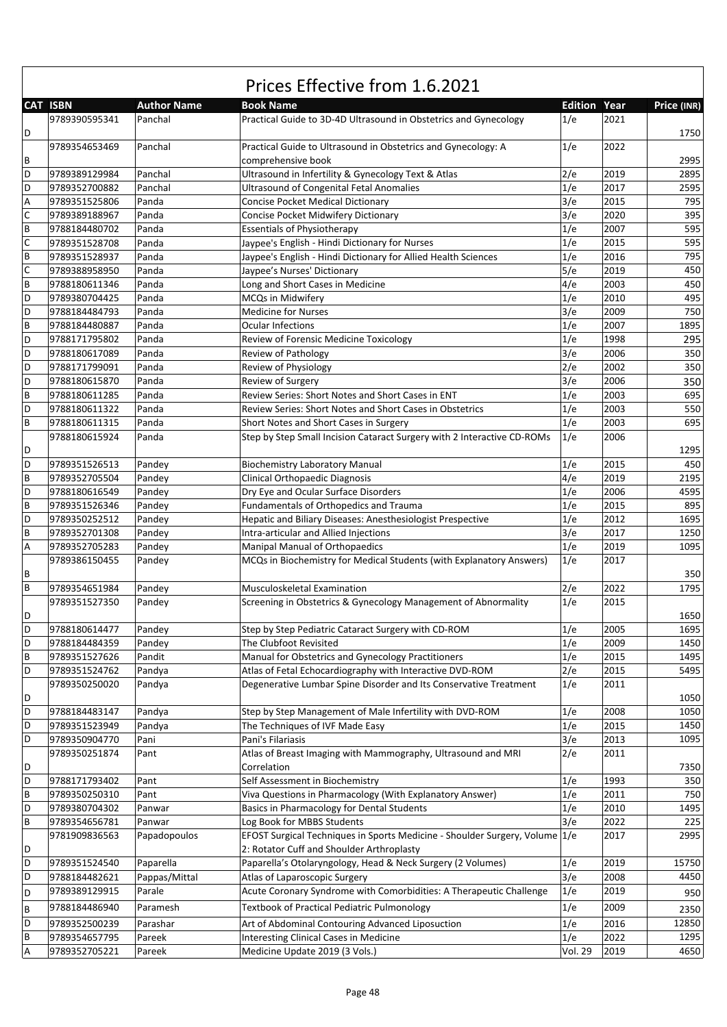|              | Prices Effective from 1.6.2021 |                    |                                                                             |                     |      |             |  |  |
|--------------|--------------------------------|--------------------|-----------------------------------------------------------------------------|---------------------|------|-------------|--|--|
|              | <b>CAT ISBN</b>                | <b>Author Name</b> | <b>Book Name</b>                                                            | <b>Edition Year</b> |      | Price (INR) |  |  |
|              | 9789390595341                  | Panchal            | Practical Guide to 3D-4D Ultrasound in Obstetrics and Gynecology            | 1/e                 | 2021 |             |  |  |
| D            |                                |                    |                                                                             |                     |      | 1750        |  |  |
|              | 9789354653469                  | Panchal            | Practical Guide to Ultrasound in Obstetrics and Gynecology: A               | 1/e                 | 2022 |             |  |  |
| В            |                                |                    | comprehensive book                                                          |                     |      | 2995        |  |  |
| D            | 9789389129984                  | Panchal            | Ultrasound in Infertility & Gynecology Text & Atlas                         | 2/e                 | 2019 | 2895        |  |  |
| D            | 9789352700882                  | Panchal            | <b>Ultrasound of Congenital Fetal Anomalies</b>                             | 1/e                 | 2017 | 2595        |  |  |
| A            | 9789351525806                  | Panda              | <b>Concise Pocket Medical Dictionary</b>                                    | 3/e                 | 2015 | 795         |  |  |
| $\mathsf C$  | 9789389188967                  | Panda              | Concise Pocket Midwifery Dictionary                                         | 3/e                 | 2020 | 395         |  |  |
| B            | 9788184480702                  | Panda              | <b>Essentials of Physiotherapy</b>                                          | 1/e                 | 2007 | 595         |  |  |
| $\mathsf{C}$ | 9789351528708                  | Panda              | Jaypee's English - Hindi Dictionary for Nurses                              | 1/e                 | 2015 | 595         |  |  |
| B            | 9789351528937                  | Panda              | Jaypee's English - Hindi Dictionary for Allied Health Sciences              | 1/e                 | 2016 | 795         |  |  |
| C            | 9789388958950                  | Panda              | Jaypee's Nurses' Dictionary                                                 | 5/e                 | 2019 | 450         |  |  |
| B            | 9788180611346                  | Panda              | Long and Short Cases in Medicine                                            | 4/e                 | 2003 | 450         |  |  |
| D            | 9789380704425                  | Panda              | MCQs in Midwifery                                                           | 1/e                 | 2010 | 495         |  |  |
| D            | 9788184484793                  | Panda              | <b>Medicine for Nurses</b>                                                  | 3/e                 | 2009 | 750         |  |  |
| B            | 9788184480887                  | Panda              | <b>Ocular Infections</b>                                                    | 1/e                 | 2007 | 1895        |  |  |
| D            | 9788171795802                  | Panda              | Review of Forensic Medicine Toxicology                                      | 1/e                 | 1998 | 295         |  |  |
| D            | 9788180617089                  | Panda              | Review of Pathology                                                         | 3/e                 | 2006 | 350         |  |  |
| D            | 9788171799091                  | Panda              | Review of Physiology                                                        | 2/e                 | 2002 | 350         |  |  |
| D            | 9788180615870                  | Panda              | Review of Surgery                                                           | 3/e                 | 2006 | 350         |  |  |
| B            | 9788180611285                  | Panda              | Review Series: Short Notes and Short Cases in ENT                           | 1/e                 | 2003 | 695         |  |  |
| D            | 9788180611322                  | Panda              | Review Series: Short Notes and Short Cases in Obstetrics                    | 1/e                 | 2003 | 550         |  |  |
| B            | 9788180611315                  | Panda              | Short Notes and Short Cases in Surgery                                      | 1/e                 | 2003 | 695         |  |  |
|              | 9788180615924                  | Panda              | Step by Step Small Incision Cataract Surgery with 2 Interactive CD-ROMs     | 1/e                 | 2006 |             |  |  |
| D            |                                |                    |                                                                             |                     |      | 1295        |  |  |
| D            | 9789351526513                  | Pandey             | <b>Biochemistry Laboratory Manual</b>                                       | 1/e                 | 2015 | 450         |  |  |
| B            | 9789352705504                  | Pandey             | Clinical Orthopaedic Diagnosis                                              | 4/e                 | 2019 | 2195        |  |  |
| D            | 9788180616549                  | Pandey             | Dry Eye and Ocular Surface Disorders                                        | 1/e                 | 2006 | 4595        |  |  |
| B            | 9789351526346                  | Pandey             | Fundamentals of Orthopedics and Trauma                                      | 1/e                 | 2015 | 895         |  |  |
| D            | 9789350252512                  | Pandey             | Hepatic and Biliary Diseases: Anesthesiologist Prespective                  | 1/e                 | 2012 | 1695        |  |  |
| B            | 9789352701308                  | Pandey             | Intra-articular and Allied Injections                                       | 3/e                 | 2017 | 1250        |  |  |
| Α            | 9789352705283                  | Pandey             | Manipal Manual of Orthopaedics                                              | 1/e                 | 2019 | 1095        |  |  |
|              | 9789386150455                  | Pandey             | MCQs in Biochemistry for Medical Students (with Explanatory Answers)        | 1/e                 | 2017 |             |  |  |
| В            |                                |                    |                                                                             |                     |      | 350         |  |  |
| B            | 9789354651984                  | Pandey             | Musculoskeletal Examination                                                 | 2/e                 | 2022 | 1795        |  |  |
|              | 9789351527350                  | Pandey             | Screening in Obstetrics & Gynecology Management of Abnormality              | 1/e                 | 2015 |             |  |  |
| D            |                                |                    |                                                                             |                     |      | 1650        |  |  |
| D            | 9788180614477                  | Pandey             | Step by Step Pediatric Cataract Surgery with CD-ROM                         | 1/e                 | 2005 | 1695        |  |  |
| D            | 9788184484359                  | Pandey             | The Clubfoot Revisited                                                      | 1/e                 | 2009 | 1450        |  |  |
| B            | 9789351527626                  | Pandit             | Manual for Obstetrics and Gynecology Practitioners                          | 1/e                 | 2015 | 1495        |  |  |
| D            | 9789351524762                  | Pandya             | Atlas of Fetal Echocardiography with Interactive DVD-ROM                    | 2/e                 | 2015 | 5495        |  |  |
|              | 9789350250020                  | Pandya             | Degenerative Lumbar Spine Disorder and Its Conservative Treatment           | 1/e                 | 2011 |             |  |  |
| D            |                                |                    |                                                                             |                     |      | 1050        |  |  |
| D            | 9788184483147                  | Pandya             | Step by Step Management of Male Infertility with DVD-ROM                    | 1/e                 | 2008 | 1050        |  |  |
| D            | 9789351523949                  | Pandya             | The Techniques of IVF Made Easy                                             | 1/e                 | 2015 | 1450        |  |  |
| D            | 9789350904770                  | Pani               | Pani's Filariasis                                                           | 3/e                 | 2013 | 1095        |  |  |
|              | 9789350251874                  | Pant               | Atlas of Breast Imaging with Mammography, Ultrasound and MRI                | 2/e                 | 2011 |             |  |  |
| D            |                                |                    | Correlation                                                                 |                     |      | 7350        |  |  |
| D            | 9788171793402                  | Pant               | Self Assessment in Biochemistry                                             | 1/e                 | 1993 | 350         |  |  |
| B            | 9789350250310                  | Pant               | Viva Questions in Pharmacology (With Explanatory Answer)                    | 1/e                 | 2011 | 750         |  |  |
| D            | 9789380704302                  | Panwar             | Basics in Pharmacology for Dental Students                                  | 1/e                 | 2010 | 1495        |  |  |
| B            | 9789354656781                  | Panwar             | Log Book for MBBS Students                                                  | 3/e                 | 2022 | 225         |  |  |
|              | 9781909836563                  | Papadopoulos       | EFOST Surgical Techniques in Sports Medicine - Shoulder Surgery, Volume 1/e |                     | 2017 | 2995        |  |  |
| D            |                                |                    | 2: Rotator Cuff and Shoulder Arthroplasty                                   |                     |      |             |  |  |
| D            | 9789351524540                  | Paparella          | Paparella's Otolaryngology, Head & Neck Surgery (2 Volumes)                 | 1/e                 | 2019 | 15750       |  |  |
| D            | 9788184482621                  | Pappas/Mittal      | Atlas of Laparoscopic Surgery                                               | 3/e                 | 2008 | 4450        |  |  |
| D            | 9789389129915                  | Parale             | Acute Coronary Syndrome with Comorbidities: A Therapeutic Challenge         | 1/e                 | 2019 | 950         |  |  |
| B            | 9788184486940                  | Paramesh           | Textbook of Practical Pediatric Pulmonology                                 | 1/e                 | 2009 | 2350        |  |  |
| D            | 9789352500239                  | Parashar           | Art of Abdominal Contouring Advanced Liposuction                            | 1/e                 | 2016 | 12850       |  |  |
| В            | 9789354657795                  | Pareek             | <b>Interesting Clinical Cases in Medicine</b>                               | 1/e                 | 2022 | 1295        |  |  |
| Α            | 9789352705221                  | Pareek             | Medicine Update 2019 (3 Vols.)                                              | <b>Vol. 29</b>      | 2019 | 4650        |  |  |

 $\sqrt{ }$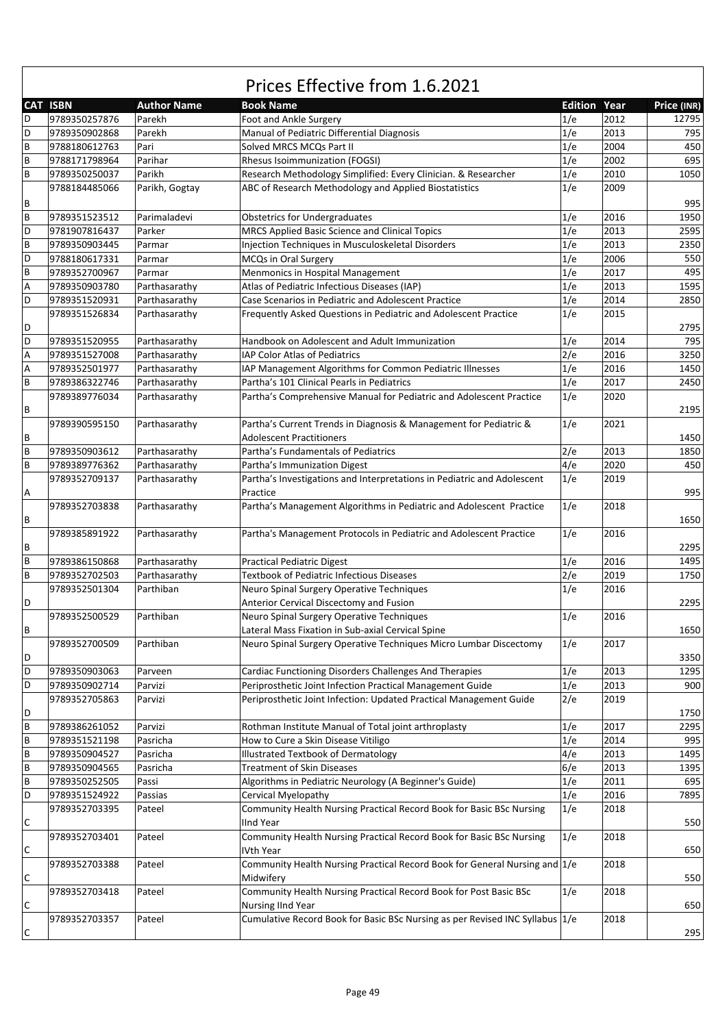|   | CAT ISBN      | <b>Author Name</b> | <b>Book Name</b>                                                                      | <b>Edition Year</b> |      | Price (INR) |
|---|---------------|--------------------|---------------------------------------------------------------------------------------|---------------------|------|-------------|
| D | 9789350257876 | Parekh             | Foot and Ankle Surgery                                                                | 1/e                 | 2012 | 12795       |
| D | 9789350902868 | Parekh             | Manual of Pediatric Differential Diagnosis                                            | 1/e                 | 2013 | 795         |
| B | 9788180612763 | Pari               | Solved MRCS MCQs Part II                                                              | 1/e                 | 2004 | 450         |
| B |               | Parihar            |                                                                                       | 1/e                 | 2002 | 695         |
|   | 9788171798964 |                    | Rhesus Isoimmunization (FOGSI)                                                        |                     |      |             |
| B | 9789350250037 | Parikh             | Research Methodology Simplified: Every Clinician. & Researcher                        | 1/e                 | 2010 | 1050        |
| В | 9788184485066 | Parikh, Gogtay     | ABC of Research Methodology and Applied Biostatistics                                 | 1/e                 | 2009 | 995         |
| B | 9789351523512 | Parimaladevi       | <b>Obstetrics for Undergraduates</b>                                                  | 1/e                 | 2016 | 1950        |
| D | 9781907816437 | Parker             | MRCS Applied Basic Science and Clinical Topics                                        | 1/e                 | 2013 | 2595        |
| B | 9789350903445 | Parmar             | Injection Techniques in Musculoskeletal Disorders                                     | 1/e                 | 2013 | 2350        |
| D |               |                    |                                                                                       |                     |      | 550         |
|   | 9788180617331 | Parmar             | MCQs in Oral Surgery                                                                  | 1/e                 | 2006 |             |
| B | 9789352700967 | Parmar             | Menmonics in Hospital Management                                                      | 1/e                 | 2017 | 495         |
| A | 9789350903780 | Parthasarathy      | Atlas of Pediatric Infectious Diseases (IAP)                                          | 1/e                 | 2013 | 1595        |
| D | 9789351520931 | Parthasarathy      | Case Scenarios in Pediatric and Adolescent Practice                                   | 1/e                 | 2014 | 2850        |
|   | 9789351526834 | Parthasarathy      | Frequently Asked Questions in Pediatric and Adolescent Practice                       | 1/e                 | 2015 |             |
| D |               |                    |                                                                                       |                     |      | 2795        |
| D | 9789351520955 | Parthasarathy      | Handbook on Adolescent and Adult Immunization                                         | 1/e                 | 2014 | 795         |
| Α | 9789351527008 | Parthasarathy      | IAP Color Atlas of Pediatrics                                                         | 2/e                 | 2016 | 3250        |
| Α | 9789352501977 | Parthasarathy      | IAP Management Algorithms for Common Pediatric Illnesses                              | 1/e                 | 2016 | 1450        |
| B | 9789386322746 | Parthasarathy      | Partha's 101 Clinical Pearls in Pediatrics                                            | 1/e                 | 2017 | 2450        |
|   | 9789389776034 | Parthasarathy      | Partha's Comprehensive Manual for Pediatric and Adolescent Practice                   | 1/e                 | 2020 |             |
| В |               |                    |                                                                                       |                     |      | 2195        |
|   | 9789390595150 | Parthasarathy      | Partha's Current Trends in Diagnosis & Management for Pediatric &                     | 1/e                 | 2021 |             |
| В |               |                    | <b>Adolescent Practitioners</b>                                                       |                     |      | 1450        |
| B | 9789350903612 | Parthasarathy      | Partha's Fundamentals of Pediatrics                                                   | 2/e                 | 2013 | 1850        |
| B | 9789389776362 | Parthasarathy      | Partha's Immunization Digest                                                          | 4/e                 | 2020 | 450         |
|   | 9789352709137 | Parthasarathy      | Partha's Investigations and Interpretations in Pediatric and Adolescent               | 1/e                 | 2019 |             |
| Α |               |                    | Practice                                                                              |                     |      | 995         |
|   | 9789352703838 | Parthasarathy      | Partha's Management Algorithms in Pediatric and Adolescent Practice                   | 1/e                 | 2018 |             |
| В |               |                    |                                                                                       |                     |      | 1650        |
|   | 9789385891922 | Parthasarathy      | Partha's Management Protocols in Pediatric and Adolescent Practice                    | 1/e                 | 2016 |             |
| В |               |                    |                                                                                       |                     |      | 2295        |
| B | 9789386150868 | Parthasarathy      |                                                                                       | 1/e                 | 2016 | 1495        |
| B | 9789352702503 | Parthasarathy      | <b>Practical Pediatric Digest</b><br><b>Textbook of Pediatric Infectious Diseases</b> | 2/e                 | 2019 | 1750        |
|   |               | Parthiban          |                                                                                       |                     | 2016 |             |
|   | 9789352501304 |                    | Neuro Spinal Surgery Operative Techniques                                             | 1/e                 |      |             |
| D |               |                    | Anterior Cervical Discectomy and Fusion                                               |                     |      | 2295        |
|   | 9789352500529 | Parthiban          | Neuro Spinal Surgery Operative Techniques                                             | 1/e                 | 2016 |             |
| В |               |                    | Lateral Mass Fixation in Sub-axial Cervical Spine                                     |                     |      | 1650        |
|   | 9789352700509 | Parthiban          | Neuro Spinal Surgery Operative Techniques Micro Lumbar Discectomy                     | 1/e                 | 2017 |             |
| D |               |                    |                                                                                       |                     |      | 3350        |
| D | 9789350903063 | Parveen            | Cardiac Functioning Disorders Challenges And Therapies                                | 1/e                 | 2013 | 1295        |
| D | 9789350902714 | Parvizi            | Periprosthetic Joint Infection Practical Management Guide                             | 1/e                 | 2013 | 900         |
|   | 9789352705863 | Parvizi            | Periprosthetic Joint Infection: Updated Practical Management Guide                    | 2/e                 | 2019 |             |
| D |               |                    |                                                                                       |                     |      | 1750        |
| B | 9789386261052 | Parvizi            | Rothman Institute Manual of Total joint arthroplasty                                  | 1/e                 | 2017 | 2295        |
| B | 9789351521198 | Pasricha           | How to Cure a Skin Disease Vitiligo                                                   | 1/e                 | 2014 | 995         |
| B | 9789350904527 | Pasricha           | Illustrated Textbook of Dermatology                                                   | 4/e                 | 2013 | 1495        |
| B | 9789350904565 | Pasricha           | <b>Treatment of Skin Diseases</b>                                                     | 6/e                 | 2013 | 1395        |
| B | 9789350252505 | Passi              | Algorithms in Pediatric Neurology (A Beginner's Guide)                                | 1/e                 | 2011 | 695         |
| D | 9789351524922 | Passias            | Cervical Myelopathy                                                                   | 1/e                 | 2016 | 7895        |
|   | 9789352703395 | Pateel             | Community Health Nursing Practical Record Book for Basic BSc Nursing                  | 1/e                 | 2018 |             |
| С |               |                    | <b>IInd Year</b>                                                                      |                     |      | 550         |
|   | 9789352703401 | Pateel             | Community Health Nursing Practical Record Book for Basic BSc Nursing                  | 1/e                 | 2018 |             |
| С |               |                    | IVth Year                                                                             |                     |      | 650         |
|   | 9789352703388 | Pateel             | Community Health Nursing Practical Record Book for General Nursing and 1/e            |                     | 2018 |             |
| С |               |                    | Midwifery                                                                             |                     |      | 550         |
|   | 9789352703418 | Pateel             | Community Health Nursing Practical Record Book for Post Basic BSc                     | 1/e                 | 2018 |             |
| С |               |                    | Nursing IInd Year                                                                     |                     |      | 650         |
|   | 9789352703357 | Pateel             | Cumulative Record Book for Basic BSc Nursing as per Revised INC Syllabus 1/e          |                     | 2018 |             |
| С |               |                    |                                                                                       |                     |      | 295         |
|   |               |                    |                                                                                       |                     |      |             |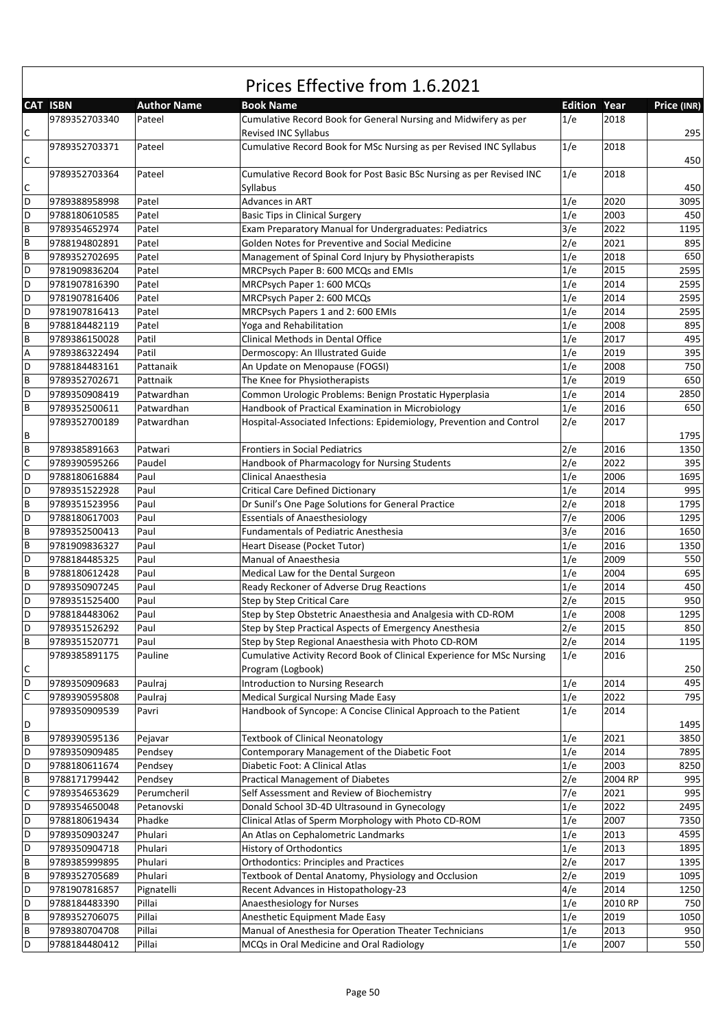|                | Prices Effective from 1.6.2021 |                    |                                                                                                 |                     |              |             |  |  |  |
|----------------|--------------------------------|--------------------|-------------------------------------------------------------------------------------------------|---------------------|--------------|-------------|--|--|--|
|                | <b>CAT ISBN</b>                | <b>Author Name</b> | <b>Book Name</b>                                                                                | <b>Edition Year</b> |              | Price (INR) |  |  |  |
| С              | 9789352703340                  | Pateel             | Cumulative Record Book for General Nursing and Midwifery as per<br>Revised INC Syllabus         | 1/e                 | 2018         | 295         |  |  |  |
| $\mathsf{C}$   | 9789352703371                  | Pateel             | Cumulative Record Book for MSc Nursing as per Revised INC Syllabus                              | 1/e                 | 2018         | 450         |  |  |  |
|                | 9789352703364                  | Pateel             | Cumulative Record Book for Post Basic BSc Nursing as per Revised INC                            | 1/e                 | 2018         |             |  |  |  |
| С<br>D         |                                |                    | Syllabus                                                                                        |                     |              | 450<br>3095 |  |  |  |
|                | 9789388958998                  | Patel<br>Patel     | Advances in ART                                                                                 | 1/e<br>1/e          | 2020<br>2003 | 450         |  |  |  |
| D<br>B         | 9788180610585<br>9789354652974 | Patel              | <b>Basic Tips in Clinical Surgery</b><br>Exam Preparatory Manual for Undergraduates: Pediatrics | 3/e                 | 2022         | 1195        |  |  |  |
| B              |                                |                    | Golden Notes for Preventive and Social Medicine                                                 |                     | 2021         |             |  |  |  |
| B              | 9788194802891<br>9789352702695 | Patel<br>Patel     |                                                                                                 | 2/e<br>1/e          | 2018         | 895<br>650  |  |  |  |
| D              | 9781909836204                  | Patel              | Management of Spinal Cord Injury by Physiotherapists<br>MRCPsych Paper B: 600 MCQs and EMIs     | 1/e                 | 2015         | 2595        |  |  |  |
| D              | 9781907816390                  | Patel              | MRCPsych Paper 1: 600 MCQs                                                                      | 1/e                 | 2014         | 2595        |  |  |  |
| D              | 9781907816406                  | Patel              | MRCPsych Paper 2: 600 MCQs                                                                      | 1/e                 | 2014         | 2595        |  |  |  |
| D              | 9781907816413                  | Patel              | MRCPsych Papers 1 and 2: 600 EMIs                                                               | 1/e                 | 2014         | 2595        |  |  |  |
| B              | 9788184482119                  | Patel              | Yoga and Rehabilitation                                                                         | 1/e                 | 2008         | 895         |  |  |  |
| B              | 9789386150028                  | Patil              | Clinical Methods in Dental Office                                                               | 1/e                 | 2017         | 495         |  |  |  |
| Α              | 9789386322494                  | Patil              | Dermoscopy: An Illustrated Guide                                                                | 1/e                 | 2019         | 395         |  |  |  |
| D              | 9788184483161                  | Pattanaik          | An Update on Menopause (FOGSI)                                                                  | 1/e                 | 2008         | 750         |  |  |  |
| B              | 9789352702671                  | Pattnaik           | The Knee for Physiotherapists                                                                   | 1/e                 | 2019         | 650         |  |  |  |
| D              | 9789350908419                  | Patwardhan         | Common Urologic Problems: Benign Prostatic Hyperplasia                                          | 1/e                 | 2014         | 2850        |  |  |  |
| B              | 9789352500611                  | Patwardhan         | Handbook of Practical Examination in Microbiology                                               | 1/e                 | 2016         | 650         |  |  |  |
|                | 9789352700189                  | Patwardhan         | Hospital-Associated Infections: Epidemiology, Prevention and Control                            | 2/e                 | 2017         |             |  |  |  |
| B              |                                |                    |                                                                                                 |                     |              | 1795        |  |  |  |
| B              | 9789385891663                  | Patwari            | <b>Frontiers in Social Pediatrics</b>                                                           | 2/e                 | 2016         | 1350        |  |  |  |
| C              | 9789390595266                  | Paudel             | Handbook of Pharmacology for Nursing Students                                                   | 2/e                 | 2022         | 395         |  |  |  |
| D              | 9788180616884                  | Paul               | Clinical Anaesthesia                                                                            | 1/e                 | 2006         | 1695        |  |  |  |
| D              | 9789351522928                  | Paul               | <b>Critical Care Defined Dictionary</b>                                                         | 1/e                 | 2014         | 995         |  |  |  |
| B              | 9789351523956                  | Paul               | Dr Sunil's One Page Solutions for General Practice                                              | 2/e                 | 2018         | 1795        |  |  |  |
| D              | 9788180617003                  | Paul               | <b>Essentials of Anaesthesiology</b>                                                            | 7/e                 | 2006         | 1295        |  |  |  |
| B              | 9789352500413                  | Paul               | <b>Fundamentals of Pediatric Anesthesia</b>                                                     | 3/e                 | 2016         | 1650        |  |  |  |
| B              | 9781909836327                  | Paul               | Heart Disease (Pocket Tutor)                                                                    | 1/e                 | 2016         | 1350        |  |  |  |
| D              | 9788184485325                  | Paul               | Manual of Anaesthesia                                                                           | 1/e                 | 2009         | 550         |  |  |  |
| B              | 9788180612428                  | Paul               | Medical Law for the Dental Surgeon                                                              | 1/e                 | 2004         | 695         |  |  |  |
| D              | 9789350907245                  | Paul               | Ready Reckoner of Adverse Drug Reactions                                                        | 1/e                 | 2014         | 450         |  |  |  |
| D              | 9789351525400                  | Paul               | Step by Step Critical Care                                                                      | 2/e                 | 2015         | 950         |  |  |  |
| D              | 9788184483062                  | Paul               | Step by Step Obstetric Anaesthesia and Analgesia with CD-ROM                                    | 1/e                 | 2008         | 1295        |  |  |  |
| D              | 9789351526292                  | Paul               | Step by Step Practical Aspects of Emergency Anesthesia                                          | 2/e                 | 2015         | 850         |  |  |  |
| $\overline{B}$ | 9789351520771                  | Paul               | Step by Step Regional Anaesthesia with Photo CD-ROM                                             | 2/e                 | 2014         | 1195        |  |  |  |
|                | 9789385891175                  | Pauline            | Cumulative Activity Record Book of Clinical Experience for MSc Nursing                          | 1/e                 | 2016         |             |  |  |  |
| С              |                                |                    | Program (Logbook)                                                                               |                     |              | 250         |  |  |  |
| D              | 9789350909683                  | Paulraj            | Introduction to Nursing Research                                                                | 1/e                 | 2014         | 495         |  |  |  |
| $\mathsf C$    | 9789390595808                  | Paulraj            | <b>Medical Surgical Nursing Made Easy</b>                                                       | 1/e                 | 2022         | 795         |  |  |  |
|                | 9789350909539                  | Pavri              | Handbook of Syncope: A Concise Clinical Approach to the Patient                                 | 1/e                 | 2014         |             |  |  |  |
| D              |                                |                    |                                                                                                 |                     |              | 1495        |  |  |  |
| $\overline{B}$ | 9789390595136                  | Pejavar            | <b>Textbook of Clinical Neonatology</b>                                                         | 1/e                 | 2021         | 3850        |  |  |  |
| D              | 9789350909485                  | Pendsey            | Contemporary Management of the Diabetic Foot                                                    | 1/e                 | 2014         | 7895        |  |  |  |
| D              | 9788180611674                  | Pendsey            | Diabetic Foot: A Clinical Atlas                                                                 | 1/e                 | 2003         | 8250        |  |  |  |
| $\sf B$        | 9788171799442                  | Pendsey            | <b>Practical Management of Diabetes</b>                                                         | 2/e                 | 2004 RP      | 995         |  |  |  |
| C              | 9789354653629                  | Perumcheril        | Self Assessment and Review of Biochemistry                                                      | 7/e                 | 2021         | 995         |  |  |  |
| D              | 9789354650048                  | Petanovski         | Donald School 3D-4D Ultrasound in Gynecology                                                    | 1/e                 | 2022         | 2495        |  |  |  |
| D              | 9788180619434                  | Phadke             | Clinical Atlas of Sperm Morphology with Photo CD-ROM                                            | 1/e                 | 2007         | 7350        |  |  |  |
| D              | 9789350903247                  | Phulari            | An Atlas on Cephalometric Landmarks                                                             | 1/e                 | 2013         | 4595        |  |  |  |
| D              | 9789350904718                  | Phulari            | History of Orthodontics                                                                         | 1/e                 | 2013         | 1895        |  |  |  |
| $\sf B$        | 9789385999895                  | Phulari            | <b>Orthodontics: Principles and Practices</b>                                                   | 2/e                 | 2017         | 1395        |  |  |  |
| $\sf B$        | 9789352705689                  | Phulari            | Textbook of Dental Anatomy, Physiology and Occlusion                                            | 2/e                 | 2019         | 1095        |  |  |  |
| D              | 9781907816857                  | Pignatelli         | Recent Advances in Histopathology-23                                                            | 4/e                 | 2014         | 1250        |  |  |  |
| D              | 9788184483390                  | Pillai             | Anaesthesiology for Nurses                                                                      | 1/e                 | 2010 RP      | 750         |  |  |  |
| B              | 9789352706075                  | Pillai             | Anesthetic Equipment Made Easy<br>Manual of Anesthesia for Operation Theater Technicians        | 1/e                 | 2019         | 1050        |  |  |  |
| $\sf B$<br>D   | 9789380704708<br>9788184480412 | Pillai<br>Pillai   |                                                                                                 | 1/e<br>1/e          | 2013<br>2007 | 950<br>550  |  |  |  |
|                |                                |                    | MCQs in Oral Medicine and Oral Radiology                                                        |                     |              |             |  |  |  |

 $\sqrt{ }$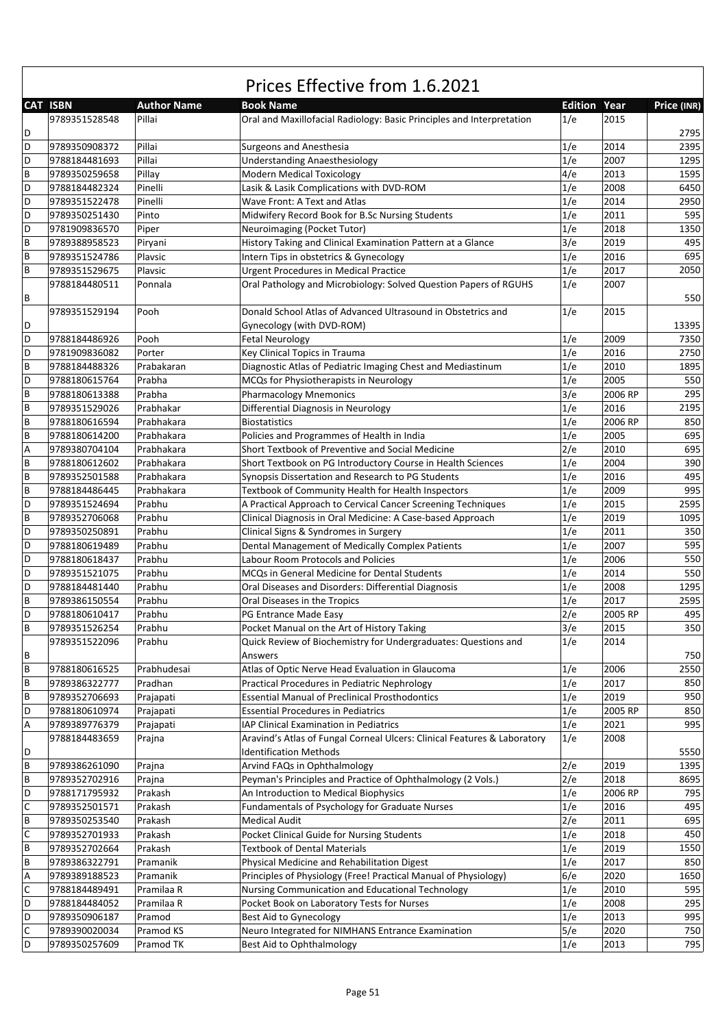| <b>CAT ISBN</b><br>Year<br><b>Author Name</b><br><b>Book Name</b><br><b>Edition</b><br>Price (INR)<br>9789351528548<br>1/e<br>2015<br>Pillai<br>Oral and Maxillofacial Radiology: Basic Principles and Interpretation<br>D<br>2795<br>D<br>1/e<br>2014<br>9789350908372<br>Pillai<br><b>Surgeons and Anesthesia</b><br>2395<br>D<br>Pillai<br>1/e<br>1295<br><b>Understanding Anaesthesiology</b><br>2007<br>9788184481693<br>B<br>4/e<br>1595<br>Pillay<br><b>Modern Medical Toxicology</b><br>2013<br>9789350259658<br>D<br>1/e<br>6450<br>2008<br>9788184482324<br>Pinelli<br>Lasik & Lasik Complications with DVD-ROM<br>1/e<br>D<br>2950<br>Pinelli<br>2014<br>9789351522478<br>Wave Front: A Text and Atlas<br>1/e<br>2011<br>595<br>D<br>9789350251430<br>Pinto<br>Midwifery Record Book for B.Sc Nursing Students<br>D<br>1/e<br>2018<br>1350<br>9781909836570<br>Piper<br>Neuroimaging (Pocket Tutor)<br>B<br>History Taking and Clinical Examination Pattern at a Glance<br>3/e<br>2019<br>495<br>9789388958523<br>Piryani<br>695<br>B<br>Intern Tips in obstetrics & Gynecology<br>1/e<br>2016<br>9789351524786<br>Plavsic<br>B<br>1/e<br>Plavsic<br><b>Urgent Procedures in Medical Practice</b><br>2017<br>2050<br>9789351529675<br>Oral Pathology and Microbiology: Solved Question Papers of RGUHS<br>1/e<br>2007<br>9788184480511<br>Ponnala<br>B<br>550<br>Donald School Atlas of Advanced Ultrasound in Obstetrics and<br>1/e<br>2015<br>9789351529194<br>Pooh<br>D<br>Gynecology (with DVD-ROM)<br>13395<br>D<br>1/e<br>2009<br>7350<br>9788184486926<br><b>Fetal Neurology</b><br>Pooh<br>D<br>1/e<br>2016<br>2750<br>9781909836082<br>Porter<br>Key Clinical Topics in Trauma<br>$\, {\bf B}$<br>Diagnostic Atlas of Pediatric Imaging Chest and Mediastinum<br>1/e<br>2010<br>1895<br>9788184488326<br>Prabakaran<br>D<br>1/e<br>9788180615764<br>Prabha<br>MCQs for Physiotherapists in Neurology<br>2005<br>550<br>3/e<br>B<br><b>Pharmacology Mnemonics</b><br>2006 RP<br>295<br>Prabha<br>9788180613388<br>1/e<br>B<br>Differential Diagnosis in Neurology<br>2016<br>2195<br>9789351529026<br>Prabhakar<br>1/e<br>B<br>2006 RP<br>850<br>9788180616594<br>Prabhakara<br><b>Biostatistics</b><br>1/e<br>B<br>Policies and Programmes of Health in India<br>2005<br>695<br>9788180614200<br>Prabhakara<br>2/e<br>Short Textbook of Preventive and Social Medicine<br>2010<br>695<br>Α<br>9789380704104<br>Prabhakara<br>$\overline{B}$<br>1/e<br>2004<br>390<br>9788180612602<br>Prabhakara<br>Short Textbook on PG Introductory Course in Health Sciences<br>$\overline{B}$<br>495<br>1/e<br>Synopsis Dissertation and Research to PG Students<br>2016<br>9789352501588<br>Prabhakara<br>995<br>B<br>1/e<br>2009<br>9788184486445<br>Prabhakara<br>Textbook of Community Health for Health Inspectors<br>D<br>2595<br>1/e<br>9789351524694<br>A Practical Approach to Cervical Cancer Screening Techniques<br>2015<br>Prabhu<br>1/e<br>B<br>2019<br>1095<br>9789352706068<br>Prabhu<br>Clinical Diagnosis in Oral Medicine: A Case-based Approach<br>1/e<br>D<br>Clinical Signs & Syndromes in Surgery<br>2011<br>350<br>Prabhu<br>9789350250891<br>1/e<br>D<br>2007<br>595<br>Prabhu<br>Dental Management of Medically Complex Patients<br>9788180619489<br>1/e<br>D<br>2006<br>550<br>9788180618437<br>Prabhu<br><b>Labour Room Protocols and Policies</b><br>D<br>1/e<br>2014<br>550<br>9789351521075<br>Prabhu<br>MCQs in General Medicine for Dental Students<br>D<br>Prabhu<br>1/e<br>2008<br>1295<br>9788184481440<br>Oral Diseases and Disorders: Differential Diagnosis<br>B<br>Prabhu<br>1/e<br>2017<br>2595<br>9789386150554<br>Oral Diseases in the Tropics<br>D<br>2/e<br>Prabhu<br>2005 RP<br>495<br>9788180610417<br>PG Entrance Made Easy<br>350<br>ΙB<br>9789351526254<br>Prabhu<br>Pocket Manual on the Art of History Taking<br>3/e<br>2015<br>1/e<br>9789351522096<br>Quick Review of Biochemistry for Undergraduates: Questions and<br>2014<br>Prabhu<br>B<br>750<br>Answers<br>B<br>1/e<br>2006<br>2550<br>9788180616525<br>Prabhudesai<br>Atlas of Optic Nerve Head Evaluation in Glaucoma<br>1/e<br>$\sf B$<br>9789386322777<br>Practical Procedures in Pediatric Nephrology<br>2017<br>850<br>Pradhan<br>$\, {\sf B}$<br><b>Essential Manual of Preclinical Prosthodontics</b><br>1/e<br>950<br>9789352706693<br>Prajapati<br>2019<br>D<br>1/e<br>2005 RP<br>850<br>9788180610974<br><b>Essential Procedures in Pediatrics</b><br>Prajapati<br>1/e<br>995<br>Α<br>9789389776379<br>IAP Clinical Examination in Pediatrics<br>2021<br>Prajapati<br>Aravind's Atlas of Fungal Corneal Ulcers: Clinical Features & Laboratory<br>1/e<br>2008<br>9788184483659<br>Prajna<br><b>Identification Methods</b><br>5550<br>D<br>$\sf B$<br>2/e<br>2019<br>9789386261090<br>1395<br>Prajna<br>Arvind FAQs in Ophthalmology<br>2/e<br>$\sf B$<br>Peyman's Principles and Practice of Ophthalmology (2 Vols.)<br>2018<br>8695<br>9789352702916<br>Prajna<br>D<br>1/e<br>795<br>9788171795932<br>Prakash<br>An Introduction to Medical Biophysics<br>2006 RP<br>C<br>495<br>1/e<br>2016<br>9789352501571<br>Prakash<br>Fundamentals of Psychology for Graduate Nurses<br>$\, {\sf B}$<br>695<br>2/e<br>2011<br>9789350253540<br>Prakash<br><b>Medical Audit</b><br>С<br>450<br>9789352701933<br>Prakash<br>Pocket Clinical Guide for Nursing Students<br>1/e<br>2018<br>B<br><b>Textbook of Dental Materials</b><br>9789352702664<br>Prakash<br>1/e<br>2019<br>1550<br>B<br>Physical Medicine and Rehabilitation Digest<br>1/e<br>9789386322791<br>2017<br>850<br>Pramanik<br>6/e<br>A<br>9789389188523<br>Principles of Physiology (Free! Practical Manual of Physiology)<br>2020<br>1650<br>Pramanik<br>C<br>Nursing Communication and Educational Technology<br>1/e<br>9788184489491<br>2010<br>595<br>Pramilaa R<br>D<br>1/e<br>Pocket Book on Laboratory Tests for Nurses<br>2008<br>295<br>9788184484052<br>Pramilaa R<br>D<br>1/e<br>9789350906187<br>Best Aid to Gynecology<br>2013<br>995<br>Pramod<br>$\mathsf C$<br>5/e<br>9789390020034<br>Pramod KS<br>Neuro Integrated for NIMHANS Entrance Examination<br>2020<br>750<br>D<br>795<br>1/e<br>2013<br>9789350257609<br>Pramod TK<br>Best Aid to Ophthalmology | Prices Effective from 1.6.2021 |  |  |  |  |  |  |  |  |
|-----------------------------------------------------------------------------------------------------------------------------------------------------------------------------------------------------------------------------------------------------------------------------------------------------------------------------------------------------------------------------------------------------------------------------------------------------------------------------------------------------------------------------------------------------------------------------------------------------------------------------------------------------------------------------------------------------------------------------------------------------------------------------------------------------------------------------------------------------------------------------------------------------------------------------------------------------------------------------------------------------------------------------------------------------------------------------------------------------------------------------------------------------------------------------------------------------------------------------------------------------------------------------------------------------------------------------------------------------------------------------------------------------------------------------------------------------------------------------------------------------------------------------------------------------------------------------------------------------------------------------------------------------------------------------------------------------------------------------------------------------------------------------------------------------------------------------------------------------------------------------------------------------------------------------------------------------------------------------------------------------------------------------------------------------------------------------------------------------------------------------------------------------------------------------------------------------------------------------------------------------------------------------------------------------------------------------------------------------------------------------------------------------------------------------------------------------------------------------------------------------------------------------------------------------------------------------------------------------------------------------------------------------------------------------------------------------------------------------------------------------------------------------------------------------------------------------------------------------------------------------------------------------------------------------------------------------------------------------------------------------------------------------------------------------------------------------------------------------------------------------------------------------------------------------------------------------------------------------------------------------------------------------------------------------------------------------------------------------------------------------------------------------------------------------------------------------------------------------------------------------------------------------------------------------------------------------------------------------------------------------------------------------------------------------------------------------------------------------------------------------------------------------------------------------------------------------------------------------------------------------------------------------------------------------------------------------------------------------------------------------------------------------------------------------------------------------------------------------------------------------------------------------------------------------------------------------------------------------------------------------------------------------------------------------------------------------------------------------------------------------------------------------------------------------------------------------------------------------------------------------------------------------------------------------------------------------------------------------------------------------------------------------------------------------------------------------------------------------------------------------------------------------------------------------------------------------------------------------------------------------------------------------------------------------------------------------------------------------------------------------------------------------------------------------------------------------------------------------------------------------------------------------------------------------------------------------------------------------------------------------------------------------------------------------------------------------------------------------------------------------------------------------------------------------------------------------------------------------------------------------------------------------------------------------------------------------------------------------------------------------------------------------------------------------------------------------------------------------------------------------------------------------------------------------------------------------------------------------------------------------------------------------------------------------------------------------------------------------------------------------------------------------------------------------------------------------------------------------------------------------------------------------------------------------------------------------------------------------------------------------------------|--------------------------------|--|--|--|--|--|--|--|--|
|                                                                                                                                                                                                                                                                                                                                                                                                                                                                                                                                                                                                                                                                                                                                                                                                                                                                                                                                                                                                                                                                                                                                                                                                                                                                                                                                                                                                                                                                                                                                                                                                                                                                                                                                                                                                                                                                                                                                                                                                                                                                                                                                                                                                                                                                                                                                                                                                                                                                                                                                                                                                                                                                                                                                                                                                                                                                                                                                                                                                                                                                                                                                                                                                                                                                                                                                                                                                                                                                                                                                                                                                                                                                                                                                                                                                                                                                                                                                                                                                                                                                                                                                                                                                                                                                                                                                                                                                                                                                                                                                                                                                                                                                                                                                                                                                                                                                                                                                                                                                                                                                                                                                                                                                                                                                                                                                                                                                                                                                                                                                                                                                                                                                                                                                                                                                                                                                                                                                                                                                                                                                                                                                                                                                                                                                 |                                |  |  |  |  |  |  |  |  |
|                                                                                                                                                                                                                                                                                                                                                                                                                                                                                                                                                                                                                                                                                                                                                                                                                                                                                                                                                                                                                                                                                                                                                                                                                                                                                                                                                                                                                                                                                                                                                                                                                                                                                                                                                                                                                                                                                                                                                                                                                                                                                                                                                                                                                                                                                                                                                                                                                                                                                                                                                                                                                                                                                                                                                                                                                                                                                                                                                                                                                                                                                                                                                                                                                                                                                                                                                                                                                                                                                                                                                                                                                                                                                                                                                                                                                                                                                                                                                                                                                                                                                                                                                                                                                                                                                                                                                                                                                                                                                                                                                                                                                                                                                                                                                                                                                                                                                                                                                                                                                                                                                                                                                                                                                                                                                                                                                                                                                                                                                                                                                                                                                                                                                                                                                                                                                                                                                                                                                                                                                                                                                                                                                                                                                                                                 |                                |  |  |  |  |  |  |  |  |
|                                                                                                                                                                                                                                                                                                                                                                                                                                                                                                                                                                                                                                                                                                                                                                                                                                                                                                                                                                                                                                                                                                                                                                                                                                                                                                                                                                                                                                                                                                                                                                                                                                                                                                                                                                                                                                                                                                                                                                                                                                                                                                                                                                                                                                                                                                                                                                                                                                                                                                                                                                                                                                                                                                                                                                                                                                                                                                                                                                                                                                                                                                                                                                                                                                                                                                                                                                                                                                                                                                                                                                                                                                                                                                                                                                                                                                                                                                                                                                                                                                                                                                                                                                                                                                                                                                                                                                                                                                                                                                                                                                                                                                                                                                                                                                                                                                                                                                                                                                                                                                                                                                                                                                                                                                                                                                                                                                                                                                                                                                                                                                                                                                                                                                                                                                                                                                                                                                                                                                                                                                                                                                                                                                                                                                                                 |                                |  |  |  |  |  |  |  |  |
|                                                                                                                                                                                                                                                                                                                                                                                                                                                                                                                                                                                                                                                                                                                                                                                                                                                                                                                                                                                                                                                                                                                                                                                                                                                                                                                                                                                                                                                                                                                                                                                                                                                                                                                                                                                                                                                                                                                                                                                                                                                                                                                                                                                                                                                                                                                                                                                                                                                                                                                                                                                                                                                                                                                                                                                                                                                                                                                                                                                                                                                                                                                                                                                                                                                                                                                                                                                                                                                                                                                                                                                                                                                                                                                                                                                                                                                                                                                                                                                                                                                                                                                                                                                                                                                                                                                                                                                                                                                                                                                                                                                                                                                                                                                                                                                                                                                                                                                                                                                                                                                                                                                                                                                                                                                                                                                                                                                                                                                                                                                                                                                                                                                                                                                                                                                                                                                                                                                                                                                                                                                                                                                                                                                                                                                                 |                                |  |  |  |  |  |  |  |  |
|                                                                                                                                                                                                                                                                                                                                                                                                                                                                                                                                                                                                                                                                                                                                                                                                                                                                                                                                                                                                                                                                                                                                                                                                                                                                                                                                                                                                                                                                                                                                                                                                                                                                                                                                                                                                                                                                                                                                                                                                                                                                                                                                                                                                                                                                                                                                                                                                                                                                                                                                                                                                                                                                                                                                                                                                                                                                                                                                                                                                                                                                                                                                                                                                                                                                                                                                                                                                                                                                                                                                                                                                                                                                                                                                                                                                                                                                                                                                                                                                                                                                                                                                                                                                                                                                                                                                                                                                                                                                                                                                                                                                                                                                                                                                                                                                                                                                                                                                                                                                                                                                                                                                                                                                                                                                                                                                                                                                                                                                                                                                                                                                                                                                                                                                                                                                                                                                                                                                                                                                                                                                                                                                                                                                                                                                 |                                |  |  |  |  |  |  |  |  |
|                                                                                                                                                                                                                                                                                                                                                                                                                                                                                                                                                                                                                                                                                                                                                                                                                                                                                                                                                                                                                                                                                                                                                                                                                                                                                                                                                                                                                                                                                                                                                                                                                                                                                                                                                                                                                                                                                                                                                                                                                                                                                                                                                                                                                                                                                                                                                                                                                                                                                                                                                                                                                                                                                                                                                                                                                                                                                                                                                                                                                                                                                                                                                                                                                                                                                                                                                                                                                                                                                                                                                                                                                                                                                                                                                                                                                                                                                                                                                                                                                                                                                                                                                                                                                                                                                                                                                                                                                                                                                                                                                                                                                                                                                                                                                                                                                                                                                                                                                                                                                                                                                                                                                                                                                                                                                                                                                                                                                                                                                                                                                                                                                                                                                                                                                                                                                                                                                                                                                                                                                                                                                                                                                                                                                                                                 |                                |  |  |  |  |  |  |  |  |
|                                                                                                                                                                                                                                                                                                                                                                                                                                                                                                                                                                                                                                                                                                                                                                                                                                                                                                                                                                                                                                                                                                                                                                                                                                                                                                                                                                                                                                                                                                                                                                                                                                                                                                                                                                                                                                                                                                                                                                                                                                                                                                                                                                                                                                                                                                                                                                                                                                                                                                                                                                                                                                                                                                                                                                                                                                                                                                                                                                                                                                                                                                                                                                                                                                                                                                                                                                                                                                                                                                                                                                                                                                                                                                                                                                                                                                                                                                                                                                                                                                                                                                                                                                                                                                                                                                                                                                                                                                                                                                                                                                                                                                                                                                                                                                                                                                                                                                                                                                                                                                                                                                                                                                                                                                                                                                                                                                                                                                                                                                                                                                                                                                                                                                                                                                                                                                                                                                                                                                                                                                                                                                                                                                                                                                                                 |                                |  |  |  |  |  |  |  |  |
|                                                                                                                                                                                                                                                                                                                                                                                                                                                                                                                                                                                                                                                                                                                                                                                                                                                                                                                                                                                                                                                                                                                                                                                                                                                                                                                                                                                                                                                                                                                                                                                                                                                                                                                                                                                                                                                                                                                                                                                                                                                                                                                                                                                                                                                                                                                                                                                                                                                                                                                                                                                                                                                                                                                                                                                                                                                                                                                                                                                                                                                                                                                                                                                                                                                                                                                                                                                                                                                                                                                                                                                                                                                                                                                                                                                                                                                                                                                                                                                                                                                                                                                                                                                                                                                                                                                                                                                                                                                                                                                                                                                                                                                                                                                                                                                                                                                                                                                                                                                                                                                                                                                                                                                                                                                                                                                                                                                                                                                                                                                                                                                                                                                                                                                                                                                                                                                                                                                                                                                                                                                                                                                                                                                                                                                                 |                                |  |  |  |  |  |  |  |  |
|                                                                                                                                                                                                                                                                                                                                                                                                                                                                                                                                                                                                                                                                                                                                                                                                                                                                                                                                                                                                                                                                                                                                                                                                                                                                                                                                                                                                                                                                                                                                                                                                                                                                                                                                                                                                                                                                                                                                                                                                                                                                                                                                                                                                                                                                                                                                                                                                                                                                                                                                                                                                                                                                                                                                                                                                                                                                                                                                                                                                                                                                                                                                                                                                                                                                                                                                                                                                                                                                                                                                                                                                                                                                                                                                                                                                                                                                                                                                                                                                                                                                                                                                                                                                                                                                                                                                                                                                                                                                                                                                                                                                                                                                                                                                                                                                                                                                                                                                                                                                                                                                                                                                                                                                                                                                                                                                                                                                                                                                                                                                                                                                                                                                                                                                                                                                                                                                                                                                                                                                                                                                                                                                                                                                                                                                 |                                |  |  |  |  |  |  |  |  |
|                                                                                                                                                                                                                                                                                                                                                                                                                                                                                                                                                                                                                                                                                                                                                                                                                                                                                                                                                                                                                                                                                                                                                                                                                                                                                                                                                                                                                                                                                                                                                                                                                                                                                                                                                                                                                                                                                                                                                                                                                                                                                                                                                                                                                                                                                                                                                                                                                                                                                                                                                                                                                                                                                                                                                                                                                                                                                                                                                                                                                                                                                                                                                                                                                                                                                                                                                                                                                                                                                                                                                                                                                                                                                                                                                                                                                                                                                                                                                                                                                                                                                                                                                                                                                                                                                                                                                                                                                                                                                                                                                                                                                                                                                                                                                                                                                                                                                                                                                                                                                                                                                                                                                                                                                                                                                                                                                                                                                                                                                                                                                                                                                                                                                                                                                                                                                                                                                                                                                                                                                                                                                                                                                                                                                                                                 |                                |  |  |  |  |  |  |  |  |
|                                                                                                                                                                                                                                                                                                                                                                                                                                                                                                                                                                                                                                                                                                                                                                                                                                                                                                                                                                                                                                                                                                                                                                                                                                                                                                                                                                                                                                                                                                                                                                                                                                                                                                                                                                                                                                                                                                                                                                                                                                                                                                                                                                                                                                                                                                                                                                                                                                                                                                                                                                                                                                                                                                                                                                                                                                                                                                                                                                                                                                                                                                                                                                                                                                                                                                                                                                                                                                                                                                                                                                                                                                                                                                                                                                                                                                                                                                                                                                                                                                                                                                                                                                                                                                                                                                                                                                                                                                                                                                                                                                                                                                                                                                                                                                                                                                                                                                                                                                                                                                                                                                                                                                                                                                                                                                                                                                                                                                                                                                                                                                                                                                                                                                                                                                                                                                                                                                                                                                                                                                                                                                                                                                                                                                                                 |                                |  |  |  |  |  |  |  |  |
|                                                                                                                                                                                                                                                                                                                                                                                                                                                                                                                                                                                                                                                                                                                                                                                                                                                                                                                                                                                                                                                                                                                                                                                                                                                                                                                                                                                                                                                                                                                                                                                                                                                                                                                                                                                                                                                                                                                                                                                                                                                                                                                                                                                                                                                                                                                                                                                                                                                                                                                                                                                                                                                                                                                                                                                                                                                                                                                                                                                                                                                                                                                                                                                                                                                                                                                                                                                                                                                                                                                                                                                                                                                                                                                                                                                                                                                                                                                                                                                                                                                                                                                                                                                                                                                                                                                                                                                                                                                                                                                                                                                                                                                                                                                                                                                                                                                                                                                                                                                                                                                                                                                                                                                                                                                                                                                                                                                                                                                                                                                                                                                                                                                                                                                                                                                                                                                                                                                                                                                                                                                                                                                                                                                                                                                                 |                                |  |  |  |  |  |  |  |  |
|                                                                                                                                                                                                                                                                                                                                                                                                                                                                                                                                                                                                                                                                                                                                                                                                                                                                                                                                                                                                                                                                                                                                                                                                                                                                                                                                                                                                                                                                                                                                                                                                                                                                                                                                                                                                                                                                                                                                                                                                                                                                                                                                                                                                                                                                                                                                                                                                                                                                                                                                                                                                                                                                                                                                                                                                                                                                                                                                                                                                                                                                                                                                                                                                                                                                                                                                                                                                                                                                                                                                                                                                                                                                                                                                                                                                                                                                                                                                                                                                                                                                                                                                                                                                                                                                                                                                                                                                                                                                                                                                                                                                                                                                                                                                                                                                                                                                                                                                                                                                                                                                                                                                                                                                                                                                                                                                                                                                                                                                                                                                                                                                                                                                                                                                                                                                                                                                                                                                                                                                                                                                                                                                                                                                                                                                 |                                |  |  |  |  |  |  |  |  |
|                                                                                                                                                                                                                                                                                                                                                                                                                                                                                                                                                                                                                                                                                                                                                                                                                                                                                                                                                                                                                                                                                                                                                                                                                                                                                                                                                                                                                                                                                                                                                                                                                                                                                                                                                                                                                                                                                                                                                                                                                                                                                                                                                                                                                                                                                                                                                                                                                                                                                                                                                                                                                                                                                                                                                                                                                                                                                                                                                                                                                                                                                                                                                                                                                                                                                                                                                                                                                                                                                                                                                                                                                                                                                                                                                                                                                                                                                                                                                                                                                                                                                                                                                                                                                                                                                                                                                                                                                                                                                                                                                                                                                                                                                                                                                                                                                                                                                                                                                                                                                                                                                                                                                                                                                                                                                                                                                                                                                                                                                                                                                                                                                                                                                                                                                                                                                                                                                                                                                                                                                                                                                                                                                                                                                                                                 |                                |  |  |  |  |  |  |  |  |
|                                                                                                                                                                                                                                                                                                                                                                                                                                                                                                                                                                                                                                                                                                                                                                                                                                                                                                                                                                                                                                                                                                                                                                                                                                                                                                                                                                                                                                                                                                                                                                                                                                                                                                                                                                                                                                                                                                                                                                                                                                                                                                                                                                                                                                                                                                                                                                                                                                                                                                                                                                                                                                                                                                                                                                                                                                                                                                                                                                                                                                                                                                                                                                                                                                                                                                                                                                                                                                                                                                                                                                                                                                                                                                                                                                                                                                                                                                                                                                                                                                                                                                                                                                                                                                                                                                                                                                                                                                                                                                                                                                                                                                                                                                                                                                                                                                                                                                                                                                                                                                                                                                                                                                                                                                                                                                                                                                                                                                                                                                                                                                                                                                                                                                                                                                                                                                                                                                                                                                                                                                                                                                                                                                                                                                                                 |                                |  |  |  |  |  |  |  |  |
|                                                                                                                                                                                                                                                                                                                                                                                                                                                                                                                                                                                                                                                                                                                                                                                                                                                                                                                                                                                                                                                                                                                                                                                                                                                                                                                                                                                                                                                                                                                                                                                                                                                                                                                                                                                                                                                                                                                                                                                                                                                                                                                                                                                                                                                                                                                                                                                                                                                                                                                                                                                                                                                                                                                                                                                                                                                                                                                                                                                                                                                                                                                                                                                                                                                                                                                                                                                                                                                                                                                                                                                                                                                                                                                                                                                                                                                                                                                                                                                                                                                                                                                                                                                                                                                                                                                                                                                                                                                                                                                                                                                                                                                                                                                                                                                                                                                                                                                                                                                                                                                                                                                                                                                                                                                                                                                                                                                                                                                                                                                                                                                                                                                                                                                                                                                                                                                                                                                                                                                                                                                                                                                                                                                                                                                                 |                                |  |  |  |  |  |  |  |  |
|                                                                                                                                                                                                                                                                                                                                                                                                                                                                                                                                                                                                                                                                                                                                                                                                                                                                                                                                                                                                                                                                                                                                                                                                                                                                                                                                                                                                                                                                                                                                                                                                                                                                                                                                                                                                                                                                                                                                                                                                                                                                                                                                                                                                                                                                                                                                                                                                                                                                                                                                                                                                                                                                                                                                                                                                                                                                                                                                                                                                                                                                                                                                                                                                                                                                                                                                                                                                                                                                                                                                                                                                                                                                                                                                                                                                                                                                                                                                                                                                                                                                                                                                                                                                                                                                                                                                                                                                                                                                                                                                                                                                                                                                                                                                                                                                                                                                                                                                                                                                                                                                                                                                                                                                                                                                                                                                                                                                                                                                                                                                                                                                                                                                                                                                                                                                                                                                                                                                                                                                                                                                                                                                                                                                                                                                 |                                |  |  |  |  |  |  |  |  |
|                                                                                                                                                                                                                                                                                                                                                                                                                                                                                                                                                                                                                                                                                                                                                                                                                                                                                                                                                                                                                                                                                                                                                                                                                                                                                                                                                                                                                                                                                                                                                                                                                                                                                                                                                                                                                                                                                                                                                                                                                                                                                                                                                                                                                                                                                                                                                                                                                                                                                                                                                                                                                                                                                                                                                                                                                                                                                                                                                                                                                                                                                                                                                                                                                                                                                                                                                                                                                                                                                                                                                                                                                                                                                                                                                                                                                                                                                                                                                                                                                                                                                                                                                                                                                                                                                                                                                                                                                                                                                                                                                                                                                                                                                                                                                                                                                                                                                                                                                                                                                                                                                                                                                                                                                                                                                                                                                                                                                                                                                                                                                                                                                                                                                                                                                                                                                                                                                                                                                                                                                                                                                                                                                                                                                                                                 |                                |  |  |  |  |  |  |  |  |
|                                                                                                                                                                                                                                                                                                                                                                                                                                                                                                                                                                                                                                                                                                                                                                                                                                                                                                                                                                                                                                                                                                                                                                                                                                                                                                                                                                                                                                                                                                                                                                                                                                                                                                                                                                                                                                                                                                                                                                                                                                                                                                                                                                                                                                                                                                                                                                                                                                                                                                                                                                                                                                                                                                                                                                                                                                                                                                                                                                                                                                                                                                                                                                                                                                                                                                                                                                                                                                                                                                                                                                                                                                                                                                                                                                                                                                                                                                                                                                                                                                                                                                                                                                                                                                                                                                                                                                                                                                                                                                                                                                                                                                                                                                                                                                                                                                                                                                                                                                                                                                                                                                                                                                                                                                                                                                                                                                                                                                                                                                                                                                                                                                                                                                                                                                                                                                                                                                                                                                                                                                                                                                                                                                                                                                                                 |                                |  |  |  |  |  |  |  |  |
|                                                                                                                                                                                                                                                                                                                                                                                                                                                                                                                                                                                                                                                                                                                                                                                                                                                                                                                                                                                                                                                                                                                                                                                                                                                                                                                                                                                                                                                                                                                                                                                                                                                                                                                                                                                                                                                                                                                                                                                                                                                                                                                                                                                                                                                                                                                                                                                                                                                                                                                                                                                                                                                                                                                                                                                                                                                                                                                                                                                                                                                                                                                                                                                                                                                                                                                                                                                                                                                                                                                                                                                                                                                                                                                                                                                                                                                                                                                                                                                                                                                                                                                                                                                                                                                                                                                                                                                                                                                                                                                                                                                                                                                                                                                                                                                                                                                                                                                                                                                                                                                                                                                                                                                                                                                                                                                                                                                                                                                                                                                                                                                                                                                                                                                                                                                                                                                                                                                                                                                                                                                                                                                                                                                                                                                                 |                                |  |  |  |  |  |  |  |  |
|                                                                                                                                                                                                                                                                                                                                                                                                                                                                                                                                                                                                                                                                                                                                                                                                                                                                                                                                                                                                                                                                                                                                                                                                                                                                                                                                                                                                                                                                                                                                                                                                                                                                                                                                                                                                                                                                                                                                                                                                                                                                                                                                                                                                                                                                                                                                                                                                                                                                                                                                                                                                                                                                                                                                                                                                                                                                                                                                                                                                                                                                                                                                                                                                                                                                                                                                                                                                                                                                                                                                                                                                                                                                                                                                                                                                                                                                                                                                                                                                                                                                                                                                                                                                                                                                                                                                                                                                                                                                                                                                                                                                                                                                                                                                                                                                                                                                                                                                                                                                                                                                                                                                                                                                                                                                                                                                                                                                                                                                                                                                                                                                                                                                                                                                                                                                                                                                                                                                                                                                                                                                                                                                                                                                                                                                 |                                |  |  |  |  |  |  |  |  |
|                                                                                                                                                                                                                                                                                                                                                                                                                                                                                                                                                                                                                                                                                                                                                                                                                                                                                                                                                                                                                                                                                                                                                                                                                                                                                                                                                                                                                                                                                                                                                                                                                                                                                                                                                                                                                                                                                                                                                                                                                                                                                                                                                                                                                                                                                                                                                                                                                                                                                                                                                                                                                                                                                                                                                                                                                                                                                                                                                                                                                                                                                                                                                                                                                                                                                                                                                                                                                                                                                                                                                                                                                                                                                                                                                                                                                                                                                                                                                                                                                                                                                                                                                                                                                                                                                                                                                                                                                                                                                                                                                                                                                                                                                                                                                                                                                                                                                                                                                                                                                                                                                                                                                                                                                                                                                                                                                                                                                                                                                                                                                                                                                                                                                                                                                                                                                                                                                                                                                                                                                                                                                                                                                                                                                                                                 |                                |  |  |  |  |  |  |  |  |
|                                                                                                                                                                                                                                                                                                                                                                                                                                                                                                                                                                                                                                                                                                                                                                                                                                                                                                                                                                                                                                                                                                                                                                                                                                                                                                                                                                                                                                                                                                                                                                                                                                                                                                                                                                                                                                                                                                                                                                                                                                                                                                                                                                                                                                                                                                                                                                                                                                                                                                                                                                                                                                                                                                                                                                                                                                                                                                                                                                                                                                                                                                                                                                                                                                                                                                                                                                                                                                                                                                                                                                                                                                                                                                                                                                                                                                                                                                                                                                                                                                                                                                                                                                                                                                                                                                                                                                                                                                                                                                                                                                                                                                                                                                                                                                                                                                                                                                                                                                                                                                                                                                                                                                                                                                                                                                                                                                                                                                                                                                                                                                                                                                                                                                                                                                                                                                                                                                                                                                                                                                                                                                                                                                                                                                                                 |                                |  |  |  |  |  |  |  |  |
|                                                                                                                                                                                                                                                                                                                                                                                                                                                                                                                                                                                                                                                                                                                                                                                                                                                                                                                                                                                                                                                                                                                                                                                                                                                                                                                                                                                                                                                                                                                                                                                                                                                                                                                                                                                                                                                                                                                                                                                                                                                                                                                                                                                                                                                                                                                                                                                                                                                                                                                                                                                                                                                                                                                                                                                                                                                                                                                                                                                                                                                                                                                                                                                                                                                                                                                                                                                                                                                                                                                                                                                                                                                                                                                                                                                                                                                                                                                                                                                                                                                                                                                                                                                                                                                                                                                                                                                                                                                                                                                                                                                                                                                                                                                                                                                                                                                                                                                                                                                                                                                                                                                                                                                                                                                                                                                                                                                                                                                                                                                                                                                                                                                                                                                                                                                                                                                                                                                                                                                                                                                                                                                                                                                                                                                                 |                                |  |  |  |  |  |  |  |  |
|                                                                                                                                                                                                                                                                                                                                                                                                                                                                                                                                                                                                                                                                                                                                                                                                                                                                                                                                                                                                                                                                                                                                                                                                                                                                                                                                                                                                                                                                                                                                                                                                                                                                                                                                                                                                                                                                                                                                                                                                                                                                                                                                                                                                                                                                                                                                                                                                                                                                                                                                                                                                                                                                                                                                                                                                                                                                                                                                                                                                                                                                                                                                                                                                                                                                                                                                                                                                                                                                                                                                                                                                                                                                                                                                                                                                                                                                                                                                                                                                                                                                                                                                                                                                                                                                                                                                                                                                                                                                                                                                                                                                                                                                                                                                                                                                                                                                                                                                                                                                                                                                                                                                                                                                                                                                                                                                                                                                                                                                                                                                                                                                                                                                                                                                                                                                                                                                                                                                                                                                                                                                                                                                                                                                                                                                 |                                |  |  |  |  |  |  |  |  |
|                                                                                                                                                                                                                                                                                                                                                                                                                                                                                                                                                                                                                                                                                                                                                                                                                                                                                                                                                                                                                                                                                                                                                                                                                                                                                                                                                                                                                                                                                                                                                                                                                                                                                                                                                                                                                                                                                                                                                                                                                                                                                                                                                                                                                                                                                                                                                                                                                                                                                                                                                                                                                                                                                                                                                                                                                                                                                                                                                                                                                                                                                                                                                                                                                                                                                                                                                                                                                                                                                                                                                                                                                                                                                                                                                                                                                                                                                                                                                                                                                                                                                                                                                                                                                                                                                                                                                                                                                                                                                                                                                                                                                                                                                                                                                                                                                                                                                                                                                                                                                                                                                                                                                                                                                                                                                                                                                                                                                                                                                                                                                                                                                                                                                                                                                                                                                                                                                                                                                                                                                                                                                                                                                                                                                                                                 |                                |  |  |  |  |  |  |  |  |
|                                                                                                                                                                                                                                                                                                                                                                                                                                                                                                                                                                                                                                                                                                                                                                                                                                                                                                                                                                                                                                                                                                                                                                                                                                                                                                                                                                                                                                                                                                                                                                                                                                                                                                                                                                                                                                                                                                                                                                                                                                                                                                                                                                                                                                                                                                                                                                                                                                                                                                                                                                                                                                                                                                                                                                                                                                                                                                                                                                                                                                                                                                                                                                                                                                                                                                                                                                                                                                                                                                                                                                                                                                                                                                                                                                                                                                                                                                                                                                                                                                                                                                                                                                                                                                                                                                                                                                                                                                                                                                                                                                                                                                                                                                                                                                                                                                                                                                                                                                                                                                                                                                                                                                                                                                                                                                                                                                                                                                                                                                                                                                                                                                                                                                                                                                                                                                                                                                                                                                                                                                                                                                                                                                                                                                                                 |                                |  |  |  |  |  |  |  |  |
|                                                                                                                                                                                                                                                                                                                                                                                                                                                                                                                                                                                                                                                                                                                                                                                                                                                                                                                                                                                                                                                                                                                                                                                                                                                                                                                                                                                                                                                                                                                                                                                                                                                                                                                                                                                                                                                                                                                                                                                                                                                                                                                                                                                                                                                                                                                                                                                                                                                                                                                                                                                                                                                                                                                                                                                                                                                                                                                                                                                                                                                                                                                                                                                                                                                                                                                                                                                                                                                                                                                                                                                                                                                                                                                                                                                                                                                                                                                                                                                                                                                                                                                                                                                                                                                                                                                                                                                                                                                                                                                                                                                                                                                                                                                                                                                                                                                                                                                                                                                                                                                                                                                                                                                                                                                                                                                                                                                                                                                                                                                                                                                                                                                                                                                                                                                                                                                                                                                                                                                                                                                                                                                                                                                                                                                                 |                                |  |  |  |  |  |  |  |  |
|                                                                                                                                                                                                                                                                                                                                                                                                                                                                                                                                                                                                                                                                                                                                                                                                                                                                                                                                                                                                                                                                                                                                                                                                                                                                                                                                                                                                                                                                                                                                                                                                                                                                                                                                                                                                                                                                                                                                                                                                                                                                                                                                                                                                                                                                                                                                                                                                                                                                                                                                                                                                                                                                                                                                                                                                                                                                                                                                                                                                                                                                                                                                                                                                                                                                                                                                                                                                                                                                                                                                                                                                                                                                                                                                                                                                                                                                                                                                                                                                                                                                                                                                                                                                                                                                                                                                                                                                                                                                                                                                                                                                                                                                                                                                                                                                                                                                                                                                                                                                                                                                                                                                                                                                                                                                                                                                                                                                                                                                                                                                                                                                                                                                                                                                                                                                                                                                                                                                                                                                                                                                                                                                                                                                                                                                 |                                |  |  |  |  |  |  |  |  |
|                                                                                                                                                                                                                                                                                                                                                                                                                                                                                                                                                                                                                                                                                                                                                                                                                                                                                                                                                                                                                                                                                                                                                                                                                                                                                                                                                                                                                                                                                                                                                                                                                                                                                                                                                                                                                                                                                                                                                                                                                                                                                                                                                                                                                                                                                                                                                                                                                                                                                                                                                                                                                                                                                                                                                                                                                                                                                                                                                                                                                                                                                                                                                                                                                                                                                                                                                                                                                                                                                                                                                                                                                                                                                                                                                                                                                                                                                                                                                                                                                                                                                                                                                                                                                                                                                                                                                                                                                                                                                                                                                                                                                                                                                                                                                                                                                                                                                                                                                                                                                                                                                                                                                                                                                                                                                                                                                                                                                                                                                                                                                                                                                                                                                                                                                                                                                                                                                                                                                                                                                                                                                                                                                                                                                                                                 |                                |  |  |  |  |  |  |  |  |
|                                                                                                                                                                                                                                                                                                                                                                                                                                                                                                                                                                                                                                                                                                                                                                                                                                                                                                                                                                                                                                                                                                                                                                                                                                                                                                                                                                                                                                                                                                                                                                                                                                                                                                                                                                                                                                                                                                                                                                                                                                                                                                                                                                                                                                                                                                                                                                                                                                                                                                                                                                                                                                                                                                                                                                                                                                                                                                                                                                                                                                                                                                                                                                                                                                                                                                                                                                                                                                                                                                                                                                                                                                                                                                                                                                                                                                                                                                                                                                                                                                                                                                                                                                                                                                                                                                                                                                                                                                                                                                                                                                                                                                                                                                                                                                                                                                                                                                                                                                                                                                                                                                                                                                                                                                                                                                                                                                                                                                                                                                                                                                                                                                                                                                                                                                                                                                                                                                                                                                                                                                                                                                                                                                                                                                                                 |                                |  |  |  |  |  |  |  |  |
|                                                                                                                                                                                                                                                                                                                                                                                                                                                                                                                                                                                                                                                                                                                                                                                                                                                                                                                                                                                                                                                                                                                                                                                                                                                                                                                                                                                                                                                                                                                                                                                                                                                                                                                                                                                                                                                                                                                                                                                                                                                                                                                                                                                                                                                                                                                                                                                                                                                                                                                                                                                                                                                                                                                                                                                                                                                                                                                                                                                                                                                                                                                                                                                                                                                                                                                                                                                                                                                                                                                                                                                                                                                                                                                                                                                                                                                                                                                                                                                                                                                                                                                                                                                                                                                                                                                                                                                                                                                                                                                                                                                                                                                                                                                                                                                                                                                                                                                                                                                                                                                                                                                                                                                                                                                                                                                                                                                                                                                                                                                                                                                                                                                                                                                                                                                                                                                                                                                                                                                                                                                                                                                                                                                                                                                                 |                                |  |  |  |  |  |  |  |  |
|                                                                                                                                                                                                                                                                                                                                                                                                                                                                                                                                                                                                                                                                                                                                                                                                                                                                                                                                                                                                                                                                                                                                                                                                                                                                                                                                                                                                                                                                                                                                                                                                                                                                                                                                                                                                                                                                                                                                                                                                                                                                                                                                                                                                                                                                                                                                                                                                                                                                                                                                                                                                                                                                                                                                                                                                                                                                                                                                                                                                                                                                                                                                                                                                                                                                                                                                                                                                                                                                                                                                                                                                                                                                                                                                                                                                                                                                                                                                                                                                                                                                                                                                                                                                                                                                                                                                                                                                                                                                                                                                                                                                                                                                                                                                                                                                                                                                                                                                                                                                                                                                                                                                                                                                                                                                                                                                                                                                                                                                                                                                                                                                                                                                                                                                                                                                                                                                                                                                                                                                                                                                                                                                                                                                                                                                 |                                |  |  |  |  |  |  |  |  |
|                                                                                                                                                                                                                                                                                                                                                                                                                                                                                                                                                                                                                                                                                                                                                                                                                                                                                                                                                                                                                                                                                                                                                                                                                                                                                                                                                                                                                                                                                                                                                                                                                                                                                                                                                                                                                                                                                                                                                                                                                                                                                                                                                                                                                                                                                                                                                                                                                                                                                                                                                                                                                                                                                                                                                                                                                                                                                                                                                                                                                                                                                                                                                                                                                                                                                                                                                                                                                                                                                                                                                                                                                                                                                                                                                                                                                                                                                                                                                                                                                                                                                                                                                                                                                                                                                                                                                                                                                                                                                                                                                                                                                                                                                                                                                                                                                                                                                                                                                                                                                                                                                                                                                                                                                                                                                                                                                                                                                                                                                                                                                                                                                                                                                                                                                                                                                                                                                                                                                                                                                                                                                                                                                                                                                                                                 |                                |  |  |  |  |  |  |  |  |
|                                                                                                                                                                                                                                                                                                                                                                                                                                                                                                                                                                                                                                                                                                                                                                                                                                                                                                                                                                                                                                                                                                                                                                                                                                                                                                                                                                                                                                                                                                                                                                                                                                                                                                                                                                                                                                                                                                                                                                                                                                                                                                                                                                                                                                                                                                                                                                                                                                                                                                                                                                                                                                                                                                                                                                                                                                                                                                                                                                                                                                                                                                                                                                                                                                                                                                                                                                                                                                                                                                                                                                                                                                                                                                                                                                                                                                                                                                                                                                                                                                                                                                                                                                                                                                                                                                                                                                                                                                                                                                                                                                                                                                                                                                                                                                                                                                                                                                                                                                                                                                                                                                                                                                                                                                                                                                                                                                                                                                                                                                                                                                                                                                                                                                                                                                                                                                                                                                                                                                                                                                                                                                                                                                                                                                                                 |                                |  |  |  |  |  |  |  |  |
|                                                                                                                                                                                                                                                                                                                                                                                                                                                                                                                                                                                                                                                                                                                                                                                                                                                                                                                                                                                                                                                                                                                                                                                                                                                                                                                                                                                                                                                                                                                                                                                                                                                                                                                                                                                                                                                                                                                                                                                                                                                                                                                                                                                                                                                                                                                                                                                                                                                                                                                                                                                                                                                                                                                                                                                                                                                                                                                                                                                                                                                                                                                                                                                                                                                                                                                                                                                                                                                                                                                                                                                                                                                                                                                                                                                                                                                                                                                                                                                                                                                                                                                                                                                                                                                                                                                                                                                                                                                                                                                                                                                                                                                                                                                                                                                                                                                                                                                                                                                                                                                                                                                                                                                                                                                                                                                                                                                                                                                                                                                                                                                                                                                                                                                                                                                                                                                                                                                                                                                                                                                                                                                                                                                                                                                                 |                                |  |  |  |  |  |  |  |  |
|                                                                                                                                                                                                                                                                                                                                                                                                                                                                                                                                                                                                                                                                                                                                                                                                                                                                                                                                                                                                                                                                                                                                                                                                                                                                                                                                                                                                                                                                                                                                                                                                                                                                                                                                                                                                                                                                                                                                                                                                                                                                                                                                                                                                                                                                                                                                                                                                                                                                                                                                                                                                                                                                                                                                                                                                                                                                                                                                                                                                                                                                                                                                                                                                                                                                                                                                                                                                                                                                                                                                                                                                                                                                                                                                                                                                                                                                                                                                                                                                                                                                                                                                                                                                                                                                                                                                                                                                                                                                                                                                                                                                                                                                                                                                                                                                                                                                                                                                                                                                                                                                                                                                                                                                                                                                                                                                                                                                                                                                                                                                                                                                                                                                                                                                                                                                                                                                                                                                                                                                                                                                                                                                                                                                                                                                 |                                |  |  |  |  |  |  |  |  |
|                                                                                                                                                                                                                                                                                                                                                                                                                                                                                                                                                                                                                                                                                                                                                                                                                                                                                                                                                                                                                                                                                                                                                                                                                                                                                                                                                                                                                                                                                                                                                                                                                                                                                                                                                                                                                                                                                                                                                                                                                                                                                                                                                                                                                                                                                                                                                                                                                                                                                                                                                                                                                                                                                                                                                                                                                                                                                                                                                                                                                                                                                                                                                                                                                                                                                                                                                                                                                                                                                                                                                                                                                                                                                                                                                                                                                                                                                                                                                                                                                                                                                                                                                                                                                                                                                                                                                                                                                                                                                                                                                                                                                                                                                                                                                                                                                                                                                                                                                                                                                                                                                                                                                                                                                                                                                                                                                                                                                                                                                                                                                                                                                                                                                                                                                                                                                                                                                                                                                                                                                                                                                                                                                                                                                                                                 |                                |  |  |  |  |  |  |  |  |
|                                                                                                                                                                                                                                                                                                                                                                                                                                                                                                                                                                                                                                                                                                                                                                                                                                                                                                                                                                                                                                                                                                                                                                                                                                                                                                                                                                                                                                                                                                                                                                                                                                                                                                                                                                                                                                                                                                                                                                                                                                                                                                                                                                                                                                                                                                                                                                                                                                                                                                                                                                                                                                                                                                                                                                                                                                                                                                                                                                                                                                                                                                                                                                                                                                                                                                                                                                                                                                                                                                                                                                                                                                                                                                                                                                                                                                                                                                                                                                                                                                                                                                                                                                                                                                                                                                                                                                                                                                                                                                                                                                                                                                                                                                                                                                                                                                                                                                                                                                                                                                                                                                                                                                                                                                                                                                                                                                                                                                                                                                                                                                                                                                                                                                                                                                                                                                                                                                                                                                                                                                                                                                                                                                                                                                                                 |                                |  |  |  |  |  |  |  |  |
|                                                                                                                                                                                                                                                                                                                                                                                                                                                                                                                                                                                                                                                                                                                                                                                                                                                                                                                                                                                                                                                                                                                                                                                                                                                                                                                                                                                                                                                                                                                                                                                                                                                                                                                                                                                                                                                                                                                                                                                                                                                                                                                                                                                                                                                                                                                                                                                                                                                                                                                                                                                                                                                                                                                                                                                                                                                                                                                                                                                                                                                                                                                                                                                                                                                                                                                                                                                                                                                                                                                                                                                                                                                                                                                                                                                                                                                                                                                                                                                                                                                                                                                                                                                                                                                                                                                                                                                                                                                                                                                                                                                                                                                                                                                                                                                                                                                                                                                                                                                                                                                                                                                                                                                                                                                                                                                                                                                                                                                                                                                                                                                                                                                                                                                                                                                                                                                                                                                                                                                                                                                                                                                                                                                                                                                                 |                                |  |  |  |  |  |  |  |  |
|                                                                                                                                                                                                                                                                                                                                                                                                                                                                                                                                                                                                                                                                                                                                                                                                                                                                                                                                                                                                                                                                                                                                                                                                                                                                                                                                                                                                                                                                                                                                                                                                                                                                                                                                                                                                                                                                                                                                                                                                                                                                                                                                                                                                                                                                                                                                                                                                                                                                                                                                                                                                                                                                                                                                                                                                                                                                                                                                                                                                                                                                                                                                                                                                                                                                                                                                                                                                                                                                                                                                                                                                                                                                                                                                                                                                                                                                                                                                                                                                                                                                                                                                                                                                                                                                                                                                                                                                                                                                                                                                                                                                                                                                                                                                                                                                                                                                                                                                                                                                                                                                                                                                                                                                                                                                                                                                                                                                                                                                                                                                                                                                                                                                                                                                                                                                                                                                                                                                                                                                                                                                                                                                                                                                                                                                 |                                |  |  |  |  |  |  |  |  |
|                                                                                                                                                                                                                                                                                                                                                                                                                                                                                                                                                                                                                                                                                                                                                                                                                                                                                                                                                                                                                                                                                                                                                                                                                                                                                                                                                                                                                                                                                                                                                                                                                                                                                                                                                                                                                                                                                                                                                                                                                                                                                                                                                                                                                                                                                                                                                                                                                                                                                                                                                                                                                                                                                                                                                                                                                                                                                                                                                                                                                                                                                                                                                                                                                                                                                                                                                                                                                                                                                                                                                                                                                                                                                                                                                                                                                                                                                                                                                                                                                                                                                                                                                                                                                                                                                                                                                                                                                                                                                                                                                                                                                                                                                                                                                                                                                                                                                                                                                                                                                                                                                                                                                                                                                                                                                                                                                                                                                                                                                                                                                                                                                                                                                                                                                                                                                                                                                                                                                                                                                                                                                                                                                                                                                                                                 |                                |  |  |  |  |  |  |  |  |
|                                                                                                                                                                                                                                                                                                                                                                                                                                                                                                                                                                                                                                                                                                                                                                                                                                                                                                                                                                                                                                                                                                                                                                                                                                                                                                                                                                                                                                                                                                                                                                                                                                                                                                                                                                                                                                                                                                                                                                                                                                                                                                                                                                                                                                                                                                                                                                                                                                                                                                                                                                                                                                                                                                                                                                                                                                                                                                                                                                                                                                                                                                                                                                                                                                                                                                                                                                                                                                                                                                                                                                                                                                                                                                                                                                                                                                                                                                                                                                                                                                                                                                                                                                                                                                                                                                                                                                                                                                                                                                                                                                                                                                                                                                                                                                                                                                                                                                                                                                                                                                                                                                                                                                                                                                                                                                                                                                                                                                                                                                                                                                                                                                                                                                                                                                                                                                                                                                                                                                                                                                                                                                                                                                                                                                                                 |                                |  |  |  |  |  |  |  |  |
|                                                                                                                                                                                                                                                                                                                                                                                                                                                                                                                                                                                                                                                                                                                                                                                                                                                                                                                                                                                                                                                                                                                                                                                                                                                                                                                                                                                                                                                                                                                                                                                                                                                                                                                                                                                                                                                                                                                                                                                                                                                                                                                                                                                                                                                                                                                                                                                                                                                                                                                                                                                                                                                                                                                                                                                                                                                                                                                                                                                                                                                                                                                                                                                                                                                                                                                                                                                                                                                                                                                                                                                                                                                                                                                                                                                                                                                                                                                                                                                                                                                                                                                                                                                                                                                                                                                                                                                                                                                                                                                                                                                                                                                                                                                                                                                                                                                                                                                                                                                                                                                                                                                                                                                                                                                                                                                                                                                                                                                                                                                                                                                                                                                                                                                                                                                                                                                                                                                                                                                                                                                                                                                                                                                                                                                                 |                                |  |  |  |  |  |  |  |  |
|                                                                                                                                                                                                                                                                                                                                                                                                                                                                                                                                                                                                                                                                                                                                                                                                                                                                                                                                                                                                                                                                                                                                                                                                                                                                                                                                                                                                                                                                                                                                                                                                                                                                                                                                                                                                                                                                                                                                                                                                                                                                                                                                                                                                                                                                                                                                                                                                                                                                                                                                                                                                                                                                                                                                                                                                                                                                                                                                                                                                                                                                                                                                                                                                                                                                                                                                                                                                                                                                                                                                                                                                                                                                                                                                                                                                                                                                                                                                                                                                                                                                                                                                                                                                                                                                                                                                                                                                                                                                                                                                                                                                                                                                                                                                                                                                                                                                                                                                                                                                                                                                                                                                                                                                                                                                                                                                                                                                                                                                                                                                                                                                                                                                                                                                                                                                                                                                                                                                                                                                                                                                                                                                                                                                                                                                 |                                |  |  |  |  |  |  |  |  |
|                                                                                                                                                                                                                                                                                                                                                                                                                                                                                                                                                                                                                                                                                                                                                                                                                                                                                                                                                                                                                                                                                                                                                                                                                                                                                                                                                                                                                                                                                                                                                                                                                                                                                                                                                                                                                                                                                                                                                                                                                                                                                                                                                                                                                                                                                                                                                                                                                                                                                                                                                                                                                                                                                                                                                                                                                                                                                                                                                                                                                                                                                                                                                                                                                                                                                                                                                                                                                                                                                                                                                                                                                                                                                                                                                                                                                                                                                                                                                                                                                                                                                                                                                                                                                                                                                                                                                                                                                                                                                                                                                                                                                                                                                                                                                                                                                                                                                                                                                                                                                                                                                                                                                                                                                                                                                                                                                                                                                                                                                                                                                                                                                                                                                                                                                                                                                                                                                                                                                                                                                                                                                                                                                                                                                                                                 |                                |  |  |  |  |  |  |  |  |
|                                                                                                                                                                                                                                                                                                                                                                                                                                                                                                                                                                                                                                                                                                                                                                                                                                                                                                                                                                                                                                                                                                                                                                                                                                                                                                                                                                                                                                                                                                                                                                                                                                                                                                                                                                                                                                                                                                                                                                                                                                                                                                                                                                                                                                                                                                                                                                                                                                                                                                                                                                                                                                                                                                                                                                                                                                                                                                                                                                                                                                                                                                                                                                                                                                                                                                                                                                                                                                                                                                                                                                                                                                                                                                                                                                                                                                                                                                                                                                                                                                                                                                                                                                                                                                                                                                                                                                                                                                                                                                                                                                                                                                                                                                                                                                                                                                                                                                                                                                                                                                                                                                                                                                                                                                                                                                                                                                                                                                                                                                                                                                                                                                                                                                                                                                                                                                                                                                                                                                                                                                                                                                                                                                                                                                                                 |                                |  |  |  |  |  |  |  |  |
|                                                                                                                                                                                                                                                                                                                                                                                                                                                                                                                                                                                                                                                                                                                                                                                                                                                                                                                                                                                                                                                                                                                                                                                                                                                                                                                                                                                                                                                                                                                                                                                                                                                                                                                                                                                                                                                                                                                                                                                                                                                                                                                                                                                                                                                                                                                                                                                                                                                                                                                                                                                                                                                                                                                                                                                                                                                                                                                                                                                                                                                                                                                                                                                                                                                                                                                                                                                                                                                                                                                                                                                                                                                                                                                                                                                                                                                                                                                                                                                                                                                                                                                                                                                                                                                                                                                                                                                                                                                                                                                                                                                                                                                                                                                                                                                                                                                                                                                                                                                                                                                                                                                                                                                                                                                                                                                                                                                                                                                                                                                                                                                                                                                                                                                                                                                                                                                                                                                                                                                                                                                                                                                                                                                                                                                                 |                                |  |  |  |  |  |  |  |  |
|                                                                                                                                                                                                                                                                                                                                                                                                                                                                                                                                                                                                                                                                                                                                                                                                                                                                                                                                                                                                                                                                                                                                                                                                                                                                                                                                                                                                                                                                                                                                                                                                                                                                                                                                                                                                                                                                                                                                                                                                                                                                                                                                                                                                                                                                                                                                                                                                                                                                                                                                                                                                                                                                                                                                                                                                                                                                                                                                                                                                                                                                                                                                                                                                                                                                                                                                                                                                                                                                                                                                                                                                                                                                                                                                                                                                                                                                                                                                                                                                                                                                                                                                                                                                                                                                                                                                                                                                                                                                                                                                                                                                                                                                                                                                                                                                                                                                                                                                                                                                                                                                                                                                                                                                                                                                                                                                                                                                                                                                                                                                                                                                                                                                                                                                                                                                                                                                                                                                                                                                                                                                                                                                                                                                                                                                 |                                |  |  |  |  |  |  |  |  |
|                                                                                                                                                                                                                                                                                                                                                                                                                                                                                                                                                                                                                                                                                                                                                                                                                                                                                                                                                                                                                                                                                                                                                                                                                                                                                                                                                                                                                                                                                                                                                                                                                                                                                                                                                                                                                                                                                                                                                                                                                                                                                                                                                                                                                                                                                                                                                                                                                                                                                                                                                                                                                                                                                                                                                                                                                                                                                                                                                                                                                                                                                                                                                                                                                                                                                                                                                                                                                                                                                                                                                                                                                                                                                                                                                                                                                                                                                                                                                                                                                                                                                                                                                                                                                                                                                                                                                                                                                                                                                                                                                                                                                                                                                                                                                                                                                                                                                                                                                                                                                                                                                                                                                                                                                                                                                                                                                                                                                                                                                                                                                                                                                                                                                                                                                                                                                                                                                                                                                                                                                                                                                                                                                                                                                                                                 |                                |  |  |  |  |  |  |  |  |
|                                                                                                                                                                                                                                                                                                                                                                                                                                                                                                                                                                                                                                                                                                                                                                                                                                                                                                                                                                                                                                                                                                                                                                                                                                                                                                                                                                                                                                                                                                                                                                                                                                                                                                                                                                                                                                                                                                                                                                                                                                                                                                                                                                                                                                                                                                                                                                                                                                                                                                                                                                                                                                                                                                                                                                                                                                                                                                                                                                                                                                                                                                                                                                                                                                                                                                                                                                                                                                                                                                                                                                                                                                                                                                                                                                                                                                                                                                                                                                                                                                                                                                                                                                                                                                                                                                                                                                                                                                                                                                                                                                                                                                                                                                                                                                                                                                                                                                                                                                                                                                                                                                                                                                                                                                                                                                                                                                                                                                                                                                                                                                                                                                                                                                                                                                                                                                                                                                                                                                                                                                                                                                                                                                                                                                                                 |                                |  |  |  |  |  |  |  |  |
|                                                                                                                                                                                                                                                                                                                                                                                                                                                                                                                                                                                                                                                                                                                                                                                                                                                                                                                                                                                                                                                                                                                                                                                                                                                                                                                                                                                                                                                                                                                                                                                                                                                                                                                                                                                                                                                                                                                                                                                                                                                                                                                                                                                                                                                                                                                                                                                                                                                                                                                                                                                                                                                                                                                                                                                                                                                                                                                                                                                                                                                                                                                                                                                                                                                                                                                                                                                                                                                                                                                                                                                                                                                                                                                                                                                                                                                                                                                                                                                                                                                                                                                                                                                                                                                                                                                                                                                                                                                                                                                                                                                                                                                                                                                                                                                                                                                                                                                                                                                                                                                                                                                                                                                                                                                                                                                                                                                                                                                                                                                                                                                                                                                                                                                                                                                                                                                                                                                                                                                                                                                                                                                                                                                                                                                                 |                                |  |  |  |  |  |  |  |  |
|                                                                                                                                                                                                                                                                                                                                                                                                                                                                                                                                                                                                                                                                                                                                                                                                                                                                                                                                                                                                                                                                                                                                                                                                                                                                                                                                                                                                                                                                                                                                                                                                                                                                                                                                                                                                                                                                                                                                                                                                                                                                                                                                                                                                                                                                                                                                                                                                                                                                                                                                                                                                                                                                                                                                                                                                                                                                                                                                                                                                                                                                                                                                                                                                                                                                                                                                                                                                                                                                                                                                                                                                                                                                                                                                                                                                                                                                                                                                                                                                                                                                                                                                                                                                                                                                                                                                                                                                                                                                                                                                                                                                                                                                                                                                                                                                                                                                                                                                                                                                                                                                                                                                                                                                                                                                                                                                                                                                                                                                                                                                                                                                                                                                                                                                                                                                                                                                                                                                                                                                                                                                                                                                                                                                                                                                 |                                |  |  |  |  |  |  |  |  |
|                                                                                                                                                                                                                                                                                                                                                                                                                                                                                                                                                                                                                                                                                                                                                                                                                                                                                                                                                                                                                                                                                                                                                                                                                                                                                                                                                                                                                                                                                                                                                                                                                                                                                                                                                                                                                                                                                                                                                                                                                                                                                                                                                                                                                                                                                                                                                                                                                                                                                                                                                                                                                                                                                                                                                                                                                                                                                                                                                                                                                                                                                                                                                                                                                                                                                                                                                                                                                                                                                                                                                                                                                                                                                                                                                                                                                                                                                                                                                                                                                                                                                                                                                                                                                                                                                                                                                                                                                                                                                                                                                                                                                                                                                                                                                                                                                                                                                                                                                                                                                                                                                                                                                                                                                                                                                                                                                                                                                                                                                                                                                                                                                                                                                                                                                                                                                                                                                                                                                                                                                                                                                                                                                                                                                                                                 |                                |  |  |  |  |  |  |  |  |
|                                                                                                                                                                                                                                                                                                                                                                                                                                                                                                                                                                                                                                                                                                                                                                                                                                                                                                                                                                                                                                                                                                                                                                                                                                                                                                                                                                                                                                                                                                                                                                                                                                                                                                                                                                                                                                                                                                                                                                                                                                                                                                                                                                                                                                                                                                                                                                                                                                                                                                                                                                                                                                                                                                                                                                                                                                                                                                                                                                                                                                                                                                                                                                                                                                                                                                                                                                                                                                                                                                                                                                                                                                                                                                                                                                                                                                                                                                                                                                                                                                                                                                                                                                                                                                                                                                                                                                                                                                                                                                                                                                                                                                                                                                                                                                                                                                                                                                                                                                                                                                                                                                                                                                                                                                                                                                                                                                                                                                                                                                                                                                                                                                                                                                                                                                                                                                                                                                                                                                                                                                                                                                                                                                                                                                                                 |                                |  |  |  |  |  |  |  |  |
|                                                                                                                                                                                                                                                                                                                                                                                                                                                                                                                                                                                                                                                                                                                                                                                                                                                                                                                                                                                                                                                                                                                                                                                                                                                                                                                                                                                                                                                                                                                                                                                                                                                                                                                                                                                                                                                                                                                                                                                                                                                                                                                                                                                                                                                                                                                                                                                                                                                                                                                                                                                                                                                                                                                                                                                                                                                                                                                                                                                                                                                                                                                                                                                                                                                                                                                                                                                                                                                                                                                                                                                                                                                                                                                                                                                                                                                                                                                                                                                                                                                                                                                                                                                                                                                                                                                                                                                                                                                                                                                                                                                                                                                                                                                                                                                                                                                                                                                                                                                                                                                                                                                                                                                                                                                                                                                                                                                                                                                                                                                                                                                                                                                                                                                                                                                                                                                                                                                                                                                                                                                                                                                                                                                                                                                                 |                                |  |  |  |  |  |  |  |  |
|                                                                                                                                                                                                                                                                                                                                                                                                                                                                                                                                                                                                                                                                                                                                                                                                                                                                                                                                                                                                                                                                                                                                                                                                                                                                                                                                                                                                                                                                                                                                                                                                                                                                                                                                                                                                                                                                                                                                                                                                                                                                                                                                                                                                                                                                                                                                                                                                                                                                                                                                                                                                                                                                                                                                                                                                                                                                                                                                                                                                                                                                                                                                                                                                                                                                                                                                                                                                                                                                                                                                                                                                                                                                                                                                                                                                                                                                                                                                                                                                                                                                                                                                                                                                                                                                                                                                                                                                                                                                                                                                                                                                                                                                                                                                                                                                                                                                                                                                                                                                                                                                                                                                                                                                                                                                                                                                                                                                                                                                                                                                                                                                                                                                                                                                                                                                                                                                                                                                                                                                                                                                                                                                                                                                                                                                 |                                |  |  |  |  |  |  |  |  |
|                                                                                                                                                                                                                                                                                                                                                                                                                                                                                                                                                                                                                                                                                                                                                                                                                                                                                                                                                                                                                                                                                                                                                                                                                                                                                                                                                                                                                                                                                                                                                                                                                                                                                                                                                                                                                                                                                                                                                                                                                                                                                                                                                                                                                                                                                                                                                                                                                                                                                                                                                                                                                                                                                                                                                                                                                                                                                                                                                                                                                                                                                                                                                                                                                                                                                                                                                                                                                                                                                                                                                                                                                                                                                                                                                                                                                                                                                                                                                                                                                                                                                                                                                                                                                                                                                                                                                                                                                                                                                                                                                                                                                                                                                                                                                                                                                                                                                                                                                                                                                                                                                                                                                                                                                                                                                                                                                                                                                                                                                                                                                                                                                                                                                                                                                                                                                                                                                                                                                                                                                                                                                                                                                                                                                                                                 |                                |  |  |  |  |  |  |  |  |
|                                                                                                                                                                                                                                                                                                                                                                                                                                                                                                                                                                                                                                                                                                                                                                                                                                                                                                                                                                                                                                                                                                                                                                                                                                                                                                                                                                                                                                                                                                                                                                                                                                                                                                                                                                                                                                                                                                                                                                                                                                                                                                                                                                                                                                                                                                                                                                                                                                                                                                                                                                                                                                                                                                                                                                                                                                                                                                                                                                                                                                                                                                                                                                                                                                                                                                                                                                                                                                                                                                                                                                                                                                                                                                                                                                                                                                                                                                                                                                                                                                                                                                                                                                                                                                                                                                                                                                                                                                                                                                                                                                                                                                                                                                                                                                                                                                                                                                                                                                                                                                                                                                                                                                                                                                                                                                                                                                                                                                                                                                                                                                                                                                                                                                                                                                                                                                                                                                                                                                                                                                                                                                                                                                                                                                                                 |                                |  |  |  |  |  |  |  |  |
|                                                                                                                                                                                                                                                                                                                                                                                                                                                                                                                                                                                                                                                                                                                                                                                                                                                                                                                                                                                                                                                                                                                                                                                                                                                                                                                                                                                                                                                                                                                                                                                                                                                                                                                                                                                                                                                                                                                                                                                                                                                                                                                                                                                                                                                                                                                                                                                                                                                                                                                                                                                                                                                                                                                                                                                                                                                                                                                                                                                                                                                                                                                                                                                                                                                                                                                                                                                                                                                                                                                                                                                                                                                                                                                                                                                                                                                                                                                                                                                                                                                                                                                                                                                                                                                                                                                                                                                                                                                                                                                                                                                                                                                                                                                                                                                                                                                                                                                                                                                                                                                                                                                                                                                                                                                                                                                                                                                                                                                                                                                                                                                                                                                                                                                                                                                                                                                                                                                                                                                                                                                                                                                                                                                                                                                                 |                                |  |  |  |  |  |  |  |  |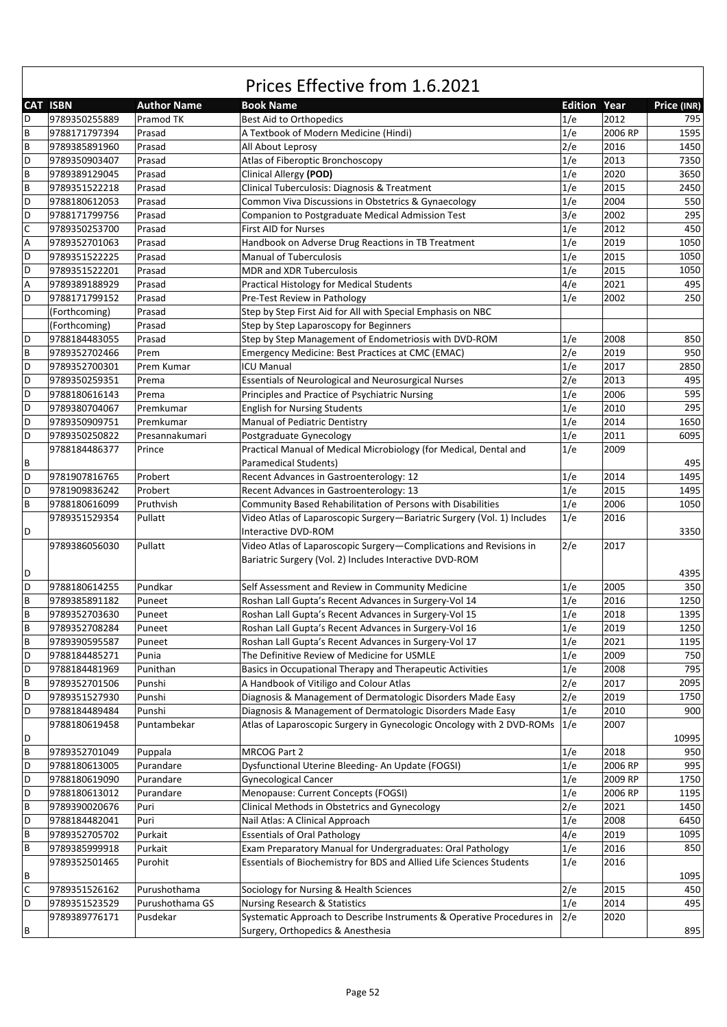|                           | <b>CAT ISBN</b> | <b>Author Name</b> | <b>Book Name</b>                                                                 | <b>Edition Year</b> |         | Price (INR) |
|---------------------------|-----------------|--------------------|----------------------------------------------------------------------------------|---------------------|---------|-------------|
| D                         | 9789350255889   | Pramod TK          | Best Aid to Orthopedics                                                          | 1/e                 | 2012    | 795         |
| $\sf B$                   | 9788171797394   | Prasad             | A Textbook of Modern Medicine (Hindi)                                            | 1/e                 | 2006 RP | 1595        |
| $\sf B$                   | 9789385891960   | Prasad             | All About Leprosy                                                                | 2/e                 | 2016    | 1450        |
| D                         | 9789350903407   | Prasad             | Atlas of Fiberoptic Bronchoscopy                                                 | 1/e                 | 2013    | 7350        |
| $\sf B$                   | 9789389129045   | Prasad             | Clinical Allergy (POD)                                                           | 1/e                 | 2020    | 3650        |
| $\sf B$                   | 9789351522218   | Prasad             | Clinical Tuberculosis: Diagnosis & Treatment                                     | 1/e                 | 2015    | 2450        |
| D                         | 9788180612053   | Prasad             | Common Viva Discussions in Obstetrics & Gynaecology                              | 1/e                 | 2004    | 550         |
| D                         | 9788171799756   | Prasad             | Companion to Postgraduate Medical Admission Test                                 | 3/e                 | 2002    | 295         |
| $\mathsf{C}$              | 9789350253700   |                    |                                                                                  |                     | 2012    | 450         |
|                           |                 | Prasad             | <b>First AID for Nurses</b>                                                      | 1/e                 |         |             |
| A                         | 9789352701063   | Prasad             | Handbook on Adverse Drug Reactions in TB Treatment                               | 1/e                 | 2019    | 1050        |
| D                         | 9789351522225   | Prasad             | <b>Manual of Tuberculosis</b>                                                    | 1/e                 | 2015    | 1050        |
| D                         | 9789351522201   | Prasad             | <b>MDR and XDR Tuberculosis</b>                                                  | 1/e                 | 2015    | 1050        |
| $\boldsymbol{\mathsf{A}}$ | 9789389188929   | Prasad             | <b>Practical Histology for Medical Students</b>                                  | 4/e                 | 2021    | 495         |
| D                         | 9788171799152   | Prasad             | Pre-Test Review in Pathology                                                     | 1/e                 | 2002    | 250         |
|                           | (Forthcoming)   | Prasad             | Step by Step First Aid for All with Special Emphasis on NBC                      |                     |         |             |
|                           | (Forthcoming)   | Prasad             | Step by Step Laparoscopy for Beginners                                           |                     |         |             |
| D                         | 9788184483055   | Prasad             | Step by Step Management of Endometriosis with DVD-ROM                            | 1/e                 | 2008    | 850         |
| $\sf B$                   | 9789352702466   | Prem               | Emergency Medicine: Best Practices at CMC (EMAC)                                 | 2/e                 | 2019    | 950         |
| D                         | 9789352700301   | Prem Kumar         | <b>ICU Manual</b>                                                                | 1/e                 | 2017    | 2850        |
| D                         | 9789350259351   | Prema              | <b>Essentials of Neurological and Neurosurgical Nurses</b>                       | 2/e                 | 2013    | 495         |
| D                         | 9788180616143   | Prema              | Principles and Practice of Psychiatric Nursing                                   | 1/e                 | 2006    | 595         |
| D                         | 9789380704067   | Premkumar          | <b>English for Nursing Students</b>                                              | 1/e                 | 2010    | 295         |
| D                         | 9789350909751   | Premkumar          | Manual of Pediatric Dentistry                                                    | 1/e                 | 2014    | 1650        |
| D                         | 9789350250822   | Presannakumari     | Postgraduate Gynecology                                                          | 1/e                 | 2011    | 6095        |
|                           | 9788184486377   | Prince             | Practical Manual of Medical Microbiology (for Medical, Dental and                | 1/e                 | 2009    |             |
| B                         |                 |                    | <b>Paramedical Students)</b>                                                     |                     |         | 495         |
| D                         | 9781907816765   | Probert            | Recent Advances in Gastroenterology: 12                                          | 1/e                 | 2014    | 1495        |
| D                         | 9781909836242   | Probert            | Recent Advances in Gastroenterology: 13                                          | 1/e                 | 2015    | 1495        |
| $\sf B$                   | 9788180616099   | Pruthvish          | Community Based Rehabilitation of Persons with Disabilities                      | 1/e                 | 2006    | 1050        |
|                           | 9789351529354   | Pullatt            |                                                                                  | 1/e                 | 2016    |             |
|                           |                 |                    | Video Atlas of Laparoscopic Surgery-Bariatric Surgery (Vol. 1) Includes          |                     |         |             |
| D                         |                 |                    | Interactive DVD-ROM                                                              |                     |         | 3350        |
|                           | 9789386056030   | Pullatt            | Video Atlas of Laparoscopic Surgery-Complications and Revisions in               | 2/e                 | 2017    |             |
|                           |                 |                    | Bariatric Surgery (Vol. 2) Includes Interactive DVD-ROM                          |                     |         |             |
| D                         |                 |                    |                                                                                  |                     |         | 4395        |
| D                         | 9788180614255   | Pundkar            | Self Assessment and Review in Community Medicine                                 | 1/e                 | 2005    | 350         |
| $\sf B$                   | 9789385891182   | Puneet             | Roshan Lall Gupta's Recent Advances in Surgery-Vol 14                            | 1/e                 | 2016    | 1250        |
| $\sf{B}$                  | 9789352703630   | Puneet             | Roshan Lall Gupta's Recent Advances in Surgery-Vol 15                            | 1/e                 | 2018    | 1395        |
| $\sf B$                   | 9789352708284   | Puneet             | Roshan Lall Gupta's Recent Advances in Surgery-Vol 16                            | 1/e                 | 2019    | 1250        |
| $\overline{B}$            | 9789390595587   | Puneet             | Roshan Lall Gupta's Recent Advances in Surgery-Vol 17                            | 1/e                 | 2021    | 1195        |
| D                         | 9788184485271   | Punia              | The Definitive Review of Medicine for USMLE                                      | 1/e                 | 2009    | 750         |
| D                         | 9788184481969   | Punithan           | Basics in Occupational Therapy and Therapeutic Activities                        | 1/e                 | 2008    | 795         |
| $\sf B$                   | 9789352701506   | Punshi             | A Handbook of Vitiligo and Colour Atlas                                          | 2/e                 | 2017    | 2095        |
| D                         | 9789351527930   | Punshi             | Diagnosis & Management of Dermatologic Disorders Made Easy                       | 2/e                 | 2019    | 1750        |
| D                         | 9788184489484   | Punshi             | Diagnosis & Management of Dermatologic Disorders Made Easy                       | 1/e                 | 2010    | 900         |
|                           | 9788180619458   | Puntambekar        | Atlas of Laparoscopic Surgery in Gynecologic Oncology with 2 DVD-ROMs            | 1/e                 | 2007    |             |
| D                         |                 |                    |                                                                                  |                     |         | 10995       |
| $\sf B$                   | 9789352701049   | Puppala            | MRCOG Part 2                                                                     | 1/e                 | 2018    | 950         |
| D                         | 9788180613005   | Purandare          | Dysfunctional Uterine Bleeding- An Update (FOGSI)                                | 1/e                 | 2006 RP | 995         |
| D                         | 9788180619090   | Purandare          | <b>Gynecological Cancer</b>                                                      | 1/e                 | 2009 RP | 1750        |
| D                         | 9788180613012   | Purandare          | Menopause: Current Concepts (FOGSI)                                              | 1/e                 | 2006 RP | 1195        |
| $\sf B$                   | 9789390020676   |                    |                                                                                  | 2/e                 | 2021    | 1450        |
| D                         |                 | Puri<br>Puri       | Clinical Methods in Obstetrics and Gynecology<br>Nail Atlas: A Clinical Approach | 1/e                 | 2008    | 6450        |
|                           | 9788184482041   |                    |                                                                                  |                     |         |             |
| $\sf B$                   | 9789352705702   | Purkait            | <b>Essentials of Oral Pathology</b>                                              | 4/e                 | 2019    | 1095        |
| $\sf B$                   | 9789385999918   | Purkait            | Exam Preparatory Manual for Undergraduates: Oral Pathology                       | 1/e                 | 2016    | 850         |
|                           | 9789352501465   | Purohit            | Essentials of Biochemistry for BDS and Allied Life Sciences Students             | 1/e                 | 2016    |             |
| B                         |                 |                    |                                                                                  |                     |         | 1095        |
| $\mathsf C$               | 9789351526162   | Purushothama       | Sociology for Nursing & Health Sciences                                          | 2/e                 | 2015    | 450         |
| D                         | 9789351523529   | Purushothama GS    | Nursing Research & Statistics                                                    | 1/e                 | 2014    | 495         |
|                           | 9789389776171   | Pusdekar           | Systematic Approach to Describe Instruments & Operative Procedures in            | 2/e                 | 2020    |             |
| B                         |                 |                    | Surgery, Orthopedics & Anesthesia                                                |                     |         | 895         |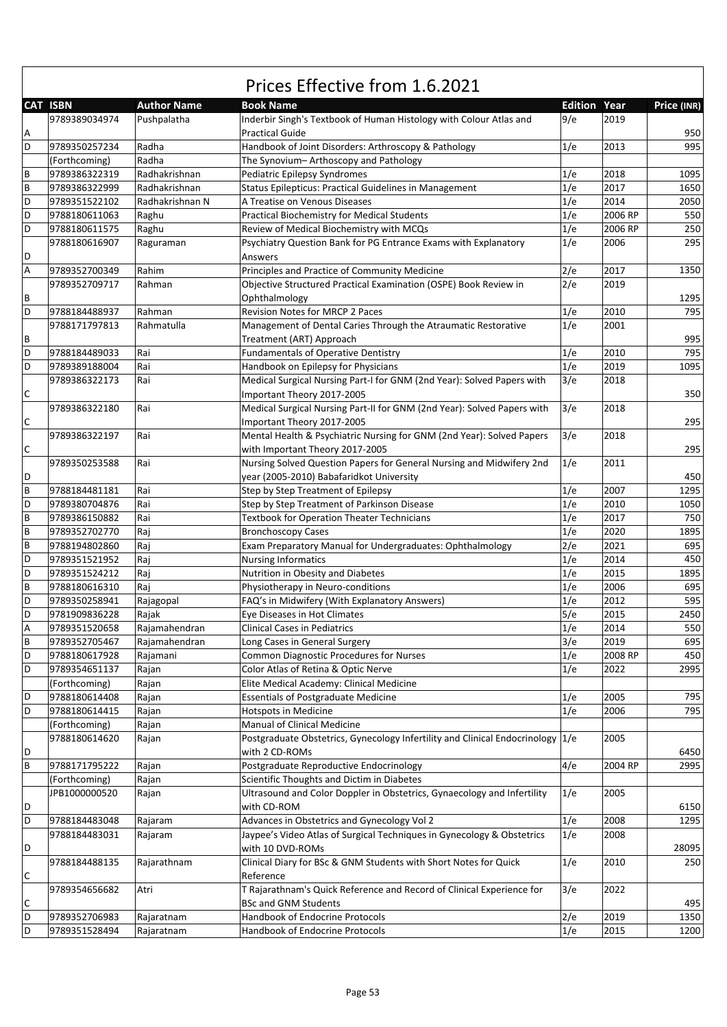|   |                 |                    | Prices Effective from 1.6.2021                                                               |                |         |             |
|---|-----------------|--------------------|----------------------------------------------------------------------------------------------|----------------|---------|-------------|
|   | <b>CAT ISBN</b> | <b>Author Name</b> | <b>Book Name</b>                                                                             | <b>Edition</b> | Year    | Price (INR) |
| Α | 9789389034974   | Pushpalatha        | Inderbir Singh's Textbook of Human Histology with Colour Atlas and<br><b>Practical Guide</b> | 9/e            | 2019    | 950         |
| D | 9789350257234   | Radha              | Handbook of Joint Disorders: Arthroscopy & Pathology                                         | 1/e            | 2013    | 995         |
|   | (Forthcoming)   | Radha              | The Synovium-Arthoscopy and Pathology                                                        |                |         |             |
| B | 9789386322319   | Radhakrishnan      | Pediatric Epilepsy Syndromes                                                                 | 1/e            | 2018    | 1095        |
| B | 9789386322999   | Radhakrishnan      | Status Epilepticus: Practical Guidelines in Management                                       | 1/e            | 2017    | 1650        |
| D | 9789351522102   | Radhakrishnan N    | A Treatise on Venous Diseases                                                                | 1/e            | 2014    | 2050        |
| D | 9788180611063   | Raghu              | <b>Practical Biochemistry for Medical Students</b>                                           | 1/e            | 2006 RP | 550         |
| D | 9788180611575   | Raghu              | Review of Medical Biochemistry with MCQs                                                     | 1/e            | 2006 RP | 250         |
|   | 9788180616907   | Raguraman          | Psychiatry Question Bank for PG Entrance Exams with Explanatory                              | 1/e            | 2006    | 295         |
| D |                 |                    | Answers                                                                                      |                |         |             |
| Α | 9789352700349   | Rahim              | Principles and Practice of Community Medicine                                                | 2/e            | 2017    | 1350        |
|   | 9789352709717   | Rahman             | Objective Structured Practical Examination (OSPE) Book Review in                             | 2/e            | 2019    |             |
| В |                 |                    | Ophthalmology                                                                                |                |         | 1295        |
| D | 9788184488937   | Rahman             | <b>Revision Notes for MRCP 2 Paces</b>                                                       | 1/e            | 2010    | 795         |
| В | 9788171797813   | Rahmatulla         | Management of Dental Caries Through the Atraumatic Restorative<br>Treatment (ART) Approach   | 1/e            | 2001    | 995         |
| D | 9788184489033   | Rai                | <b>Fundamentals of Operative Dentistry</b>                                                   | 1/e            | 2010    | 795         |
| D | 9789389188004   | Rai                | Handbook on Epilepsy for Physicians                                                          | 1/e            | 2019    | 1095        |
|   | 9789386322173   | Rai                | Medical Surgical Nursing Part-I for GNM (2nd Year): Solved Papers with                       | 3/e            | 2018    |             |
| C |                 |                    | Important Theory 2017-2005                                                                   |                |         | 350         |
|   | 9789386322180   | Rai                | Medical Surgical Nursing Part-II for GNM (2nd Year): Solved Papers with                      | 3/e            | 2018    |             |
| C |                 |                    | Important Theory 2017-2005                                                                   |                |         | 295         |
|   | 9789386322197   | Rai                | Mental Health & Psychiatric Nursing for GNM (2nd Year): Solved Papers                        | 3/e            | 2018    |             |
| C |                 |                    | with Important Theory 2017-2005                                                              |                |         | 295         |
|   | 9789350253588   | Rai                | Nursing Solved Question Papers for General Nursing and Midwifery 2nd                         | 1/e            | 2011    |             |
| D |                 |                    | year (2005-2010) Babafaridkot University                                                     |                |         | 450         |
| B | 9788184481181   | Rai                | Step by Step Treatment of Epilepsy                                                           | 1/e            | 2007    | 1295        |
| D | 9789380704876   | Rai                | Step by Step Treatment of Parkinson Disease                                                  | 1/e            | 2010    | 1050        |
| B | 9789386150882   | Rai                | <b>Textbook for Operation Theater Technicians</b>                                            | 1/e            | 2017    | 750         |
| B | 9789352702770   | Raj                | <b>Bronchoscopy Cases</b>                                                                    | 1/e            | 2020    | 1895        |
| B | 9788194802860   | Raj                | Exam Preparatory Manual for Undergraduates: Ophthalmology                                    | 2/e            | 2021    | 695         |
| D | 9789351521952   | Raj                | <b>Nursing Informatics</b>                                                                   | 1/e            | 2014    | 450         |
| D | 9789351524212   | Raj                | Nutrition in Obesity and Diabetes                                                            | 1/e            | 2015    | 1895        |
| B | 9788180616310   | Raj                | Physiotherapy in Neuro-conditions                                                            | 1/e            | 2006    | 695         |
| D | 9789350258941   | Rajagopal          | FAQ's in Midwifery (With Explanatory Answers)                                                | 1/e            | 2012    | 595         |
| D | 9781909836228   | Rajak              | Eye Diseases in Hot Climates                                                                 | 5/e            | 2015    | 2450        |
| Α | 9789351520658   | Rajamahendran      | <b>Clinical Cases in Pediatrics</b>                                                          | 1/e            | 2014    | 550         |
| B | 9789352705467   | Rajamahendran      | Long Cases in General Surgery                                                                | 3/e            | 2019    | 695         |
| D | 9788180617928   | Rajamani           | Common Diagnostic Procedures for Nurses                                                      | 1/e            | 2008 RP | 450         |
| D | 9789354651137   | Rajan              | Color Atlas of Retina & Optic Nerve                                                          | 1/e            | 2022    | 2995        |
|   | (Forthcoming)   | Rajan              | Elite Medical Academy: Clinical Medicine                                                     |                |         |             |
| D | 9788180614408   | Rajan              | <b>Essentials of Postgraduate Medicine</b>                                                   | 1/e            | 2005    | 795         |
| D | 9788180614415   | Rajan              | <b>Hotspots in Medicine</b>                                                                  | 1/e            | 2006    | 795         |
|   | (Forthcoming)   | Rajan              | Manual of Clinical Medicine                                                                  |                |         |             |
| D | 9788180614620   | Rajan              | Postgraduate Obstetrics, Gynecology Infertility and Clinical Endocrinology<br>with 2 CD-ROMs | 1/e            | 2005    | 6450        |
| B | 9788171795222   | Rajan              | Postgraduate Reproductive Endocrinology                                                      | 4/e            | 2004 RP | 2995        |
|   | (Forthcoming)   | Rajan              | Scientific Thoughts and Dictim in Diabetes                                                   |                |         |             |
|   | JPB1000000520   |                    |                                                                                              | 1/e            | 2005    |             |
| D |                 | Rajan              | Ultrasound and Color Doppler in Obstetrics, Gynaecology and Infertility<br>with CD-ROM       |                |         | 6150        |
| D | 9788184483048   |                    | Advances in Obstetrics and Gynecology Vol 2                                                  | 1/e            | 2008    | 1295        |
|   |                 | Rajaram            |                                                                                              |                |         |             |
| D | 9788184483031   | Rajaram            | Jaypee's Video Atlas of Surgical Techniques in Gynecology & Obstetrics<br>with 10 DVD-ROMs   | 1/e            | 2008    |             |
|   | 9788184488135   |                    | Clinical Diary for BSc & GNM Students with Short Notes for Quick                             | 1/e            | 2010    | 28095       |
| С |                 | Rajarathnam        | Reference                                                                                    |                |         | 250         |
|   | 9789354656682   | Atri               | T Rajarathnam's Quick Reference and Record of Clinical Experience for                        | 3/e            | 2022    |             |
| С |                 |                    | <b>BSc and GNM Students</b>                                                                  |                |         | 495         |
| D | 9789352706983   | Rajaratnam         | Handbook of Endocrine Protocols                                                              | 2/e            | 2019    | 1350        |
| D | 9789351528494   | Rajaratnam         | Handbook of Endocrine Protocols                                                              | 1/e            | 2015    | 1200        |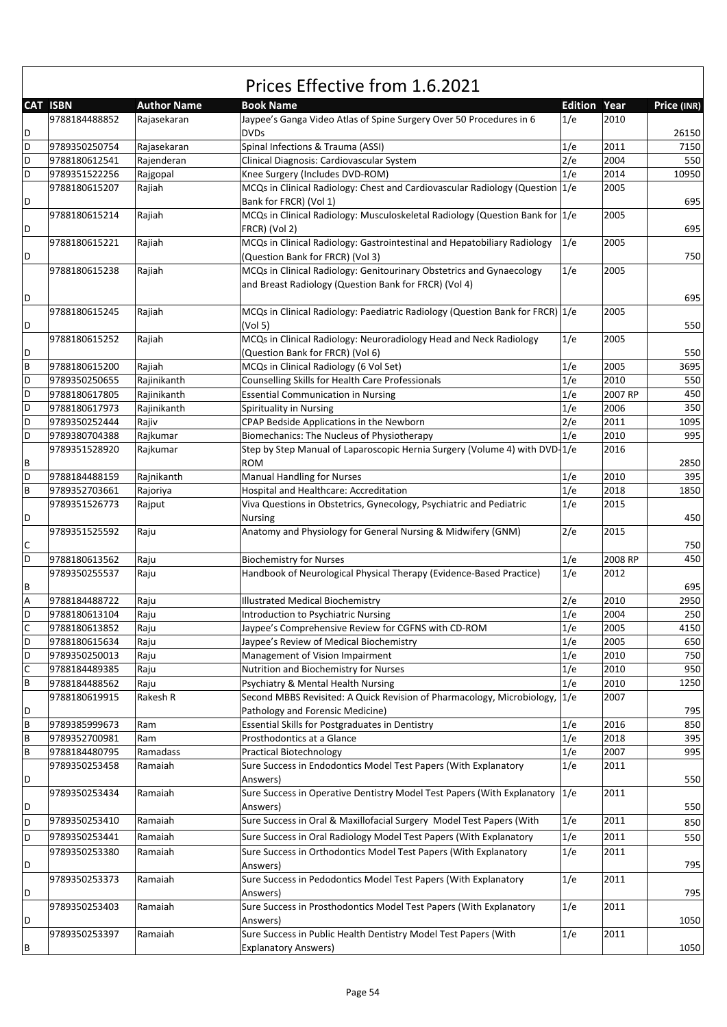|        |                 |                    | Prices Effective from 1.6.2021                                                     |                     |         |             |
|--------|-----------------|--------------------|------------------------------------------------------------------------------------|---------------------|---------|-------------|
|        | <b>CAT ISBN</b> | <b>Author Name</b> | <b>Book Name</b>                                                                   | <b>Edition Year</b> |         | Price (INR) |
|        | 9788184488852   | Rajasekaran        | Jaypee's Ganga Video Atlas of Spine Surgery Over 50 Procedures in 6<br><b>DVDs</b> | 1/e                 | 2010    |             |
| D      |                 |                    |                                                                                    |                     | 2011    | 26150       |
| D      | 9789350250754   | Rajasekaran        | Spinal Infections & Trauma (ASSI)                                                  | 1/e                 |         | 7150        |
| D<br>D | 9788180612541   | Rajenderan         | Clinical Diagnosis: Cardiovascular System                                          | 2/e                 | 2004    | 550         |
|        | 9789351522256   | Rajgopal           | Knee Surgery (Includes DVD-ROM)                                                    | 1/e                 | 2014    | 10950       |
|        | 9788180615207   | Rajiah             | MCQs in Clinical Radiology: Chest and Cardiovascular Radiology (Question 1/e       |                     | 2005    |             |
| D      |                 |                    | Bank for FRCR) (Vol 1)                                                             |                     |         | 695         |
|        | 9788180615214   | Rajiah             | MCQs in Clinical Radiology: Musculoskeletal Radiology (Question Bank for 1/e       |                     | 2005    |             |
| D      |                 |                    | FRCR) (Vol 2)                                                                      |                     |         | 695         |
|        | 9788180615221   | Rajiah             | MCQs in Clinical Radiology: Gastrointestinal and Hepatobiliary Radiology           | 1/e                 | 2005    |             |
| D      |                 |                    | (Question Bank for FRCR) (Vol 3)                                                   |                     |         | 750         |
|        | 9788180615238   | Rajiah             | MCQs in Clinical Radiology: Genitourinary Obstetrics and Gynaecology               | 1/e                 | 2005    |             |
|        |                 |                    | and Breast Radiology (Question Bank for FRCR) (Vol 4)                              |                     |         |             |
| D      |                 |                    |                                                                                    |                     |         | 695         |
|        | 9788180615245   | Rajiah             | MCQs in Clinical Radiology: Paediatric Radiology (Question Bank for FRCR) 1/e      |                     | 2005    |             |
| D      |                 |                    | (Vol <sub>5</sub> )                                                                |                     |         | 550         |
|        | 9788180615252   | Rajiah             | MCQs in Clinical Radiology: Neuroradiology Head and Neck Radiology                 | 1/e                 | 2005    |             |
| D      |                 |                    | (Question Bank for FRCR) (Vol 6)                                                   |                     |         | 550         |
| В      | 9788180615200   | Rajiah             | MCQs in Clinical Radiology (6 Vol Set)                                             | 1/e                 | 2005    | 3695        |
| D      | 9789350250655   | Rajinikanth        | Counselling Skills for Health Care Professionals                                   | 1/e                 | 2010    | 550         |
| D      | 9788180617805   | Rajinikanth        | <b>Essential Communication in Nursing</b>                                          | 1/e                 | 2007 RP | 450         |
| D      | 9788180617973   | Rajinikanth        | Spirituality in Nursing                                                            | 1/e                 | 2006    | 350         |
| D      | 9789350252444   | Rajiv              | CPAP Bedside Applications in the Newborn                                           | 2/e                 | 2011    | 1095        |
| D      | 9789380704388   | Rajkumar           | Biomechanics: The Nucleus of Physiotherapy                                         | 1/e                 | 2010    | 995         |
|        | 9789351528920   | Rajkumar           | Step by Step Manual of Laparoscopic Hernia Surgery (Volume 4) with DVD-1/e         |                     | 2016    |             |
|        |                 |                    | <b>ROM</b>                                                                         |                     |         |             |
| В      |                 |                    |                                                                                    |                     |         | 2850        |
| D      | 9788184488159   | Rajnikanth         | <b>Manual Handling for Nurses</b>                                                  | 1/e                 | 2010    | 395         |
| B      | 9789352703661   | Rajoriya           | Hospital and Healthcare: Accreditation                                             | 1/e                 | 2018    | 1850        |
|        | 9789351526773   | Rajput             | Viva Questions in Obstetrics, Gynecology, Psychiatric and Pediatric                | 1/e                 | 2015    |             |
| D      |                 |                    | <b>Nursing</b>                                                                     |                     |         | 450         |
|        | 9789351525592   | Raju               | Anatomy and Physiology for General Nursing & Midwifery (GNM)                       | 2/e                 | 2015    |             |
| С      |                 |                    |                                                                                    |                     |         | 750         |
| D      | 9788180613562   | Raju               | <b>Biochemistry for Nurses</b>                                                     | 1/e                 | 2008 RP | 450         |
|        | 9789350255537   | Raju               | Handbook of Neurological Physical Therapy (Evidence-Based Practice)                | 1/e                 | 2012    |             |
| В      |                 |                    |                                                                                    |                     |         | 695         |
| А      | 9788184488722   | Raju               | <b>Illustrated Medical Biochemistry</b>                                            | 2/e                 | 2010    | 2950        |
| D      | 9788180613104   | Raju               | Introduction to Psychiatric Nursing                                                | 1/e                 | 2004    | 250         |
| С      | 9788180613852   | Raju               | Jaypee's Comprehensive Review for CGFNS with CD-ROM                                | 1/e                 | 2005    | 4150        |
| D      | 9788180615634   | Raju               | Jaypee's Review of Medical Biochemistry                                            | 1/e                 | 2005    | 650         |
| D      | 9789350250013   | Raju               | Management of Vision Impairment                                                    | 1/e                 | 2010    | 750         |
| С      | 9788184489385   | Raju               | Nutrition and Biochemistry for Nurses                                              | 1/e                 | 2010    | 950         |
| В      | 9788184488562   | Raju               | Psychiatry & Mental Health Nursing                                                 | 1/e                 | 2010    | 1250        |
|        | 9788180619915   | Rakesh R           | Second MBBS Revisited: A Quick Revision of Pharmacology, Microbiology, 1/e         |                     | 2007    |             |
| D      |                 |                    | Pathology and Forensic Medicine)                                                   |                     |         | 795         |
| В      | 9789385999673   | Ram                | Essential Skills for Postgraduates in Dentistry                                    | 1/e                 | 2016    | 850         |
| В      | 9789352700981   | Ram                | Prosthodontics at a Glance                                                         | 1/e                 | 2018    | 395         |
| В      | 9788184480795   | Ramadass           | <b>Practical Biotechnology</b>                                                     | 1/e                 | 2007    | 995         |
|        | 9789350253458   | Ramaiah            | Sure Success in Endodontics Model Test Papers (With Explanatory                    | 1/e                 | 2011    |             |
| D      |                 |                    |                                                                                    |                     |         | 550         |
|        |                 |                    | Answers)                                                                           |                     |         |             |
|        | 9789350253434   | Ramaiah            | Sure Success in Operative Dentistry Model Test Papers (With Explanatory            | 1/e                 | 2011    |             |
| D      |                 |                    | Answers)                                                                           |                     |         | 550         |
| D      | 9789350253410   | Ramaiah            | Sure Success in Oral & Maxillofacial Surgery Model Test Papers (With               | 1/e                 | 2011    | 850         |
| D      | 9789350253441   | Ramaiah            | Sure Success in Oral Radiology Model Test Papers (With Explanatory                 | 1/e                 | 2011    | 550         |
|        | 9789350253380   | Ramaiah            | Sure Success in Orthodontics Model Test Papers (With Explanatory                   | 1/e                 | 2011    |             |
| D      |                 |                    | Answers)                                                                           |                     |         | 795         |
|        | 9789350253373   | Ramaiah            | Sure Success in Pedodontics Model Test Papers (With Explanatory                    | 1/e                 | 2011    |             |
| D      |                 |                    | Answers)                                                                           |                     |         | 795         |
|        | 9789350253403   | Ramaiah            | Sure Success in Prosthodontics Model Test Papers (With Explanatory                 | 1/e                 | 2011    |             |
| D      |                 |                    | Answers)                                                                           |                     |         | 1050        |
|        | 9789350253397   | Ramaiah            | Sure Success in Public Health Dentistry Model Test Papers (With                    | 1/e                 | 2011    |             |
| В      |                 |                    | <b>Explanatory Answers)</b>                                                        |                     |         | 1050        |
|        |                 |                    |                                                                                    |                     |         |             |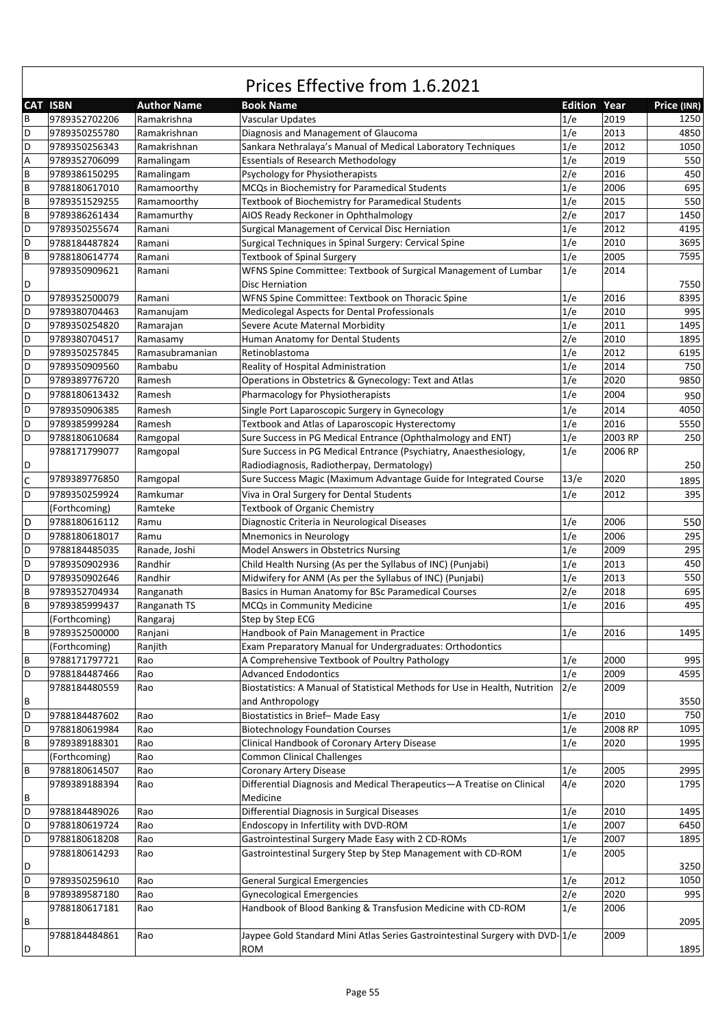|                           | <b>CAT ISBN</b> | <b>Author Name</b> | <b>Book Name</b>                                                                                         | <b>Edition Year</b> |         | Price (INR) |
|---------------------------|-----------------|--------------------|----------------------------------------------------------------------------------------------------------|---------------------|---------|-------------|
| B                         | 9789352702206   | Ramakrishna        | <b>Vascular Updates</b>                                                                                  | 1/e                 | 2019    | 1250        |
| D                         | 9789350255780   | Ramakrishnan       | Diagnosis and Management of Glaucoma                                                                     | 1/e                 | 2013    | 4850        |
| D                         | 9789350256343   | Ramakrishnan       | Sankara Nethralaya's Manual of Medical Laboratory Techniques                                             | 1/e                 | 2012    | 1050        |
| $\boldsymbol{\mathsf{A}}$ | 9789352706099   | Ramalingam         | <b>Essentials of Research Methodology</b>                                                                | 1/e                 | 2019    | 550         |
| $\sf B$                   | 9789386150295   | Ramalingam         | Psychology for Physiotherapists                                                                          | 2/e                 | 2016    | 450         |
| $\sf{B}$                  | 9788180617010   | Ramamoorthy        | MCQs in Biochemistry for Paramedical Students                                                            | 1/e                 | 2006    | 695         |
| $\sf{B}$                  | 9789351529255   | Ramamoorthy        | Textbook of Biochemistry for Paramedical Students                                                        | 1/e                 | 2015    | 550         |
| $\sf{B}$                  | 9789386261434   | Ramamurthy         | AIOS Ready Reckoner in Ophthalmology                                                                     | 2/e                 | 2017    | 1450        |
| D                         | 9789350255674   | Ramani             | Surgical Management of Cervical Disc Herniation                                                          | 1/e                 | 2012    | 4195        |
| D                         | 9788184487824   | Ramani             | Surgical Techniques in Spinal Surgery: Cervical Spine                                                    | 1/e                 | 2010    | 3695        |
| $\sf{B}$                  | 9788180614774   | Ramani             | <b>Textbook of Spinal Surgery</b>                                                                        | 1/e                 | 2005    | 7595        |
|                           | 9789350909621   | Ramani             | WFNS Spine Committee: Textbook of Surgical Management of Lumbar                                          | 1/e                 | 2014    |             |
| D                         |                 |                    | Disc Herniation                                                                                          |                     |         | 7550        |
| D                         | 9789352500079   | Ramani             | WFNS Spine Committee: Textbook on Thoracic Spine                                                         | 1/e                 | 2016    | 8395        |
| D                         | 9789380704463   | Ramanujam          |                                                                                                          | 1/e                 | 2010    | 995         |
| D                         |                 |                    | Medicolegal Aspects for Dental Professionals                                                             | 1/e                 | 2011    | 1495        |
| D                         | 9789350254820   | Ramarajan          | Severe Acute Maternal Morbidity                                                                          | 2/e                 | 2010    | 1895        |
| D                         | 9789380704517   | Ramasamy           | Human Anatomy for Dental Students                                                                        |                     |         |             |
|                           | 9789350257845   | Ramasubramanian    | Retinoblastoma                                                                                           | 1/e                 | 2012    | 6195        |
| D                         | 9789350909560   | Rambabu            | Reality of Hospital Administration                                                                       | 1/e                 | 2014    | 750         |
| D                         | 9789389776720   | Ramesh             | Operations in Obstetrics & Gynecology: Text and Atlas                                                    | 1/e                 | 2020    | 9850        |
| D                         | 9788180613432   | Ramesh             | Pharmacology for Physiotherapists                                                                        | 1/e                 | 2004    | 950         |
| D                         | 9789350906385   | Ramesh             | Single Port Laparoscopic Surgery in Gynecology                                                           | 1/e                 | 2014    | 4050        |
| D                         | 9789385999284   | Ramesh             | Textbook and Atlas of Laparoscopic Hysterectomy                                                          | 1/e                 | 2016    | 5550        |
| D                         | 9788180610684   | Ramgopal           | Sure Success in PG Medical Entrance (Ophthalmology and ENT)                                              | 1/e                 | 2003 RP | 250         |
|                           | 9788171799077   | Ramgopal           | Sure Success in PG Medical Entrance (Psychiatry, Anaesthesiology,                                        | 1/e                 | 2006 RP |             |
| D                         |                 |                    | Radiodiagnosis, Radiotherpay, Dermatology)                                                               |                     |         | 250         |
| $\mathsf{C}$              | 9789389776850   | Ramgopal           | Sure Success Magic (Maximum Advantage Guide for Integrated Course                                        | 13/e                | 2020    | 1895        |
| D                         | 9789350259924   | Ramkumar           | Viva in Oral Surgery for Dental Students                                                                 | 1/e                 | 2012    | 395         |
|                           | (Forthcoming)   | Ramteke            | Textbook of Organic Chemistry                                                                            |                     |         |             |
| D                         | 9788180616112   | Ramu               | Diagnostic Criteria in Neurological Diseases                                                             | 1/e                 | 2006    | 550         |
| D                         | 9788180618017   | Ramu               | <b>Mnemonics in Neurology</b>                                                                            | 1/e                 | 2006    | 295         |
| D                         | 9788184485035   | Ranade, Joshi      | Model Answers in Obstetrics Nursing                                                                      | 1/e                 | 2009    | 295         |
| D                         | 9789350902936   | Randhir            | Child Health Nursing (As per the Syllabus of INC) (Punjabi)                                              | 1/e                 | 2013    | 450         |
| D                         | 9789350902646   | Randhir            | Midwifery for ANM (As per the Syllabus of INC) (Punjabi)                                                 | 1/e                 | 2013    | 550         |
| $\sf B$                   | 9789352704934   | Ranganath          | Basics in Human Anatomy for BSc Paramedical Courses                                                      | 2/e                 | 2018    | 695         |
| $\sf B$                   | 9789385999437   | Ranganath TS       | MCQs in Community Medicine                                                                               | 1/e                 | 2016    | 495         |
|                           | (Forthcoming)   | Rangaraj           | Step by Step ECG                                                                                         |                     |         |             |
| $\sf B$                   | 9789352500000   | Ranjani            | Handbook of Pain Management in Practice                                                                  | 1/e                 | 2016    | 1495        |
|                           | (Forthcoming)   | Ranjith            | Exam Preparatory Manual for Undergraduates: Orthodontics                                                 |                     |         |             |
| $\sf B$                   | 9788171797721   | Rao                | A Comprehensive Textbook of Poultry Pathology                                                            | 1/e                 | 2000    | 995         |
| D                         | 9788184487466   | Rao                | <b>Advanced Endodontics</b>                                                                              | 1/e                 | 2009    | 4595        |
|                           | 9788184480559   | Rao                | Biostatistics: A Manual of Statistical Methods for Use in Health, Nutrition                              | 2/e                 | 2009    |             |
| B                         |                 |                    | and Anthropology                                                                                         |                     |         | 3550        |
| D                         | 9788184487602   | Rao                | Biostatistics in Brief-Made Easy                                                                         | 1/e                 | 2010    | 750         |
| D                         | 9788180619984   | Rao                | <b>Biotechnology Foundation Courses</b>                                                                  | 1/e                 | 2008 RP | 1095        |
| $\sf B$                   | 9789389188301   | Rao                | Clinical Handbook of Coronary Artery Disease                                                             | 1/e                 | 2020    | 1995        |
|                           | (Forthcoming)   | Rao                | <b>Common Clinical Challenges</b>                                                                        |                     |         |             |
| $\sf B$                   | 9788180614507   |                    |                                                                                                          | 1/e                 | 2005    | 2995        |
|                           | 9789389188394   | Rao                | <b>Coronary Artery Disease</b><br>Differential Diagnosis and Medical Therapeutics-A Treatise on Clinical |                     | 2020    | 1795        |
|                           |                 | Rao                | Medicine                                                                                                 | 4/e                 |         |             |
| $\, {\sf B}$              |                 |                    |                                                                                                          |                     |         |             |
| D                         | 9788184489026   | Rao                | Differential Diagnosis in Surgical Diseases                                                              | 1/e                 | 2010    | 1495        |
| D                         | 9788180619724   | Rao                | Endoscopy in Infertility with DVD-ROM                                                                    | 1/e                 | 2007    | 6450        |
| D                         | 9788180618208   | Rao                | Gastrointestinal Surgery Made Easy with 2 CD-ROMs                                                        | 1/e                 | 2007    | 1895        |
|                           | 9788180614293   | Rao                | Gastrointestinal Surgery Step by Step Management with CD-ROM                                             | 1/e                 | 2005    |             |
| D                         |                 |                    |                                                                                                          |                     |         | 3250        |
| D                         | 9789350259610   | Rao                | <b>General Surgical Emergencies</b>                                                                      | 1/e                 | 2012    | 1050        |
| $\sf B$                   | 9789389587180   | Rao                | <b>Gynecological Emergencies</b>                                                                         | 2/e                 | 2020    | 995         |
|                           | 9788180617181   | Rao                | Handbook of Blood Banking & Transfusion Medicine with CD-ROM                                             | 1/e                 | 2006    |             |
| B                         |                 |                    |                                                                                                          |                     |         | 2095        |
|                           | 9788184484861   | Rao                | Jaypee Gold Standard Mini Atlas Series Gastrointestinal Surgery with DVD-1/e                             |                     | 2009    |             |
| D                         |                 |                    | <b>ROM</b>                                                                                               |                     |         | 1895        |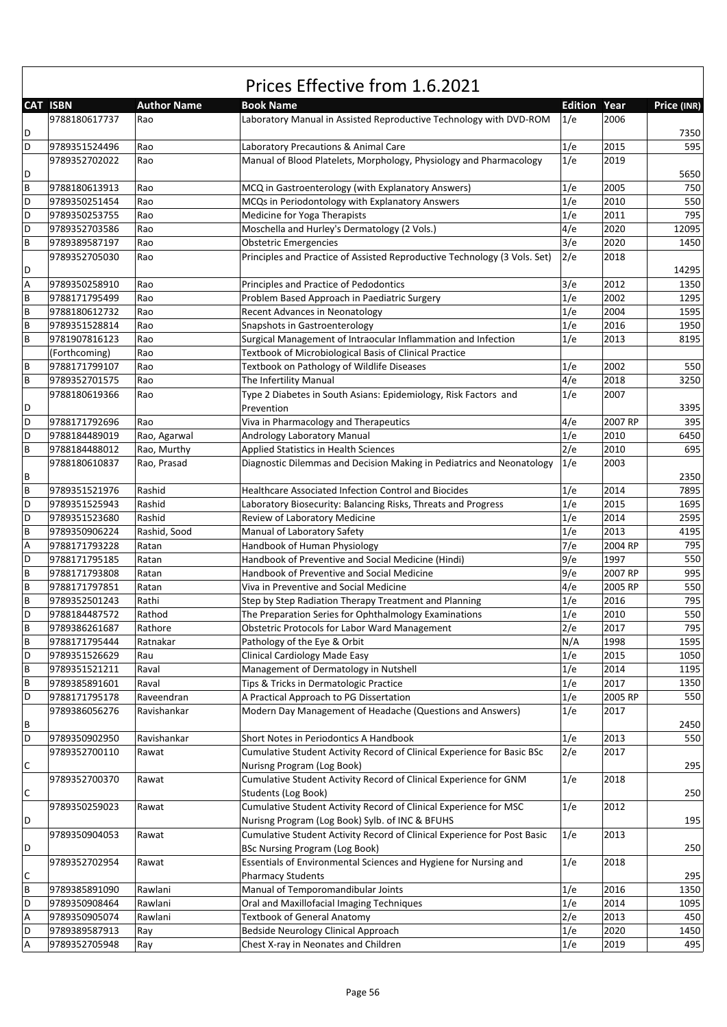|        | <b>CAT ISBN</b>                | <b>Author Name</b> | <b>Book Name</b>                                                                                                  | <b>Edition Year</b> |         | Price (INR)  |
|--------|--------------------------------|--------------------|-------------------------------------------------------------------------------------------------------------------|---------------------|---------|--------------|
| D      | 9788180617737                  | Rao                | Laboratory Manual in Assisted Reproductive Technology with DVD-ROM                                                | 1/e                 | 2006    | 7350         |
| D      | 9789351524496                  | Rao                | Laboratory Precautions & Animal Care                                                                              | 1/e                 | 2015    | 595          |
| D      | 9789352702022                  | Rao                | Manual of Blood Platelets, Morphology, Physiology and Pharmacology                                                | 1/e                 | 2019    | 5650         |
| B      | 9788180613913                  | Rao                | MCQ in Gastroenterology (with Explanatory Answers)                                                                | 1/e                 | 2005    | 750          |
| D      | 9789350251454                  | Rao                | MCQs in Periodontology with Explanatory Answers                                                                   | 1/e                 | 2010    | 550          |
| D      | 9789350253755                  | Rao                | Medicine for Yoga Therapists                                                                                      | 1/e                 | 2011    | 795          |
| D      | 9789352703586                  | Rao                | Moschella and Hurley's Dermatology (2 Vols.)                                                                      | 4/e                 | 2020    | 12095        |
| B      | 9789389587197                  | Rao                | <b>Obstetric Emergencies</b>                                                                                      | 3/e                 | 2020    | 1450         |
|        | 9789352705030                  | Rao                | Principles and Practice of Assisted Reproductive Technology (3 Vols. Set)                                         | 2/e                 | 2018    |              |
| D      |                                |                    |                                                                                                                   |                     |         | 14295        |
| А      | 9789350258910                  | Rao                | Principles and Practice of Pedodontics                                                                            | 3/e                 | 2012    | 1350         |
| B      | 9788171795499                  | Rao                | Problem Based Approach in Paediatric Surgery                                                                      | 1/e                 | 2002    | 1295         |
| B      | 9788180612732                  | Rao                | <b>Recent Advances in Neonatology</b>                                                                             | 1/e                 | 2004    | 1595         |
| В      | 9789351528814                  | Rao                | Snapshots in Gastroenterology                                                                                     | 1/e                 | 2016    | 1950         |
| B      | 9781907816123                  | Rao                | Surgical Management of Intraocular Inflammation and Infection                                                     | 1/e                 | 2013    | 8195         |
|        | (Forthcoming)                  | Rao                | Textbook of Microbiological Basis of Clinical Practice                                                            |                     |         |              |
| В      | 9788171799107                  | Rao                | Textbook on Pathology of Wildlife Diseases                                                                        | 1/e                 | 2002    | 550          |
| В      | 9789352701575                  | Rao                | The Infertility Manual                                                                                            | 4/e                 | 2018    | 3250         |
| D      | 9788180619366                  | Rao                | Type 2 Diabetes in South Asians: Epidemiology, Risk Factors and<br>Prevention                                     | 1/e                 | 2007    | 3395         |
| D      | 9788171792696                  | Rao                | Viva in Pharmacology and Therapeutics                                                                             | 4/e                 | 2007 RP | 395          |
| D      | 9788184489019                  | Rao, Agarwal       | Andrology Laboratory Manual                                                                                       | 1/e                 | 2010    | 6450         |
| В      | 9788184488012                  | Rao, Murthy        | Applied Statistics in Health Sciences                                                                             | 2/e                 | 2010    | 695          |
|        | 9788180610837                  | Rao, Prasad        | Diagnostic Dilemmas and Decision Making in Pediatrics and Neonatology                                             | 1/e                 | 2003    |              |
| В<br>B |                                |                    |                                                                                                                   |                     | 2014    | 2350<br>7895 |
| D      | 9789351521976<br>9789351525943 | Rashid<br>Rashid   | <b>Healthcare Associated Infection Control and Biocides</b>                                                       | 1/e<br>1/e          | 2015    | 1695         |
| D      | 9789351523680                  | Rashid             | Laboratory Biosecurity: Balancing Risks, Threats and Progress<br>Review of Laboratory Medicine                    | 1/e                 | 2014    | 2595         |
| B      | 9789350906224                  | Rashid, Sood       | Manual of Laboratory Safety                                                                                       | 1/e                 | 2013    | 4195         |
| А      | 9788171793228                  | Ratan              | Handbook of Human Physiology                                                                                      | 7/e                 | 2004 RP | 795          |
| D      | 9788171795185                  | Ratan              | Handbook of Preventive and Social Medicine (Hindi)                                                                | 9/e                 | 1997    | 550          |
| B      | 9788171793808                  | Ratan              | Handbook of Preventive and Social Medicine                                                                        | 9/e                 | 2007 RP | 995          |
| B      | 9788171797851                  | Ratan              | Viva in Preventive and Social Medicine                                                                            | 4/e                 | 2005 RP | 550          |
| B      | 9789352501243                  | Rathi              | Step by Step Radiation Therapy Treatment and Planning                                                             | 1/e                 | 2016    | 795          |
| D      | 9788184487572                  | Rathod             | The Preparation Series for Ophthalmology Examinations                                                             | 1/e                 | 2010    | 550          |
| B      | 9789386261687                  | Rathore            | Obstetric Protocols for Labor Ward Management                                                                     | 2/e                 | 2017    | 795          |
| B      | 9788171795444                  | Ratnakar           | Pathology of the Eye & Orbit                                                                                      | N/A                 | 1998    | 1595         |
| D      | 9789351526629                  | Rau                | Clinical Cardiology Made Easy                                                                                     | 1/e                 | 2015    | 1050         |
| В      | 9789351521211                  | Raval              | Management of Dermatology in Nutshell                                                                             | 1/e                 | 2014    | 1195         |
| В      | 9789385891601                  | Raval              | Tips & Tricks in Dermatologic Practice                                                                            | 1/e                 | 2017    | 1350         |
| D      | 9788171795178                  | Raveendran         | A Practical Approach to PG Dissertation                                                                           | 1/e                 | 2005 RP | 550          |
| В      | 9789386056276                  | Ravishankar        | Modern Day Management of Headache (Questions and Answers)                                                         | 1/e                 | 2017    | 2450         |
| D      | 9789350902950                  | Ravishankar        | Short Notes in Periodontics A Handbook                                                                            | 1/e                 | 2013    | 550          |
|        | 9789352700110                  | Rawat              | Cumulative Student Activity Record of Clinical Experience for Basic BSc                                           | 2/e                 | 2017    |              |
| С      |                                |                    | Nurisng Program (Log Book)                                                                                        |                     |         | 295          |
| С      | 9789352700370                  | Rawat              | Cumulative Student Activity Record of Clinical Experience for GNM<br>Students (Log Book)                          | 1/e                 | 2018    | 250          |
|        | 9789350259023                  | Rawat              | Cumulative Student Activity Record of Clinical Experience for MSC                                                 | 1/e                 | 2012    |              |
| D      |                                |                    | Nurisng Program (Log Book) Sylb. of INC & BFUHS                                                                   |                     |         | 195          |
| D      | 9789350904053                  | Rawat              | Cumulative Student Activity Record of Clinical Experience for Post Basic<br><b>BSc Nursing Program (Log Book)</b> | 1/e                 | 2013    | 250          |
|        | 9789352702954                  | Rawat              | Essentials of Environmental Sciences and Hygiene for Nursing and                                                  | 1/e                 | 2018    |              |
| С      |                                |                    | <b>Pharmacy Students</b>                                                                                          |                     |         | 295          |
| В      | 9789385891090                  | Rawlani            | Manual of Temporomandibular Joints                                                                                | 1/e                 | 2016    | 1350         |
| D      | 9789350908464                  | Rawlani            | Oral and Maxillofacial Imaging Techniques                                                                         | 1/e                 | 2014    | 1095         |
| А      | 9789350905074                  | Rawlani            | <b>Textbook of General Anatomy</b>                                                                                | 2/e                 | 2013    | 450          |
| D      | 9789389587913                  | Ray                | Bedside Neurology Clinical Approach                                                                               | 1/e                 | 2020    | 1450         |
| А      | 9789352705948                  | Ray                | Chest X-ray in Neonates and Children                                                                              | 1/e                 | 2019    | 495          |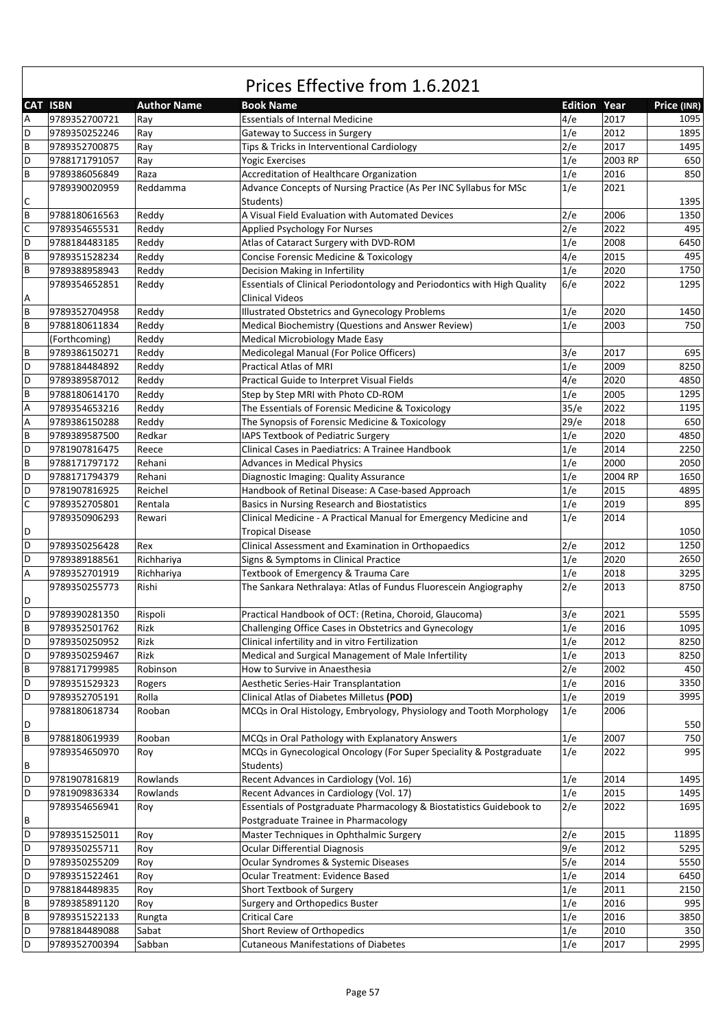|             | <b>CAT ISBN</b> | <b>Author Name</b> | <b>Book Name</b>                                                          | <b>Edition Year</b> |         | Price (INR) |
|-------------|-----------------|--------------------|---------------------------------------------------------------------------|---------------------|---------|-------------|
| Α           | 9789352700721   | Ray                | <b>Essentials of Internal Medicine</b>                                    | 4/e                 | 2017    | 1095        |
| D           | 9789350252246   | Ray                | Gateway to Success in Surgery                                             | 1/e                 | 2012    | 1895        |
| B           | 9789352700875   | Ray                | Tips & Tricks in Interventional Cardiology                                | 2/e                 | 2017    | 1495        |
| D           | 9788171791057   | Ray                | <b>Yogic Exercises</b>                                                    | 1/e                 | 2003 RP | 650         |
| B           | 9789386056849   | Raza               | Accreditation of Healthcare Organization                                  | 1/e                 | 2016    | 850         |
|             | 9789390020959   | Reddamma           | Advance Concepts of Nursing Practice (As Per INC Syllabus for MSc         | 1/e                 | 2021    |             |
| C           |                 |                    | Students)                                                                 |                     |         | 1395        |
| B           | 9788180616563   | Reddy              | A Visual Field Evaluation with Automated Devices                          | 2/e                 | 2006    | 1350        |
| $\mathsf C$ | 9789354655531   | Reddy              | Applied Psychology For Nurses                                             | 2/e                 | 2022    | 495         |
| D           | 9788184483185   | Reddy              | Atlas of Cataract Surgery with DVD-ROM                                    | 1/e                 | 2008    | 6450        |
| B           | 9789351528234   | Reddy              | <b>Concise Forensic Medicine &amp; Toxicology</b>                         | 4/e                 | 2015    | 495         |
| B           | 9789388958943   | Reddy              | Decision Making in Infertility                                            | 1/e                 | 2020    | 1750        |
|             | 9789354652851   | Reddy              | Essentials of Clinical Periodontology and Periodontics with High Quality  | 6/e                 | 2022    | 1295        |
| Α           |                 |                    | <b>Clinical Videos</b>                                                    |                     |         |             |
| B           | 9789352704958   | Reddy              | <b>Illustrated Obstetrics and Gynecology Problems</b>                     | 1/e                 | 2020    | 1450        |
| B           | 9788180611834   | Reddy              | Medical Biochemistry (Questions and Answer Review)                        | 1/e                 | 2003    | 750         |
|             | (Forthcoming)   | Reddy              | Medical Microbiology Made Easy                                            |                     |         |             |
| B           |                 |                    |                                                                           |                     | 2017    | 695         |
| D           | 9789386150271   | Reddy              | Medicolegal Manual (For Police Officers)<br><b>Practical Atlas of MRI</b> | 3/e<br>1/e          | 2009    |             |
|             | 9788184484892   | Reddy              |                                                                           |                     |         | 8250        |
| D           | 9789389587012   | Reddy              | Practical Guide to Interpret Visual Fields                                | 4/e                 | 2020    | 4850        |
| $\sf B$     | 9788180614170   | Reddy              | Step by Step MRI with Photo CD-ROM                                        | 1/e                 | 2005    | 1295        |
| A           | 9789354653216   | Reddy              | The Essentials of Forensic Medicine & Toxicology                          | 35/e                | 2022    | 1195        |
| Α           | 9789386150288   | Reddy              | The Synopsis of Forensic Medicine & Toxicology                            | 29/e                | 2018    | 650         |
| B           | 9789389587500   | Redkar             | IAPS Textbook of Pediatric Surgery                                        | 1/e                 | 2020    | 4850        |
| D           | 9781907816475   | Reece              | Clinical Cases in Paediatrics: A Trainee Handbook                         | 1/e                 | 2014    | 2250        |
| B           | 9788171797172   | Rehani             | Advances in Medical Physics                                               | 1/e                 | 2000    | 2050        |
| D           | 9788171794379   | Rehani             | Diagnostic Imaging: Quality Assurance                                     | 1/e                 | 2004 RP | 1650        |
| D           | 9781907816925   | Reichel            | Handbook of Retinal Disease: A Case-based Approach                        | 1/e                 | 2015    | 4895        |
| $\mathsf C$ | 9789352705801   | Rentala            | Basics in Nursing Research and Biostatistics                              | 1/e                 | 2019    | 895         |
|             | 9789350906293   | Rewari             | Clinical Medicine - A Practical Manual for Emergency Medicine and         | 1/e                 | 2014    |             |
| D           |                 |                    | <b>Tropical Disease</b>                                                   |                     |         | 1050        |
| D           | 9789350256428   | Rex                | Clinical Assessment and Examination in Orthopaedics                       | 2/e                 | 2012    | 1250        |
| D           | 9789389188561   | Richhariya         | Signs & Symptoms in Clinical Practice                                     | 1/e                 | 2020    | 2650        |
| Α           | 9789352701919   | Richhariya         | Textbook of Emergency & Trauma Care                                       | 1/e                 | 2018    | 3295        |
|             | 9789350255773   | Rishi              | The Sankara Nethralaya: Atlas of Fundus Fluorescein Angiography           | 2/e                 | 2013    | 8750        |
| D           |                 |                    |                                                                           |                     |         |             |
| D           | 9789390281350   | Rispoli            | Practical Handbook of OCT: (Retina, Choroid, Glaucoma)                    | 3/e                 | 2021    | 5595        |
| B           | 9789352501762   | Rizk               | Challenging Office Cases in Obstetrics and Gynecology                     | 1/e                 | 2016    | 1095        |
| D           | 9789350250952   | Rizk               | Clinical infertility and in vitro Fertilization                           | 1/e                 | 2012    | 8250        |
| D           | 9789350259467   | Rizk               | Medical and Surgical Management of Male Infertility                       | 1/e                 | 2013    | 8250        |
| B           | 9788171799985   | Robinson           | How to Survive in Anaesthesia                                             | 2/e                 | 2002    | 450         |
| D           | 9789351529323   | Rogers             | Aesthetic Series-Hair Transplantation                                     | 1/e                 | 2016    | 3350        |
| D           | 9789352705191   | Rolla              | Clinical Atlas of Diabetes Milletus (POD)                                 | 1/e                 | 2019    | 3995        |
|             | 9788180618734   | Rooban             | MCQs in Oral Histology, Embryology, Physiology and Tooth Morphology       | 1/e                 | 2006    |             |
| D           |                 |                    |                                                                           |                     |         | 550         |
| B           | 9788180619939   | Rooban             | MCQs in Oral Pathology with Explanatory Answers                           | 1/e                 | 2007    | 750         |
|             | 9789354650970   | Roy                | MCQs in Gynecological Oncology (For Super Speciality & Postgraduate       | 1/e                 | 2022    | 995         |
| В           |                 |                    | Students)                                                                 |                     |         |             |
| D           | 9781907816819   | Rowlands           | Recent Advances in Cardiology (Vol. 16)                                   | 1/e                 | 2014    | 1495        |
| D           | 9781909836334   | Rowlands           | Recent Advances in Cardiology (Vol. 17)                                   | 1/e                 | 2015    | 1495        |
|             | 9789354656941   |                    | Essentials of Postgraduate Pharmacology & Biostatistics Guidebook to      | 2/e                 | 2022    | 1695        |
| В           |                 | Roy                | Postgraduate Trainee in Pharmacology                                      |                     |         |             |
| D           |                 |                    |                                                                           |                     |         |             |
|             | 9789351525011   | Roy                | Master Techniques in Ophthalmic Surgery                                   | 2/e<br>9/e          | 2015    | 11895       |
| D           | 9789350255711   | Roy                | <b>Ocular Differential Diagnosis</b>                                      |                     | 2012    | 5295        |
| D           | 9789350255209   | Roy                | Ocular Syndromes & Systemic Diseases                                      | 5/e                 | 2014    | 5550        |
| D           | 9789351522461   | Roy                | Ocular Treatment: Evidence Based                                          | 1/e                 | 2014    | 6450        |
| D           | 9788184489835   | Roy                | Short Textbook of Surgery                                                 | 1/e                 | 2011    | 2150        |
| B           | 9789385891120   | Roy                | Surgery and Orthopedics Buster                                            | 1/e                 | 2016    | 995         |
| $\sf B$     | 9789351522133   | Rungta             | <b>Critical Care</b>                                                      | 1/e                 | 2016    | 3850        |
| D           | 9788184489088   | Sabat              | Short Review of Orthopedics                                               | 1/e                 | 2010    | 350         |
| D           | 9789352700394   | Sabban             | <b>Cutaneous Manifestations of Diabetes</b>                               | 1/e                 | 2017    | 2995        |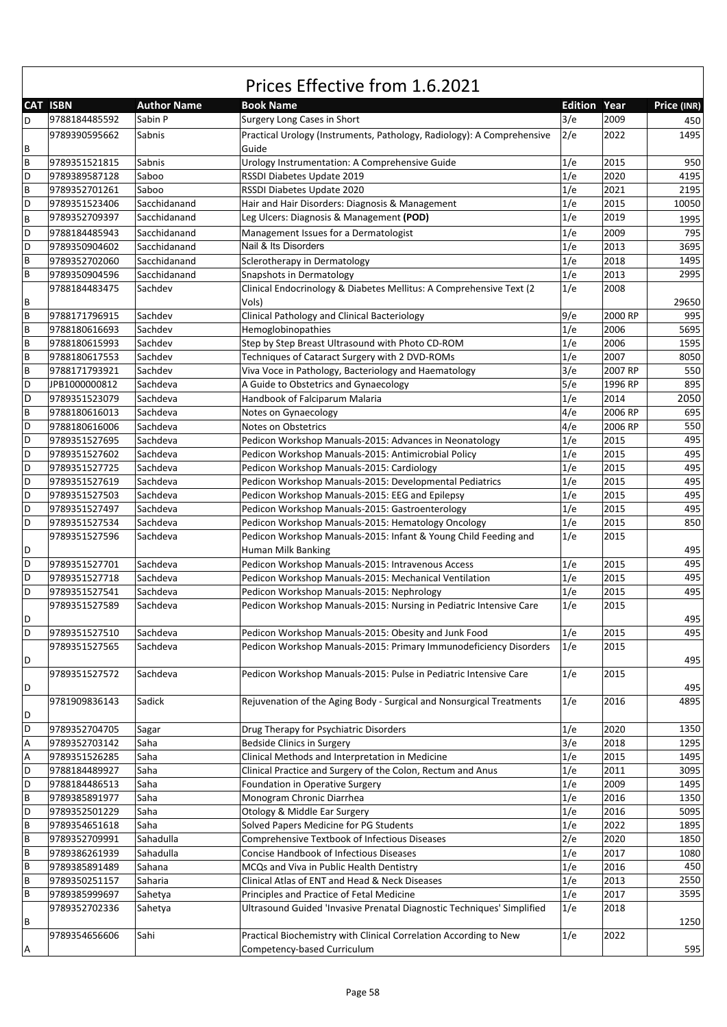|                |                 |                    | Prices Effective from 1.6.2021                                                  |            |                     |             |
|----------------|-----------------|--------------------|---------------------------------------------------------------------------------|------------|---------------------|-------------|
|                | <b>CAT ISBN</b> | <b>Author Name</b> | <b>Book Name</b>                                                                |            | <b>Edition Year</b> | Price (INR) |
| D              | 9788184485592   | Sabin P            | Surgery Long Cases in Short                                                     | 3/e        | 2009                | 450         |
| B              | 9789390595662   | Sabnis             | Practical Urology (Instruments, Pathology, Radiology): A Comprehensive<br>Guide | 2/e        | 2022                | 1495        |
| B              | 9789351521815   | Sabnis             | Urology Instrumentation: A Comprehensive Guide                                  | 1/e        | 2015                | 950         |
| D              | 9789389587128   | Saboo              | RSSDI Diabetes Update 2019                                                      | 1/e        | 2020                | 4195        |
| B              | 9789352701261   | Saboo              | RSSDI Diabetes Update 2020                                                      | 1/e        | 2021                | 2195        |
| D              | 9789351523406   | Sacchidanand       | Hair and Hair Disorders: Diagnosis & Management                                 | 1/e        | 2015                | 10050       |
| B              | 9789352709397   | Sacchidanand       | Leg Ulcers: Diagnosis & Management (POD)                                        | 1/e        | 2019                | 1995        |
| D              | 9788184485943   | Sacchidanand       | Management Issues for a Dermatologist                                           | 1/e        | 2009                | 795         |
| D              | 9789350904602   | Sacchidanand       | Nail & Its Disorders                                                            | 1/e        | 2013                | 3695        |
| B              | 9789352702060   | Sacchidanand       | Sclerotherapy in Dermatology                                                    | 1/e        | 2018                | 1495        |
| B              | 9789350904596   | Sacchidanand       | Snapshots in Dermatology                                                        | 1/e        | 2013                | 2995        |
|                | 9788184483475   | Sachdev            | Clinical Endocrinology & Diabetes Mellitus: A Comprehensive Text (2             | 1/e        | 2008                |             |
| B              |                 |                    | Vols)                                                                           |            |                     | 29650       |
| B              | 9788171796915   | Sachdev            | Clinical Pathology and Clinical Bacteriology                                    | 9/e        | 2000 RP             | 995         |
| B              |                 | Sachdev            | Hemoglobinopathies                                                              |            |                     | 5695        |
| B              | 9788180616693   |                    |                                                                                 | 1/e        | 2006                | 1595        |
| $\overline{B}$ | 9788180615993   | Sachdev            | Step by Step Breast Ultrasound with Photo CD-ROM                                | 1/e<br>1/e | 2006<br>2007        | 8050        |
| B              | 9788180617553   | Sachdev            | Techniques of Cataract Surgery with 2 DVD-ROMs                                  |            |                     |             |
|                | 9788171793921   | Sachdev            | Viva Voce in Pathology, Bacteriology and Haematology                            | 3/e        | 2007 RP             | 550         |
| D              | JPB1000000812   | Sachdeva           | A Guide to Obstetrics and Gynaecology                                           | 5/e        | 1996 RP             | 895         |
| D              | 9789351523079   | Sachdeva           | Handbook of Falciparum Malaria                                                  | 1/e        | 2014                | 2050        |
| B              | 9788180616013   | Sachdeva           | Notes on Gynaecology                                                            | 4/e        | 2006 RP             | 695         |
| D              | 9788180616006   | Sachdeva           | Notes on Obstetrics                                                             | 4/e        | 2006 RP             | 550         |
| D              | 9789351527695   | Sachdeva           | Pedicon Workshop Manuals-2015: Advances in Neonatology                          | 1/e        | 2015                | 495         |
| D              | 9789351527602   | Sachdeva           | Pedicon Workshop Manuals-2015: Antimicrobial Policy                             | 1/e        | 2015                | 495         |
| D              | 9789351527725   | Sachdeva           | Pedicon Workshop Manuals-2015: Cardiology                                       | 1/e        | 2015                | 495         |
| D              | 9789351527619   | Sachdeva           | Pedicon Workshop Manuals-2015: Developmental Pediatrics                         | 1/e        | 2015                | 495         |
| D              | 9789351527503   | Sachdeva           | Pedicon Workshop Manuals-2015: EEG and Epilepsy                                 | 1/e        | 2015                | 495         |
| D              | 9789351527497   | Sachdeva           | Pedicon Workshop Manuals-2015: Gastroenterology                                 | 1/e        | 2015                | 495         |
| D              | 9789351527534   | Sachdeva           | Pedicon Workshop Manuals-2015: Hematology Oncology                              | 1/e        | 2015                | 850         |
|                | 9789351527596   | Sachdeva           | Pedicon Workshop Manuals-2015: Infant & Young Child Feeding and                 | 1/e        | 2015                |             |
| D              |                 |                    | Human Milk Banking                                                              |            |                     | 495         |
| D              | 9789351527701   | Sachdeva           | Pedicon Workshop Manuals-2015: Intravenous Access                               | 1/e        | 2015                | 495         |
| D              | 9789351527718   | Sachdeva           | Pedicon Workshop Manuals-2015: Mechanical Ventilation                           | 1/e        | 2015                | 495         |
| D              | 9789351527541   | Sachdeva           | Pedicon Workshop Manuals-2015: Nephrology                                       | 1/e        | 2015                | 495         |
|                | 9789351527589   | Sachdeva           | Pedicon Workshop Manuals-2015: Nursing in Pediatric Intensive Care              | 1/e        | 2015                |             |
| D              |                 |                    |                                                                                 |            |                     | 495         |
| D              | 9789351527510   | Sachdeva           | Pedicon Workshop Manuals-2015: Obesity and Junk Food                            | 1/e        | 2015                | 495         |
|                | 9789351527565   | Sachdeva           | Pedicon Workshop Manuals-2015: Primary Immunodeficiency Disorders               | 1/e        | 2015                |             |
| D              |                 |                    |                                                                                 |            |                     | 495         |
|                | 9789351527572   | Sachdeva           | Pedicon Workshop Manuals-2015: Pulse in Pediatric Intensive Care                | 1/e        | 2015                |             |
| D              |                 |                    |                                                                                 |            |                     | 495         |
|                | 9781909836143   | Sadick             | Rejuvenation of the Aging Body - Surgical and Nonsurgical Treatments            | 1/e        | 2016                | 4895        |
| D              |                 |                    |                                                                                 |            |                     |             |
| D              | 9789352704705   | Sagar              | Drug Therapy for Psychiatric Disorders                                          | 1/e        | 2020                | 1350        |
| Α              | 9789352703142   | Saha               | <b>Bedside Clinics in Surgery</b>                                               | 3/e        | 2018                | 1295        |
| Α              | 9789351526285   | Saha               | Clinical Methods and Interpretation in Medicine                                 | 1/e        | 2015                | 1495        |
| D              | 9788184489927   | Saha               | Clinical Practice and Surgery of the Colon, Rectum and Anus                     | 1/e        | 2011                | 3095        |
| D              | 9788184486513   | Saha               | Foundation in Operative Surgery                                                 | 1/e        | 2009                | 1495        |
| $\mathsf B$    | 9789385891977   | Saha               | Monogram Chronic Diarrhea                                                       | 1/e        | 2016                | 1350        |
| D              | 9789352501229   | Saha               | Otology & Middle Ear Surgery                                                    | 1/e        | 2016                | 5095        |
| B              | 9789354651618   | Saha               | Solved Papers Medicine for PG Students                                          | 1/e        | 2022                | 1895        |
| $\sf B$        | 9789352709991   | Sahadulla          | Comprehensive Textbook of Infectious Diseases                                   | 2/e        | 2020                | 1850        |
| $\mathsf B$    | 9789386261939   | Sahadulla          | Concise Handbook of Infectious Diseases                                         | 1/e        | 2017                | 1080        |
| B              | 9789385891489   | Sahana             | MCQs and Viva in Public Health Dentistry                                        | 1/e        | 2016                | 450         |
| B              | 9789350251157   | Saharia            | Clinical Atlas of ENT and Head & Neck Diseases                                  | 1/e        | 2013                | 2550        |
| B              | 9789385999697   | Sahetya            | Principles and Practice of Fetal Medicine                                       | 1/e        | 2017                | 3595        |
|                | 9789352702336   | Sahetya            | Ultrasound Guided 'Invasive Prenatal Diagnostic Techniques' Simplified          | 1/e        | 2018                |             |
| B              |                 |                    |                                                                                 |            |                     | 1250        |
|                | 9789354656606   | Sahi               | Practical Biochemistry with Clinical Correlation According to New               | 1/e        | 2022                |             |
| A              |                 |                    | Competency-based Curriculum                                                     |            |                     | 595         |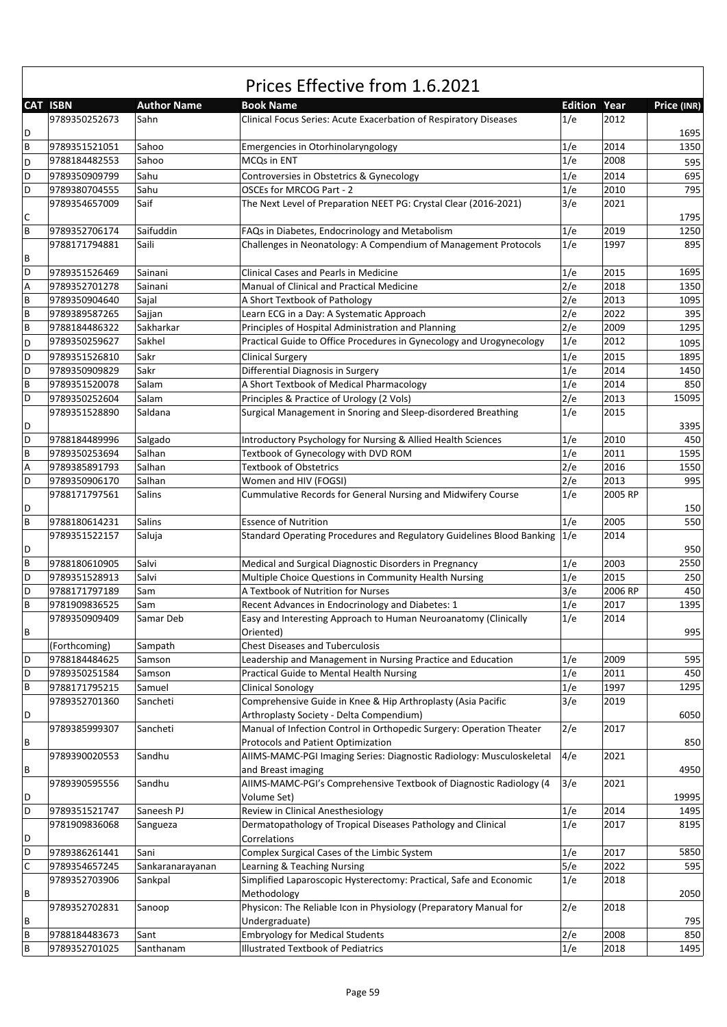|              | Prices Effective from 1.6.2021 |                    |                                                                           |                |         |             |  |  |  |
|--------------|--------------------------------|--------------------|---------------------------------------------------------------------------|----------------|---------|-------------|--|--|--|
|              | <b>CAT ISBN</b>                | <b>Author Name</b> | <b>Book Name</b>                                                          | <b>Edition</b> | Year    | Price (INR) |  |  |  |
|              | 9789350252673                  | Sahn               | Clinical Focus Series: Acute Exacerbation of Respiratory Diseases         | 1/e            | 2012    |             |  |  |  |
| D            |                                |                    |                                                                           |                |         | 1695        |  |  |  |
| B            | 9789351521051                  | Sahoo              | Emergencies in Otorhinolaryngology                                        | 1/e            | 2014    | 1350        |  |  |  |
| D            | 9788184482553                  | Sahoo              | MCQs in ENT                                                               | 1/e            | 2008    | 595         |  |  |  |
| D            | 9789350909799                  | Sahu               | Controversies in Obstetrics & Gynecology                                  | 1/e            | 2014    | 695         |  |  |  |
| D            | 9789380704555                  | Sahu               | OSCEs for MRCOG Part - 2                                                  | 1/e            | 2010    | 795         |  |  |  |
|              | 9789354657009                  | Saif               | The Next Level of Preparation NEET PG: Crystal Clear (2016-2021)          | 3/e            | 2021    |             |  |  |  |
| C            |                                |                    |                                                                           |                |         | 1795        |  |  |  |
| B            | 9789352706174                  | Saifuddin          | FAQs in Diabetes, Endocrinology and Metabolism                            | 1/e            | 2019    | 1250        |  |  |  |
|              | 9788171794881                  | Saili              | Challenges in Neonatology: A Compendium of Management Protocols           | 1/e            | 1997    | 895         |  |  |  |
| В            |                                |                    |                                                                           |                |         |             |  |  |  |
| D            | 9789351526469                  | Sainani            | Clinical Cases and Pearls in Medicine                                     | 1/e            | 2015    | 1695        |  |  |  |
| А            | 9789352701278                  | Sainani            | Manual of Clinical and Practical Medicine                                 | 2/e            | 2018    | 1350        |  |  |  |
| B            | 9789350904640                  | Sajal              | A Short Textbook of Pathology                                             | 2/e            | 2013    | 1095        |  |  |  |
| B            | 9789389587265                  | Sajjan             | Learn ECG in a Day: A Systematic Approach                                 | 2/e            | 2022    | 395         |  |  |  |
| B            | 9788184486322                  | Sakharkar          | Principles of Hospital Administration and Planning                        | 2/e            | 2009    | 1295        |  |  |  |
| D            | 9789350259627                  | Sakhel             | Practical Guide to Office Procedures in Gynecology and Urogynecology      | 1/e            | 2012    | 1095        |  |  |  |
| D            | 9789351526810                  | Sakr               | <b>Clinical Surgery</b>                                                   | 1/e            | 2015    | 1895        |  |  |  |
| D            | 9789350909829                  | Sakr               | Differential Diagnosis in Surgery                                         | 1/e            | 2014    | 1450        |  |  |  |
| B            | 9789351520078                  | Salam              | A Short Textbook of Medical Pharmacology                                  | 1/e            | 2014    | 850         |  |  |  |
| D            | 9789350252604                  | Salam              | Principles & Practice of Urology (2 Vols)                                 | 2/e            | 2013    | 15095       |  |  |  |
|              | 9789351528890                  | Saldana            | Surgical Management in Snoring and Sleep-disordered Breathing             | 1/e            | 2015    |             |  |  |  |
| D            |                                |                    |                                                                           |                |         | 3395        |  |  |  |
| D            | 9788184489996                  | Salgado            | Introductory Psychology for Nursing & Allied Health Sciences              | 1/e            | 2010    | 450         |  |  |  |
| В            | 9789350253694                  | Salhan             | Textbook of Gynecology with DVD ROM                                       | 1/e            | 2011    | 1595        |  |  |  |
| Α            | 9789385891793                  | Salhan             | <b>Textbook of Obstetrics</b>                                             | 2/e            | 2016    | 1550        |  |  |  |
| D            | 9789350906170                  | Salhan             | Women and HIV (FOGSI)                                                     | 2/e            | 2013    | 995         |  |  |  |
|              | 9788171797561                  | Salins             | Cummulative Records for General Nursing and Midwifery Course              | 1/e            | 2005 RP |             |  |  |  |
| D            |                                |                    |                                                                           |                |         | 150         |  |  |  |
| B            | 9788180614231                  | Salins             | <b>Essence of Nutrition</b>                                               | 1/e            | 2005    | 550         |  |  |  |
|              | 9789351522157                  | Saluja             | Standard Operating Procedures and Regulatory Guidelines Blood Banking 1/e |                | 2014    |             |  |  |  |
| D            |                                |                    |                                                                           |                |         | 950         |  |  |  |
| B            | 9788180610905                  | Salvi              | Medical and Surgical Diagnostic Disorders in Pregnancy                    | 1/e            | 2003    | 2550        |  |  |  |
| D            | 9789351528913                  | Salvi              | Multiple Choice Questions in Community Health Nursing                     | 1/e            | 2015    | 250         |  |  |  |
| D            | 9788171797189                  | Sam                | A Textbook of Nutrition for Nurses                                        | 3/e            | 2006 RP | 450         |  |  |  |
| B            | 9781909836525                  | Sam                | Recent Advances in Endocrinology and Diabetes: 1                          | 1/e            | 2017    | 1395        |  |  |  |
|              | 9789350909409                  | Samar Deb          | Easy and Interesting Approach to Human Neuroanatomy (Clinically           | 1/e            | 2014    |             |  |  |  |
| B            |                                |                    | Oriented)                                                                 |                |         | 995         |  |  |  |
|              | (Forthcoming)                  | Sampath            | <b>Chest Diseases and Tuberculosis</b>                                    |                |         |             |  |  |  |
| D            | 9788184484625                  | Samson             | Leadership and Management in Nursing Practice and Education               | 1/e            | 2009    | 595         |  |  |  |
| D            | 9789350251584                  | Samson             | Practical Guide to Mental Health Nursing                                  | 1/e            | 2011    | 450         |  |  |  |
| В            | 9788171795215                  | Samuel             | <b>Clinical Sonology</b>                                                  | 1/e            | 1997    | 1295        |  |  |  |
|              | 9789352701360                  | Sancheti           | Comprehensive Guide in Knee & Hip Arthroplasty (Asia Pacific              | 3/e            | 2019    |             |  |  |  |
| D            |                                |                    | Arthroplasty Society - Delta Compendium)                                  |                |         | 6050        |  |  |  |
|              | 9789385999307                  | Sancheti           | Manual of Infection Control in Orthopedic Surgery: Operation Theater      | 2/e            | 2017    |             |  |  |  |
| В            |                                |                    | Protocols and Patient Optimization                                        |                |         | 850         |  |  |  |
|              | 9789390020553                  | Sandhu             | AIIMS-MAMC-PGI Imaging Series: Diagnostic Radiology: Musculoskeletal      | 4/e            | 2021    |             |  |  |  |
| В            |                                |                    | and Breast imaging                                                        |                |         | 4950        |  |  |  |
|              | 9789390595556                  | Sandhu             | AIIMS-MAMC-PGI's Comprehensive Textbook of Diagnostic Radiology (4        | 3/e            | 2021    |             |  |  |  |
| D            |                                |                    | Volume Set)                                                               |                |         | 19995       |  |  |  |
| D            | 9789351521747                  | Saneesh PJ         | Review in Clinical Anesthesiology                                         | 1/e            | 2014    | 1495        |  |  |  |
|              | 9781909836068                  | Sangueza           | Dermatopathology of Tropical Diseases Pathology and Clinical              | 1/e            | 2017    | 8195        |  |  |  |
| D            |                                |                    | Correlations                                                              |                |         |             |  |  |  |
| D            | 9789386261441                  | Sani               | Complex Surgical Cases of the Limbic System                               | 1/e            | 2017    | 5850        |  |  |  |
| $\mathsf C$  | 9789354657245                  | Sankaranarayanan   | Learning & Teaching Nursing                                               | 5/e            | 2022    | 595         |  |  |  |
|              | 9789352703906                  | Sankpal            | Simplified Laparoscopic Hysterectomy: Practical, Safe and Economic        | 1/e            | 2018    |             |  |  |  |
| В            |                                |                    | Methodology                                                               |                |         | 2050        |  |  |  |
|              | 9789352702831                  | Sanoop             | Physicon: The Reliable Icon in Physiology (Preparatory Manual for         | 2/e            | 2018    |             |  |  |  |
| В            |                                |                    | Undergraduate)                                                            |                |         | 795         |  |  |  |
| $\, {\sf B}$ | 9788184483673                  | Sant               | <b>Embryology for Medical Students</b>                                    | 2/e            | 2008    | 850         |  |  |  |
| B            | 9789352701025                  | Santhanam          | <b>Illustrated Textbook of Pediatrics</b>                                 | 1/e            | 2018    | 1495        |  |  |  |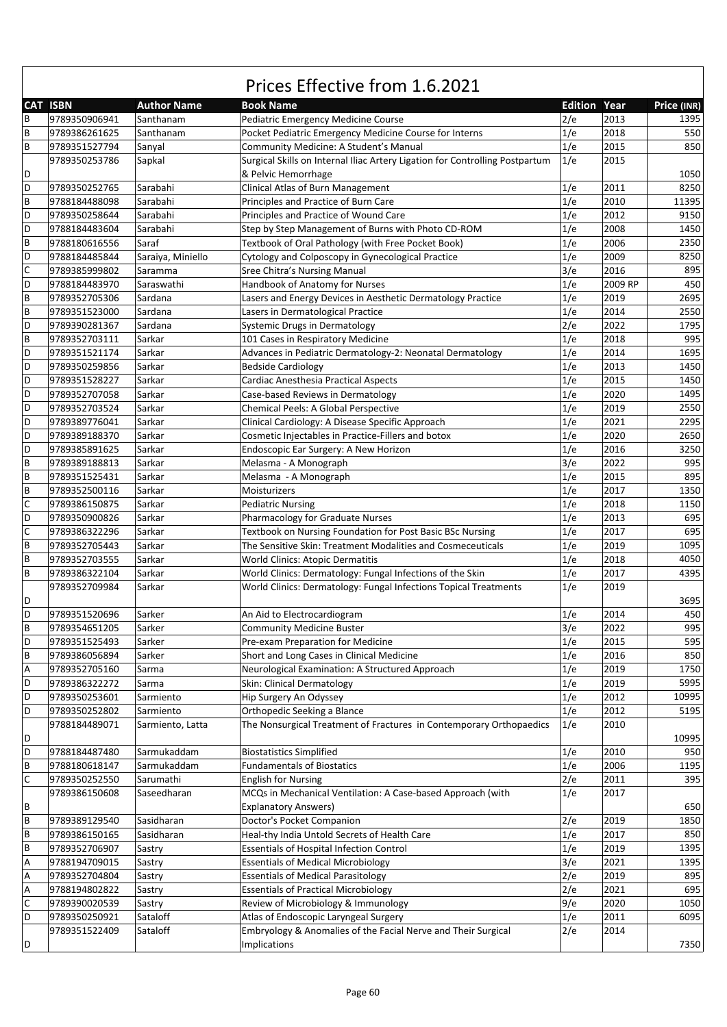|             | <b>CAT ISBN</b> | <b>Author Name</b> | <b>Book Name</b>                                                                       | <b>Edition Year</b> |         | Price (INR) |
|-------------|-----------------|--------------------|----------------------------------------------------------------------------------------|---------------------|---------|-------------|
| B           | 9789350906941   | Santhanam          | Pediatric Emergency Medicine Course                                                    | 2/e                 | 2013    | 1395        |
| B           | 9789386261625   | Santhanam          | Pocket Pediatric Emergency Medicine Course for Interns                                 | 1/e                 | 2018    | 550         |
| B           | 9789351527794   | Sanyal             | Community Medicine: A Student's Manual                                                 | 1/e                 | 2015    | 850         |
|             | 9789350253786   | Sapkal             | Surgical Skills on Internal Iliac Artery Ligation for Controlling Postpartum           | 1/e                 | 2015    |             |
| D           |                 |                    | & Pelvic Hemorrhage                                                                    |                     |         | 1050        |
| D           | 9789350252765   | Sarabahi           | Clinical Atlas of Burn Management                                                      | 1/e                 | 2011    | 8250        |
| B           | 9788184488098   | Sarabahi           | Principles and Practice of Burn Care                                                   | 1/e                 | 2010    | 11395       |
| D           | 9789350258644   | Sarabahi           | Principles and Practice of Wound Care                                                  | 1/e                 | 2012    | 9150        |
| D           | 9788184483604   | Sarabahi           | Step by Step Management of Burns with Photo CD-ROM                                     | 1/e                 | 2008    | 1450        |
| B           | 9788180616556   | Saraf              | Textbook of Oral Pathology (with Free Pocket Book)                                     | 1/e                 | 2006    | 2350        |
| D           | 9788184485844   | Saraiya, Miniello  | Cytology and Colposcopy in Gynecological Practice                                      | 1/e                 | 2009    | 8250        |
| $\mathsf C$ | 9789385999802   | Saramma            | Sree Chitra's Nursing Manual                                                           | 3/e                 | 2016    | 895         |
| D           | 9788184483970   | Saraswathi         | Handbook of Anatomy for Nurses                                                         | 1/e                 | 2009 RP | 450         |
| B           | 9789352705306   | Sardana            | Lasers and Energy Devices in Aesthetic Dermatology Practice                            | 1/e                 | 2019    | 2695        |
| B           | 9789351523000   | Sardana            | Lasers in Dermatological Practice                                                      | 1/e                 | 2014    | 2550        |
| D           | 9789390281367   | Sardana            | Systemic Drugs in Dermatology                                                          | 2/e                 | 2022    | 1795        |
| B           | 9789352703111   | Sarkar             | 101 Cases in Respiratory Medicine                                                      | 1/e                 | 2018    | 995         |
| D           | 9789351521174   | Sarkar             |                                                                                        | 1/e                 | 2014    | 1695        |
| D           | 9789350259856   | Sarkar             | Advances in Pediatric Dermatology-2: Neonatal Dermatology<br><b>Bedside Cardiology</b> | 1/e                 | 2013    | 1450        |
|             |                 | Sarkar             |                                                                                        | 1/e                 | 2015    |             |
| D           | 9789351528227   |                    | Cardiac Anesthesia Practical Aspects                                                   |                     |         | 1450        |
| D           | 9789352707058   | Sarkar             | Case-based Reviews in Dermatology                                                      | 1/e                 | 2020    | 1495        |
| D           | 9789352703524   | Sarkar             | Chemical Peels: A Global Perspective                                                   | 1/e                 | 2019    | 2550        |
| D           | 9789389776041   | Sarkar             | Clinical Cardiology: A Disease Specific Approach                                       | 1/e                 | 2021    | 2295        |
| D           | 9789389188370   | Sarkar             | Cosmetic Injectables in Practice-Fillers and botox                                     | 1/e                 | 2020    | 2650        |
| D           | 9789385891625   | Sarkar             | Endoscopic Ear Surgery: A New Horizon                                                  | 1/e                 | 2016    | 3250        |
| B           | 9789389188813   | Sarkar             | Melasma - A Monograph                                                                  | 3/e                 | 2022    | 995         |
| $\sf B$     | 9789351525431   | Sarkar             | Melasma - A Monograph                                                                  | 1/e                 | 2015    | 895         |
| B           | 9789352500116   | Sarkar             | Moisturizers                                                                           | 1/e                 | 2017    | 1350        |
| $\mathsf C$ | 9789386150875   | Sarkar             | <b>Pediatric Nursing</b>                                                               | 1/e                 | 2018    | 1150        |
| D           | 9789350900826   | Sarkar             | Pharmacology for Graduate Nurses                                                       | 1/e                 | 2013    | 695         |
| $\mathsf C$ | 9789386322296   | Sarkar             | Textbook on Nursing Foundation for Post Basic BSc Nursing                              | 1/e                 | 2017    | 695         |
| B           | 9789352705443   | Sarkar             | The Sensitive Skin: Treatment Modalities and Cosmeceuticals                            | 1/e                 | 2019    | 1095        |
| B           | 9789352703555   | Sarkar             | <b>World Clinics: Atopic Dermatitis</b>                                                | 1/e                 | 2018    | 4050        |
| B           | 9789386322104   | Sarkar             | World Clinics: Dermatology: Fungal Infections of the Skin                              | 1/e                 | 2017    | 4395        |
|             | 9789352709984   | Sarkar             | World Clinics: Dermatology: Fungal Infections Topical Treatments                       | 1/e                 | 2019    |             |
| D           |                 |                    |                                                                                        |                     |         | 3695        |
| D           | 9789351520696   | Sarker             | An Aid to Electrocardiogram                                                            | 1/e                 | 2014    | 450         |
| B           | 9789354651205   | Sarker             | <b>Community Medicine Buster</b>                                                       | 3/e                 | 2022    | 995         |
| D           | 9789351525493   | Sarker             | Pre-exam Preparation for Medicine                                                      | 1/e                 | 2015    | 595         |
| B           | 9789386056894   | Sarker             | Short and Long Cases in Clinical Medicine                                              | 1/e                 | 2016    | 850         |
| Α           | 9789352705160   | Sarma              | Neurological Examination: A Structured Approach                                        | 1/e                 | 2019    | 1750        |
| D           | 9789386322272   | Sarma              | Skin: Clinical Dermatology                                                             | 1/e                 | 2019    | 5995        |
| D           | 9789350253601   | Sarmiento          | Hip Surgery An Odyssey                                                                 | 1/e                 | 2012    | 10995       |
| D           | 9789350252802   | Sarmiento          | Orthopedic Seeking a Blance                                                            | 1/e                 | 2012    | 5195        |
|             | 9788184489071   | Sarmiento, Latta   | The Nonsurgical Treatment of Fractures in Contemporary Orthopaedics                    | 1/e                 | 2010    |             |
| D           |                 |                    |                                                                                        |                     |         | 10995       |
| D           | 9788184487480   | Sarmukaddam        | <b>Biostatistics Simplified</b>                                                        | 1/e                 | 2010    | 950         |
| B           | 9788180618147   | Sarmukaddam        | <b>Fundamentals of Biostatics</b>                                                      | 1/e                 | 2006    | 1195        |
| $\mathsf C$ | 9789350252550   | Sarumathi          | <b>English for Nursing</b>                                                             | 2/e                 | 2011    | 395         |
|             | 9789386150608   | Saseedharan        | MCQs in Mechanical Ventilation: A Case-based Approach (with                            | 1/e                 | 2017    |             |
| В           |                 |                    | <b>Explanatory Answers)</b>                                                            |                     |         | 650         |
| B           | 9789389129540   | Sasidharan         | Doctor's Pocket Companion                                                              | 2/e                 | 2019    | 1850        |
| B           | 9789386150165   | Sasidharan         | Heal-thy India Untold Secrets of Health Care                                           | 1/e                 | 2017    | 850         |
| B           | 9789352706907   | Sastry             | <b>Essentials of Hospital Infection Control</b>                                        | 1/e                 | 2019    | 1395        |
|             |                 |                    |                                                                                        | 3/e                 | 2021    |             |
| А           | 9788194709015   | Sastry             | <b>Essentials of Medical Microbiology</b>                                              |                     |         | 1395        |
| Α           | 9789352704804   | Sastry             | <b>Essentials of Medical Parasitology</b>                                              | 2/e                 | 2019    | 895         |
| Α           | 9788194802822   | Sastry             | <b>Essentials of Practical Microbiology</b>                                            | 2/e                 | 2021    | 695         |
| $\mathsf C$ | 9789390020539   | Sastry             | Review of Microbiology & Immunology                                                    | 9/e                 | 2020    | 1050        |
| D           | 9789350250921   | Sataloff           | Atlas of Endoscopic Laryngeal Surgery                                                  | 1/e                 | 2011    | 6095        |
|             | 9789351522409   | Sataloff           | Embryology & Anomalies of the Facial Nerve and Their Surgical                          | 2/e                 | 2014    |             |
| D           |                 |                    | Implications                                                                           |                     |         | 7350        |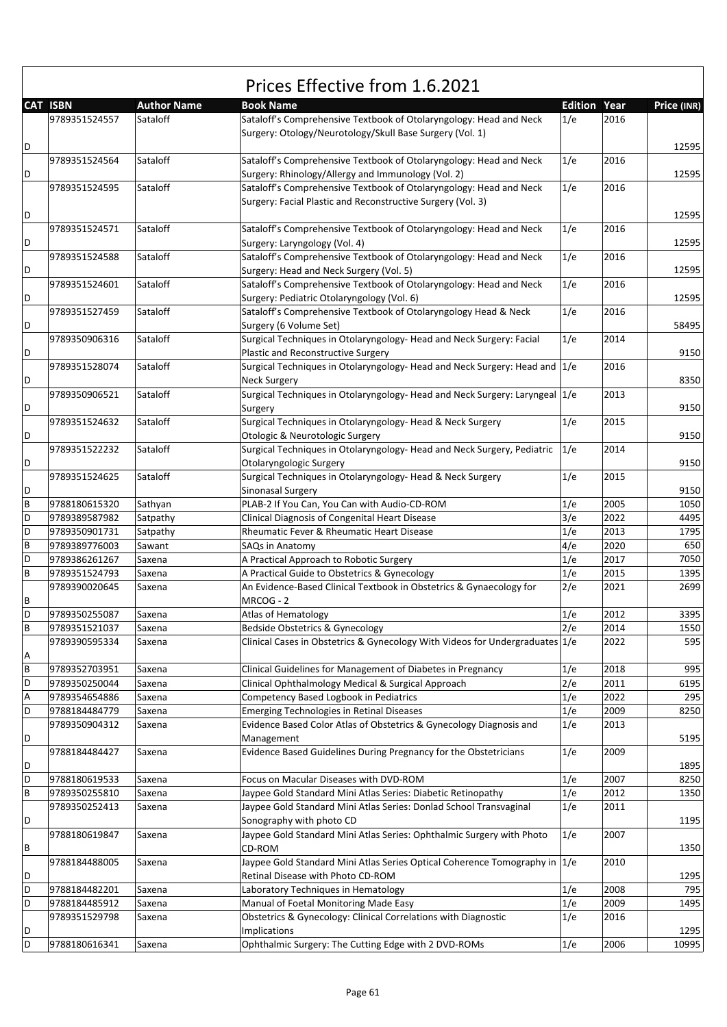|   |                 |                    | Prices Effective from 1.6.2021                                                                                                    |                |      |             |
|---|-----------------|--------------------|-----------------------------------------------------------------------------------------------------------------------------------|----------------|------|-------------|
|   | <b>CAT ISBN</b> | <b>Author Name</b> | <b>Book Name</b>                                                                                                                  | <b>Edition</b> | Year | Price (INR) |
|   | 9789351524557   | Sataloff           | Sataloff's Comprehensive Textbook of Otolaryngology: Head and Neck<br>Surgery: Otology/Neurotology/Skull Base Surgery (Vol. 1)    | 1/e            | 2016 |             |
| D | 9789351524564   | Sataloff           | Sataloff's Comprehensive Textbook of Otolaryngology: Head and Neck                                                                | 1/e            | 2016 | 12595       |
| D |                 |                    | Surgery: Rhinology/Allergy and Immunology (Vol. 2)                                                                                |                |      | 12595       |
|   | 9789351524595   | Sataloff           | Sataloff's Comprehensive Textbook of Otolaryngology: Head and Neck<br>Surgery: Facial Plastic and Reconstructive Surgery (Vol. 3) | 1/e            | 2016 |             |
| D |                 |                    |                                                                                                                                   |                |      | 12595       |
| D | 9789351524571   | Sataloff           | Sataloff's Comprehensive Textbook of Otolaryngology: Head and Neck<br>Surgery: Laryngology (Vol. 4)                               | 1/e            | 2016 | 12595       |
| D | 9789351524588   | Sataloff           | Sataloff's Comprehensive Textbook of Otolaryngology: Head and Neck<br>Surgery: Head and Neck Surgery (Vol. 5)                     | 1/e            | 2016 | 12595       |
| D | 9789351524601   | Sataloff           | Sataloff's Comprehensive Textbook of Otolaryngology: Head and Neck<br>Surgery: Pediatric Otolaryngology (Vol. 6)                  | 1/e            | 2016 | 12595       |
| D | 9789351527459   | Sataloff           | Sataloff's Comprehensive Textbook of Otolaryngology Head & Neck<br>Surgery (6 Volume Set)                                         | 1/e            | 2016 | 58495       |
| D | 9789350906316   | Sataloff           | Surgical Techniques in Otolaryngology- Head and Neck Surgery: Facial<br>Plastic and Reconstructive Surgery                        | 1/e            | 2014 | 9150        |
|   | 9789351528074   | Sataloff           | Surgical Techniques in Otolaryngology- Head and Neck Surgery: Head and 1/e                                                        |                | 2016 |             |
| D | 9789350906521   | Sataloff           | <b>Neck Surgery</b><br>Surgical Techniques in Otolaryngology- Head and Neck Surgery: Laryngeal 1/e                                |                | 2013 | 8350        |
| D | 9789351524632   | Sataloff           | Surgery<br>Surgical Techniques in Otolaryngology- Head & Neck Surgery                                                             | 1/e            | 2015 | 9150        |
| D | 9789351522232   | Sataloff           | Otologic & Neurotologic Surgery<br>Surgical Techniques in Otolaryngology- Head and Neck Surgery, Pediatric                        | 1/e            | 2014 | 9150        |
| D |                 |                    | Otolaryngologic Surgery                                                                                                           |                |      | 9150        |
| D | 9789351524625   | Sataloff           | Surgical Techniques in Otolaryngology- Head & Neck Surgery<br>Sinonasal Surgery                                                   | 1/e            | 2015 | 9150        |
| B | 9788180615320   | Sathyan            | PLAB-2 If You Can, You Can with Audio-CD-ROM                                                                                      | 1/e            | 2005 | 1050        |
| D | 9789389587982   | Satpathy           | Clinical Diagnosis of Congenital Heart Disease                                                                                    | 3/e            | 2022 | 4495        |
| D | 9789350901731   | Satpathy           | Rheumatic Fever & Rheumatic Heart Disease                                                                                         | 1/e            | 2013 | 1795        |
| B | 9789389776003   | Sawant             | SAQs in Anatomy                                                                                                                   | 4/e            | 2020 | 650         |
| D | 9789386261267   | Saxena             | A Practical Approach to Robotic Surgery                                                                                           | 1/e            | 2017 | 7050        |
| B | 9789351524793   | Saxena             | A Practical Guide to Obstetrics & Gynecology                                                                                      | 1/e            | 2015 | 1395        |
| В | 9789390020645   | Saxena             | An Evidence-Based Clinical Textbook in Obstetrics & Gynaecology for<br>MRCOG - 2                                                  | 2/e            | 2021 | 2699        |
| D | 9789350255087   | Saxena             | <b>Atlas of Hematology</b>                                                                                                        | 1/e            | 2012 | 3395        |
| В | 9789351521037   | Saxena             | Bedside Obstetrics & Gynecology                                                                                                   | 2/e            | 2014 | 1550        |
| А | 9789390595334   | Saxena             | Clinical Cases in Obstetrics & Gynecology With Videos for Undergraduates $ 1/e$                                                   |                | 2022 | 595         |
| B | 9789352703951   | Saxena             | Clinical Guidelines for Management of Diabetes in Pregnancy                                                                       | 1/e            | 2018 | 995         |
| D | 9789350250044   | Saxena             | Clinical Ophthalmology Medical & Surgical Approach                                                                                | 2/e            | 2011 | 6195        |
| Α | 9789354654886   | Saxena             | Competency Based Logbook in Pediatrics                                                                                            | 1/e            | 2022 | 295         |
| D | 9788184484779   | Saxena             | Emerging Technologies in Retinal Diseases                                                                                         | 1/e            | 2009 | 8250        |
| D | 9789350904312   | Saxena             | Evidence Based Color Atlas of Obstetrics & Gynecology Diagnosis and<br>Management                                                 | 1/e            | 2013 | 5195        |
| D | 9788184484427   | Saxena             | Evidence Based Guidelines During Pregnancy for the Obstetricians                                                                  | 1/e            | 2009 | 1895        |
| D | 9788180619533   | Saxena             | Focus on Macular Diseases with DVD-ROM                                                                                            | 1/e            | 2007 | 8250        |
| B | 9789350255810   | Saxena             | Jaypee Gold Standard Mini Atlas Series: Diabetic Retinopathy                                                                      | 1/e            | 2012 | 1350        |
|   | 9789350252413   | Saxena             | Jaypee Gold Standard Mini Atlas Series: Donlad School Transvaginal                                                                | 1/e            | 2011 |             |
| D |                 |                    | Sonography with photo CD                                                                                                          |                |      | 1195        |
| В | 9788180619847   | Saxena             | Jaypee Gold Standard Mini Atlas Series: Ophthalmic Surgery with Photo<br>CD-ROM                                                   | 1/e            | 2007 | 1350        |
| D | 9788184488005   | Saxena             | Jaypee Gold Standard Mini Atlas Series Optical Coherence Tomography in 1/e<br>Retinal Disease with Photo CD-ROM                   |                | 2010 | 1295        |
| D | 9788184482201   | Saxena             | Laboratory Techniques in Hematology                                                                                               | 1/e            | 2008 | 795         |
| D | 9788184485912   | Saxena             | Manual of Foetal Monitoring Made Easy                                                                                             | 1/e            | 2009 | 1495        |
|   | 9789351529798   | Saxena             | Obstetrics & Gynecology: Clinical Correlations with Diagnostic                                                                    | 1/e            | 2016 |             |
| D |                 |                    | Implications                                                                                                                      |                |      | 1295        |
| D | 9788180616341   | Saxena             | Ophthalmic Surgery: The Cutting Edge with 2 DVD-ROMs                                                                              | 1/e            | 2006 | 10995       |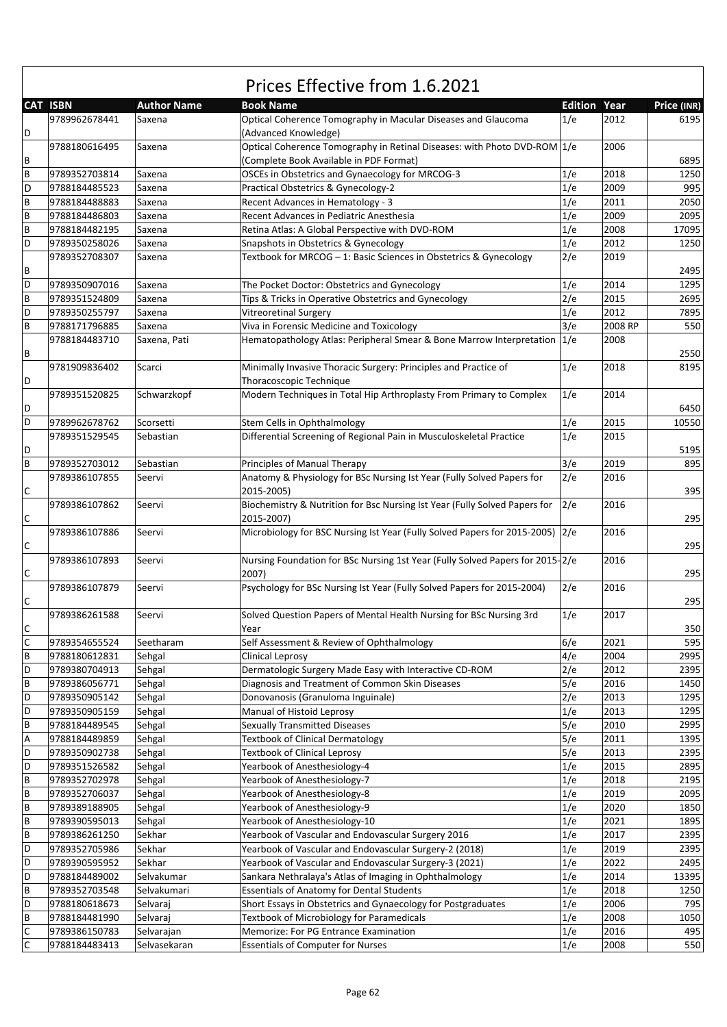|                           | Prices Effective from 1.6.2021 |                    |                                                                                            |                     |         |             |  |  |  |
|---------------------------|--------------------------------|--------------------|--------------------------------------------------------------------------------------------|---------------------|---------|-------------|--|--|--|
|                           | <b>CAT ISBN</b>                | <b>Author Name</b> | <b>Book Name</b>                                                                           | <b>Edition Year</b> |         | Price (INR) |  |  |  |
| D                         | 9789962678441                  | Saxena             | Optical Coherence Tomography in Macular Diseases and Glaucoma<br>(Advanced Knowledge)      | 1/e                 | 2012    | 6195        |  |  |  |
|                           | 9788180616495                  | Saxena             | Optical Coherence Tomography in Retinal Diseases: with Photo DVD-ROM 1/e                   |                     | 2006    |             |  |  |  |
| B                         |                                |                    | (Complete Book Available in PDF Format)                                                    |                     |         | 6895        |  |  |  |
| $\sf B$                   | 9789352703814                  | Saxena             | OSCEs in Obstetrics and Gynaecology for MRCOG-3                                            | 1/e                 | 2018    | 1250        |  |  |  |
| D                         | 9788184485523                  | Saxena             | Practical Obstetrics & Gynecology-2                                                        | 1/e                 | 2009    | 995         |  |  |  |
| $\sf B$                   | 9788184488883                  | Saxena             | Recent Advances in Hematology - 3                                                          | 1/e                 | 2011    | 2050        |  |  |  |
| $\sf B$                   | 9788184486803                  | Saxena             | Recent Advances in Pediatric Anesthesia                                                    | 1/e                 | 2009    | 2095        |  |  |  |
| $\sf B$                   | 9788184482195                  | Saxena             | Retina Atlas: A Global Perspective with DVD-ROM                                            | 1/e                 | 2008    | 17095       |  |  |  |
| D                         | 9789350258026                  | Saxena             | Snapshots in Obstetrics & Gynecology                                                       | 1/e                 | 2012    | 1250        |  |  |  |
|                           | 9789352708307                  | Saxena             | Textbook for MRCOG - 1: Basic Sciences in Obstetrics & Gynecology                          | 2/e                 | 2019    |             |  |  |  |
| $\, {\sf B}$              |                                |                    |                                                                                            |                     |         | 2495        |  |  |  |
| D                         | 9789350907016                  |                    |                                                                                            | 1/e                 | 2014    | 1295        |  |  |  |
|                           |                                | Saxena             | The Pocket Doctor: Obstetrics and Gynecology                                               |                     |         |             |  |  |  |
| $\sf B$                   | 9789351524809                  | Saxena             | Tips & Tricks in Operative Obstetrics and Gynecology                                       | 2/e                 | 2015    | 2695        |  |  |  |
| D                         | 9789350255797                  | Saxena             | <b>Vitreoretinal Surgery</b>                                                               | 1/e                 | 2012    | 7895        |  |  |  |
| $\sf B$                   | 9788171796885                  | Saxena             | Viva in Forensic Medicine and Toxicology                                                   | 3/e                 | 2008 RP | 550         |  |  |  |
| B                         | 9788184483710                  | Saxena, Pati       | Hematopathology Atlas: Peripheral Smear & Bone Marrow Interpretation 1/e                   |                     | 2008    | 2550        |  |  |  |
| D                         | 9781909836402                  | Scarci             | Minimally Invasive Thoracic Surgery: Principles and Practice of<br>Thoracoscopic Technique | 1/e                 | 2018    | 8195        |  |  |  |
| D                         | 9789351520825                  | Schwarzkopf        | Modern Techniques in Total Hip Arthroplasty From Primary to Complex                        | 1/e                 | 2014    | 6450        |  |  |  |
| D                         | 9789962678762                  | Scorsetti          | Stem Cells in Ophthalmology                                                                | 1/e                 | 2015    | 10550       |  |  |  |
|                           | 9789351529545                  | Sebastian          | Differential Screening of Regional Pain in Musculoskeletal Practice                        | 1/e                 | 2015    |             |  |  |  |
| D                         |                                |                    |                                                                                            |                     |         | 5195        |  |  |  |
| $\overline{B}$            | 9789352703012                  | Sebastian          | Principles of Manual Therapy                                                               | 3/e                 | 2019    | 895         |  |  |  |
|                           | 9789386107855                  | Seervi             | Anatomy & Physiology for BSc Nursing Ist Year (Fully Solved Papers for                     | 2/e                 | 2016    |             |  |  |  |
| $\mathsf C$               |                                |                    | 2015-2005)                                                                                 |                     |         | 395         |  |  |  |
|                           | 9789386107862                  | Seervi             | Biochemistry & Nutrition for Bsc Nursing Ist Year (Fully Solved Papers for                 | 2/e                 | 2016    |             |  |  |  |
| $\mathsf{C}$              |                                |                    | 2015-2007)                                                                                 |                     |         | 295         |  |  |  |
|                           | 9789386107886                  | Seervi             | Microbiology for BSC Nursing Ist Year (Fully Solved Papers for 2015-2005) 2/e              |                     | 2016    |             |  |  |  |
| $\mathsf C$               |                                |                    |                                                                                            |                     |         | 295         |  |  |  |
|                           | 9789386107893                  | Seervi             | Nursing Foundation for BSc Nursing 1st Year (Fully Solved Papers for 2015-2/e              |                     | 2016    |             |  |  |  |
| $\mathsf C$               |                                |                    | 2007)                                                                                      |                     |         | 295         |  |  |  |
|                           | 9789386107879                  | Seervi             | Psychology for BSc Nursing Ist Year (Fully Solved Papers for 2015-2004)                    | 2/e                 | 2016    |             |  |  |  |
| $\mathsf C$               |                                |                    |                                                                                            |                     |         | 295         |  |  |  |
|                           | 9789386261588                  | Seervi             | Solved Question Papers of Mental Health Nursing for BSc Nursing 3rd                        | 1/e                 | 2017    |             |  |  |  |
| $\mathsf{C}$              |                                |                    | Year                                                                                       |                     |         | 350         |  |  |  |
| $\overline{c}$            | 9789354655524                  | Seetharam          | Self Assessment & Review of Ophthalmology                                                  | 6/e                 | 2021    | 595         |  |  |  |
| $\sf{B}$                  | 9788180612831                  | Sehgal             | <b>Clinical Leprosy</b>                                                                    | 4/e                 | 2004    | 2995        |  |  |  |
| D                         | 9789380704913                  | Sehgal             | Dermatologic Surgery Made Easy with Interactive CD-ROM                                     | 2/e                 | 2012    | 2395        |  |  |  |
| $\sf B$                   | 9789386056771                  | Sehgal             | Diagnosis and Treatment of Common Skin Diseases                                            | 5/e                 | 2016    | 1450        |  |  |  |
| D                         | 9789350905142                  | Sehgal             | Donovanosis (Granuloma Inguinale)                                                          | 2/e                 | 2013    | 1295        |  |  |  |
| D                         | 9789350905159                  | Sehgal             | Manual of Histoid Leprosy                                                                  | 1/e                 | 2013    | 1295        |  |  |  |
| $\sf{B}$                  | 9788184489545                  | Sehgal             | <b>Sexually Transmitted Diseases</b>                                                       | 5/e                 | 2010    | 2995        |  |  |  |
| $\boldsymbol{\mathsf{A}}$ | 9788184489859                  | Sehgal             | <b>Textbook of Clinical Dermatology</b>                                                    | 5/e                 | 2011    | 1395        |  |  |  |
| D                         | 9789350902738                  | Sehgal             | <b>Textbook of Clinical Leprosy</b>                                                        | 5/e                 | 2013    | 2395        |  |  |  |
| D                         | 9789351526582                  | Sehgal             | Yearbook of Anesthesiology-4                                                               | 1/e                 | 2015    | 2895        |  |  |  |
| $\sf{B}$                  | 9789352702978                  | Sehgal             | Yearbook of Anesthesiology-7                                                               | 1/e                 | 2018    | 2195        |  |  |  |
| $\sf B$                   | 9789352706037                  | Sehgal             | Yearbook of Anesthesiology-8                                                               | 1/e                 | 2019    | 2095        |  |  |  |
| $\sf B$                   | 9789389188905                  | Sehgal             | Yearbook of Anesthesiology-9                                                               | 1/e                 | 2020    | 1850        |  |  |  |
| $\sf B$                   |                                |                    | Yearbook of Anesthesiology-10                                                              |                     | 2021    | 1895        |  |  |  |
| $\sf B$                   | 9789390595013                  | Sehgal<br>Sekhar   | Yearbook of Vascular and Endovascular Surgery 2016                                         | 1/e<br>1/e          |         | 2395        |  |  |  |
| D                         | 9789386261250                  |                    |                                                                                            |                     | 2017    |             |  |  |  |
|                           | 9789352705986                  | Sekhar             | Yearbook of Vascular and Endovascular Surgery-2 (2018)                                     | 1/e                 | 2019    | 2395        |  |  |  |
| D                         | 9789390595952                  | Sekhar             | Yearbook of Vascular and Endovascular Surgery-3 (2021)                                     | 1/e                 | 2022    | 2495        |  |  |  |
| D                         | 9788184489002                  | Selvakumar         | Sankara Nethralaya's Atlas of Imaging in Ophthalmology                                     | 1/e                 | 2014    | 13395       |  |  |  |
| $\sf B$                   | 9789352703548                  | Selvakumari        | <b>Essentials of Anatomy for Dental Students</b>                                           | 1/e                 | 2018    | 1250        |  |  |  |
| D                         | 9788180618673                  | Selvaraj           | Short Essays in Obstetrics and Gynaecology for Postgraduates                               | 1/e                 | 2006    | 795         |  |  |  |
| $\sf B$                   | 9788184481990                  | Selvaraj           | <b>Textbook of Microbiology for Paramedicals</b>                                           | 1/e                 | 2008    | 1050        |  |  |  |
| $\mathsf{C}$              | 9789386150783                  | Selvarajan         | Memorize: For PG Entrance Examination                                                      | 1/e                 | 2016    | 495         |  |  |  |
| $\mathsf C$               | 9788184483413                  | Selvasekaran       | <b>Essentials of Computer for Nurses</b>                                                   | 1/e                 | 2008    | 550         |  |  |  |

 $\sqrt{ }$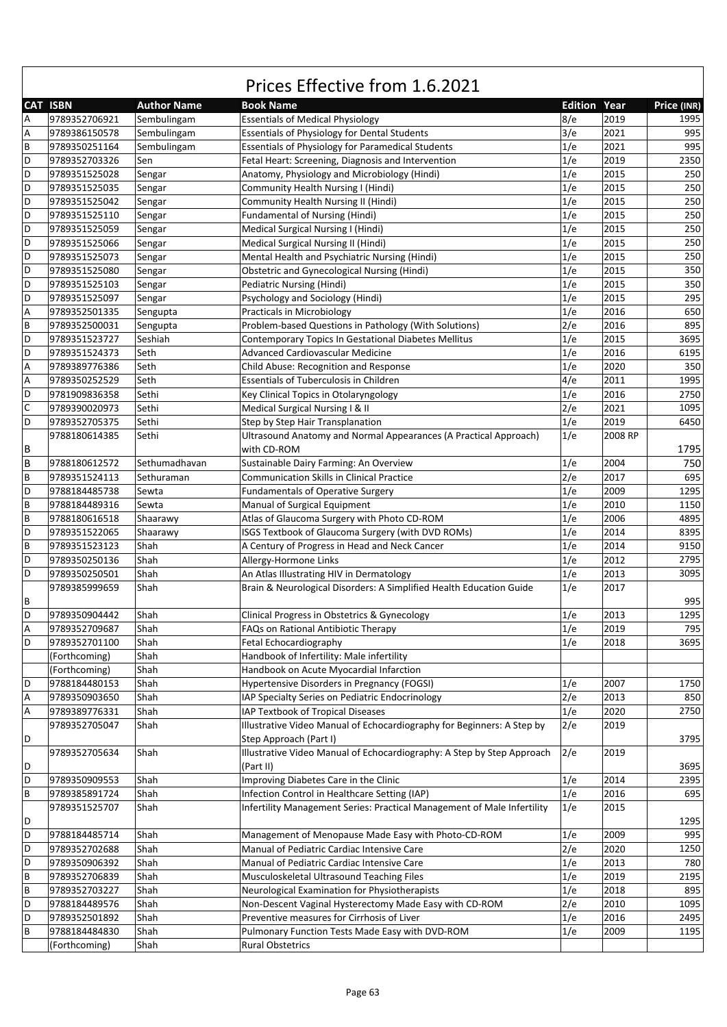|              | Prices Effective from 1.6.2021 |                    |                                                                                        |                     |         |             |  |  |  |
|--------------|--------------------------------|--------------------|----------------------------------------------------------------------------------------|---------------------|---------|-------------|--|--|--|
|              | <b>CAT ISBN</b>                | <b>Author Name</b> | <b>Book Name</b>                                                                       | <b>Edition Year</b> |         | Price (INR) |  |  |  |
| Α            | 9789352706921                  | Sembulingam        | <b>Essentials of Medical Physiology</b>                                                | 8/e                 | 2019    | 1995        |  |  |  |
| Α            | 9789386150578                  | Sembulingam        | <b>Essentials of Physiology for Dental Students</b>                                    | 3/e                 | 2021    | 995         |  |  |  |
| B            | 9789350251164                  | Sembulingam        | <b>Essentials of Physiology for Paramedical Students</b>                               | 1/e                 | 2021    | 995         |  |  |  |
| D            | 9789352703326                  | Sen                | Fetal Heart: Screening, Diagnosis and Intervention                                     | 1/e                 | 2019    | 2350        |  |  |  |
| D            | 9789351525028                  | Sengar             | Anatomy, Physiology and Microbiology (Hindi)                                           | 1/e                 | 2015    | 250         |  |  |  |
| D            | 9789351525035                  | Sengar             | Community Health Nursing I (Hindi)                                                     | 1/e                 | 2015    | 250         |  |  |  |
| D            | 9789351525042                  | Sengar             | Community Health Nursing II (Hindi)                                                    | 1/e                 | 2015    | 250         |  |  |  |
| D            | 9789351525110                  | Sengar             | Fundamental of Nursing (Hindi)                                                         | 1/e                 | 2015    | 250         |  |  |  |
| D            | 9789351525059                  | Sengar             | Medical Surgical Nursing I (Hindi)                                                     | 1/e                 | 2015    | 250         |  |  |  |
| D            | 9789351525066                  | Sengar             | Medical Surgical Nursing II (Hindi)                                                    | 1/e                 | 2015    | 250         |  |  |  |
| D            | 9789351525073                  | Sengar             | Mental Health and Psychiatric Nursing (Hindi)                                          | 1/e                 | 2015    | 250         |  |  |  |
| D            | 9789351525080                  | Sengar             | <b>Obstetric and Gynecological Nursing (Hindi)</b>                                     | 1/e                 | 2015    | 350         |  |  |  |
| D            | 9789351525103                  | Sengar             | Pediatric Nursing (Hindi)                                                              | 1/e                 | 2015    | 350         |  |  |  |
| D            | 9789351525097                  | Sengar             | Psychology and Sociology (Hindi)                                                       | 1/e                 | 2015    | 295         |  |  |  |
| A            | 9789352501335                  | Sengupta           | Practicals in Microbiology                                                             | 1/e                 | 2016    | 650         |  |  |  |
| B            | 9789352500031                  | Sengupta           | Problem-based Questions in Pathology (With Solutions)                                  | 2/e                 | 2016    | 895         |  |  |  |
| D            | 9789351523727                  | Seshiah            | Contemporary Topics In Gestational Diabetes Mellitus                                   | 1/e                 | 2015    | 3695        |  |  |  |
| D            | 9789351524373                  | Seth               | Advanced Cardiovascular Medicine                                                       | 1/e                 | 2016    | 6195        |  |  |  |
| Α            |                                | Seth               |                                                                                        | 1/e                 | 2020    | 350         |  |  |  |
| A            | 9789389776386                  |                    | Child Abuse: Recognition and Response<br><b>Essentials of Tuberculosis in Children</b> | 4/e                 | 2011    |             |  |  |  |
|              | 9789350252529                  | Seth               |                                                                                        |                     |         | 1995        |  |  |  |
| D            | 9781909836358                  | Sethi              | Key Clinical Topics in Otolaryngology                                                  | 1/e                 | 2016    | 2750        |  |  |  |
| $\mathsf{C}$ | 9789390020973                  | Sethi              | Medical Surgical Nursing I & II                                                        | 2/e                 | 2021    | 1095        |  |  |  |
| D            | 9789352705375                  | Sethi              | Step by Step Hair Transplanation                                                       | 1/e                 | 2019    | 6450        |  |  |  |
|              | 9788180614385                  | Sethi              | Ultrasound Anatomy and Normal Appearances (A Practical Approach)                       | 1/e                 | 2008 RP |             |  |  |  |
| В            |                                |                    | with CD-ROM                                                                            |                     |         | 1795        |  |  |  |
| B            | 9788180612572                  | Sethumadhavan      | Sustainable Dairy Farming: An Overview                                                 | 1/e                 | 2004    | 750         |  |  |  |
| B            | 9789351524113                  | Sethuraman         | <b>Communication Skills in Clinical Practice</b>                                       | 2/e                 | 2017    | 695         |  |  |  |
| D            | 9788184485738                  | Sewta              | <b>Fundamentals of Operative Surgery</b>                                               | 1/e                 | 2009    | 1295        |  |  |  |
| B            | 9788184489316                  | Sewta              | Manual of Surgical Equipment                                                           | 1/e                 | 2010    | 1150        |  |  |  |
| B            | 9788180616518                  | Shaarawy           | Atlas of Glaucoma Surgery with Photo CD-ROM                                            | 1/e                 | 2006    | 4895        |  |  |  |
| D            | 9789351522065                  | Shaarawy           | ISGS Textbook of Glaucoma Surgery (with DVD ROMs)                                      | 1/e                 | 2014    | 8395        |  |  |  |
| B            | 9789351523123                  | Shah               | A Century of Progress in Head and Neck Cancer                                          | 1/e                 | 2014    | 9150        |  |  |  |
| D            | 9789350250136                  | Shah               | Allergy-Hormone Links                                                                  | 1/e                 | 2012    | 2795        |  |  |  |
| D            | 9789350250501                  | Shah               | An Atlas Illustrating HIV in Dermatology                                               | 1/e                 | 2013    | 3095        |  |  |  |
|              | 9789385999659                  | Shah               | Brain & Neurological Disorders: A Simplified Health Education Guide                    | 1/e                 | 2017    |             |  |  |  |
| В            |                                |                    |                                                                                        |                     |         | 995         |  |  |  |
| D            | 9789350904442                  | Shah               | Clinical Progress in Obstetrics & Gynecology                                           | 1/e                 | 2013    | 1295        |  |  |  |
| A            | 9789352709687                  | Shah               | FAQs on Rational Antibiotic Therapy                                                    | 1/e                 | 2019    | 795         |  |  |  |
| D            | 9789352701100                  | Shah               | Fetal Echocardiography                                                                 | 1/e                 | 2018    | 3695        |  |  |  |
|              | (Forthcoming)                  | Shah               | Handbook of Infertility: Male infertility                                              |                     |         |             |  |  |  |
|              | (Forthcoming)                  | Shah               | Handbook on Acute Myocardial Infarction                                                |                     |         |             |  |  |  |
| D            | 9788184480153                  | Shah               | Hypertensive Disorders in Pregnancy (FOGSI)                                            | 1/e                 | 2007    | 1750        |  |  |  |
| Α            | 9789350903650                  | Shah               | IAP Specialty Series on Pediatric Endocrinology                                        | 2/e                 | 2013    | 850         |  |  |  |
| А            | 9789389776331                  | Shah               | IAP Textbook of Tropical Diseases                                                      | 1/e                 | 2020    | 2750        |  |  |  |
|              | 9789352705047                  | Shah               | Illustrative Video Manual of Echocardiography for Beginners: A Step by                 | 2/e                 | 2019    |             |  |  |  |
| D            |                                |                    | Step Approach (Part I)                                                                 |                     |         | 3795        |  |  |  |
|              | 9789352705634                  | Shah               | Illustrative Video Manual of Echocardiography: A Step by Step Approach                 | 2/e                 | 2019    |             |  |  |  |
| D            |                                |                    | (Part II)                                                                              |                     |         | 3695        |  |  |  |
| D            | 9789350909553                  | Shah               | Improving Diabetes Care in the Clinic                                                  | 1/e                 | 2014    | 2395        |  |  |  |
| В            | 9789385891724                  | Shah               | Infection Control in Healthcare Setting (IAP)                                          | 1/e                 | 2016    | 695         |  |  |  |
|              | 9789351525707                  | Shah               | Infertility Management Series: Practical Management of Male Infertility                | 1/e                 | 2015    |             |  |  |  |
|              |                                |                    |                                                                                        |                     |         |             |  |  |  |
| D            |                                |                    |                                                                                        |                     |         | 1295        |  |  |  |
| D            | 9788184485714                  | Shah               | Management of Menopause Made Easy with Photo-CD-ROM                                    | 1/e                 | 2009    | 995         |  |  |  |
| D            | 9789352702688                  | Shah               | Manual of Pediatric Cardiac Intensive Care                                             | 2/e                 | 2020    | 1250        |  |  |  |
| D            | 9789350906392                  | Shah               | Manual of Pediatric Cardiac Intensive Care                                             | 1/e                 | 2013    | 780         |  |  |  |
| B            | 9789352706839                  | Shah               | Musculoskeletal Ultrasound Teaching Files                                              | 1/e                 | 2019    | 2195        |  |  |  |
| B            | 9789352703227                  | Shah               | Neurological Examination for Physiotherapists                                          | 1/e                 | 2018    | 895         |  |  |  |
| D            | 9788184489576                  | Shah               | Non-Descent Vaginal Hysterectomy Made Easy with CD-ROM                                 | 2/e                 | 2010    | 1095        |  |  |  |
| D            | 9789352501892                  | Shah               | Preventive measures for Cirrhosis of Liver                                             | 1/e                 | 2016    | 2495        |  |  |  |
| В            | 9788184484830                  | Shah               | Pulmonary Function Tests Made Easy with DVD-ROM                                        | 1/e                 | 2009    | 1195        |  |  |  |
|              | (Forthcoming)                  | Shah               | <b>Rural Obstetrics</b>                                                                |                     |         |             |  |  |  |

 $\sqrt{ }$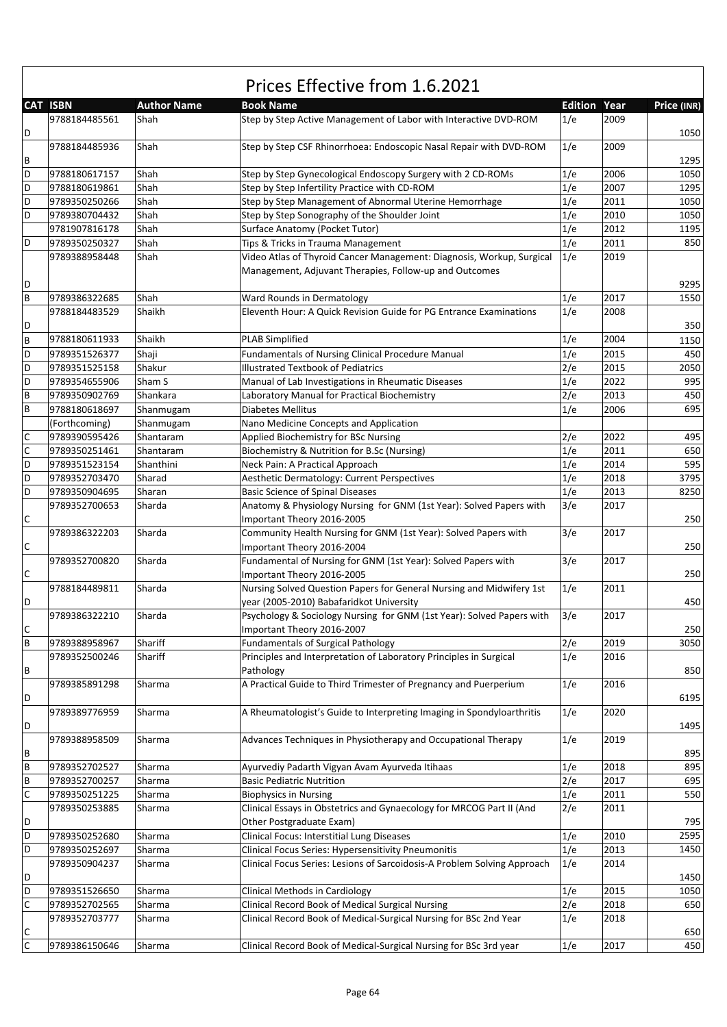|                |                 |                    | Prices Effective from 1.6.2021                                                                                                  |                     |      |             |
|----------------|-----------------|--------------------|---------------------------------------------------------------------------------------------------------------------------------|---------------------|------|-------------|
|                | <b>CAT ISBN</b> | <b>Author Name</b> | <b>Book Name</b>                                                                                                                | <b>Edition Year</b> |      | Price (INR) |
| D              | 9788184485561   | Shah               | Step by Step Active Management of Labor with Interactive DVD-ROM                                                                | 1/e                 | 2009 | 1050        |
| $\, {\sf B}$   | 9788184485936   | Shah               | Step by Step CSF Rhinorrhoea: Endoscopic Nasal Repair with DVD-ROM                                                              | 1/e                 | 2009 | 1295        |
| D              | 9788180617157   | Shah               | Step by Step Gynecological Endoscopy Surgery with 2 CD-ROMs                                                                     | 1/e                 | 2006 | 1050        |
| D              | 9788180619861   | Shah               | Step by Step Infertility Practice with CD-ROM                                                                                   | 1/e                 | 2007 | 1295        |
| D              | 9789350250266   | Shah               | Step by Step Management of Abnormal Uterine Hemorrhage                                                                          | 1/e                 | 2011 | 1050        |
| D              | 9789380704432   | Shah               | Step by Step Sonography of the Shoulder Joint                                                                                   | 1/e                 | 2010 | 1050        |
|                | 9781907816178   | Shah               | Surface Anatomy (Pocket Tutor)                                                                                                  | 1/e                 | 2012 | 1195        |
| D              | 9789350250327   | Shah               | Tips & Tricks in Trauma Management                                                                                              | 1/e                 | 2011 | 850         |
|                |                 |                    |                                                                                                                                 |                     | 2019 |             |
|                | 9789388958448   | Shah               | Video Atlas of Thyroid Cancer Management: Diagnosis, Workup, Surgical<br>Management, Adjuvant Therapies, Follow-up and Outcomes | 1/e                 |      |             |
| D              |                 |                    |                                                                                                                                 |                     |      | 9295        |
| $\sf{B}$       | 9789386322685   | Shah               | Ward Rounds in Dermatology                                                                                                      | 1/e                 | 2017 | 1550        |
| D              | 9788184483529   | Shaikh             | Eleventh Hour: A Quick Revision Guide for PG Entrance Examinations                                                              | 1/e                 | 2008 | 350         |
| $\sf B$        | 9788180611933   | Shaikh             | <b>PLAB Simplified</b>                                                                                                          | 1/e                 | 2004 | 1150        |
| D              | 9789351526377   | Shaji              | <b>Fundamentals of Nursing Clinical Procedure Manual</b>                                                                        | 1/e                 | 2015 | 450         |
| D              | 9789351525158   | Shakur             | <b>Illustrated Textbook of Pediatrics</b>                                                                                       | 2/e                 | 2015 | 2050        |
| D              | 9789354655906   | Sham S             | Manual of Lab Investigations in Rheumatic Diseases                                                                              | 1/e                 | 2022 | 995         |
| $\sf B$        | 9789350902769   | Shankara           | Laboratory Manual for Practical Biochemistry                                                                                    | 2/e                 | 2013 | 450         |
| $\sf B$        | 9788180618697   | Shanmugam          | Diabetes Mellitus                                                                                                               | 1/e                 | 2006 | 695         |
|                | (Forthcoming)   | Shanmugam          | Nano Medicine Concepts and Application                                                                                          |                     |      |             |
| $\mathsf C$    | 9789390595426   | Shantaram          | Applied Biochemistry for BSc Nursing                                                                                            | 2/e                 | 2022 | 495         |
| $\mathsf{C}$   | 9789350251461   | Shantaram          | Biochemistry & Nutrition for B.Sc (Nursing)                                                                                     | 1/e                 | 2011 | 650         |
| D              | 9789351523154   |                    | Neck Pain: A Practical Approach                                                                                                 | 1/e                 | 2014 | 595         |
|                |                 | Shanthini          |                                                                                                                                 |                     |      |             |
| D              | 9789352703470   | Sharad             | Aesthetic Dermatology: Current Perspectives                                                                                     | 1/e                 | 2018 | 3795        |
| D              | 9789350904695   | Sharan             | <b>Basic Science of Spinal Diseases</b>                                                                                         | 1/e                 | 2013 | 8250        |
|                | 9789352700653   | Sharda             | Anatomy & Physiology Nursing for GNM (1st Year): Solved Papers with                                                             | 3/e                 | 2017 |             |
| $\mathsf C$    |                 |                    | Important Theory 2016-2005                                                                                                      |                     |      | 250         |
| $\mathsf{C}$   | 9789386322203   | Sharda             | Community Health Nursing for GNM (1st Year): Solved Papers with<br>Important Theory 2016-2004                                   | 3/e                 | 2017 | 250         |
| $\mathsf C$    | 9789352700820   | Sharda             | Fundamental of Nursing for GNM (1st Year): Solved Papers with<br>Important Theory 2016-2005                                     | 3/e                 | 2017 | 250         |
| D              | 9788184489811   | Sharda             | Nursing Solved Question Papers for General Nursing and Midwifery 1st<br>year (2005-2010) Babafaridkot University                | 1/e                 | 2011 | 450         |
|                | 9789386322210   | Sharda             | Psychology & Sociology Nursing for GNM (1st Year): Solved Papers with                                                           | 3/e                 | 2017 |             |
| $\mathsf{C}$   |                 |                    | Important Theory 2016-2007                                                                                                      |                     |      | 250         |
| $\sf B$        | 9789388958967   | Shariff            | <b>Fundamentals of Surgical Pathology</b>                                                                                       | 2/e                 | 2019 | 3050        |
|                | 9789352500246   | Shariff            | Principles and Interpretation of Laboratory Principles in Surgical                                                              | 1/e                 | 2016 |             |
| B              | 9789385891298   | Sharma             | Pathology<br>A Practical Guide to Third Trimester of Pregnancy and Puerperium                                                   | 1/e                 | 2016 | 850         |
| D              | 9789389776959   | Sharma             | A Rheumatologist's Guide to Interpreting Imaging in Spondyloarthritis                                                           | 1/e                 | 2020 | 6195        |
| D              |                 |                    |                                                                                                                                 |                     |      | 1495        |
| $\, {\sf B}$   | 9789388958509   | Sharma             | Advances Techniques in Physiotherapy and Occupational Therapy                                                                   | 1/e                 | 2019 | 895         |
| $\sf{B}$       | 9789352702527   | Sharma             | Ayurvediy Padarth Vigyan Avam Ayurveda Itihaas                                                                                  | 1/e                 | 2018 | 895         |
| $\sf B$        | 9789352700257   | Sharma             | <b>Basic Pediatric Nutrition</b>                                                                                                | 2/e                 | 2017 | 695         |
| $\mathsf C$    | 9789350251225   | Sharma             | <b>Biophysics in Nursing</b>                                                                                                    | 1/e                 | 2011 | 550         |
|                | 9789350253885   | Sharma             | Clinical Essays in Obstetrics and Gynaecology for MRCOG Part II (And                                                            | 2/e                 | 2011 |             |
| D              |                 |                    | Other Postgraduate Exam)                                                                                                        |                     |      | 795         |
| D              | 9789350252680   | Sharma             | Clinical Focus: Interstitial Lung Diseases                                                                                      | 1/e                 | 2010 | 2595        |
| D              | 9789350252697   | Sharma             | Clinical Focus Series: Hypersensitivity Pneumonitis                                                                             |                     | 2013 | 1450        |
|                |                 |                    | Clinical Focus Series: Lesions of Sarcoidosis-A Problem Solving Approach                                                        | 1/e<br>1/e          | 2014 |             |
| D              | 9789350904237   | Sharma             |                                                                                                                                 |                     |      | 1450        |
| D              | 9789351526650   | Sharma             | Clinical Methods in Cardiology                                                                                                  | 1/e                 | 2015 | 1050        |
| $\mathsf{C}$   | 9789352702565   | Sharma             | Clinical Record Book of Medical Surgical Nursing                                                                                | 2/e                 | 2018 | 650         |
| $\mathsf{C}$   | 9789352703777   | Sharma             | Clinical Record Book of Medical-Surgical Nursing for BSc 2nd Year                                                               | 1/e                 | 2018 | 650         |
| $\overline{C}$ | 9789386150646   | Sharma             | Clinical Record Book of Medical-Surgical Nursing for BSc 3rd year                                                               | 1/e                 | 2017 | 450         |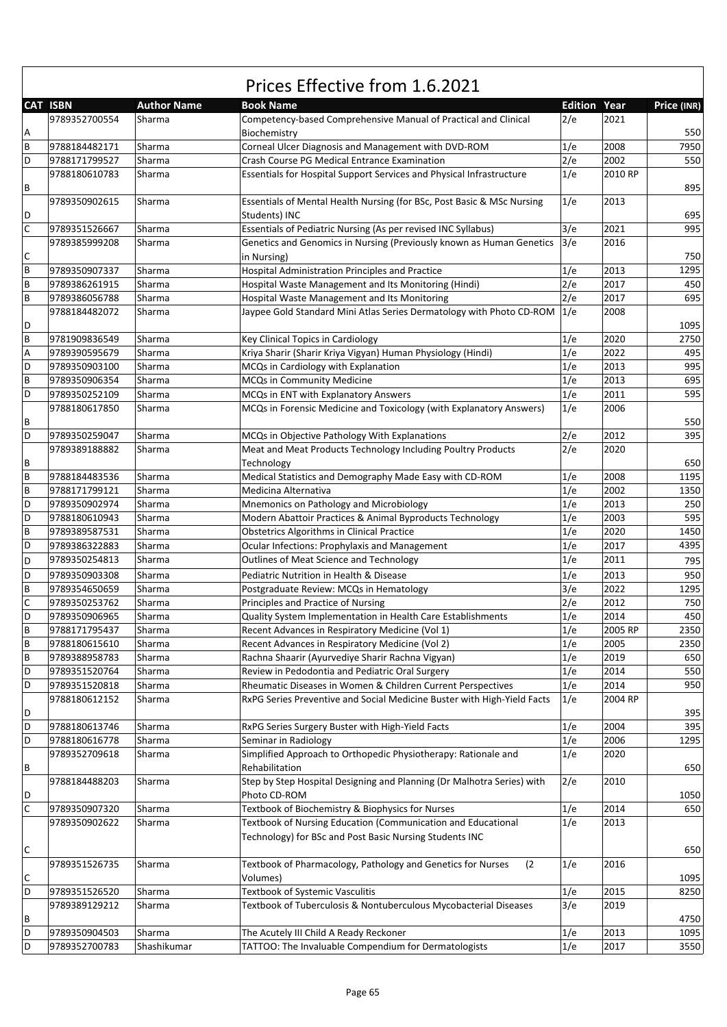|             | <b>CAT ISBN</b> | <b>Author Name</b> | <b>Book Name</b>                                                        | <b>Edition Year</b> |         | Price (INR) |
|-------------|-----------------|--------------------|-------------------------------------------------------------------------|---------------------|---------|-------------|
|             | 9789352700554   | Sharma             | Competency-based Comprehensive Manual of Practical and Clinical         | 2/e                 | 2021    |             |
| Α           |                 |                    | Biochemistry                                                            |                     |         | 550         |
| B           | 9788184482171   | Sharma             | Corneal Ulcer Diagnosis and Management with DVD-ROM                     | 1/e                 | 2008    | 7950        |
| D           | 9788171799527   | Sharma             | Crash Course PG Medical Entrance Examination                            | 2/e                 | 2002    | 550         |
|             | 9788180610783   | Sharma             | Essentials for Hospital Support Services and Physical Infrastructure    | 1/e                 | 2010 RP |             |
| В           |                 |                    |                                                                         |                     |         | 895         |
|             | 9789350902615   | Sharma             | Essentials of Mental Health Nursing (for BSc, Post Basic & MSc Nursing  | 1/e                 | 2013    |             |
| D           |                 |                    | Students) INC                                                           |                     |         | 695         |
| $\mathsf C$ | 9789351526667   | Sharma             | Essentials of Pediatric Nursing (As per revised INC Syllabus)           | 3/e                 | 2021    | 995         |
|             | 9789385999208   | Sharma             | Genetics and Genomics in Nursing (Previously known as Human Genetics    | 3/e                 | 2016    |             |
| С           |                 |                    | in Nursing)                                                             |                     |         | 750         |
| B           | 9789350907337   | Sharma             | <b>Hospital Administration Principles and Practice</b>                  | 1/e                 | 2013    | 1295        |
| B           | 9789386261915   | Sharma             | Hospital Waste Management and Its Monitoring (Hindi)                    | 2/e                 | 2017    | 450         |
| B           | 9789386056788   | Sharma             | Hospital Waste Management and Its Monitoring                            | 2/e                 | 2017    | 695         |
|             | 9788184482072   | Sharma             | Jaypee Gold Standard Mini Atlas Series Dermatology with Photo CD-ROM    | 1/e                 | 2008    |             |
| D           |                 |                    |                                                                         |                     |         | 1095        |
| B           | 9781909836549   | Sharma             | Key Clinical Topics in Cardiology                                       | 1/e                 | 2020    | 2750        |
| А           | 9789390595679   | Sharma             | Kriya Sharir (Sharir Kriya Vigyan) Human Physiology (Hindi)             | 1/e                 | 2022    | 495         |
| D           | 9789350903100   | Sharma             | MCQs in Cardiology with Explanation                                     | 1/e                 | 2013    | 995         |
| B           | 9789350906354   | Sharma             | MCQs in Community Medicine                                              | 1/e                 | 2013    | 695         |
| D           | 9789350252109   | Sharma             | MCQs in ENT with Explanatory Answers                                    | 1/e                 | 2011    | 595         |
|             | 9788180617850   | Sharma             | MCQs in Forensic Medicine and Toxicology (with Explanatory Answers)     | 1/e                 | 2006    |             |
| В           |                 |                    |                                                                         |                     |         | 550         |
| D           | 9789350259047   | Sharma             | MCQs in Objective Pathology With Explanations                           | 2/e                 | 2012    | 395         |
|             |                 |                    |                                                                         | 2/e                 | 2020    |             |
|             | 9789389188882   | Sharma             | Meat and Meat Products Technology Including Poultry Products            |                     |         |             |
| В           |                 |                    | Technology                                                              |                     |         | 650         |
| B           | 9788184483536   | Sharma             | Medical Statistics and Demography Made Easy with CD-ROM                 | 1/e                 | 2008    | 1195        |
| B           | 9788171799121   | Sharma             | Medicina Alternativa                                                    | 1/e                 | 2002    | 1350        |
| D           | 9789350902974   | Sharma             | Mnemonics on Pathology and Microbiology                                 | 1/e                 | 2013    | 250         |
| D           | 9788180610943   | Sharma             | Modern Abattoir Practices & Animal Byproducts Technology                | 1/e                 | 2003    | 595         |
| B           | 9789389587531   | Sharma             | <b>Obstetrics Algorithms in Clinical Practice</b>                       | 1/e                 | 2020    | 1450        |
| D           | 9789386322883   | Sharma             | Ocular Infections: Prophylaxis and Management                           | 1/e                 | 2017    | 4395        |
| D           | 9789350254813   | Sharma             | Outlines of Meat Science and Technology                                 | 1/e                 | 2011    | 795         |
| D           | 9789350903308   | Sharma             | Pediatric Nutrition in Health & Disease                                 | 1/e                 | 2013    | 950         |
| B           | 9789354650659   | Sharma             | Postgraduate Review: MCQs in Hematology                                 | 3/e                 | 2022    | 1295        |
| C           | 9789350253762   | Sharma             | Principles and Practice of Nursing                                      | 2/e                 | 2012    | 750         |
| D           | 9789350906965   | Sharma             | Quality System Implementation in Health Care Establishments             | 1/e                 | 2014    | 450         |
| B           | 9788171795437   | Sharma             | Recent Advances in Respiratory Medicine (Vol 1)                         | 1/e                 | 2005 RP | 2350        |
| B           | 9788180615610   | Sharma             | Recent Advances in Respiratory Medicine (Vol 2)                         | 1/e                 | 2005    | 2350        |
| В           | 9789388958783   | Sharma             | Rachna Shaarir (Ayurvediye Sharir Rachna Vigyan)                        | 1/e                 | 2019    | 650         |
| D           | 9789351520764   | Sharma             | Review in Pedodontia and Pediatric Oral Surgery                         | 1/e                 | 2014    | 550         |
| D           | 9789351520818   | Sharma             | Rheumatic Diseases in Women & Children Current Perspectives             | 1/e                 | 2014    | 950         |
|             | 9788180612152   | Sharma             | RxPG Series Preventive and Social Medicine Buster with High-Yield Facts | 1/e                 | 2004 RP |             |
| D           |                 |                    |                                                                         |                     |         | 395         |
| D           | 9788180613746   | Sharma             | RxPG Series Surgery Buster with High-Yield Facts                        | 1/e                 | 2004    | 395         |
| D           | 9788180616778   | Sharma             | Seminar in Radiology                                                    | 1/e                 | 2006    | 1295        |
|             | 9789352709618   | Sharma             | Simplified Approach to Orthopedic Physiotherapy: Rationale and          | 1/e                 | 2020    |             |
|             |                 |                    | Rehabilitation                                                          |                     |         | 650         |
| В           |                 |                    |                                                                         |                     |         |             |
|             | 9788184488203   | Sharma             | Step by Step Hospital Designing and Planning (Dr Malhotra Series) with  | 2/e                 | 2010    |             |
| D           |                 |                    | Photo CD-ROM                                                            |                     |         | 1050        |
| С           | 9789350907320   | Sharma             | Textbook of Biochemistry & Biophysics for Nurses                        | 1/e                 | 2014    | 650         |
|             | 9789350902622   | Sharma             | Textbook of Nursing Education (Communication and Educational            | 1/e                 | 2013    |             |
|             |                 |                    | Technology) for BSc and Post Basic Nursing Students INC                 |                     |         |             |
| С           |                 |                    |                                                                         |                     |         | 650         |
|             | 9789351526735   | Sharma             | Textbook of Pharmacology, Pathology and Genetics for Nurses<br>(2)      | 1/e                 | 2016    |             |
| С           |                 |                    | Volumes)                                                                |                     |         | 1095        |
| D           | 9789351526520   | Sharma             | Textbook of Systemic Vasculitis                                         | 1/e                 | 2015    | 8250        |
|             | 9789389129212   | Sharma             | Textbook of Tuberculosis & Nontuberculous Mycobacterial Diseases        | 3/e                 | 2019    |             |
| В           |                 |                    |                                                                         |                     |         | 4750        |
| D           | 9789350904503   | Sharma             | The Acutely III Child A Ready Reckoner                                  | 1/e                 | 2013    | 1095        |
| D           | 9789352700783   | Shashikumar        | TATTOO: The Invaluable Compendium for Dermatologists                    | 1/e                 | 2017    | 3550        |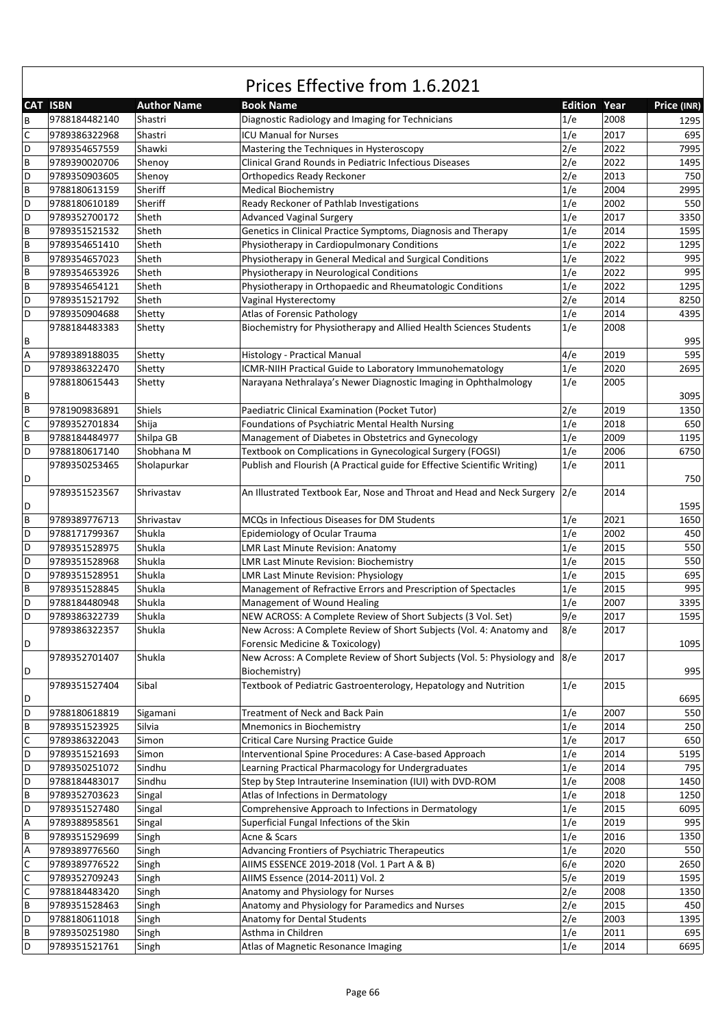|             | <b>CAT ISBN</b>                | <b>Author Name</b> | <b>Book Name</b>                                                                                   | <b>Edition Year</b> |      | Price (INR) |
|-------------|--------------------------------|--------------------|----------------------------------------------------------------------------------------------------|---------------------|------|-------------|
| B           | 9788184482140                  | Shastri            | Diagnostic Radiology and Imaging for Technicians                                                   | 1/e                 | 2008 | 1295        |
| C           | 9789386322968                  | Shastri            | <b>ICU Manual for Nurses</b>                                                                       | 1/e                 | 2017 | 695         |
| D           |                                |                    |                                                                                                    |                     | 2022 | 7995        |
| B           | 9789354657559<br>9789390020706 | Shawki<br>Shenoy   | Mastering the Techniques in Hysteroscopy<br>Clinical Grand Rounds in Pediatric Infectious Diseases | 2/e<br>2/e          | 2022 | 1495        |
| D           | 9789350903605                  |                    |                                                                                                    | 2/e                 | 2013 | 750         |
| B           |                                | Shenoy             | Orthopedics Ready Reckoner                                                                         | 1/e                 | 2004 |             |
|             | 9788180613159                  | Sheriff            | <b>Medical Biochemistry</b>                                                                        |                     |      | 2995        |
| D           | 9788180610189                  | Sheriff            | Ready Reckoner of Pathlab Investigations                                                           | 1/e                 | 2002 | 550         |
| D           | 9789352700172                  | Sheth              | <b>Advanced Vaginal Surgery</b>                                                                    | 1/e                 | 2017 | 3350        |
| B           | 9789351521532                  | Sheth              | Genetics in Clinical Practice Symptoms, Diagnosis and Therapy                                      | 1/e                 | 2014 | 1595        |
| B           | 9789354651410                  | Sheth              | Physiotherapy in Cardiopulmonary Conditions                                                        | 1/e                 | 2022 | 1295        |
| B           | 9789354657023                  | Sheth              | Physiotherapy in General Medical and Surgical Conditions                                           | 1/e                 | 2022 | 995         |
| B           | 9789354653926                  | Sheth              | Physiotherapy in Neurological Conditions                                                           | 1/e                 | 2022 | 995         |
| B           | 9789354654121                  | Sheth              | Physiotherapy in Orthopaedic and Rheumatologic Conditions                                          | 1/e                 | 2022 | 1295        |
| D           | 9789351521792                  | Sheth              | Vaginal Hysterectomy                                                                               | 2/e                 | 2014 | 8250        |
| D           | 9789350904688                  | Shetty             | Atlas of Forensic Pathology                                                                        | 1/e                 | 2014 | 4395        |
|             | 9788184483383                  | Shetty             | Biochemistry for Physiotherapy and Allied Health Sciences Students                                 | 1/e                 | 2008 |             |
| В           |                                |                    |                                                                                                    |                     |      | 995         |
| А           | 9789389188035                  | Shetty             | Histology - Practical Manual                                                                       | 4/e                 | 2019 | 595         |
| D           | 9789386322470                  | Shetty             | ICMR-NIIH Practical Guide to Laboratory Immunohematology                                           | 1/e                 | 2020 | 2695        |
|             | 9788180615443                  | Shetty             | Narayana Nethralaya's Newer Diagnostic Imaging in Ophthalmology                                    | 1/e                 | 2005 |             |
| В           |                                |                    |                                                                                                    |                     |      | 3095        |
| B           | 9781909836891                  | Shiels             | Paediatric Clinical Examination (Pocket Tutor)                                                     | 2/e                 | 2019 | 1350        |
| C           | 9789352701834                  | Shija              | Foundations of Psychiatric Mental Health Nursing                                                   | 1/e                 | 2018 | 650         |
| B           | 9788184484977                  | Shilpa GB          | Management of Diabetes in Obstetrics and Gynecology                                                | 1/e                 | 2009 | 1195        |
| D           | 9788180617140                  | Shobhana M         | Textbook on Complications in Gynecological Surgery (FOGSI)                                         | 1/e                 | 2006 | 6750        |
|             | 9789350253465                  | Sholapurkar        | Publish and Flourish (A Practical guide for Effective Scientific Writing)                          | 1/e                 | 2011 |             |
| D           |                                |                    |                                                                                                    |                     |      | 750         |
|             | 9789351523567                  | Shrivastav         | An Illustrated Textbook Ear, Nose and Throat and Head and Neck Surgery                             | 2/e                 | 2014 |             |
|             |                                |                    |                                                                                                    |                     |      | 1595        |
| D<br>B      |                                |                    |                                                                                                    |                     | 2021 |             |
|             | 9789389776713                  | Shrivastav         | MCQs in Infectious Diseases for DM Students                                                        | 1/e                 |      | 1650        |
| D           | 9788171799367                  | Shukla             | Epidemiology of Ocular Trauma                                                                      | 1/e                 | 2002 | 450         |
| D           | 9789351528975                  | Shukla             | LMR Last Minute Revision: Anatomy                                                                  | 1/e                 | 2015 | 550         |
| D           | 9789351528968                  | Shukla             | <b>LMR Last Minute Revision: Biochemistry</b>                                                      | 1/e                 | 2015 | 550         |
| D           | 9789351528951                  | Shukla             | <b>LMR Last Minute Revision: Physiology</b>                                                        | 1/e                 | 2015 | 695         |
| B           | 9789351528845                  | Shukla             | Management of Refractive Errors and Prescription of Spectacles                                     | 1/e                 | 2015 | 995         |
| D           | 9788184480948                  | Shukla             | Management of Wound Healing                                                                        | 1/e                 | 2007 | 3395        |
| D           | 9789386322739                  | Shukla             | NEW ACROSS: A Complete Review of Short Subjects (3 Vol. Set)                                       | 9/e                 | 2017 | 1595        |
|             | 9789386322357                  | Shukla             | New Across: A Complete Review of Short Subjects (Vol. 4: Anatomy and                               | 8/e                 | 2017 |             |
| D           |                                |                    | Forensic Medicine & Toxicology)                                                                    |                     |      | 1095        |
|             | 9789352701407                  | Shukla             | New Across: A Complete Review of Short Subjects (Vol. 5: Physiology and 8/e                        |                     | 2017 |             |
| D           |                                |                    | Biochemistry)                                                                                      |                     |      | 995         |
|             | 9789351527404                  | Sibal              | Textbook of Pediatric Gastroenterology, Hepatology and Nutrition                                   | 1/e                 | 2015 |             |
| D           |                                |                    |                                                                                                    |                     |      | 6695        |
| D           | 9788180618819                  | Sigamani           | Treatment of Neck and Back Pain                                                                    | 1/e                 | 2007 | 550         |
| B           | 9789351523925                  | Silvia             | Mnemonics in Biochemistry                                                                          | 1/e                 | 2014 | 250         |
| С           | 9789386322043                  | Simon              | <b>Critical Care Nursing Practice Guide</b>                                                        | 1/e                 | 2017 | 650         |
| D           | 9789351521693                  | Simon              | Interventional Spine Procedures: A Case-based Approach                                             | 1/e                 | 2014 | 5195        |
| D           | 9789350251072                  | Sindhu             | Learning Practical Pharmacology for Undergraduates                                                 | 1/e                 | 2014 | 795         |
| D           | 9788184483017                  | Sindhu             | Step by Step Intrauterine Insemination (IUI) with DVD-ROM                                          | 1/e                 | 2008 | 1450        |
| B           | 9789352703623                  | Singal             | Atlas of Infections in Dermatology                                                                 | 1/e                 | 2018 | 1250        |
| D           | 9789351527480                  | Singal             | Comprehensive Approach to Infections in Dermatology                                                | 1/e                 | 2015 | 6095        |
| А           | 9789388958561                  | Singal             | Superficial Fungal Infections of the Skin                                                          | 1/e                 | 2019 | 995         |
| B           | 9789351529699                  | Singh              | Acne & Scars                                                                                       | 1/e                 | 2016 | 1350        |
|             |                                |                    |                                                                                                    |                     |      |             |
| А           | 9789389776560                  | Singh              | Advancing Frontiers of Psychiatric Therapeutics                                                    | 1/e                 | 2020 | 550         |
| С           | 9789389776522                  | Singh              | AIIMS ESSENCE 2019-2018 (Vol. 1 Part A & B)                                                        | 6/e                 | 2020 | 2650        |
| $\mathsf C$ | 9789352709243                  | Singh              | AIIMS Essence (2014-2011) Vol. 2                                                                   | 5/e                 | 2019 | 1595        |
| C           | 9788184483420                  | Singh              | Anatomy and Physiology for Nurses                                                                  | 2/e                 | 2008 | 1350        |
| B           | 9789351528463                  | Singh              | Anatomy and Physiology for Paramedics and Nurses                                                   | 2/e                 | 2015 | 450         |
| D           | 9788180611018                  | Singh              | Anatomy for Dental Students                                                                        | 2/e                 | 2003 | 1395        |
| B           | 9789350251980                  | Singh              | Asthma in Children                                                                                 | 1/e                 | 2011 | 695         |
| D           | 9789351521761                  | Singh              | Atlas of Magnetic Resonance Imaging                                                                | 1/e                 | 2014 | 6695        |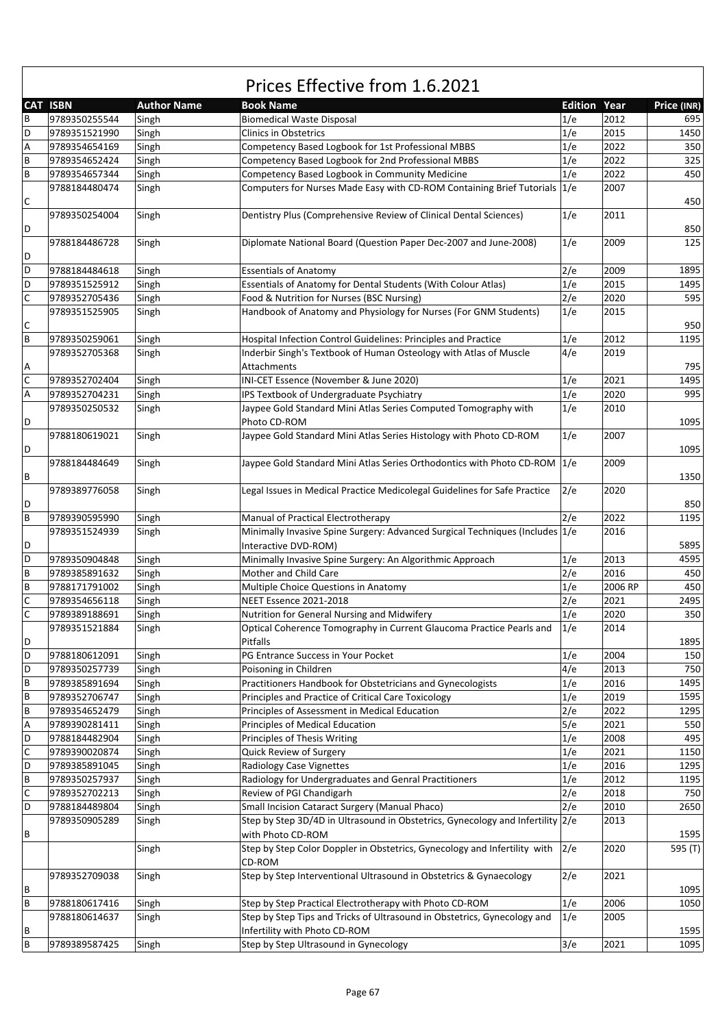|   | <b>CAT ISBN</b> | <b>Author Name</b> | <b>Book Name</b>                                                               | <b>Edition Year</b> |         | Price (INR) |
|---|-----------------|--------------------|--------------------------------------------------------------------------------|---------------------|---------|-------------|
| B | 9789350255544   | Singh              | <b>Biomedical Waste Disposal</b>                                               | 1/e                 | 2012    | 695         |
| D | 9789351521990   | Singh              | <b>Clinics in Obstetrics</b>                                                   | 1/e                 | 2015    | 1450        |
| А | 9789354654169   | Singh              | Competency Based Logbook for 1st Professional MBBS                             | 1/e                 | 2022    | 350         |
| B | 9789354652424   | Singh              | Competency Based Logbook for 2nd Professional MBBS                             | 1/e                 | 2022    | 325         |
| В | 9789354657344   | Singh              | Competency Based Logbook in Community Medicine                                 | 1/e                 | 2022    | 450         |
|   | 9788184480474   | Singh              | Computers for Nurses Made Easy with CD-ROM Containing Brief Tutorials 1/e      |                     | 2007    |             |
| С |                 |                    |                                                                                |                     |         | 450         |
|   | 9789350254004   | Singh              | Dentistry Plus (Comprehensive Review of Clinical Dental Sciences)              | 1/e                 | 2011    |             |
| D |                 |                    |                                                                                |                     |         | 850         |
|   |                 |                    |                                                                                |                     |         |             |
|   | 9788184486728   | Singh              | Diplomate National Board (Question Paper Dec-2007 and June-2008)               | 1/e                 | 2009    | 125         |
| D |                 |                    |                                                                                |                     |         |             |
| D | 9788184484618   | Singh              | <b>Essentials of Anatomy</b>                                                   | 2/e                 | 2009    | 1895        |
| D | 9789351525912   | Singh              | Essentials of Anatomy for Dental Students (With Colour Atlas)                  | 1/e                 | 2015    | 1495        |
| C | 9789352705436   | Singh              | Food & Nutrition for Nurses (BSC Nursing)                                      | 2/e                 | 2020    | 595         |
|   | 9789351525905   | Singh              | Handbook of Anatomy and Physiology for Nurses (For GNM Students)               | 1/e                 | 2015    |             |
| С |                 |                    |                                                                                |                     |         | 950         |
| B | 9789350259061   | Singh              | Hospital Infection Control Guidelines: Principles and Practice                 | 1/e                 | 2012    | 1195        |
|   | 9789352705368   | Singh              | Inderbir Singh's Textbook of Human Osteology with Atlas of Muscle              | 4/e                 | 2019    |             |
| А |                 |                    | Attachments                                                                    |                     |         | 795         |
| С | 9789352702404   | Singh              | INI-CET Essence (November & June 2020)                                         | 1/e                 | 2021    | 1495        |
| А | 9789352704231   | Singh              | IPS Textbook of Undergraduate Psychiatry                                       | 1/e                 | 2020    | 995         |
|   | 9789350250532   | Singh              | Jaypee Gold Standard Mini Atlas Series Computed Tomography with                | 1/e                 | 2010    |             |
| D |                 |                    | Photo CD-ROM                                                                   |                     |         | 1095        |
|   | 9788180619021   | Singh              | Jaypee Gold Standard Mini Atlas Series Histology with Photo CD-ROM             | 1/e                 | 2007    |             |
| D |                 |                    |                                                                                |                     |         | 1095        |
|   | 9788184484649   | Singh              | Jaypee Gold Standard Mini Atlas Series Orthodontics with Photo CD-ROM 1/e      |                     | 2009    |             |
| В |                 |                    |                                                                                |                     |         | 1350        |
|   |                 |                    |                                                                                |                     |         |             |
|   | 9789389776058   | Singh              | Legal Issues in Medical Practice Medicolegal Guidelines for Safe Practice      | 2/e                 | 2020    |             |
| D |                 |                    |                                                                                |                     |         | 850         |
| B | 9789390595990   | Singh              | Manual of Practical Electrotherapy                                             | 2/e                 | 2022    | 1195        |
|   | 9789351524939   | Singh              | Minimally Invasive Spine Surgery: Advanced Surgical Techniques (Includes 1/e   |                     | 2016    |             |
| D |                 |                    | Interactive DVD-ROM)                                                           |                     |         | 5895        |
| D | 9789350904848   | Singh              | Minimally Invasive Spine Surgery: An Algorithmic Approach                      | 1/e                 | 2013    | 4595        |
| В | 9789385891632   | Singh              | Mother and Child Care                                                          | 2/e                 | 2016    | 450         |
| B | 9788171791002   | Singh              | Multiple Choice Questions in Anatomy                                           | 1/e                 | 2006 RP | 450         |
| С | 9789354656118   | Singh              | NEET Essence 2021-2018                                                         | 2/e                 | 2021    | 2495        |
| С | 9789389188691   | Singh              | Nutrition for General Nursing and Midwifery                                    | 1/e                 | 2020    | 350         |
|   | 9789351521884   | Singh              | Optical Coherence Tomography in Current Glaucoma Practice Pearls and           | 1/e                 | 2014    |             |
| D |                 |                    | Pitfalls                                                                       |                     |         | 1895        |
| D | 9788180612091   | Singh              | PG Entrance Success in Your Pocket                                             | 1/e                 | 2004    | 150         |
| D | 9789350257739   | Singh              | Poisoning in Children                                                          | 4/e                 | 2013    | 750         |
| В | 9789385891694   | Singh              | Practitioners Handbook for Obstetricians and Gynecologists                     | 1/e                 | 2016    | 1495        |
| В | 9789352706747   | Singh              | Principles and Practice of Critical Care Toxicology                            | 1/e                 | 2019    | 1595        |
| В | 9789354652479   | Singh              | Principles of Assessment in Medical Education                                  | 2/e                 | 2022    | 1295        |
| А | 9789390281411   | Singh              | Principles of Medical Education                                                | 5/e                 | 2021    | 550         |
| D | 9788184482904   | Singh              | Principles of Thesis Writing                                                   | 1/e                 | 2008    | 495         |
| С | 9789390020874   | Singh              | Quick Review of Surgery                                                        | 1/e                 | 2021    | 1150        |
| D | 9789385891045   | Singh              | Radiology Case Vignettes                                                       | 1/e                 | 2016    | 1295        |
| В |                 |                    | Radiology for Undergraduates and Genral Practitioners                          |                     |         | 1195        |
|   | 9789350257937   | Singh              |                                                                                | 1/e                 | 2012    |             |
| С | 9789352702213   | Singh              | Review of PGI Chandigarh                                                       | 2/e                 | 2018    | 750         |
| D | 9788184489804   | Singh              | Small Incision Cataract Surgery (Manual Phaco)                                 | 2/e                 | 2010    | 2650        |
|   | 9789350905289   | Singh              | Step by Step 3D/4D in Ultrasound in Obstetrics, Gynecology and Infertility 2/e |                     | 2013    |             |
| В |                 |                    | with Photo CD-ROM                                                              |                     |         | 1595        |
|   |                 | Singh              | Step by Step Color Doppler in Obstetrics, Gynecology and Infertility with      | 2/e                 | 2020    | 595 (T)     |
|   |                 |                    | CD-ROM                                                                         |                     |         |             |
|   | 9789352709038   | Singh              | Step by Step Interventional Ultrasound in Obstetrics & Gynaecology             | 2/e                 | 2021    |             |
| В |                 |                    |                                                                                |                     |         | 1095        |
| B | 9788180617416   | Singh              | Step by Step Practical Electrotherapy with Photo CD-ROM                        | 1/e                 | 2006    | 1050        |
|   | 9788180614637   | Singh              | Step by Step Tips and Tricks of Ultrasound in Obstetrics, Gynecology and       | 1/e                 | 2005    |             |
| В |                 |                    | Infertility with Photo CD-ROM                                                  |                     |         | 1595        |
| B | 9789389587425   | Singh              | Step by Step Ultrasound in Gynecology                                          | 3/e                 | 2021    | 1095        |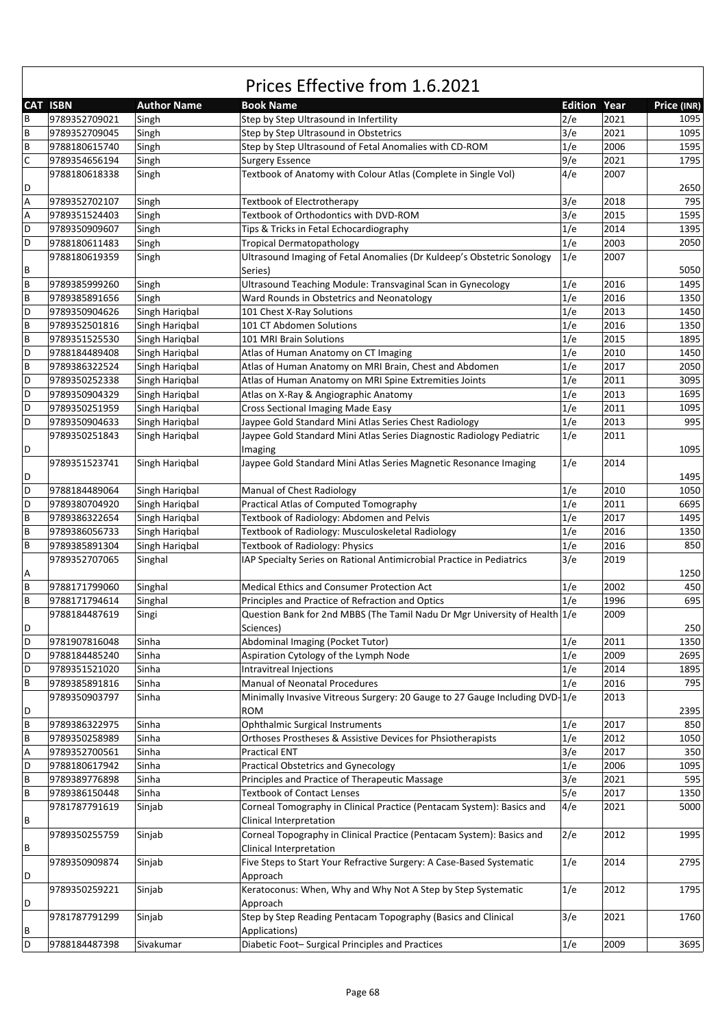|             | <b>CAT ISBN</b> | <b>Author Name</b> | <b>Book Name</b>                                                                  | <b>Edition Year</b> |      | Price (INR) |
|-------------|-----------------|--------------------|-----------------------------------------------------------------------------------|---------------------|------|-------------|
| B           | 9789352709021   | Singh              | Step by Step Ultrasound in Infertility                                            | 2/e                 | 2021 | 1095        |
| B           | 9789352709045   | Singh              | Step by Step Ultrasound in Obstetrics                                             | 3/e                 | 2021 | 1095        |
| B           | 9788180615740   | Singh              | Step by Step Ultrasound of Fetal Anomalies with CD-ROM                            | 1/e                 | 2006 | 1595        |
| $\mathsf C$ |                 |                    |                                                                                   | 9/e                 | 2021 | 1795        |
|             | 9789354656194   | Singh              | <b>Surgery Essence</b>                                                            |                     | 2007 |             |
|             | 9788180618338   | Singh              | Textbook of Anatomy with Colour Atlas (Complete in Single Vol)                    | 4/e                 |      |             |
| D           |                 |                    |                                                                                   |                     |      | 2650        |
| А           | 9789352702107   | Singh              | Textbook of Electrotherapy                                                        | 3/e                 | 2018 | 795         |
| Α           | 9789351524403   | Singh              | Textbook of Orthodontics with DVD-ROM                                             | 3/e                 | 2015 | 1595        |
| D           | 9789350909607   | Singh              | Tips & Tricks in Fetal Echocardiography                                           | 1/e                 | 2014 | 1395        |
| D           | 9788180611483   | Singh              | <b>Tropical Dermatopathology</b>                                                  | 1/e                 | 2003 | 2050        |
| В           | 9788180619359   | Singh              | Ultrasound Imaging of Fetal Anomalies (Dr Kuldeep's Obstetric Sonology<br>Series) | 1/e                 | 2007 | 5050        |
| B           | 9789385999260   | Singh              | Ultrasound Teaching Module: Transvaginal Scan in Gynecology                       | 1/e                 | 2016 | 1495        |
| B           | 9789385891656   |                    |                                                                                   | 1/e                 | 2016 | 1350        |
|             |                 | Singh              | Ward Rounds in Obstetrics and Neonatology                                         |                     |      |             |
| D           | 9789350904626   | Singh Hariqbal     | 101 Chest X-Ray Solutions                                                         | 1/e                 | 2013 | 1450        |
| B           | 9789352501816   | Singh Harigbal     | 101 CT Abdomen Solutions                                                          | 1/e                 | 2016 | 1350        |
| B           | 9789351525530   | Singh Harigbal     | 101 MRI Brain Solutions                                                           | 1/e                 | 2015 | 1895        |
| D           | 9788184489408   | Singh Hariqbal     | Atlas of Human Anatomy on CT Imaging                                              | 1/e                 | 2010 | 1450        |
| B           | 9789386322524   | Singh Harigbal     | Atlas of Human Anatomy on MRI Brain, Chest and Abdomen                            | 1/e                 | 2017 | 2050        |
| D           | 9789350252338   | Singh Hariqbal     | Atlas of Human Anatomy on MRI Spine Extremities Joints                            | 1/e                 | 2011 | 3095        |
| D           | 9789350904329   | Singh Hariqbal     | Atlas on X-Ray & Angiographic Anatomy                                             | 1/e                 | 2013 | 1695        |
| D           | 9789350251959   | Singh Hariqbal     | Cross Sectional Imaging Made Easy                                                 | 1/e                 | 2011 | 1095        |
| D           | 9789350904633   | Singh Harigbal     | Jaypee Gold Standard Mini Atlas Series Chest Radiology                            | 1/e                 | 2013 | 995         |
|             | 9789350251843   | Singh Harigbal     | Jaypee Gold Standard Mini Atlas Series Diagnostic Radiology Pediatric             | 1/e                 | 2011 |             |
| D           |                 |                    | Imaging                                                                           |                     |      | 1095        |
|             | 9789351523741   | Singh Harigbal     | Jaypee Gold Standard Mini Atlas Series Magnetic Resonance Imaging                 | 1/e                 | 2014 |             |
| D           |                 |                    |                                                                                   |                     |      | 1495        |
| D           |                 |                    |                                                                                   |                     | 2010 | 1050        |
|             | 9788184489064   | Singh Harigbal     | Manual of Chest Radiology                                                         | 1/e                 |      |             |
| D           | 9789380704920   | Singh Hariqbal     | Practical Atlas of Computed Tomography                                            | 1/e                 | 2011 | 6695        |
| B           | 9789386322654   | Singh Hariqbal     | Textbook of Radiology: Abdomen and Pelvis                                         | 1/e                 | 2017 | 1495        |
| B           | 9789386056733   | Singh Hariqbal     | Textbook of Radiology: Musculoskeletal Radiology                                  | 1/e                 | 2016 | 1350        |
| B           | 9789385891304   | Singh Hariqbal     | Textbook of Radiology: Physics                                                    | 1/e                 | 2016 | 850         |
|             | 9789352707065   | Singhal            | IAP Specialty Series on Rational Antimicrobial Practice in Pediatrics             | 3/e                 | 2019 |             |
| А           |                 |                    |                                                                                   |                     |      | 1250        |
| B           | 9788171799060   | Singhal            | <b>Medical Ethics and Consumer Protection Act</b>                                 | 1/e                 | 2002 | 450         |
| B           | 9788171794614   | Singhal            | Principles and Practice of Refraction and Optics                                  | 1/e                 | 1996 | 695         |
|             | 9788184487619   | Singi              | Question Bank for 2nd MBBS (The Tamil Nadu Dr Mgr University of Health 1/e        |                     | 2009 |             |
| D           |                 |                    | Sciences)                                                                         |                     |      | 250         |
| D           | 9781907816048   | Sinha              | Abdominal Imaging (Pocket Tutor)                                                  | 1/e                 | 2011 | 1350        |
| D           | 9788184485240   | Sinha              | Aspiration Cytology of the Lymph Node                                             | 1/e                 | 2009 | 2695        |
| D           | 9789351521020   | Sinha              | Intravitreal Injections                                                           | 1/e                 | 2014 | 1895        |
| B           | 9789385891816   | Sinha              | Manual of Neonatal Procedures                                                     | 1/e                 | 2016 | 795         |
|             | 9789350903797   | Sinha              | Minimally Invasive Vitreous Surgery: 20 Gauge to 27 Gauge Including DVD-1/e       |                     | 2013 |             |
| D           |                 |                    | <b>ROM</b>                                                                        |                     |      | 2395        |
|             | 9789386322975   |                    |                                                                                   |                     |      |             |
| B           |                 | Sinha              | Ophthalmic Surgical Instruments                                                   | 1/e                 | 2017 | 850         |
| B           | 9789350258989   | Sinha              | Orthoses Prostheses & Assistive Devices for Phsiotherapists                       | 1/e                 | 2012 | 1050        |
| А           | 9789352700561   | Sinha              | <b>Practical ENT</b>                                                              | 3/e                 | 2017 | 350         |
| D           | 9788180617942   | Sinha              | Practical Obstetrics and Gynecology                                               | 1/e                 | 2006 | 1095        |
| B           | 9789389776898   | Sinha              | Principles and Practice of Therapeutic Massage                                    | 3/e                 | 2021 | 595         |
| B           | 9789386150448   | Sinha              | <b>Textbook of Contact Lenses</b>                                                 | 5/e                 | 2017 | 1350        |
|             | 9781787791619   | Sinjab             | Corneal Tomography in Clinical Practice (Pentacam System): Basics and             | 4/e                 | 2021 | 5000        |
| В           |                 |                    | Clinical Interpretation                                                           |                     |      |             |
|             | 9789350255759   | Sinjab             | Corneal Topography in Clinical Practice (Pentacam System): Basics and             | 2/e                 | 2012 | 1995        |
| В           |                 |                    | Clinical Interpretation                                                           |                     |      |             |
|             | 9789350909874   | Sinjab             | Five Steps to Start Your Refractive Surgery: A Case-Based Systematic              | 1/e                 | 2014 | 2795        |
| D           |                 |                    | Approach                                                                          |                     |      |             |
|             | 9789350259221   | Sinjab             | Keratoconus: When, Why and Why Not A Step by Step Systematic                      | 1/e                 | 2012 | 1795        |
| D           |                 |                    | Approach                                                                          |                     |      |             |
|             | 9781787791299   | Sinjab             | Step by Step Reading Pentacam Topography (Basics and Clinical                     | 3/e                 | 2021 | 1760        |
| В           |                 |                    | Applications)                                                                     |                     |      |             |
| D           | 9788184487398   | Sivakumar          | Diabetic Foot-Surgical Principles and Practices                                   |                     | 2009 | 3695        |
|             |                 |                    |                                                                                   | 1/e                 |      |             |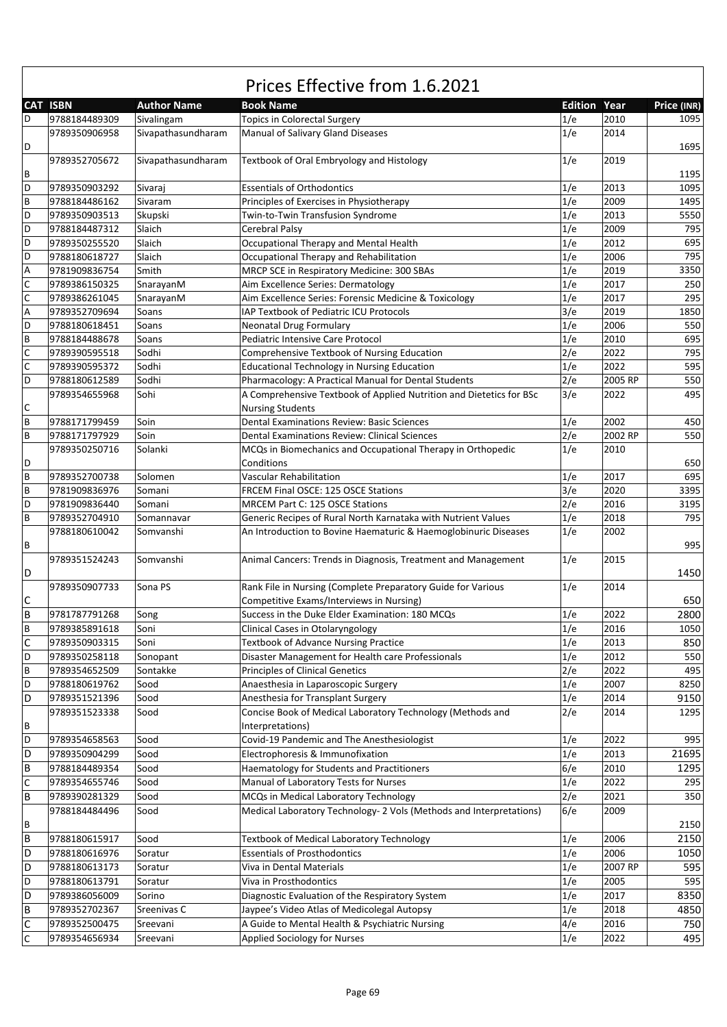|                  | Prices Effective from 1.6.2021 |                    |                                                                                                          |                     |         |             |  |  |
|------------------|--------------------------------|--------------------|----------------------------------------------------------------------------------------------------------|---------------------|---------|-------------|--|--|
|                  | <b>CAT ISBN</b>                | <b>Author Name</b> | <b>Book Name</b>                                                                                         | <b>Edition Year</b> |         | Price (INR) |  |  |
| D                | 9788184489309                  | Sivalingam         | <b>Topics in Colorectal Surgery</b>                                                                      | 1/e                 | 2010    | 1095        |  |  |
| D                | 9789350906958                  | Sivapathasundharam | Manual of Salivary Gland Diseases                                                                        | 1/e                 | 2014    | 1695        |  |  |
| В                | 9789352705672                  | Sivapathasundharam | Textbook of Oral Embryology and Histology                                                                | 1/e                 | 2019    | 1195        |  |  |
| D                | 9789350903292                  | Sivaraj            | <b>Essentials of Orthodontics</b>                                                                        | 1/e                 | 2013    | 1095        |  |  |
| B                | 9788184486162                  | Sivaram            | Principles of Exercises in Physiotherapy                                                                 | 1/e                 | 2009    | 1495        |  |  |
| D                | 9789350903513                  | Skupski            | Twin-to-Twin Transfusion Syndrome                                                                        | 1/e                 | 2013    | 5550        |  |  |
| D                | 9788184487312                  | Slaich             | Cerebral Palsy                                                                                           | 1/e                 | 2009    | 795         |  |  |
| D                | 9789350255520                  | Slaich             | Occupational Therapy and Mental Health                                                                   | 1/e                 | 2012    | 695         |  |  |
| D                | 9788180618727                  | Slaich             | Occupational Therapy and Rehabilitation                                                                  | 1/e                 | 2006    | 795         |  |  |
| A                | 9781909836754                  | Smith              | MRCP SCE in Respiratory Medicine: 300 SBAs                                                               | 1/e                 | 2019    | 3350        |  |  |
| $\mathsf C$      | 9789386150325                  | SnarayanM          | Aim Excellence Series: Dermatology                                                                       | 1/e                 | 2017    | 250         |  |  |
| $\mathsf C$      | 9789386261045                  | SnarayanM          | Aim Excellence Series: Forensic Medicine & Toxicology                                                    | 1/e                 | 2017    | 295         |  |  |
| A                | 9789352709694                  | Soans              | IAP Textbook of Pediatric ICU Protocols                                                                  | 3/e                 | 2019    | 1850        |  |  |
| D                | 9788180618451                  | Soans              | <b>Neonatal Drug Formulary</b>                                                                           | 1/e                 | 2006    | 550         |  |  |
| B                | 9788184488678                  | Soans              | Pediatric Intensive Care Protocol                                                                        | 1/e                 | 2010    | 695         |  |  |
| $\overline{c}$   | 9789390595518                  | Sodhi              | Comprehensive Textbook of Nursing Education                                                              | 2/e                 | 2022    | 795         |  |  |
| $\mathsf C$      | 9789390595372                  | Sodhi              | <b>Educational Technology in Nursing Education</b>                                                       | 1/e                 | 2022    | 595         |  |  |
| D                | 9788180612589                  | Sodhi              | Pharmacology: A Practical Manual for Dental Students                                                     | 2/e                 | 2005 RP | 550         |  |  |
|                  | 9789354655968                  | Sohi               | A Comprehensive Textbook of Applied Nutrition and Dietetics for BSc                                      | 3/e                 | 2022    | 495         |  |  |
| C                |                                |                    | <b>Nursing Students</b>                                                                                  |                     |         |             |  |  |
| B                | 9788171799459                  | Soin               | <b>Dental Examinations Review: Basic Sciences</b>                                                        | 1/e                 | 2002    | 450         |  |  |
| B                | 9788171797929                  | Soin               | <b>Dental Examinations Review: Clinical Sciences</b>                                                     | 2/e                 | 2002 RP | 550         |  |  |
|                  | 9789350250716                  | Solanki            | MCQs in Biomechanics and Occupational Therapy in Orthopedic                                              | 1/e                 | 2010    |             |  |  |
| D                |                                |                    | Conditions                                                                                               |                     |         | 650         |  |  |
| B                | 9789352700738                  | Solomen            | Vascular Rehabilitation                                                                                  | 1/e                 | 2017    | 695         |  |  |
| B                | 9781909836976                  | Somani             | FRCEM Final OSCE: 125 OSCE Stations                                                                      | 3/e                 | 2020    | 3395        |  |  |
| D                | 9781909836440                  | Somani             | MRCEM Part C: 125 OSCE Stations                                                                          | 2/e                 | 2016    | 3195        |  |  |
| B                | 9789352704910                  | Somannavar         | Generic Recipes of Rural North Karnataka with Nutrient Values                                            | 1/e                 | 2018    | 795         |  |  |
| В                | 9788180610042                  | Somvanshi          | An Introduction to Bovine Haematuric & Haemoglobinuric Diseases                                          | 1/e                 | 2002    | 995         |  |  |
| D                | 9789351524243                  | Somvanshi          | Animal Cancers: Trends in Diagnosis, Treatment and Management                                            | 1/e                 | 2015    | 1450        |  |  |
| С                | 9789350907733                  | Sona PS            | Rank File in Nursing (Complete Preparatory Guide for Various<br>Competitive Exams/Interviews in Nursing) | 1/e                 | 2014    | 650         |  |  |
| B                | 9781787791268                  | Song               | Success in the Duke Elder Examination: 180 MCQs                                                          | 1/e                 | 2022    | 2800        |  |  |
|                  |                                |                    |                                                                                                          |                     | 2016    | 1050        |  |  |
| В<br>$\mathsf C$ | 9789385891618                  | Soni               | Clinical Cases in Otolaryngology                                                                         | 1/e                 | 2013    |             |  |  |
|                  | 9789350903315                  | Soni               | <b>Textbook of Advance Nursing Practice</b>                                                              | 1/e                 |         | 850         |  |  |
| D                | 9789350258118                  | Sonopant           | Disaster Management for Health care Professionals                                                        | 1/e                 | 2012    | 550         |  |  |
| B                | 9789354652509                  | Sontakke           | <b>Principles of Clinical Genetics</b>                                                                   | 2/e                 | 2022    | 495         |  |  |
| D                | 9788180619762                  | Sood               | Anaesthesia in Laparoscopic Surgery                                                                      | 1/e                 | 2007    | 8250        |  |  |
| D                | 9789351521396                  | Sood               | Anesthesia for Transplant Surgery                                                                        | 1/e                 | 2014    | 9150        |  |  |
| B                | 9789351523338                  | Sood               | Concise Book of Medical Laboratory Technology (Methods and<br>Interpretations)                           | 2/e                 | 2014    | 1295        |  |  |
| D                | 9789354658563                  | Sood               | Covid-19 Pandemic and The Anesthesiologist                                                               | 1/e                 | 2022    | 995         |  |  |
| D                | 9789350904299                  | Sood               | Electrophoresis & Immunofixation                                                                         | 1/e                 | 2013    | 21695       |  |  |
| $\sf B$          | 9788184489354                  | Sood               | Haematology for Students and Practitioners                                                               | 6/e                 | 2010    | 1295        |  |  |
| $\mathsf C$      | 9789354655746                  | Sood               | Manual of Laboratory Tests for Nurses                                                                    | 1/e                 | 2022    | 295         |  |  |
| $\sf B$          | 9789390281329                  | Sood               | MCQs in Medical Laboratory Technology                                                                    | 2/e                 | 2021    | 350         |  |  |
|                  | 9788184484496                  | Sood               | Medical Laboratory Technology- 2 Vols (Methods and Interpretations)                                      | 6/e                 | 2009    |             |  |  |
| В                |                                |                    |                                                                                                          |                     |         | 2150        |  |  |
| $\sf B$          | 9788180615917                  | Sood               | Textbook of Medical Laboratory Technology                                                                | 1/e                 | 2006    | 2150        |  |  |
| D                | 9788180616976                  | Soratur            | <b>Essentials of Prosthodontics</b>                                                                      | 1/e                 | 2006    | 1050        |  |  |
| D                | 9788180613173                  | Soratur            | Viva in Dental Materials                                                                                 | 1/e                 | 2007 RP | 595         |  |  |
| D                | 9788180613791                  | Soratur            | Viva in Prosthodontics                                                                                   | 1/e                 | 2005    | 595         |  |  |
| D                | 9789386056009                  | Sorino             | Diagnostic Evaluation of the Respiratory System                                                          | 1/e                 | 2017    | 8350        |  |  |
| B                | 9789352702367                  | Sreenivas C        | Jaypee's Video Atlas of Medicolegal Autopsy                                                              | 1/e                 | 2018    | 4850        |  |  |
| $\mathsf C$      | 9789352500475                  | Sreevani           | A Guide to Mental Health & Psychiatric Nursing                                                           | 4/e                 | 2016    | 750         |  |  |
| $\mathsf C$      | 9789354656934                  | Sreevani           | <b>Applied Sociology for Nurses</b>                                                                      | 1/e                 | 2022    | 495         |  |  |

٦

 $\mathsf{f}$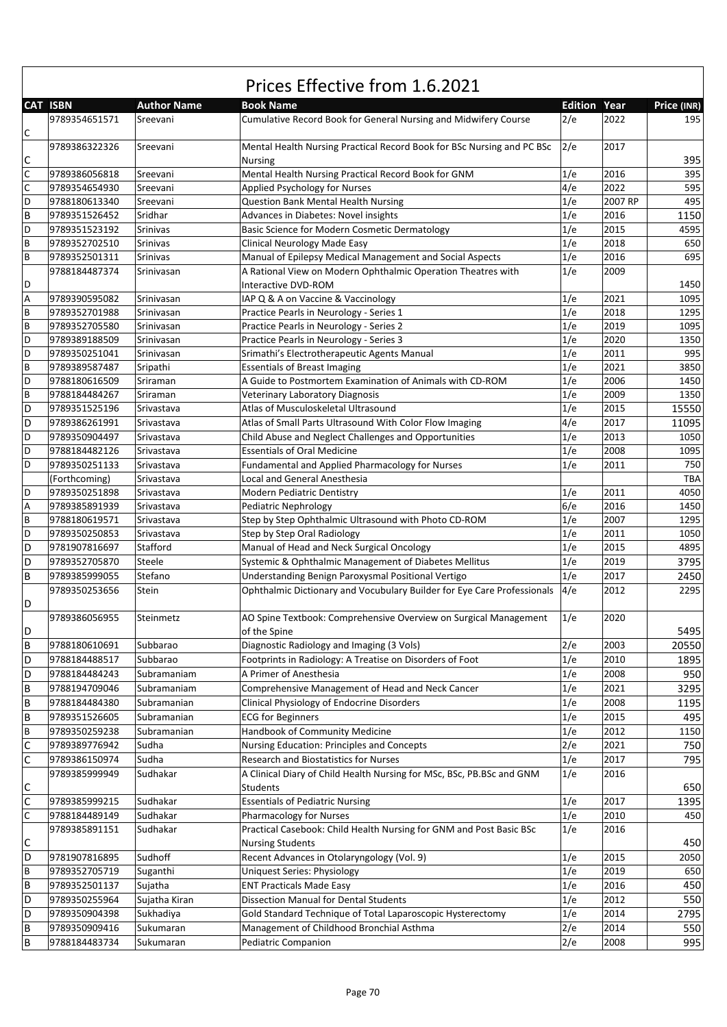|             |                 |                    | Prices Effective from 1.6.2021                                                           |                     |         |             |
|-------------|-----------------|--------------------|------------------------------------------------------------------------------------------|---------------------|---------|-------------|
|             | <b>CAT ISBN</b> | <b>Author Name</b> | <b>Book Name</b>                                                                         | <b>Edition Year</b> |         | Price (INR) |
| С           | 9789354651571   | Sreevani           | Cumulative Record Book for General Nursing and Midwifery Course                          | 2/e                 | 2022    | 195         |
| C           | 9789386322326   | Sreevani           | Mental Health Nursing Practical Record Book for BSc Nursing and PC BSc<br><b>Nursing</b> | 2/e                 | 2017    | 395         |
| $\mathsf C$ | 9789386056818   | Sreevani           | Mental Health Nursing Practical Record Book for GNM                                      | 1/e                 | 2016    | 395         |
| $\mathsf C$ | 9789354654930   | Sreevani           | Applied Psychology for Nurses                                                            | 4/e                 | 2022    | 595         |
| D           | 9788180613340   | Sreevani           | <b>Question Bank Mental Health Nursing</b>                                               | 1/e                 | 2007 RP | 495         |
| B           | 9789351526452   | Sridhar            | Advances in Diabetes: Novel insights                                                     | 1/e                 | 2016    | 1150        |
| D           | 9789351523192   | <b>Srinivas</b>    | Basic Science for Modern Cosmetic Dermatology                                            | 1/e                 | 2015    | 4595        |
| B           | 9789352702510   | Srinivas           | Clinical Neurology Made Easy                                                             | 1/e                 | 2018    | 650         |
| B           | 9789352501311   | <b>Srinivas</b>    | Manual of Epilepsy Medical Management and Social Aspects                                 | 1/e                 | 2016    | 695         |
|             | 9788184487374   |                    | A Rational View on Modern Ophthalmic Operation Theatres with                             | 1/e                 | 2009    |             |
| D           |                 | Srinivasan         | Interactive DVD-ROM                                                                      |                     |         | 1450        |
| А           | 9789390595082   | Srinivasan         | IAP Q & A on Vaccine & Vaccinology                                                       | 1/e                 | 2021    | 1095        |
| B           | 9789352701988   | Srinivasan         | Practice Pearls in Neurology - Series 1                                                  | 1/e                 | 2018    | 1295        |
| B           | 9789352705580   | Srinivasan         | Practice Pearls in Neurology - Series 2                                                  | 1/e                 | 2019    | 1095        |
| D           | 9789389188509   | Srinivasan         | Practice Pearls in Neurology - Series 3                                                  | 1/e                 | 2020    | 1350        |
| D           | 9789350251041   | Srinivasan         | Srimathi's Electrotherapeutic Agents Manual                                              | 1/e                 | 2011    | 995         |
| B           | 9789389587487   | Sripathi           | <b>Essentials of Breast Imaging</b>                                                      | 1/e                 | 2021    | 3850        |
| D           | 9788180616509   | Sriraman           | A Guide to Postmortem Examination of Animals with CD-ROM                                 | 1/e                 | 2006    | 1450        |
| B           | 9788184484267   | Sriraman           | Veterinary Laboratory Diagnosis                                                          | 1/e                 | 2009    | 1350        |
| D           | 9789351525196   | Srivastava         | Atlas of Musculoskeletal Ultrasound                                                      | 1/e                 | 2015    | 15550       |
| D           | 9789386261991   | Srivastava         | Atlas of Small Parts Ultrasound With Color Flow Imaging                                  | 4/e                 | 2017    | 11095       |
| D           | 9789350904497   | Srivastava         | Child Abuse and Neglect Challenges and Opportunities                                     | 1/e                 | 2013    | 1050        |
| D           | 9788184482126   | Srivastava         | <b>Essentials of Oral Medicine</b>                                                       | 1/e                 | 2008    | 1095        |
| D           | 9789350251133   | Srivastava         | Fundamental and Applied Pharmacology for Nurses                                          | 1/e                 | 2011    | 750         |
|             | (Forthcoming)   | Srivastava         | Local and General Anesthesia                                                             |                     |         | <b>TBA</b>  |
| D           | 9789350251898   | Srivastava         | <b>Modern Pediatric Dentistry</b>                                                        | 1/e                 | 2011    | 4050        |
| Α           | 9789385891939   | Srivastava         |                                                                                          | 6/e                 | 2016    | 1450        |
| B           |                 |                    | Pediatric Nephrology<br>Step by Step Ophthalmic Ultrasound with Photo CD-ROM             | 1/e                 | 2007    | 1295        |
| D           | 9788180619571   | Srivastava         |                                                                                          |                     | 2011    | 1050        |
|             | 9789350250853   | Srivastava         | Step by Step Oral Radiology                                                              | 1/e<br>1/e          | 2015    | 4895        |
| D           | 9781907816697   | Stafford           | Manual of Head and Neck Surgical Oncology                                                |                     |         |             |
| D           | 9789352705870   | Steele             | Systemic & Ophthalmic Management of Diabetes Mellitus                                    | 1/e                 | 2019    | 3795        |
| B           | 9789385999055   | Stefano            | Understanding Benign Paroxysmal Positional Vertigo                                       | 1/e                 | 2017    | 2450        |
| D           | 9789350253656   | Stein              | Ophthalmic Dictionary and Vocubulary Builder for Eye Care Professionals                  | 4/e                 | 2012    | 2295        |
|             | 9789386056955   | Steinmetz          | AO Spine Textbook: Comprehensive Overview on Surgical Management                         | 1/e                 | 2020    |             |
| D           |                 |                    | of the Spine                                                                             |                     |         | 5495        |
| B           | 9788180610691   | Subbarao           | Diagnostic Radiology and Imaging (3 Vols)                                                | 2/e                 | 2003    | 20550       |
| D           | 9788184488517   | Subbarao           | Footprints in Radiology: A Treatise on Disorders of Foot                                 | 1/e                 | 2010    | 1895        |
| D           | 9788184484243   | Subramaniam        | A Primer of Anesthesia                                                                   | 1/e                 | 2008    | 950         |
| B           | 9788194709046   | Subramaniam        | Comprehensive Management of Head and Neck Cancer                                         | 1/e                 | 2021    | 3295        |
| B           | 9788184484380   | Subramanian        | Clinical Physiology of Endocrine Disorders                                               | 1/e                 | 2008    | 1195        |
| B           | 9789351526605   | Subramanian        | <b>ECG for Beginners</b>                                                                 | 1/e                 | 2015    | 495         |
| B           | 9789350259238   | Subramanian        | Handbook of Community Medicine                                                           | 1/e                 | 2012    | 1150        |
| $\mathsf C$ | 9789389776942   | Sudha              | Nursing Education: Principles and Concepts                                               | 2/e                 | 2021    | 750         |
| $\mathsf C$ | 9789386150974   | Sudha              | Research and Biostatistics for Nurses                                                    | 1/e                 | 2017    | 795         |
|             | 9789385999949   | Sudhakar           | A Clinical Diary of Child Health Nursing for MSc, BSc, PB.BSc and GNM                    | 1/e                 | 2016    |             |
| С           |                 |                    | Students                                                                                 |                     |         | 650         |
| $\mathsf C$ | 9789385999215   | Sudhakar           | <b>Essentials of Pediatric Nursing</b>                                                   | 1/e                 | 2017    | 1395        |
| $\mathsf C$ | 9788184489149   | Sudhakar           | <b>Pharmacology for Nurses</b>                                                           | 1/e                 | 2010    | 450         |
|             | 9789385891151   | Sudhakar           | Practical Casebook: Child Health Nursing for GNM and Post Basic BSc                      | 1/e                 | 2016    |             |
|             |                 |                    |                                                                                          |                     |         |             |
| С           |                 |                    | <b>Nursing Students</b>                                                                  |                     |         | 450         |
| D           | 9781907816895   | Sudhoff            | Recent Advances in Otolaryngology (Vol. 9)                                               | 1/e                 | 2015    | 2050        |
| В           | 9789352705719   | Suganthi           | Uniquest Series: Physiology                                                              | 1/e                 | 2019    | 650         |
| B           | 9789352501137   | Sujatha            | <b>ENT Practicals Made Easy</b>                                                          | 1/e                 | 2016    | 450         |
| D           | 9789350255964   | Sujatha Kiran      | <b>Dissection Manual for Dental Students</b>                                             | 1/e                 | 2012    | 550         |
| D           | 9789350904398   | Sukhadiya          | Gold Standard Technique of Total Laparoscopic Hysterectomy                               | 1/e                 | 2014    | 2795        |
| В           | 9789350909416   | Sukumaran          | Management of Childhood Bronchial Asthma                                                 | 2/e                 | 2014    | 550         |
| B           | 9788184483734   | Sukumaran          | Pediatric Companion                                                                      | 2/e                 | 2008    | 995         |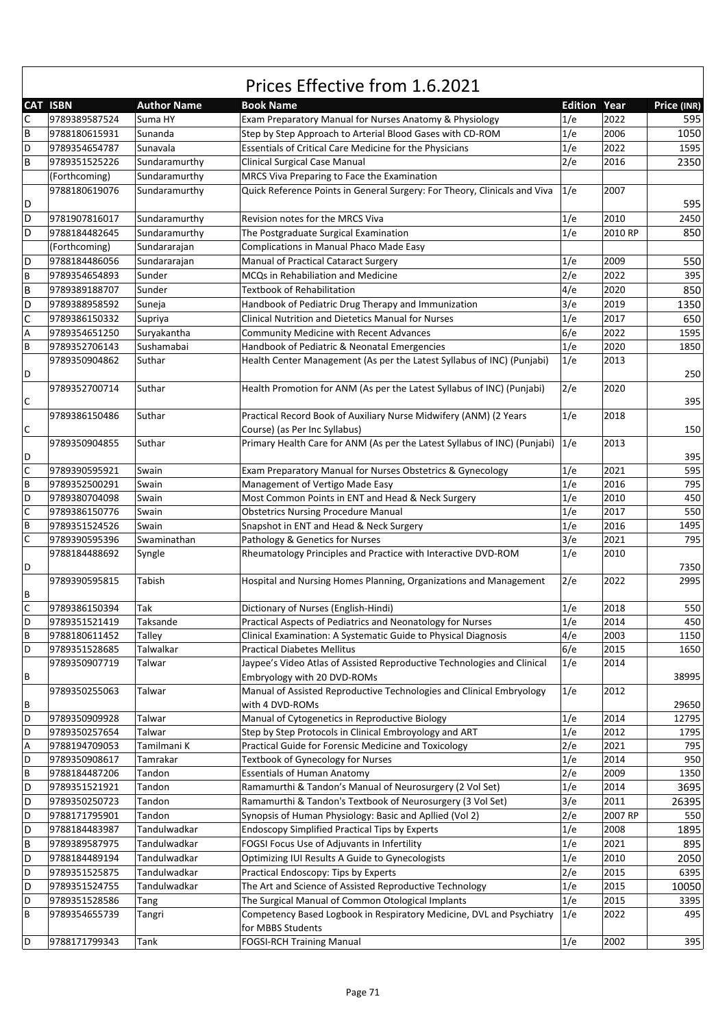|             | <b>CAT ISBN</b>                | <b>Author Name</b>             | <b>Book Name</b>                                                                                                         | <b>Edition Year</b> |         | Price (INR) |
|-------------|--------------------------------|--------------------------------|--------------------------------------------------------------------------------------------------------------------------|---------------------|---------|-------------|
| С           | 9789389587524                  | Suma HY                        | Exam Preparatory Manual for Nurses Anatomy & Physiology                                                                  | 1/e                 | 2022    | 595         |
| B           | 9788180615931                  | Sunanda                        | Step by Step Approach to Arterial Blood Gases with CD-ROM                                                                | 1/e                 | 2006    | 1050        |
| D           | 9789354654787                  | Sunavala                       | Essentials of Critical Care Medicine for the Physicians                                                                  | 1/e                 | 2022    | 1595        |
| B           | 9789351525226                  | Sundaramurthy                  | Clinical Surgical Case Manual                                                                                            | 2/e                 | 2016    | 2350        |
|             |                                |                                |                                                                                                                          |                     |         |             |
| D           | (Forthcoming)<br>9788180619076 | Sundaramurthy<br>Sundaramurthy | MRCS Viva Preparing to Face the Examination<br>Quick Reference Points in General Surgery: For Theory, Clinicals and Viva | 1/e                 | 2007    | 595         |
| D           | 9781907816017                  | Sundaramurthy                  | Revision notes for the MRCS Viva                                                                                         | 1/e                 | 2010    | 2450        |
|             |                                | Sundaramurthy                  |                                                                                                                          | 1/e                 | 2010 RP |             |
| D           | 9788184482645                  |                                | The Postgraduate Surgical Examination                                                                                    |                     |         | 850         |
|             | (Forthcoming)                  | Sundararajan                   | <b>Complications in Manual Phaco Made Easy</b>                                                                           |                     |         |             |
| D           | 9788184486056                  | Sundararajan                   | Manual of Practical Cataract Surgery                                                                                     | 1/e                 | 2009    | 550         |
| B           | 9789354654893                  | Sunder                         | MCQs in Rehabiliation and Medicine                                                                                       | 2/e                 | 2022    | 395         |
| B           | 9789389188707                  | Sunder                         | <b>Textbook of Rehabilitation</b>                                                                                        | 4/e                 | 2020    | 850         |
| D           | 9789388958592                  | Suneja                         | Handbook of Pediatric Drug Therapy and Immunization                                                                      | 3/e                 | 2019    | 1350        |
| C           | 9789386150332                  | Supriya                        | <b>Clinical Nutrition and Dietetics Manual for Nurses</b>                                                                | 1/e                 | 2017    | 650         |
| Α           | 9789354651250                  | Suryakantha                    | Community Medicine with Recent Advances                                                                                  | 6/e                 | 2022    | 1595        |
| B           | 9789352706143                  | Sushamabai                     | Handbook of Pediatric & Neonatal Emergencies                                                                             | 1/e                 | 2020    | 1850        |
|             | 9789350904862                  | Suthar                         | Health Center Management (As per the Latest Syllabus of INC) (Punjabi)                                                   | 1/e                 | 2013    |             |
| D           |                                |                                |                                                                                                                          |                     |         | 250         |
| С           | 9789352700714                  | Suthar                         | Health Promotion for ANM (As per the Latest Syllabus of INC) (Punjabi)                                                   | 2/e                 | 2020    | 395         |
| С           | 9789386150486                  | Suthar                         | Practical Record Book of Auxiliary Nurse Midwifery (ANM) (2 Years<br>Course) (as Per Inc Syllabus)                       | 1/e                 | 2018    | 150         |
|             |                                |                                |                                                                                                                          |                     |         |             |
|             | 9789350904855                  | Suthar                         | Primary Health Care for ANM (As per the Latest Syllabus of INC) (Punjabi)                                                | 1/e                 | 2013    |             |
| D           |                                |                                |                                                                                                                          |                     |         | 395         |
| C           | 9789390595921                  | Swain                          | Exam Preparatory Manual for Nurses Obstetrics & Gynecology                                                               | 1/e                 | 2021    | 595         |
| B           | 9789352500291                  | Swain                          | Management of Vertigo Made Easy                                                                                          | 1/e                 | 2016    | 795         |
| D           | 9789380704098                  | Swain                          | Most Common Points in ENT and Head & Neck Surgery                                                                        | 1/e                 | 2010    | 450         |
| C           | 9789386150776                  | Swain                          | <b>Obstetrics Nursing Procedure Manual</b>                                                                               | 1/e                 | 2017    | 550         |
| B           | 9789351524526                  | Swain                          | Snapshot in ENT and Head & Neck Surgery                                                                                  | 1/e                 | 2016    | 1495        |
| $\mathsf C$ | 9789390595396                  | Swaminathan                    | Pathology & Genetics for Nurses                                                                                          | 3/e                 | 2021    | 795         |
|             | 9788184488692                  | Syngle                         | Rheumatology Principles and Practice with Interactive DVD-ROM                                                            | 1/e                 | 2010    |             |
| D           |                                |                                |                                                                                                                          |                     |         | 7350        |
| В           | 9789390595815                  | Tabish                         | Hospital and Nursing Homes Planning, Organizations and Management                                                        | 2/e                 | 2022    | 2995        |
| C           | 9789386150394                  | Tak                            | Dictionary of Nurses (English-Hindi)                                                                                     | 1/e                 | 2018    | 550         |
| D           | 9789351521419                  | Taksande                       | Practical Aspects of Pediatrics and Neonatology for Nurses                                                               | 1/e                 | 2014    | 450         |
| B           | 9788180611452                  | Talley                         | Clinical Examination: A Systematic Guide to Physical Diagnosis                                                           | 4/e                 | 2003    | 1150        |
| D           | 9789351528685                  | Talwalkar                      | <b>Practical Diabetes Mellitus</b>                                                                                       | 6/e                 | 2015    | 1650        |
|             | 9789350907719                  | Talwar                         | Jaypee's Video Atlas of Assisted Reproductive Technologies and Clinical                                                  | 1/e                 | 2014    |             |
| В           |                                |                                | Embryology with 20 DVD-ROMs                                                                                              |                     |         | 38995       |
|             | 9789350255063                  | Talwar                         | Manual of Assisted Reproductive Technologies and Clinical Embryology                                                     | 1/e                 | 2012    |             |
| В           |                                |                                | with 4 DVD-ROMs                                                                                                          |                     |         | 29650       |
| D           | 9789350909928                  |                                | Manual of Cytogenetics in Reproductive Biology                                                                           | 1/e                 | 2014    | 12795       |
| D           | 9789350257654                  | Talwar                         |                                                                                                                          |                     |         | 1795        |
|             |                                | Talwar                         | Step by Step Protocols in Clinical Embroyology and ART                                                                   | 1/e                 | 2012    |             |
| А           | 9788194709053                  | Tamilmani K                    | Practical Guide for Forensic Medicine and Toxicology                                                                     | 2/e                 | 2021    | 795         |
| D           | 9789350908617                  | Tamrakar                       | Textbook of Gynecology for Nurses                                                                                        | 1/e                 | 2014    | 950         |
| B           | 9788184487206                  | Tandon                         | <b>Essentials of Human Anatomy</b>                                                                                       | 2/e                 | 2009    | 1350        |
| D           | 9789351521921                  | Tandon                         | Ramamurthi & Tandon's Manual of Neurosurgery (2 Vol Set)                                                                 | 1/e                 | 2014    | 3695        |
| D           | 9789350250723                  | Tandon                         | Ramamurthi & Tandon's Textbook of Neurosurgery (3 Vol Set)                                                               | 3/e                 | 2011    | 26395       |
| D           | 9788171795901                  | Tandon                         | Synopsis of Human Physiology: Basic and Apllied (Vol 2)                                                                  | 2/e                 | 2007 RP | 550         |
| D           | 9788184483987                  | Tandulwadkar                   | Endoscopy Simplified Practical Tips by Experts                                                                           | 1/e                 | 2008    | 1895        |
| B           | 9789389587975                  | Tandulwadkar                   | FOGSI Focus Use of Adjuvants in Infertility                                                                              | 1/e                 | 2021    | 895         |
| D           | 9788184489194                  | Tandulwadkar                   | Optimizing IUI Results A Guide to Gynecologists                                                                          | 1/e                 | 2010    | 2050        |
| D           | 9789351525875                  | Tandulwadkar                   | Practical Endoscopy: Tips by Experts                                                                                     | 2/e                 | 2015    | 6395        |
| D           | 9789351524755                  | Tandulwadkar                   | The Art and Science of Assisted Reproductive Technology                                                                  | 1/e                 | 2015    | 10050       |
| D           | 9789351528586                  | Tang                           | The Surgical Manual of Common Otological Implants                                                                        | 1/e                 | 2015    | 3395        |
| B           | 9789354655739                  | Tangri                         | Competency Based Logbook in Respiratory Medicine, DVL and Psychiatry                                                     | 1/e                 | 2022    | 495         |
|             |                                |                                | for MBBS Students                                                                                                        |                     |         |             |
| D           | 9788171799343                  | Tank                           | <b>FOGSI-RCH Training Manual</b>                                                                                         | 1/e                 | 2002    | 395         |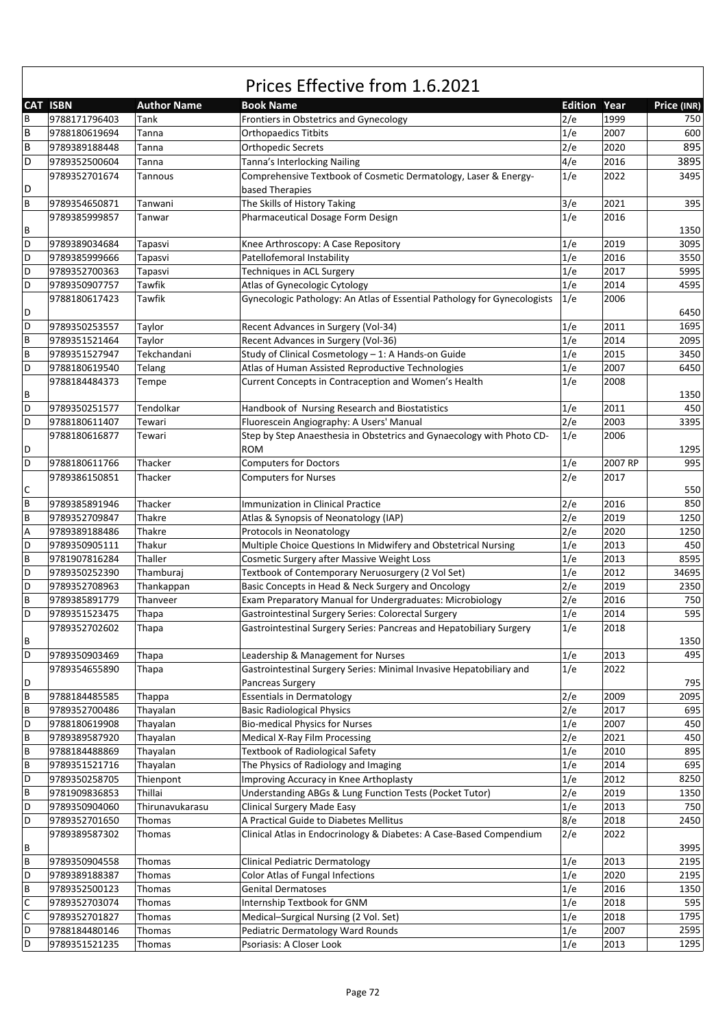|                | <b>CAT ISBN</b> | <b>Author Name</b> | <b>Book Name</b>                                                         | <b>Edition Year</b> |         | Price (INR) |
|----------------|-----------------|--------------------|--------------------------------------------------------------------------|---------------------|---------|-------------|
| B              | 9788171796403   | Tank               | Frontiers in Obstetrics and Gynecology                                   | 2/e                 | 1999    | 750         |
| B              | 9788180619694   | Tanna              | <b>Orthopaedics Titbits</b>                                              | 1/e                 | 2007    | 600         |
| $\sf B$        | 9789389188448   | Tanna              | <b>Orthopedic Secrets</b>                                                | 2/e                 | 2020    | 895         |
| D              | 9789352500604   | Tanna              | Tanna's Interlocking Nailing                                             | 4/e                 | 2016    | 3895        |
|                | 9789352701674   | Tannous            | Comprehensive Textbook of Cosmetic Dermatology, Laser & Energy-          | 1/e                 | 2022    | 3495        |
| D              |                 |                    | based Therapies                                                          |                     |         |             |
| B              | 9789354650871   | Tanwani            | The Skills of History Taking                                             | 3/e                 | 2021    | 395         |
|                | 9789385999857   | Tanwar             | Pharmaceutical Dosage Form Design                                        | 1/e                 | 2016    |             |
| В              |                 |                    |                                                                          |                     |         | 1350        |
| D              |                 |                    |                                                                          | 1/e                 | 2019    |             |
|                | 9789389034684   | Tapasvi            | Knee Arthroscopy: A Case Repository                                      |                     |         | 3095        |
| D              | 9789385999666   | Tapasvi            | Patellofemoral Instability                                               | 1/e                 | 2016    | 3550        |
| D              | 9789352700363   | Tapasvi            | Techniques in ACL Surgery                                                | 1/e                 | 2017    | 5995        |
| D              | 9789350907757   | Tawfik             | Atlas of Gynecologic Cytology                                            | 1/e                 | 2014    | 4595        |
|                | 9788180617423   | Tawfik             | Gynecologic Pathology: An Atlas of Essential Pathology for Gynecologists | 1/e                 | 2006    |             |
| D              |                 |                    |                                                                          |                     |         | 6450        |
| D              | 9789350253557   | Taylor             | Recent Advances in Surgery (Vol-34)                                      | 1/e                 | 2011    | 1695        |
| $\sf B$        | 9789351521464   | Taylor             | Recent Advances in Surgery (Vol-36)                                      | 1/e                 | 2014    | 2095        |
| $\sf B$        | 9789351527947   | Tekchandani        | Study of Clinical Cosmetology - 1: A Hands-on Guide                      | 1/e                 | 2015    | 3450        |
| D              | 9788180619540   | Telang             | Atlas of Human Assisted Reproductive Technologies                        | 1/e                 | 2007    | 6450        |
|                | 9788184484373   | Tempe              | Current Concepts in Contraception and Women's Health                     | 1/e                 | 2008    |             |
| В              |                 |                    |                                                                          |                     |         | 1350        |
| D              | 9789350251577   | Tendolkar          | Handbook of Nursing Research and Biostatistics                           | 1/e                 | 2011    | 450         |
| D              | 9788180611407   | Tewari             | Fluorescein Angiography: A Users' Manual                                 | 2/e                 | 2003    | 3395        |
|                | 9788180616877   | Tewari             | Step by Step Anaesthesia in Obstetrics and Gynaecology with Photo CD-    | 1/e                 | 2006    |             |
| D              |                 |                    | <b>ROM</b>                                                               |                     |         | 1295        |
| D              | 9788180611766   | Thacker            | <b>Computers for Doctors</b>                                             | 1/e                 | 2007 RP | 995         |
|                | 9789386150851   | Thacker            | <b>Computers for Nurses</b>                                              | 2/e                 | 2017    |             |
| C              |                 |                    |                                                                          |                     |         | 550         |
| B              | 9789385891946   | Thacker            | <b>Immunization in Clinical Practice</b>                                 | 2/e                 | 2016    | 850         |
|                |                 |                    |                                                                          |                     |         |             |
| B              | 9789352709847   | Thakre             | Atlas & Synopsis of Neonatology (IAP)                                    | 2/e                 | 2019    | 1250        |
| A              | 9789389188486   | Thakre             | Protocols in Neonatology                                                 | 2/e                 | 2020    | 1250        |
| D              | 9789350905111   | Thakur             | Multiple Choice Questions In Midwifery and Obstetrical Nursing           | 1/e                 | 2013    | 450         |
| B              | 9781907816284   | Thaller            | Cosmetic Surgery after Massive Weight Loss                               | 1/e                 | 2013    | 8595        |
| D              | 9789350252390   | Thamburaj          | Textbook of Contemporary Neruosurgery (2 Vol Set)                        | 1/e                 | 2012    | 34695       |
| D              | 9789352708963   | Thankappan         | Basic Concepts in Head & Neck Surgery and Oncology                       | 2/e                 | 2019    | 2350        |
| $\sf B$        | 9789385891779   | Thanveer           | Exam Preparatory Manual for Undergraduates: Microbiology                 | 2/e                 | 2016    | 750         |
| D              | 9789351523475   | Thapa              | Gastrointestinal Surgery Series: Colorectal Surgery                      | 1/e                 | 2014    | 595         |
|                | 9789352702602   | Thapa              | Gastrointestinal Surgery Series: Pancreas and Hepatobiliary Surgery      | 1/e                 | 2018    |             |
| B              |                 |                    |                                                                          |                     |         | 1350        |
| $\overline{D}$ | 9789350903469   | Thapa              | Leadership & Management for Nurses                                       | 1/e                 | 2013    | 495         |
|                | 9789354655890   | Thapa              | Gastrointestinal Surgery Series: Minimal Invasive Hepatobiliary and      | 1/e                 | 2022    |             |
| D              |                 |                    | Pancreas Surgery                                                         |                     |         | 795         |
| B              | 9788184485585   | Thappa             | <b>Essentials in Dermatology</b>                                         | 2/e                 | 2009    | 2095        |
| B              | 9789352700486   | Thayalan           | <b>Basic Radiological Physics</b>                                        | 2/e                 | 2017    | 695         |
| D              | 9788180619908   | Thayalan           | <b>Bio-medical Physics for Nurses</b>                                    | 1/e                 | 2007    | 450         |
| B              | 9789389587920   | Thayalan           | Medical X-Ray Film Processing                                            | 2/e                 | 2021    | 450         |
| B              | 9788184488869   | Thayalan           | <b>Textbook of Radiological Safety</b>                                   | 1/e                 | 2010    | 895         |
| $\sf B$        | 9789351521716   | Thayalan           | The Physics of Radiology and Imaging                                     | 1/e                 | 2014    | 695         |
| D              | 9789350258705   | Thienpont          | Improving Accuracy in Knee Arthoplasty                                   | 1/e                 | 2012    | 8250        |
| $\sf B$        |                 | Thillai            | Understanding ABGs & Lung Function Tests (Pocket Tutor)                  | 2/e                 | 2019    |             |
|                | 9781909836853   |                    |                                                                          |                     |         | 1350        |
| D              | 9789350904060   | Thirunavukarasu    | <b>Clinical Surgery Made Easy</b>                                        | 1/e                 | 2013    | 750         |
| D              | 9789352701650   | Thomas             | A Practical Guide to Diabetes Mellitus                                   | 8/e                 | 2018    | 2450        |
|                | 9789389587302   | Thomas             | Clinical Atlas in Endocrinology & Diabetes: A Case-Based Compendium      | 2/e                 | 2022    |             |
| В              |                 |                    |                                                                          |                     |         | 3995        |
| B              | 9789350904558   | Thomas             | <b>Clinical Pediatric Dermatology</b>                                    | 1/e                 | 2013    | 2195        |
| D              | 9789389188387   | Thomas             | Color Atlas of Fungal Infections                                         | 1/e                 | 2020    | 2195        |
| B              | 9789352500123   | Thomas             | <b>Genital Dermatoses</b>                                                | 1/e                 | 2016    | 1350        |
| $\mathsf C$    | 9789352703074   | Thomas             | Internship Textbook for GNM                                              | 1/e                 | 2018    | 595         |
| $\mathsf C$    | 9789352701827   | Thomas             | Medical-Surgical Nursing (2 Vol. Set)                                    | 1/e                 | 2018    | 1795        |
| D              | 9788184480146   | Thomas             | Pediatric Dermatology Ward Rounds                                        | 1/e                 | 2007    | 2595        |
| D              | 9789351521235   | Thomas             | Psoriasis: A Closer Look                                                 | 1/e                 | 2013    | 1295        |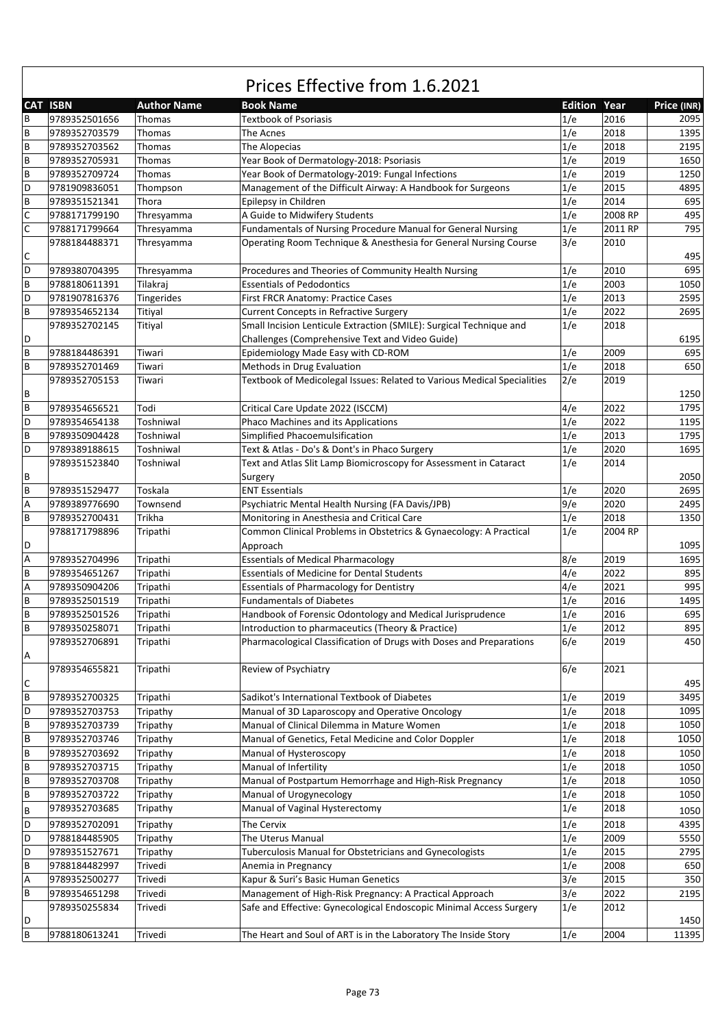|                           | <b>CAT ISBN</b> | <b>Author Name</b> | <b>Book Name</b>                                                        | <b>Edition Year</b> |         | Price (INR) |
|---------------------------|-----------------|--------------------|-------------------------------------------------------------------------|---------------------|---------|-------------|
| В                         | 9789352501656   | Thomas             | Textbook of Psoriasis                                                   | 1/e                 | 2016    | 2095        |
| B                         | 9789352703579   | Thomas             | The Acnes                                                               | 1/e                 | 2018    | 1395        |
| B                         | 9789352703562   | Thomas             | The Alopecias                                                           | 1/e                 | 2018    | 2195        |
| $\sf B$                   | 9789352705931   | Thomas             | Year Book of Dermatology-2018: Psoriasis                                | 1/e                 | 2019    | 1650        |
| B                         | 9789352709724   | Thomas             | Year Book of Dermatology-2019: Fungal Infections                        | 1/e                 | 2019    | 1250        |
| D                         | 9781909836051   | Thompson           | Management of the Difficult Airway: A Handbook for Surgeons             | 1/e                 | 2015    | 4895        |
| B                         | 9789351521341   | Thora              | Epilepsy in Children                                                    | 1/e                 | 2014    | 695         |
| $\mathsf C$               | 9788171799190   | Thresyamma         | A Guide to Midwifery Students                                           | 1/e                 | 2008 RP | 495         |
| $\mathsf C$               | 9788171799664   | Thresyamma         | Fundamentals of Nursing Procedure Manual for General Nursing            | 1/e                 | 2011 RP | 795         |
|                           | 9788184488371   | Thresyamma         | Operating Room Technique & Anesthesia for General Nursing Course        | 3/e                 | 2010    |             |
| С                         |                 |                    |                                                                         |                     |         | 495         |
| D                         | 9789380704395   | Thresyamma         | Procedures and Theories of Community Health Nursing                     | 1/e                 | 2010    | 695         |
| B                         | 9788180611391   | Tilakraj           | <b>Essentials of Pedodontics</b>                                        | 1/e                 | 2003    | 1050        |
| D                         | 9781907816376   | Tingerides         | First FRCR Anatomy: Practice Cases                                      | 1/e                 | 2013    | 2595        |
| B                         | 9789354652134   | Titiyal            | <b>Current Concepts in Refractive Surgery</b>                           | 1/e                 | 2022    | 2695        |
|                           | 9789352702145   | Titiyal            | Small Incision Lenticule Extraction (SMILE): Surgical Technique and     | 1/e                 | 2018    |             |
| D                         |                 |                    |                                                                         |                     |         |             |
| B                         |                 |                    | Challenges (Comprehensive Text and Video Guide)                         | 1/e                 | 2009    | 6195<br>695 |
|                           | 9788184486391   | Tiwari             | Epidemiology Made Easy with CD-ROM                                      |                     |         |             |
| B                         | 9789352701469   | Tiwari             | Methods in Drug Evaluation                                              | 1/e                 | 2018    | 650         |
|                           | 9789352705153   | Tiwari             | Textbook of Medicolegal Issues: Related to Various Medical Specialities | 2/e                 | 2019    |             |
| В                         |                 |                    |                                                                         |                     |         | 1250        |
| B                         | 9789354656521   | Todi               | Critical Care Update 2022 (ISCCM)                                       | 4/e                 | 2022    | 1795        |
| D                         | 9789354654138   | Toshniwal          | Phaco Machines and its Applications                                     | 1/e                 | 2022    | 1195        |
| B                         | 9789350904428   | Toshniwal          | Simplified Phacoemulsification                                          | 1/e                 | 2013    | 1795        |
| D                         | 9789389188615   | Toshniwal          | Text & Atlas - Do's & Dont's in Phaco Surgery                           | 1/e                 | 2020    | 1695        |
|                           | 9789351523840   | Toshniwal          | Text and Atlas Slit Lamp Biomicroscopy for Assessment in Cataract       | 1/e                 | 2014    |             |
| В                         |                 |                    | Surgery                                                                 |                     |         | 2050        |
| B                         | 9789351529477   | Toskala            | <b>ENT Essentials</b>                                                   | 1/e                 | 2020    | 2695        |
| А                         | 9789389776690   | Townsend           | Psychiatric Mental Health Nursing (FA Davis/JPB)                        | 9/e                 | 2020    | 2495        |
| B                         | 9789352700431   | Trikha             | Monitoring in Anesthesia and Critical Care                              | 1/e                 | 2018    | 1350        |
|                           | 9788171798896   | Tripathi           | Common Clinical Problems in Obstetrics & Gynaecology: A Practical       | 1/e                 | 2004 RP |             |
| D                         |                 |                    | Approach                                                                |                     |         | 1095        |
| Α                         | 9789352704996   | Tripathi           | <b>Essentials of Medical Pharmacology</b>                               | 8/e                 | 2019    | 1695        |
| B                         | 9789354651267   | Tripathi           | <b>Essentials of Medicine for Dental Students</b>                       | 4/e                 | 2022    | 895         |
| A                         | 9789350904206   | Tripathi           | <b>Essentials of Pharmacology for Dentistry</b>                         | 4/e                 | 2021    | 995         |
| B                         | 9789352501519   | Tripathi           | <b>Fundamentals of Diabetes</b>                                         | 1/e                 | 2016    | 1495        |
| B                         | 9789352501526   | Tripathi           | Handbook of Forensic Odontology and Medical Jurisprudence               | 1/e                 | 2016    | 695         |
| B                         | 9789350258071   | Tripathi           | Introduction to pharmaceutics (Theory & Practice)                       | 1/e                 | 2012    | 895         |
|                           | 9789352706891   | Tripathi           | Pharmacological Classification of Drugs with Doses and Preparations     | 6/e                 | 2019    | 450         |
| A                         |                 |                    |                                                                         |                     |         |             |
|                           | 9789354655821   | Tripathi           | Review of Psychiatry                                                    | 6/e                 | 2021    |             |
| C                         |                 |                    |                                                                         |                     |         | 495         |
| B                         | 9789352700325   | Tripathi           | Sadikot's International Textbook of Diabetes                            | 1/e                 | 2019    | 3495        |
| D                         | 9789352703753   | Tripathy           | Manual of 3D Laparoscopy and Operative Oncology                         | 1/e                 | 2018    | 1095        |
| B                         | 9789352703739   |                    | Manual of Clinical Dilemma in Mature Women                              | 1/e                 | 2018    | 1050        |
|                           |                 | Tripathy           |                                                                         |                     |         | 1050        |
| B                         | 9789352703746   | Tripathy           | Manual of Genetics, Fetal Medicine and Color Doppler                    | 1/e                 | 2018    |             |
| B                         | 9789352703692   | Tripathy           | Manual of Hysteroscopy                                                  | 1/e                 | 2018    | 1050        |
| B                         | 9789352703715   | Tripathy           | Manual of Infertility                                                   | 1/e                 | 2018    | 1050        |
| B                         | 9789352703708   | Tripathy           | Manual of Postpartum Hemorrhage and High-Risk Pregnancy                 | 1/e                 | 2018    | 1050        |
| B                         | 9789352703722   | Tripathy           | Manual of Urogynecology                                                 | 1/e                 | 2018    | 1050        |
| B                         | 9789352703685   | Tripathy           | Manual of Vaginal Hysterectomy                                          | 1/e                 | 2018    | 1050        |
| D                         | 9789352702091   | Tripathy           | The Cervix                                                              | 1/e                 | 2018    | 4395        |
| D                         | 9788184485905   | Tripathy           | The Uterus Manual                                                       | 1/e                 | 2009    | 5550        |
| D                         | 9789351527671   | Tripathy           | Tuberculosis Manual for Obstetricians and Gynecologists                 | 1/e                 | 2015    | 2795        |
| B                         | 9788184482997   | Trivedi            | Anemia in Pregnancy                                                     | 1/e                 | 2008    | 650         |
| $\boldsymbol{\mathsf{A}}$ | 9789352500277   | Trivedi            | Kapur & Suri's Basic Human Genetics                                     | 3/e                 | 2015    | 350         |
| B                         | 9789354651298   | Trivedi            | Management of High-Risk Pregnancy: A Practical Approach                 | 3/e                 | 2022    | 2195        |
|                           | 9789350255834   | Trivedi            | Safe and Effective: Gynecological Endoscopic Minimal Access Surgery     | 1/e                 | 2012    |             |
| D                         |                 |                    |                                                                         |                     |         | 1450        |
| $\sf B$                   | 9788180613241   | Trivedi            | The Heart and Soul of ART is in the Laboratory The Inside Story         | 1/e                 | 2004    | 11395       |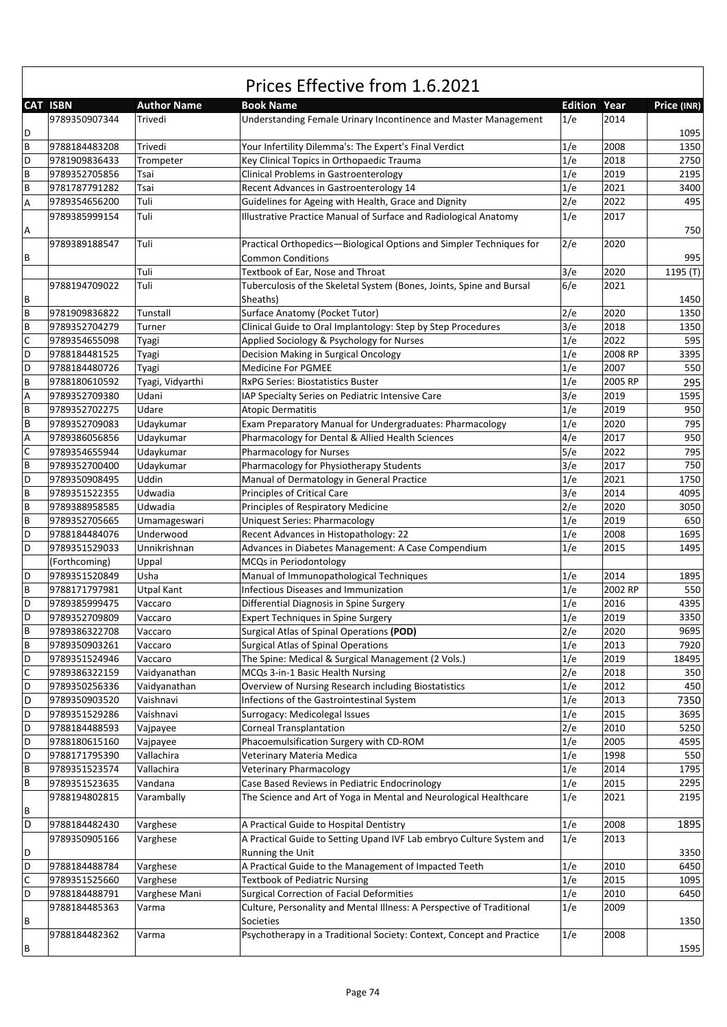|             | <b>CAT ISBN</b> | <b>Author Name</b> | <b>Book Name</b>                                                      | <b>Edition Year</b> |         | Price (INR) |
|-------------|-----------------|--------------------|-----------------------------------------------------------------------|---------------------|---------|-------------|
|             | 9789350907344   | Trivedi            | Understanding Female Urinary Incontinence and Master Management       | 1/e                 | 2014    |             |
| D           |                 |                    |                                                                       |                     |         | 1095        |
| B           | 9788184483208   | Trivedi            | Your Infertility Dilemma's: The Expert's Final Verdict                | 1/e                 | 2008    | 1350        |
| D           | 9781909836433   | Trompeter          | Key Clinical Topics in Orthopaedic Trauma                             | 1/e                 | 2018    | 2750        |
| B           | 9789352705856   | Tsai               | <b>Clinical Problems in Gastroenterology</b>                          | 1/e                 | 2019    | 2195        |
| B           | 9781787791282   | Tsai               |                                                                       | 1/e                 | 2021    | 3400        |
|             |                 | Tuli               | Recent Advances in Gastroenterology 14                                |                     | 2022    | 495         |
| А           | 9789354656200   |                    | Guidelines for Ageing with Health, Grace and Dignity                  | 2/e                 |         |             |
|             | 9789385999154   | Tuli               | Illustrative Practice Manual of Surface and Radiological Anatomy      | 1/e                 | 2017    |             |
| А           |                 |                    |                                                                       |                     |         | 750         |
|             | 9789389188547   | Tuli               | Practical Orthopedics-Biological Options and Simpler Techniques for   | 2/e                 | 2020    |             |
| В           |                 |                    | <b>Common Conditions</b>                                              |                     |         | 995         |
|             |                 | Tuli               | Textbook of Ear, Nose and Throat                                      | 3/e                 | 2020    | 1195 (T)    |
|             | 9788194709022   | Tuli               | Tuberculosis of the Skeletal System (Bones, Joints, Spine and Bursal  | 6/e                 | 2021    |             |
| В           |                 |                    | Sheaths)                                                              |                     |         | 1450        |
| B           | 9781909836822   | Tunstall           | Surface Anatomy (Pocket Tutor)                                        | 2/e                 | 2020    | 1350        |
| B           | 9789352704279   | Turner             | Clinical Guide to Oral Implantology: Step by Step Procedures          | 3/e                 | 2018    | 1350        |
| C           | 9789354655098   | Tyagi              | Applied Sociology & Psychology for Nurses                             | 1/e                 | 2022    | 595         |
| D           | 9788184481525   | Tyagi              | Decision Making in Surgical Oncology                                  | 1/e                 | 2008 RP | 3395        |
| D           | 9788184480726   | Tyagi              | <b>Medicine For PGMEE</b>                                             | 1/e                 | 2007    | 550         |
| B           | 9788180610592   | Tyagi, Vidyarthi   | <b>RxPG Series: Biostatistics Buster</b>                              | 1/e                 | 2005 RP | 295         |
| А           | 9789352709380   | Udani              | IAP Specialty Series on Pediatric Intensive Care                      | 3/e                 | 2019    | 1595        |
| B           | 9789352702275   | Udare              | <b>Atopic Dermatitis</b>                                              | 1/e                 | 2019    | 950         |
| B           | 9789352709083   | Udaykumar          | Exam Preparatory Manual for Undergraduates: Pharmacology              | 1/e                 | 2020    | 795         |
| Α           | 9789386056856   | Udaykumar          | Pharmacology for Dental & Allied Health Sciences                      | 4/e                 | 2017    | 950         |
| $\mathsf C$ | 9789354655944   | Udaykumar          | Pharmacology for Nurses                                               | 5/e                 | 2022    | 795         |
| B           | 9789352700400   | Udaykumar          | Pharmacology for Physiotherapy Students                               | 3/e                 | 2017    | 750         |
| D           | 9789350908495   | Uddin              | Manual of Dermatology in General Practice                             | 1/e                 | 2021    | 1750        |
| B           | 9789351522355   | Udwadia            | <b>Principles of Critical Care</b>                                    | 3/e                 | 2014    | 4095        |
| B           | 9789388958585   | Udwadia            | Principles of Respiratory Medicine                                    | 2/e                 | 2020    | 3050        |
| B           | 9789352705665   | Umamageswari       | <b>Uniquest Series: Pharmacology</b>                                  | 1/e                 | 2019    | 650         |
| D           | 9788184484076   | Underwood          | Recent Advances in Histopathology: 22                                 | 1/e                 | 2008    | 1695        |
| D           | 9789351529033   | Unnikrishnan       |                                                                       | 1/e                 | 2015    | 1495        |
|             |                 |                    | Advances in Diabetes Management: A Case Compendium                    |                     |         |             |
|             | (Forthcoming)   | Uppal              | MCQs in Periodontology                                                |                     |         |             |
| D           | 9789351520849   | Usha               | Manual of Immunopathological Techniques                               | 1/e                 | 2014    | 1895        |
| B           | 9788171797981   | <b>Utpal Kant</b>  | <b>Infectious Diseases and Immunization</b>                           | 1/e                 | 2002 RP | 550         |
| D           | 9789385999475   | Vaccaro            | Differential Diagnosis in Spine Surgery                               | 1/e                 | 2016    | 4395        |
| D           | 9789352709809   | Vaccaro            | <b>Expert Techniques in Spine Surgery</b>                             | 1/e                 | 2019    | 3350        |
| B           | 9789386322708   | Vaccaro            | Surgical Atlas of Spinal Operations (POD)                             | 2/e                 | 2020    | 9695        |
| В           | 9789350903261   | Vaccaro            | Surgical Atlas of Spinal Operations                                   | 1/e                 | 2013    | 7920        |
| D           | 9789351524946   | Vaccaro            | The Spine: Medical & Surgical Management (2 Vols.)                    | 1/e                 | 2019    | 18495       |
| С           | 9789386322159   | Vaidyanathan       | MCQs 3-in-1 Basic Health Nursing                                      | 2/e                 | 2018    | 350         |
| D           | 9789350256336   | Vaidyanathan       | Overview of Nursing Research including Biostatistics                  | 1/e                 | 2012    | 450         |
| D           | 9789350903520   | Vaishnavi          | Infections of the Gastrointestinal System                             | 1/e                 | 2013    | 7350        |
| D           | 9789351529286   | Vaishnavi          | Surrogacy: Medicolegal Issues                                         | 1/e                 | 2015    | 3695        |
| D           | 9788184488593   | Vajpayee           | <b>Corneal Transplantation</b>                                        | 2/e                 | 2010    | 5250        |
| D           | 9788180615160   | Vajpayee           | Phacoemulsification Surgery with CD-ROM                               | 1/e                 | 2005    | 4595        |
| D           | 9788171795390   | Vallachira         | Veterinary Materia Medica                                             | 1/e                 | 1998    | 550         |
| B           | 9789351523574   | Vallachira         | Veterinary Pharmacology                                               | 1/e                 | 2014    | 1795        |
| B           | 9789351523635   | Vandana            | Case Based Reviews in Pediatric Endocrinology                         | 1/e                 | 2015    | 2295        |
|             | 9788194802815   | Varambally         | The Science and Art of Yoga in Mental and Neurological Healthcare     | 1/e                 | 2021    | 2195        |
| В           |                 |                    |                                                                       |                     |         |             |
| D           | 9788184482430   | Varghese           | A Practical Guide to Hospital Dentistry                               | 1/e                 | 2008    | 1895        |
|             | 9789350905166   | Varghese           | A Practical Guide to Setting Upand IVF Lab embryo Culture System and  | 1/e                 | 2013    |             |
| D           |                 |                    | Running the Unit                                                      |                     |         | 3350        |
| D           | 9788184488784   | Varghese           | A Practical Guide to the Management of Impacted Teeth                 | 1/e                 | 2010    | 6450        |
| С           | 9789351525660   | Varghese           | <b>Textbook of Pediatric Nursing</b>                                  | 1/e                 | 2015    | 1095        |
| D           | 9788184488791   | Varghese Mani      | <b>Surgical Correction of Facial Deformities</b>                      | 1/e                 | 2010    | 6450        |
|             | 9788184485363   | Varma              | Culture, Personality and Mental Illness: A Perspective of Traditional | 1/e                 | 2009    |             |
| В           |                 |                    | Societies                                                             |                     |         | 1350        |
|             | 9788184482362   | Varma              | Psychotherapy in a Traditional Society: Context, Concept and Practice | 1/e                 | 2008    |             |
| В           |                 |                    |                                                                       |                     |         | 1595        |
|             |                 |                    |                                                                       |                     |         |             |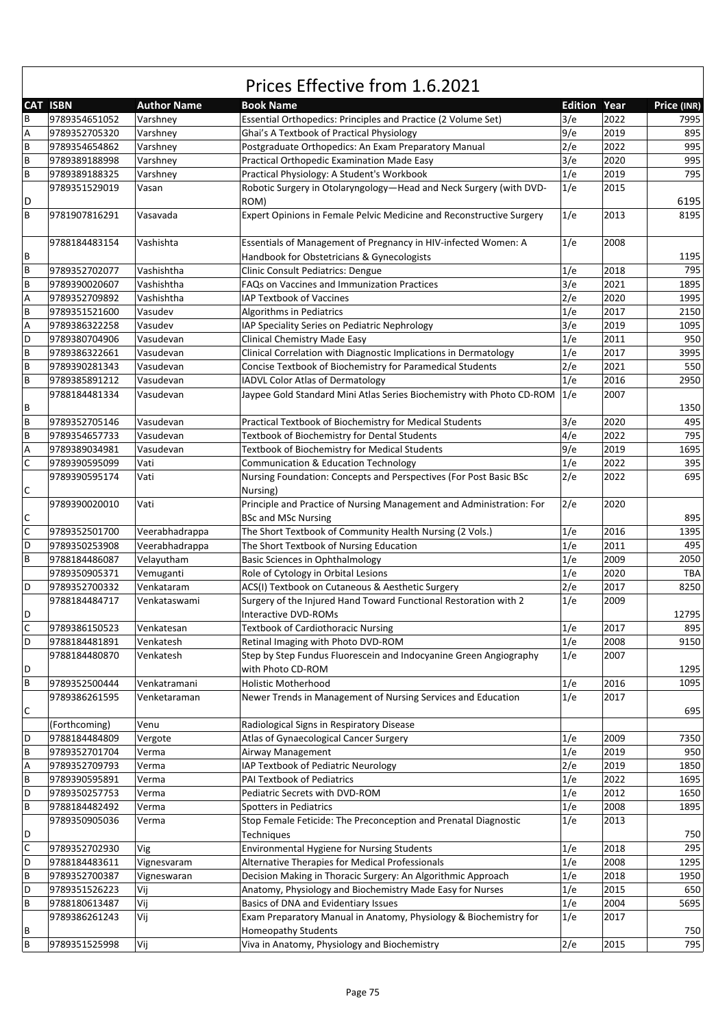|                  | <b>CAT ISBN</b> | <b>Author Name</b> | <b>Book Name</b>                                                      | <b>Edition Year</b> |      | Price (INR) |
|------------------|-----------------|--------------------|-----------------------------------------------------------------------|---------------------|------|-------------|
| В                | 9789354651052   | Varshney           | Essential Orthopedics: Principles and Practice (2 Volume Set)         | 3/e                 | 2022 | 7995        |
| А                | 9789352705320   | Varshney           | Ghai's A Textbook of Practical Physiology                             | 9/e                 | 2019 | 895         |
| B                | 9789354654862   | Varshney           | Postgraduate Orthopedics: An Exam Preparatory Manual                  | 2/e                 | 2022 | 995         |
| B                | 9789389188998   | Varshney           | Practical Orthopedic Examination Made Easy                            | 3/e                 | 2020 | 995         |
| B                | 9789389188325   | Varshney           | Practical Physiology: A Student's Workbook                            | 1/e                 | 2019 | 795         |
|                  | 9789351529019   | Vasan              | Robotic Surgery in Otolaryngology-Head and Neck Surgery (with DVD-    | 1/e                 | 2015 |             |
| D                |                 |                    | ROM)                                                                  |                     |      | 6195        |
| B                | 9781907816291   | Vasavada           | Expert Opinions in Female Pelvic Medicine and Reconstructive Surgery  | 1/e                 | 2013 | 8195        |
|                  |                 |                    |                                                                       |                     |      |             |
|                  | 9788184483154   | Vashishta          | Essentials of Management of Pregnancy in HIV-infected Women: A        | 1/e                 | 2008 |             |
| В                |                 |                    | Handbook for Obstetricians & Gynecologists                            |                     |      | 1195        |
| B                | 9789352702077   | Vashishtha         | <b>Clinic Consult Pediatrics: Dengue</b>                              | 1/e                 | 2018 | 795         |
| B                | 9789390020607   | Vashishtha         | FAQs on Vaccines and Immunization Practices                           | 3/e                 | 2021 | 1895        |
|                  |                 |                    |                                                                       |                     |      |             |
| Α                | 9789352709892   | Vashishtha         | IAP Textbook of Vaccines                                              | 2/e                 | 2020 | 1995        |
| B                | 9789351521600   | Vasudev            | Algorithms in Pediatrics                                              | 1/e                 | 2017 | 2150        |
| А                | 9789386322258   | Vasudev            | IAP Speciality Series on Pediatric Nephrology                         | 3/e                 | 2019 | 1095        |
| D                | 9789380704906   | Vasudevan          | <b>Clinical Chemistry Made Easy</b>                                   | 1/e                 | 2011 | 950         |
| B                | 9789386322661   | Vasudevan          | Clinical Correlation with Diagnostic Implications in Dermatology      | 1/e                 | 2017 | 3995        |
| B                | 9789390281343   | Vasudevan          | Concise Textbook of Biochemistry for Paramedical Students             | 2/e                 | 2021 | 550         |
| B                | 9789385891212   | Vasudevan          | IADVL Color Atlas of Dermatology                                      | 1/e                 | 2016 | 2950        |
|                  | 9788184481334   | Vasudevan          | Jaypee Gold Standard Mini Atlas Series Biochemistry with Photo CD-ROM | 1/e                 | 2007 |             |
| В                |                 |                    |                                                                       |                     |      | 1350        |
| B                | 9789352705146   | Vasudevan          | Practical Textbook of Biochemistry for Medical Students               | 3/e                 | 2020 | 495         |
| B                | 9789354657733   | Vasudevan          | Textbook of Biochemistry for Dental Students                          | 4/e                 | 2022 | 795         |
| А                | 9789389034981   | Vasudevan          | Textbook of Biochemistry for Medical Students                         | 9/e                 | 2019 | 1695        |
| $\mathsf{C}$     | 9789390595099   | Vati               | <b>Communication &amp; Education Technology</b>                       | 1/e                 | 2022 | 395         |
|                  | 9789390595174   | Vati               | Nursing Foundation: Concepts and Perspectives (For Post Basic BSc     | 2/e                 | 2022 | 695         |
| $\mathsf C$      |                 |                    | Nursing)                                                              |                     |      |             |
|                  | 9789390020010   | Vati               | Principle and Practice of Nursing Management and Administration: For  | 2/e                 | 2020 |             |
| С                |                 |                    | <b>BSc and MSc Nursing</b>                                            |                     |      | 895         |
| C                | 9789352501700   | Veerabhadrappa     | The Short Textbook of Community Health Nursing (2 Vols.)              | 1/e                 | 2016 | 1395        |
| D                | 9789350253908   | Veerabhadrappa     | The Short Textbook of Nursing Education                               | 1/e                 | 2011 | 495         |
| B                | 9788184486087   | Velayutham         | <b>Basic Sciences in Ophthalmology</b>                                | 1/e                 | 2009 | 2050        |
|                  | 9789350905371   | Vemuganti          | Role of Cytology in Orbital Lesions                                   | 1/e                 | 2020 | <b>TBA</b>  |
| D                | 9789352700332   | Venkataram         | ACS(I) Textbook on Cutaneous & Aesthetic Surgery                      | 2/e                 | 2017 | 8250        |
|                  | 9788184484717   | Venkataswami       | Surgery of the Injured Hand Toward Functional Restoration with 2      | 1/e                 | 2009 |             |
|                  |                 |                    | Interactive DVD-ROMs                                                  |                     |      |             |
| D<br>$\mathsf C$ |                 |                    |                                                                       |                     |      | 12795       |
| D                | 9789386150523   | Venkatesan         | <b>Textbook of Cardiothoracic Nursing</b>                             | 1/e                 | 2017 | 895         |
|                  | 9788184481891   | Venkatesh          | Retinal Imaging with Photo DVD-ROM                                    | 1/e                 | 2008 | 9150        |
|                  | 9788184480870   | Venkatesh          | Step by Step Fundus Fluorescein and Indocyanine Green Angiography     | 1/e                 | 2007 |             |
| D                |                 |                    | with Photo CD-ROM                                                     |                     |      | 1295        |
| B                | 9789352500444   | Venkatramani       | Holistic Motherhood                                                   | 1/e                 | 2016 | 1095        |
|                  | 9789386261595   | Venketaraman       | Newer Trends in Management of Nursing Services and Education          | 1/e                 | 2017 |             |
| С                |                 |                    |                                                                       |                     |      | 695         |
|                  | (Forthcoming)   | Venu               | Radiological Signs in Respiratory Disease                             |                     |      |             |
| D                | 9788184484809   | Vergote            | Atlas of Gynaecological Cancer Surgery                                | 1/e                 | 2009 | 7350        |
| B                | 9789352701704   | Verma              | Airway Management                                                     | 1/e                 | 2019 | 950         |
| А                | 9789352709793   | Verma              | IAP Textbook of Pediatric Neurology                                   | 2/e                 | 2019 | 1850        |
| B                | 9789390595891   | Verma              | PAI Textbook of Pediatrics                                            | 1/e                 | 2022 | 1695        |
| D                | 9789350257753   | Verma              | Pediatric Secrets with DVD-ROM                                        | 1/e                 | 2012 | 1650        |
| B                | 9788184482492   | Verma              | Spotters in Pediatrics                                                | 1/e                 | 2008 | 1895        |
|                  | 9789350905036   | Verma              | Stop Female Feticide: The Preconception and Prenatal Diagnostic       | 1/e                 | 2013 |             |
| D                |                 |                    | Techniques                                                            |                     |      | 750         |
| C                | 9789352702930   | Vig                | Environmental Hygiene for Nursing Students                            | 1/e                 | 2018 | 295         |
| D                | 9788184483611   | Vignesvaram        | Alternative Therapies for Medical Professionals                       | 1/e                 | 2008 | 1295        |
| B                | 9789352700387   | Vigneswaran        | Decision Making in Thoracic Surgery: An Algorithmic Approach          | 1/e                 | 2018 | 1950        |
| D                | 9789351526223   | Vij                | Anatomy, Physiology and Biochemistry Made Easy for Nurses             | 1/e                 | 2015 | 650         |
| В                | 9788180613487   | Vij                | Basics of DNA and Evidentiary Issues                                  | 1/e                 | 2004 | 5695        |
|                  | 9789386261243   | Vij                | Exam Preparatory Manual in Anatomy, Physiology & Biochemistry for     | 1/e                 | 2017 |             |
| В                |                 |                    | <b>Homeopathy Students</b>                                            |                     |      | 750         |
| B                | 9789351525998   | Vij                | Viva in Anatomy, Physiology and Biochemistry                          | 2/e                 | 2015 | 795         |
|                  |                 |                    |                                                                       |                     |      |             |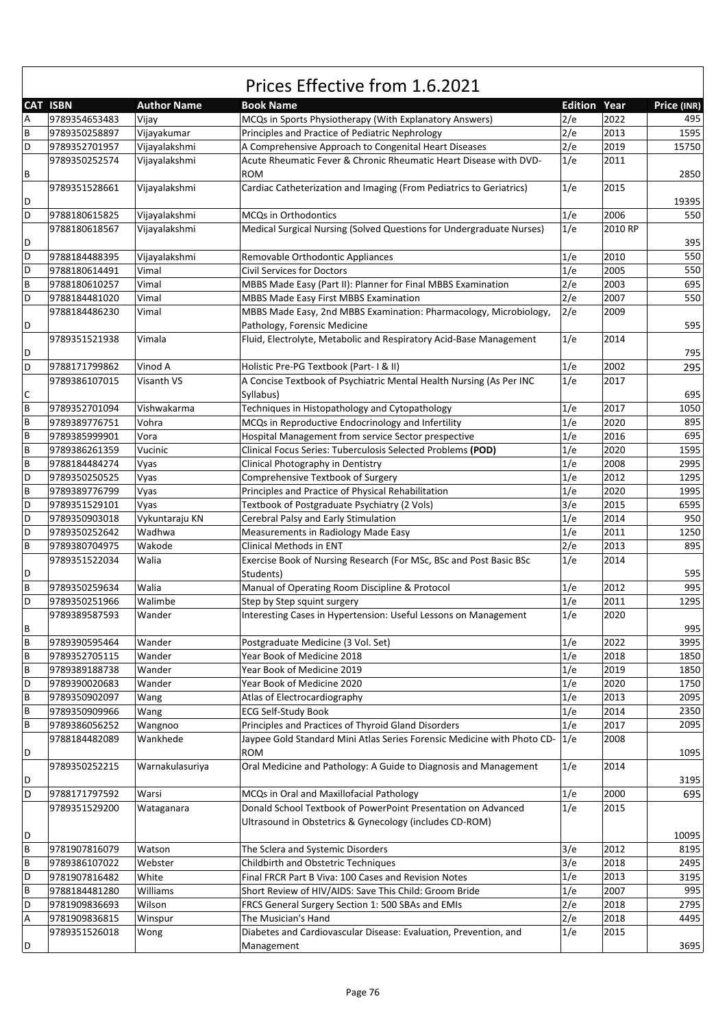|   | CAT ISBN      | <b>Author Name</b> | <b>Book Name</b>                                                        | <b>Edition</b> | Year    | Price (INR) |
|---|---------------|--------------------|-------------------------------------------------------------------------|----------------|---------|-------------|
| Α | 9789354653483 | Vijay              | MCQs in Sports Physiotherapy (With Explanatory Answers)                 | 2/e            | 2022    | 495         |
| B | 9789350258897 | Vijayakumar        | Principles and Practice of Pediatric Nephrology                         | 2/e            | 2013    | 1595        |
| D | 9789352701957 | Vijayalakshmi      | A Comprehensive Approach to Congenital Heart Diseases                   | 2/e            | 2019    | 15750       |
|   | 9789350252574 | Vijayalakshmi      | Acute Rheumatic Fever & Chronic Rheumatic Heart Disease with DVD-       | 1/e            | 2011    |             |
| В |               |                    | <b>ROM</b>                                                              |                |         | 2850        |
|   | 9789351528661 | Vijayalakshmi      | Cardiac Catheterization and Imaging (From Pediatrics to Geriatrics)     | 1/e            | 2015    |             |
| D |               |                    |                                                                         |                |         | 19395       |
| D | 9788180615825 | Vijayalakshmi      | MCQs in Orthodontics                                                    | 1/e            | 2006    | 550         |
|   | 9788180618567 | Vijayalakshmi      | Medical Surgical Nursing (Solved Questions for Undergraduate Nurses)    | 1/e            | 2010 RP |             |
| D |               |                    |                                                                         |                |         | 395         |
| D | 9788184488395 | Vijayalakshmi      | Removable Orthodontic Appliances                                        | 1/e            | 2010    | 550         |
| D | 9788180614491 | Vimal              | <b>Civil Services for Doctors</b>                                       | 1/e            | 2005    | 550         |
| B | 9788180610257 | Vimal              | MBBS Made Easy (Part II): Planner for Final MBBS Examination            | 2/e            | 2003    | 695         |
| D | 9788184481020 | Vimal              | MBBS Made Easy First MBBS Examination                                   | 2/e            | 2007    | 550         |
|   | 9788184486230 | Vimal              | MBBS Made Easy, 2nd MBBS Examination: Pharmacology, Microbiology,       | 2/e            | 2009    |             |
| D |               |                    | Pathology, Forensic Medicine                                            |                |         | 595         |
|   | 9789351521938 | Vimala             | Fluid, Electrolyte, Metabolic and Respiratory Acid-Base Management      | 1/e            | 2014    |             |
| D |               |                    |                                                                         |                |         | 795         |
|   |               |                    |                                                                         |                |         |             |
| D | 9788171799862 | Vinod A            | Holistic Pre-PG Textbook (Part-1& II)                                   | 1/e            | 2002    | 295         |
|   | 9789386107015 | Visanth VS         | A Concise Textbook of Psychiatric Mental Health Nursing (As Per INC     | 1/e            | 2017    |             |
| С |               |                    | Syllabus)                                                               |                |         | 695         |
| B | 9789352701094 | Vishwakarma        | Techniques in Histopathology and Cytopathology                          | 1/e            | 2017    | 1050        |
| B | 9789389776751 | Vohra              | MCQs in Reproductive Endocrinology and Infertility                      | 1/e            | 2020    | 895         |
| B | 9789385999901 | Vora               | Hospital Management from service Sector prespective                     | 1/e            | 2016    | 695         |
| B | 9789386261359 | Vucinic            | Clinical Focus Series: Tuberculosis Selected Problems (POD)             | 1/e            | 2020    | 1595        |
| B | 9788184484274 | Vyas               | Clinical Photography in Dentistry                                       | 1/e            | 2008    | 2995        |
| D | 9789350250525 | Vyas               | Comprehensive Textbook of Surgery                                       | 1/e            | 2012    | 1295        |
| B | 9789389776799 | Vyas               | Principles and Practice of Physical Rehabilitation                      | 1/e            | 2020    | 1995        |
| D | 9789351529101 | Vyas               | Textbook of Postgraduate Psychiatry (2 Vols)                            | 3/e            | 2015    | 6595        |
| D | 9789350903018 | Vykuntaraju KN     | Cerebral Palsy and Early Stimulation                                    | 1/e            | 2014    | 950         |
| D | 9789350252642 | Wadhwa             | Measurements in Radiology Made Easy                                     | 1/e            | 2011    | 1250        |
| B | 9789380704975 | Wakode             | Clinical Methods in ENT                                                 | 2/e            | 2013    | 895         |
|   | 9789351522034 | Walia              | Exercise Book of Nursing Research (For MSc, BSc and Post Basic BSc      | 1/e            | 2014    |             |
| D |               |                    | Students)                                                               |                |         | 595         |
| B | 9789350259634 | Walia              | Manual of Operating Room Discipline & Protocol                          | 1/e            | 2012    | 995         |
| D | 9789350251966 | Walimbe            | Step by Step squint surgery                                             | 1/e            | 2011    | 1295        |
|   | 9789389587593 | Wander             | Interesting Cases in Hypertension: Useful Lessons on Management         | 1/e            | 2020    |             |
| В |               |                    |                                                                         |                |         | 995         |
| B | 9789390595464 | Wander             | Postgraduate Medicine (3 Vol. Set)                                      | 1/e            | 2022    | 3995        |
| В | 9789352705115 | Wander             | Year Book of Medicine 2018                                              | 1/e            | 2018    | 1850        |
| В | 9789389188738 | Wander             | Year Book of Medicine 2019                                              | 1/e            | 2019    | 1850        |
| D | 9789390020683 | Wander             | Year Book of Medicine 2020                                              | 1/e            | 2020    | 1750        |
| B | 9789350902097 | Wang               | Atlas of Electrocardiography                                            | 1/e            | 2013    | 2095        |
| B | 9789350909966 | Wang               | <b>ECG Self-Study Book</b>                                              | 1/e            | 2014    | 2350        |
| B | 9789386056252 | Wangnoo            | Principles and Practices of Thyroid Gland Disorders                     | 1/e            | 2017    | 2095        |
|   | 9788184482089 | Wankhede           | Jaypee Gold Standard Mini Atlas Series Forensic Medicine with Photo CD- | 1/e            | 2008    |             |
| D |               |                    | <b>ROM</b>                                                              |                |         | 1095        |
|   | 9789350252215 | Warnakulasuriya    | Oral Medicine and Pathology: A Guide to Diagnosis and Management        | 1/e            | 2014    |             |
| D |               |                    |                                                                         |                |         | 3195        |
| D | 9788171797592 | Warsi              | MCQs in Oral and Maxillofacial Pathology                                | 1/e            | 2000    | 695         |
|   | 9789351529200 |                    | Donald School Textbook of PowerPoint Presentation on Advanced           | 1/e            | 2015    |             |
|   |               | Wataganara         |                                                                         |                |         |             |
|   |               |                    | Ultrasound in Obstetrics & Gynecology (includes CD-ROM)                 |                |         |             |
| D |               |                    |                                                                         |                |         | 10095       |
| B | 9781907816079 | Watson             | The Sclera and Systemic Disorders                                       | 3/e            | 2012    | 8195        |
| B | 9789386107022 | Webster            | Childbirth and Obstetric Techniques                                     | 3/e            | 2018    | 2495        |
| D | 9781907816482 | White              | Final FRCR Part B Viva: 100 Cases and Revision Notes                    | 1/e            | 2013    | 3195        |
| B | 9788184481280 | Williams           | Short Review of HIV/AIDS: Save This Child: Groom Bride                  | 1/e            | 2007    | 995         |
| D | 9781909836693 | Wilson             | FRCS General Surgery Section 1: 500 SBAs and EMIs                       | 2/e            | 2018    | 2795        |
| А | 9781909836815 | Winspur            | The Musician's Hand                                                     | 2/e            | 2018    | 4495        |
|   | 9789351526018 | Wong               | Diabetes and Cardiovascular Disease: Evaluation, Prevention, and        | 1/e            | 2015    |             |
| D |               |                    | Management                                                              |                |         | 3695        |